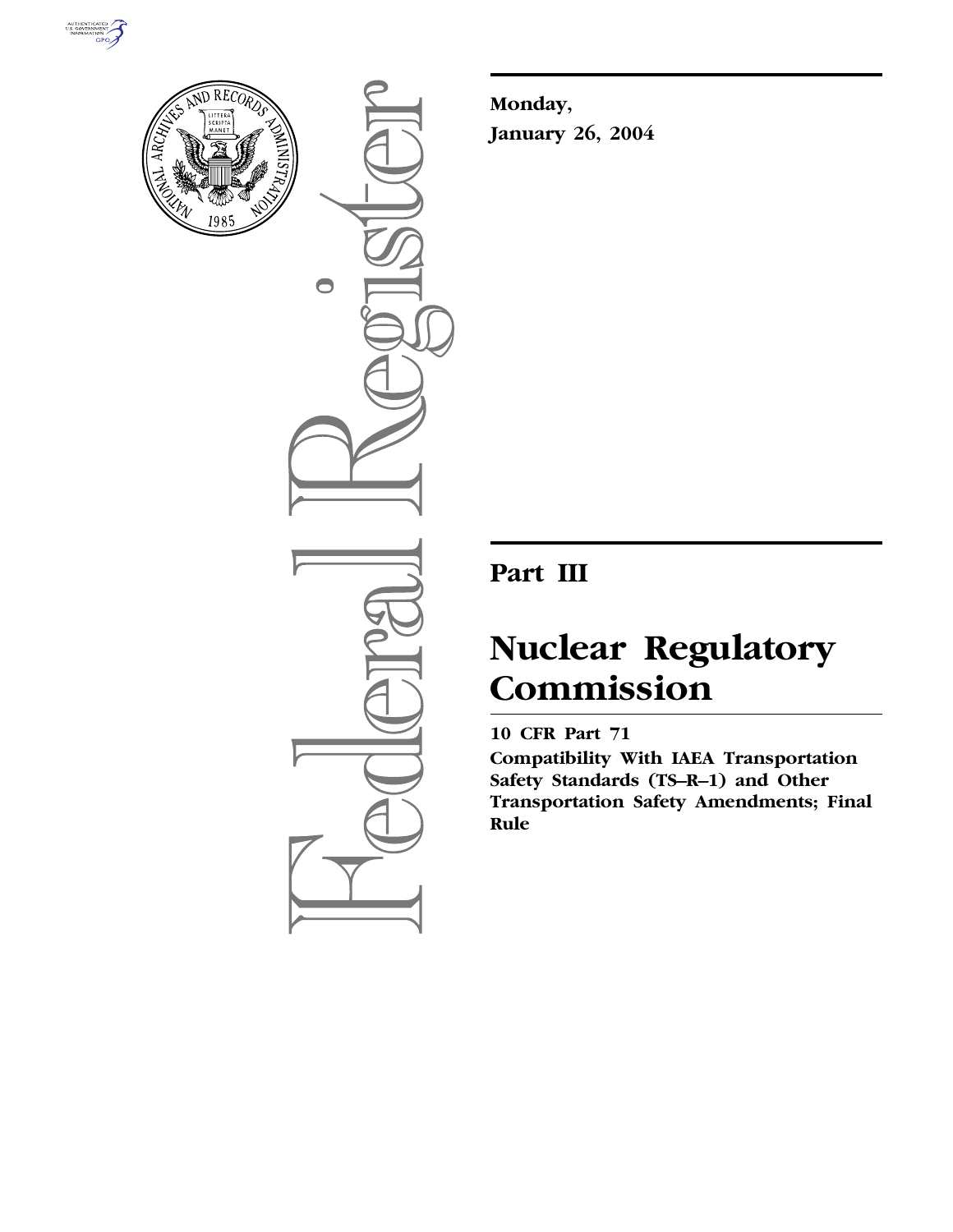



 $\bigcirc$ 

**Monday, January 26, 2004**

## **Part III**

# **Nuclear Regulatory Commission**

### **10 CFR Part 71**

**Compatibility With IAEA Transportation Safety Standards (TS–R–1) and Other Transportation Safety Amendments; Final Rule**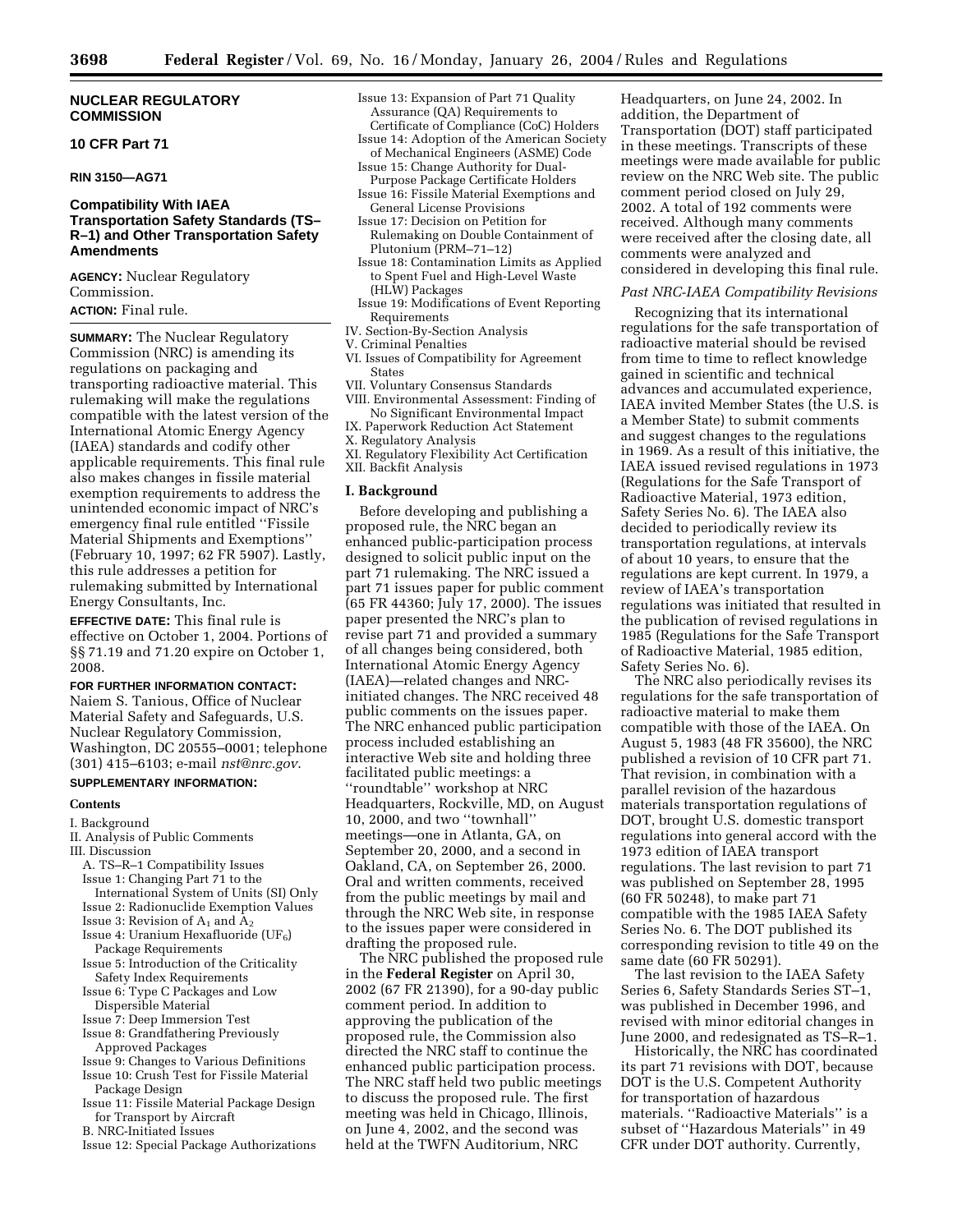#### **NUCLEAR REGULATORY COMMISSION**

#### **10 CFR Part 71**

#### **RIN 3150—AG71**

#### **Compatibility With IAEA Transportation Safety Standards (TS– R–1) and Other Transportation Safety Amendments**

**AGENCY:** Nuclear Regulatory Commission. **ACTION:** Final rule.

**SUMMARY:** The Nuclear Regulatory Commission (NRC) is amending its regulations on packaging and transporting radioactive material. This rulemaking will make the regulations compatible with the latest version of the International Atomic Energy Agency (IAEA) standards and codify other applicable requirements. This final rule also makes changes in fissile material exemption requirements to address the unintended economic impact of NRC's emergency final rule entitled ''Fissile Material Shipments and Exemptions'' (February 10, 1997; 62 FR 5907). Lastly, this rule addresses a petition for rulemaking submitted by International Energy Consultants, Inc.

**EFFECTIVE DATE:** This final rule is effective on October 1, 2004. Portions of §§ 71.19 and 71.20 expire on October 1, 2008.

**FOR FURTHER INFORMATION CONTACT:**

Naiem S. Tanious, Office of Nuclear Material Safety and Safeguards, U.S. Nuclear Regulatory Commission, Washington, DC 20555–0001; telephone (301) 415–6103; e-mail *nst@nrc.gov*.

#### **SUPPLEMENTARY INFORMATION:**

#### **Contents**

I. Background

II. Analysis of Public Comments

- III. Discussion
- A. TS–R–1 Compatibility Issues Issue 1: Changing Part 71 to the International System of Units (SI) Only

Issue 2: Radionuclide Exemption Values Issue 3: Revision of  $A_1$  and  $A_2$ 

- Issue 4: Uranium Hexafluoride (UF $_6$ )
- Package Requirements
- Issue 5: Introduction of the Criticality Safety Index Requirements
- Issue 6: Type C Packages and Low Dispersible Material
- Issue 7: Deep Immersion Test
- Issue 8: Grandfathering Previously Approved Packages
- Issue 9: Changes to Various Definitions Issue 10: Crush Test for Fissile Material
- Package Design
- Issue 11: Fissile Material Package Design for Transport by Aircraft
- B. NRC-Initiated Issues
- Issue 12: Special Package Authorizations
- Issue 13: Expansion of Part 71 Quality Assurance (QA) Requirements to
- Certificate of Compliance (CoC) Holders Issue 14: Adoption of the American Society
- of Mechanical Engineers (ASME) Code Issue 15: Change Authority for Dual-
- Purpose Package Certificate Holders Issue 16: Fissile Material Exemptions and
- General License Provisions Issue 17: Decision on Petition for
- Rulemaking on Double Containment of Plutonium (PRM–71–12)
- Issue 18: Contamination Limits as Applied to Spent Fuel and High-Level Waste (HLW) Packages
- Issue 19: Modifications of Event Reporting Requirements
- IV. Section-By-Section Analysis
- V. Criminal Penalties
- VI. Issues of Compatibility for Agreement States
- VII. Voluntary Consensus Standards
- VIII. Environmental Assessment: Finding of No Significant Environmental Impact IX. Paperwork Reduction Act Statement
- X. Regulatory Analysis
- XI. Regulatory Flexibility Act Certification
- XII. Backfit Analysis

#### **I. Background**

Before developing and publishing a proposed rule, the NRC began an enhanced public-participation process designed to solicit public input on the part 71 rulemaking. The NRC issued a part 71 issues paper for public comment (65 FR 44360; July 17, 2000). The issues paper presented the NRC's plan to revise part 71 and provided a summary of all changes being considered, both International Atomic Energy Agency (IAEA)—related changes and NRCinitiated changes. The NRC received 48 public comments on the issues paper. The NRC enhanced public participation process included establishing an interactive Web site and holding three facilitated public meetings: a ''roundtable'' workshop at NRC Headquarters, Rockville, MD, on August 10, 2000, and two ''townhall'' meetings—one in Atlanta, GA, on September 20, 2000, and a second in Oakland, CA, on September 26, 2000. Oral and written comments, received from the public meetings by mail and through the NRC Web site, in response to the issues paper were considered in drafting the proposed rule.

The NRC published the proposed rule in the **Federal Register** on April 30, 2002 (67 FR 21390), for a 90-day public comment period. In addition to approving the publication of the proposed rule, the Commission also directed the NRC staff to continue the enhanced public participation process. The NRC staff held two public meetings to discuss the proposed rule. The first meeting was held in Chicago, Illinois, on June 4, 2002, and the second was held at the TWFN Auditorium, NRC

Headquarters, on June 24, 2002. In addition, the Department of Transportation (DOT) staff participated in these meetings. Transcripts of these meetings were made available for public review on the NRC Web site. The public comment period closed on July 29, 2002. A total of 192 comments were received. Although many comments were received after the closing date, all comments were analyzed and considered in developing this final rule.

#### *Past NRC-IAEA Compatibility Revisions*

Recognizing that its international regulations for the safe transportation of radioactive material should be revised from time to time to reflect knowledge gained in scientific and technical advances and accumulated experience, IAEA invited Member States (the U.S. is a Member State) to submit comments and suggest changes to the regulations in 1969. As a result of this initiative, the IAEA issued revised regulations in 1973 (Regulations for the Safe Transport of Radioactive Material, 1973 edition, Safety Series No. 6). The IAEA also decided to periodically review its transportation regulations, at intervals of about 10 years, to ensure that the regulations are kept current. In 1979, a review of IAEA's transportation regulations was initiated that resulted in the publication of revised regulations in 1985 (Regulations for the Safe Transport of Radioactive Material, 1985 edition, Safety Series No. 6).

The NRC also periodically revises its regulations for the safe transportation of radioactive material to make them compatible with those of the IAEA. On August 5, 1983 (48 FR 35600), the NRC published a revision of 10 CFR part 71. That revision, in combination with a parallel revision of the hazardous materials transportation regulations of DOT, brought U.S. domestic transport regulations into general accord with the 1973 edition of IAEA transport regulations. The last revision to part 71 was published on September 28, 1995 (60 FR 50248), to make part 71 compatible with the 1985 IAEA Safety Series No. 6. The DOT published its corresponding revision to title 49 on the same date (60 FR 50291).

The last revision to the IAEA Safety Series 6, Safety Standards Series ST–1, was published in December 1996, and revised with minor editorial changes in June 2000, and redesignated as TS–R–1.

Historically, the NRC has coordinated its part 71 revisions with DOT, because DOT is the U.S. Competent Authority for transportation of hazardous materials. ''Radioactive Materials'' is a subset of ''Hazardous Materials'' in 49 CFR under DOT authority. Currently,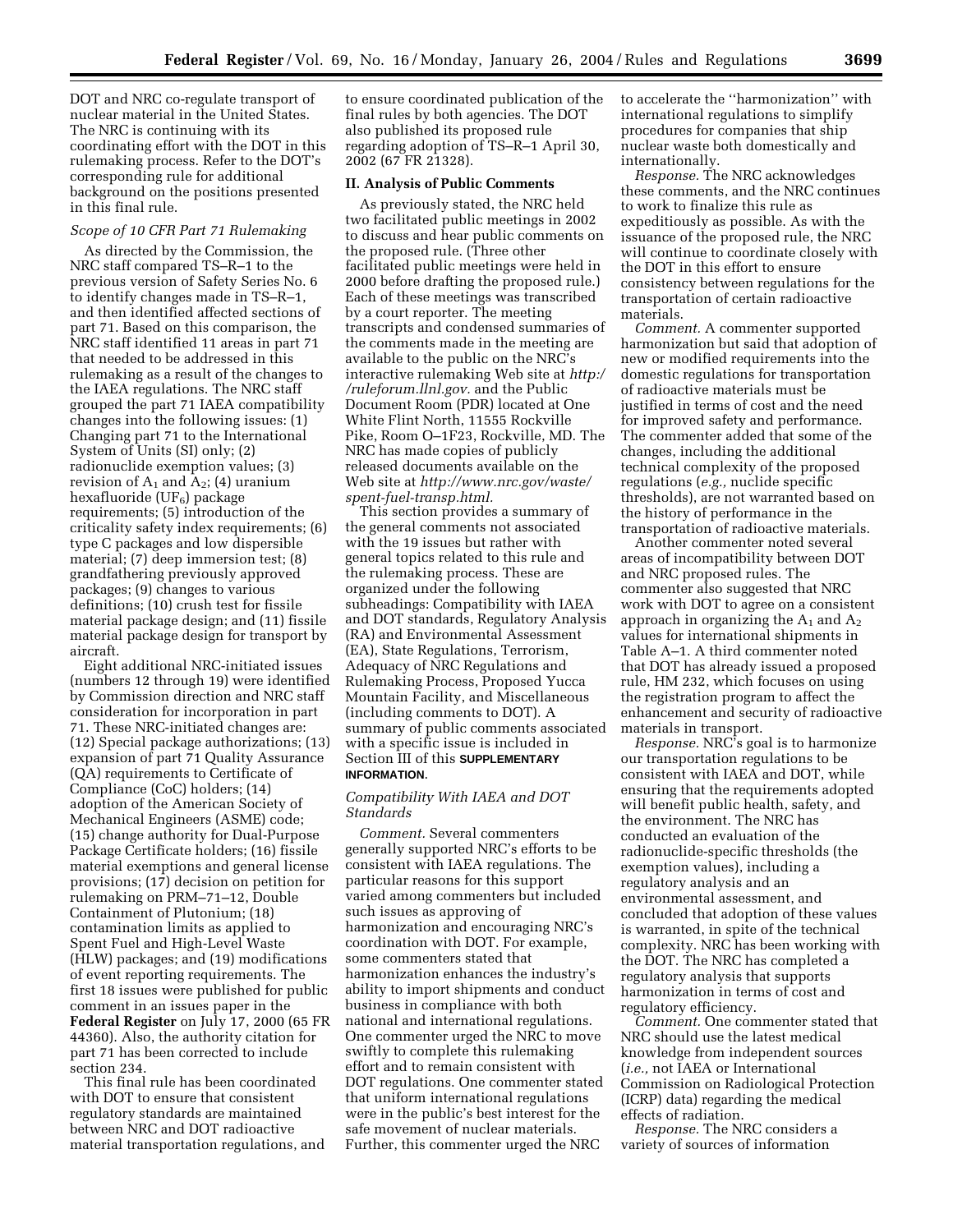DOT and NRC co-regulate transport of nuclear material in the United States. The NRC is continuing with its coordinating effort with the DOT in this rulemaking process. Refer to the DOT's corresponding rule for additional background on the positions presented in this final rule.

#### *Scope of 10 CFR Part 71 Rulemaking*

As directed by the Commission, the NRC staff compared TS–R–1 to the previous version of Safety Series No. 6 to identify changes made in TS–R–1, and then identified affected sections of part 71. Based on this comparison, the NRC staff identified 11 areas in part 71 that needed to be addressed in this rulemaking as a result of the changes to the IAEA regulations. The NRC staff grouped the part 71 IAEA compatibility changes into the following issues: (1) Changing part 71 to the International System of Units (SI) only; (2) radionuclide exemption values; (3) revision of  $A_1$  and  $A_2$ ; (4) uranium hexafluoride (UF $_6$ ) package requirements; (5) introduction of the criticality safety index requirements; (6) type C packages and low dispersible material; (7) deep immersion test; (8) grandfathering previously approved packages; (9) changes to various definitions; (10) crush test for fissile material package design; and (11) fissile material package design for transport by aircraft.

Eight additional NRC-initiated issues (numbers 12 through 19) were identified by Commission direction and NRC staff consideration for incorporation in part 71. These NRC-initiated changes are: (12) Special package authorizations; (13) expansion of part 71 Quality Assurance (QA) requirements to Certificate of Compliance (CoC) holders; (14) adoption of the American Society of Mechanical Engineers (ASME) code; (15) change authority for Dual-Purpose Package Certificate holders; (16) fissile material exemptions and general license provisions; (17) decision on petition for rulemaking on PRM–71–12, Double Containment of Plutonium; (18) contamination limits as applied to Spent Fuel and High-Level Waste (HLW) packages; and (19) modifications of event reporting requirements. The first 18 issues were published for public comment in an issues paper in the **Federal Register** on July 17, 2000 (65 FR 44360). Also, the authority citation for part 71 has been corrected to include section 234.

This final rule has been coordinated with DOT to ensure that consistent regulatory standards are maintained between NRC and DOT radioactive material transportation regulations, and

to ensure coordinated publication of the final rules by both agencies. The DOT also published its proposed rule regarding adoption of TS–R–1 April 30, 2002 (67 FR 21328).

#### **II. Analysis of Public Comments**

As previously stated, the NRC held two facilitated public meetings in 2002 to discuss and hear public comments on the proposed rule. (Three other facilitated public meetings were held in 2000 before drafting the proposed rule.) Each of these meetings was transcribed by a court reporter. The meeting transcripts and condensed summaries of the comments made in the meeting are available to the public on the NRC's interactive rulemaking Web site at *http:/ /ruleforum.llnl.gov.* and the Public Document Room (PDR) located at One White Flint North, 11555 Rockville Pike, Room O–1F23, Rockville, MD. The NRC has made copies of publicly released documents available on the Web site at *http://www.nrc.gov/waste/ spent-fuel-transp.html.*

This section provides a summary of the general comments not associated with the 19 issues but rather with general topics related to this rule and the rulemaking process. These are organized under the following subheadings: Compatibility with IAEA and DOT standards, Regulatory Analysis (RA) and Environmental Assessment (EA), State Regulations, Terrorism, Adequacy of NRC Regulations and Rulemaking Process, Proposed Yucca Mountain Facility, and Miscellaneous (including comments to DOT). A summary of public comments associated with a specific issue is included in Section III of this **SUPPLEMENTARY INFORMATION**.

#### *Compatibility With IAEA and DOT Standards*

*Comment.* Several commenters generally supported NRC's efforts to be consistent with IAEA regulations. The particular reasons for this support varied among commenters but included such issues as approving of harmonization and encouraging NRC's coordination with DOT. For example, some commenters stated that harmonization enhances the industry's ability to import shipments and conduct business in compliance with both national and international regulations. One commenter urged the NRC to move swiftly to complete this rulemaking effort and to remain consistent with DOT regulations. One commenter stated that uniform international regulations were in the public's best interest for the safe movement of nuclear materials. Further, this commenter urged the NRC

to accelerate the ''harmonization'' with international regulations to simplify procedures for companies that ship nuclear waste both domestically and internationally.

*Response.* The NRC acknowledges these comments, and the NRC continues to work to finalize this rule as expeditiously as possible. As with the issuance of the proposed rule, the NRC will continue to coordinate closely with the DOT in this effort to ensure consistency between regulations for the transportation of certain radioactive materials.

*Comment.* A commenter supported harmonization but said that adoption of new or modified requirements into the domestic regulations for transportation of radioactive materials must be justified in terms of cost and the need for improved safety and performance. The commenter added that some of the changes, including the additional technical complexity of the proposed regulations (*e.g.,* nuclide specific thresholds), are not warranted based on the history of performance in the transportation of radioactive materials.

Another commenter noted several areas of incompatibility between DOT and NRC proposed rules. The commenter also suggested that NRC work with DOT to agree on a consistent approach in organizing the  $A_1$  and  $A_2$ values for international shipments in Table A–1. A third commenter noted that DOT has already issued a proposed rule, HM 232, which focuses on using the registration program to affect the enhancement and security of radioactive materials in transport.

*Response.* NRC's goal is to harmonize our transportation regulations to be consistent with IAEA and DOT, while ensuring that the requirements adopted will benefit public health, safety, and the environment. The NRC has conducted an evaluation of the radionuclide-specific thresholds (the exemption values), including a regulatory analysis and an environmental assessment, and concluded that adoption of these values is warranted, in spite of the technical complexity. NRC has been working with the DOT. The NRC has completed a regulatory analysis that supports harmonization in terms of cost and regulatory efficiency.

*Comment.* One commenter stated that NRC should use the latest medical knowledge from independent sources (*i.e.,* not IAEA or International Commission on Radiological Protection (ICRP) data) regarding the medical effects of radiation.

*Response.* The NRC considers a variety of sources of information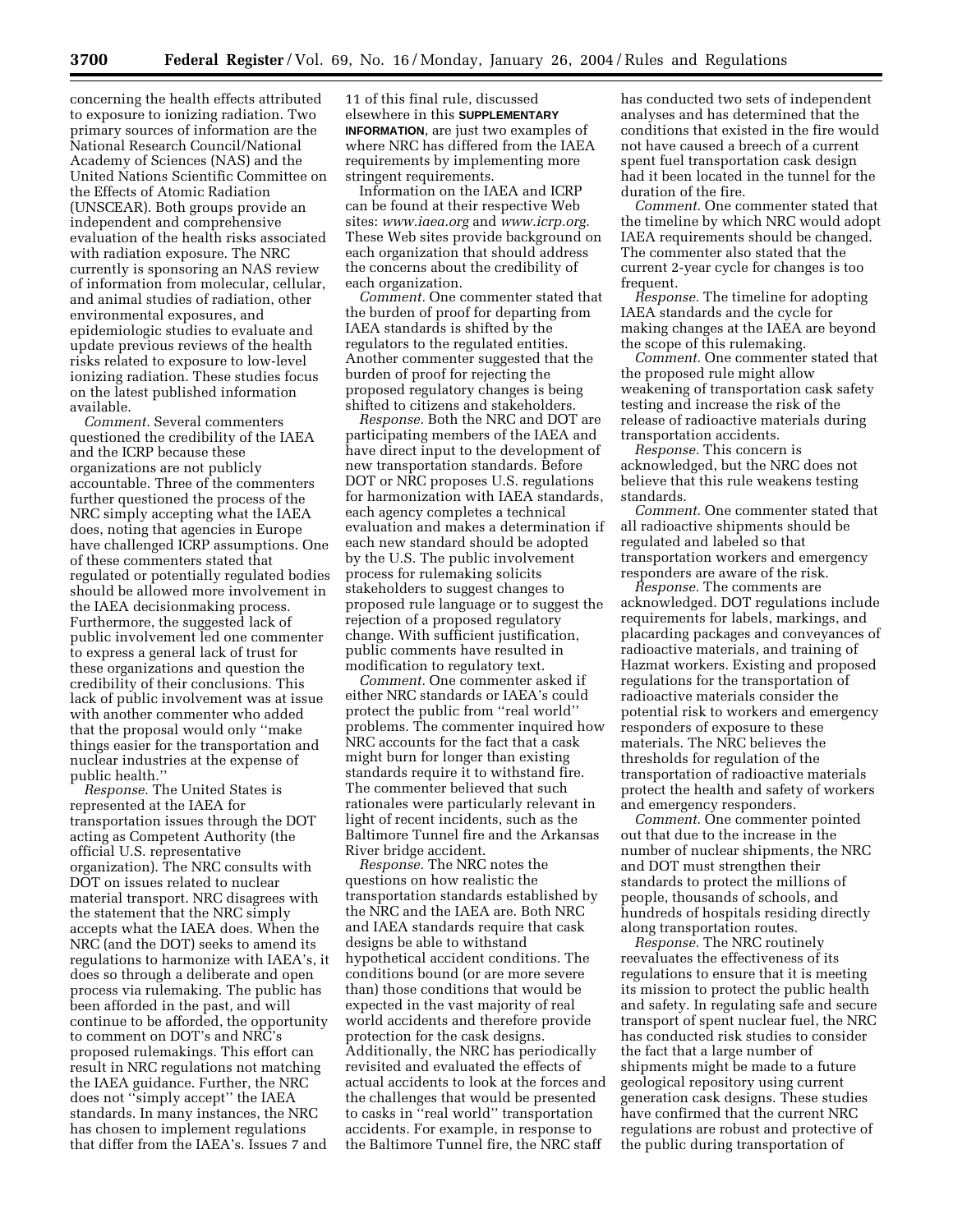concerning the health effects attributed to exposure to ionizing radiation. Two primary sources of information are the National Research Council/National Academy of Sciences (NAS) and the United Nations Scientific Committee on the Effects of Atomic Radiation (UNSCEAR). Both groups provide an independent and comprehensive evaluation of the health risks associated with radiation exposure. The NRC currently is sponsoring an NAS review of information from molecular, cellular, and animal studies of radiation, other environmental exposures, and epidemiologic studies to evaluate and update previous reviews of the health risks related to exposure to low-level ionizing radiation. These studies focus on the latest published information available.

*Comment.* Several commenters questioned the credibility of the IAEA and the ICRP because these organizations are not publicly accountable. Three of the commenters further questioned the process of the NRC simply accepting what the IAEA does, noting that agencies in Europe have challenged ICRP assumptions. One of these commenters stated that regulated or potentially regulated bodies should be allowed more involvement in the IAEA decisionmaking process. Furthermore, the suggested lack of public involvement led one commenter to express a general lack of trust for these organizations and question the credibility of their conclusions. This lack of public involvement was at issue with another commenter who added that the proposal would only ''make things easier for the transportation and nuclear industries at the expense of public health.''

*Response.* The United States is represented at the IAEA for transportation issues through the DOT acting as Competent Authority (the official U.S. representative organization). The NRC consults with DOT on issues related to nuclear material transport. NRC disagrees with the statement that the NRC simply accepts what the IAEA does. When the NRC (and the DOT) seeks to amend its regulations to harmonize with IAEA's, it does so through a deliberate and open process via rulemaking. The public has been afforded in the past, and will continue to be afforded, the opportunity to comment on DOT's and NRC's proposed rulemakings. This effort can result in NRC regulations not matching the IAEA guidance. Further, the NRC does not ''simply accept'' the IAEA standards. In many instances, the NRC has chosen to implement regulations that differ from the IAEA's. Issues 7 and

11 of this final rule, discussed elsewhere in this **SUPPLEMENTARY INFORMATION**, are just two examples of where NRC has differed from the IAEA requirements by implementing more stringent requirements.

Information on the IAEA and ICRP can be found at their respective Web sites: *www.iaea.org* and *www.icrp.org.* These Web sites provide background on each organization that should address the concerns about the credibility of each organization.

*Comment.* One commenter stated that the burden of proof for departing from IAEA standards is shifted by the regulators to the regulated entities. Another commenter suggested that the burden of proof for rejecting the proposed regulatory changes is being shifted to citizens and stakeholders.

*Response.* Both the NRC and DOT are participating members of the IAEA and have direct input to the development of new transportation standards. Before DOT or NRC proposes U.S. regulations for harmonization with IAEA standards, each agency completes a technical evaluation and makes a determination if each new standard should be adopted by the U.S. The public involvement process for rulemaking solicits stakeholders to suggest changes to proposed rule language or to suggest the rejection of a proposed regulatory change. With sufficient justification, public comments have resulted in modification to regulatory text.

*Comment.* One commenter asked if either NRC standards or IAEA's could protect the public from ''real world'' problems. The commenter inquired how NRC accounts for the fact that a cask might burn for longer than existing standards require it to withstand fire. The commenter believed that such rationales were particularly relevant in light of recent incidents, such as the Baltimore Tunnel fire and the Arkansas River bridge accident.

*Response.* The NRC notes the questions on how realistic the transportation standards established by the NRC and the IAEA are. Both NRC and IAEA standards require that cask designs be able to withstand hypothetical accident conditions. The conditions bound (or are more severe than) those conditions that would be expected in the vast majority of real world accidents and therefore provide protection for the cask designs. Additionally, the NRC has periodically revisited and evaluated the effects of actual accidents to look at the forces and the challenges that would be presented to casks in "real world" transportation accidents. For example, in response to the Baltimore Tunnel fire, the NRC staff

has conducted two sets of independent analyses and has determined that the conditions that existed in the fire would not have caused a breech of a current spent fuel transportation cask design had it been located in the tunnel for the duration of the fire.

*Comment.* One commenter stated that the timeline by which NRC would adopt IAEA requirements should be changed. The commenter also stated that the current 2-year cycle for changes is too frequent.

*Response.* The timeline for adopting IAEA standards and the cycle for making changes at the IAEA are beyond the scope of this rulemaking.

*Comment.* One commenter stated that the proposed rule might allow weakening of transportation cask safety testing and increase the risk of the release of radioactive materials during transportation accidents.

*Response.* This concern is acknowledged, but the NRC does not believe that this rule weakens testing standards.

*Comment.* One commenter stated that all radioactive shipments should be regulated and labeled so that transportation workers and emergency responders are aware of the risk.

*Response.* The comments are acknowledged. DOT regulations include requirements for labels, markings, and placarding packages and conveyances of radioactive materials, and training of Hazmat workers. Existing and proposed regulations for the transportation of radioactive materials consider the potential risk to workers and emergency responders of exposure to these materials. The NRC believes the thresholds for regulation of the transportation of radioactive materials protect the health and safety of workers and emergency responders.

*Comment.* One commenter pointed out that due to the increase in the number of nuclear shipments, the NRC and DOT must strengthen their standards to protect the millions of people, thousands of schools, and hundreds of hospitals residing directly along transportation routes.

*Response.* The NRC routinely reevaluates the effectiveness of its regulations to ensure that it is meeting its mission to protect the public health and safety. In regulating safe and secure transport of spent nuclear fuel, the NRC has conducted risk studies to consider the fact that a large number of shipments might be made to a future geological repository using current generation cask designs. These studies have confirmed that the current NRC regulations are robust and protective of the public during transportation of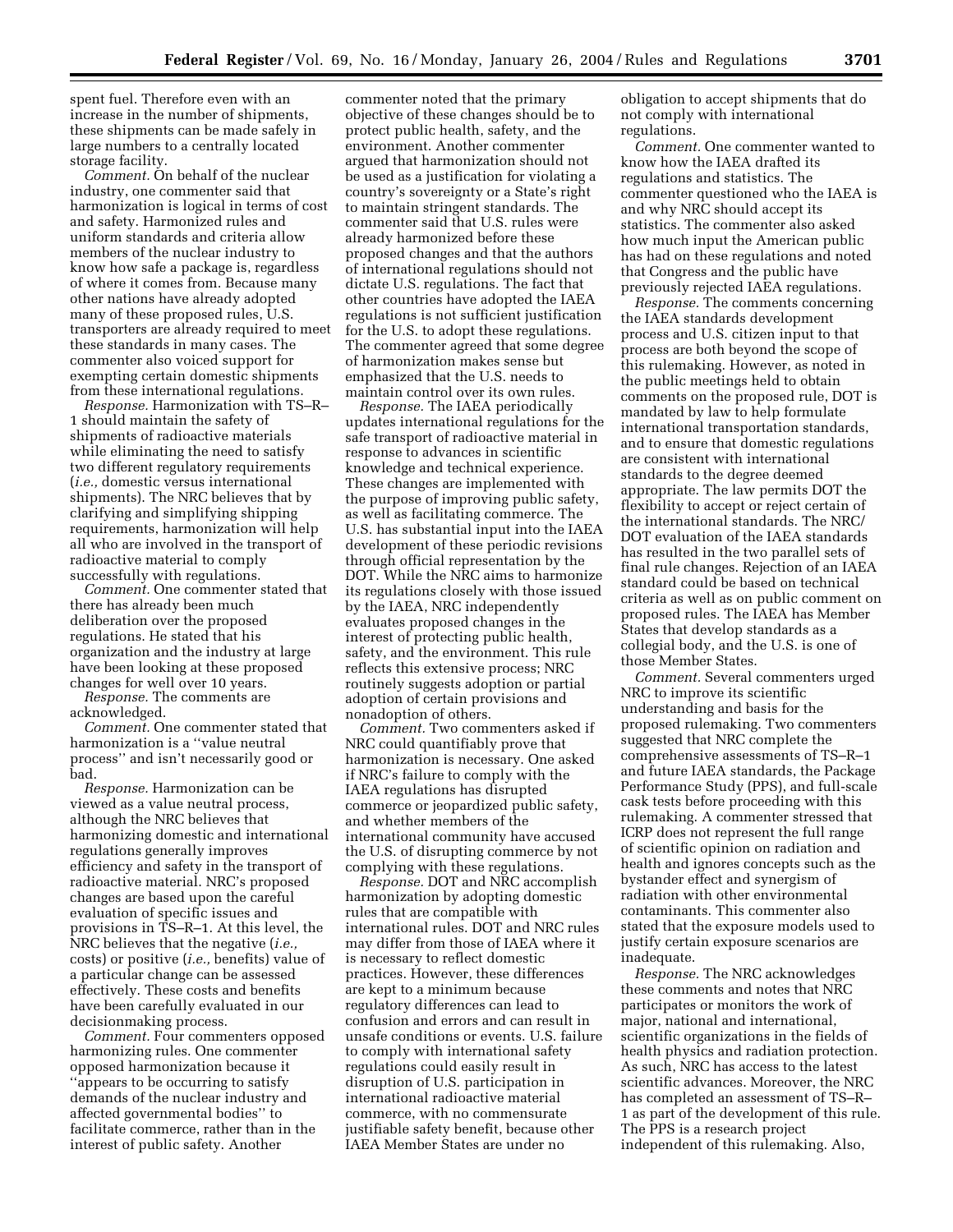spent fuel. Therefore even with an increase in the number of shipments, these shipments can be made safely in large numbers to a centrally located storage facility.

*Comment.* On behalf of the nuclear industry, one commenter said that harmonization is logical in terms of cost and safety. Harmonized rules and uniform standards and criteria allow members of the nuclear industry to know how safe a package is, regardless of where it comes from. Because many other nations have already adopted many of these proposed rules, U.S. transporters are already required to meet these standards in many cases. The commenter also voiced support for exempting certain domestic shipments from these international regulations.

*Response.* Harmonization with TS–R– 1 should maintain the safety of shipments of radioactive materials while eliminating the need to satisfy two different regulatory requirements (*i.e.,* domestic versus international shipments). The NRC believes that by clarifying and simplifying shipping requirements, harmonization will help all who are involved in the transport of radioactive material to comply successfully with regulations.

*Comment.* One commenter stated that there has already been much deliberation over the proposed regulations. He stated that his organization and the industry at large have been looking at these proposed changes for well over 10 years.

*Response.* The comments are acknowledged.

*Comment.* One commenter stated that harmonization is a ''value neutral process'' and isn't necessarily good or bad.

*Response.* Harmonization can be viewed as a value neutral process, although the NRC believes that harmonizing domestic and international regulations generally improves efficiency and safety in the transport of radioactive material. NRC's proposed changes are based upon the careful evaluation of specific issues and provisions in TS–R–1. At this level, the NRC believes that the negative (*i.e.,* costs) or positive (*i.e.,* benefits) value of a particular change can be assessed effectively. These costs and benefits have been carefully evaluated in our decisionmaking process.

*Comment.* Four commenters opposed harmonizing rules. One commenter opposed harmonization because it ''appears to be occurring to satisfy demands of the nuclear industry and affected governmental bodies'' to facilitate commerce, rather than in the interest of public safety. Another

commenter noted that the primary objective of these changes should be to protect public health, safety, and the environment. Another commenter argued that harmonization should not be used as a justification for violating a country's sovereignty or a State's right to maintain stringent standards. The commenter said that U.S. rules were already harmonized before these proposed changes and that the authors of international regulations should not dictate U.S. regulations. The fact that other countries have adopted the IAEA regulations is not sufficient justification for the U.S. to adopt these regulations. The commenter agreed that some degree of harmonization makes sense but emphasized that the U.S. needs to maintain control over its own rules.

*Response.* The IAEA periodically updates international regulations for the safe transport of radioactive material in response to advances in scientific knowledge and technical experience. These changes are implemented with the purpose of improving public safety, as well as facilitating commerce. The U.S. has substantial input into the IAEA development of these periodic revisions through official representation by the DOT. While the NRC aims to harmonize its regulations closely with those issued by the IAEA, NRC independently evaluates proposed changes in the interest of protecting public health, safety, and the environment. This rule reflects this extensive process; NRC routinely suggests adoption or partial adoption of certain provisions and nonadoption of others.

*Comment.* Two commenters asked if NRC could quantifiably prove that harmonization is necessary. One asked if NRC's failure to comply with the IAEA regulations has disrupted commerce or jeopardized public safety, and whether members of the international community have accused the U.S. of disrupting commerce by not complying with these regulations.

*Response.* DOT and NRC accomplish harmonization by adopting domestic rules that are compatible with international rules. DOT and NRC rules may differ from those of IAEA where it is necessary to reflect domestic practices. However, these differences are kept to a minimum because regulatory differences can lead to confusion and errors and can result in unsafe conditions or events. U.S. failure to comply with international safety regulations could easily result in disruption of U.S. participation in international radioactive material commerce, with no commensurate justifiable safety benefit, because other IAEA Member States are under no

obligation to accept shipments that do not comply with international regulations.

*Comment.* One commenter wanted to know how the IAEA drafted its regulations and statistics. The commenter questioned who the IAEA is and why NRC should accept its statistics. The commenter also asked how much input the American public has had on these regulations and noted that Congress and the public have previously rejected IAEA regulations.

*Response.* The comments concerning the IAEA standards development process and U.S. citizen input to that process are both beyond the scope of this rulemaking. However, as noted in the public meetings held to obtain comments on the proposed rule, DOT is mandated by law to help formulate international transportation standards, and to ensure that domestic regulations are consistent with international standards to the degree deemed appropriate. The law permits DOT the flexibility to accept or reject certain of the international standards. The NRC/ DOT evaluation of the IAEA standards has resulted in the two parallel sets of final rule changes. Rejection of an IAEA standard could be based on technical criteria as well as on public comment on proposed rules. The IAEA has Member States that develop standards as a collegial body, and the U.S. is one of those Member States.

*Comment.* Several commenters urged NRC to improve its scientific understanding and basis for the proposed rulemaking. Two commenters suggested that NRC complete the comprehensive assessments of TS–R–1 and future IAEA standards, the Package Performance Study (PPS), and full-scale cask tests before proceeding with this rulemaking. A commenter stressed that ICRP does not represent the full range of scientific opinion on radiation and health and ignores concepts such as the bystander effect and synergism of radiation with other environmental contaminants. This commenter also stated that the exposure models used to justify certain exposure scenarios are inadequate.

*Response.* The NRC acknowledges these comments and notes that NRC participates or monitors the work of major, national and international, scientific organizations in the fields of health physics and radiation protection. As such, NRC has access to the latest scientific advances. Moreover, the NRC has completed an assessment of TS–R– 1 as part of the development of this rule. The PPS is a research project independent of this rulemaking. Also,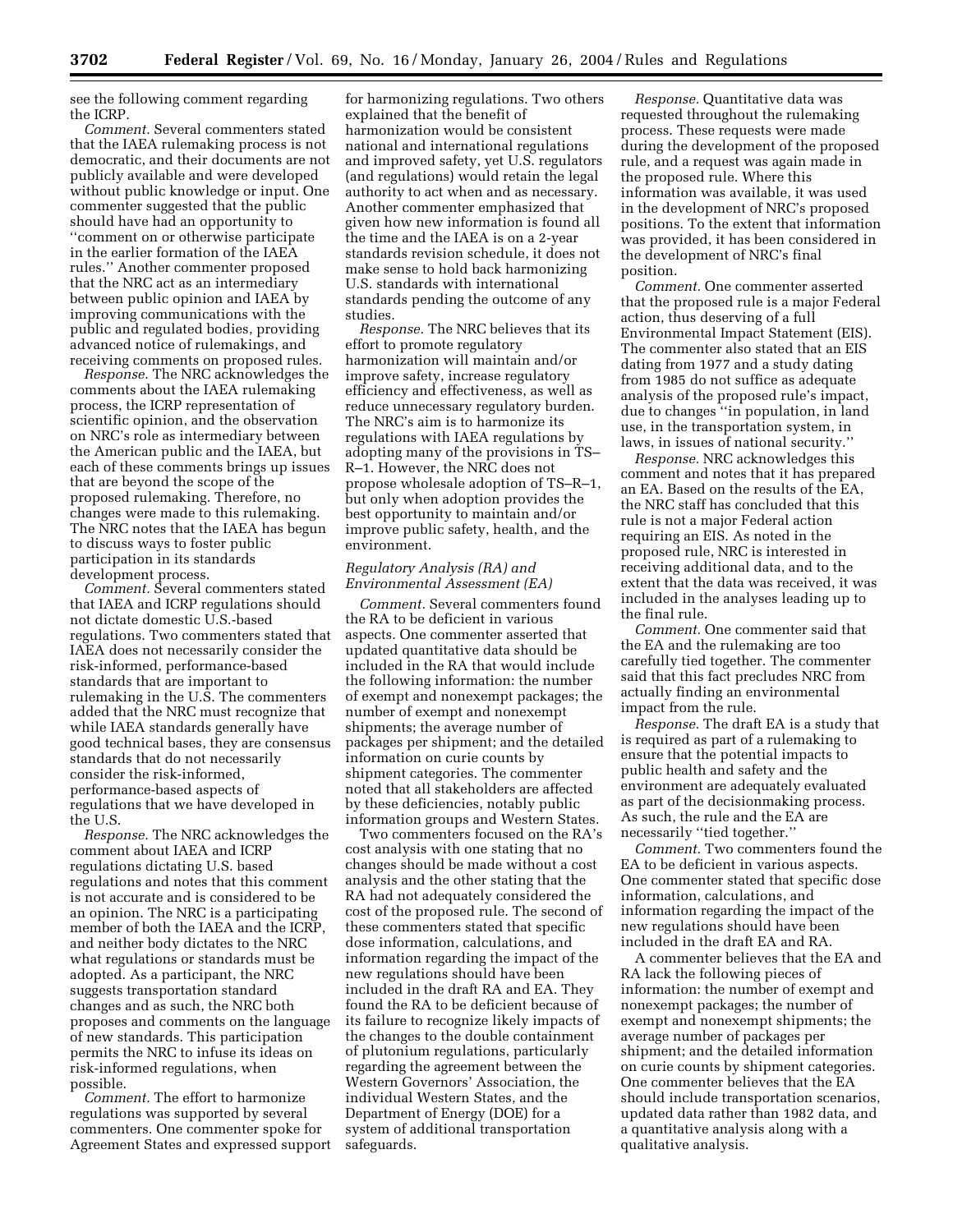see the following comment regarding the ICRP.

*Comment.* Several commenters stated that the IAEA rulemaking process is not democratic, and their documents are not publicly available and were developed without public knowledge or input. One commenter suggested that the public should have had an opportunity to ''comment on or otherwise participate in the earlier formation of the IAEA rules.'' Another commenter proposed that the NRC act as an intermediary between public opinion and IAEA by improving communications with the public and regulated bodies, providing advanced notice of rulemakings, and receiving comments on proposed rules.

*Response.* The NRC acknowledges the comments about the IAEA rulemaking process, the ICRP representation of scientific opinion, and the observation on NRC's role as intermediary between the American public and the IAEA, but each of these comments brings up issues that are beyond the scope of the proposed rulemaking. Therefore, no changes were made to this rulemaking. The NRC notes that the IAEA has begun to discuss ways to foster public participation in its standards development process.

*Comment.* Several commenters stated that IAEA and ICRP regulations should not dictate domestic U.S.-based regulations. Two commenters stated that IAEA does not necessarily consider the risk-informed, performance-based standards that are important to rulemaking in the U.S. The commenters added that the NRC must recognize that while IAEA standards generally have good technical bases, they are consensus standards that do not necessarily consider the risk-informed, performance-based aspects of regulations that we have developed in the U.S.

*Response.* The NRC acknowledges the comment about IAEA and ICRP regulations dictating U.S. based regulations and notes that this comment is not accurate and is considered to be an opinion. The NRC is a participating member of both the IAEA and the ICRP, and neither body dictates to the NRC what regulations or standards must be adopted. As a participant, the NRC suggests transportation standard changes and as such, the NRC both proposes and comments on the language of new standards. This participation permits the NRC to infuse its ideas on risk-informed regulations, when possible.

*Comment.* The effort to harmonize regulations was supported by several commenters. One commenter spoke for Agreement States and expressed support

for harmonizing regulations. Two others explained that the benefit of harmonization would be consistent national and international regulations and improved safety, yet U.S. regulators (and regulations) would retain the legal authority to act when and as necessary. Another commenter emphasized that given how new information is found all the time and the IAEA is on a 2-year standards revision schedule, it does not make sense to hold back harmonizing U.S. standards with international standards pending the outcome of any studies.

*Response.* The NRC believes that its effort to promote regulatory harmonization will maintain and/or improve safety, increase regulatory efficiency and effectiveness, as well as reduce unnecessary regulatory burden. The NRC's aim is to harmonize its regulations with IAEA regulations by adopting many of the provisions in TS– R–1. However, the NRC does not propose wholesale adoption of TS–R–1, but only when adoption provides the best opportunity to maintain and/or improve public safety, health, and the environment.

#### *Regulatory Analysis (RA) and Environmental Assessment (EA)*

*Comment.* Several commenters found the RA to be deficient in various aspects. One commenter asserted that updated quantitative data should be included in the RA that would include the following information: the number of exempt and nonexempt packages; the number of exempt and nonexempt shipments; the average number of packages per shipment; and the detailed information on curie counts by shipment categories. The commenter noted that all stakeholders are affected by these deficiencies, notably public information groups and Western States.

Two commenters focused on the RA's cost analysis with one stating that no changes should be made without a cost analysis and the other stating that the RA had not adequately considered the cost of the proposed rule. The second of these commenters stated that specific dose information, calculations, and information regarding the impact of the new regulations should have been included in the draft RA and EA. They found the RA to be deficient because of its failure to recognize likely impacts of the changes to the double containment of plutonium regulations, particularly regarding the agreement between the Western Governors' Association, the individual Western States, and the Department of Energy (DOE) for a system of additional transportation safeguards.

*Response.* Quantitative data was requested throughout the rulemaking process. These requests were made during the development of the proposed rule, and a request was again made in the proposed rule. Where this information was available, it was used in the development of NRC's proposed positions. To the extent that information was provided, it has been considered in the development of NRC's final position.

*Comment.* One commenter asserted that the proposed rule is a major Federal action, thus deserving of a full Environmental Impact Statement (EIS). The commenter also stated that an EIS dating from 1977 and a study dating from 1985 do not suffice as adequate analysis of the proposed rule's impact, due to changes ''in population, in land use, in the transportation system, in laws, in issues of national security.''

*Response.* NRC acknowledges this comment and notes that it has prepared an EA. Based on the results of the EA, the NRC staff has concluded that this rule is not a major Federal action requiring an EIS. As noted in the proposed rule, NRC is interested in receiving additional data, and to the extent that the data was received, it was included in the analyses leading up to the final rule.

*Comment.* One commenter said that the EA and the rulemaking are too carefully tied together. The commenter said that this fact precludes NRC from actually finding an environmental impact from the rule.

*Response.* The draft EA is a study that is required as part of a rulemaking to ensure that the potential impacts to public health and safety and the environment are adequately evaluated as part of the decisionmaking process. As such, the rule and the EA are necessarily ''tied together.''

*Comment.* Two commenters found the EA to be deficient in various aspects. One commenter stated that specific dose information, calculations, and information regarding the impact of the new regulations should have been included in the draft EA and RA.

A commenter believes that the EA and RA lack the following pieces of information: the number of exempt and nonexempt packages; the number of exempt and nonexempt shipments; the average number of packages per shipment; and the detailed information on curie counts by shipment categories. One commenter believes that the EA should include transportation scenarios, updated data rather than 1982 data, and a quantitative analysis along with a qualitative analysis.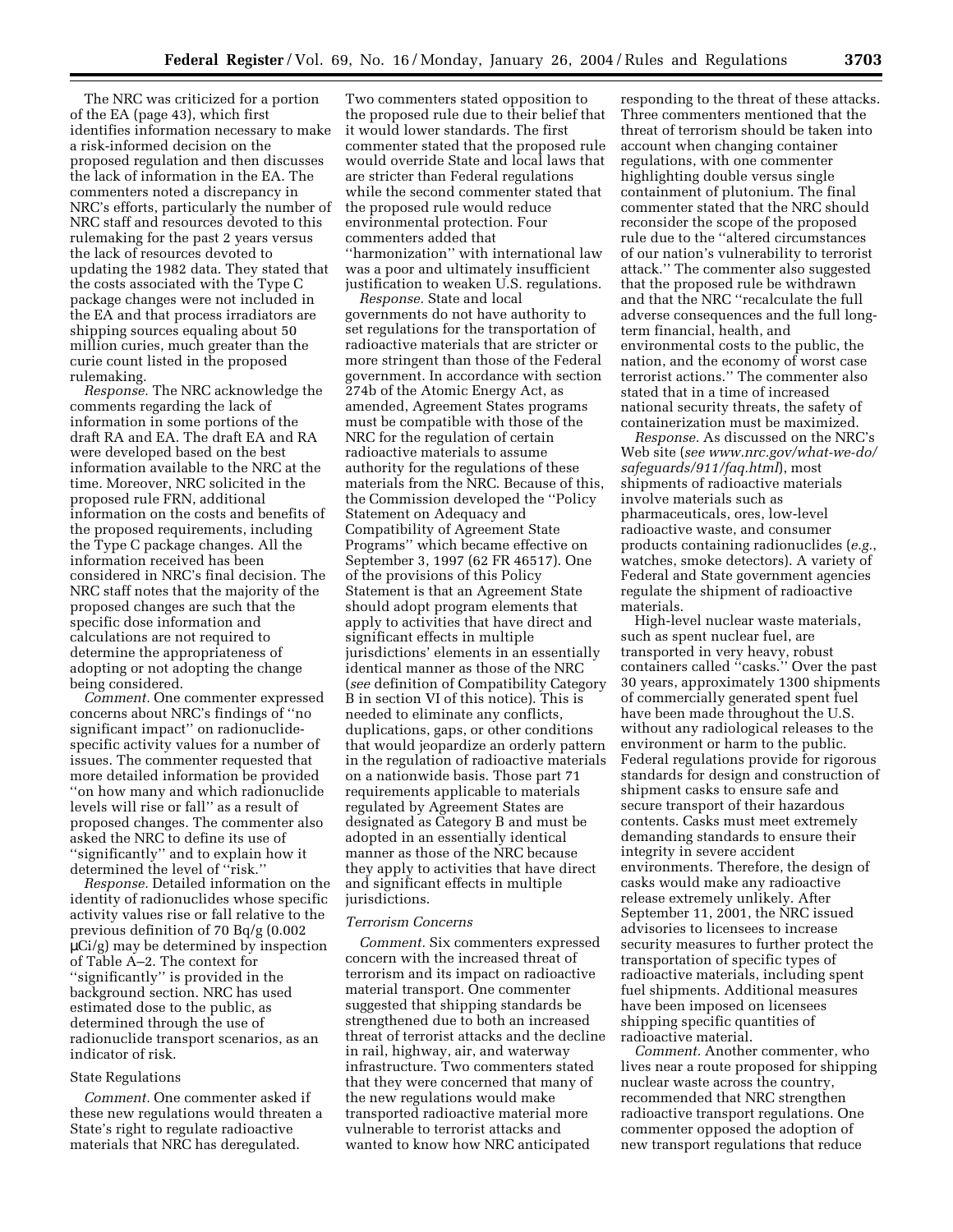The NRC was criticized for a portion of the EA (page 43), which first identifies information necessary to make a risk-informed decision on the proposed regulation and then discusses the lack of information in the EA. The commenters noted a discrepancy in NRC's efforts, particularly the number of NRC staff and resources devoted to this rulemaking for the past 2 years versus the lack of resources devoted to updating the 1982 data. They stated that the costs associated with the Type C package changes were not included in the EA and that process irradiators are shipping sources equaling about 50 million curies, much greater than the curie count listed in the proposed rulemaking.

*Response.* The NRC acknowledge the comments regarding the lack of information in some portions of the draft RA and EA. The draft EA and RA were developed based on the best information available to the NRC at the time. Moreover, NRC solicited in the proposed rule FRN, additional information on the costs and benefits of the proposed requirements, including the Type C package changes. All the information received has been considered in NRC's final decision. The NRC staff notes that the majority of the proposed changes are such that the specific dose information and calculations are not required to determine the appropriateness of adopting or not adopting the change being considered.

*Comment.* One commenter expressed concerns about NRC's findings of ''no significant impact'' on radionuclidespecific activity values for a number of issues. The commenter requested that more detailed information be provided ''on how many and which radionuclide levels will rise or fall'' as a result of proposed changes. The commenter also asked the NRC to define its use of ''significantly'' and to explain how it determined the level of ''risk.''

*Response.* Detailed information on the identity of radionuclides whose specific activity values rise or fall relative to the previous definition of 70 Bq/g (0.002 µCi/g) may be determined by inspection of Table A–2. The context for ''significantly'' is provided in the background section. NRC has used estimated dose to the public, as determined through the use of radionuclide transport scenarios, as an indicator of risk.

#### State Regulations

*Comment.* One commenter asked if these new regulations would threaten a State's right to regulate radioactive materials that NRC has deregulated.

Two commenters stated opposition to the proposed rule due to their belief that it would lower standards. The first commenter stated that the proposed rule would override State and local laws that are stricter than Federal regulations while the second commenter stated that the proposed rule would reduce environmental protection. Four commenters added that ''harmonization'' with international law was a poor and ultimately insufficient justification to weaken U.S. regulations.

*Response.* State and local governments do not have authority to set regulations for the transportation of radioactive materials that are stricter or more stringent than those of the Federal government. In accordance with section 274b of the Atomic Energy Act, as amended, Agreement States programs must be compatible with those of the NRC for the regulation of certain radioactive materials to assume authority for the regulations of these materials from the NRC. Because of this, the Commission developed the ''Policy Statement on Adequacy and Compatibility of Agreement State Programs'' which became effective on September 3, 1997 (62 FR 46517). One of the provisions of this Policy Statement is that an Agreement State should adopt program elements that apply to activities that have direct and significant effects in multiple jurisdictions' elements in an essentially identical manner as those of the NRC (*see* definition of Compatibility Category B in section VI of this notice). This is needed to eliminate any conflicts, duplications, gaps, or other conditions that would jeopardize an orderly pattern in the regulation of radioactive materials on a nationwide basis. Those part 71 requirements applicable to materials regulated by Agreement States are designated as Category B and must be adopted in an essentially identical manner as those of the NRC because they apply to activities that have direct and significant effects in multiple jurisdictions.

#### *Terrorism Concerns*

*Comment.* Six commenters expressed concern with the increased threat of terrorism and its impact on radioactive material transport. One commenter suggested that shipping standards be strengthened due to both an increased threat of terrorist attacks and the decline in rail, highway, air, and waterway infrastructure. Two commenters stated that they were concerned that many of the new regulations would make transported radioactive material more vulnerable to terrorist attacks and wanted to know how NRC anticipated

responding to the threat of these attacks. Three commenters mentioned that the threat of terrorism should be taken into account when changing container regulations, with one commenter highlighting double versus single containment of plutonium. The final commenter stated that the NRC should reconsider the scope of the proposed rule due to the ''altered circumstances of our nation's vulnerability to terrorist attack.'' The commenter also suggested that the proposed rule be withdrawn and that the NRC ''recalculate the full adverse consequences and the full longterm financial, health, and environmental costs to the public, the nation, and the economy of worst case terrorist actions.'' The commenter also stated that in a time of increased national security threats, the safety of containerization must be maximized.

*Response.* As discussed on the NRC's Web site (*see www.nrc.gov/what-we-do/ safeguards/911/faq.html*), most shipments of radioactive materials involve materials such as pharmaceuticals, ores, low-level radioactive waste, and consumer products containing radionuclides (*e.g.*, watches, smoke detectors). A variety of Federal and State government agencies regulate the shipment of radioactive materials.

High-level nuclear waste materials, such as spent nuclear fuel, are transported in very heavy, robust containers called ''casks.'' Over the past 30 years, approximately 1300 shipments of commercially generated spent fuel have been made throughout the U.S. without any radiological releases to the environment or harm to the public. Federal regulations provide for rigorous standards for design and construction of shipment casks to ensure safe and secure transport of their hazardous contents. Casks must meet extremely demanding standards to ensure their integrity in severe accident environments. Therefore, the design of casks would make any radioactive release extremely unlikely. After September 11, 2001, the NRC issued advisories to licensees to increase security measures to further protect the transportation of specific types of radioactive materials, including spent fuel shipments. Additional measures have been imposed on licensees shipping specific quantities of radioactive material.

*Comment.* Another commenter, who lives near a route proposed for shipping nuclear waste across the country, recommended that NRC strengthen radioactive transport regulations. One commenter opposed the adoption of new transport regulations that reduce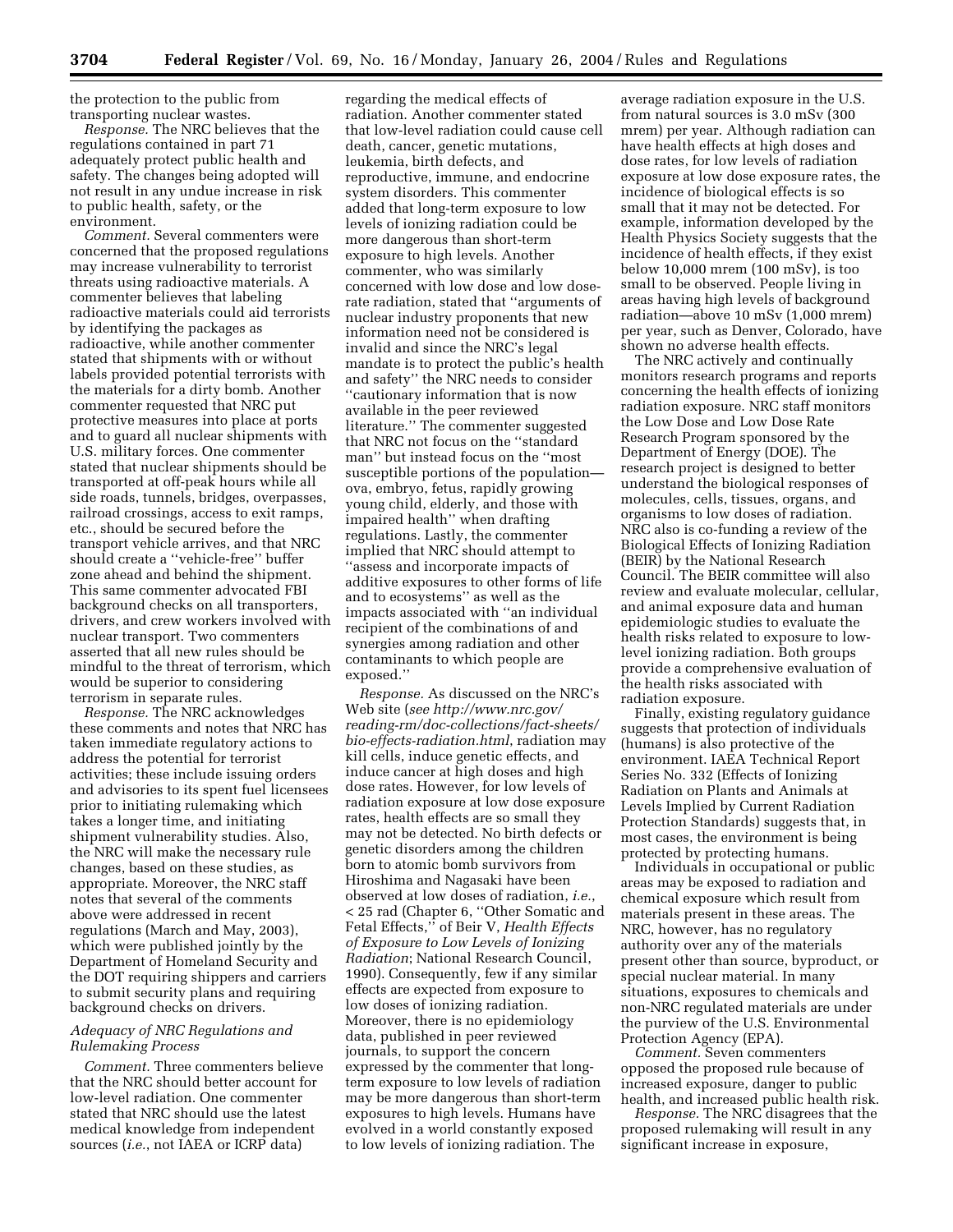the protection to the public from transporting nuclear wastes.

*Response.* The NRC believes that the regulations contained in part 71 adequately protect public health and safety. The changes being adopted will not result in any undue increase in risk to public health, safety, or the environment.

*Comment.* Several commenters were concerned that the proposed regulations may increase vulnerability to terrorist threats using radioactive materials. A commenter believes that labeling radioactive materials could aid terrorists by identifying the packages as radioactive, while another commenter stated that shipments with or without labels provided potential terrorists with the materials for a dirty bomb. Another commenter requested that NRC put protective measures into place at ports and to guard all nuclear shipments with U.S. military forces. One commenter stated that nuclear shipments should be transported at off-peak hours while all side roads, tunnels, bridges, overpasses, railroad crossings, access to exit ramps, etc., should be secured before the transport vehicle arrives, and that NRC should create a ''vehicle-free'' buffer zone ahead and behind the shipment. This same commenter advocated FBI background checks on all transporters, drivers, and crew workers involved with nuclear transport. Two commenters asserted that all new rules should be mindful to the threat of terrorism, which would be superior to considering terrorism in separate rules.

*Response.* The NRC acknowledges these comments and notes that NRC has taken immediate regulatory actions to address the potential for terrorist activities; these include issuing orders and advisories to its spent fuel licensees prior to initiating rulemaking which takes a longer time, and initiating shipment vulnerability studies. Also, the NRC will make the necessary rule changes, based on these studies, as appropriate. Moreover, the NRC staff notes that several of the comments above were addressed in recent regulations (March and May, 2003), which were published jointly by the Department of Homeland Security and the DOT requiring shippers and carriers to submit security plans and requiring background checks on drivers.

#### *Adequacy of NRC Regulations and Rulemaking Process*

*Comment.* Three commenters believe that the NRC should better account for low-level radiation. One commenter stated that NRC should use the latest medical knowledge from independent sources (*i.e.*, not IAEA or ICRP data)

regarding the medical effects of radiation. Another commenter stated that low-level radiation could cause cell death, cancer, genetic mutations, leukemia, birth defects, and reproductive, immune, and endocrine system disorders. This commenter added that long-term exposure to low levels of ionizing radiation could be more dangerous than short-term exposure to high levels. Another commenter, who was similarly concerned with low dose and low doserate radiation, stated that ''arguments of nuclear industry proponents that new information need not be considered is invalid and since the NRC's legal mandate is to protect the public's health and safety'' the NRC needs to consider ''cautionary information that is now available in the peer reviewed literature.'' The commenter suggested that NRC not focus on the ''standard man'' but instead focus on the ''most susceptible portions of the population ova, embryo, fetus, rapidly growing young child, elderly, and those with impaired health'' when drafting regulations. Lastly, the commenter implied that NRC should attempt to ''assess and incorporate impacts of additive exposures to other forms of life and to ecosystems'' as well as the impacts associated with ''an individual recipient of the combinations of and synergies among radiation and other contaminants to which people are exposed.''

*Response.* As discussed on the NRC's Web site (*see http://www.nrc.gov/ reading-rm/doc-collections/fact-sheets/ bio-effects-radiation.html*, radiation may kill cells, induce genetic effects, and induce cancer at high doses and high dose rates. However, for low levels of radiation exposure at low dose exposure rates, health effects are so small they may not be detected. No birth defects or genetic disorders among the children born to atomic bomb survivors from Hiroshima and Nagasaki have been observed at low doses of radiation, *i.e.*, < 25 rad (Chapter 6, ''Other Somatic and Fetal Effects,'' of Beir V, *Health Effects of Exposure to Low Levels of Ionizing Radiation*; National Research Council, 1990). Consequently, few if any similar effects are expected from exposure to low doses of ionizing radiation. Moreover, there is no epidemiology data, published in peer reviewed journals, to support the concern expressed by the commenter that longterm exposure to low levels of radiation may be more dangerous than short-term exposures to high levels. Humans have evolved in a world constantly exposed to low levels of ionizing radiation. The

average radiation exposure in the U.S. from natural sources is 3.0 mSv (300 mrem) per year. Although radiation can have health effects at high doses and dose rates, for low levels of radiation exposure at low dose exposure rates, the incidence of biological effects is so small that it may not be detected. For example, information developed by the Health Physics Society suggests that the incidence of health effects, if they exist below 10,000 mrem (100 mSv), is too small to be observed. People living in areas having high levels of background radiation—above 10 mSv (1,000 mrem) per year, such as Denver, Colorado, have shown no adverse health effects.

The NRC actively and continually monitors research programs and reports concerning the health effects of ionizing radiation exposure. NRC staff monitors the Low Dose and Low Dose Rate Research Program sponsored by the Department of Energy (DOE). The research project is designed to better understand the biological responses of molecules, cells, tissues, organs, and organisms to low doses of radiation. NRC also is co-funding a review of the Biological Effects of Ionizing Radiation (BEIR) by the National Research Council. The BEIR committee will also review and evaluate molecular, cellular, and animal exposure data and human epidemiologic studies to evaluate the health risks related to exposure to lowlevel ionizing radiation. Both groups provide a comprehensive evaluation of the health risks associated with radiation exposure.

Finally, existing regulatory guidance suggests that protection of individuals (humans) is also protective of the environment. IAEA Technical Report Series No. 332 (Effects of Ionizing Radiation on Plants and Animals at Levels Implied by Current Radiation Protection Standards) suggests that, in most cases, the environment is being protected by protecting humans.

Individuals in occupational or public areas may be exposed to radiation and chemical exposure which result from materials present in these areas. The NRC, however, has no regulatory authority over any of the materials present other than source, byproduct, or special nuclear material. In many situations, exposures to chemicals and non-NRC regulated materials are under the purview of the U.S. Environmental Protection Agency (EPA).

*Comment.* Seven commenters opposed the proposed rule because of increased exposure, danger to public health, and increased public health risk.

*Response.* The NRC disagrees that the proposed rulemaking will result in any significant increase in exposure,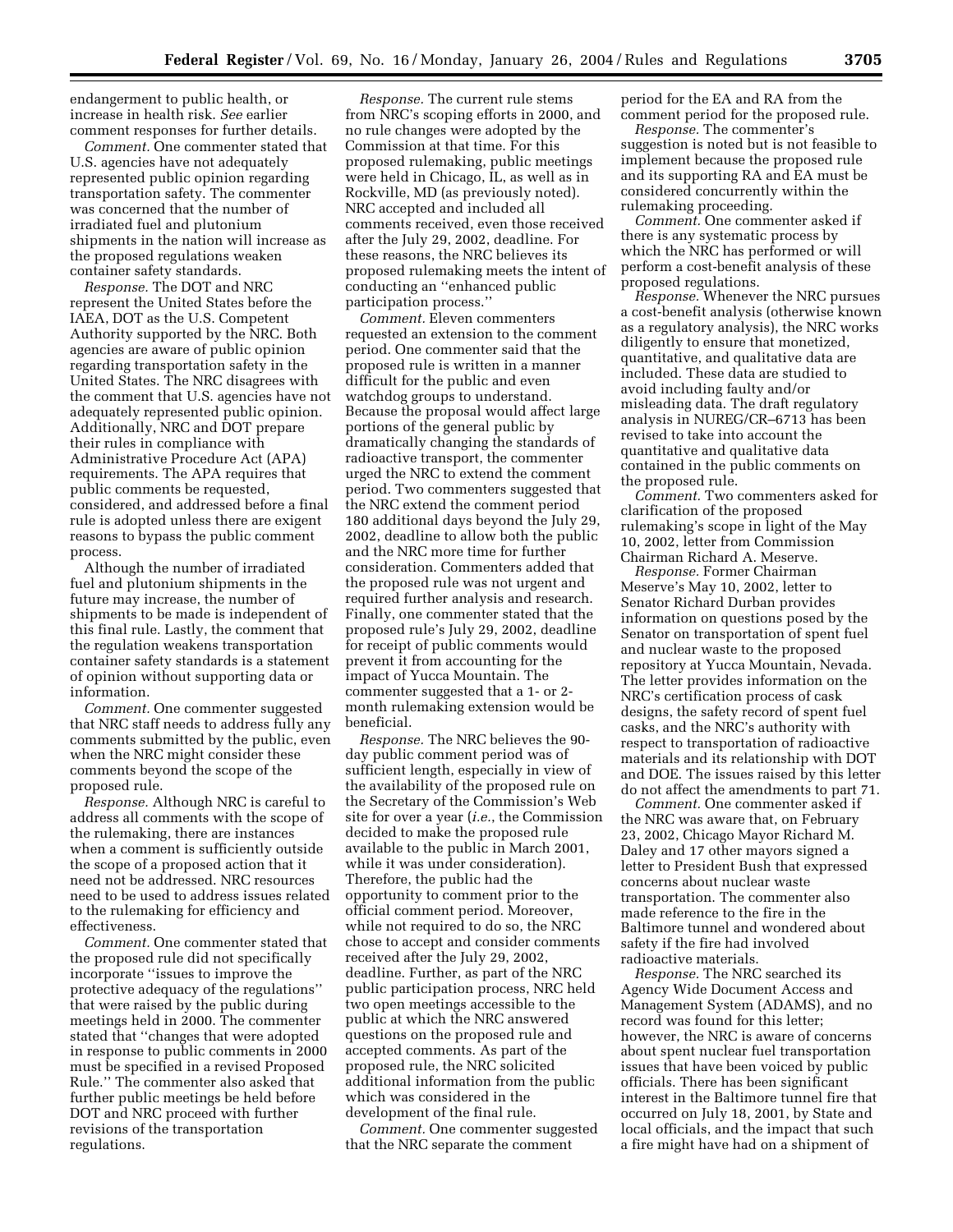endangerment to public health, or increase in health risk. *See* earlier comment responses for further details.

*Comment.* One commenter stated that U.S. agencies have not adequately represented public opinion regarding transportation safety. The commenter was concerned that the number of irradiated fuel and plutonium shipments in the nation will increase as the proposed regulations weaken container safety standards.

*Response.* The DOT and NRC represent the United States before the IAEA, DOT as the U.S. Competent Authority supported by the NRC. Both agencies are aware of public opinion regarding transportation safety in the United States. The NRC disagrees with the comment that U.S. agencies have not adequately represented public opinion. Additionally, NRC and DOT prepare their rules in compliance with Administrative Procedure Act (APA) requirements. The APA requires that public comments be requested, considered, and addressed before a final rule is adopted unless there are exigent reasons to bypass the public comment process.

Although the number of irradiated fuel and plutonium shipments in the future may increase, the number of shipments to be made is independent of this final rule. Lastly, the comment that the regulation weakens transportation container safety standards is a statement of opinion without supporting data or information.

*Comment.* One commenter suggested that NRC staff needs to address fully any comments submitted by the public, even when the NRC might consider these comments beyond the scope of the proposed rule.

*Response.* Although NRC is careful to address all comments with the scope of the rulemaking, there are instances when a comment is sufficiently outside the scope of a proposed action that it need not be addressed. NRC resources need to be used to address issues related to the rulemaking for efficiency and effectiveness.

*Comment.* One commenter stated that the proposed rule did not specifically incorporate ''issues to improve the protective adequacy of the regulations'' that were raised by the public during meetings held in 2000. The commenter stated that ''changes that were adopted in response to public comments in 2000 must be specified in a revised Proposed Rule.'' The commenter also asked that further public meetings be held before DOT and NRC proceed with further revisions of the transportation regulations.

*Response.* The current rule stems from NRC's scoping efforts in 2000, and no rule changes were adopted by the Commission at that time. For this proposed rulemaking, public meetings were held in Chicago, IL, as well as in Rockville, MD (as previously noted). NRC accepted and included all comments received, even those received after the July 29, 2002, deadline. For these reasons, the NRC believes its proposed rulemaking meets the intent of conducting an ''enhanced public participation process.''

*Comment.* Eleven commenters requested an extension to the comment period. One commenter said that the proposed rule is written in a manner difficult for the public and even watchdog groups to understand. Because the proposal would affect large portions of the general public by dramatically changing the standards of radioactive transport, the commenter urged the NRC to extend the comment period. Two commenters suggested that the NRC extend the comment period 180 additional days beyond the July 29, 2002, deadline to allow both the public and the NRC more time for further consideration. Commenters added that the proposed rule was not urgent and required further analysis and research. Finally, one commenter stated that the proposed rule's July 29, 2002, deadline for receipt of public comments would prevent it from accounting for the impact of Yucca Mountain. The commenter suggested that a 1- or 2 month rulemaking extension would be beneficial.

*Response.* The NRC believes the 90 day public comment period was of sufficient length, especially in view of the availability of the proposed rule on the Secretary of the Commission's Web site for over a year (*i.e.*, the Commission decided to make the proposed rule available to the public in March 2001, while it was under consideration). Therefore, the public had the opportunity to comment prior to the official comment period. Moreover, while not required to do so, the NRC chose to accept and consider comments received after the July 29, 2002, deadline. Further, as part of the NRC public participation process, NRC held two open meetings accessible to the public at which the NRC answered questions on the proposed rule and accepted comments. As part of the proposed rule, the NRC solicited additional information from the public which was considered in the development of the final rule.

*Comment.* One commenter suggested that the NRC separate the comment

period for the EA and RA from the comment period for the proposed rule.

*Response.* The commenter's suggestion is noted but is not feasible to implement because the proposed rule and its supporting RA and EA must be considered concurrently within the rulemaking proceeding.

*Comment.* One commenter asked if there is any systematic process by which the NRC has performed or will perform a cost-benefit analysis of these proposed regulations.

*Response.* Whenever the NRC pursues a cost-benefit analysis (otherwise known as a regulatory analysis), the NRC works diligently to ensure that monetized, quantitative, and qualitative data are included. These data are studied to avoid including faulty and/or misleading data. The draft regulatory analysis in NUREG/CR–6713 has been revised to take into account the quantitative and qualitative data contained in the public comments on the proposed rule.

*Comment.* Two commenters asked for clarification of the proposed rulemaking's scope in light of the May 10, 2002, letter from Commission Chairman Richard A. Meserve.

*Response.* Former Chairman Meserve's May 10, 2002, letter to Senator Richard Durban provides information on questions posed by the Senator on transportation of spent fuel and nuclear waste to the proposed repository at Yucca Mountain, Nevada. The letter provides information on the NRC's certification process of cask designs, the safety record of spent fuel casks, and the NRC's authority with respect to transportation of radioactive materials and its relationship with DOT and DOE. The issues raised by this letter do not affect the amendments to part 71.

*Comment.* One commenter asked if the NRC was aware that, on February 23, 2002, Chicago Mayor Richard M. Daley and 17 other mayors signed a letter to President Bush that expressed concerns about nuclear waste transportation. The commenter also made reference to the fire in the Baltimore tunnel and wondered about safety if the fire had involved radioactive materials.

*Response.* The NRC searched its Agency Wide Document Access and Management System (ADAMS), and no record was found for this letter; however, the NRC is aware of concerns about spent nuclear fuel transportation issues that have been voiced by public officials. There has been significant interest in the Baltimore tunnel fire that occurred on July 18, 2001, by State and local officials, and the impact that such a fire might have had on a shipment of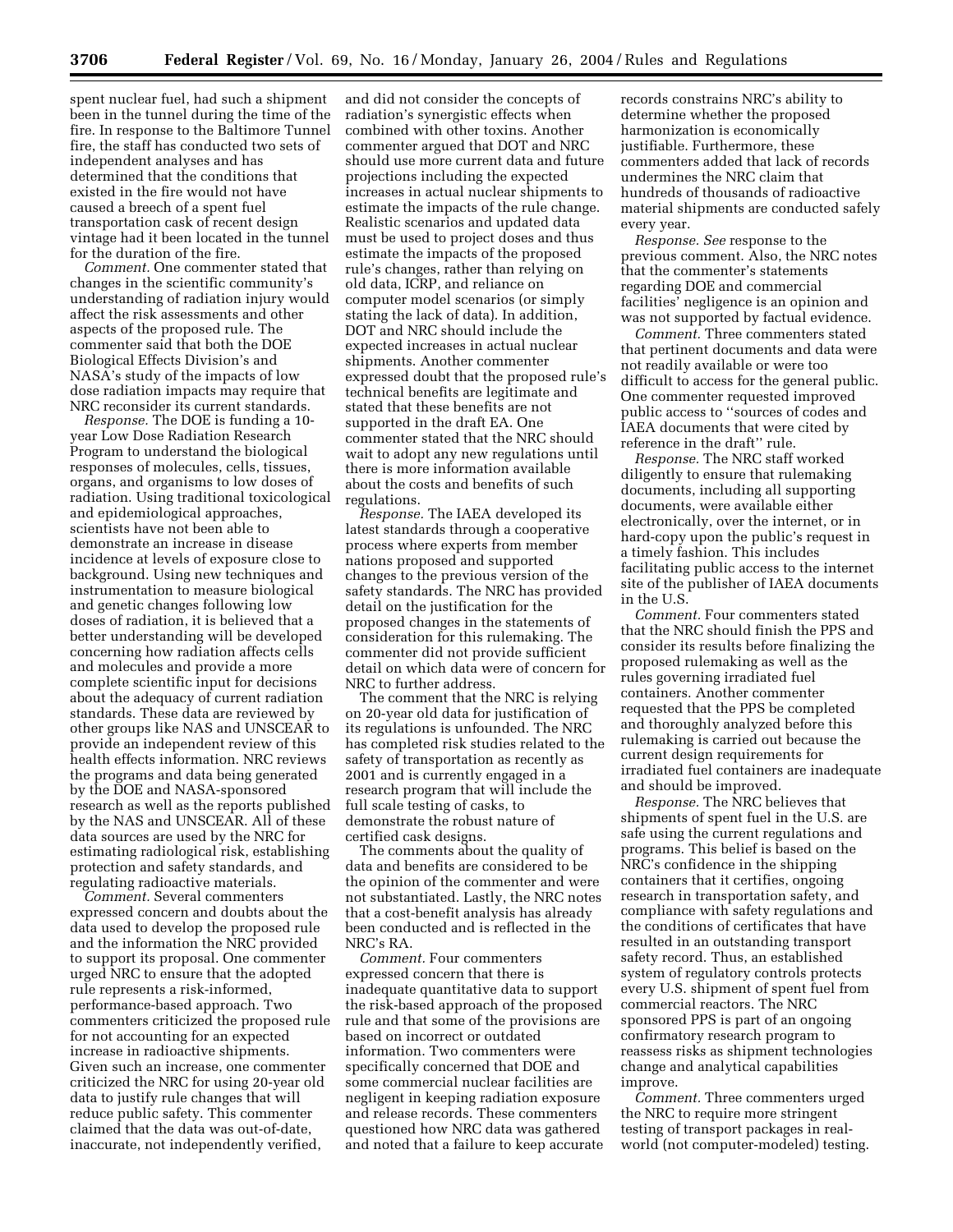spent nuclear fuel, had such a shipment been in the tunnel during the time of the fire. In response to the Baltimore Tunnel fire, the staff has conducted two sets of independent analyses and has determined that the conditions that existed in the fire would not have caused a breech of a spent fuel transportation cask of recent design vintage had it been located in the tunnel for the duration of the fire.

*Comment.* One commenter stated that changes in the scientific community's understanding of radiation injury would affect the risk assessments and other aspects of the proposed rule. The commenter said that both the DOE Biological Effects Division's and NASA's study of the impacts of low dose radiation impacts may require that NRC reconsider its current standards.

*Response.* The DOE is funding a 10 year Low Dose Radiation Research Program to understand the biological responses of molecules, cells, tissues, organs, and organisms to low doses of radiation. Using traditional toxicological and epidemiological approaches, scientists have not been able to demonstrate an increase in disease incidence at levels of exposure close to background. Using new techniques and instrumentation to measure biological and genetic changes following low doses of radiation, it is believed that a better understanding will be developed concerning how radiation affects cells and molecules and provide a more complete scientific input for decisions about the adequacy of current radiation standards. These data are reviewed by other groups like NAS and UNSCEAR to provide an independent review of this health effects information. NRC reviews the programs and data being generated by the DOE and NASA-sponsored research as well as the reports published by the NAS and UNSCEAR. All of these data sources are used by the NRC for estimating radiological risk, establishing protection and safety standards, and regulating radioactive materials.

*Comment.* Several commenters expressed concern and doubts about the data used to develop the proposed rule and the information the NRC provided to support its proposal. One commenter urged NRC to ensure that the adopted rule represents a risk-informed, performance-based approach. Two commenters criticized the proposed rule for not accounting for an expected increase in radioactive shipments. Given such an increase, one commenter criticized the NRC for using 20-year old data to justify rule changes that will reduce public safety. This commenter claimed that the data was out-of-date, inaccurate, not independently verified,

and did not consider the concepts of radiation's synergistic effects when combined with other toxins. Another commenter argued that DOT and NRC should use more current data and future projections including the expected increases in actual nuclear shipments to estimate the impacts of the rule change. Realistic scenarios and updated data must be used to project doses and thus estimate the impacts of the proposed rule's changes, rather than relying on old data, ICRP, and reliance on computer model scenarios (or simply stating the lack of data). In addition, DOT and NRC should include the expected increases in actual nuclear shipments. Another commenter expressed doubt that the proposed rule's technical benefits are legitimate and stated that these benefits are not supported in the draft EA. One commenter stated that the NRC should wait to adopt any new regulations until there is more information available about the costs and benefits of such regulations.

*Response.* The IAEA developed its latest standards through a cooperative process where experts from member nations proposed and supported changes to the previous version of the safety standards. The NRC has provided detail on the justification for the proposed changes in the statements of consideration for this rulemaking. The commenter did not provide sufficient detail on which data were of concern for NRC to further address.

The comment that the NRC is relying on 20-year old data for justification of its regulations is unfounded. The NRC has completed risk studies related to the safety of transportation as recently as 2001 and is currently engaged in a research program that will include the full scale testing of casks, to demonstrate the robust nature of certified cask designs.

The comments about the quality of data and benefits are considered to be the opinion of the commenter and were not substantiated. Lastly, the NRC notes that a cost-benefit analysis has already been conducted and is reflected in the NRC's RA.

*Comment.* Four commenters expressed concern that there is inadequate quantitative data to support the risk-based approach of the proposed rule and that some of the provisions are based on incorrect or outdated information. Two commenters were specifically concerned that DOE and some commercial nuclear facilities are negligent in keeping radiation exposure and release records. These commenters questioned how NRC data was gathered and noted that a failure to keep accurate

records constrains NRC's ability to determine whether the proposed harmonization is economically justifiable. Furthermore, these commenters added that lack of records undermines the NRC claim that hundreds of thousands of radioactive material shipments are conducted safely every year.

*Response. See* response to the previous comment. Also, the NRC notes that the commenter's statements regarding DOE and commercial facilities' negligence is an opinion and was not supported by factual evidence.

*Comment.* Three commenters stated that pertinent documents and data were not readily available or were too difficult to access for the general public. One commenter requested improved public access to ''sources of codes and IAEA documents that were cited by reference in the draft'' rule.

*Response.* The NRC staff worked diligently to ensure that rulemaking documents, including all supporting documents, were available either electronically, over the internet, or in hard-copy upon the public's request in a timely fashion. This includes facilitating public access to the internet site of the publisher of IAEA documents in the U.S.

*Comment.* Four commenters stated that the NRC should finish the PPS and consider its results before finalizing the proposed rulemaking as well as the rules governing irradiated fuel containers. Another commenter requested that the PPS be completed and thoroughly analyzed before this rulemaking is carried out because the current design requirements for irradiated fuel containers are inadequate and should be improved.

*Response.* The NRC believes that shipments of spent fuel in the U.S. are safe using the current regulations and programs. This belief is based on the NRC's confidence in the shipping containers that it certifies, ongoing research in transportation safety, and compliance with safety regulations and the conditions of certificates that have resulted in an outstanding transport safety record. Thus, an established system of regulatory controls protects every U.S. shipment of spent fuel from commercial reactors. The NRC sponsored PPS is part of an ongoing confirmatory research program to reassess risks as shipment technologies change and analytical capabilities improve.

*Comment.* Three commenters urged the NRC to require more stringent testing of transport packages in realworld (not computer-modeled) testing.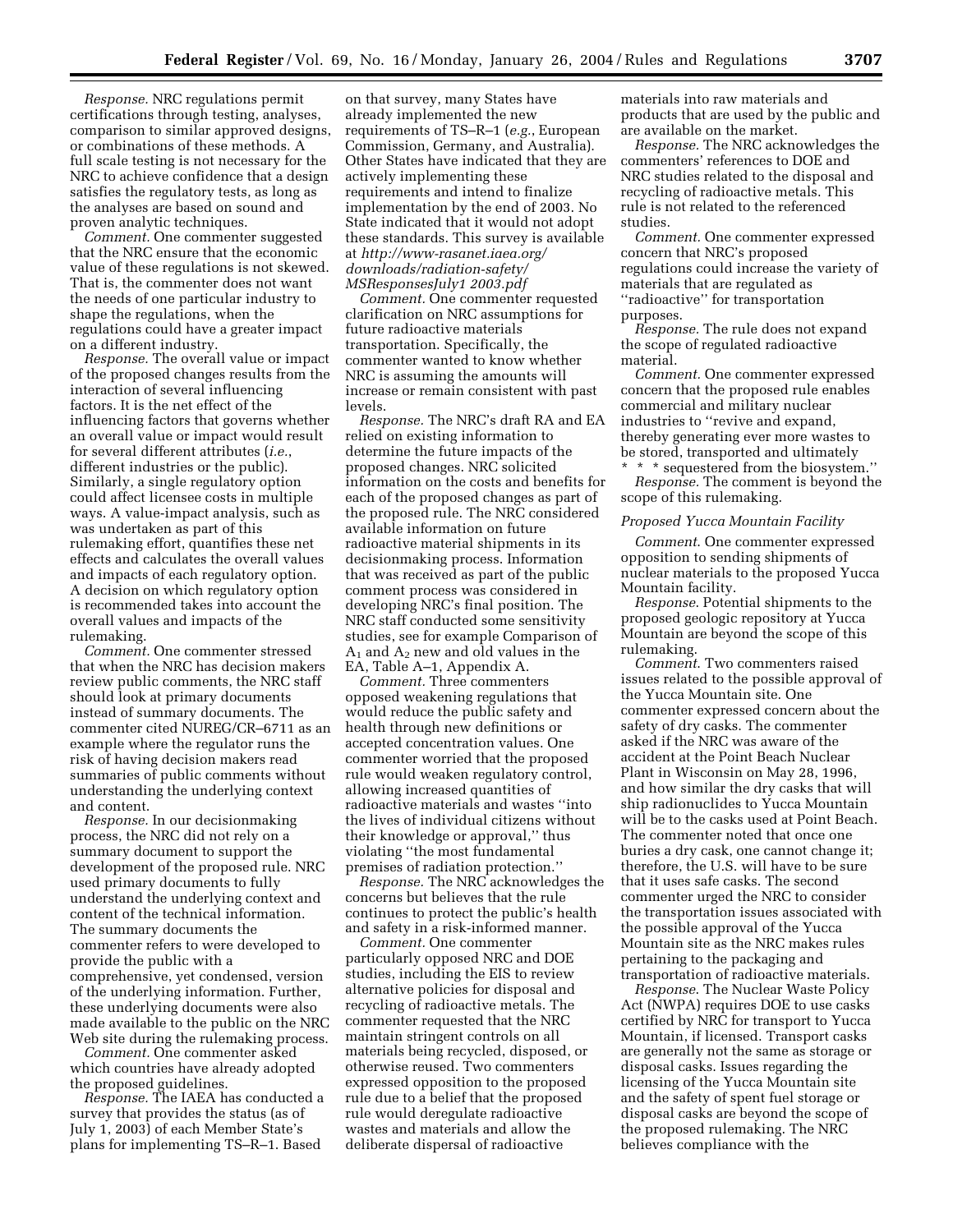*Response.* NRC regulations permit certifications through testing, analyses, comparison to similar approved designs, or combinations of these methods. A full scale testing is not necessary for the NRC to achieve confidence that a design satisfies the regulatory tests, as long as the analyses are based on sound and proven analytic techniques.

*Comment.* One commenter suggested that the NRC ensure that the economic value of these regulations is not skewed. That is, the commenter does not want the needs of one particular industry to shape the regulations, when the regulations could have a greater impact on a different industry.

*Response.* The overall value or impact of the proposed changes results from the interaction of several influencing factors. It is the net effect of the influencing factors that governs whether an overall value or impact would result for several different attributes (*i.e.*, different industries or the public). Similarly, a single regulatory option could affect licensee costs in multiple ways. A value-impact analysis, such as was undertaken as part of this rulemaking effort, quantifies these net effects and calculates the overall values and impacts of each regulatory option. A decision on which regulatory option is recommended takes into account the overall values and impacts of the rulemaking.

*Comment.* One commenter stressed that when the NRC has decision makers review public comments, the NRC staff should look at primary documents instead of summary documents. The commenter cited NUREG/CR–6711 as an example where the regulator runs the risk of having decision makers read summaries of public comments without understanding the underlying context and content.

*Response.* In our decisionmaking process, the NRC did not rely on a summary document to support the development of the proposed rule. NRC used primary documents to fully understand the underlying context and content of the technical information. The summary documents the commenter refers to were developed to provide the public with a comprehensive, yet condensed, version of the underlying information. Further, these underlying documents were also made available to the public on the NRC Web site during the rulemaking process.

*Comment.* One commenter asked which countries have already adopted the proposed guidelines.

*Response.* The IAEA has conducted a survey that provides the status (as of July 1, 2003) of each Member State's plans for implementing TS–R–1. Based

on that survey, many States have already implemented the new requirements of TS–R–1 (*e.g.*, European Commission, Germany, and Australia). Other States have indicated that they are actively implementing these requirements and intend to finalize implementation by the end of 2003. No State indicated that it would not adopt these standards. This survey is available at *http://www-rasanet.iaea.org/ downloads/radiation-safety/ MSResponsesJuly1 2003.pdf*

*Comment.* One commenter requested clarification on NRC assumptions for future radioactive materials transportation. Specifically, the commenter wanted to know whether NRC is assuming the amounts will increase or remain consistent with past levels.

*Response.* The NRC's draft RA and EA relied on existing information to determine the future impacts of the proposed changes. NRC solicited information on the costs and benefits for each of the proposed changes as part of the proposed rule. The NRC considered available information on future radioactive material shipments in its decisionmaking process. Information that was received as part of the public comment process was considered in developing NRC's final position. The NRC staff conducted some sensitivity studies, see for example Comparison of  $A_1$  and  $A_2$  new and old values in the EA, Table A–1, Appendix A.

*Comment.* Three commenters opposed weakening regulations that would reduce the public safety and health through new definitions or accepted concentration values. One commenter worried that the proposed rule would weaken regulatory control, allowing increased quantities of radioactive materials and wastes ''into the lives of individual citizens without their knowledge or approval,'' thus violating ''the most fundamental premises of radiation protection.''

*Response.* The NRC acknowledges the concerns but believes that the rule continues to protect the public's health and safety in a risk-informed manner.

*Comment.* One commenter particularly opposed NRC and DOE studies, including the EIS to review alternative policies for disposal and recycling of radioactive metals. The commenter requested that the NRC maintain stringent controls on all materials being recycled, disposed, or otherwise reused. Two commenters expressed opposition to the proposed rule due to a belief that the proposed rule would deregulate radioactive wastes and materials and allow the deliberate dispersal of radioactive

materials into raw materials and products that are used by the public and are available on the market.

*Response.* The NRC acknowledges the commenters' references to DOE and NRC studies related to the disposal and recycling of radioactive metals. This rule is not related to the referenced studies.

*Comment.* One commenter expressed concern that NRC's proposed regulations could increase the variety of materials that are regulated as ''radioactive'' for transportation purposes.

*Response.* The rule does not expand the scope of regulated radioactive material.

*Comment.* One commenter expressed concern that the proposed rule enables commercial and military nuclear industries to ''revive and expand, thereby generating ever more wastes to be stored, transported and ultimately

\* \* \* sequestered from the biosystem.'' *Response.* The comment is beyond the scope of this rulemaking.

#### *Proposed Yucca Mountain Facility*

*Comment*. One commenter expressed opposition to sending shipments of nuclear materials to the proposed Yucca Mountain facility.

*Response*. Potential shipments to the proposed geologic repository at Yucca Mountain are beyond the scope of this rulemaking.

*Comment*. Two commenters raised issues related to the possible approval of the Yucca Mountain site. One commenter expressed concern about the safety of dry casks. The commenter asked if the NRC was aware of the accident at the Point Beach Nuclear Plant in Wisconsin on May 28, 1996, and how similar the dry casks that will ship radionuclides to Yucca Mountain will be to the casks used at Point Beach. The commenter noted that once one buries a dry cask, one cannot change it; therefore, the U.S. will have to be sure that it uses safe casks. The second commenter urged the NRC to consider the transportation issues associated with the possible approval of the Yucca Mountain site as the NRC makes rules pertaining to the packaging and transportation of radioactive materials.

*Response*. The Nuclear Waste Policy Act (NWPA) requires DOE to use casks certified by NRC for transport to Yucca Mountain, if licensed. Transport casks are generally not the same as storage or disposal casks. Issues regarding the licensing of the Yucca Mountain site and the safety of spent fuel storage or disposal casks are beyond the scope of the proposed rulemaking. The NRC believes compliance with the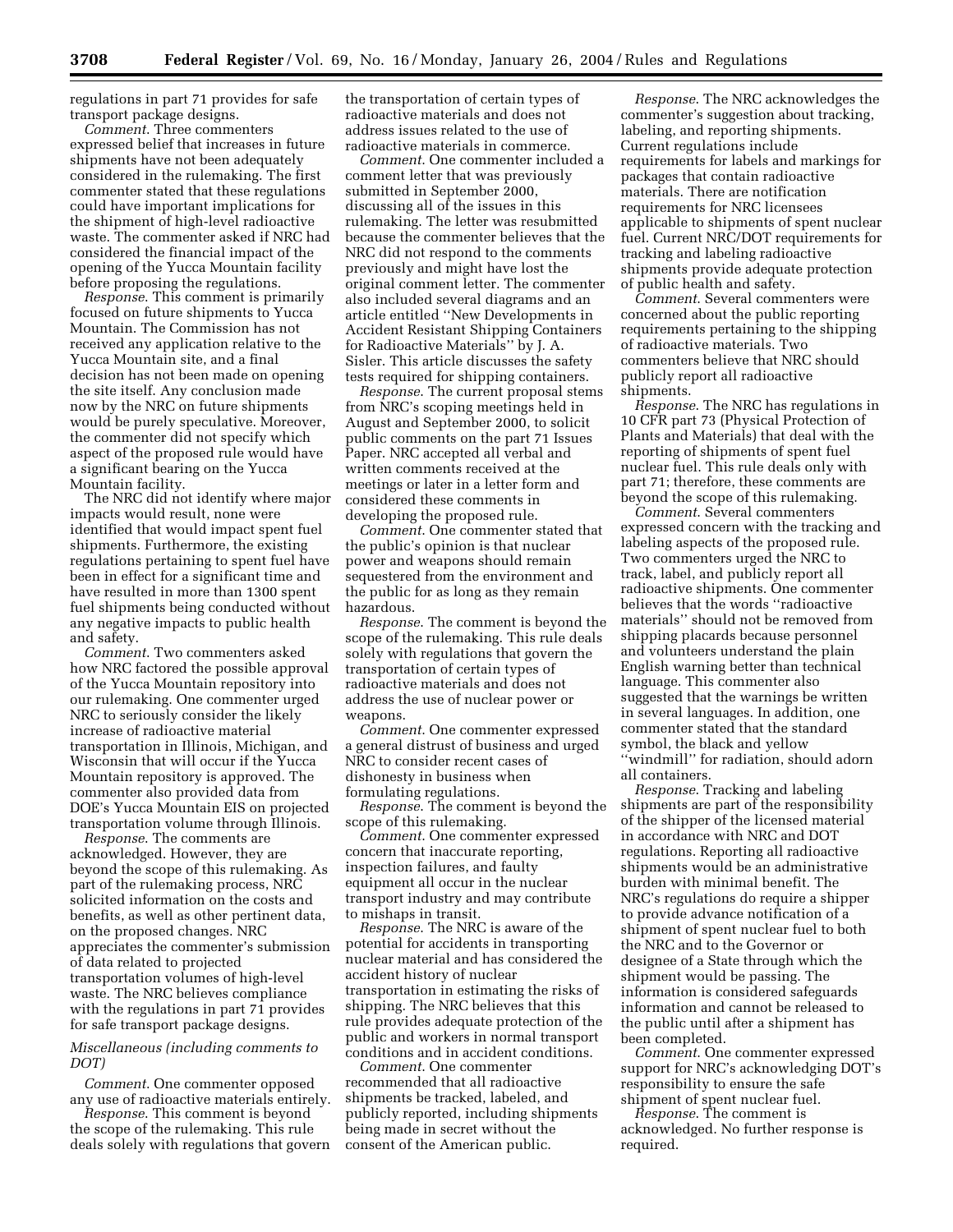regulations in part 71 provides for safe transport package designs.

*Comment*. Three commenters expressed belief that increases in future shipments have not been adequately considered in the rulemaking. The first commenter stated that these regulations could have important implications for the shipment of high-level radioactive waste. The commenter asked if NRC had considered the financial impact of the opening of the Yucca Mountain facility before proposing the regulations.

*Response*. This comment is primarily focused on future shipments to Yucca Mountain. The Commission has not received any application relative to the Yucca Mountain site, and a final decision has not been made on opening the site itself. Any conclusion made now by the NRC on future shipments would be purely speculative. Moreover, the commenter did not specify which aspect of the proposed rule would have a significant bearing on the Yucca Mountain facility.

The NRC did not identify where major impacts would result, none were identified that would impact spent fuel shipments. Furthermore, the existing regulations pertaining to spent fuel have been in effect for a significant time and have resulted in more than 1300 spent fuel shipments being conducted without any negative impacts to public health and safety.

*Comment*. Two commenters asked how NRC factored the possible approval of the Yucca Mountain repository into our rulemaking. One commenter urged NRC to seriously consider the likely increase of radioactive material transportation in Illinois, Michigan, and Wisconsin that will occur if the Yucca Mountain repository is approved. The commenter also provided data from DOE's Yucca Mountain EIS on projected transportation volume through Illinois.

*Response*. The comments are acknowledged. However, they are beyond the scope of this rulemaking. As part of the rulemaking process, NRC solicited information on the costs and benefits, as well as other pertinent data, on the proposed changes. NRC appreciates the commenter's submission of data related to projected transportation volumes of high-level waste. The NRC believes compliance with the regulations in part 71 provides for safe transport package designs.

#### *Miscellaneous (including comments to DOT)*

*Comment*. One commenter opposed any use of radioactive materials entirely.

*Response*. This comment is beyond the scope of the rulemaking. This rule deals solely with regulations that govern

the transportation of certain types of radioactive materials and does not address issues related to the use of radioactive materials in commerce.

*Comment*. One commenter included a comment letter that was previously submitted in September 2000, discussing all of the issues in this rulemaking. The letter was resubmitted because the commenter believes that the NRC did not respond to the comments previously and might have lost the original comment letter. The commenter also included several diagrams and an article entitled ''New Developments in Accident Resistant Shipping Containers for Radioactive Materials'' by J. A. Sisler. This article discusses the safety tests required for shipping containers.

*Response*. The current proposal stems from NRC's scoping meetings held in August and September 2000, to solicit public comments on the part 71 Issues Paper. NRC accepted all verbal and written comments received at the meetings or later in a letter form and considered these comments in developing the proposed rule.

*Comment*. One commenter stated that the public's opinion is that nuclear power and weapons should remain sequestered from the environment and the public for as long as they remain hazardous.

*Response*. The comment is beyond the scope of the rulemaking. This rule deals solely with regulations that govern the transportation of certain types of radioactive materials and does not address the use of nuclear power or weapons.

*Comment*. One commenter expressed a general distrust of business and urged NRC to consider recent cases of dishonesty in business when formulating regulations.

*Response*. The comment is beyond the scope of this rulemaking.

*Comment*. One commenter expressed concern that inaccurate reporting, inspection failures, and faulty equipment all occur in the nuclear transport industry and may contribute to mishaps in transit.

*Response*. The NRC is aware of the potential for accidents in transporting nuclear material and has considered the accident history of nuclear transportation in estimating the risks of shipping. The NRC believes that this rule provides adequate protection of the public and workers in normal transport conditions and in accident conditions.

*Comment*. One commenter recommended that all radioactive shipments be tracked, labeled, and publicly reported, including shipments being made in secret without the consent of the American public.

*Response*. The NRC acknowledges the commenter's suggestion about tracking, labeling, and reporting shipments. Current regulations include requirements for labels and markings for packages that contain radioactive materials. There are notification requirements for NRC licensees applicable to shipments of spent nuclear fuel. Current NRC/DOT requirements for tracking and labeling radioactive shipments provide adequate protection of public health and safety.

*Comment*. Several commenters were concerned about the public reporting requirements pertaining to the shipping of radioactive materials. Two commenters believe that NRC should publicly report all radioactive shipments.

*Response*. The NRC has regulations in 10 CFR part 73 (Physical Protection of Plants and Materials) that deal with the reporting of shipments of spent fuel nuclear fuel. This rule deals only with part 71; therefore, these comments are beyond the scope of this rulemaking.

*Comment*. Several commenters expressed concern with the tracking and labeling aspects of the proposed rule. Two commenters urged the NRC to track, label, and publicly report all radioactive shipments. One commenter believes that the words ''radioactive materials'' should not be removed from shipping placards because personnel and volunteers understand the plain English warning better than technical language. This commenter also suggested that the warnings be written in several languages. In addition, one commenter stated that the standard symbol, the black and yellow ''windmill'' for radiation, should adorn all containers.

*Response*. Tracking and labeling shipments are part of the responsibility of the shipper of the licensed material in accordance with NRC and DOT regulations. Reporting all radioactive shipments would be an administrative burden with minimal benefit. The NRC's regulations do require a shipper to provide advance notification of a shipment of spent nuclear fuel to both the NRC and to the Governor or designee of a State through which the shipment would be passing. The information is considered safeguards information and cannot be released to the public until after a shipment has been completed.

*Comment*. One commenter expressed support for NRC's acknowledging DOT's responsibility to ensure the safe shipment of spent nuclear fuel.

*Response*. The comment is acknowledged. No further response is required.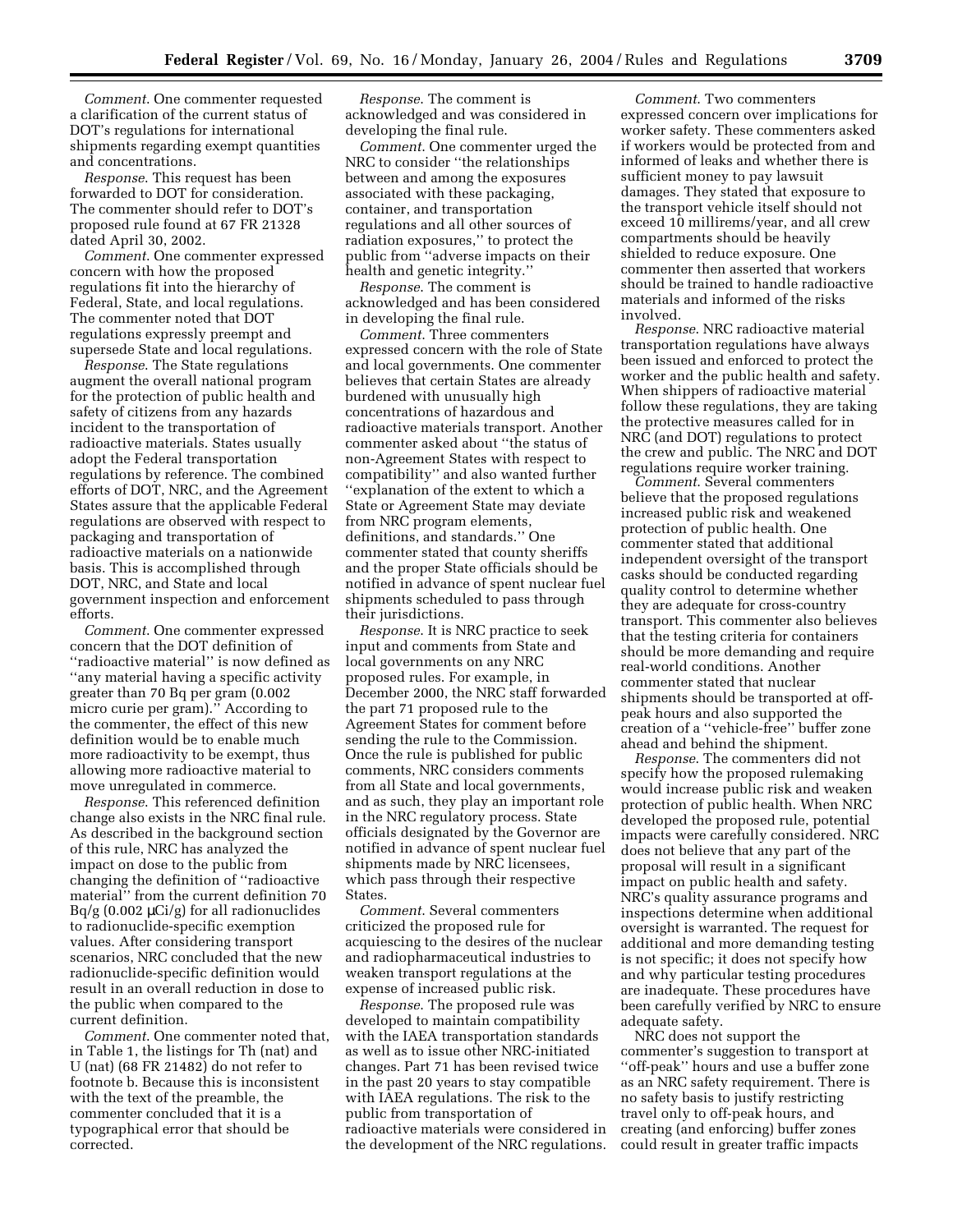*Comment*. One commenter requested a clarification of the current status of DOT's regulations for international shipments regarding exempt quantities and concentrations.

*Response*. This request has been forwarded to DOT for consideration. The commenter should refer to DOT's proposed rule found at 67 FR 21328 dated April 30, 2002.

*Comment*. One commenter expressed concern with how the proposed regulations fit into the hierarchy of Federal, State, and local regulations. The commenter noted that DOT regulations expressly preempt and supersede State and local regulations.

*Response*. The State regulations augment the overall national program for the protection of public health and safety of citizens from any hazards incident to the transportation of radioactive materials. States usually adopt the Federal transportation regulations by reference. The combined efforts of DOT, NRC, and the Agreement States assure that the applicable Federal regulations are observed with respect to packaging and transportation of radioactive materials on a nationwide basis. This is accomplished through DOT, NRC, and State and local government inspection and enforcement efforts.

*Comment*. One commenter expressed concern that the DOT definition of ''radioactive material'' is now defined as ''any material having a specific activity greater than 70 Bq per gram (0.002 micro curie per gram).'' According to the commenter, the effect of this new definition would be to enable much more radioactivity to be exempt, thus allowing more radioactive material to move unregulated in commerce.

*Response*. This referenced definition change also exists in the NRC final rule. As described in the background section of this rule, NRC has analyzed the impact on dose to the public from changing the definition of ''radioactive material'' from the current definition 70  $Bq/g$  (0.002  $\mu$ Ci/g) for all radionuclides to radionuclide-specific exemption values. After considering transport scenarios, NRC concluded that the new radionuclide-specific definition would result in an overall reduction in dose to the public when compared to the current definition.

*Comment*. One commenter noted that, in Table 1, the listings for Th (nat) and U (nat) (68 FR 21482) do not refer to footnote b. Because this is inconsistent with the text of the preamble, the commenter concluded that it is a typographical error that should be corrected.

*Response*. The comment is acknowledged and was considered in developing the final rule.

*Comment*. One commenter urged the NRC to consider ''the relationships between and among the exposures associated with these packaging, container, and transportation regulations and all other sources of radiation exposures,'' to protect the public from ''adverse impacts on their health and genetic integrity.''

*Response*. The comment is acknowledged and has been considered in developing the final rule.

*Comment*. Three commenters expressed concern with the role of State and local governments. One commenter believes that certain States are already burdened with unusually high concentrations of hazardous and radioactive materials transport. Another commenter asked about ''the status of non-Agreement States with respect to compatibility'' and also wanted further ''explanation of the extent to which a State or Agreement State may deviate from NRC program elements, definitions, and standards.'' One commenter stated that county sheriffs and the proper State officials should be notified in advance of spent nuclear fuel shipments scheduled to pass through their jurisdictions.

*Response*. It is NRC practice to seek input and comments from State and local governments on any NRC proposed rules. For example, in December 2000, the NRC staff forwarded the part 71 proposed rule to the Agreement States for comment before sending the rule to the Commission. Once the rule is published for public comments, NRC considers comments from all State and local governments, and as such, they play an important role in the NRC regulatory process. State officials designated by the Governor are notified in advance of spent nuclear fuel shipments made by NRC licensees, which pass through their respective States.

*Comment*. Several commenters criticized the proposed rule for acquiescing to the desires of the nuclear and radiopharmaceutical industries to weaken transport regulations at the expense of increased public risk.

*Response*. The proposed rule was developed to maintain compatibility with the IAEA transportation standards as well as to issue other NRC-initiated changes. Part 71 has been revised twice in the past 20 years to stay compatible with IAEA regulations. The risk to the public from transportation of radioactive materials were considered in the development of the NRC regulations.

*Comment*. Two commenters expressed concern over implications for worker safety. These commenters asked if workers would be protected from and informed of leaks and whether there is sufficient money to pay lawsuit damages. They stated that exposure to the transport vehicle itself should not exceed 10 millirems/year, and all crew compartments should be heavily shielded to reduce exposure. One commenter then asserted that workers should be trained to handle radioactive materials and informed of the risks involved.

*Response*. NRC radioactive material transportation regulations have always been issued and enforced to protect the worker and the public health and safety. When shippers of radioactive material follow these regulations, they are taking the protective measures called for in NRC (and DOT) regulations to protect the crew and public. The NRC and DOT regulations require worker training.

*Comment*. Several commenters believe that the proposed regulations increased public risk and weakened protection of public health. One commenter stated that additional independent oversight of the transport casks should be conducted regarding quality control to determine whether they are adequate for cross-country transport. This commenter also believes that the testing criteria for containers should be more demanding and require real-world conditions. Another commenter stated that nuclear shipments should be transported at offpeak hours and also supported the creation of a ''vehicle-free'' buffer zone ahead and behind the shipment.

*Response*. The commenters did not specify how the proposed rulemaking would increase public risk and weaken protection of public health. When NRC developed the proposed rule, potential impacts were carefully considered. NRC does not believe that any part of the proposal will result in a significant impact on public health and safety. NRC's quality assurance programs and inspections determine when additional oversight is warranted. The request for additional and more demanding testing is not specific; it does not specify how and why particular testing procedures are inadequate. These procedures have been carefully verified by NRC to ensure adequate safety.

NRC does not support the commenter's suggestion to transport at ''off-peak'' hours and use a buffer zone as an NRC safety requirement. There is no safety basis to justify restricting travel only to off-peak hours, and creating (and enforcing) buffer zones could result in greater traffic impacts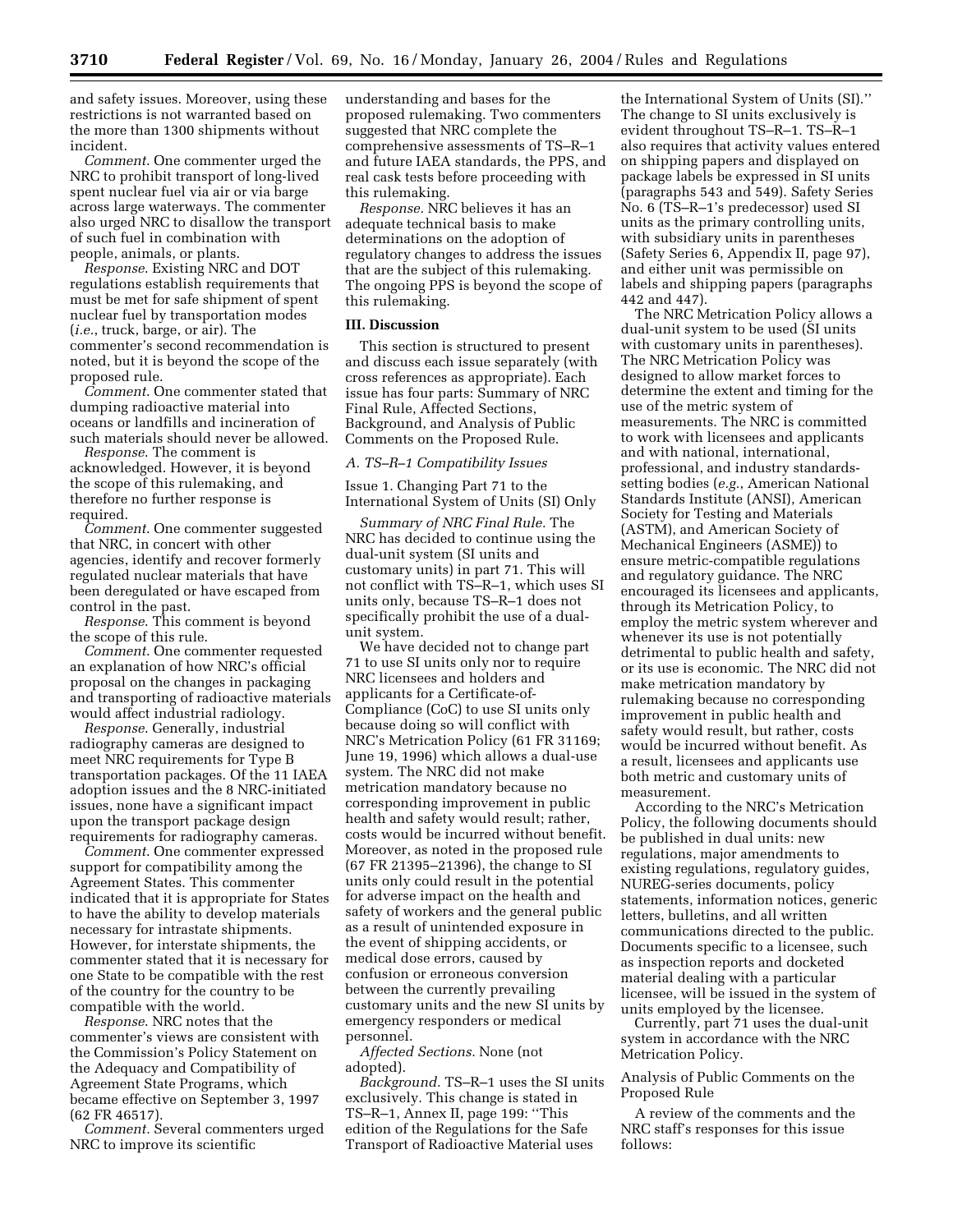and safety issues. Moreover, using these restrictions is not warranted based on the more than 1300 shipments without incident.

*Comment*. One commenter urged the NRC to prohibit transport of long-lived spent nuclear fuel via air or via barge across large waterways. The commenter also urged NRC to disallow the transport of such fuel in combination with people, animals, or plants.

*Response*. Existing NRC and DOT regulations establish requirements that must be met for safe shipment of spent nuclear fuel by transportation modes (*i.e.*, truck, barge, or air). The commenter's second recommendation is noted, but it is beyond the scope of the proposed rule.

*Comment*. One commenter stated that dumping radioactive material into oceans or landfills and incineration of such materials should never be allowed.

*Response*. The comment is acknowledged. However, it is beyond the scope of this rulemaking, and therefore no further response is required.

*Comment*. One commenter suggested that NRC, in concert with other agencies, identify and recover formerly regulated nuclear materials that have been deregulated or have escaped from control in the past.

*Response*. This comment is beyond the scope of this rule.

*Comment*. One commenter requested an explanation of how NRC's official proposal on the changes in packaging and transporting of radioactive materials would affect industrial radiology.

*Response*. Generally, industrial radiography cameras are designed to meet NRC requirements for Type B transportation packages. Of the 11 IAEA adoption issues and the 8 NRC-initiated issues, none have a significant impact upon the transport package design requirements for radiography cameras.

*Comment*. One commenter expressed support for compatibility among the Agreement States. This commenter indicated that it is appropriate for States to have the ability to develop materials necessary for intrastate shipments. However, for interstate shipments, the commenter stated that it is necessary for one State to be compatible with the rest of the country for the country to be compatible with the world.

*Response*. NRC notes that the commenter's views are consistent with the Commission's Policy Statement on the Adequacy and Compatibility of Agreement State Programs, which became effective on September 3, 1997 (62 FR 46517).

*Comment.* Several commenters urged NRC to improve its scientific

understanding and bases for the proposed rulemaking. Two commenters suggested that NRC complete the comprehensive assessments of TS–R–1 and future IAEA standards, the PPS, and real cask tests before proceeding with this rulemaking.

*Response.* NRC believes it has an adequate technical basis to make determinations on the adoption of regulatory changes to address the issues that are the subject of this rulemaking. The ongoing PPS is beyond the scope of this rulemaking.

#### **III. Discussion**

This section is structured to present and discuss each issue separately (with cross references as appropriate). Each issue has four parts: Summary of NRC Final Rule, Affected Sections, Background, and Analysis of Public Comments on the Proposed Rule.

#### *A. TS–R–1 Compatibility Issues*

Issue 1. Changing Part 71 to the International System of Units (SI) Only

*Summary of NRC Final Rule.* The NRC has decided to continue using the dual-unit system (SI units and customary units) in part 71. This will not conflict with TS–R–1, which uses SI units only, because TS–R–1 does not specifically prohibit the use of a dualunit system.

We have decided not to change part 71 to use SI units only nor to require NRC licensees and holders and applicants for a Certificate-of-Compliance (CoC) to use SI units only because doing so will conflict with NRC's Metrication Policy (61 FR 31169; June 19, 1996) which allows a dual-use system. The NRC did not make metrication mandatory because no corresponding improvement in public health and safety would result; rather, costs would be incurred without benefit. Moreover, as noted in the proposed rule (67 FR 21395–21396), the change to SI units only could result in the potential for adverse impact on the health and safety of workers and the general public as a result of unintended exposure in the event of shipping accidents, or medical dose errors, caused by confusion or erroneous conversion between the currently prevailing customary units and the new SI units by emergency responders or medical personnel.

*Affected Sections.* None (not adopted).

*Background.* TS–R–1 uses the SI units exclusively. This change is stated in TS–R–1, Annex II, page 199: ''This edition of the Regulations for the Safe Transport of Radioactive Material uses

the International System of Units (SI).'' The change to SI units exclusively is evident throughout TS–R–1. TS–R–1 also requires that activity values entered on shipping papers and displayed on package labels be expressed in SI units (paragraphs 543 and 549). Safety Series No. 6 (TS–R–1's predecessor) used SI units as the primary controlling units, with subsidiary units in parentheses (Safety Series 6, Appendix II, page 97), and either unit was permissible on labels and shipping papers (paragraphs 442 and 447).

The NRC Metrication Policy allows a dual-unit system to be used (SI units with customary units in parentheses). The NRC Metrication Policy was designed to allow market forces to determine the extent and timing for the use of the metric system of measurements. The NRC is committed to work with licensees and applicants and with national, international, professional, and industry standardssetting bodies (*e.g.*, American National Standards Institute (ANSI), American Society for Testing and Materials (ASTM), and American Society of Mechanical Engineers (ASME)) to ensure metric-compatible regulations and regulatory guidance. The NRC encouraged its licensees and applicants, through its Metrication Policy, to employ the metric system wherever and whenever its use is not potentially detrimental to public health and safety, or its use is economic. The NRC did not make metrication mandatory by rulemaking because no corresponding improvement in public health and safety would result, but rather, costs would be incurred without benefit. As a result, licensees and applicants use both metric and customary units of measurement.

According to the NRC's Metrication Policy, the following documents should be published in dual units: new regulations, major amendments to existing regulations, regulatory guides, NUREG-series documents, policy statements, information notices, generic letters, bulletins, and all written communications directed to the public. Documents specific to a licensee, such as inspection reports and docketed material dealing with a particular licensee, will be issued in the system of units employed by the licensee.

Currently, part 71 uses the dual-unit system in accordance with the NRC Metrication Policy.

Analysis of Public Comments on the Proposed Rule

A review of the comments and the NRC staff's responses for this issue follows: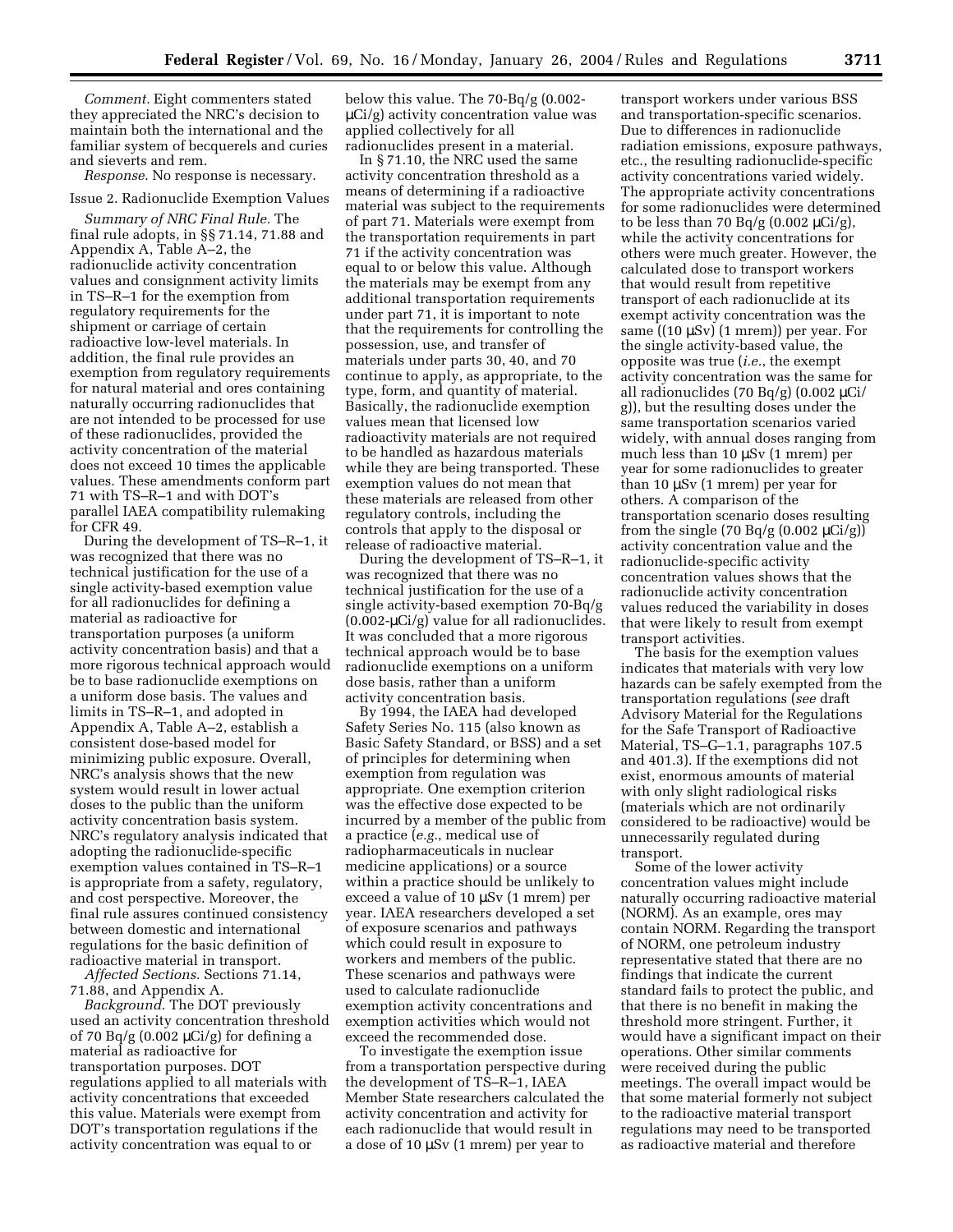*Comment.* Eight commenters stated they appreciated the NRC's decision to maintain both the international and the familiar system of becquerels and curies and sieverts and rem.

*Response.* No response is necessary.

#### Issue 2. Radionuclide Exemption Values

*Summary of NRC Final Rule.* The final rule adopts, in §§ 71.14, 71.88 and Appendix A, Table A–2, the radionuclide activity concentration values and consignment activity limits in TS–R–1 for the exemption from regulatory requirements for the shipment or carriage of certain radioactive low-level materials. In addition, the final rule provides an exemption from regulatory requirements for natural material and ores containing naturally occurring radionuclides that are not intended to be processed for use of these radionuclides, provided the activity concentration of the material does not exceed 10 times the applicable values. These amendments conform part 71 with TS–R–1 and with DOT's parallel IAEA compatibility rulemaking for CFR 49.

During the development of TS–R–1, it was recognized that there was no technical justification for the use of a single activity-based exemption value for all radionuclides for defining a material as radioactive for transportation purposes (a uniform activity concentration basis) and that a more rigorous technical approach would be to base radionuclide exemptions on a uniform dose basis. The values and limits in TS–R–1, and adopted in Appendix A, Table A–2, establish a consistent dose-based model for minimizing public exposure. Overall, NRC's analysis shows that the new system would result in lower actual doses to the public than the uniform activity concentration basis system. NRC's regulatory analysis indicated that adopting the radionuclide-specific exemption values contained in TS–R–1 is appropriate from a safety, regulatory, and cost perspective. Moreover, the final rule assures continued consistency between domestic and international regulations for the basic definition of radioactive material in transport.

*Affected Sections.* Sections 71.14, 71.88, and Appendix A.

*Background.* The DOT previously used an activity concentration threshold of 70 Bq/g (0.002  $\mu$ Ci/g) for defining a material as radioactive for transportation purposes. DOT regulations applied to all materials with activity concentrations that exceeded this value. Materials were exempt from DOT's transportation regulations if the activity concentration was equal to or

below this value. The 70-Bq/g (0.002 µCi/g) activity concentration value was applied collectively for all radionuclides present in a material.

In § 71.10, the NRC used the same activity concentration threshold as a means of determining if a radioactive material was subject to the requirements of part 71. Materials were exempt from the transportation requirements in part 71 if the activity concentration was equal to or below this value. Although the materials may be exempt from any additional transportation requirements under part 71, it is important to note that the requirements for controlling the possession, use, and transfer of materials under parts 30, 40, and 70 continue to apply, as appropriate, to the type, form, and quantity of material. Basically, the radionuclide exemption values mean that licensed low radioactivity materials are not required to be handled as hazardous materials while they are being transported. These exemption values do not mean that these materials are released from other regulatory controls, including the controls that apply to the disposal or release of radioactive material.

During the development of TS–R–1, it was recognized that there was no technical justification for the use of a single activity-based exemption 70-Bq/g (0.002-µCi/g) value for all radionuclides. It was concluded that a more rigorous technical approach would be to base radionuclide exemptions on a uniform dose basis, rather than a uniform activity concentration basis.

By 1994, the IAEA had developed Safety Series No. 115 (also known as Basic Safety Standard, or BSS) and a set of principles for determining when exemption from regulation was appropriate. One exemption criterion was the effective dose expected to be incurred by a member of the public from a practice (*e.g.*, medical use of radiopharmaceuticals in nuclear medicine applications) or a source within a practice should be unlikely to exceed a value of 10 µSv (1 mrem) per year. IAEA researchers developed a set of exposure scenarios and pathways which could result in exposure to workers and members of the public. These scenarios and pathways were used to calculate radionuclide exemption activity concentrations and exemption activities which would not exceed the recommended dose.

To investigate the exemption issue from a transportation perspective during the development of TS–R–1, IAEA Member State researchers calculated the activity concentration and activity for each radionuclide that would result in a dose of 10 µSv (1 mrem) per year to

transport workers under various BSS and transportation-specific scenarios. Due to differences in radionuclide radiation emissions, exposure pathways, etc., the resulting radionuclide-specific activity concentrations varied widely. The appropriate activity concentrations for some radionuclides were determined to be less than 70 Bq/g (0.002  $\mu$ Ci/g), while the activity concentrations for others were much greater. However, the calculated dose to transport workers that would result from repetitive transport of each radionuclide at its exempt activity concentration was the same ((10 µSv) (1 mrem)) per year. For the single activity-based value, the opposite was true (*i.e.*, the exempt activity concentration was the same for all radionuclides (70  $Bq/g$ ) (0.002  $\mu$ Ci/ g)), but the resulting doses under the same transportation scenarios varied widely, with annual doses ranging from much less than 10  $\mu$ Sv (1 mrem) per year for some radionuclides to greater than 10 µSv (1 mrem) per year for others. A comparison of the transportation scenario doses resulting from the single (70 Bq/g (0.002  $\mu$ Ci/g)) activity concentration value and the radionuclide-specific activity concentration values shows that the radionuclide activity concentration values reduced the variability in doses that were likely to result from exempt transport activities.

The basis for the exemption values indicates that materials with very low hazards can be safely exempted from the transportation regulations (*see* draft Advisory Material for the Regulations for the Safe Transport of Radioactive Material, TS–G–1.1, paragraphs 107.5 and 401.3). If the exemptions did not exist, enormous amounts of material with only slight radiological risks (materials which are not ordinarily considered to be radioactive) would be unnecessarily regulated during transport.

Some of the lower activity concentration values might include naturally occurring radioactive material (NORM). As an example, ores may contain NORM. Regarding the transport of NORM, one petroleum industry representative stated that there are no findings that indicate the current standard fails to protect the public, and that there is no benefit in making the threshold more stringent. Further, it would have a significant impact on their operations. Other similar comments were received during the public meetings. The overall impact would be that some material formerly not subject to the radioactive material transport regulations may need to be transported as radioactive material and therefore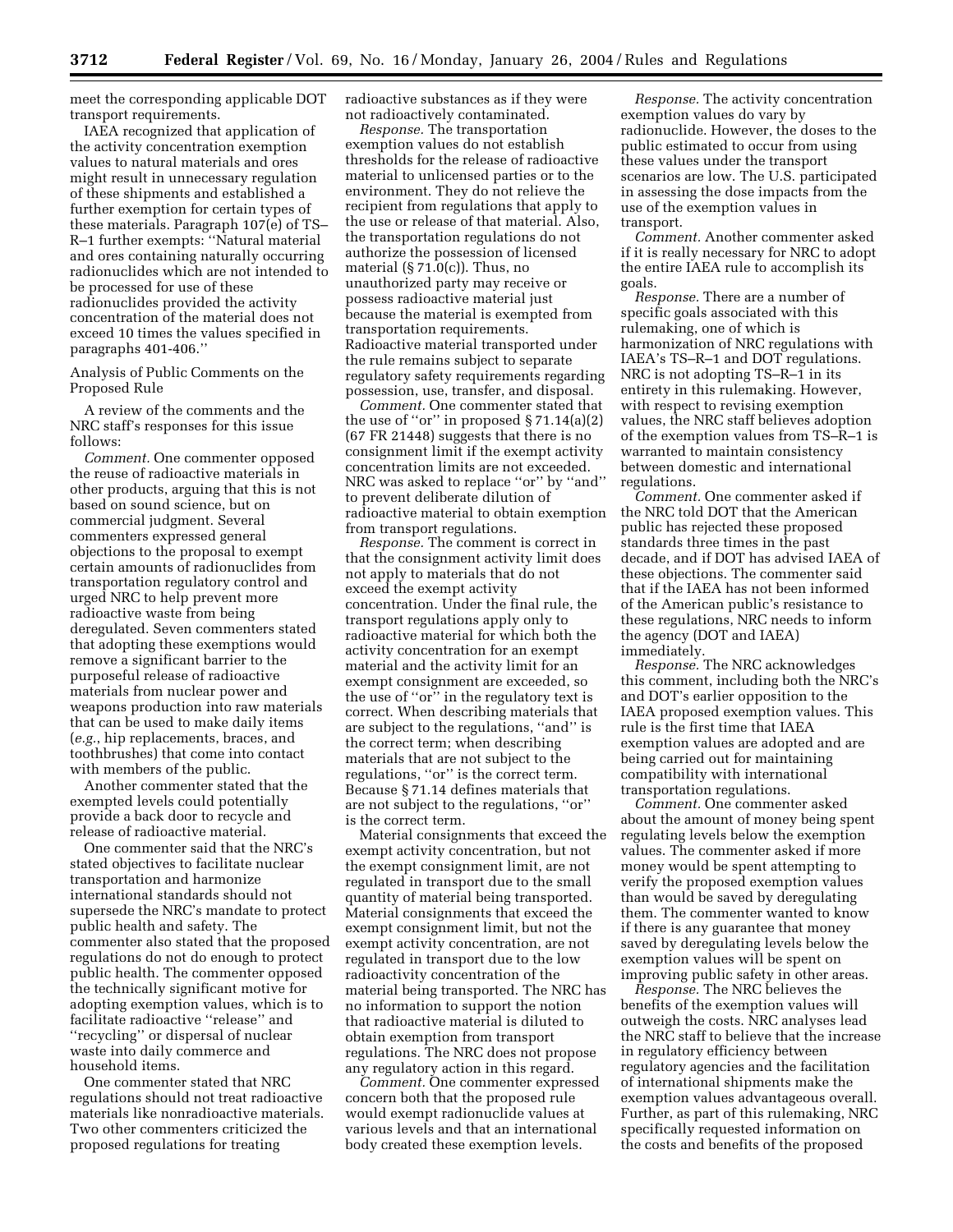meet the corresponding applicable DOT transport requirements.

IAEA recognized that application of the activity concentration exemption values to natural materials and ores might result in unnecessary regulation of these shipments and established a further exemption for certain types of these materials. Paragraph 107(e) of TS– R–1 further exempts: ''Natural material and ores containing naturally occurring radionuclides which are not intended to be processed for use of these radionuclides provided the activity concentration of the material does not exceed 10 times the values specified in paragraphs 401-406.''

Analysis of Public Comments on the Proposed Rule

A review of the comments and the NRC staff's responses for this issue follows:

*Comment.* One commenter opposed the reuse of radioactive materials in other products, arguing that this is not based on sound science, but on commercial judgment. Several commenters expressed general objections to the proposal to exempt certain amounts of radionuclides from transportation regulatory control and urged NRC to help prevent more radioactive waste from being deregulated. Seven commenters stated that adopting these exemptions would remove a significant barrier to the purposeful release of radioactive materials from nuclear power and weapons production into raw materials that can be used to make daily items (*e.g.*, hip replacements, braces, and toothbrushes) that come into contact with members of the public.

Another commenter stated that the exempted levels could potentially provide a back door to recycle and release of radioactive material.

One commenter said that the NRC's stated objectives to facilitate nuclear transportation and harmonize international standards should not supersede the NRC's mandate to protect public health and safety. The commenter also stated that the proposed regulations do not do enough to protect public health. The commenter opposed the technically significant motive for adopting exemption values, which is to facilitate radioactive ''release'' and ''recycling'' or dispersal of nuclear waste into daily commerce and household items.

One commenter stated that NRC regulations should not treat radioactive materials like nonradioactive materials. Two other commenters criticized the proposed regulations for treating

radioactive substances as if they were not radioactively contaminated.

*Response.* The transportation exemption values do not establish thresholds for the release of radioactive material to unlicensed parties or to the environment. They do not relieve the recipient from regulations that apply to the use or release of that material. Also, the transportation regulations do not authorize the possession of licensed material  $(\S 71.0(c))$ . Thus, no unauthorized party may receive or possess radioactive material just because the material is exempted from transportation requirements. Radioactive material transported under the rule remains subject to separate regulatory safety requirements regarding possession, use, transfer, and disposal.

*Comment.* One commenter stated that the use of "or" in proposed  $\S 71.14(a)(2)$ (67 FR 21448) suggests that there is no consignment limit if the exempt activity concentration limits are not exceeded. NRC was asked to replace "or" by "and" to prevent deliberate dilution of radioactive material to obtain exemption from transport regulations.

*Response.* The comment is correct in that the consignment activity limit does not apply to materials that do not exceed the exempt activity concentration. Under the final rule, the transport regulations apply only to radioactive material for which both the activity concentration for an exempt material and the activity limit for an exempt consignment are exceeded, so the use of ''or'' in the regulatory text is correct. When describing materials that are subject to the regulations, ''and'' is the correct term; when describing materials that are not subject to the regulations, "or" is the correct term. Because § 71.14 defines materials that are not subject to the regulations, ''or'' is the correct term.

Material consignments that exceed the exempt activity concentration, but not the exempt consignment limit, are not regulated in transport due to the small quantity of material being transported. Material consignments that exceed the exempt consignment limit, but not the exempt activity concentration, are not regulated in transport due to the low radioactivity concentration of the material being transported. The NRC has no information to support the notion that radioactive material is diluted to obtain exemption from transport regulations. The NRC does not propose any regulatory action in this regard.

*Comment.* One commenter expressed concern both that the proposed rule would exempt radionuclide values at various levels and that an international body created these exemption levels.

*Response.* The activity concentration exemption values do vary by radionuclide. However, the doses to the public estimated to occur from using these values under the transport scenarios are low. The U.S. participated in assessing the dose impacts from the use of the exemption values in transport.

*Comment.* Another commenter asked if it is really necessary for NRC to adopt the entire IAEA rule to accomplish its goals.

*Response.* There are a number of specific goals associated with this rulemaking, one of which is harmonization of NRC regulations with IAEA's TS–R–1 and DOT regulations. NRC is not adopting  $TS-R-1$  in its entirety in this rulemaking. However, with respect to revising exemption values, the NRC staff believes adoption of the exemption values from TS–R–1 is warranted to maintain consistency between domestic and international regulations.

*Comment.* One commenter asked if the NRC told DOT that the American public has rejected these proposed standards three times in the past decade, and if DOT has advised IAEA of these objections. The commenter said that if the IAEA has not been informed of the American public's resistance to these regulations, NRC needs to inform the agency (DOT and IAEA) immediately.

*Response.* The NRC acknowledges this comment, including both the NRC's and DOT's earlier opposition to the IAEA proposed exemption values. This rule is the first time that IAEA exemption values are adopted and are being carried out for maintaining compatibility with international transportation regulations.

*Comment.* One commenter asked about the amount of money being spent regulating levels below the exemption values. The commenter asked if more money would be spent attempting to verify the proposed exemption values than would be saved by deregulating them. The commenter wanted to know if there is any guarantee that money saved by deregulating levels below the exemption values will be spent on improving public safety in other areas.

*Response.* The NRC believes the benefits of the exemption values will outweigh the costs. NRC analyses lead the NRC staff to believe that the increase in regulatory efficiency between regulatory agencies and the facilitation of international shipments make the exemption values advantageous overall. Further, as part of this rulemaking, NRC specifically requested information on the costs and benefits of the proposed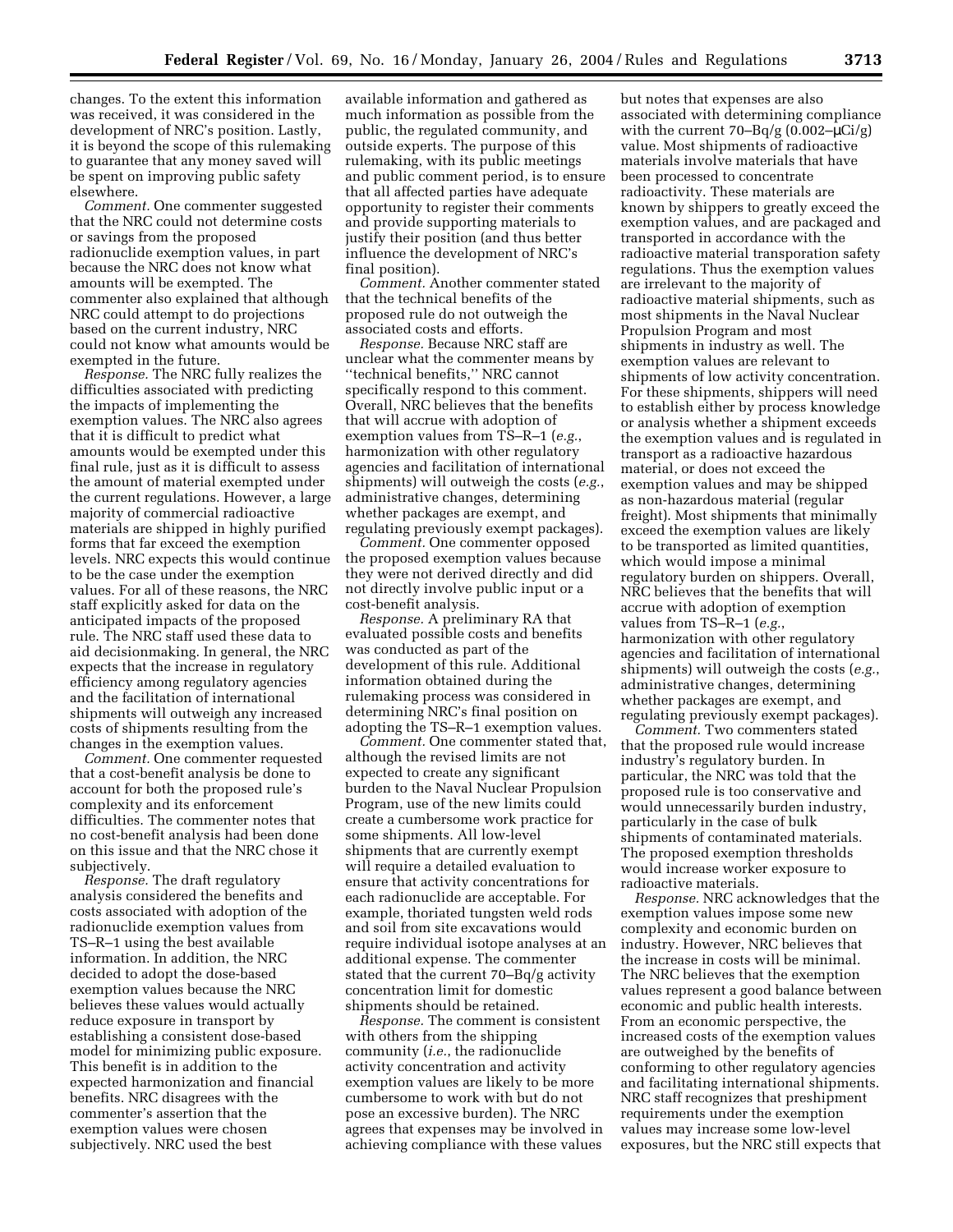changes. To the extent this information was received, it was considered in the development of NRC's position. Lastly, it is beyond the scope of this rulemaking to guarantee that any money saved will be spent on improving public safety elsewhere.

*Comment.* One commenter suggested that the NRC could not determine costs or savings from the proposed radionuclide exemption values, in part because the NRC does not know what amounts will be exempted. The commenter also explained that although NRC could attempt to do projections based on the current industry, NRC could not know what amounts would be exempted in the future.

*Response.* The NRC fully realizes the difficulties associated with predicting the impacts of implementing the exemption values. The NRC also agrees that it is difficult to predict what amounts would be exempted under this final rule, just as it is difficult to assess the amount of material exempted under the current regulations. However, a large majority of commercial radioactive materials are shipped in highly purified forms that far exceed the exemption levels. NRC expects this would continue to be the case under the exemption values. For all of these reasons, the NRC staff explicitly asked for data on the anticipated impacts of the proposed rule. The NRC staff used these data to aid decisionmaking. In general, the NRC expects that the increase in regulatory efficiency among regulatory agencies and the facilitation of international shipments will outweigh any increased costs of shipments resulting from the changes in the exemption values.

*Comment.* One commenter requested that a cost-benefit analysis be done to account for both the proposed rule's complexity and its enforcement difficulties. The commenter notes that no cost-benefit analysis had been done on this issue and that the NRC chose it subjectively.

*Response.* The draft regulatory analysis considered the benefits and costs associated with adoption of the radionuclide exemption values from TS–R–1 using the best available information. In addition, the NRC decided to adopt the dose-based exemption values because the NRC believes these values would actually reduce exposure in transport by establishing a consistent dose-based model for minimizing public exposure. This benefit is in addition to the expected harmonization and financial benefits. NRC disagrees with the commenter's assertion that the exemption values were chosen subjectively. NRC used the best

available information and gathered as much information as possible from the public, the regulated community, and outside experts. The purpose of this rulemaking, with its public meetings and public comment period, is to ensure that all affected parties have adequate opportunity to register their comments and provide supporting materials to justify their position (and thus better influence the development of NRC's final position).

*Comment.* Another commenter stated that the technical benefits of the proposed rule do not outweigh the associated costs and efforts.

*Response.* Because NRC staff are unclear what the commenter means by ''technical benefits,'' NRC cannot specifically respond to this comment. Overall, NRC believes that the benefits that will accrue with adoption of exemption values from TS–R–1 (*e.g.*, harmonization with other regulatory agencies and facilitation of international shipments) will outweigh the costs (*e.g.*, administrative changes, determining whether packages are exempt, and regulating previously exempt packages).

*Comment.* One commenter opposed the proposed exemption values because they were not derived directly and did not directly involve public input or a cost-benefit analysis.

*Response.* A preliminary RA that evaluated possible costs and benefits was conducted as part of the development of this rule. Additional information obtained during the rulemaking process was considered in determining NRC's final position on adopting the TS–R–1 exemption values.

*Comment.* One commenter stated that, although the revised limits are not expected to create any significant burden to the Naval Nuclear Propulsion Program, use of the new limits could create a cumbersome work practice for some shipments. All low-level shipments that are currently exempt will require a detailed evaluation to ensure that activity concentrations for each radionuclide are acceptable. For example, thoriated tungsten weld rods and soil from site excavations would require individual isotope analyses at an additional expense. The commenter stated that the current 70–Bq/g activity concentration limit for domestic shipments should be retained.

*Response.* The comment is consistent with others from the shipping community (*i.e.*, the radionuclide activity concentration and activity exemption values are likely to be more cumbersome to work with but do not pose an excessive burden). The NRC agrees that expenses may be involved in achieving compliance with these values

but notes that expenses are also associated with determining compliance with the current  $70 - Bq/g (0.002 - \mu Ci/g)$ value. Most shipments of radioactive materials involve materials that have been processed to concentrate radioactivity. These materials are known by shippers to greatly exceed the exemption values, and are packaged and transported in accordance with the radioactive material transporation safety regulations. Thus the exemption values are irrelevant to the majority of radioactive material shipments, such as most shipments in the Naval Nuclear Propulsion Program and most shipments in industry as well. The exemption values are relevant to shipments of low activity concentration. For these shipments, shippers will need to establish either by process knowledge or analysis whether a shipment exceeds the exemption values and is regulated in transport as a radioactive hazardous material, or does not exceed the exemption values and may be shipped as non-hazardous material (regular freight). Most shipments that minimally exceed the exemption values are likely to be transported as limited quantities, which would impose a minimal regulatory burden on shippers. Overall, NRC believes that the benefits that will accrue with adoption of exemption values from TS–R–1 (*e.g.*, harmonization with other regulatory agencies and facilitation of international shipments) will outweigh the costs (*e.g.*, administrative changes, determining whether packages are exempt, and regulating previously exempt packages).

*Comment.* Two commenters stated that the proposed rule would increase industry's regulatory burden. In particular, the NRC was told that the proposed rule is too conservative and would unnecessarily burden industry, particularly in the case of bulk shipments of contaminated materials. The proposed exemption thresholds would increase worker exposure to radioactive materials.

*Response.* NRC acknowledges that the exemption values impose some new complexity and economic burden on industry. However, NRC believes that the increase in costs will be minimal. The NRC believes that the exemption values represent a good balance between economic and public health interests. From an economic perspective, the increased costs of the exemption values are outweighed by the benefits of conforming to other regulatory agencies and facilitating international shipments. NRC staff recognizes that preshipment requirements under the exemption values may increase some low-level exposures, but the NRC still expects that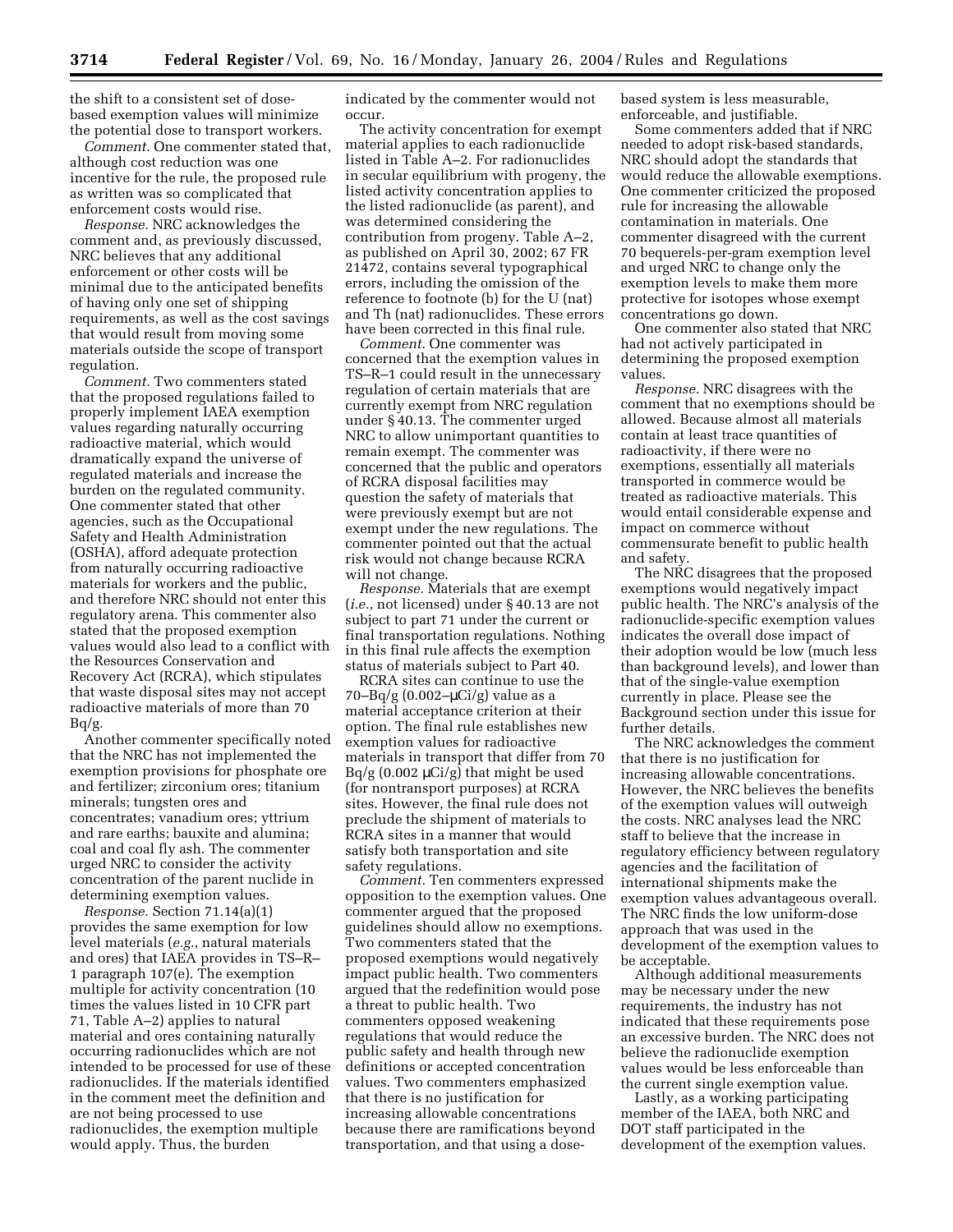the shift to a consistent set of dosebased exemption values will minimize the potential dose to transport workers.

*Comment.* One commenter stated that, although cost reduction was one incentive for the rule, the proposed rule as written was so complicated that enforcement costs would rise.

*Response.* NRC acknowledges the comment and, as previously discussed, NRC believes that any additional enforcement or other costs will be minimal due to the anticipated benefits of having only one set of shipping requirements, as well as the cost savings that would result from moving some materials outside the scope of transport regulation.

*Comment.* Two commenters stated that the proposed regulations failed to properly implement IAEA exemption values regarding naturally occurring radioactive material, which would dramatically expand the universe of regulated materials and increase the burden on the regulated community. One commenter stated that other agencies, such as the Occupational Safety and Health Administration (OSHA), afford adequate protection from naturally occurring radioactive materials for workers and the public, and therefore NRC should not enter this regulatory arena. This commenter also stated that the proposed exemption values would also lead to a conflict with the Resources Conservation and Recovery Act (RCRA), which stipulates that waste disposal sites may not accept radioactive materials of more than 70  $Bq/g$ .

Another commenter specifically noted that the NRC has not implemented the exemption provisions for phosphate ore and fertilizer; zirconium ores; titanium minerals; tungsten ores and concentrates; vanadium ores; yttrium and rare earths; bauxite and alumina; coal and coal fly ash. The commenter urged NRC to consider the activity concentration of the parent nuclide in determining exemption values.

*Response.* Section 71.14(a)(1) provides the same exemption for low level materials (*e.g.*, natural materials and ores) that IAEA provides in TS–R– 1 paragraph 107(e). The exemption multiple for activity concentration (10 times the values listed in 10 CFR part 71, Table A–2) applies to natural material and ores containing naturally occurring radionuclides which are not intended to be processed for use of these radionuclides. If the materials identified in the comment meet the definition and are not being processed to use radionuclides, the exemption multiple would apply. Thus, the burden

indicated by the commenter would not occur.

The activity concentration for exempt material applies to each radionuclide listed in Table A–2. For radionuclides in secular equilibrium with progeny, the listed activity concentration applies to the listed radionuclide (as parent), and was determined considering the contribution from progeny. Table A–2, as published on April 30, 2002; 67 FR 21472, contains several typographical errors, including the omission of the reference to footnote (b) for the U (nat) and Th (nat) radionuclides. These errors have been corrected in this final rule.

*Comment.* One commenter was concerned that the exemption values in TS–R–1 could result in the unnecessary regulation of certain materials that are currently exempt from NRC regulation under § 40.13. The commenter urged NRC to allow unimportant quantities to remain exempt. The commenter was concerned that the public and operators of RCRA disposal facilities may question the safety of materials that were previously exempt but are not exempt under the new regulations. The commenter pointed out that the actual risk would not change because RCRA will not change.

*Response.* Materials that are exempt (*i.e.*, not licensed) under § 40.13 are not subject to part 71 under the current or final transportation regulations. Nothing in this final rule affects the exemption status of materials subject to Part 40.

RCRA sites can continue to use the 70–Bq/g  $(0.002 - \mu\text{Ci/g})$  value as a material acceptance criterion at their option. The final rule establishes new exemption values for radioactive materials in transport that differ from 70  $Bq/g$  (0.002  $\mu$ Ci/g) that might be used (for nontransport purposes) at RCRA sites. However, the final rule does not preclude the shipment of materials to RCRA sites in a manner that would satisfy both transportation and site safety regulations.

*Comment.* Ten commenters expressed opposition to the exemption values. One commenter argued that the proposed guidelines should allow no exemptions. Two commenters stated that the proposed exemptions would negatively impact public health. Two commenters argued that the redefinition would pose a threat to public health. Two commenters opposed weakening regulations that would reduce the public safety and health through new definitions or accepted concentration values. Two commenters emphasized that there is no justification for increasing allowable concentrations because there are ramifications beyond transportation, and that using a dosebased system is less measurable, enforceable, and justifiable.

Some commenters added that if NRC needed to adopt risk-based standards, NRC should adopt the standards that would reduce the allowable exemptions. One commenter criticized the proposed rule for increasing the allowable contamination in materials. One commenter disagreed with the current 70 bequerels-per-gram exemption level and urged NRC to change only the exemption levels to make them more protective for isotopes whose exempt concentrations go down.

One commenter also stated that NRC had not actively participated in determining the proposed exemption values.

*Response.* NRC disagrees with the comment that no exemptions should be allowed. Because almost all materials contain at least trace quantities of radioactivity, if there were no exemptions, essentially all materials transported in commerce would be treated as radioactive materials. This would entail considerable expense and impact on commerce without commensurate benefit to public health and safety.

The NRC disagrees that the proposed exemptions would negatively impact public health. The NRC's analysis of the radionuclide-specific exemption values indicates the overall dose impact of their adoption would be low (much less than background levels), and lower than that of the single-value exemption currently in place. Please see the Background section under this issue for further details.

The NRC acknowledges the comment that there is no justification for increasing allowable concentrations. However, the NRC believes the benefits of the exemption values will outweigh the costs. NRC analyses lead the NRC staff to believe that the increase in regulatory efficiency between regulatory agencies and the facilitation of international shipments make the exemption values advantageous overall. The NRC finds the low uniform-dose approach that was used in the development of the exemption values to be acceptable.

Although additional measurements may be necessary under the new requirements, the industry has not indicated that these requirements pose an excessive burden. The NRC does not believe the radionuclide exemption values would be less enforceable than the current single exemption value.

Lastly, as a working participating member of the IAEA, both NRC and DOT staff participated in the development of the exemption values.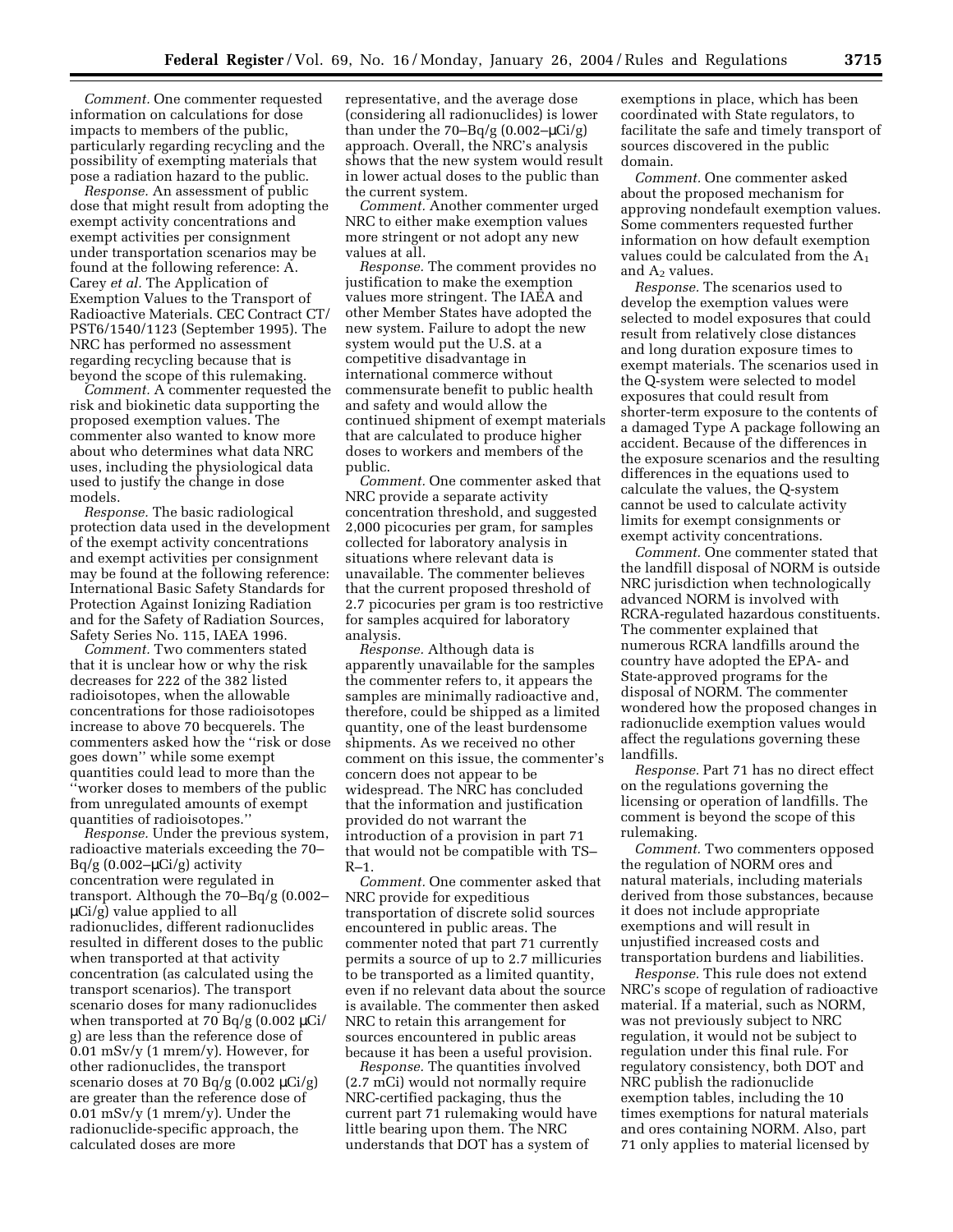*Comment.* One commenter requested information on calculations for dose impacts to members of the public, particularly regarding recycling and the possibility of exempting materials that pose a radiation hazard to the public.

*Response.* An assessment of public dose that might result from adopting the exempt activity concentrations and exempt activities per consignment under transportation scenarios may be found at the following reference: A. Carey *et al.* The Application of Exemption Values to the Transport of Radioactive Materials. CEC Contract CT/ PST6/1540/1123 (September 1995). The NRC has performed no assessment regarding recycling because that is beyond the scope of this rulemaking.

*Comment.* A commenter requested the risk and biokinetic data supporting the proposed exemption values. The commenter also wanted to know more about who determines what data NRC uses, including the physiological data used to justify the change in dose models.

*Response.* The basic radiological protection data used in the development of the exempt activity concentrations and exempt activities per consignment may be found at the following reference: International Basic Safety Standards for Protection Against Ionizing Radiation and for the Safety of Radiation Sources, Safety Series No. 115, IAEA 1996.

*Comment.* Two commenters stated that it is unclear how or why the risk decreases for 222 of the 382 listed radioisotopes, when the allowable concentrations for those radioisotopes increase to above 70 becquerels. The commenters asked how the ''risk or dose goes down'' while some exempt quantities could lead to more than the ''worker doses to members of the public from unregulated amounts of exempt quantities of radioisotopes.''

*Response.* Under the previous system, radioactive materials exceeding the 70–  $Bq/g$  (0.002– $\mu$ Ci/g) activity concentration were regulated in transport. Although the 70–Bq/g (0.002– µCi/g) value applied to all radionuclides, different radionuclides resulted in different doses to the public when transported at that activity concentration (as calculated using the transport scenarios). The transport scenario doses for many radionuclides when transported at 70 Bq/g (0.002 µCi/ g) are less than the reference dose of 0.01 mSv/y (1 mrem/y). However, for other radionuclides, the transport scenario doses at 70  $Bq/g$  (0.002  $\mu$ Ci/g) are greater than the reference dose of 0.01 mSv/y (1 mrem/y). Under the radionuclide-specific approach, the calculated doses are more

representative, and the average dose (considering all radionuclides) is lower than under the  $70 - Bq/g (0.002 - \mu Ci/g)$ approach. Overall, the NRC's analysis shows that the new system would result in lower actual doses to the public than the current system.

*Comment.* Another commenter urged NRC to either make exemption values more stringent or not adopt any new values at all.

*Response.* The comment provides no justification to make the exemption values more stringent. The IAEA and other Member States have adopted the new system. Failure to adopt the new system would put the U.S. at a competitive disadvantage in international commerce without commensurate benefit to public health and safety and would allow the continued shipment of exempt materials that are calculated to produce higher doses to workers and members of the public.

*Comment.* One commenter asked that NRC provide a separate activity concentration threshold, and suggested 2,000 picocuries per gram, for samples collected for laboratory analysis in situations where relevant data is unavailable. The commenter believes that the current proposed threshold of 2.7 picocuries per gram is too restrictive for samples acquired for laboratory analysis.

*Response.* Although data is apparently unavailable for the samples the commenter refers to, it appears the samples are minimally radioactive and, therefore, could be shipped as a limited quantity, one of the least burdensome shipments. As we received no other comment on this issue, the commenter's concern does not appear to be widespread. The NRC has concluded that the information and justification provided do not warrant the introduction of a provision in part 71 that would not be compatible with TS– R–1.

*Comment.* One commenter asked that NRC provide for expeditious transportation of discrete solid sources encountered in public areas. The commenter noted that part 71 currently permits a source of up to 2.7 millicuries to be transported as a limited quantity, even if no relevant data about the source is available. The commenter then asked NRC to retain this arrangement for sources encountered in public areas because it has been a useful provision.

*Response.* The quantities involved (2.7 mCi) would not normally require NRC-certified packaging, thus the current part 71 rulemaking would have little bearing upon them. The NRC understands that DOT has a system of

exemptions in place, which has been coordinated with State regulators, to facilitate the safe and timely transport of sources discovered in the public domain.

*Comment.* One commenter asked about the proposed mechanism for approving nondefault exemption values. Some commenters requested further information on how default exemption values could be calculated from the  $A_1$ and  $A_2$  values.

*Response.* The scenarios used to develop the exemption values were selected to model exposures that could result from relatively close distances and long duration exposure times to exempt materials. The scenarios used in the Q-system were selected to model exposures that could result from shorter-term exposure to the contents of a damaged Type A package following an accident. Because of the differences in the exposure scenarios and the resulting differences in the equations used to calculate the values, the Q-system cannot be used to calculate activity limits for exempt consignments or exempt activity concentrations.

*Comment.* One commenter stated that the landfill disposal of NORM is outside NRC jurisdiction when technologically advanced NORM is involved with RCRA-regulated hazardous constituents. The commenter explained that numerous RCRA landfills around the country have adopted the EPA- and State-approved programs for the disposal of NORM. The commenter wondered how the proposed changes in radionuclide exemption values would affect the regulations governing these landfills.

*Response.* Part 71 has no direct effect on the regulations governing the licensing or operation of landfills. The comment is beyond the scope of this rulemaking.

*Comment.* Two commenters opposed the regulation of NORM ores and natural materials, including materials derived from those substances, because it does not include appropriate exemptions and will result in unjustified increased costs and transportation burdens and liabilities.

*Response.* This rule does not extend NRC's scope of regulation of radioactive material. If a material, such as NORM, was not previously subject to NRC regulation, it would not be subject to regulation under this final rule. For regulatory consistency, both DOT and NRC publish the radionuclide exemption tables, including the 10 times exemptions for natural materials and ores containing NORM. Also, part 71 only applies to material licensed by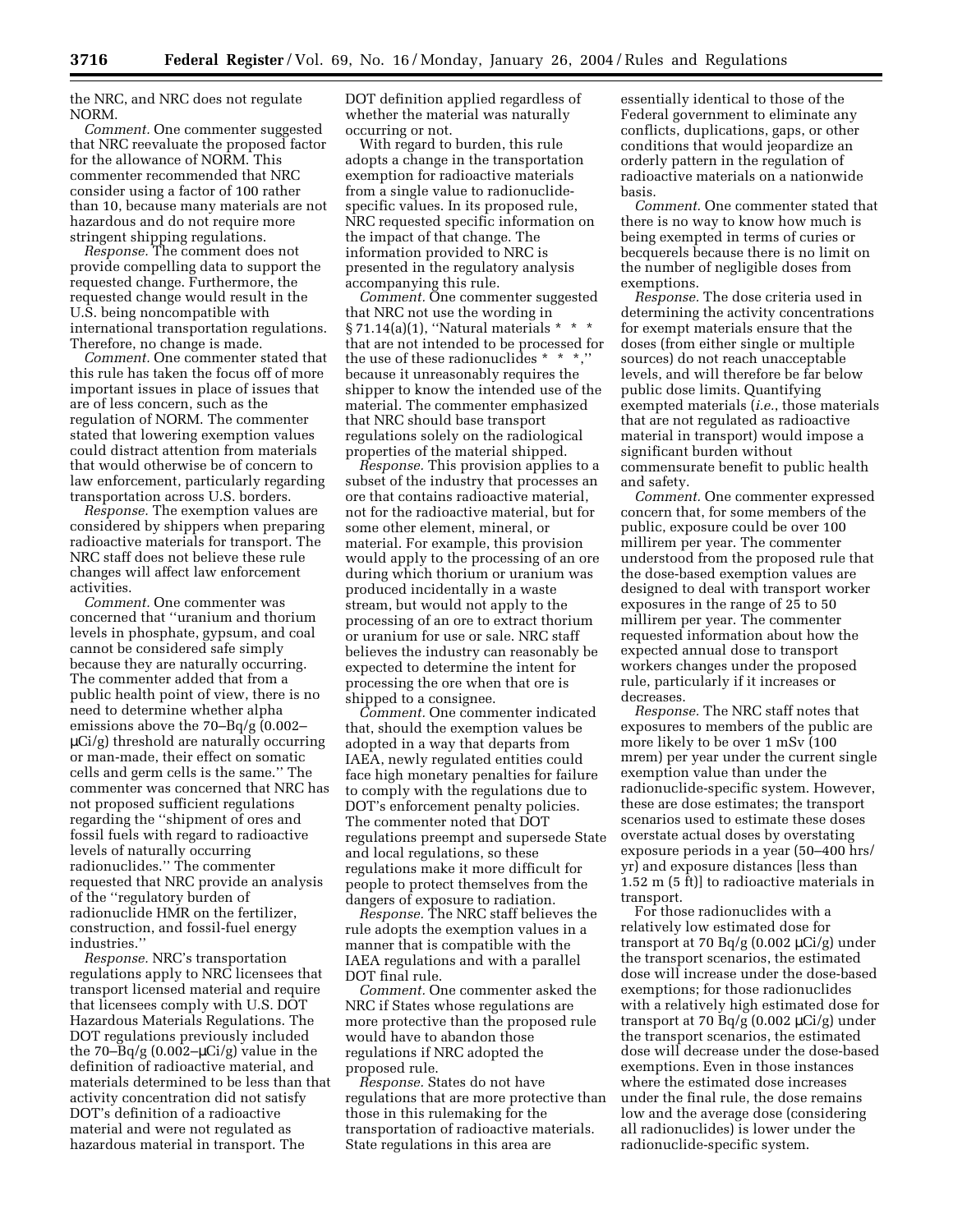the NRC, and NRC does not regulate NORM.

*Comment.* One commenter suggested that NRC reevaluate the proposed factor for the allowance of NORM. This commenter recommended that NRC consider using a factor of 100 rather than 10, because many materials are not hazardous and do not require more stringent shipping regulations.

*Response.* The comment does not provide compelling data to support the requested change. Furthermore, the requested change would result in the U.S. being noncompatible with international transportation regulations. Therefore, no change is made.

*Comment.* One commenter stated that this rule has taken the focus off of more important issues in place of issues that are of less concern, such as the regulation of NORM. The commenter stated that lowering exemption values could distract attention from materials that would otherwise be of concern to law enforcement, particularly regarding transportation across U.S. borders.

*Response.* The exemption values are considered by shippers when preparing radioactive materials for transport. The NRC staff does not believe these rule changes will affect law enforcement activities.

*Comment.* One commenter was concerned that ''uranium and thorium levels in phosphate, gypsum, and coal cannot be considered safe simply because they are naturally occurring. The commenter added that from a public health point of view, there is no need to determine whether alpha emissions above the 70–Bq/g (0.002– µCi/g) threshold are naturally occurring or man-made, their effect on somatic cells and germ cells is the same.'' The commenter was concerned that NRC has not proposed sufficient regulations regarding the ''shipment of ores and fossil fuels with regard to radioactive levels of naturally occurring radionuclides.'' The commenter requested that NRC provide an analysis of the ''regulatory burden of radionuclide HMR on the fertilizer, construction, and fossil-fuel energy industries.''

*Response.* NRC's transportation regulations apply to NRC licensees that transport licensed material and require that licensees comply with U.S. DOT Hazardous Materials Regulations. The DOT regulations previously included the 70–Bq/g  $(0.002-\mu\text{Ci/g})$  value in the definition of radioactive material, and materials determined to be less than that activity concentration did not satisfy DOT's definition of a radioactive material and were not regulated as hazardous material in transport. The

DOT definition applied regardless of whether the material was naturally occurring or not.

With regard to burden, this rule adopts a change in the transportation exemption for radioactive materials from a single value to radionuclidespecific values. In its proposed rule, NRC requested specific information on the impact of that change. The information provided to NRC is presented in the regulatory analysis accompanying this rule.

*Comment.* One commenter suggested that NRC not use the wording in  $§ 71.14(a)(1)$ , "Natural materials  $*$  \* that are not intended to be processed for the use of these radionuclides \* \* \*,' because it unreasonably requires the shipper to know the intended use of the material. The commenter emphasized that NRC should base transport regulations solely on the radiological properties of the material shipped.

*Response.* This provision applies to a subset of the industry that processes an ore that contains radioactive material, not for the radioactive material, but for some other element, mineral, or material. For example, this provision would apply to the processing of an ore during which thorium or uranium was produced incidentally in a waste stream, but would not apply to the processing of an ore to extract thorium or uranium for use or sale. NRC staff believes the industry can reasonably be expected to determine the intent for processing the ore when that ore is shipped to a consignee.

*Comment.* One commenter indicated that, should the exemption values be adopted in a way that departs from IAEA, newly regulated entities could face high monetary penalties for failure to comply with the regulations due to DOT's enforcement penalty policies. The commenter noted that DOT regulations preempt and supersede State and local regulations, so these regulations make it more difficult for people to protect themselves from the dangers of exposure to radiation.

*Response.* The NRC staff believes the rule adopts the exemption values in a manner that is compatible with the IAEA regulations and with a parallel DOT final rule.

*Comment.* One commenter asked the NRC if States whose regulations are more protective than the proposed rule would have to abandon those regulations if NRC adopted the proposed rule.

*Response.* States do not have regulations that are more protective than those in this rulemaking for the transportation of radioactive materials. State regulations in this area are

essentially identical to those of the Federal government to eliminate any conflicts, duplications, gaps, or other conditions that would jeopardize an orderly pattern in the regulation of radioactive materials on a nationwide basis.

*Comment.* One commenter stated that there is no way to know how much is being exempted in terms of curies or becquerels because there is no limit on the number of negligible doses from exemptions.

*Response.* The dose criteria used in determining the activity concentrations for exempt materials ensure that the doses (from either single or multiple sources) do not reach unacceptable levels, and will therefore be far below public dose limits. Quantifying exempted materials (*i.e.*, those materials that are not regulated as radioactive material in transport) would impose a significant burden without commensurate benefit to public health and safety.

*Comment.* One commenter expressed concern that, for some members of the public, exposure could be over 100 millirem per year. The commenter understood from the proposed rule that the dose-based exemption values are designed to deal with transport worker exposures in the range of 25 to 50 millirem per year. The commenter requested information about how the expected annual dose to transport workers changes under the proposed rule, particularly if it increases or decreases.

*Response.* The NRC staff notes that exposures to members of the public are more likely to be over 1 mSv (100 mrem) per year under the current single exemption value than under the radionuclide-specific system. However, these are dose estimates; the transport scenarios used to estimate these doses overstate actual doses by overstating exposure periods in a year (50–400 hrs/ yr) and exposure distances [less than 1.52 m (5 ft)] to radioactive materials in transport.

For those radionuclides with a relatively low estimated dose for transport at 70  $Bq/g$  (0.002  $\mu$ Ci/g) under the transport scenarios, the estimated dose will increase under the dose-based exemptions; for those radionuclides with a relatively high estimated dose for transport at 70 Bq/g (0.002 µCi/g) under the transport scenarios, the estimated dose will decrease under the dose-based exemptions. Even in those instances where the estimated dose increases under the final rule, the dose remains low and the average dose (considering all radionuclides) is lower under the radionuclide-specific system.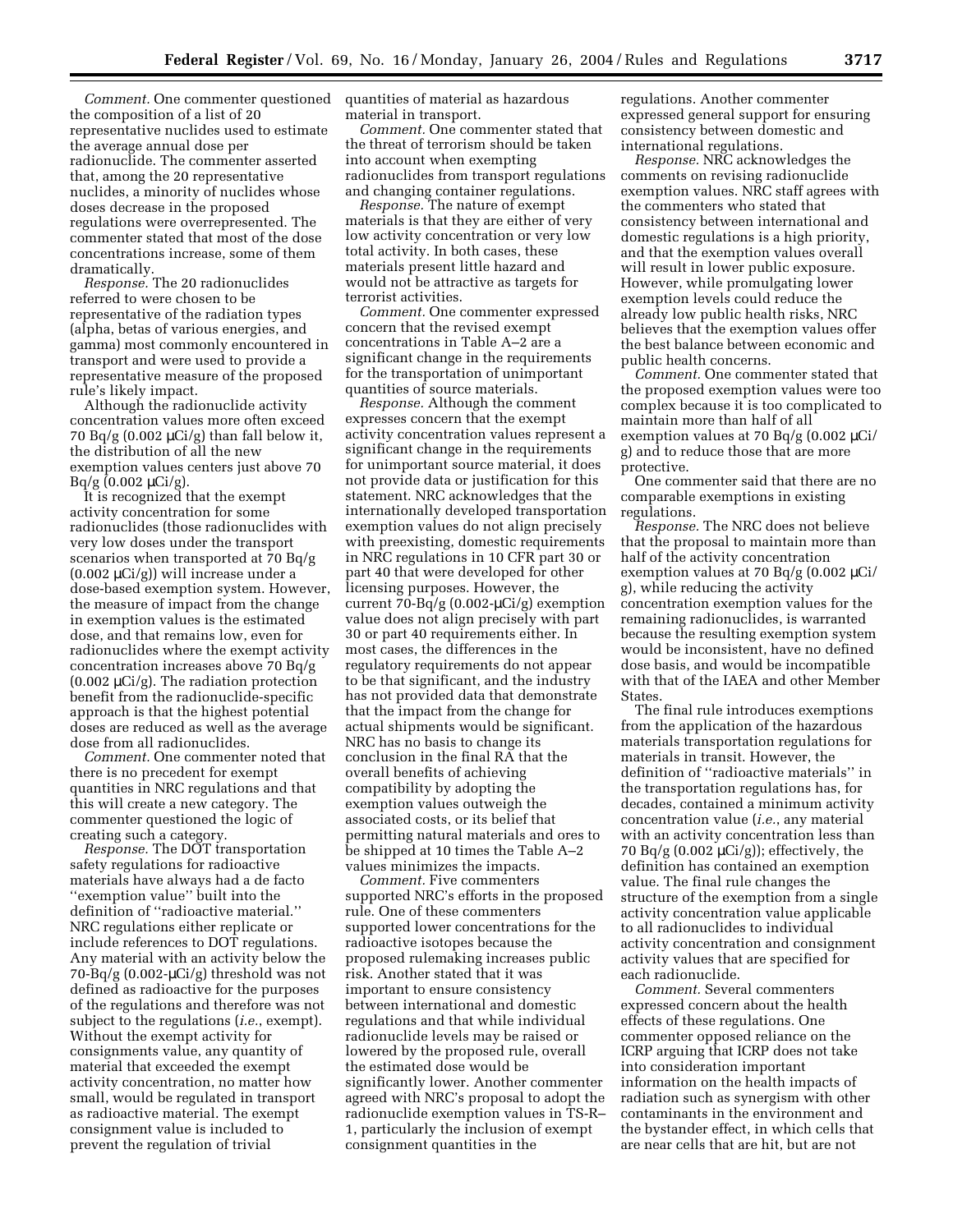*Comment.* One commenter questioned the composition of a list of 20 representative nuclides used to estimate the average annual dose per radionuclide. The commenter asserted that, among the 20 representative nuclides, a minority of nuclides whose doses decrease in the proposed regulations were overrepresented. The commenter stated that most of the dose concentrations increase, some of them dramatically.

*Response.* The 20 radionuclides referred to were chosen to be representative of the radiation types (alpha, betas of various energies, and gamma) most commonly encountered in transport and were used to provide a representative measure of the proposed rule's likely impact.

Although the radionuclide activity concentration values more often exceed 70  $Bq/g$  (0.002  $\mu$ Ci/g) than fall below it, the distribution of all the new exemption values centers just above 70  $Bq/g$  (0.002  $\mu$ Ci/g).

It is recognized that the exempt activity concentration for some radionuclides (those radionuclides with very low doses under the transport scenarios when transported at 70 Bq/g  $(0.002 \mu\text{Ci/g})$  will increase under a dose-based exemption system. However, the measure of impact from the change in exemption values is the estimated dose, and that remains low, even for radionuclides where the exempt activity concentration increases above 70 Bq/g  $(0.002 \mu \text{Ci/g})$ . The radiation protection benefit from the radionuclide-specific approach is that the highest potential doses are reduced as well as the average dose from all radionuclides.

*Comment.* One commenter noted that there is no precedent for exempt quantities in NRC regulations and that this will create a new category. The commenter questioned the logic of creating such a category.

*Response.* The DOT transportation safety regulations for radioactive materials have always had a de facto ''exemption value'' built into the definition of ''radioactive material.'' NRC regulations either replicate or include references to DOT regulations. Any material with an activity below the 70-Bq/g (0.002-µCi/g) threshold was not defined as radioactive for the purposes of the regulations and therefore was not subject to the regulations (*i.e.*, exempt). Without the exempt activity for consignments value, any quantity of material that exceeded the exempt activity concentration, no matter how small, would be regulated in transport as radioactive material. The exempt consignment value is included to prevent the regulation of trivial

quantities of material as hazardous material in transport.

*Comment.* One commenter stated that the threat of terrorism should be taken into account when exempting radionuclides from transport regulations and changing container regulations.

*Response.* The nature of exempt materials is that they are either of very low activity concentration or very low total activity. In both cases, these materials present little hazard and would not be attractive as targets for terrorist activities.

*Comment.* One commenter expressed concern that the revised exempt concentrations in Table A–2 are a significant change in the requirements for the transportation of unimportant quantities of source materials.

*Response.* Although the comment expresses concern that the exempt activity concentration values represent a significant change in the requirements for unimportant source material, it does not provide data or justification for this statement. NRC acknowledges that the internationally developed transportation exemption values do not align precisely with preexisting, domestic requirements in NRC regulations in 10 CFR part 30 or part 40 that were developed for other licensing purposes. However, the current 70-Bq/g (0.002-µCi/g) exemption value does not align precisely with part 30 or part 40 requirements either. In most cases, the differences in the regulatory requirements do not appear to be that significant, and the industry has not provided data that demonstrate that the impact from the change for actual shipments would be significant. NRC has no basis to change its conclusion in the final RA that the overall benefits of achieving compatibility by adopting the exemption values outweigh the associated costs, or its belief that permitting natural materials and ores to be shipped at 10 times the Table A–2 values minimizes the impacts.

*Comment.* Five commenters supported NRC's efforts in the proposed rule. One of these commenters supported lower concentrations for the radioactive isotopes because the proposed rulemaking increases public risk. Another stated that it was important to ensure consistency between international and domestic regulations and that while individual radionuclide levels may be raised or lowered by the proposed rule, overall the estimated dose would be significantly lower. Another commenter agreed with NRC's proposal to adopt the radionuclide exemption values in TS-R– 1, particularly the inclusion of exempt consignment quantities in the

regulations. Another commenter expressed general support for ensuring consistency between domestic and international regulations.

*Response.* NRC acknowledges the comments on revising radionuclide exemption values. NRC staff agrees with the commenters who stated that consistency between international and domestic regulations is a high priority, and that the exemption values overall will result in lower public exposure. However, while promulgating lower exemption levels could reduce the already low public health risks, NRC believes that the exemption values offer the best balance between economic and public health concerns.

*Comment.* One commenter stated that the proposed exemption values were too complex because it is too complicated to maintain more than half of all exemption values at 70 Bq/g (0.002 µCi/ g) and to reduce those that are more protective.

One commenter said that there are no comparable exemptions in existing regulations.

*Response.* The NRC does not believe that the proposal to maintain more than half of the activity concentration exemption values at 70 Bq/g  $(0.002 \mu \text{Ci})$ g), while reducing the activity concentration exemption values for the remaining radionuclides, is warranted because the resulting exemption system would be inconsistent, have no defined dose basis, and would be incompatible with that of the IAEA and other Member States.

The final rule introduces exemptions from the application of the hazardous materials transportation regulations for materials in transit. However, the definition of ''radioactive materials'' in the transportation regulations has, for decades, contained a minimum activity concentration value (*i.e.*, any material with an activity concentration less than 70 Bq/g  $(0.002 \mu\text{Ci/g})$ ; effectively, the definition has contained an exemption value. The final rule changes the structure of the exemption from a single activity concentration value applicable to all radionuclides to individual activity concentration and consignment activity values that are specified for each radionuclide.

*Comment.* Several commenters expressed concern about the health effects of these regulations. One commenter opposed reliance on the ICRP arguing that ICRP does not take into consideration important information on the health impacts of radiation such as synergism with other contaminants in the environment and the bystander effect, in which cells that are near cells that are hit, but are not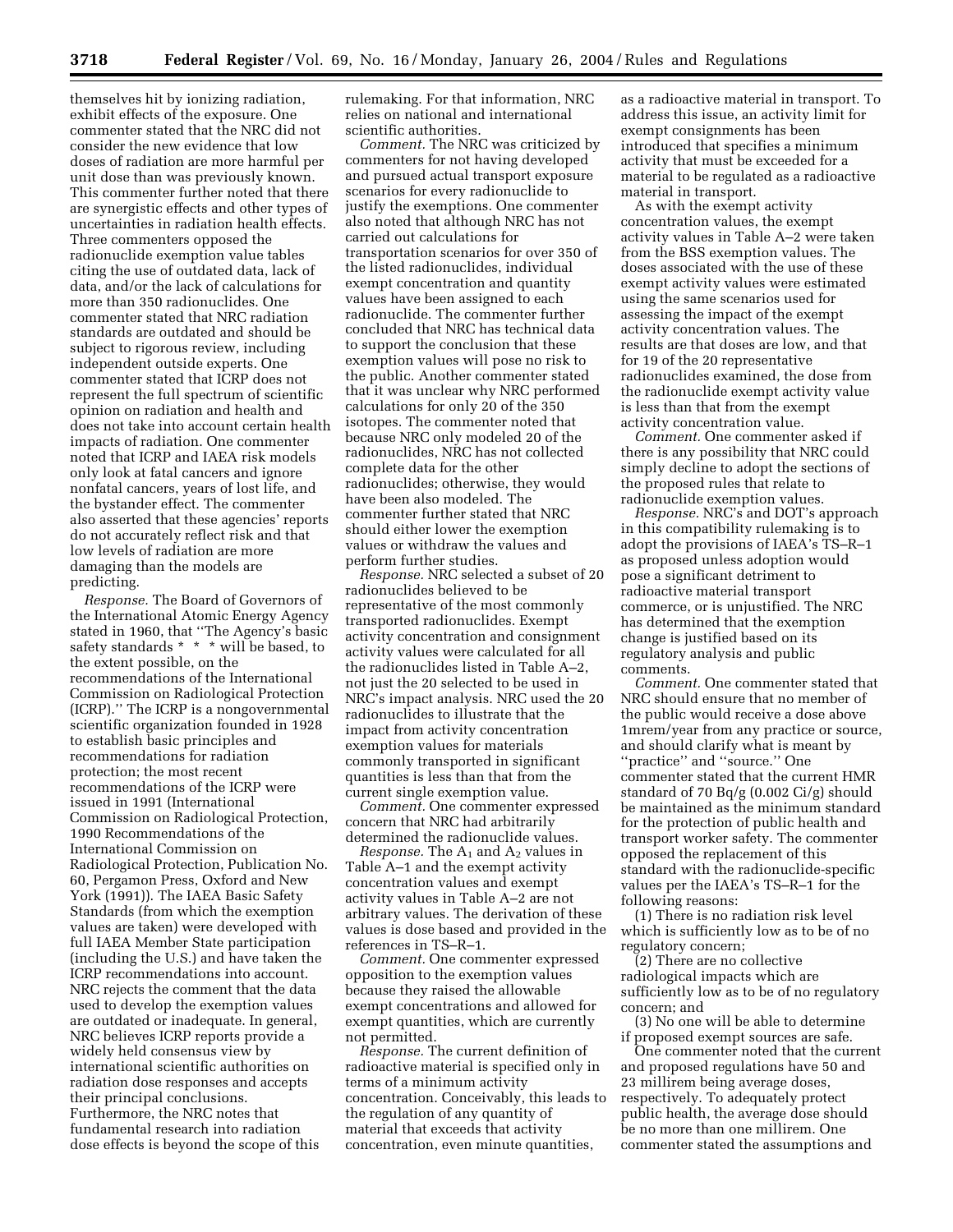themselves hit by ionizing radiation, exhibit effects of the exposure. One commenter stated that the NRC did not consider the new evidence that low doses of radiation are more harmful per unit dose than was previously known. This commenter further noted that there are synergistic effects and other types of uncertainties in radiation health effects. Three commenters opposed the radionuclide exemption value tables citing the use of outdated data, lack of data, and/or the lack of calculations for more than 350 radionuclides. One commenter stated that NRC radiation standards are outdated and should be subject to rigorous review, including independent outside experts. One commenter stated that ICRP does not represent the full spectrum of scientific opinion on radiation and health and does not take into account certain health impacts of radiation. One commenter noted that ICRP and IAEA risk models only look at fatal cancers and ignore nonfatal cancers, years of lost life, and the bystander effect. The commenter also asserted that these agencies' reports do not accurately reflect risk and that low levels of radiation are more damaging than the models are predicting.

*Response.* The Board of Governors of the International Atomic Energy Agency stated in 1960, that ''The Agency's basic safety standards \* \* \* will be based, to the extent possible, on the recommendations of the International Commission on Radiological Protection (ICRP).'' The ICRP is a nongovernmental scientific organization founded in 1928 to establish basic principles and recommendations for radiation protection; the most recent recommendations of the ICRP were issued in 1991 (International Commission on Radiological Protection, 1990 Recommendations of the International Commission on Radiological Protection, Publication No. 60, Pergamon Press, Oxford and New York (1991)). The IAEA Basic Safety Standards (from which the exemption values are taken) were developed with full IAEA Member State participation (including the U.S.) and have taken the ICRP recommendations into account. NRC rejects the comment that the data used to develop the exemption values are outdated or inadequate. In general, NRC believes ICRP reports provide a widely held consensus view by international scientific authorities on radiation dose responses and accepts their principal conclusions. Furthermore, the NRC notes that fundamental research into radiation dose effects is beyond the scope of this

rulemaking. For that information, NRC relies on national and international scientific authorities.

*Comment.* The NRC was criticized by commenters for not having developed and pursued actual transport exposure scenarios for every radionuclide to justify the exemptions. One commenter also noted that although NRC has not carried out calculations for transportation scenarios for over 350 of the listed radionuclides, individual exempt concentration and quantity values have been assigned to each radionuclide. The commenter further concluded that NRC has technical data to support the conclusion that these exemption values will pose no risk to the public. Another commenter stated that it was unclear why NRC performed calculations for only 20 of the 350 isotopes. The commenter noted that because NRC only modeled 20 of the radionuclides, NRC has not collected complete data for the other radionuclides; otherwise, they would have been also modeled. The commenter further stated that NRC should either lower the exemption values or withdraw the values and perform further studies.

*Response.* NRC selected a subset of 20 radionuclides believed to be representative of the most commonly transported radionuclides. Exempt activity concentration and consignment activity values were calculated for all the radionuclides listed in Table A–2, not just the 20 selected to be used in NRC's impact analysis. NRC used the 20 radionuclides to illustrate that the impact from activity concentration exemption values for materials commonly transported in significant quantities is less than that from the current single exemption value.

*Comment.* One commenter expressed concern that NRC had arbitrarily determined the radionuclide values.

*Response.* The  $A_1$  and  $A_2$  values in Table A–1 and the exempt activity concentration values and exempt activity values in Table A–2 are not arbitrary values. The derivation of these values is dose based and provided in the references in TS–R–1.

*Comment.* One commenter expressed opposition to the exemption values because they raised the allowable exempt concentrations and allowed for exempt quantities, which are currently not permitted.

*Response.* The current definition of radioactive material is specified only in terms of a minimum activity concentration. Conceivably, this leads to the regulation of any quantity of material that exceeds that activity concentration, even minute quantities,

as a radioactive material in transport. To address this issue, an activity limit for exempt consignments has been introduced that specifies a minimum activity that must be exceeded for a material to be regulated as a radioactive material in transport.

As with the exempt activity concentration values, the exempt activity values in Table A–2 were taken from the BSS exemption values. The doses associated with the use of these exempt activity values were estimated using the same scenarios used for assessing the impact of the exempt activity concentration values. The results are that doses are low, and that for 19 of the 20 representative radionuclides examined, the dose from the radionuclide exempt activity value is less than that from the exempt activity concentration value.

*Comment.* One commenter asked if there is any possibility that NRC could simply decline to adopt the sections of the proposed rules that relate to radionuclide exemption values.

*Response.* NRC's and DOT's approach in this compatibility rulemaking is to adopt the provisions of IAEA's TS–R–1 as proposed unless adoption would pose a significant detriment to radioactive material transport commerce, or is unjustified. The NRC has determined that the exemption change is justified based on its regulatory analysis and public comments.

*Comment.* One commenter stated that NRC should ensure that no member of the public would receive a dose above 1mrem/year from any practice or source, and should clarify what is meant by ''practice'' and ''source.'' One commenter stated that the current HMR standard of 70 Bq/g (0.002 Ci/g) should be maintained as the minimum standard for the protection of public health and transport worker safety. The commenter opposed the replacement of this standard with the radionuclide-specific values per the IAEA's TS–R–1 for the following reasons:

(1) There is no radiation risk level which is sufficiently low as to be of no regulatory concern;

(2) There are no collective radiological impacts which are sufficiently low as to be of no regulatory concern; and

(3) No one will be able to determine if proposed exempt sources are safe.

One commenter noted that the current and proposed regulations have 50 and 23 millirem being average doses, respectively. To adequately protect public health, the average dose should be no more than one millirem. One commenter stated the assumptions and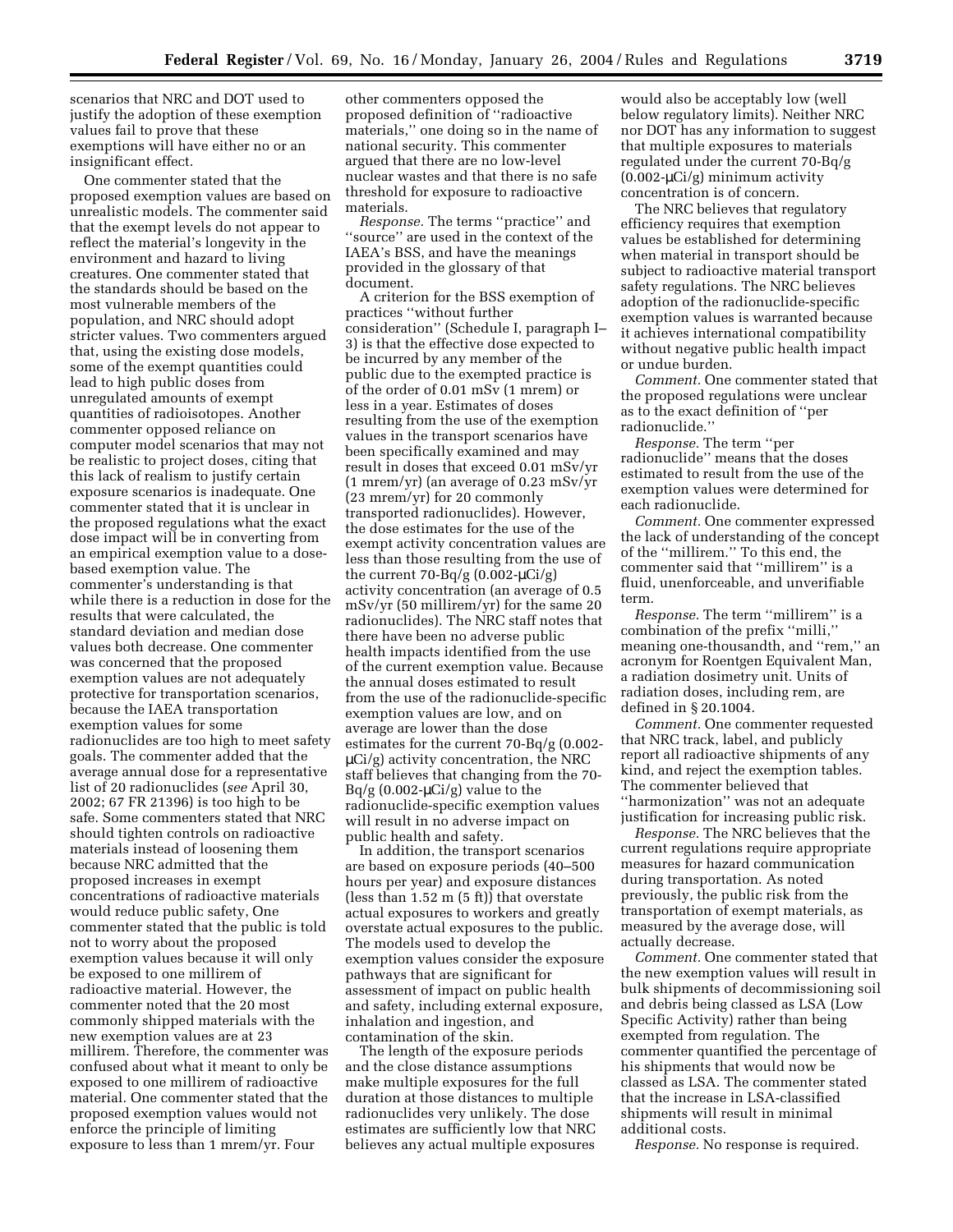scenarios that NRC and DOT used to justify the adoption of these exemption values fail to prove that these exemptions will have either no or an insignificant effect.

One commenter stated that the proposed exemption values are based on unrealistic models. The commenter said that the exempt levels do not appear to reflect the material's longevity in the environment and hazard to living creatures. One commenter stated that the standards should be based on the most vulnerable members of the population, and NRC should adopt stricter values. Two commenters argued that, using the existing dose models, some of the exempt quantities could lead to high public doses from unregulated amounts of exempt quantities of radioisotopes. Another commenter opposed reliance on computer model scenarios that may not be realistic to project doses, citing that this lack of realism to justify certain exposure scenarios is inadequate. One commenter stated that it is unclear in the proposed regulations what the exact dose impact will be in converting from an empirical exemption value to a dosebased exemption value. The commenter's understanding is that while there is a reduction in dose for the results that were calculated, the standard deviation and median dose values both decrease. One commenter was concerned that the proposed exemption values are not adequately protective for transportation scenarios, because the IAEA transportation exemption values for some radionuclides are too high to meet safety goals. The commenter added that the average annual dose for a representative list of 20 radionuclides (*see* April 30, 2002; 67 FR 21396) is too high to be safe. Some commenters stated that NRC should tighten controls on radioactive materials instead of loosening them because NRC admitted that the proposed increases in exempt concentrations of radioactive materials would reduce public safety, One commenter stated that the public is told not to worry about the proposed exemption values because it will only be exposed to one millirem of radioactive material. However, the commenter noted that the 20 most commonly shipped materials with the new exemption values are at 23 millirem. Therefore, the commenter was confused about what it meant to only be exposed to one millirem of radioactive material. One commenter stated that the proposed exemption values would not enforce the principle of limiting exposure to less than 1 mrem/yr. Four

other commenters opposed the proposed definition of ''radioactive materials,'' one doing so in the name of national security. This commenter argued that there are no low-level nuclear wastes and that there is no safe threshold for exposure to radioactive materials.

*Response.* The terms ''practice'' and ''source'' are used in the context of the IAEA's BSS, and have the meanings provided in the glossary of that document.

A criterion for the BSS exemption of practices ''without further consideration'' (Schedule I, paragraph I– 3) is that the effective dose expected to be incurred by any member of the public due to the exempted practice is of the order of 0.01 mSv (1 mrem) or less in a year. Estimates of doses resulting from the use of the exemption values in the transport scenarios have been specifically examined and may result in doses that exceed 0.01 mSv/yr (1 mrem/yr) (an average of 0.23 mSv/yr (23 mrem/yr) for 20 commonly transported radionuclides). However, the dose estimates for the use of the exempt activity concentration values are less than those resulting from the use of the current  $70$ -Bq/g  $(0.002 \text{-} \mu \text{Ci/g})$ activity concentration (an average of 0.5 mSv/yr (50 millirem/yr) for the same 20 radionuclides). The NRC staff notes that there have been no adverse public health impacts identified from the use of the current exemption value. Because the annual doses estimated to result from the use of the radionuclide-specific exemption values are low, and on average are lower than the dose estimates for the current 70-Bq/g (0.002 µCi/g) activity concentration, the NRC staff believes that changing from the 70-  $Bq/g$  (0.002- $\mu$ Ci/g) value to the radionuclide-specific exemption values will result in no adverse impact on public health and safety.

In addition, the transport scenarios are based on exposure periods (40–500 hours per year) and exposure distances (less than 1.52 m (5 ft)) that overstate actual exposures to workers and greatly overstate actual exposures to the public. The models used to develop the exemption values consider the exposure pathways that are significant for assessment of impact on public health and safety, including external exposure, inhalation and ingestion, and contamination of the skin.

The length of the exposure periods and the close distance assumptions make multiple exposures for the full duration at those distances to multiple radionuclides very unlikely. The dose estimates are sufficiently low that NRC believes any actual multiple exposures

would also be acceptably low (well below regulatory limits). Neither NRC nor DOT has any information to suggest that multiple exposures to materials regulated under the current 70-Bq/g (0.002-µCi/g) minimum activity concentration is of concern.

The NRC believes that regulatory efficiency requires that exemption values be established for determining when material in transport should be subject to radioactive material transport safety regulations. The NRC believes adoption of the radionuclide-specific exemption values is warranted because it achieves international compatibility without negative public health impact or undue burden.

*Comment.* One commenter stated that the proposed regulations were unclear as to the exact definition of ''per radionuclide.''

*Response.* The term ''per radionuclide'' means that the doses estimated to result from the use of the exemption values were determined for each radionuclide.

*Comment.* One commenter expressed the lack of understanding of the concept of the ''millirem.'' To this end, the commenter said that ''millirem'' is a fluid, unenforceable, and unverifiable term.

*Response.* The term ''millirem'' is a combination of the prefix ''milli,'' meaning one-thousandth, and ''rem,'' an acronym for Roentgen Equivalent Man, a radiation dosimetry unit. Units of radiation doses, including rem, are defined in § 20.1004.

*Comment.* One commenter requested that NRC track, label, and publicly report all radioactive shipments of any kind, and reject the exemption tables. The commenter believed that ''harmonization'' was not an adequate justification for increasing public risk.

*Response.* The NRC believes that the current regulations require appropriate measures for hazard communication during transportation. As noted previously, the public risk from the transportation of exempt materials, as measured by the average dose, will actually decrease.

*Comment.* One commenter stated that the new exemption values will result in bulk shipments of decommissioning soil and debris being classed as LSA (Low Specific Activity) rather than being exempted from regulation. The commenter quantified the percentage of his shipments that would now be classed as LSA. The commenter stated that the increase in LSA-classified shipments will result in minimal additional costs.

*Response.* No response is required.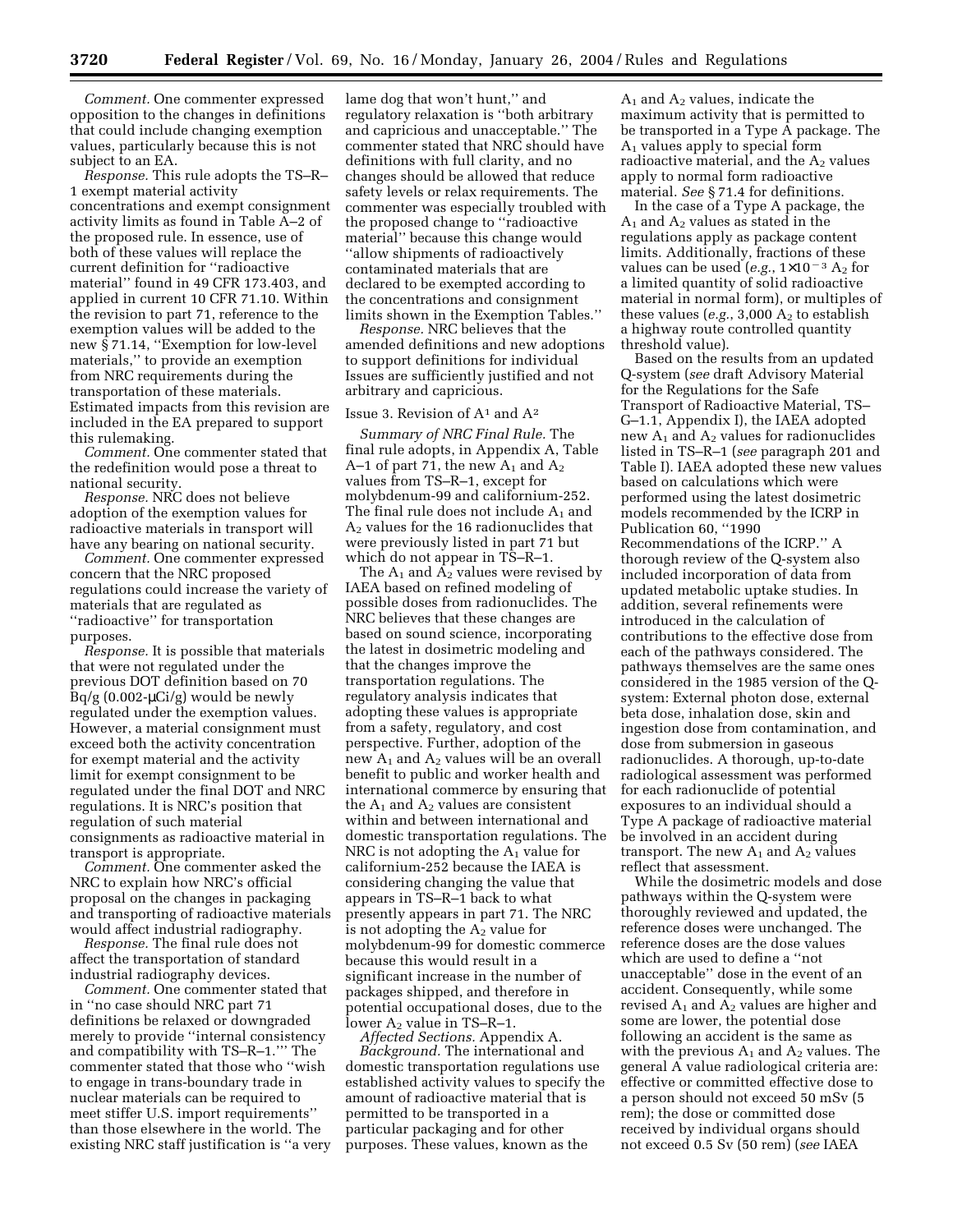*Comment.* One commenter expressed opposition to the changes in definitions that could include changing exemption values, particularly because this is not subject to an EA.

*Response.* This rule adopts the TS–R– 1 exempt material activity concentrations and exempt consignment activity limits as found in Table A–2 of the proposed rule. In essence, use of both of these values will replace the current definition for ''radioactive material'' found in 49 CFR 173.403, and applied in current 10 CFR 71.10. Within the revision to part 71, reference to the exemption values will be added to the new § 71.14, ''Exemption for low-level materials,'' to provide an exemption from NRC requirements during the transportation of these materials. Estimated impacts from this revision are included in the EA prepared to support this rulemaking.

*Comment.* One commenter stated that the redefinition would pose a threat to national security.

*Response.* NRC does not believe adoption of the exemption values for radioactive materials in transport will have any bearing on national security.

*Comment.* One commenter expressed concern that the NRC proposed regulations could increase the variety of materials that are regulated as ''radioactive'' for transportation purposes.

*Response.* It is possible that materials that were not regulated under the previous DOT definition based on 70  $Bq/g$  (0.002- $\mu$ Ci/g) would be newly regulated under the exemption values. However, a material consignment must exceed both the activity concentration for exempt material and the activity limit for exempt consignment to be regulated under the final DOT and NRC regulations. It is NRC's position that regulation of such material consignments as radioactive material in transport is appropriate.

*Comment.* One commenter asked the NRC to explain how NRC's official proposal on the changes in packaging and transporting of radioactive materials would affect industrial radiography.

*Response.* The final rule does not affect the transportation of standard industrial radiography devices.

*Comment.* One commenter stated that in ''no case should NRC part 71 definitions be relaxed or downgraded merely to provide ''internal consistency and compatibility with TS–R–1.''' The commenter stated that those who ''wish to engage in trans-boundary trade in nuclear materials can be required to meet stiffer U.S. import requirements'' than those elsewhere in the world. The existing NRC staff justification is ''a very lame dog that won't hunt,'' and regulatory relaxation is ''both arbitrary and capricious and unacceptable.'' The commenter stated that NRC should have definitions with full clarity, and no changes should be allowed that reduce safety levels or relax requirements. The commenter was especially troubled with the proposed change to ''radioactive material'' because this change would ''allow shipments of radioactively contaminated materials that are declared to be exempted according to the concentrations and consignment limits shown in the Exemption Tables.''

*Response.* NRC believes that the amended definitions and new adoptions to support definitions for individual Issues are sufficiently justified and not arbitrary and capricious.

#### Issue 3. Revision of  $A<sup>1</sup>$  and  $A<sup>2</sup>$

*Summary of NRC Final Rule.* The final rule adopts, in Appendix A, Table A–1 of part 71, the new  $A_1$  and  $A_2$ values from TS–R–1, except for molybdenum-99 and californium-252. The final rule does not include  $A_1$  and A2 values for the 16 radionuclides that were previously listed in part 71 but which do not appear in TS–R–1.

The  $A_1$  and  $A_2$  values were revised by IAEA based on refined modeling of possible doses from radionuclides. The NRC believes that these changes are based on sound science, incorporating the latest in dosimetric modeling and that the changes improve the transportation regulations. The regulatory analysis indicates that adopting these values is appropriate from a safety, regulatory, and cost perspective. Further, adoption of the new  $A_1$  and  $A_2$  values will be an overall benefit to public and worker health and international commerce by ensuring that the  $A_1$  and  $A_2$  values are consistent within and between international and domestic transportation regulations. The NRC is not adopting the  $A_1$  value for californium-252 because the IAEA is considering changing the value that appears in TS–R–1 back to what presently appears in part 71. The NRC is not adopting the  $A_2$  value for molybdenum-99 for domestic commerce because this would result in a significant increase in the number of packages shipped, and therefore in potential occupational doses, due to the lower  $A_2$  value in TS–R–1.

*Affected Sections.* Appendix A. *Background.* The international and domestic transportation regulations use established activity values to specify the amount of radioactive material that is permitted to be transported in a particular packaging and for other purposes. These values, known as the

 $A_1$  and  $A_2$  values, indicate the maximum activity that is permitted to be transported in a Type A package. The  $A_1$  values apply to special form radioactive material, and the  $A_2$  values apply to normal form radioactive material. *See* § 71.4 for definitions.

In the case of a Type A package, the  $A_1$  and  $A_2$  values as stated in the regulations apply as package content limits. Additionally, fractions of these values can be used (*e.g.*,  $1 \times 10^{-3}$  A<sub>2</sub> for a limited quantity of solid radioactive material in normal form), or multiples of these values ( $e.g., 3,000 A<sub>2</sub>$  to establish a highway route controlled quantity threshold value).

Based on the results from an updated Q-system (*see* draft Advisory Material for the Regulations for the Safe Transport of Radioactive Material, TS– G–1.1, Appendix I), the IAEA adopted new  $A_1$  and  $A_2$  values for radionuclides listed in TS–R–1 (*see* paragraph 201 and Table I). IAEA adopted these new values based on calculations which were performed using the latest dosimetric models recommended by the ICRP in Publication 60, ''1990 Recommendations of the ICRP.'' A thorough review of the Q-system also included incorporation of data from updated metabolic uptake studies. In addition, several refinements were introduced in the calculation of contributions to the effective dose from each of the pathways considered. The pathways themselves are the same ones considered in the 1985 version of the Qsystem: External photon dose, external beta dose, inhalation dose, skin and ingestion dose from contamination, and dose from submersion in gaseous radionuclides. A thorough, up-to-date radiological assessment was performed for each radionuclide of potential exposures to an individual should a Type A package of radioactive material be involved in an accident during transport. The new  $A_1$  and  $A_2$  values reflect that assessment.

While the dosimetric models and dose pathways within the Q-system were thoroughly reviewed and updated, the reference doses were unchanged. The reference doses are the dose values which are used to define a ''not unacceptable'' dose in the event of an accident. Consequently, while some revised  $A_1$  and  $A_2$  values are higher and some are lower, the potential dose following an accident is the same as with the previous  $A_1$  and  $A_2$  values. The general A value radiological criteria are: effective or committed effective dose to a person should not exceed 50 mSv (5 rem); the dose or committed dose received by individual organs should not exceed 0.5 Sv (50 rem) (*see* IAEA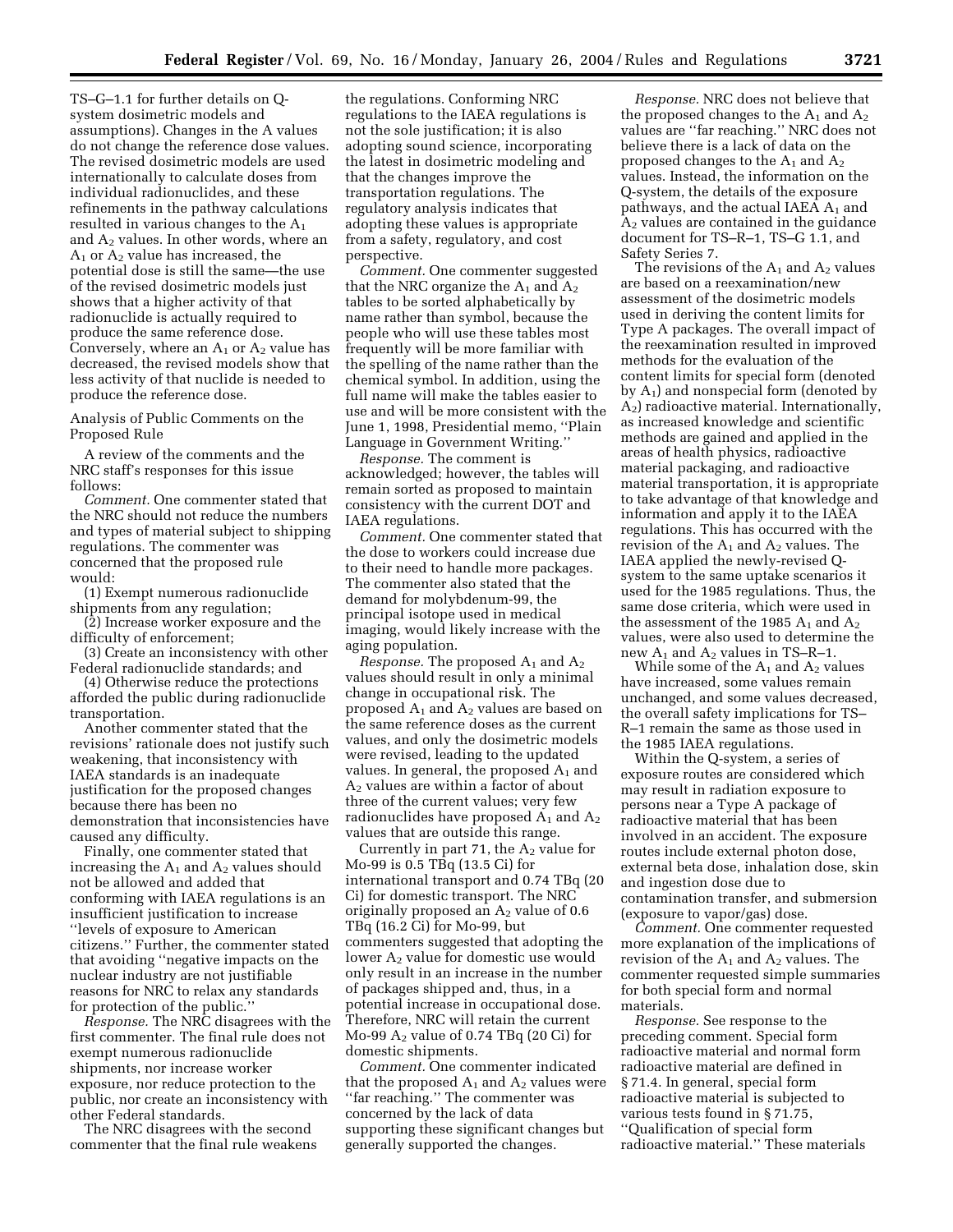TS–G–1.1 for further details on Qsystem dosimetric models and assumptions). Changes in the A values do not change the reference dose values. The revised dosimetric models are used internationally to calculate doses from individual radionuclides, and these refinements in the pathway calculations resulted in various changes to the  $A_1$ and A2 values. In other words, where an  $A_1$  or  $A_2$  value has increased, the potential dose is still the same—the use of the revised dosimetric models just shows that a higher activity of that radionuclide is actually required to produce the same reference dose. Conversely, where an  $A_1$  or  $A_2$  value has decreased, the revised models show that less activity of that nuclide is needed to produce the reference dose.

Analysis of Public Comments on the Proposed Rule

A review of the comments and the NRC staff's responses for this issue follows:

*Comment.* One commenter stated that the NRC should not reduce the numbers and types of material subject to shipping regulations. The commenter was concerned that the proposed rule would:

(1) Exempt numerous radionuclide shipments from any regulation;

(2) Increase worker exposure and the difficulty of enforcement;

(3) Create an inconsistency with other Federal radionuclide standards; and

(4) Otherwise reduce the protections afforded the public during radionuclide transportation.

Another commenter stated that the revisions' rationale does not justify such weakening, that inconsistency with IAEA standards is an inadequate justification for the proposed changes because there has been no demonstration that inconsistencies have caused any difficulty.

Finally, one commenter stated that increasing the  $A_1$  and  $A_2$  values should not be allowed and added that conforming with IAEA regulations is an insufficient justification to increase ''levels of exposure to American citizens.'' Further, the commenter stated that avoiding ''negative impacts on the nuclear industry are not justifiable reasons for NRC to relax any standards for protection of the public.''

*Response.* The NRC disagrees with the first commenter. The final rule does not exempt numerous radionuclide shipments, nor increase worker exposure, nor reduce protection to the public, nor create an inconsistency with other Federal standards.

The NRC disagrees with the second commenter that the final rule weakens

the regulations. Conforming NRC regulations to the IAEA regulations is not the sole justification; it is also adopting sound science, incorporating the latest in dosimetric modeling and that the changes improve the transportation regulations. The regulatory analysis indicates that adopting these values is appropriate from a safety, regulatory, and cost perspective.

*Comment.* One commenter suggested that the NRC organize the  $A_1$  and  $A_2$ tables to be sorted alphabetically by name rather than symbol, because the people who will use these tables most frequently will be more familiar with the spelling of the name rather than the chemical symbol. In addition, using the full name will make the tables easier to use and will be more consistent with the June 1, 1998, Presidential memo, ''Plain Language in Government Writing.''

*Response.* The comment is acknowledged; however, the tables will remain sorted as proposed to maintain consistency with the current DOT and IAEA regulations.

*Comment.* One commenter stated that the dose to workers could increase due to their need to handle more packages. The commenter also stated that the demand for molybdenum-99, the principal isotope used in medical imaging, would likely increase with the aging population.

*Response.* The proposed  $A_1$  and  $A_2$ values should result in only a minimal change in occupational risk. The proposed  $A_1$  and  $A_2$  values are based on the same reference doses as the current values, and only the dosimetric models were revised, leading to the updated values. In general, the proposed  $A_1$  and  $A<sub>2</sub>$  values are within a factor of about three of the current values; very few radionuclides have proposed  $A_1$  and  $A_2$ values that are outside this range.

Currently in part 71, the  $A_2$  value for Mo-99 is 0.5 TBq (13.5 Ci) for international transport and 0.74 TBq (20 Ci) for domestic transport. The NRC originally proposed an  $A_2$  value of 0.6 TBq (16.2 Ci) for Mo-99, but commenters suggested that adopting the lower A<sub>2</sub> value for domestic use would only result in an increase in the number of packages shipped and, thus, in a potential increase in occupational dose. Therefore, NRC will retain the current Mo-99  $A_2$  value of 0.74 TBq (20 Ci) for domestic shipments.

*Comment.* One commenter indicated that the proposed  $A_1$  and  $A_2$  values were ''far reaching.'' The commenter was concerned by the lack of data supporting these significant changes but generally supported the changes.

*Response.* NRC does not believe that the proposed changes to the  $A_1$  and  $A_2$ values are ''far reaching.'' NRC does not believe there is a lack of data on the proposed changes to the  $A_1$  and  $A_2$ values. Instead, the information on the Q-system, the details of the exposure pathways, and the actual IAEA  $A_1$  and A2 values are contained in the guidance document for TS–R–1, TS–G 1.1, and Safety Series 7.

The revisions of the  $A_1$  and  $A_2$  values are based on a reexamination/new assessment of the dosimetric models used in deriving the content limits for Type A packages. The overall impact of the reexamination resulted in improved methods for the evaluation of the content limits for special form (denoted by  $A_1$ ) and nonspecial form (denoted by  $A<sub>2</sub>$ ) radioactive material. Internationally, as increased knowledge and scientific methods are gained and applied in the areas of health physics, radioactive material packaging, and radioactive material transportation, it is appropriate to take advantage of that knowledge and information and apply it to the IAEA regulations. This has occurred with the revision of the  $A_1$  and  $A_2$  values. The IAEA applied the newly-revised Qsystem to the same uptake scenarios it used for the 1985 regulations. Thus, the same dose criteria, which were used in the assessment of the 1985  $A_1$  and  $A_2$ values, were also used to determine the new  $A_1$  and  $A_2$  values in TS–R–1.

While some of the  $A_1$  and  $A_2$  values have increased, some values remain unchanged, and some values decreased, the overall safety implications for TS– R–1 remain the same as those used in the 1985 IAEA regulations.

Within the Q-system, a series of exposure routes are considered which may result in radiation exposure to persons near a Type A package of radioactive material that has been involved in an accident. The exposure routes include external photon dose, external beta dose, inhalation dose, skin and ingestion dose due to contamination transfer, and submersion (exposure to vapor/gas) dose.

*Comment.* One commenter requested more explanation of the implications of revision of the  $A_1$  and  $A_2$  values. The commenter requested simple summaries for both special form and normal materials.

*Response.* See response to the preceding comment. Special form radioactive material and normal form radioactive material are defined in § 71.4. In general, special form radioactive material is subjected to various tests found in § 71.75, ''Qualification of special form radioactive material.'' These materials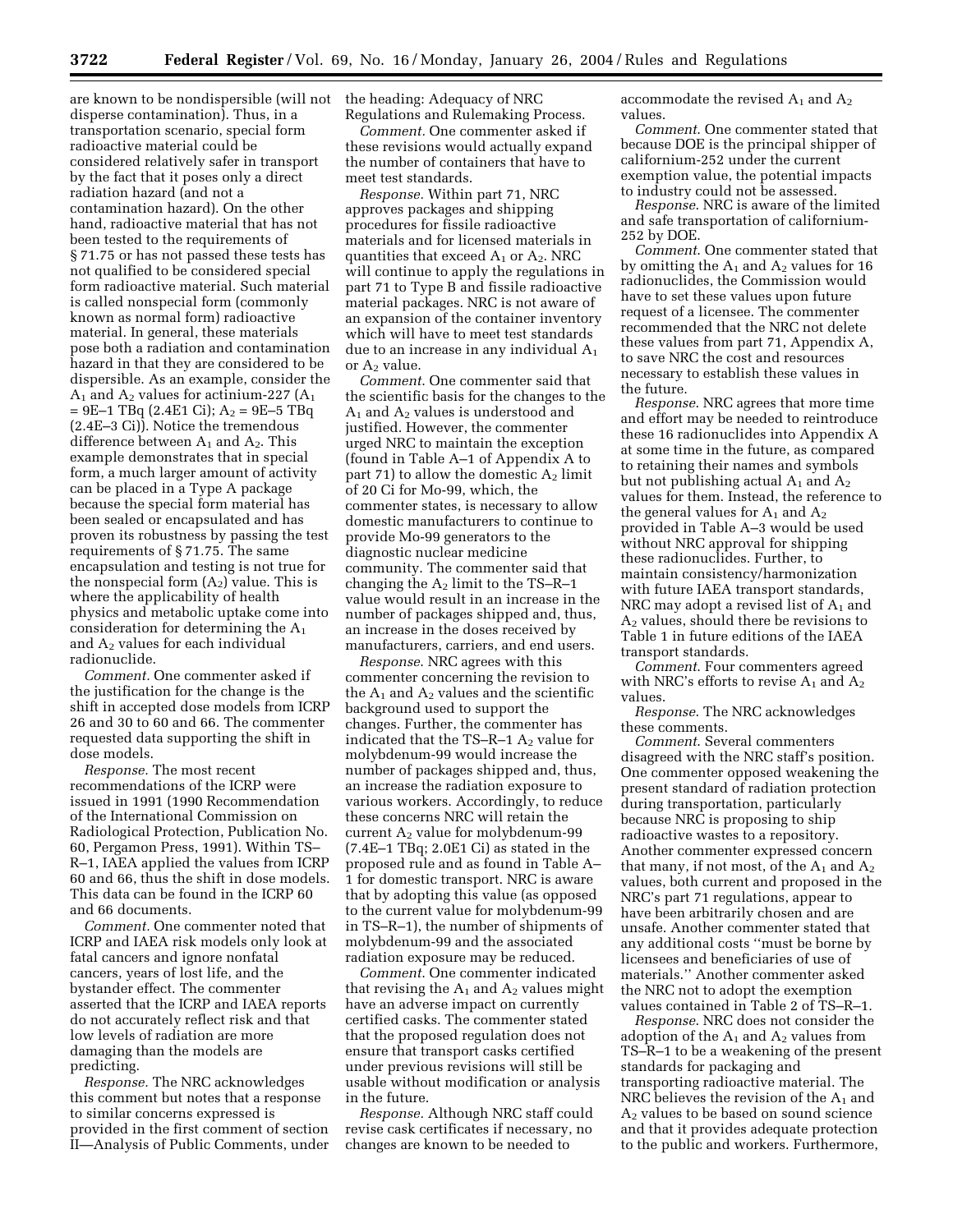are known to be nondispersible (will not disperse contamination). Thus, in a transportation scenario, special form radioactive material could be considered relatively safer in transport by the fact that it poses only a direct radiation hazard (and not a contamination hazard). On the other hand, radioactive material that has not been tested to the requirements of § 71.75 or has not passed these tests has not qualified to be considered special form radioactive material. Such material is called nonspecial form (commonly known as normal form) radioactive material. In general, these materials pose both a radiation and contamination hazard in that they are considered to be dispersible. As an example, consider the  $A_1$  and  $A_2$  values for actinium-227 ( $A_1$ )  $= 9E-1$  TBq (2.4E1 Ci);  $A_2 = 9E-5$  TBq (2.4E–3 Ci)). Notice the tremendous difference between  $A_1$  and  $A_2$ . This example demonstrates that in special form, a much larger amount of activity can be placed in a Type A package because the special form material has been sealed or encapsulated and has proven its robustness by passing the test requirements of § 71.75. The same encapsulation and testing is not true for the nonspecial form  $(A_2)$  value. This is where the applicability of health physics and metabolic uptake come into consideration for determining the  $A_1$ and  $A_2$  values for each individual radionuclide.

*Comment.* One commenter asked if the justification for the change is the shift in accepted dose models from ICRP 26 and 30 to 60 and 66. The commenter requested data supporting the shift in dose models.

*Response.* The most recent recommendations of the ICRP were issued in 1991 (1990 Recommendation of the International Commission on Radiological Protection, Publication No. 60, Pergamon Press, 1991). Within TS– R–1, IAEA applied the values from ICRP 60 and 66, thus the shift in dose models. This data can be found in the ICRP 60 and 66 documents.

*Comment.* One commenter noted that ICRP and IAEA risk models only look at fatal cancers and ignore nonfatal cancers, years of lost life, and the bystander effect. The commenter asserted that the ICRP and IAEA reports do not accurately reflect risk and that low levels of radiation are more damaging than the models are predicting.

*Response.* The NRC acknowledges this comment but notes that a response to similar concerns expressed is provided in the first comment of section II—Analysis of Public Comments, under the heading: Adequacy of NRC Regulations and Rulemaking Process.

*Comment.* One commenter asked if these revisions would actually expand the number of containers that have to meet test standards.

*Response.* Within part 71, NRC approves packages and shipping procedures for fissile radioactive materials and for licensed materials in quantities that exceed  $A_1$  or  $A_2$ . NRC will continue to apply the regulations in part 71 to Type B and fissile radioactive material packages. NRC is not aware of an expansion of the container inventory which will have to meet test standards due to an increase in any individual A1 or  $A_2$  value.

*Comment*. One commenter said that the scientific basis for the changes to the  $A_1$  and  $A_2$  values is understood and justified. However, the commenter urged NRC to maintain the exception (found in Table A–1 of Appendix A to part 71) to allow the domestic  $A_2$  limit of 20 Ci for Mo-99, which, the commenter states, is necessary to allow domestic manufacturers to continue to provide Mo-99 generators to the diagnostic nuclear medicine community. The commenter said that changing the  $A_2$  limit to the TS–R–1 value would result in an increase in the number of packages shipped and, thus, an increase in the doses received by manufacturers, carriers, and end users.

*Response*. NRC agrees with this commenter concerning the revision to the  $A_1$  and  $A_2$  values and the scientific background used to support the changes. Further, the commenter has indicated that the  $TS-R-1$   $A_2$  value for molybdenum-99 would increase the number of packages shipped and, thus, an increase the radiation exposure to various workers. Accordingly, to reduce these concerns NRC will retain the current  $A_2$  value for molybdenum-99 (7.4E–1 TBq; 2.0E1 Ci) as stated in the proposed rule and as found in Table A– 1 for domestic transport. NRC is aware that by adopting this value (as opposed to the current value for molybdenum-99 in TS–R–1), the number of shipments of molybdenum-99 and the associated radiation exposure may be reduced.

*Comment*. One commenter indicated that revising the  $A_1$  and  $A_2$  values might have an adverse impact on currently certified casks. The commenter stated that the proposed regulation does not ensure that transport casks certified under previous revisions will still be usable without modification or analysis in the future.

*Response.* Although NRC staff could revise cask certificates if necessary, no changes are known to be needed to

accommodate the revised  $A_1$  and  $A_2$ values.

*Comment*. One commenter stated that because DOE is the principal shipper of californium-252 under the current exemption value, the potential impacts to industry could not be assessed.

*Response*. NRC is aware of the limited and safe transportation of californium-252 by DOE.

*Comment*. One commenter stated that by omitting the  $A_1$  and  $A_2$  values for 16 radionuclides, the Commission would have to set these values upon future request of a licensee. The commenter recommended that the NRC not delete these values from part 71, Appendix A, to save NRC the cost and resources necessary to establish these values in the future.

*Response*. NRC agrees that more time and effort may be needed to reintroduce these 16 radionuclides into Appendix A at some time in the future, as compared to retaining their names and symbols but not publishing actual  $A_1$  and  $A_2$ values for them. Instead, the reference to the general values for  $A_1$  and  $A_2$ provided in Table A–3 would be used without NRC approval for shipping these radionuclides. Further, to maintain consistency/harmonization with future IAEA transport standards, NRC may adopt a revised list of  $A_1$  and A2 values, should there be revisions to Table 1 in future editions of the IAEA transport standards.

*Comment*. Four commenters agreed with NRC's efforts to revise  $A_1$  and  $A_2$ values.

*Response*. The NRC acknowledges these comments.

*Comment*. Several commenters disagreed with the NRC staff's position. One commenter opposed weakening the present standard of radiation protection during transportation, particularly because NRC is proposing to ship radioactive wastes to a repository. Another commenter expressed concern that many, if not most, of the  $A_1$  and  $A_2$ values, both current and proposed in the NRC's part 71 regulations, appear to have been arbitrarily chosen and are unsafe. Another commenter stated that any additional costs ''must be borne by licensees and beneficiaries of use of materials.'' Another commenter asked the NRC not to adopt the exemption values contained in Table 2 of TS–R–1.

*Response*. NRC does not consider the adoption of the  $A_1$  and  $A_2$  values from TS–R–1 to be a weakening of the present standards for packaging and transporting radioactive material. The NRC believes the revision of the  $A_1$  and  $A<sub>2</sub>$  values to be based on sound science and that it provides adequate protection to the public and workers. Furthermore,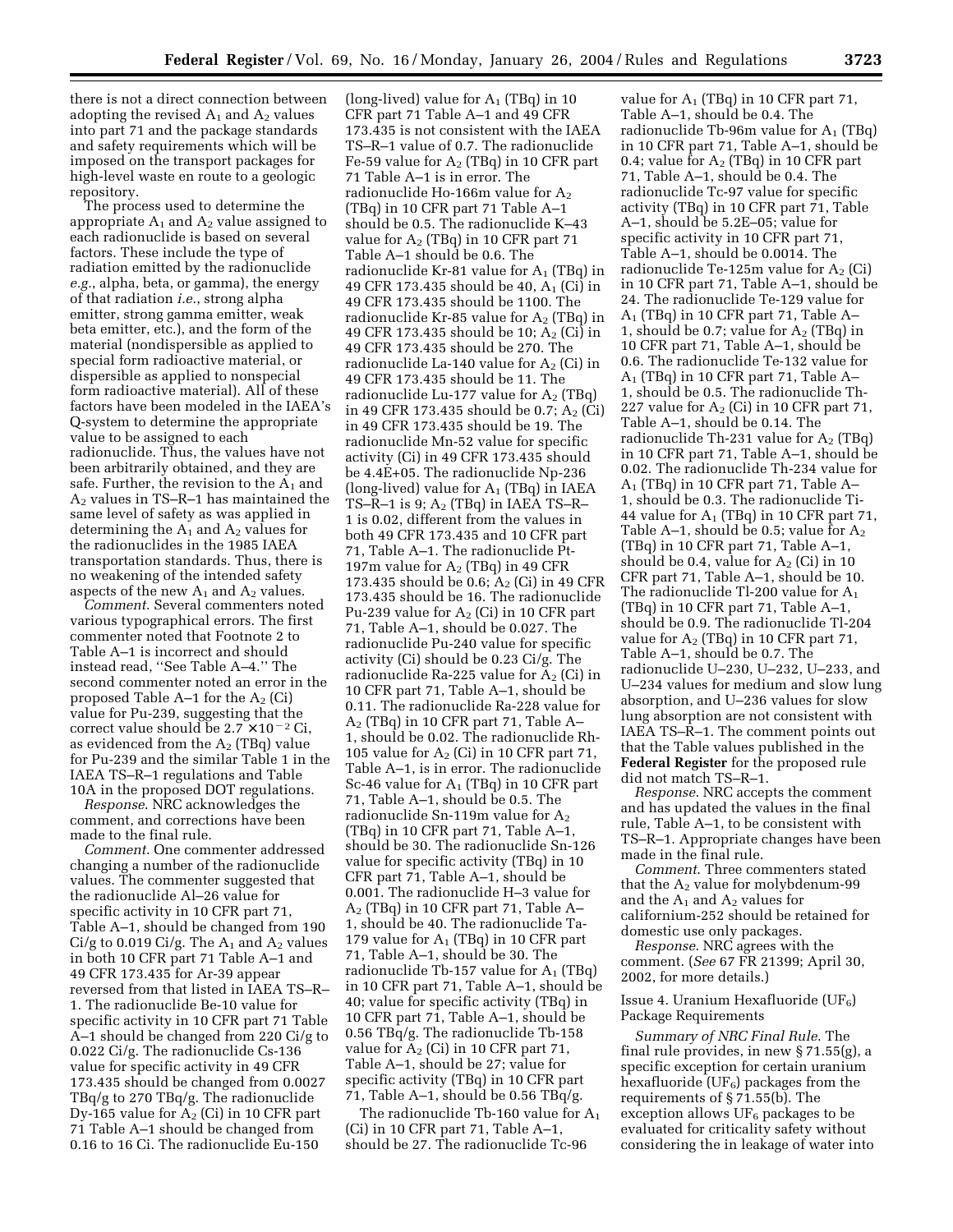there is not a direct connection between adopting the revised  $A_1$  and  $A_2$  values into part 71 and the package standards and safety requirements which will be imposed on the transport packages for high-level waste en route to a geologic repository.

The process used to determine the appropriate  $A_1$  and  $A_2$  value assigned to each radionuclide is based on several factors. These include the type of radiation emitted by the radionuclide *e.g.*, alpha, beta, or gamma), the energy of that radiation *i.e.*, strong alpha emitter, strong gamma emitter, weak beta emitter, etc.), and the form of the material (nondispersible as applied to special form radioactive material, or dispersible as applied to nonspecial form radioactive material). All of these factors have been modeled in the IAEA's Q-system to determine the appropriate value to be assigned to each radionuclide. Thus, the values have not been arbitrarily obtained, and they are safe. Further, the revision to the  $A_1$  and  $A<sub>2</sub>$  values in TS–R–1 has maintained the same level of safety as was applied in determining the  $A_1$  and  $A_2$  values for the radionuclides in the 1985 IAEA transportation standards. Thus, there is no weakening of the intended safety aspects of the new  $A_1$  and  $A_2$  values.

*Comment*. Several commenters noted various typographical errors. The first commenter noted that Footnote 2 to Table A–1 is incorrect and should instead read, ''See Table A–4.'' The second commenter noted an error in the proposed Table  $A-1$  for the  $A_2$  (Ci) value for Pu-239, suggesting that the correct value should be  $2.7 \times 10^{-2}$  Ci, as evidenced from the  $A_2$  (TBq) value for Pu-239 and the similar Table 1 in the IAEA TS–R–1 regulations and Table 10A in the proposed DOT regulations.

*Response*. NRC acknowledges the comment, and corrections have been made to the final rule.

*Comment*. One commenter addressed changing a number of the radionuclide values. The commenter suggested that the radionuclide Al–26 value for specific activity in 10 CFR part 71, Table A–1, should be changed from 190  $\mathrm{Ci/g}$  to 0.019  $\mathrm{Ci/g}$ . The  $\mathrm{A}_1$  and  $\mathrm{A}_2$  values in both 10 CFR part 71 Table A–1 and 49 CFR 173.435 for Ar-39 appear reversed from that listed in IAEA TS–R– 1. The radionuclide Be-10 value for specific activity in 10 CFR part 71 Table A–1 should be changed from 220 Ci/g to 0.022 Ci/g. The radionuclide Cs-136 value for specific activity in 49 CFR 173.435 should be changed from 0.0027 TBq/g to 270 TBq/g. The radionuclide Dy-165 value for  $A_2$  (Ci) in 10 CFR part 71 Table A–1 should be changed from 0.16 to 16 Ci. The radionuclide Eu-150

(long-lived) value for  $A_1$  (TBq) in 10 CFR part 71 Table A–1 and 49 CFR 173.435 is not consistent with the IAEA TS–R–1 value of 0.7. The radionuclide Fe-59 value for  $A_2$  (TBq) in 10 CFR part 71 Table A–1 is in error. The radionuclide Ho-166m value for A2 (TBq) in 10 CFR part 71 Table A–1 should be 0.5. The radionuclide K–43 value for  $A_2$  (TBq) in 10 CFR part 71 Table A–1 should be 0.6. The radionuclide Kr-81 value for  $A_1$  (TBq) in 49 CFR 173.435 should be 40, A1 (Ci) in 49 CFR 173.435 should be 1100. The radionuclide Kr-85 value for  $A_2$  (TBq) in 49 CFR 173.435 should be 10; A2 (Ci) in 49 CFR 173.435 should be 270. The radionuclide La-140 value for  $A_2$  (Ci) in 49 CFR 173.435 should be 11. The radionuclide Lu-177 value for  $A_2$  (TBq) in 49 CFR 173.435 should be 0.7;  $A_2$  (Ci) in 49 CFR 173.435 should be 19. The radionuclide Mn-52 value for specific activity (Ci) in 49 CFR 173.435 should be 4.4E+05. The radionuclide Np-236 (long-lived) value for  $A_1$  (TBq) in IAEA TS–R–1 is 9;  $A_2$  (TBq) in IAEA TS–R– 1 is 0.02, different from the values in both 49 CFR 173.435 and 10 CFR part 71, Table A–1. The radionuclide Pt-197m value for  $A_2$  (TBq) in 49 CFR 173.435 should be 0.6;  $A_2$  (Ci) in 49 CFR 173.435 should be 16. The radionuclide Pu-239 value for  $A_2$  (Ci) in 10 CFR part 71, Table A–1, should be 0.027. The radionuclide Pu-240 value for specific activity (Ci) should be 0.23 Ci/g. The radionuclide Ra-225 value for  $A_2$  (Ci) in 10 CFR part 71, Table A–1, should be 0.11. The radionuclide Ra-228 value for  $A<sub>2</sub>$  (TBq) in 10 CFR part 71, Table A-1, should be 0.02. The radionuclide Rh-105 value for  $A_2$  (Ci) in 10 CFR part 71, Table A–1, is in error. The radionuclide Sc-46 value for  $A_1$  (TBq) in 10 CFR part 71, Table A–1, should be 0.5. The radionuclide Sn-119m value for  $A_2$ (TBq) in 10 CFR part 71, Table A–1, should be 30. The radionuclide Sn-126 value for specific activity (TBq) in 10 CFR part 71, Table A–1, should be 0.001. The radionuclide H–3 value for A2 (TBq) in 10 CFR part 71, Table A– 1, should be 40. The radionuclide Ta-179 value for  $A_1$  (TBq) in 10 CFR part 71, Table A–1, should be 30. The radionuclide Tb-157 value for  $A_1$  (TBq) in 10 CFR part 71, Table A–1, should be 40; value for specific activity (TBq) in 10 CFR part 71, Table A–1, should be 0.56 TBq/g. The radionuclide Tb-158 value for  $A_2$  (Ci) in 10 CFR part 71, Table A–1, should be 27; value for specific activity (TBq) in 10 CFR part 71, Table A–1, should be  $0.56$  TBq/g.

The radionuclide Tb-160 value for  $A_1$ (Ci) in 10 CFR part 71, Table A–1, should be 27. The radionuclide Tc-96

value for A<sub>1</sub> (TBq) in 10 CFR part 71, Table A–1, should be 0.4. The radionuclide Tb-96m value for  $A_1$  (TBq) in 10 CFR part 71, Table A–1, should be 0.4; value for  $A_2$  (TBq) in 10 CFR part 71, Table A–1, should be 0.4. The radionuclide Tc-97 value for specific activity (TBq) in 10 CFR part 71, Table A–1, should be 5.2E–05; value for specific activity in 10 CFR part 71, Table A–1, should be 0.0014. The radionuclide Te-125m value for  $A_2$  (Ci) in 10 CFR part 71, Table A–1, should be 24. The radionuclide Te-129 value for  $A_1$  (TBq) in 10 CFR part 71, Table A– 1, should be 0.7; value for  $A_2$  (TBq) in 10 CFR part 71, Table A–1, should be 0.6. The radionuclide Te-132 value for  $A_1$  (TBq) in 10 CFR part 71, Table A-1, should be 0.5. The radionuclide Th-227 value for  $A_2$  (Ci) in 10 CFR part 71, Table A–1, should be 0.14. The radionuclide Th-231 value for  $A_2$  (TBq) in 10 CFR part 71, Table A–1, should be 0.02. The radionuclide Th-234 value for A1 (TBq) in 10 CFR part 71, Table A– 1, should be 0.3. The radionuclide Ti-44 value for  $A_1$  (TBq) in 10 CFR part 71, Table A–1, should be 0.5; value for  $A_2$ (TBq) in 10 CFR part 71, Table A–1, should be 0.4, value for  $A_2$  (Ci) in 10 CFR part 71, Table A–1, should be 10. The radionuclide Tl-200 value for  $A_1$ (TBq) in 10 CFR part 71, Table A–1, should be 0.9. The radionuclide Tl-204 value for  $A_2$  (TBq) in 10 CFR part 71, Table A–1, should be 0.7. The radionuclide U–230, U–232, U–233, and U–234 values for medium and slow lung absorption, and U–236 values for slow lung absorption are not consistent with IAEA TS–R–1. The comment points out that the Table values published in the **Federal Register** for the proposed rule did not match TS–R–1.

*Response*. NRC accepts the comment and has updated the values in the final rule, Table A–1, to be consistent with TS–R–1. Appropriate changes have been made in the final rule.

*Comment*. Three commenters stated that the  $A_2$  value for molybdenum-99 and the  $A_1$  and  $A_2$  values for californium-252 should be retained for domestic use only packages.

*Response*. NRC agrees with the comment. (*See* 67 FR 21399; April 30, 2002, for more details.)

Issue 4. Uranium Hexafluoride (UF $_6$ ) Package Requirements

*Summary of NRC Final Rule*. The final rule provides, in new § 71.55(g), a specific exception for certain uranium hexafluoride (UF $_6$ ) packages from the requirements of § 71.55(b). The exception allows  $UF_6$  packages to be evaluated for criticality safety without considering the in leakage of water into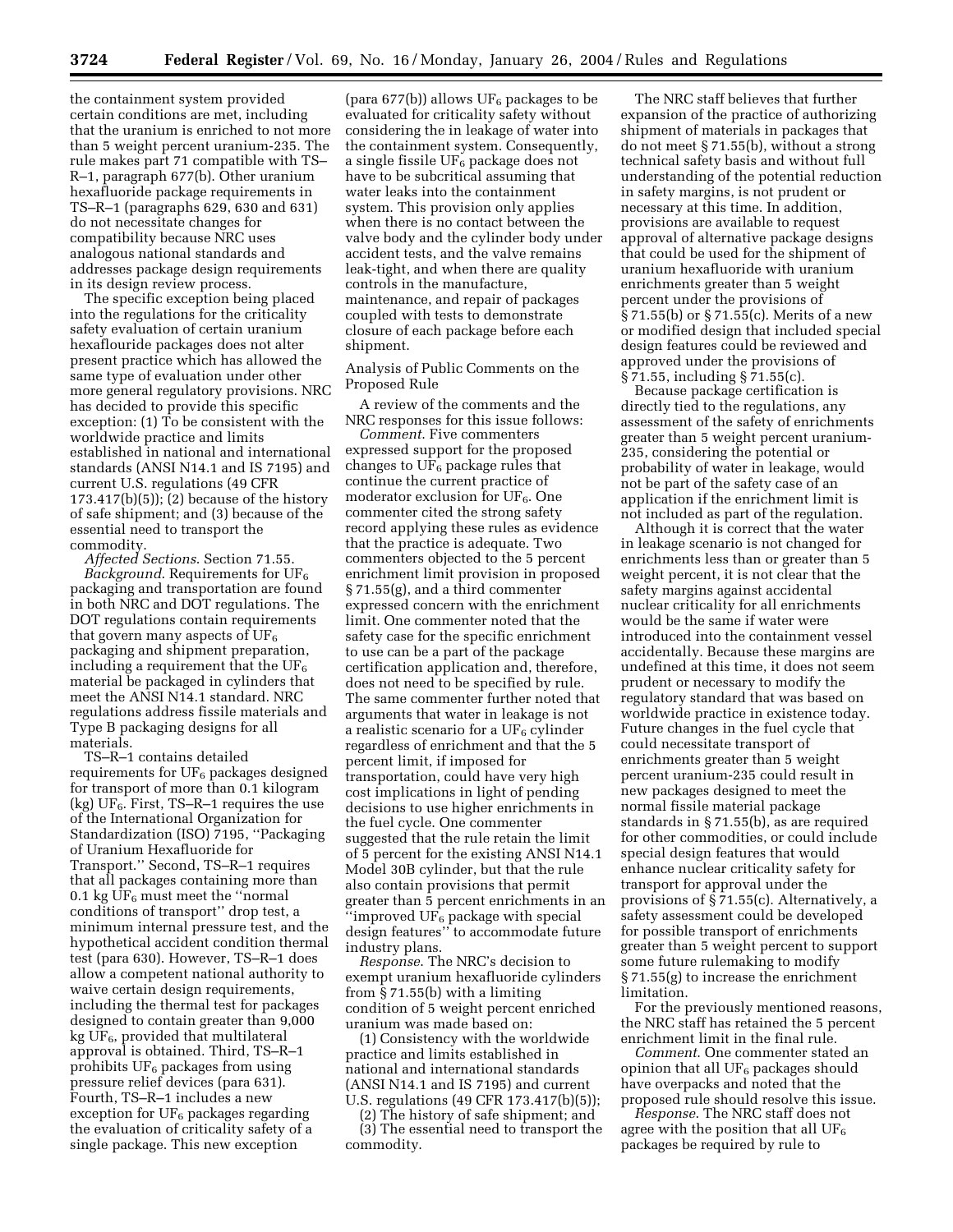the containment system provided certain conditions are met, including that the uranium is enriched to not more than 5 weight percent uranium-235. The rule makes part 71 compatible with TS– R–1, paragraph 677(b). Other uranium hexafluoride package requirements in TS–R–1 (paragraphs 629, 630 and 631) do not necessitate changes for compatibility because NRC uses analogous national standards and addresses package design requirements in its design review process.

The specific exception being placed into the regulations for the criticality safety evaluation of certain uranium hexaflouride packages does not alter present practice which has allowed the same type of evaluation under other more general regulatory provisions. NRC has decided to provide this specific exception: (1) To be consistent with the worldwide practice and limits established in national and international standards (ANSI N14.1 and IS 7195) and current U.S. regulations (49 CFR 173.417(b)(5)); (2) because of the history of safe shipment; and (3) because of the essential need to transport the commodity.

*Affected Sections*. Section 71.55. *Background*. Requirements for UF<sub>6</sub> packaging and transportation are found in both NRC and DOT regulations. The DOT regulations contain requirements that govern many aspects of  $UF_6$ packaging and shipment preparation, including a requirement that the  $UF_6$ material be packaged in cylinders that meet the ANSI N14.1 standard. NRC regulations address fissile materials and Type B packaging designs for all materials.

TS–R–1 contains detailed requirements for  $UF_6$  packages designed for transport of more than 0.1 kilogram  $(kg)$  UF<sub>6</sub>. First, TS–R–1 requires the use of the International Organization for Standardization (ISO) 7195, ''Packaging of Uranium Hexafluoride for Transport.'' Second, TS–R–1 requires that all packages containing more than 0.1 kg  $UF_6$  must meet the "normal" conditions of transport'' drop test, a minimum internal pressure test, and the hypothetical accident condition thermal test (para 630). However, TS–R–1 does allow a competent national authority to waive certain design requirements, including the thermal test for packages designed to contain greater than 9,000  $kgUF<sub>6</sub>$ , provided that multilateral approval is obtained. Third, TS–R–1 prohibits  $UF_6$  packages from using pressure relief devices (para 631). Fourth, TS–R–1 includes a new exception for  $UF_6$  packages regarding the evaluation of criticality safety of a single package. This new exception

(para  $677(b)$ ) allows UF<sub>6</sub> packages to be evaluated for criticality safety without considering the in leakage of water into the containment system. Consequently, a single fissile UF<sub>6</sub> package does not have to be subcritical assuming that water leaks into the containment system. This provision only applies when there is no contact between the valve body and the cylinder body under accident tests, and the valve remains leak-tight, and when there are quality controls in the manufacture, maintenance, and repair of packages coupled with tests to demonstrate closure of each package before each shipment.

Analysis of Public Comments on the Proposed Rule

A review of the comments and the NRC responses for this issue follows:

*Comment*. Five commenters expressed support for the proposed changes to  $UF_6$  package rules that continue the current practice of moderator exclusion for  $UF_6$ . One commenter cited the strong safety record applying these rules as evidence that the practice is adequate. Two commenters objected to the 5 percent enrichment limit provision in proposed § 71.55(g), and a third commenter expressed concern with the enrichment limit. One commenter noted that the safety case for the specific enrichment to use can be a part of the package certification application and, therefore, does not need to be specified by rule. The same commenter further noted that arguments that water in leakage is not a realistic scenario for a  $UF_6$  cylinder regardless of enrichment and that the 5 percent limit, if imposed for transportation, could have very high cost implications in light of pending decisions to use higher enrichments in the fuel cycle. One commenter suggested that the rule retain the limit of 5 percent for the existing ANSI N14.1 Model 30B cylinder, but that the rule also contain provisions that permit greater than 5 percent enrichments in an "improved UF $_6$  package with special design features'' to accommodate future industry plans.

*Response*. The NRC's decision to exempt uranium hexafluoride cylinders from § 71.55(b) with a limiting condition of 5 weight percent enriched uranium was made based on:

(1) Consistency with the worldwide practice and limits established in national and international standards (ANSI N14.1 and IS 7195) and current U.S. regulations (49 CFR 173.417(b)(5));

(2) The history of safe shipment; and (3) The essential need to transport the commodity.

The NRC staff believes that further expansion of the practice of authorizing shipment of materials in packages that do not meet § 71.55(b), without a strong technical safety basis and without full understanding of the potential reduction in safety margins, is not prudent or necessary at this time. In addition, provisions are available to request approval of alternative package designs that could be used for the shipment of uranium hexafluoride with uranium enrichments greater than 5 weight percent under the provisions of § 71.55(b) or § 71.55(c). Merits of a new or modified design that included special design features could be reviewed and approved under the provisions of § 71.55, including § 71.55(c).

Because package certification is directly tied to the regulations, any assessment of the safety of enrichments greater than 5 weight percent uranium-235, considering the potential or probability of water in leakage, would not be part of the safety case of an application if the enrichment limit is not included as part of the regulation.

Although it is correct that the water in leakage scenario is not changed for enrichments less than or greater than 5 weight percent, it is not clear that the safety margins against accidental nuclear criticality for all enrichments would be the same if water were introduced into the containment vessel accidentally. Because these margins are undefined at this time, it does not seem prudent or necessary to modify the regulatory standard that was based on worldwide practice in existence today. Future changes in the fuel cycle that could necessitate transport of enrichments greater than 5 weight percent uranium-235 could result in new packages designed to meet the normal fissile material package standards in § 71.55(b), as are required for other commodities, or could include special design features that would enhance nuclear criticality safety for transport for approval under the provisions of  $\bar{\S}$  71.55(c). Alternatively, a safety assessment could be developed for possible transport of enrichments greater than 5 weight percent to support some future rulemaking to modify § 71.55(g) to increase the enrichment limitation.

For the previously mentioned reasons, the NRC staff has retained the 5 percent enrichment limit in the final rule.

*Comment*. One commenter stated an opinion that all  $UF_6$  packages should have overpacks and noted that the proposed rule should resolve this issue.

*Response*. The NRC staff does not agree with the position that all  $UF_6$ packages be required by rule to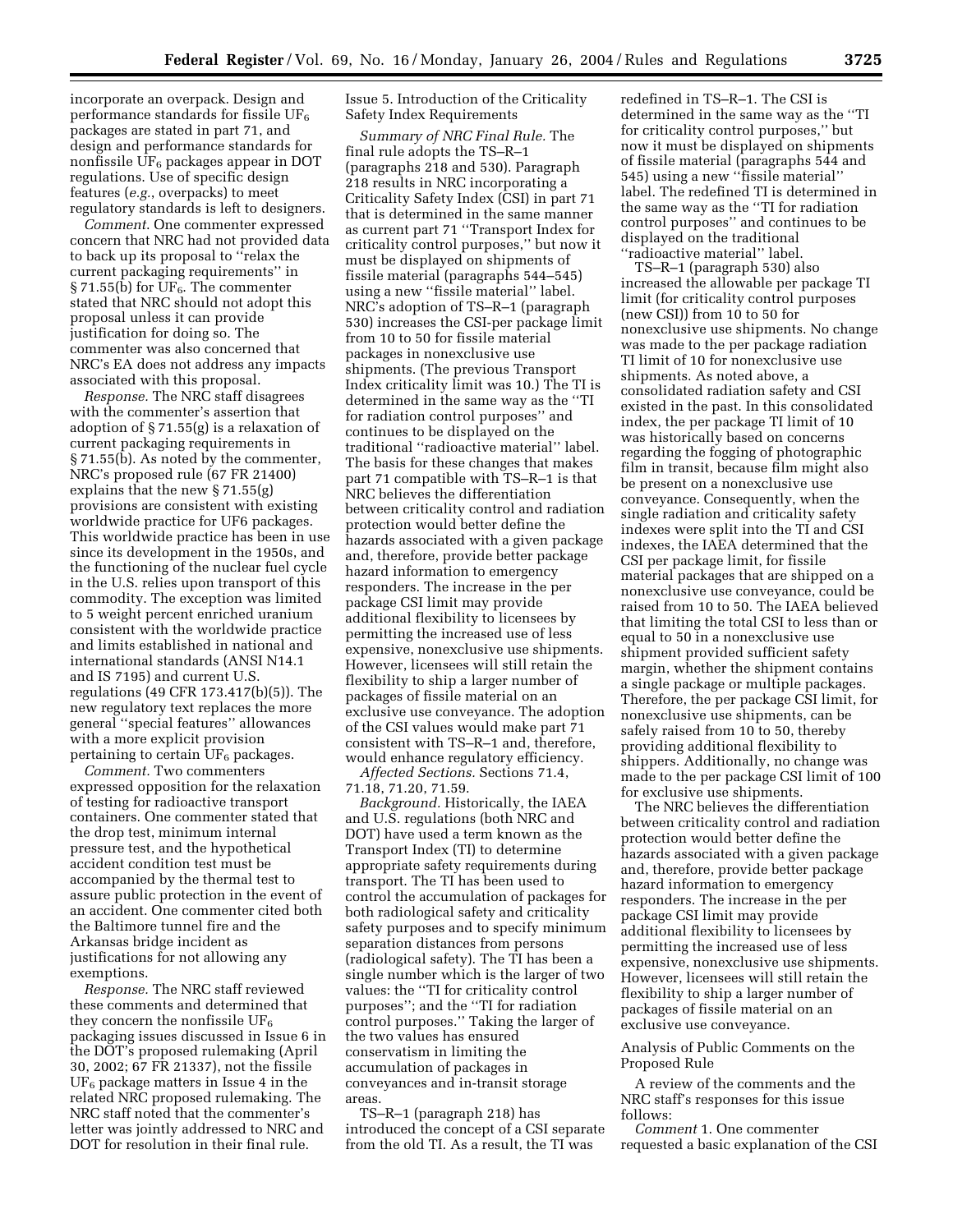incorporate an overpack. Design and performance standards for fissile  $UF_6$ packages are stated in part 71, and design and performance standards for nonfissile UF<sub>6</sub> packages appear in DOT regulations. Use of specific design features (*e.g.*, overpacks) to meet regulatory standards is left to designers.

*Comment*. One commenter expressed concern that NRC had not provided data to back up its proposal to ''relax the current packaging requirements'' in § 71.55(b) for UF<sub>6</sub>. The commenter stated that NRC should not adopt this proposal unless it can provide justification for doing so. The commenter was also concerned that NRC's EA does not address any impacts associated with this proposal.

*Response.* The NRC staff disagrees with the commenter's assertion that adoption of § 71.55(g) is a relaxation of current packaging requirements in § 71.55(b). As noted by the commenter, NRC's proposed rule (67 FR 21400) explains that the new § 71.55(g) provisions are consistent with existing worldwide practice for UF6 packages. This worldwide practice has been in use since its development in the 1950s, and the functioning of the nuclear fuel cycle in the U.S. relies upon transport of this commodity. The exception was limited to 5 weight percent enriched uranium consistent with the worldwide practice and limits established in national and international standards (ANSI N14.1 and IS 7195) and current U.S. regulations (49 CFR 173.417(b)(5)). The new regulatory text replaces the more general ''special features'' allowances with a more explicit provision pertaining to certain  $UF_6$  packages.

*Comment.* Two commenters expressed opposition for the relaxation of testing for radioactive transport containers. One commenter stated that the drop test, minimum internal pressure test, and the hypothetical accident condition test must be accompanied by the thermal test to assure public protection in the event of an accident. One commenter cited both the Baltimore tunnel fire and the Arkansas bridge incident as justifications for not allowing any exemptions.

*Response.* The NRC staff reviewed these comments and determined that they concern the nonfissile  $UF_6$ packaging issues discussed in Issue 6 in the DOT's proposed rulemaking (April 30, 2002; 67 FR 21337), not the fissile  $UF<sub>6</sub>$  package matters in Issue 4 in the related NRC proposed rulemaking. The NRC staff noted that the commenter's letter was jointly addressed to NRC and DOT for resolution in their final rule.

Issue 5. Introduction of the Criticality Safety Index Requirements

*Summary of NRC Final Rule.* The final rule adopts the TS–R–1 (paragraphs 218 and 530). Paragraph 218 results in NRC incorporating a Criticality Safety Index (CSI) in part 71 that is determined in the same manner as current part 71 ''Transport Index for criticality control purposes,'' but now it must be displayed on shipments of fissile material (paragraphs 544–545) using a new ''fissile material'' label. NRC's adoption of TS–R–1 (paragraph 530) increases the CSI-per package limit from 10 to 50 for fissile material packages in nonexclusive use shipments. (The previous Transport Index criticality limit was 10.) The TI is determined in the same way as the ''TI for radiation control purposes'' and continues to be displayed on the traditional ''radioactive material'' label. The basis for these changes that makes part 71 compatible with TS–R–1 is that NRC believes the differentiation between criticality control and radiation protection would better define the hazards associated with a given package and, therefore, provide better package hazard information to emergency responders. The increase in the per package CSI limit may provide additional flexibility to licensees by permitting the increased use of less expensive, nonexclusive use shipments. However, licensees will still retain the flexibility to ship a larger number of packages of fissile material on an exclusive use conveyance. The adoption of the CSI values would make part 71 consistent with TS–R–1 and, therefore, would enhance regulatory efficiency.

*Affected Sections.* Sections 71.4, 71.18, 71.20, 71.59.

*Background.* Historically, the IAEA and U.S. regulations (both NRC and DOT) have used a term known as the Transport Index (TI) to determine appropriate safety requirements during transport. The TI has been used to control the accumulation of packages for both radiological safety and criticality safety purposes and to specify minimum separation distances from persons (radiological safety). The TI has been a single number which is the larger of two values: the ''TI for criticality control purposes''; and the ''TI for radiation control purposes.'' Taking the larger of the two values has ensured conservatism in limiting the accumulation of packages in conveyances and in-transit storage areas.

TS–R–1 (paragraph 218) has introduced the concept of a CSI separate from the old TI. As a result, the TI was

redefined in TS–R–1. The CSI is determined in the same way as the ''TI for criticality control purposes,'' but now it must be displayed on shipments of fissile material (paragraphs 544 and 545) using a new ''fissile material'' label. The redefined TI is determined in the same way as the ''TI for radiation control purposes'' and continues to be displayed on the traditional ''radioactive material'' label.

TS–R–1 (paragraph 530) also increased the allowable per package TI limit (for criticality control purposes (new CSI)) from 10 to 50 for nonexclusive use shipments. No change was made to the per package radiation TI limit of 10 for nonexclusive use shipments. As noted above, a consolidated radiation safety and CSI existed in the past. In this consolidated index, the per package TI limit of 10 was historically based on concerns regarding the fogging of photographic film in transit, because film might also be present on a nonexclusive use conveyance. Consequently, when the single radiation and criticality safety indexes were split into the TI and CSI indexes, the IAEA determined that the CSI per package limit, for fissile material packages that are shipped on a nonexclusive use conveyance, could be raised from 10 to 50. The IAEA believed that limiting the total CSI to less than or equal to 50 in a nonexclusive use shipment provided sufficient safety margin, whether the shipment contains a single package or multiple packages. Therefore, the per package CSI limit, for nonexclusive use shipments, can be safely raised from 10 to 50, thereby providing additional flexibility to shippers. Additionally, no change was made to the per package CSI limit of 100 for exclusive use shipments.

The NRC believes the differentiation between criticality control and radiation protection would better define the hazards associated with a given package and, therefore, provide better package hazard information to emergency responders. The increase in the per package CSI limit may provide additional flexibility to licensees by permitting the increased use of less expensive, nonexclusive use shipments. However, licensees will still retain the flexibility to ship a larger number of packages of fissile material on an exclusive use conveyance.

Analysis of Public Comments on the Proposed Rule

A review of the comments and the NRC staff's responses for this issue follows:

*Comment* 1. One commenter requested a basic explanation of the CSI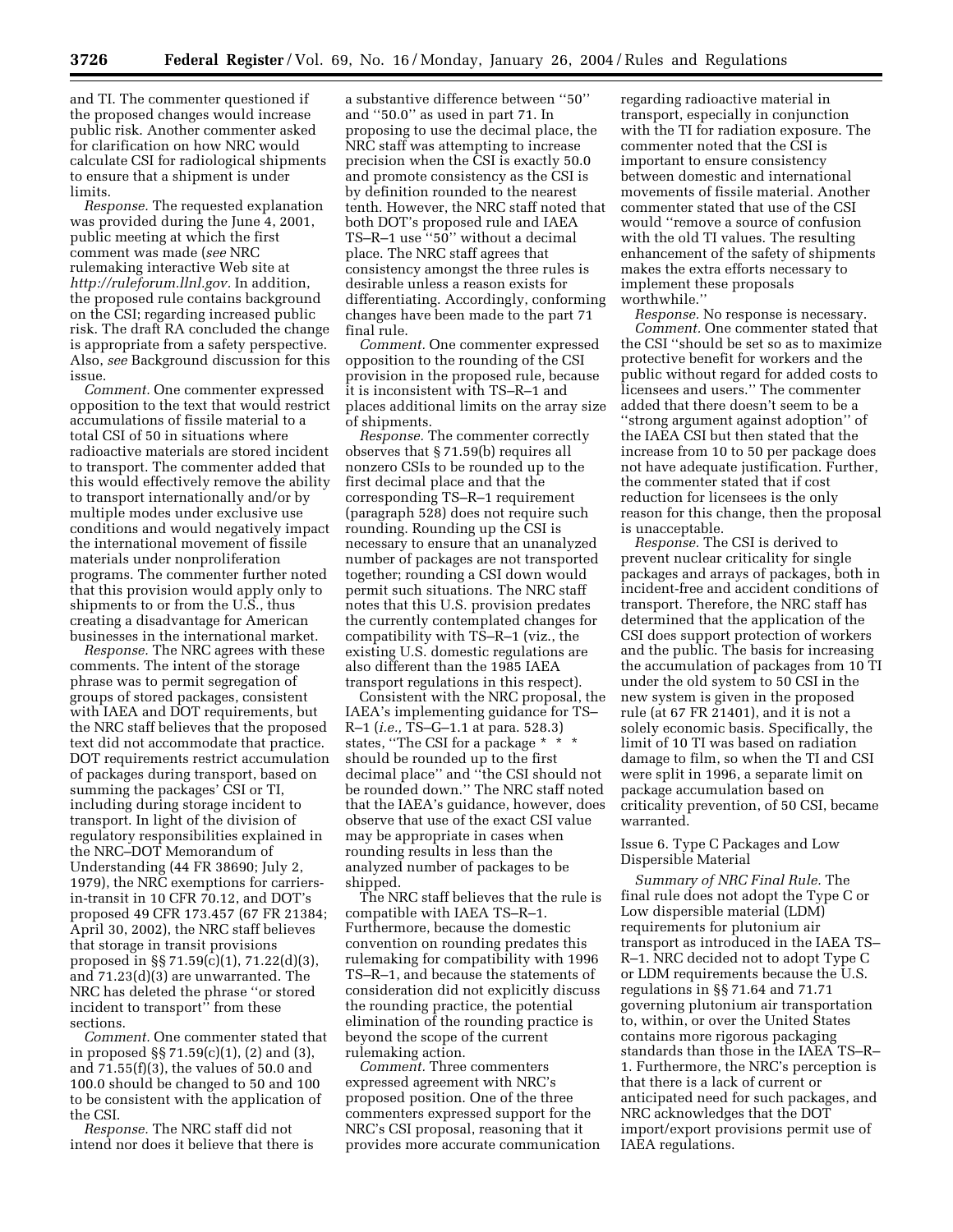and TI. The commenter questioned if the proposed changes would increase public risk. Another commenter asked for clarification on how NRC would calculate CSI for radiological shipments to ensure that a shipment is under limits.

*Response.* The requested explanation was provided during the June 4, 2001, public meeting at which the first comment was made (*see* NRC rulemaking interactive Web site at *http://ruleforum.llnl.gov.* In addition, the proposed rule contains background on the CSI; regarding increased public risk. The draft RA concluded the change is appropriate from a safety perspective. Also, *see* Background discussion for this issue.

*Comment.* One commenter expressed opposition to the text that would restrict accumulations of fissile material to a total CSI of 50 in situations where radioactive materials are stored incident to transport. The commenter added that this would effectively remove the ability to transport internationally and/or by multiple modes under exclusive use conditions and would negatively impact the international movement of fissile materials under nonproliferation programs. The commenter further noted that this provision would apply only to shipments to or from the U.S., thus creating a disadvantage for American businesses in the international market.

*Response.* The NRC agrees with these comments. The intent of the storage phrase was to permit segregation of groups of stored packages, consistent with IAEA and DOT requirements, but the NRC staff believes that the proposed text did not accommodate that practice. DOT requirements restrict accumulation of packages during transport, based on summing the packages' CSI or TI, including during storage incident to transport. In light of the division of regulatory responsibilities explained in the NRC–DOT Memorandum of Understanding (44 FR 38690; July 2, 1979), the NRC exemptions for carriersin-transit in 10 CFR 70.12, and DOT's proposed 49 CFR 173.457 (67 FR 21384; April 30, 2002), the NRC staff believes that storage in transit provisions proposed in §§ 71.59(c)(1), 71.22(d)(3), and 71.23(d)(3) are unwarranted. The NRC has deleted the phrase ''or stored incident to transport'' from these sections.

*Comment.* One commenter stated that in proposed §§ 71.59(c)(1), (2) and (3), and 71.55(f)(3), the values of 50.0 and 100.0 should be changed to 50 and 100 to be consistent with the application of the CSI.

*Response.* The NRC staff did not intend nor does it believe that there is

a substantive difference between ''50'' and ''50.0'' as used in part 71. In proposing to use the decimal place, the NRC staff was attempting to increase precision when the CSI is exactly 50.0 and promote consistency as the CSI is by definition rounded to the nearest tenth. However, the NRC staff noted that both DOT's proposed rule and IAEA TS–R–1 use ''50'' without a decimal place. The NRC staff agrees that consistency amongst the three rules is desirable unless a reason exists for differentiating. Accordingly, conforming changes have been made to the part 71 final rule.

*Comment.* One commenter expressed opposition to the rounding of the CSI provision in the proposed rule, because it is inconsistent with TS–R–1 and places additional limits on the array size of shipments.

*Response.* The commenter correctly observes that § 71.59(b) requires all nonzero CSIs to be rounded up to the first decimal place and that the corresponding TS–R–1 requirement (paragraph 528) does not require such rounding. Rounding up the CSI is necessary to ensure that an unanalyzed number of packages are not transported together; rounding a CSI down would permit such situations. The NRC staff notes that this U.S. provision predates the currently contemplated changes for compatibility with TS–R–1 (viz., the existing U.S. domestic regulations are also different than the 1985 IAEA transport regulations in this respect).

Consistent with the NRC proposal, the IAEA's implementing guidance for TS– R–1 (*i.e.,* TS–G–1.1 at para. 528.3) states, ''The CSI for a package \* \* \* should be rounded up to the first decimal place'' and ''the CSI should not be rounded down.'' The NRC staff noted that the IAEA's guidance, however, does observe that use of the exact CSI value may be appropriate in cases when rounding results in less than the analyzed number of packages to be shipped.

The NRC staff believes that the rule is compatible with IAEA TS–R–1. Furthermore, because the domestic convention on rounding predates this rulemaking for compatibility with 1996 TS–R–1, and because the statements of consideration did not explicitly discuss the rounding practice, the potential elimination of the rounding practice is beyond the scope of the current rulemaking action.

*Comment.* Three commenters expressed agreement with NRC's proposed position. One of the three commenters expressed support for the NRC's CSI proposal, reasoning that it provides more accurate communication regarding radioactive material in transport, especially in conjunction with the TI for radiation exposure. The commenter noted that the CSI is important to ensure consistency between domestic and international movements of fissile material. Another commenter stated that use of the CSI would ''remove a source of confusion with the old TI values. The resulting enhancement of the safety of shipments makes the extra efforts necessary to implement these proposals worthwhile.''

*Response.* No response is necessary. *Comment.* One commenter stated that the CSI ''should be set so as to maximize protective benefit for workers and the public without regard for added costs to licensees and users.'' The commenter added that there doesn't seem to be a ''strong argument against adoption'' of the IAEA CSI but then stated that the increase from 10 to 50 per package does not have adequate justification. Further, the commenter stated that if cost reduction for licensees is the only reason for this change, then the proposal is unacceptable.

*Response.* The CSI is derived to prevent nuclear criticality for single packages and arrays of packages, both in incident-free and accident conditions of transport. Therefore, the NRC staff has determined that the application of the CSI does support protection of workers and the public. The basis for increasing the accumulation of packages from 10 TI under the old system to 50 CSI in the new system is given in the proposed rule (at 67 FR 21401), and it is not a solely economic basis. Specifically, the limit of 10 TI was based on radiation damage to film, so when the TI and CSI were split in 1996, a separate limit on package accumulation based on criticality prevention, of 50 CSI, became warranted.

Issue 6. Type C Packages and Low Dispersible Material

*Summary of NRC Final Rule.* The final rule does not adopt the Type C or Low dispersible material (LDM) requirements for plutonium air transport as introduced in the IAEA TS– R–1. NRC decided not to adopt Type C or LDM requirements because the U.S. regulations in §§ 71.64 and 71.71 governing plutonium air transportation to, within, or over the United States contains more rigorous packaging standards than those in the IAEA TS–R– 1. Furthermore, the NRC's perception is that there is a lack of current or anticipated need for such packages, and NRC acknowledges that the DOT import/export provisions permit use of IAEA regulations.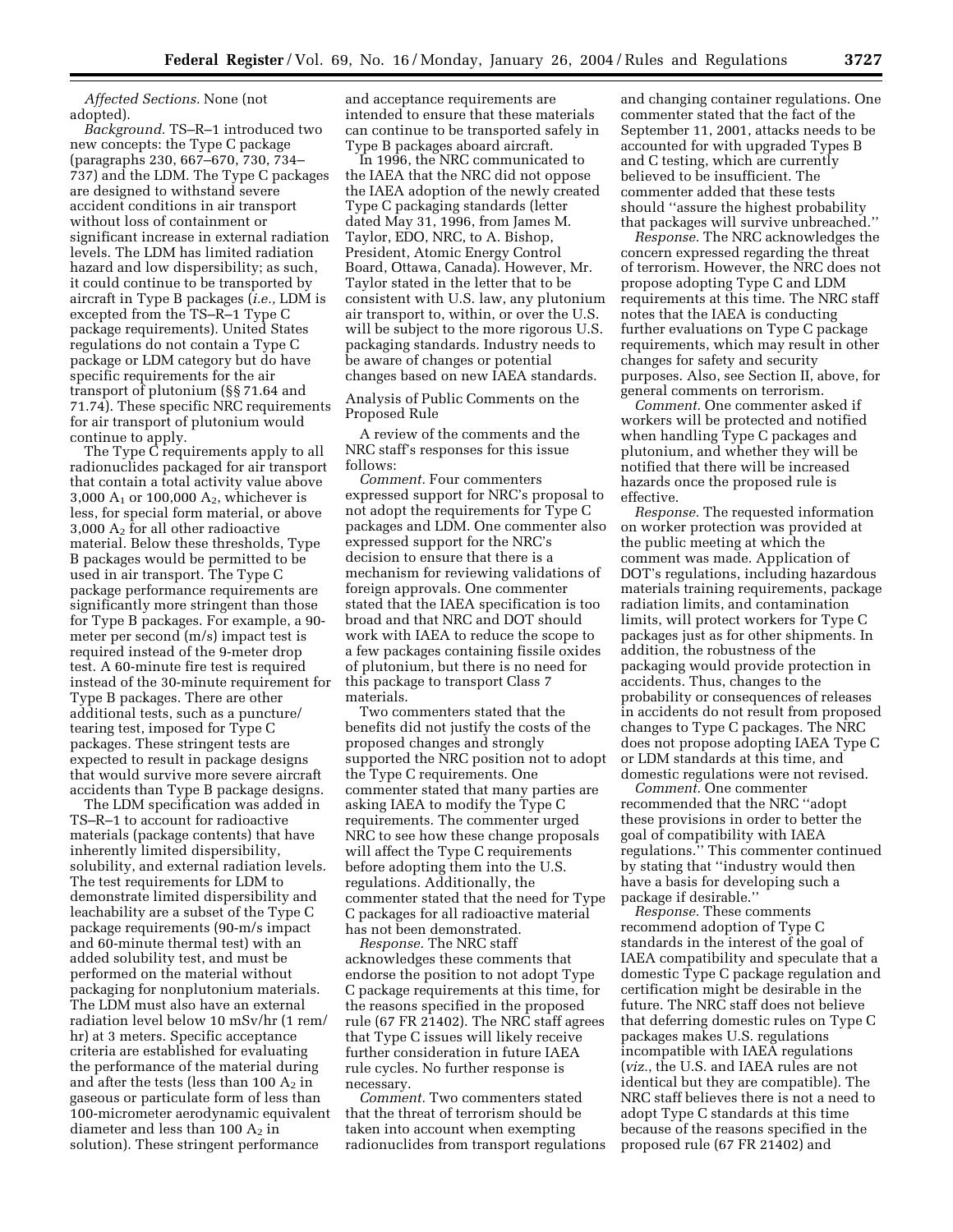*Affected Sections.* None (not adopted).

*Background.* TS–R–1 introduced two new concepts: the Type C package (paragraphs 230, 667–670, 730, 734– 737) and the LDM. The Type C packages are designed to withstand severe accident conditions in air transport without loss of containment or significant increase in external radiation levels. The LDM has limited radiation hazard and low dispersibility; as such, it could continue to be transported by aircraft in Type B packages (*i.e.,* LDM is excepted from the TS–R–1 Type C package requirements). United States regulations do not contain a Type C package or LDM category but do have specific requirements for the air transport of plutonium (§§ 71.64 and 71.74). These specific NRC requirements for air transport of plutonium would continue to apply.

The Type C requirements apply to all radionuclides packaged for air transport that contain a total activity value above 3,000  $A_1$  or 100,000  $A_2$ , whichever is less, for special form material, or above 3,000 A2 for all other radioactive material. Below these thresholds, Type B packages would be permitted to be used in air transport. The Type C package performance requirements are significantly more stringent than those for Type B packages. For example, a 90 meter per second (m/s) impact test is required instead of the 9-meter drop test. A 60-minute fire test is required instead of the 30-minute requirement for Type B packages. There are other additional tests, such as a puncture/ tearing test, imposed for Type C packages. These stringent tests are expected to result in package designs that would survive more severe aircraft accidents than Type B package designs.

The LDM specification was added in TS–R–1 to account for radioactive materials (package contents) that have inherently limited dispersibility, solubility, and external radiation levels. The test requirements for LDM to demonstrate limited dispersibility and leachability are a subset of the Type C package requirements (90-m/s impact and 60-minute thermal test) with an added solubility test, and must be performed on the material without packaging for nonplutonium materials. The LDM must also have an external radiation level below 10 mSv/hr (1 rem/ hr) at 3 meters. Specific acceptance criteria are established for evaluating the performance of the material during and after the tests (less than 100  $A_2$  in gaseous or particulate form of less than 100-micrometer aerodynamic equivalent diameter and less than 100  $A_2$  in solution). These stringent performance

and acceptance requirements are intended to ensure that these materials can continue to be transported safely in Type B packages aboard aircraft.

In 1996, the NRC communicated to the IAEA that the NRC did not oppose the IAEA adoption of the newly created Type C packaging standards (letter dated May 31, 1996, from James M. Taylor, EDO, NRC, to A. Bishop, President, Atomic Energy Control Board, Ottawa, Canada). However, Mr. Taylor stated in the letter that to be consistent with U.S. law, any plutonium air transport to, within, or over the U.S. will be subject to the more rigorous U.S. packaging standards. Industry needs to be aware of changes or potential changes based on new IAEA standards.

Analysis of Public Comments on the Proposed Rule

A review of the comments and the NRC staff's responses for this issue follows:

*Comment.* Four commenters expressed support for NRC's proposal to not adopt the requirements for Type C packages and LDM. One commenter also expressed support for the NRC's decision to ensure that there is a mechanism for reviewing validations of foreign approvals. One commenter stated that the IAEA specification is too broad and that NRC and DOT should work with IAEA to reduce the scope to a few packages containing fissile oxides of plutonium, but there is no need for this package to transport Class 7 materials.

Two commenters stated that the benefits did not justify the costs of the proposed changes and strongly supported the NRC position not to adopt the Type C requirements. One commenter stated that many parties are asking IAEA to modify the Type C requirements. The commenter urged NRC to see how these change proposals will affect the Type C requirements before adopting them into the U.S. regulations. Additionally, the commenter stated that the need for Type C packages for all radioactive material has not been demonstrated.

*Response.* The NRC staff acknowledges these comments that endorse the position to not adopt Type C package requirements at this time, for the reasons specified in the proposed rule (67 FR 21402). The NRC staff agrees that Type C issues will likely receive further consideration in future IAEA rule cycles. No further response is necessary.

*Comment.* Two commenters stated that the threat of terrorism should be taken into account when exempting radionuclides from transport regulations and changing container regulations. One commenter stated that the fact of the September 11, 2001, attacks needs to be accounted for with upgraded Types B and C testing, which are currently believed to be insufficient. The commenter added that these tests should ''assure the highest probability that packages will survive unbreached.''

*Response.* The NRC acknowledges the concern expressed regarding the threat of terrorism. However, the NRC does not propose adopting Type C and LDM requirements at this time. The NRC staff notes that the IAEA is conducting further evaluations on Type C package requirements, which may result in other changes for safety and security purposes. Also, see Section II, above, for general comments on terrorism.

*Comment.* One commenter asked if workers will be protected and notified when handling Type C packages and plutonium, and whether they will be notified that there will be increased hazards once the proposed rule is effective.

*Response.* The requested information on worker protection was provided at the public meeting at which the comment was made. Application of DOT's regulations, including hazardous materials training requirements, package radiation limits, and contamination limits, will protect workers for Type C packages just as for other shipments. In addition, the robustness of the packaging would provide protection in accidents. Thus, changes to the probability or consequences of releases in accidents do not result from proposed changes to Type C packages. The NRC does not propose adopting IAEA Type C or LDM standards at this time, and domestic regulations were not revised.

*Comment.* One commenter recommended that the NRC ''adopt these provisions in order to better the goal of compatibility with IAEA regulations.'' This commenter continued by stating that ''industry would then have a basis for developing such a package if desirable.''

*Response.* These comments recommend adoption of Type C standards in the interest of the goal of IAEA compatibility and speculate that a domestic Type C package regulation and certification might be desirable in the future. The NRC staff does not believe that deferring domestic rules on Type C packages makes U.S. regulations incompatible with IAEA regulations (*viz.*, the U.S. and IAEA rules are not identical but they are compatible). The NRC staff believes there is not a need to adopt Type C standards at this time because of the reasons specified in the proposed rule (67 FR 21402) and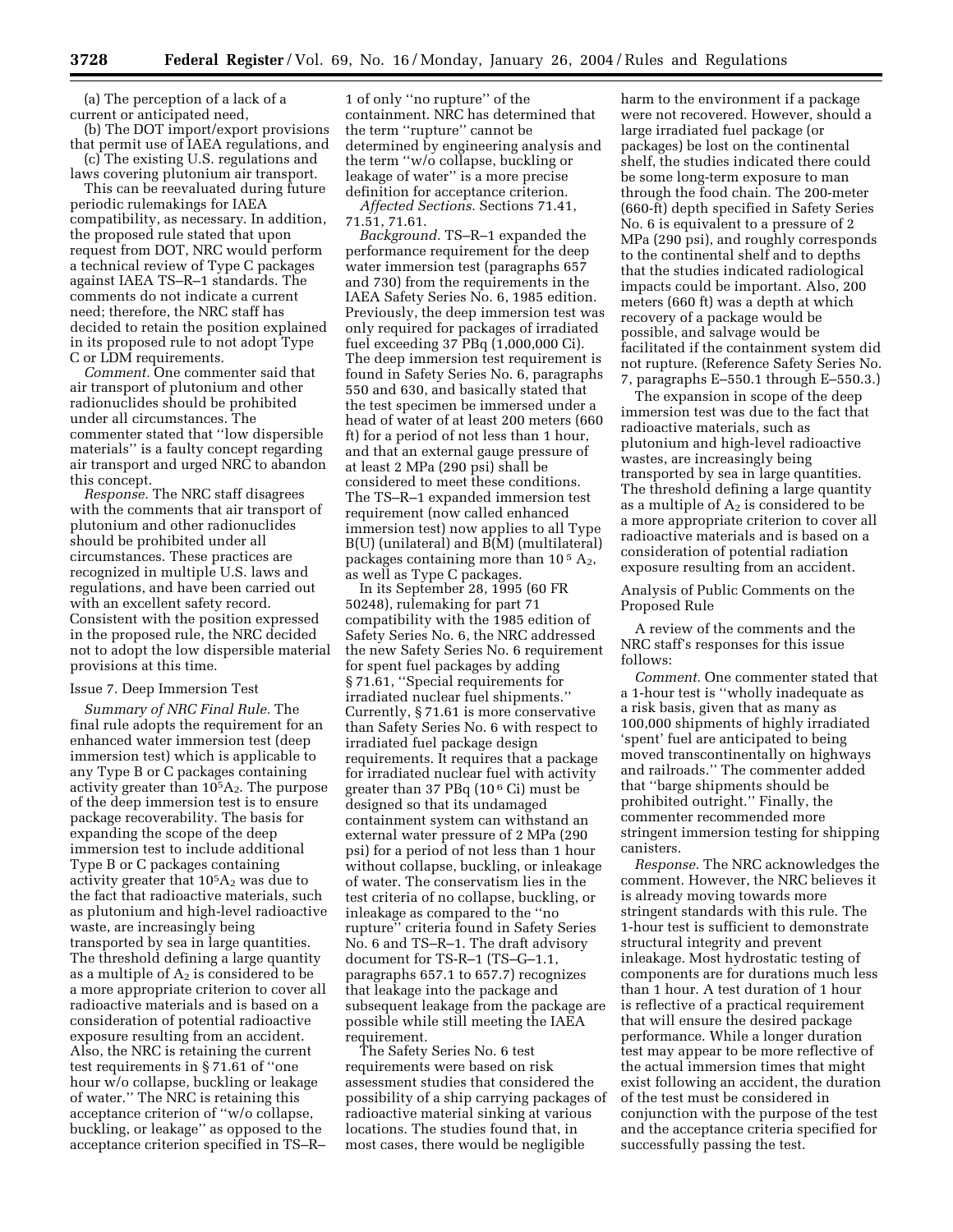(a) The perception of a lack of a current or anticipated need,

(b) The DOT import/export provisions that permit use of IAEA regulations, and

(c) The existing U.S. regulations and laws covering plutonium air transport. This can be reevaluated during future

periodic rulemakings for IAEA compatibility, as necessary. In addition, the proposed rule stated that upon request from DOT, NRC would perform a technical review of Type C packages against IAEA TS–R–1 standards. The comments do not indicate a current need; therefore, the NRC staff has decided to retain the position explained in its proposed rule to not adopt Type C or LDM requirements.

*Comment.* One commenter said that air transport of plutonium and other radionuclides should be prohibited under all circumstances. The commenter stated that ''low dispersible materials'' is a faulty concept regarding air transport and urged NRC to abandon this concept.

*Response.* The NRC staff disagrees with the comments that air transport of plutonium and other radionuclides should be prohibited under all circumstances. These practices are recognized in multiple U.S. laws and regulations, and have been carried out with an excellent safety record. Consistent with the position expressed in the proposed rule, the NRC decided not to adopt the low dispersible material provisions at this time.

#### Issue 7. Deep Immersion Test

*Summary of NRC Final Rule.* The final rule adopts the requirement for an enhanced water immersion test (deep immersion test) which is applicable to any Type B or C packages containing activity greater than  $10<sup>5</sup>A<sub>2</sub>$ . The purpose of the deep immersion test is to ensure package recoverability. The basis for expanding the scope of the deep immersion test to include additional Type B or C packages containing activity greater that  $10<sup>5</sup>A<sub>2</sub>$  was due to the fact that radioactive materials, such as plutonium and high-level radioactive waste, are increasingly being transported by sea in large quantities. The threshold defining a large quantity as a multiple of  $A_2$  is considered to be a more appropriate criterion to cover all radioactive materials and is based on a consideration of potential radioactive exposure resulting from an accident. Also, the NRC is retaining the current test requirements in § 71.61 of ''one hour w/o collapse, buckling or leakage of water.'' The NRC is retaining this acceptance criterion of ''w/o collapse, buckling, or leakage'' as opposed to the acceptance criterion specified in TS–R–

1 of only ''no rupture'' of the containment. NRC has determined that the term ''rupture'' cannot be determined by engineering analysis and the term ''w/o collapse, buckling or leakage of water'' is a more precise definition for acceptance criterion.

*Affected Sections.* Sections 71.41, 71.51, 71.61.

*Background.* TS–R–1 expanded the performance requirement for the deep water immersion test (paragraphs 657 and 730) from the requirements in the IAEA Safety Series No. 6, 1985 edition. Previously, the deep immersion test was only required for packages of irradiated fuel exceeding 37 PBq (1,000,000 Ci). The deep immersion test requirement is found in Safety Series No. 6, paragraphs 550 and 630, and basically stated that the test specimen be immersed under a head of water of at least 200 meters (660 ft) for a period of not less than 1 hour, and that an external gauge pressure of at least 2 MPa (290 psi) shall be considered to meet these conditions. The TS–R–1 expanded immersion test requirement (now called enhanced immersion test) now applies to all Type B(U) (unilateral) and B(M) (multilateral) packages containing more than  $10<sup>5</sup> A<sub>2</sub>$ , as well as Type C packages.

In its September 28, 1995 (60 FR 50248), rulemaking for part 71 compatibility with the 1985 edition of Safety Series No. 6, the NRC addressed the new Safety Series No. 6 requirement for spent fuel packages by adding § 71.61, ''Special requirements for irradiated nuclear fuel shipments.'' Currently, § 71.61 is more conservative than Safety Series No. 6 with respect to irradiated fuel package design requirements. It requires that a package for irradiated nuclear fuel with activity greater than 37 PBq (10 6 Ci) must be designed so that its undamaged containment system can withstand an external water pressure of 2 MPa (290 psi) for a period of not less than 1 hour without collapse, buckling, or inleakage of water. The conservatism lies in the test criteria of no collapse, buckling, or inleakage as compared to the ''no rupture'' criteria found in Safety Series No. 6 and TS–R–1. The draft advisory document for TS-R–1 (TS–G–1.1, paragraphs 657.1 to 657.7) recognizes that leakage into the package and subsequent leakage from the package are possible while still meeting the IAEA requirement.

The Safety Series No. 6 test requirements were based on risk assessment studies that considered the possibility of a ship carrying packages of radioactive material sinking at various locations. The studies found that, in most cases, there would be negligible

harm to the environment if a package were not recovered. However, should a large irradiated fuel package (or packages) be lost on the continental shelf, the studies indicated there could be some long-term exposure to man through the food chain. The 200-meter (660-ft) depth specified in Safety Series No. 6 is equivalent to a pressure of 2 MPa (290 psi), and roughly corresponds to the continental shelf and to depths that the studies indicated radiological impacts could be important. Also, 200 meters (660 ft) was a depth at which recovery of a package would be possible, and salvage would be facilitated if the containment system did not rupture. (Reference Safety Series No. 7, paragraphs E–550.1 through E–550.3.)

The expansion in scope of the deep immersion test was due to the fact that radioactive materials, such as plutonium and high-level radioactive wastes, are increasingly being transported by sea in large quantities. The threshold defining a large quantity as a multiple of  $A_2$  is considered to be a more appropriate criterion to cover all radioactive materials and is based on a consideration of potential radiation exposure resulting from an accident.

Analysis of Public Comments on the Proposed Rule

A review of the comments and the NRC staff's responses for this issue follows:

*Comment.* One commenter stated that a 1-hour test is ''wholly inadequate as a risk basis, given that as many as 100,000 shipments of highly irradiated 'spent' fuel are anticipated to being moved transcontinentally on highways and railroads.'' The commenter added that ''barge shipments should be prohibited outright.'' Finally, the commenter recommended more stringent immersion testing for shipping canisters.

*Response.* The NRC acknowledges the comment. However, the NRC believes it is already moving towards more stringent standards with this rule. The 1-hour test is sufficient to demonstrate structural integrity and prevent inleakage. Most hydrostatic testing of components are for durations much less than 1 hour. A test duration of 1 hour is reflective of a practical requirement that will ensure the desired package performance. While a longer duration test may appear to be more reflective of the actual immersion times that might exist following an accident, the duration of the test must be considered in conjunction with the purpose of the test and the acceptance criteria specified for successfully passing the test.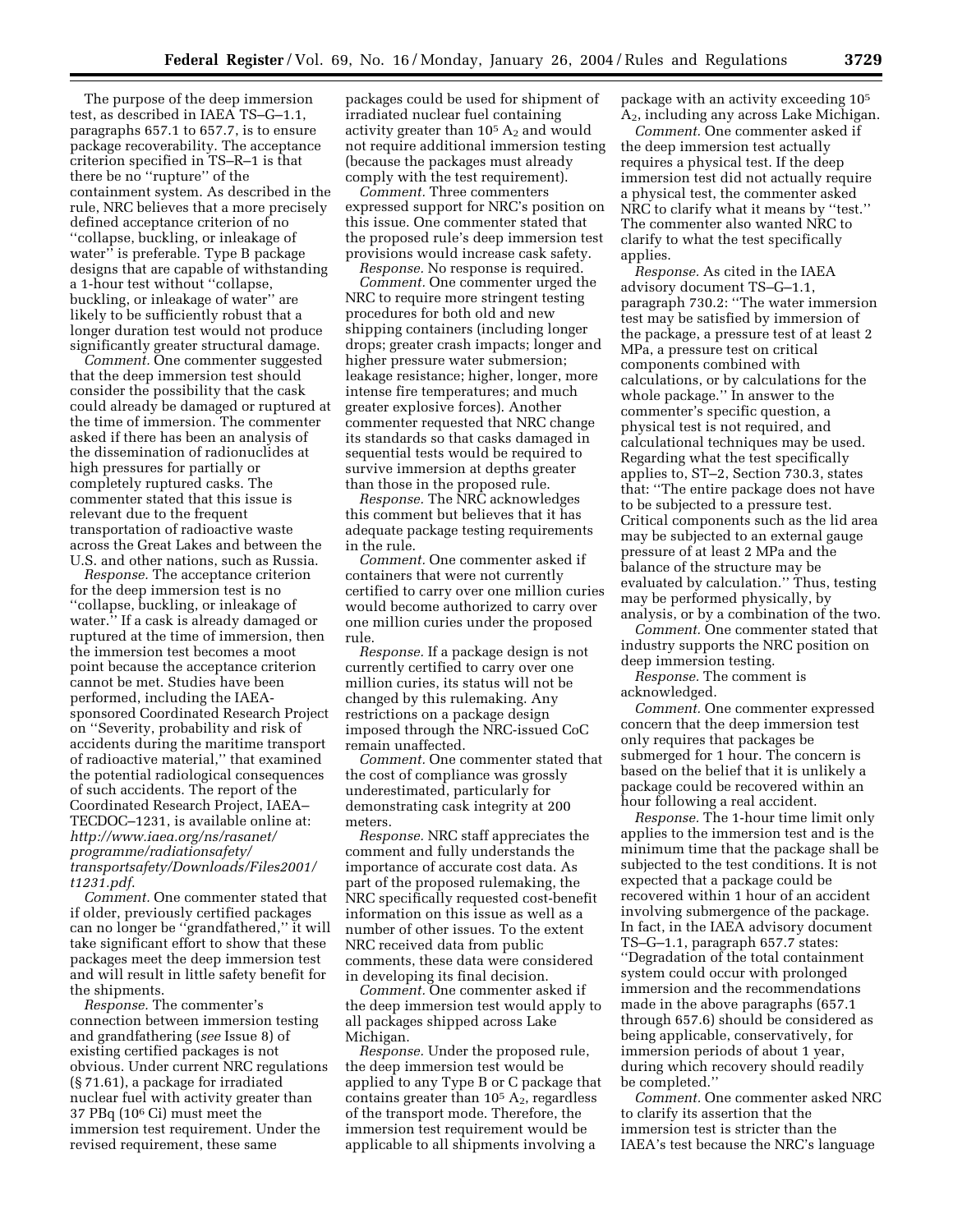The purpose of the deep immersion test, as described in IAEA TS–G–1.1, paragraphs 657.1 to 657.7, is to ensure package recoverability. The acceptance criterion specified in TS-R-1 is that there be no ''rupture'' of the containment system. As described in the rule, NRC believes that a more precisely defined acceptance criterion of no ''collapse, buckling, or inleakage of water'' is preferable. Type B package designs that are capable of withstanding a 1-hour test without ''collapse, buckling, or inleakage of water'' are likely to be sufficiently robust that a longer duration test would not produce significantly greater structural damage.

*Comment.* One commenter suggested that the deep immersion test should consider the possibility that the cask could already be damaged or ruptured at the time of immersion. The commenter asked if there has been an analysis of the dissemination of radionuclides at high pressures for partially or completely ruptured casks. The commenter stated that this issue is relevant due to the frequent transportation of radioactive waste across the Great Lakes and between the U.S. and other nations, such as Russia.

*Response.* The acceptance criterion for the deep immersion test is no ''collapse, buckling, or inleakage of water.'' If a cask is already damaged or ruptured at the time of immersion, then the immersion test becomes a moot point because the acceptance criterion cannot be met. Studies have been performed, including the IAEAsponsored Coordinated Research Project on ''Severity, probability and risk of accidents during the maritime transport of radioactive material,'' that examined the potential radiological consequences of such accidents. The report of the Coordinated Research Project, IAEA– TECDOC–1231, is available online at: *http://www.iaea.org/ns/rasanet/ programme/radiationsafety/ transportsafety/Downloads/Files2001/ t1231.pdf*.

*Comment.* One commenter stated that if older, previously certified packages can no longer be ''grandfathered,'' it will take significant effort to show that these packages meet the deep immersion test and will result in little safety benefit for the shipments.

*Response.* The commenter's connection between immersion testing and grandfathering (*see* Issue 8) of existing certified packages is not obvious. Under current NRC regulations (§ 71.61), a package for irradiated nuclear fuel with activity greater than 37 PBq (106 Ci) must meet the immersion test requirement. Under the revised requirement, these same

packages could be used for shipment of irradiated nuclear fuel containing activity greater than  $10<sup>5</sup> A<sub>2</sub>$  and would not require additional immersion testing (because the packages must already comply with the test requirement).

*Comment.* Three commenters expressed support for NRC's position on this issue. One commenter stated that the proposed rule's deep immersion test provisions would increase cask safety. *Response.* No response is required.

*Comment.* One commenter urged the NRC to require more stringent testing procedures for both old and new shipping containers (including longer drops; greater crash impacts; longer and higher pressure water submersion; leakage resistance; higher, longer, more intense fire temperatures; and much greater explosive forces). Another commenter requested that NRC change its standards so that casks damaged in sequential tests would be required to survive immersion at depths greater than those in the proposed rule.

*Response.* The NRC acknowledges this comment but believes that it has adequate package testing requirements in the rule.

*Comment.* One commenter asked if containers that were not currently certified to carry over one million curies would become authorized to carry over one million curies under the proposed rule.

*Response.* If a package design is not currently certified to carry over one million curies, its status will not be changed by this rulemaking. Any restrictions on a package design imposed through the NRC-issued CoC remain unaffected.

*Comment.* One commenter stated that the cost of compliance was grossly underestimated, particularly for demonstrating cask integrity at 200 meters.

*Response.* NRC staff appreciates the comment and fully understands the importance of accurate cost data. As part of the proposed rulemaking, the NRC specifically requested cost-benefit information on this issue as well as a number of other issues. To the extent NRC received data from public comments, these data were considered in developing its final decision.

*Comment.* One commenter asked if the deep immersion test would apply to all packages shipped across Lake Michigan.

*Response.* Under the proposed rule, the deep immersion test would be applied to any Type B or C package that contains greater than  $10<sup>5</sup> A<sub>2</sub>$ , regardless of the transport mode. Therefore, the immersion test requirement would be applicable to all shipments involving a

package with an activity exceeding 105 A2, including any across Lake Michigan.

*Comment.* One commenter asked if the deep immersion test actually requires a physical test. If the deep immersion test did not actually require a physical test, the commenter asked NRC to clarify what it means by ''test.'' The commenter also wanted NRC to clarify to what the test specifically applies.

*Response.* As cited in the IAEA advisory document TS–G–1.1, paragraph 730.2: ''The water immersion test may be satisfied by immersion of the package, a pressure test of at least 2 MPa, a pressure test on critical components combined with calculations, or by calculations for the whole package.'' In answer to the commenter's specific question, a physical test is not required, and calculational techniques may be used. Regarding what the test specifically applies to, ST–2, Section 730.3, states that: ''The entire package does not have to be subjected to a pressure test. Critical components such as the lid area may be subjected to an external gauge pressure of at least 2 MPa and the balance of the structure may be evaluated by calculation.'' Thus, testing may be performed physically, by analysis, or by a combination of the two.

*Comment.* One commenter stated that industry supports the NRC position on deep immersion testing.

*Response.* The comment is acknowledged.

*Comment.* One commenter expressed concern that the deep immersion test only requires that packages be submerged for 1 hour. The concern is based on the belief that it is unlikely a package could be recovered within an hour following a real accident.

*Response.* The 1-hour time limit only applies to the immersion test and is the minimum time that the package shall be subjected to the test conditions. It is not expected that a package could be recovered within 1 hour of an accident involving submergence of the package. In fact, in the IAEA advisory document TS–G–1.1, paragraph 657.7 states: ''Degradation of the total containment system could occur with prolonged immersion and the recommendations made in the above paragraphs (657.1 through 657.6) should be considered as being applicable, conservatively, for immersion periods of about 1 year, during which recovery should readily be completed.''

*Comment.* One commenter asked NRC to clarify its assertion that the immersion test is stricter than the IAEA's test because the NRC's language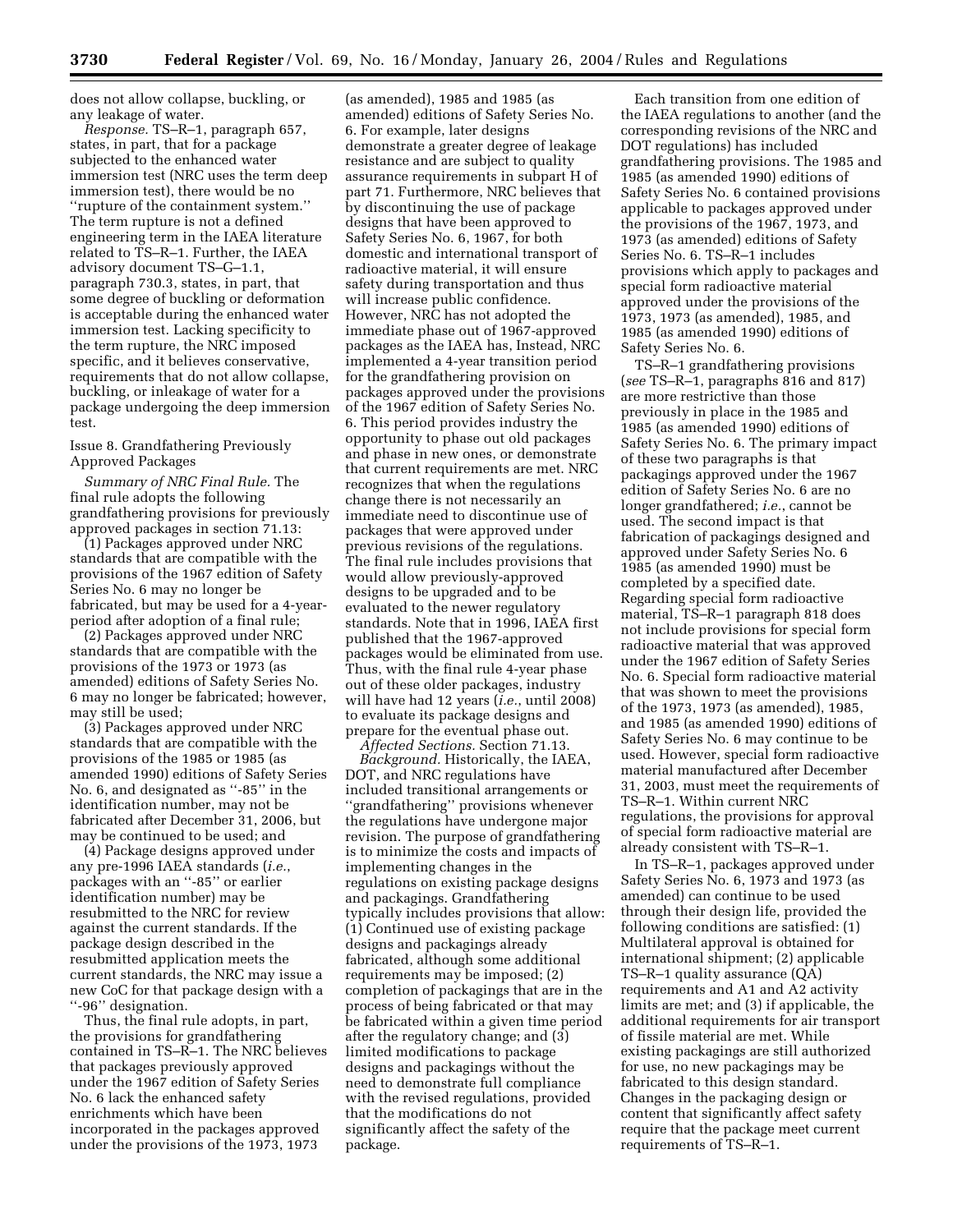does not allow collapse, buckling, or any leakage of water.

*Response.* TS–R–1, paragraph 657, states, in part, that for a package subjected to the enhanced water immersion test (NRC uses the term deep immersion test), there would be no ''rupture of the containment system.'' The term rupture is not a defined engineering term in the IAEA literature related to TS–R–1. Further, the IAEA advisory document TS–G–1.1, paragraph 730.3, states, in part, that some degree of buckling or deformation is acceptable during the enhanced water immersion test. Lacking specificity to the term rupture, the NRC imposed specific, and it believes conservative, requirements that do not allow collapse, buckling, or inleakage of water for a package undergoing the deep immersion test.

#### Issue 8. Grandfathering Previously Approved Packages

*Summary of NRC Final Rule.* The final rule adopts the following grandfathering provisions for previously approved packages in section 71.13:

(1) Packages approved under NRC standards that are compatible with the provisions of the 1967 edition of Safety Series No. 6 may no longer be fabricated, but may be used for a 4-yearperiod after adoption of a final rule;

(2) Packages approved under NRC standards that are compatible with the provisions of the 1973 or 1973 (as amended) editions of Safety Series No. 6 may no longer be fabricated; however, may still be used;

(3) Packages approved under NRC standards that are compatible with the provisions of the 1985 or 1985 (as amended 1990) editions of Safety Series No. 6, and designated as ''-85'' in the identification number, may not be fabricated after December 31, 2006, but may be continued to be used; and

(4) Package designs approved under any pre-1996 IAEA standards (*i.e.*, packages with an ''-85'' or earlier identification number) may be resubmitted to the NRC for review against the current standards. If the package design described in the resubmitted application meets the current standards, the NRC may issue a new CoC for that package design with a ''-96'' designation.

Thus, the final rule adopts, in part, the provisions for grandfathering contained in TS–R–1. The NRC believes that packages previously approved under the 1967 edition of Safety Series No. 6 lack the enhanced safety enrichments which have been incorporated in the packages approved under the provisions of the 1973, 1973

(as amended), 1985 and 1985 (as amended) editions of Safety Series No. 6. For example, later designs demonstrate a greater degree of leakage resistance and are subject to quality assurance requirements in subpart H of part 71. Furthermore, NRC believes that by discontinuing the use of package designs that have been approved to Safety Series No. 6, 1967, for both domestic and international transport of radioactive material, it will ensure safety during transportation and thus will increase public confidence. However, NRC has not adopted the immediate phase out of 1967-approved packages as the IAEA has, Instead, NRC implemented a 4-year transition period for the grandfathering provision on packages approved under the provisions of the 1967 edition of Safety Series No. 6. This period provides industry the opportunity to phase out old packages and phase in new ones, or demonstrate that current requirements are met. NRC recognizes that when the regulations change there is not necessarily an immediate need to discontinue use of packages that were approved under previous revisions of the regulations. The final rule includes provisions that would allow previously-approved designs to be upgraded and to be evaluated to the newer regulatory standards. Note that in 1996, IAEA first published that the 1967-approved packages would be eliminated from use. Thus, with the final rule 4-year phase out of these older packages, industry will have had 12 years (*i.e.*, until 2008) to evaluate its package designs and prepare for the eventual phase out.

*Affected Sections.* Section 71.13. *Background.* Historically, the IAEA, DOT, and NRC regulations have included transitional arrangements or ''grandfathering'' provisions whenever the regulations have undergone major revision. The purpose of grandfathering is to minimize the costs and impacts of implementing changes in the regulations on existing package designs and packagings. Grandfathering typically includes provisions that allow: (1) Continued use of existing package designs and packagings already fabricated, although some additional requirements may be imposed; (2) completion of packagings that are in the process of being fabricated or that may be fabricated within a given time period after the regulatory change; and (3) limited modifications to package designs and packagings without the need to demonstrate full compliance with the revised regulations, provided that the modifications do not significantly affect the safety of the package.

Each transition from one edition of the IAEA regulations to another (and the corresponding revisions of the NRC and DOT regulations) has included grandfathering provisions. The 1985 and 1985 (as amended 1990) editions of Safety Series No. 6 contained provisions applicable to packages approved under the provisions of the 1967, 1973, and 1973 (as amended) editions of Safety Series No. 6. TS–R–1 includes provisions which apply to packages and special form radioactive material approved under the provisions of the 1973, 1973 (as amended), 1985, and 1985 (as amended 1990) editions of Safety Series No. 6.

TS–R–1 grandfathering provisions (*see* TS–R–1, paragraphs 816 and 817) are more restrictive than those previously in place in the 1985 and 1985 (as amended 1990) editions of Safety Series No. 6. The primary impact of these two paragraphs is that packagings approved under the 1967 edition of Safety Series No. 6 are no longer grandfathered; *i.e.*, cannot be used. The second impact is that fabrication of packagings designed and approved under Safety Series No. 6 1985 (as amended 1990) must be completed by a specified date. Regarding special form radioactive material, TS–R–1 paragraph 818 does not include provisions for special form radioactive material that was approved under the 1967 edition of Safety Series No. 6. Special form radioactive material that was shown to meet the provisions of the 1973, 1973 (as amended), 1985, and 1985 (as amended 1990) editions of Safety Series No. 6 may continue to be used. However, special form radioactive material manufactured after December 31, 2003, must meet the requirements of TS–R–1. Within current NRC regulations, the provisions for approval of special form radioactive material are already consistent with TS–R–1.

In TS–R–1, packages approved under Safety Series No. 6, 1973 and 1973 (as amended) can continue to be used through their design life, provided the following conditions are satisfied: (1) Multilateral approval is obtained for international shipment; (2) applicable TS–R–1 quality assurance (QA) requirements and A1 and A2 activity limits are met; and (3) if applicable, the additional requirements for air transport of fissile material are met. While existing packagings are still authorized for use, no new packagings may be fabricated to this design standard. Changes in the packaging design or content that significantly affect safety require that the package meet current requirements of TS–R–1.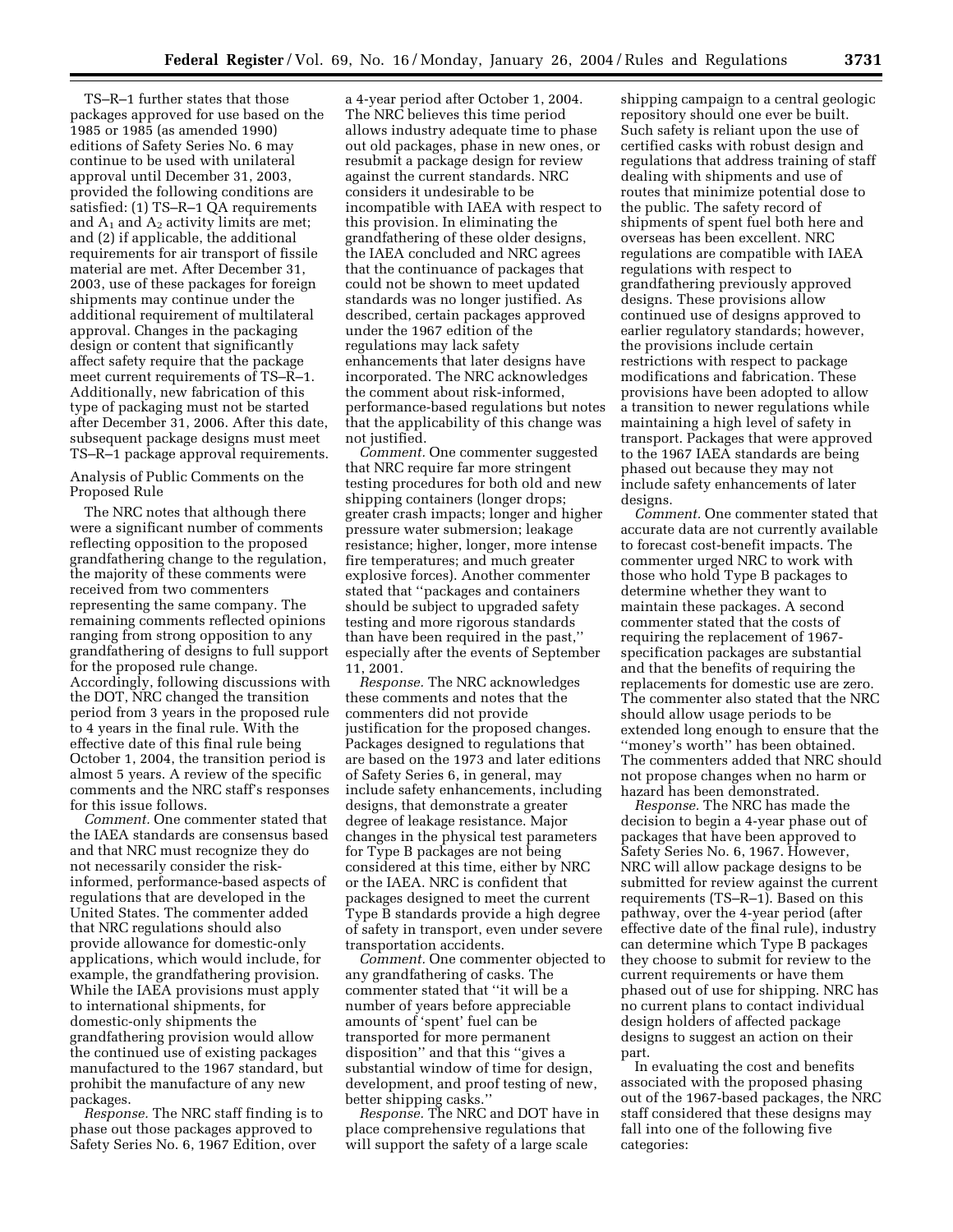TS–R–1 further states that those packages approved for use based on the 1985 or 1985 (as amended 1990) editions of Safety Series No. 6 may continue to be used with unilateral approval until December 31, 2003, provided the following conditions are satisfied: (1) TS–R–1 QA requirements and  $A_1$  and  $A_2$  activity limits are met; and (2) if applicable, the additional requirements for air transport of fissile material are met. After December 31, 2003, use of these packages for foreign shipments may continue under the additional requirement of multilateral approval. Changes in the packaging design or content that significantly affect safety require that the package meet current requirements of TS–R–1. Additionally, new fabrication of this type of packaging must not be started after December 31, 2006. After this date, subsequent package designs must meet TS–R–1 package approval requirements.

Analysis of Public Comments on the Proposed Rule

The NRC notes that although there were a significant number of comments reflecting opposition to the proposed grandfathering change to the regulation, the majority of these comments were received from two commenters representing the same company. The remaining comments reflected opinions ranging from strong opposition to any grandfathering of designs to full support for the proposed rule change. Accordingly, following discussions with the DOT, NRC changed the transition period from 3 years in the proposed rule to 4 years in the final rule. With the effective date of this final rule being October 1, 2004, the transition period is almost 5 years. A review of the specific comments and the NRC staff's responses for this issue follows.

*Comment.* One commenter stated that the IAEA standards are consensus based and that NRC must recognize they do not necessarily consider the riskinformed, performance-based aspects of regulations that are developed in the United States. The commenter added that NRC regulations should also provide allowance for domestic-only applications, which would include, for example, the grandfathering provision. While the IAEA provisions must apply to international shipments, for domestic-only shipments the grandfathering provision would allow the continued use of existing packages manufactured to the 1967 standard, but prohibit the manufacture of any new packages.

*Response.* The NRC staff finding is to phase out those packages approved to Safety Series No. 6, 1967 Edition, over

a 4-year period after October 1, 2004. The NRC believes this time period allows industry adequate time to phase out old packages, phase in new ones, or resubmit a package design for review against the current standards. NRC considers it undesirable to be incompatible with IAEA with respect to this provision. In eliminating the grandfathering of these older designs, the IAEA concluded and NRC agrees that the continuance of packages that could not be shown to meet updated standards was no longer justified. As described, certain packages approved under the 1967 edition of the regulations may lack safety enhancements that later designs have incorporated. The NRC acknowledges the comment about risk-informed, performance-based regulations but notes that the applicability of this change was not justified.

*Comment.* One commenter suggested that NRC require far more stringent testing procedures for both old and new shipping containers (longer drops; greater crash impacts; longer and higher pressure water submersion; leakage resistance; higher, longer, more intense fire temperatures; and much greater explosive forces). Another commenter stated that ''packages and containers should be subject to upgraded safety testing and more rigorous standards than have been required in the past,'' especially after the events of September 11, 2001.

*Response.* The NRC acknowledges these comments and notes that the commenters did not provide justification for the proposed changes. Packages designed to regulations that are based on the 1973 and later editions of Safety Series 6, in general, may include safety enhancements, including designs, that demonstrate a greater degree of leakage resistance. Major changes in the physical test parameters for Type B packages are not being considered at this time, either by NRC or the IAEA. NRC is confident that packages designed to meet the current Type B standards provide a high degree of safety in transport, even under severe transportation accidents.

*Comment.* One commenter objected to any grandfathering of casks. The commenter stated that ''it will be a number of years before appreciable amounts of 'spent' fuel can be transported for more permanent disposition'' and that this ''gives a substantial window of time for design, development, and proof testing of new, better shipping casks.''

*Response.* The NRC and DOT have in place comprehensive regulations that will support the safety of a large scale

shipping campaign to a central geologic repository should one ever be built. Such safety is reliant upon the use of certified casks with robust design and regulations that address training of staff dealing with shipments and use of routes that minimize potential dose to the public. The safety record of shipments of spent fuel both here and overseas has been excellent. NRC regulations are compatible with IAEA regulations with respect to grandfathering previously approved designs. These provisions allow continued use of designs approved to earlier regulatory standards; however, the provisions include certain restrictions with respect to package modifications and fabrication. These provisions have been adopted to allow a transition to newer regulations while maintaining a high level of safety in transport. Packages that were approved to the 1967 IAEA standards are being phased out because they may not include safety enhancements of later designs.

*Comment.* One commenter stated that accurate data are not currently available to forecast cost-benefit impacts. The commenter urged NRC to work with those who hold Type B packages to determine whether they want to maintain these packages. A second commenter stated that the costs of requiring the replacement of 1967 specification packages are substantial and that the benefits of requiring the replacements for domestic use are zero. The commenter also stated that the NRC should allow usage periods to be extended long enough to ensure that the ''money's worth'' has been obtained. The commenters added that NRC should not propose changes when no harm or hazard has been demonstrated.

*Response.* The NRC has made the decision to begin a 4-year phase out of packages that have been approved to Safety Series No. 6, 1967. However, NRC will allow package designs to be submitted for review against the current requirements (TS–R–1). Based on this pathway, over the 4-year period (after effective date of the final rule), industry can determine which Type B packages they choose to submit for review to the current requirements or have them phased out of use for shipping. NRC has no current plans to contact individual design holders of affected package designs to suggest an action on their part.

In evaluating the cost and benefits associated with the proposed phasing out of the 1967-based packages, the NRC staff considered that these designs may fall into one of the following five categories: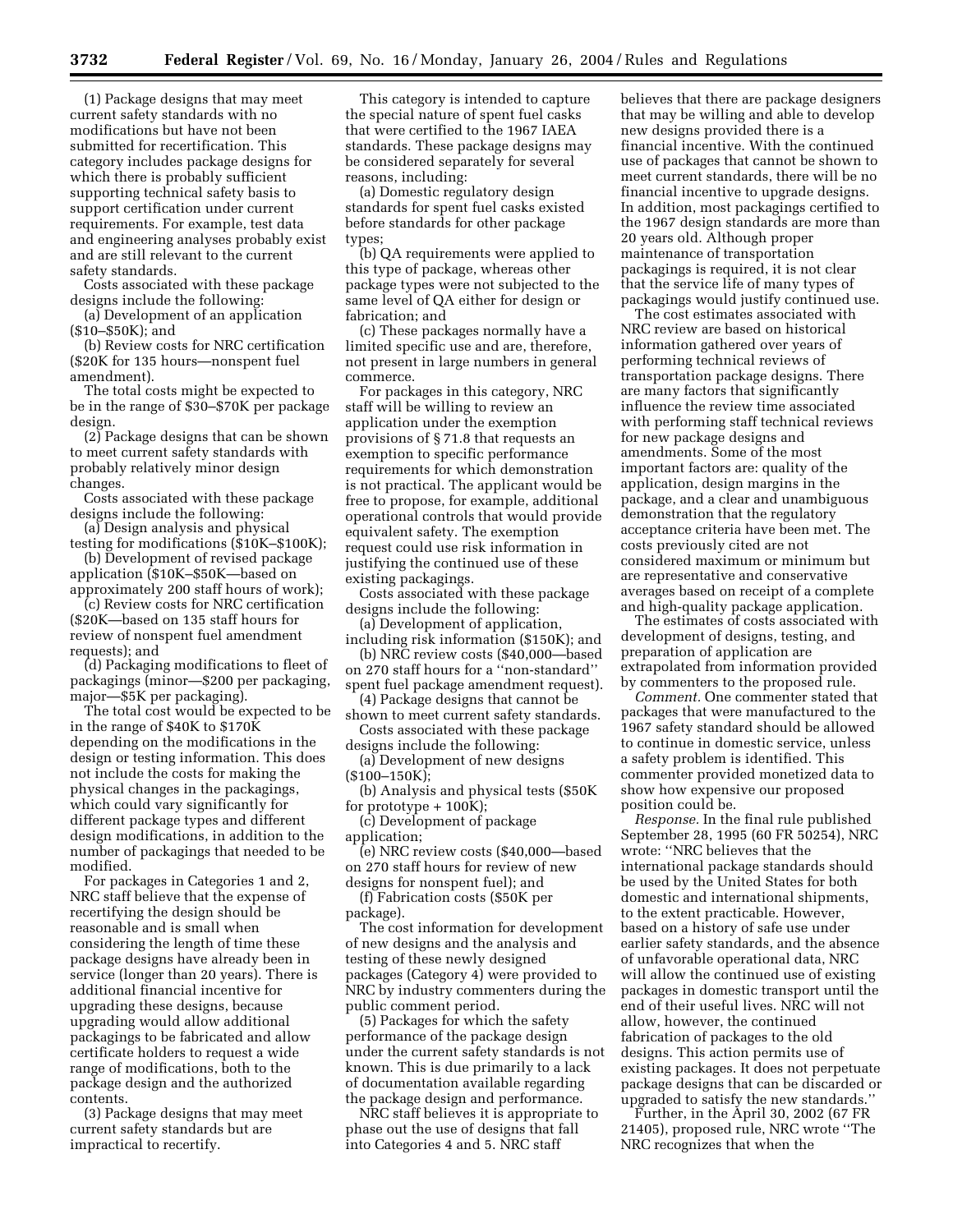(1) Package designs that may meet current safety standards with no modifications but have not been submitted for recertification. This category includes package designs for which there is probably sufficient supporting technical safety basis to support certification under current requirements. For example, test data and engineering analyses probably exist and are still relevant to the current safety standards.

Costs associated with these package designs include the following:

(a) Development of an application (\$10–\$50K); and

(b) Review costs for NRC certification (\$20K for 135 hours—nonspent fuel amendment).

The total costs might be expected to be in the range of \$30–\$70K per package design.

(2) Package designs that can be shown to meet current safety standards with probably relatively minor design changes.

Costs associated with these package designs include the following:

(a) Design analysis and physical testing for modifications (\$10K–\$100K);

(b) Development of revised package application (\$10K–\$50K—based on approximately 200 staff hours of work);

(c) Review costs for NRC certification (\$20K—based on 135 staff hours for review of nonspent fuel amendment requests); and

(d) Packaging modifications to fleet of packagings (minor—\$200 per packaging, major—\$5K per packaging).

The total cost would be expected to be in the range of \$40K to \$170K depending on the modifications in the design or testing information. This does not include the costs for making the physical changes in the packagings, which could vary significantly for different package types and different design modifications, in addition to the number of packagings that needed to be modified.

For packages in Categories 1 and 2, NRC staff believe that the expense of recertifying the design should be reasonable and is small when considering the length of time these package designs have already been in service (longer than 20 years). There is additional financial incentive for upgrading these designs, because upgrading would allow additional packagings to be fabricated and allow certificate holders to request a wide range of modifications, both to the package design and the authorized contents.

(3) Package designs that may meet current safety standards but are impractical to recertify.

This category is intended to capture the special nature of spent fuel casks that were certified to the 1967 IAEA standards. These package designs may be considered separately for several reasons, including:

(a) Domestic regulatory design standards for spent fuel casks existed before standards for other package types;

(b) QA requirements were applied to this type of package, whereas other package types were not subjected to the same level of QA either for design or fabrication; and

(c) These packages normally have a limited specific use and are, therefore, not present in large numbers in general commerce.

For packages in this category, NRC staff will be willing to review an application under the exemption provisions of § 71.8 that requests an exemption to specific performance requirements for which demonstration is not practical. The applicant would be free to propose, for example, additional operational controls that would provide equivalent safety. The exemption request could use risk information in justifying the continued use of these existing packagings.

Costs associated with these package designs include the following:

- (a) Development of application, including risk information (\$150K); and
- (b) NRC review costs (\$40,000—based on 270 staff hours for a ''non-standard''
- spent fuel package amendment request).

(4) Package designs that cannot be shown to meet current safety standards.

Costs associated with these package designs include the following:

(a) Development of new designs (\$100–150K);

(b) Analysis and physical tests (\$50K for prototype + 100K);

(c) Development of package application;

(e) NRC review costs (\$40,000—based on 270 staff hours for review of new

designs for nonspent fuel); and (f) Fabrication costs (\$50K per package).

The cost information for development of new designs and the analysis and testing of these newly designed packages (Category 4) were provided to NRC by industry commenters during the public comment period.

(5) Packages for which the safety performance of the package design under the current safety standards is not known. This is due primarily to a lack of documentation available regarding the package design and performance.

NRC staff believes it is appropriate to phase out the use of designs that fall into Categories 4 and 5. NRC staff

believes that there are package designers that may be willing and able to develop new designs provided there is a financial incentive. With the continued use of packages that cannot be shown to meet current standards, there will be no financial incentive to upgrade designs. In addition, most packagings certified to the 1967 design standards are more than 20 years old. Although proper maintenance of transportation packagings is required, it is not clear that the service life of many types of packagings would justify continued use.

The cost estimates associated with NRC review are based on historical information gathered over years of performing technical reviews of transportation package designs. There are many factors that significantly influence the review time associated with performing staff technical reviews for new package designs and amendments. Some of the most important factors are: quality of the application, design margins in the package, and a clear and unambiguous demonstration that the regulatory acceptance criteria have been met. The costs previously cited are not considered maximum or minimum but are representative and conservative averages based on receipt of a complete and high-quality package application.

The estimates of costs associated with development of designs, testing, and preparation of application are extrapolated from information provided by commenters to the proposed rule.

*Comment.* One commenter stated that packages that were manufactured to the 1967 safety standard should be allowed to continue in domestic service, unless a safety problem is identified. This commenter provided monetized data to show how expensive our proposed position could be.

*Response.* In the final rule published September 28, 1995 (60 FR 50254), NRC wrote: ''NRC believes that the international package standards should be used by the United States for both domestic and international shipments, to the extent practicable. However, based on a history of safe use under earlier safety standards, and the absence of unfavorable operational data, NRC will allow the continued use of existing packages in domestic transport until the end of their useful lives. NRC will not allow, however, the continued fabrication of packages to the old designs. This action permits use of existing packages. It does not perpetuate package designs that can be discarded or upgraded to satisfy the new standards.''

Further, in the April 30, 2002 (67 FR 21405), proposed rule, NRC wrote ''The NRC recognizes that when the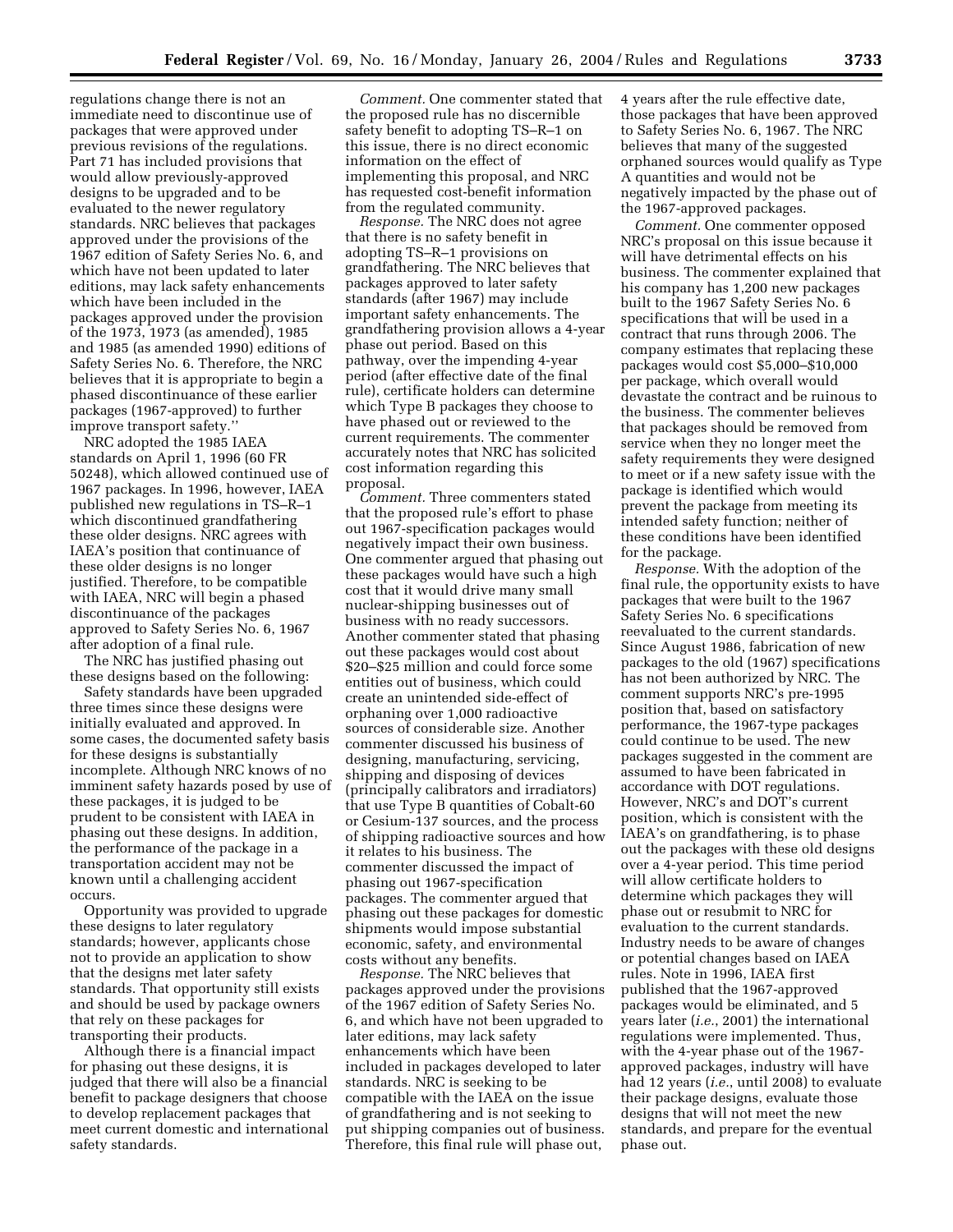regulations change there is not an immediate need to discontinue use of packages that were approved under previous revisions of the regulations. Part 71 has included provisions that would allow previously-approved designs to be upgraded and to be evaluated to the newer regulatory standards. NRC believes that packages approved under the provisions of the 1967 edition of Safety Series No. 6, and which have not been updated to later editions, may lack safety enhancements which have been included in the packages approved under the provision of the 1973, 1973 (as amended), 1985 and 1985 (as amended 1990) editions of Safety Series No. 6. Therefore, the NRC believes that it is appropriate to begin a phased discontinuance of these earlier packages (1967-approved) to further improve transport safety.''

NRC adopted the 1985 IAEA standards on April 1, 1996 (60 FR 50248), which allowed continued use of 1967 packages. In 1996, however, IAEA published new regulations in TS–R–1 which discontinued grandfathering these older designs. NRC agrees with IAEA's position that continuance of these older designs is no longer justified. Therefore, to be compatible with IAEA, NRC will begin a phased discontinuance of the packages approved to Safety Series No. 6, 1967 after adoption of a final rule.

The NRC has justified phasing out these designs based on the following:

Safety standards have been upgraded three times since these designs were initially evaluated and approved. In some cases, the documented safety basis for these designs is substantially incomplete. Although NRC knows of no imminent safety hazards posed by use of these packages, it is judged to be prudent to be consistent with IAEA in phasing out these designs. In addition, the performance of the package in a transportation accident may not be known until a challenging accident occurs.

Opportunity was provided to upgrade these designs to later regulatory standards; however, applicants chose not to provide an application to show that the designs met later safety standards. That opportunity still exists and should be used by package owners that rely on these packages for transporting their products.

Although there is a financial impact for phasing out these designs, it is judged that there will also be a financial benefit to package designers that choose to develop replacement packages that meet current domestic and international safety standards.

*Comment.* One commenter stated that the proposed rule has no discernible safety benefit to adopting TS–R–1 on this issue, there is no direct economic information on the effect of implementing this proposal, and NRC has requested cost-benefit information from the regulated community.

*Response.* The NRC does not agree that there is no safety benefit in adopting TS–R–1 provisions on grandfathering. The NRC believes that packages approved to later safety standards (after 1967) may include important safety enhancements. The grandfathering provision allows a 4-year phase out period. Based on this pathway, over the impending 4-year period (after effective date of the final rule), certificate holders can determine which Type B packages they choose to have phased out or reviewed to the current requirements. The commenter accurately notes that NRC has solicited cost information regarding this proposal.

*Comment.* Three commenters stated that the proposed rule's effort to phase out 1967-specification packages would negatively impact their own business. One commenter argued that phasing out these packages would have such a high cost that it would drive many small nuclear-shipping businesses out of business with no ready successors. Another commenter stated that phasing out these packages would cost about \$20–\$25 million and could force some entities out of business, which could create an unintended side-effect of orphaning over 1,000 radioactive sources of considerable size. Another commenter discussed his business of designing, manufacturing, servicing, shipping and disposing of devices (principally calibrators and irradiators) that use Type B quantities of Cobalt-60 or Cesium-137 sources, and the process of shipping radioactive sources and how it relates to his business. The commenter discussed the impact of phasing out 1967-specification packages. The commenter argued that phasing out these packages for domestic shipments would impose substantial economic, safety, and environmental costs without any benefits.

*Response.* The NRC believes that packages approved under the provisions of the 1967 edition of Safety Series No. 6, and which have not been upgraded to later editions, may lack safety enhancements which have been included in packages developed to later standards. NRC is seeking to be compatible with the IAEA on the issue of grandfathering and is not seeking to put shipping companies out of business. Therefore, this final rule will phase out,

4 years after the rule effective date, those packages that have been approved to Safety Series No. 6, 1967. The NRC believes that many of the suggested orphaned sources would qualify as Type A quantities and would not be negatively impacted by the phase out of the 1967-approved packages.

*Comment.* One commenter opposed NRC's proposal on this issue because it will have detrimental effects on his business. The commenter explained that his company has 1,200 new packages built to the 1967 Safety Series No. 6 specifications that will be used in a contract that runs through 2006. The company estimates that replacing these packages would cost \$5,000–\$10,000 per package, which overall would devastate the contract and be ruinous to the business. The commenter believes that packages should be removed from service when they no longer meet the safety requirements they were designed to meet or if a new safety issue with the package is identified which would prevent the package from meeting its intended safety function; neither of these conditions have been identified for the package.

*Response.* With the adoption of the final rule, the opportunity exists to have packages that were built to the 1967 Safety Series No. 6 specifications reevaluated to the current standards. Since August 1986, fabrication of new packages to the old (1967) specifications has not been authorized by NRC. The comment supports NRC's pre-1995 position that, based on satisfactory performance, the 1967-type packages could continue to be used. The new packages suggested in the comment are assumed to have been fabricated in accordance with DOT regulations. However, NRC's and DOT's current position, which is consistent with the IAEA's on grandfathering, is to phase out the packages with these old designs over a 4-year period. This time period will allow certificate holders to determine which packages they will phase out or resubmit to NRC for evaluation to the current standards. Industry needs to be aware of changes or potential changes based on IAEA rules. Note in 1996, IAEA first published that the 1967-approved packages would be eliminated, and 5 years later (*i.e.*, 2001) the international regulations were implemented. Thus, with the 4-year phase out of the 1967 approved packages, industry will have had 12 years (*i.e.*, until 2008) to evaluate their package designs, evaluate those designs that will not meet the new standards, and prepare for the eventual phase out.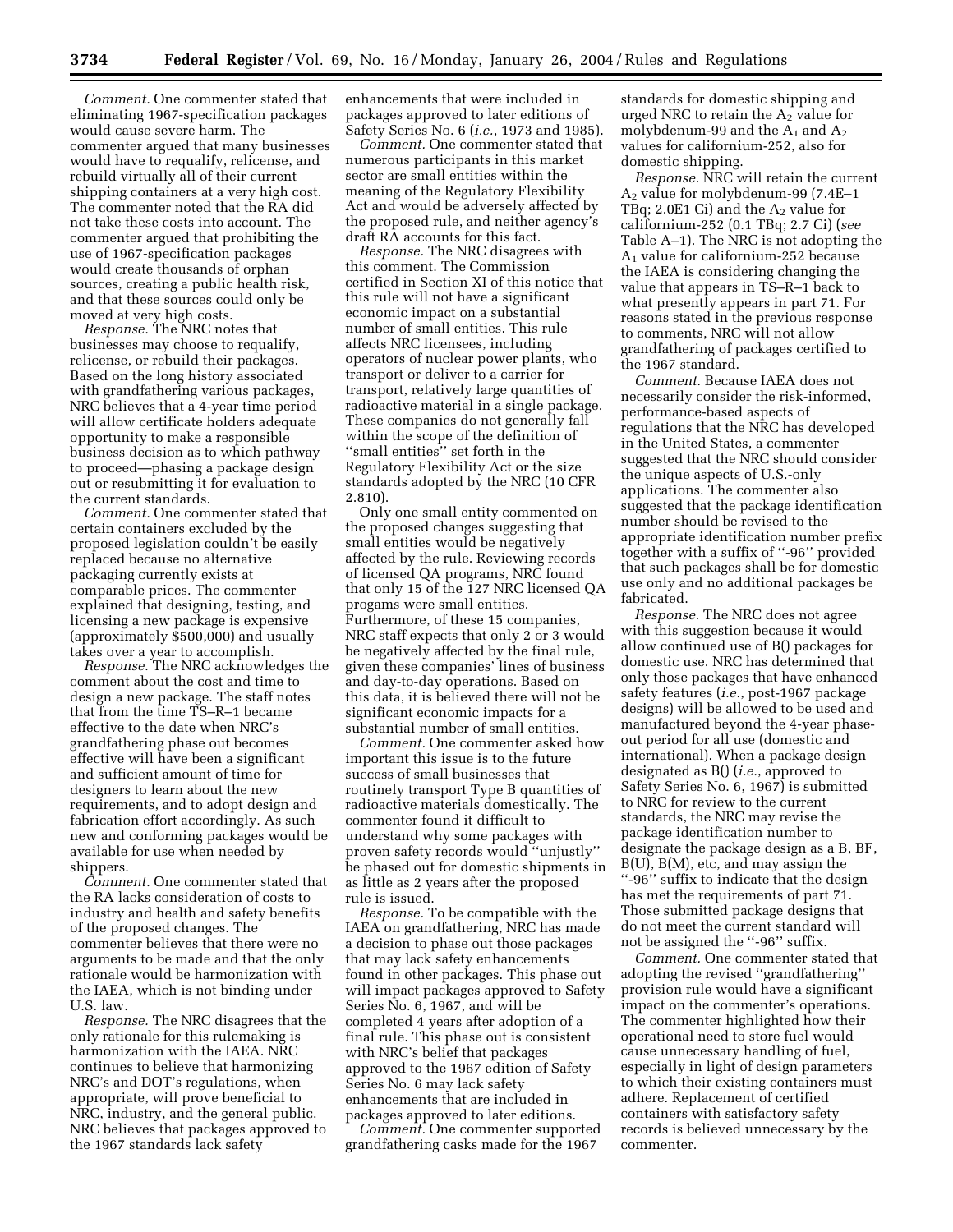*Comment.* One commenter stated that eliminating 1967-specification packages would cause severe harm. The commenter argued that many businesses would have to requalify, relicense, and rebuild virtually all of their current shipping containers at a very high cost. The commenter noted that the RA did not take these costs into account. The commenter argued that prohibiting the use of 1967-specification packages would create thousands of orphan sources, creating a public health risk, and that these sources could only be moved at very high costs.

*Response.* The NRC notes that businesses may choose to requalify, relicense, or rebuild their packages. Based on the long history associated with grandfathering various packages, NRC believes that a 4-year time period will allow certificate holders adequate opportunity to make a responsible business decision as to which pathway to proceed—phasing a package design out or resubmitting it for evaluation to the current standards.

*Comment.* One commenter stated that certain containers excluded by the proposed legislation couldn't be easily replaced because no alternative packaging currently exists at comparable prices. The commenter explained that designing, testing, and licensing a new package is expensive (approximately \$500,000) and usually takes over a year to accomplish.

*Response.* The NRC acknowledges the comment about the cost and time to design a new package. The staff notes that from the time TS–R–1 became effective to the date when NRC's grandfathering phase out becomes effective will have been a significant and sufficient amount of time for designers to learn about the new requirements, and to adopt design and fabrication effort accordingly. As such new and conforming packages would be available for use when needed by shippers.

*Comment.* One commenter stated that the RA lacks consideration of costs to industry and health and safety benefits of the proposed changes. The commenter believes that there were no arguments to be made and that the only rationale would be harmonization with the IAEA, which is not binding under  $US$  law.

*Response.* The NRC disagrees that the only rationale for this rulemaking is harmonization with the IAEA. NRC continues to believe that harmonizing NRC's and DOT's regulations, when appropriate, will prove beneficial to NRC, industry, and the general public. NRC believes that packages approved to the 1967 standards lack safety

enhancements that were included in packages approved to later editions of Safety Series No. 6 (*i.e.*, 1973 and 1985).

*Comment.* One commenter stated that numerous participants in this market sector are small entities within the meaning of the Regulatory Flexibility Act and would be adversely affected by the proposed rule, and neither agency's draft RA accounts for this fact.

*Response.* The NRC disagrees with this comment. The Commission certified in Section XI of this notice that this rule will not have a significant economic impact on a substantial number of small entities. This rule affects NRC licensees, including operators of nuclear power plants, who transport or deliver to a carrier for transport, relatively large quantities of radioactive material in a single package. These companies do not generally fall within the scope of the definition of ''small entities'' set forth in the Regulatory Flexibility Act or the size standards adopted by the NRC (10 CFR 2.810).

Only one small entity commented on the proposed changes suggesting that small entities would be negatively affected by the rule. Reviewing records of licensed QA programs, NRC found that only 15 of the 127 NRC licensed QA progams were small entities. Furthermore, of these 15 companies, NRC staff expects that only 2 or 3 would be negatively affected by the final rule, given these companies' lines of business and day-to-day operations. Based on this data, it is believed there will not be significant economic impacts for a substantial number of small entities.

*Comment.* One commenter asked how important this issue is to the future success of small businesses that routinely transport Type B quantities of radioactive materials domestically. The commenter found it difficult to understand why some packages with proven safety records would ''unjustly'' be phased out for domestic shipments in as little as 2 years after the proposed rule is issued.

*Response.* To be compatible with the IAEA on grandfathering, NRC has made a decision to phase out those packages that may lack safety enhancements found in other packages. This phase out will impact packages approved to Safety Series No. 6, 1967, and will be completed 4 years after adoption of a final rule. This phase out is consistent with NRC's belief that packages approved to the 1967 edition of Safety Series No. 6 may lack safety enhancements that are included in packages approved to later editions.

*Comment.* One commenter supported grandfathering casks made for the 1967

standards for domestic shipping and urged NRC to retain the  $A_2$  value for molybdenum-99 and the  $A_1$  and  $A_2$ values for californium-252, also for domestic shipping.

*Response.* NRC will retain the current A2 value for molybdenum-99 (7.4E–1 TBq; 2.0E1 Ci) and the  $A_2$  value for californium-252 (0.1 TBq; 2.7 Ci) (*see* Table A–1). The NRC is not adopting the A1 value for californium-252 because the IAEA is considering changing the value that appears in TS–R–1 back to what presently appears in part 71. For reasons stated in the previous response to comments, NRC will not allow grandfathering of packages certified to the 1967 standard.

*Comment.* Because IAEA does not necessarily consider the risk-informed, performance-based aspects of regulations that the NRC has developed in the United States, a commenter suggested that the NRC should consider the unique aspects of U.S.-only applications. The commenter also suggested that the package identification number should be revised to the appropriate identification number prefix together with a suffix of ''-96'' provided that such packages shall be for domestic use only and no additional packages be fabricated.

*Response.* The NRC does not agree with this suggestion because it would allow continued use of B() packages for domestic use. NRC has determined that only those packages that have enhanced safety features (*i.e.*, post-1967 package designs) will be allowed to be used and manufactured beyond the 4-year phaseout period for all use (domestic and international). When a package design designated as B() (*i.e.*, approved to Safety Series No. 6, 1967) is submitted to NRC for review to the current standards, the NRC may revise the package identification number to designate the package design as a B, BF, B(U), B(M), etc, and may assign the ''-96'' suffix to indicate that the design has met the requirements of part 71. Those submitted package designs that do not meet the current standard will not be assigned the ''-96'' suffix.

*Comment.* One commenter stated that adopting the revised ''grandfathering'' provision rule would have a significant impact on the commenter's operations. The commenter highlighted how their operational need to store fuel would cause unnecessary handling of fuel, especially in light of design parameters to which their existing containers must adhere. Replacement of certified containers with satisfactory safety records is believed unnecessary by the commenter.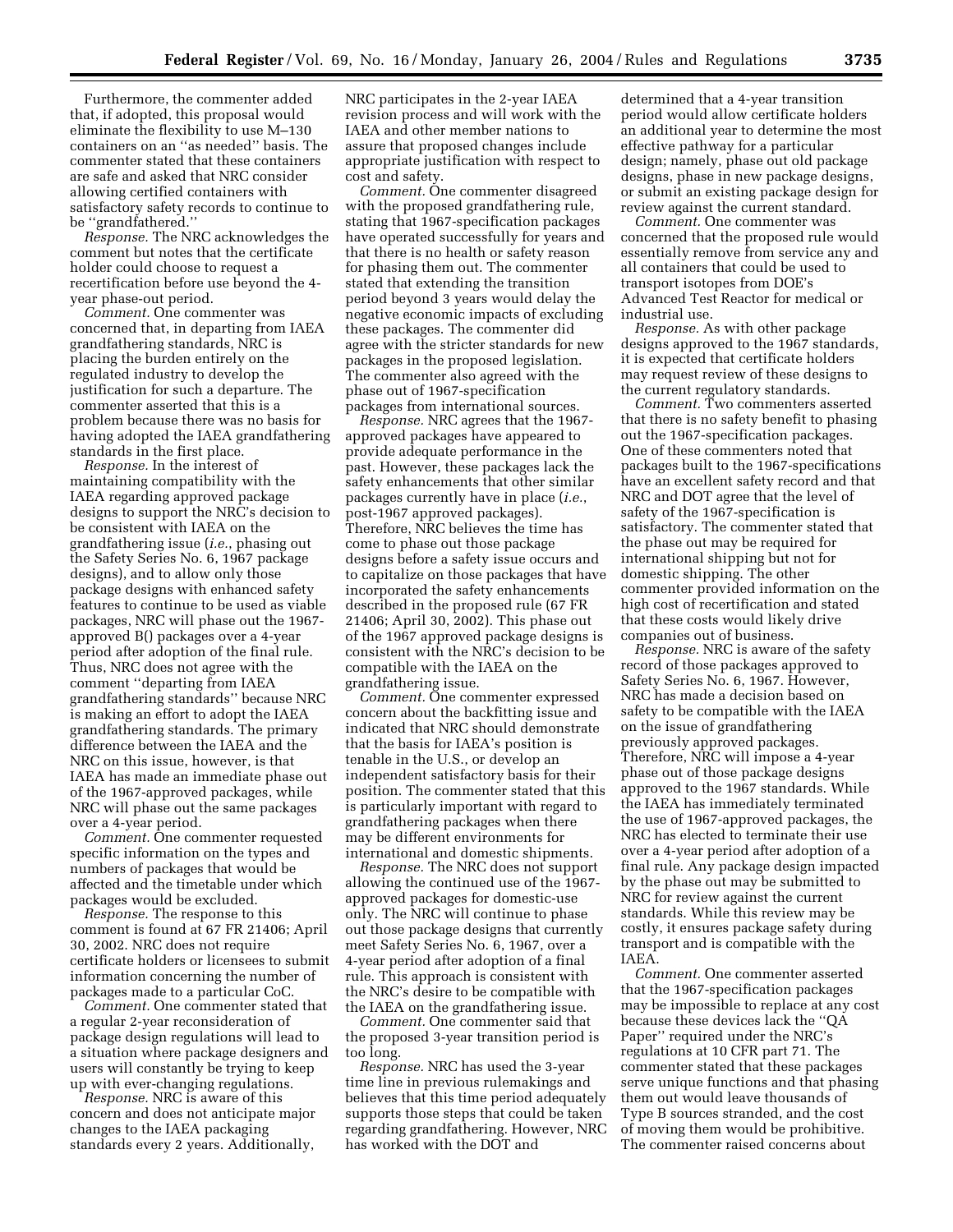Furthermore, the commenter added that, if adopted, this proposal would eliminate the flexibility to use M–130 containers on an ''as needed'' basis. The commenter stated that these containers are safe and asked that NRC consider allowing certified containers with satisfactory safety records to continue to be ''grandfathered.''

*Response.* The NRC acknowledges the comment but notes that the certificate holder could choose to request a recertification before use beyond the 4 year phase-out period.

*Comment.* One commenter was concerned that, in departing from IAEA grandfathering standards, NRC is placing the burden entirely on the regulated industry to develop the justification for such a departure. The commenter asserted that this is a problem because there was no basis for having adopted the IAEA grandfathering standards in the first place.

*Response.* In the interest of maintaining compatibility with the IAEA regarding approved package designs to support the NRC's decision to be consistent with IAEA on the grandfathering issue (*i.e.*, phasing out the Safety Series No. 6, 1967 package designs), and to allow only those package designs with enhanced safety features to continue to be used as viable packages, NRC will phase out the 1967 approved B() packages over a 4-year period after adoption of the final rule. Thus, NRC does not agree with the comment ''departing from IAEA grandfathering standards'' because NRC is making an effort to adopt the IAEA grandfathering standards. The primary difference between the IAEA and the NRC on this issue, however, is that IAEA has made an immediate phase out of the 1967-approved packages, while NRC will phase out the same packages over a 4-year period.

*Comment.* One commenter requested specific information on the types and numbers of packages that would be affected and the timetable under which packages would be excluded.

*Response.* The response to this comment is found at 67 FR 21406; April 30, 2002. NRC does not require certificate holders or licensees to submit information concerning the number of packages made to a particular CoC.

*Comment.* One commenter stated that a regular 2-year reconsideration of package design regulations will lead to a situation where package designers and users will constantly be trying to keep up with ever-changing regulations.

*Response.* NRC is aware of this concern and does not anticipate major changes to the IAEA packaging standards every 2 years. Additionally,

NRC participates in the 2-year IAEA revision process and will work with the IAEA and other member nations to assure that proposed changes include appropriate justification with respect to cost and safety.

*Comment.* One commenter disagreed with the proposed grandfathering rule, stating that 1967-specification packages have operated successfully for years and that there is no health or safety reason for phasing them out. The commenter stated that extending the transition period beyond 3 years would delay the negative economic impacts of excluding these packages. The commenter did agree with the stricter standards for new packages in the proposed legislation. The commenter also agreed with the phase out of 1967-specification packages from international sources.

*Response.* NRC agrees that the 1967 approved packages have appeared to provide adequate performance in the past. However, these packages lack the safety enhancements that other similar packages currently have in place (*i.e.*, post-1967 approved packages). Therefore, NRC believes the time has come to phase out those package designs before a safety issue occurs and to capitalize on those packages that have incorporated the safety enhancements described in the proposed rule (67 FR 21406; April 30, 2002). This phase out of the 1967 approved package designs is consistent with the NRC's decision to be compatible with the IAEA on the grandfathering issue.

*Comment.* One commenter expressed concern about the backfitting issue and indicated that NRC should demonstrate that the basis for IAEA's position is tenable in the U.S., or develop an independent satisfactory basis for their position. The commenter stated that this is particularly important with regard to grandfathering packages when there may be different environments for international and domestic shipments.

*Response.* The NRC does not support allowing the continued use of the 1967 approved packages for domestic-use only. The NRC will continue to phase out those package designs that currently meet Safety Series No. 6, 1967, over a 4-year period after adoption of a final rule. This approach is consistent with the NRC's desire to be compatible with the IAEA on the grandfathering issue.

*Comment.* One commenter said that the proposed 3-year transition period is too long.

*Response.* NRC has used the 3-year time line in previous rulemakings and believes that this time period adequately supports those steps that could be taken regarding grandfathering. However, NRC has worked with the DOT and

determined that a 4-year transition period would allow certificate holders an additional year to determine the most effective pathway for a particular design; namely, phase out old package designs, phase in new package designs, or submit an existing package design for review against the current standard.

*Comment.* One commenter was concerned that the proposed rule would essentially remove from service any and all containers that could be used to transport isotopes from DOE's Advanced Test Reactor for medical or industrial use.

*Response.* As with other package designs approved to the 1967 standards, it is expected that certificate holders may request review of these designs to the current regulatory standards.

*Comment.* Two commenters asserted that there is no safety benefit to phasing out the 1967-specification packages. One of these commenters noted that packages built to the 1967-specifications have an excellent safety record and that NRC and DOT agree that the level of safety of the 1967-specification is satisfactory. The commenter stated that the phase out may be required for international shipping but not for domestic shipping. The other commenter provided information on the high cost of recertification and stated that these costs would likely drive companies out of business.

*Response.* NRC is aware of the safety record of those packages approved to Safety Series No. 6, 1967. However, NRC has made a decision based on safety to be compatible with the IAEA on the issue of grandfathering previously approved packages. Therefore, NRC will impose a 4-year phase out of those package designs approved to the 1967 standards. While the IAEA has immediately terminated the use of 1967-approved packages, the NRC has elected to terminate their use over a 4-year period after adoption of a final rule. Any package design impacted by the phase out may be submitted to NRC for review against the current standards. While this review may be costly, it ensures package safety during transport and is compatible with the IAEA.

*Comment.* One commenter asserted that the 1967-specification packages may be impossible to replace at any cost because these devices lack the ''QA Paper'' required under the NRC's regulations at 10 CFR part 71. The commenter stated that these packages serve unique functions and that phasing them out would leave thousands of Type B sources stranded, and the cost of moving them would be prohibitive. The commenter raised concerns about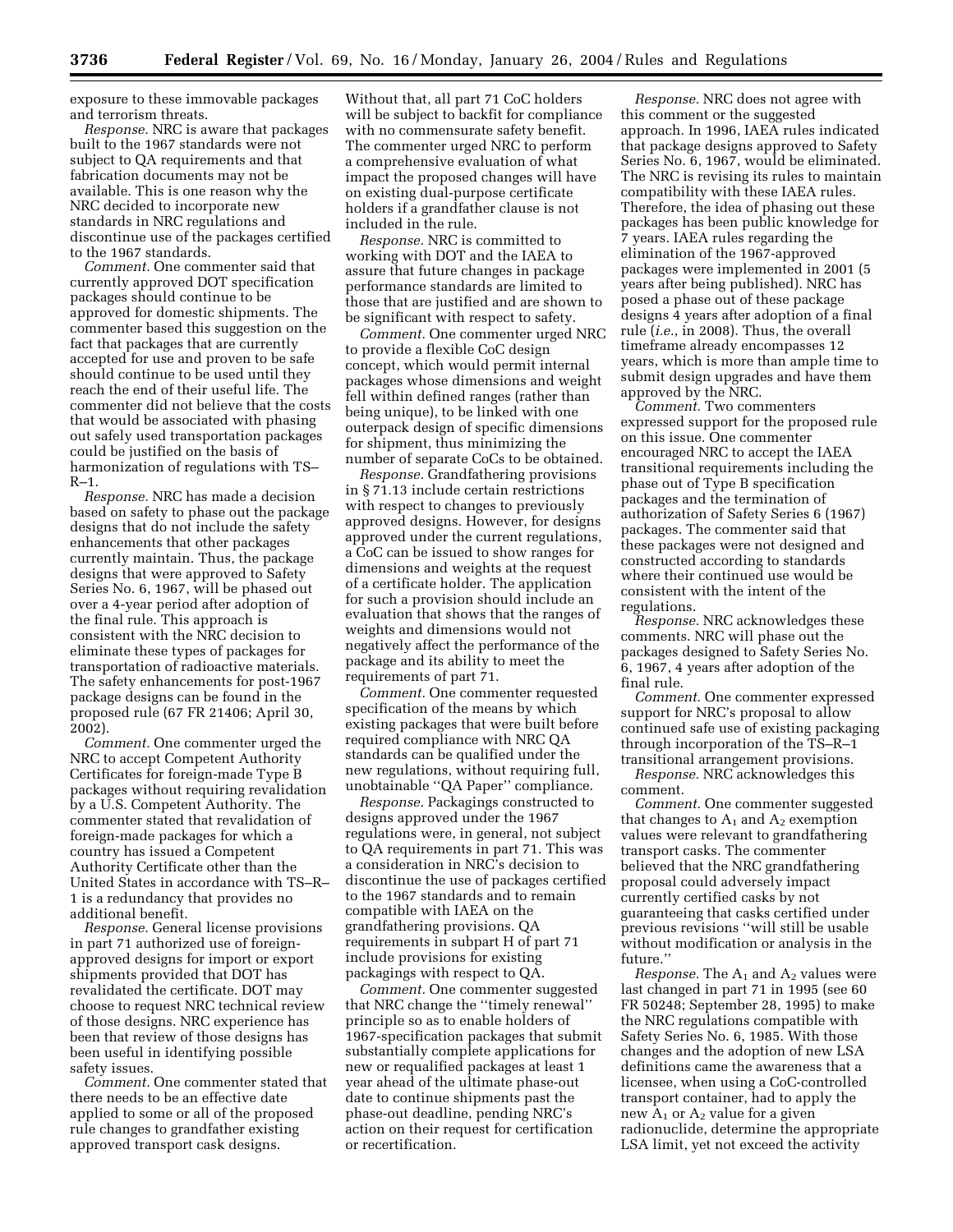exposure to these immovable packages and terrorism threats.

*Response.* NRC is aware that packages built to the 1967 standards were not subject to QA requirements and that fabrication documents may not be available. This is one reason why the NRC decided to incorporate new standards in NRC regulations and discontinue use of the packages certified to the 1967 standards.

*Comment.* One commenter said that currently approved DOT specification packages should continue to be approved for domestic shipments. The commenter based this suggestion on the fact that packages that are currently accepted for use and proven to be safe should continue to be used until they reach the end of their useful life. The commenter did not believe that the costs that would be associated with phasing out safely used transportation packages could be justified on the basis of harmonization of regulations with TS– R–1.

*Response.* NRC has made a decision based on safety to phase out the package designs that do not include the safety enhancements that other packages currently maintain. Thus, the package designs that were approved to Safety Series No. 6, 1967, will be phased out over a 4-year period after adoption of the final rule. This approach is consistent with the NRC decision to eliminate these types of packages for transportation of radioactive materials. The safety enhancements for post-1967 package designs can be found in the proposed rule (67 FR 21406; April 30, 2002).

*Comment.* One commenter urged the NRC to accept Competent Authority Certificates for foreign-made Type B packages without requiring revalidation by a U.S. Competent Authority. The commenter stated that revalidation of foreign-made packages for which a country has issued a Competent Authority Certificate other than the United States in accordance with TS–R– 1 is a redundancy that provides no additional benefit.

*Response.* General license provisions in part 71 authorized use of foreignapproved designs for import or export shipments provided that DOT has revalidated the certificate. DOT may choose to request NRC technical review of those designs. NRC experience has been that review of those designs has been useful in identifying possible safety issues.

*Comment.* One commenter stated that there needs to be an effective date applied to some or all of the proposed rule changes to grandfather existing approved transport cask designs.

Without that, all part 71 CoC holders will be subject to backfit for compliance with no commensurate safety benefit. The commenter urged NRC to perform a comprehensive evaluation of what impact the proposed changes will have on existing dual-purpose certificate holders if a grandfather clause is not included in the rule.

*Response.* NRC is committed to working with DOT and the IAEA to assure that future changes in package performance standards are limited to those that are justified and are shown to be significant with respect to safety.

*Comment.* One commenter urged NRC to provide a flexible CoC design concept, which would permit internal packages whose dimensions and weight fell within defined ranges (rather than being unique), to be linked with one outerpack design of specific dimensions for shipment, thus minimizing the number of separate CoCs to be obtained.

*Response.* Grandfathering provisions in § 71.13 include certain restrictions with respect to changes to previously approved designs. However, for designs approved under the current regulations, a CoC can be issued to show ranges for dimensions and weights at the request of a certificate holder. The application for such a provision should include an evaluation that shows that the ranges of weights and dimensions would not negatively affect the performance of the package and its ability to meet the requirements of part 71.

*Comment.* One commenter requested specification of the means by which existing packages that were built before required compliance with NRC QA standards can be qualified under the new regulations, without requiring full, unobtainable ''QA Paper'' compliance.

*Response.* Packagings constructed to designs approved under the 1967 regulations were, in general, not subject to QA requirements in part 71. This was a consideration in NRC's decision to discontinue the use of packages certified to the 1967 standards and to remain compatible with IAEA on the grandfathering provisions. QA requirements in subpart H of part 71 include provisions for existing packagings with respect to QA.

*Comment.* One commenter suggested that NRC change the ''timely renewal'' principle so as to enable holders of 1967-specification packages that submit substantially complete applications for new or requalified packages at least 1 year ahead of the ultimate phase-out date to continue shipments past the phase-out deadline, pending NRC's action on their request for certification or recertification.

*Response.* NRC does not agree with this comment or the suggested approach. In 1996, IAEA rules indicated that package designs approved to Safety Series No. 6, 1967, would be eliminated. The NRC is revising its rules to maintain compatibility with these IAEA rules. Therefore, the idea of phasing out these packages has been public knowledge for 7 years. IAEA rules regarding the elimination of the 1967-approved packages were implemented in 2001 (5 years after being published). NRC has posed a phase out of these package designs 4 years after adoption of a final rule (*i.e.*, in 2008). Thus, the overall timeframe already encompasses 12 years, which is more than ample time to submit design upgrades and have them approved by the NRC.

*Comment.* Two commenters expressed support for the proposed rule on this issue. One commenter encouraged NRC to accept the IAEA transitional requirements including the phase out of Type B specification packages and the termination of authorization of Safety Series 6 (1967) packages. The commenter said that these packages were not designed and constructed according to standards where their continued use would be consistent with the intent of the regulations.

*Response.* NRC acknowledges these comments. NRC will phase out the packages designed to Safety Series No. 6, 1967, 4 years after adoption of the final rule.

*Comment.* One commenter expressed support for NRC's proposal to allow continued safe use of existing packaging through incorporation of the TS–R–1 transitional arrangement provisions.

*Response.* NRC acknowledges this comment.

*Comment.* One commenter suggested that changes to  $A_1$  and  $A_2$  exemption values were relevant to grandfathering transport casks. The commenter believed that the NRC grandfathering proposal could adversely impact currently certified casks by not guaranteeing that casks certified under previous revisions ''will still be usable without modification or analysis in the future.''

*Response.* The  $A_1$  and  $A_2$  values were last changed in part 71 in 1995 (see 60 FR 50248; September 28, 1995) to make the NRC regulations compatible with Safety Series No. 6, 1985. With those changes and the adoption of new LSA definitions came the awareness that a licensee, when using a CoC-controlled transport container, had to apply the new  $A_1$  or  $A_2$  value for a given radionuclide, determine the appropriate LSA limit, yet not exceed the activity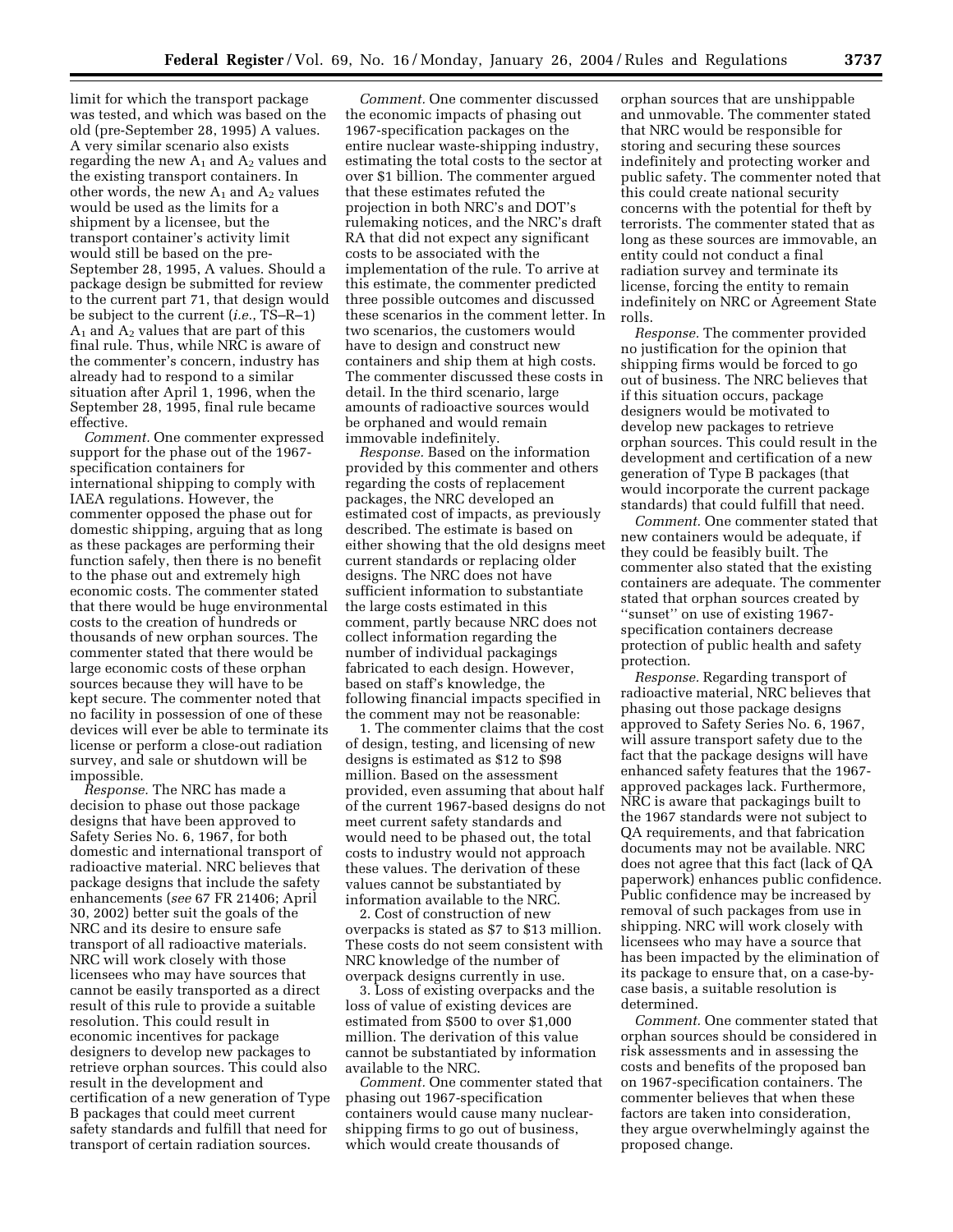limit for which the transport package was tested, and which was based on the old (pre-September 28, 1995) A values. A very similar scenario also exists regarding the new  $A_1$  and  $A_2$  values and the existing transport containers. In other words, the new  $A_1$  and  $A_2$  values would be used as the limits for a shipment by a licensee, but the transport container's activity limit would still be based on the pre-September 28, 1995, A values. Should a package design be submitted for review to the current part 71, that design would be subject to the current (*i.e.*, TS–R–1)  $A_1$  and  $A_2$  values that are part of this final rule. Thus, while NRC is aware of the commenter's concern, industry has already had to respond to a similar situation after April 1, 1996, when the September 28, 1995, final rule became effective.

*Comment.* One commenter expressed support for the phase out of the 1967 specification containers for international shipping to comply with IAEA regulations. However, the commenter opposed the phase out for domestic shipping, arguing that as long as these packages are performing their function safely, then there is no benefit to the phase out and extremely high economic costs. The commenter stated that there would be huge environmental costs to the creation of hundreds or thousands of new orphan sources. The commenter stated that there would be large economic costs of these orphan sources because they will have to be kept secure. The commenter noted that no facility in possession of one of these devices will ever be able to terminate its license or perform a close-out radiation survey, and sale or shutdown will be impossible.

*Response.* The NRC has made a decision to phase out those package designs that have been approved to Safety Series No. 6, 1967, for both domestic and international transport of radioactive material. NRC believes that package designs that include the safety enhancements (*see* 67 FR 21406; April 30, 2002) better suit the goals of the NRC and its desire to ensure safe transport of all radioactive materials. NRC will work closely with those licensees who may have sources that cannot be easily transported as a direct result of this rule to provide a suitable resolution. This could result in economic incentives for package designers to develop new packages to retrieve orphan sources. This could also result in the development and certification of a new generation of Type B packages that could meet current safety standards and fulfill that need for transport of certain radiation sources.

*Comment.* One commenter discussed the economic impacts of phasing out 1967-specification packages on the entire nuclear waste-shipping industry, estimating the total costs to the sector at over \$1 billion. The commenter argued that these estimates refuted the projection in both NRC's and DOT's rulemaking notices, and the NRC's draft RA that did not expect any significant costs to be associated with the implementation of the rule. To arrive at this estimate, the commenter predicted three possible outcomes and discussed these scenarios in the comment letter. In two scenarios, the customers would have to design and construct new containers and ship them at high costs. The commenter discussed these costs in detail. In the third scenario, large amounts of radioactive sources would be orphaned and would remain immovable indefinitely.

*Response.* Based on the information provided by this commenter and others regarding the costs of replacement packages, the NRC developed an estimated cost of impacts, as previously described. The estimate is based on either showing that the old designs meet current standards or replacing older designs. The NRC does not have sufficient information to substantiate the large costs estimated in this comment, partly because NRC does not collect information regarding the number of individual packagings fabricated to each design. However, based on staff's knowledge, the following financial impacts specified in the comment may not be reasonable:

1. The commenter claims that the cost of design, testing, and licensing of new designs is estimated as \$12 to \$98 million. Based on the assessment provided, even assuming that about half of the current 1967-based designs do not meet current safety standards and would need to be phased out, the total costs to industry would not approach these values. The derivation of these values cannot be substantiated by information available to the NRC.

2. Cost of construction of new overpacks is stated as \$7 to \$13 million. These costs do not seem consistent with NRC knowledge of the number of overpack designs currently in use.

3. Loss of existing overpacks and the loss of value of existing devices are estimated from \$500 to over \$1,000 million. The derivation of this value cannot be substantiated by information available to the NRC.

*Comment.* One commenter stated that phasing out 1967-specification containers would cause many nuclearshipping firms to go out of business, which would create thousands of

orphan sources that are unshippable and unmovable. The commenter stated that NRC would be responsible for storing and securing these sources indefinitely and protecting worker and public safety. The commenter noted that this could create national security concerns with the potential for theft by terrorists. The commenter stated that as long as these sources are immovable, an entity could not conduct a final radiation survey and terminate its license, forcing the entity to remain indefinitely on NRC or Agreement State rolls.

*Response.* The commenter provided no justification for the opinion that shipping firms would be forced to go out of business. The NRC believes that if this situation occurs, package designers would be motivated to develop new packages to retrieve orphan sources. This could result in the development and certification of a new generation of Type B packages (that would incorporate the current package standards) that could fulfill that need.

*Comment.* One commenter stated that new containers would be adequate, if they could be feasibly built. The commenter also stated that the existing containers are adequate. The commenter stated that orphan sources created by ''sunset'' on use of existing 1967 specification containers decrease protection of public health and safety protection.

*Response.* Regarding transport of radioactive material, NRC believes that phasing out those package designs approved to Safety Series No. 6, 1967, will assure transport safety due to the fact that the package designs will have enhanced safety features that the 1967 approved packages lack. Furthermore, NRC is aware that packagings built to the 1967 standards were not subject to QA requirements, and that fabrication documents may not be available. NRC does not agree that this fact (lack of QA paperwork) enhances public confidence. Public confidence may be increased by removal of such packages from use in shipping. NRC will work closely with licensees who may have a source that has been impacted by the elimination of its package to ensure that, on a case-bycase basis, a suitable resolution is determined.

*Comment.* One commenter stated that orphan sources should be considered in risk assessments and in assessing the costs and benefits of the proposed ban on 1967-specification containers. The commenter believes that when these factors are taken into consideration, they argue overwhelmingly against the proposed change.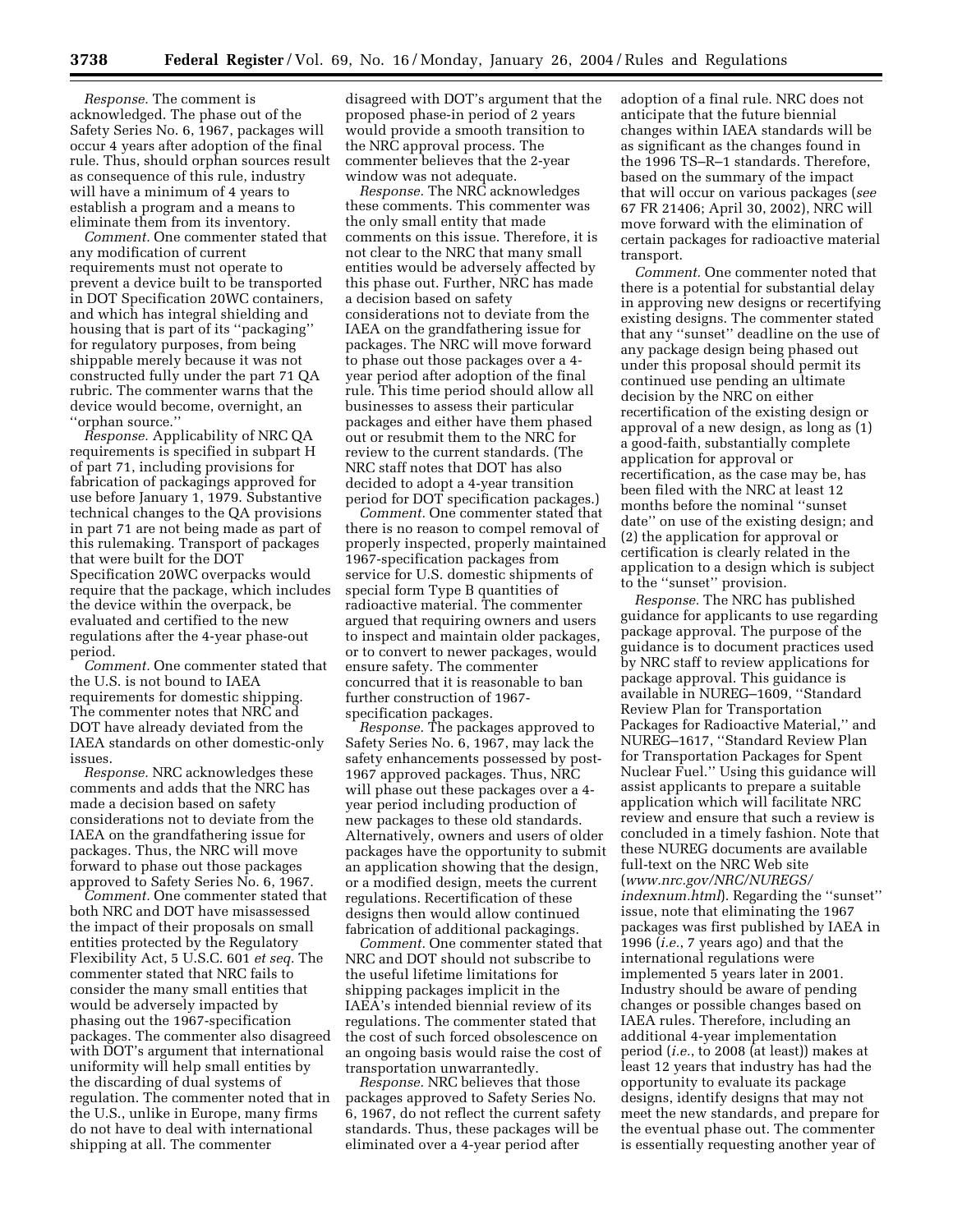*Response.* The comment is acknowledged. The phase out of the Safety Series No. 6, 1967, packages will occur 4 years after adoption of the final rule. Thus, should orphan sources result as consequence of this rule, industry will have a minimum of 4 years to establish a program and a means to eliminate them from its inventory.

*Comment.* One commenter stated that any modification of current requirements must not operate to prevent a device built to be transported in DOT Specification 20WC containers, and which has integral shielding and housing that is part of its ''packaging'' for regulatory purposes, from being shippable merely because it was not constructed fully under the part 71 QA rubric. The commenter warns that the device would become, overnight, an ''orphan source.''

*Response.* Applicability of NRC QA requirements is specified in subpart H of part 71, including provisions for fabrication of packagings approved for use before January 1, 1979. Substantive technical changes to the QA provisions in part 71 are not being made as part of this rulemaking. Transport of packages that were built for the DOT Specification 20WC overpacks would require that the package, which includes the device within the overpack, be evaluated and certified to the new regulations after the 4-year phase-out period.

*Comment.* One commenter stated that the U.S. is not bound to IAEA requirements for domestic shipping. The commenter notes that NRC and DOT have already deviated from the IAEA standards on other domestic-only issues.

*Response.* NRC acknowledges these comments and adds that the NRC has made a decision based on safety considerations not to deviate from the IAEA on the grandfathering issue for packages. Thus, the NRC will move forward to phase out those packages approved to Safety Series No. 6, 1967.

*Comment.* One commenter stated that both NRC and DOT have misassessed the impact of their proposals on small entities protected by the Regulatory Flexibility Act, 5 U.S.C. 601 *et seq.* The commenter stated that NRC fails to consider the many small entities that would be adversely impacted by phasing out the 1967-specification packages. The commenter also disagreed with DOT's argument that international uniformity will help small entities by the discarding of dual systems of regulation. The commenter noted that in the U.S., unlike in Europe, many firms do not have to deal with international shipping at all. The commenter

disagreed with DOT's argument that the proposed phase-in period of 2 years would provide a smooth transition to the NRC approval process. The commenter believes that the 2-year window was not adequate.

*Response.* The NRC acknowledges these comments. This commenter was the only small entity that made comments on this issue. Therefore, it is not clear to the NRC that many small entities would be adversely affected by this phase out. Further, NRC has made a decision based on safety considerations not to deviate from the IAEA on the grandfathering issue for packages. The NRC will move forward to phase out those packages over a 4 year period after adoption of the final rule. This time period should allow all businesses to assess their particular packages and either have them phased out or resubmit them to the NRC for review to the current standards. (The NRC staff notes that DOT has also decided to adopt a 4-year transition period for DOT specification packages.)

*Comment.* One commenter stated that there is no reason to compel removal of properly inspected, properly maintained 1967-specification packages from service for U.S. domestic shipments of special form Type B quantities of radioactive material. The commenter argued that requiring owners and users to inspect and maintain older packages, or to convert to newer packages, would ensure safety. The commenter concurred that it is reasonable to ban further construction of 1967 specification packages.

*Response.* The packages approved to Safety Series No. 6, 1967, may lack the safety enhancements possessed by post-1967 approved packages. Thus, NRC will phase out these packages over a 4 year period including production of new packages to these old standards. Alternatively, owners and users of older packages have the opportunity to submit an application showing that the design, or a modified design, meets the current regulations. Recertification of these designs then would allow continued fabrication of additional packagings.

*Comment.* One commenter stated that NRC and DOT should not subscribe to the useful lifetime limitations for shipping packages implicit in the IAEA's intended biennial review of its regulations. The commenter stated that the cost of such forced obsolescence on an ongoing basis would raise the cost of transportation unwarrantedly.

*Response.* NRC believes that those packages approved to Safety Series No. 6, 1967, do not reflect the current safety standards. Thus, these packages will be eliminated over a 4-year period after

adoption of a final rule. NRC does not anticipate that the future biennial changes within IAEA standards will be as significant as the changes found in the 1996 TS–R–1 standards. Therefore, based on the summary of the impact that will occur on various packages (*see* 67 FR 21406; April 30, 2002), NRC will move forward with the elimination of certain packages for radioactive material transport.

*Comment.* One commenter noted that there is a potential for substantial delay in approving new designs or recertifying existing designs. The commenter stated that any ''sunset'' deadline on the use of any package design being phased out under this proposal should permit its continued use pending an ultimate decision by the NRC on either recertification of the existing design or approval of a new design, as long as (1) a good-faith, substantially complete application for approval or recertification, as the case may be, has been filed with the NRC at least 12 months before the nominal ''sunset date'' on use of the existing design; and (2) the application for approval or certification is clearly related in the application to a design which is subject to the ''sunset'' provision.

*Response.* The NRC has published guidance for applicants to use regarding package approval. The purpose of the guidance is to document practices used by NRC staff to review applications for package approval. This guidance is available in NUREG–1609, ''Standard Review Plan for Transportation Packages for Radioactive Material,'' and NUREG–1617, ''Standard Review Plan for Transportation Packages for Spent Nuclear Fuel.'' Using this guidance will assist applicants to prepare a suitable application which will facilitate NRC review and ensure that such a review is concluded in a timely fashion. Note that these NUREG documents are available full-text on the NRC Web site (*www.nrc.gov/NRC/NUREGS/ indexnum.html*). Regarding the ''sunset'' issue, note that eliminating the 1967 packages was first published by IAEA in 1996 (*i.e.*, 7 years ago) and that the international regulations were implemented 5 years later in 2001. Industry should be aware of pending changes or possible changes based on IAEA rules. Therefore, including an additional 4-year implementation period (*i.e.*, to 2008 (at least)) makes at least 12 years that industry has had the opportunity to evaluate its package designs, identify designs that may not meet the new standards, and prepare for the eventual phase out. The commenter is essentially requesting another year of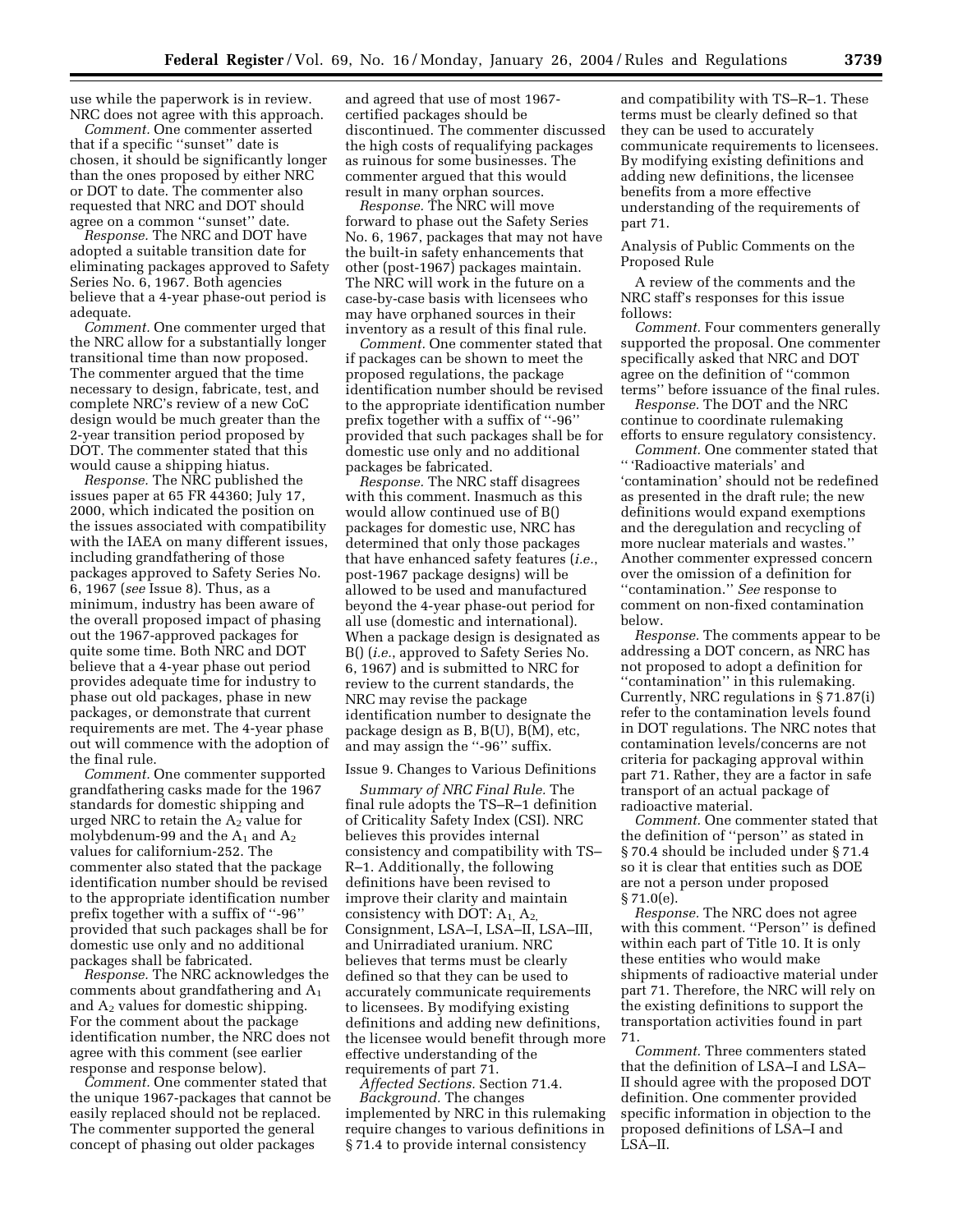use while the paperwork is in review. NRC does not agree with this approach.

*Comment.* One commenter asserted that if a specific "sunset" date is chosen, it should be significantly longer than the ones proposed by either NRC or DOT to date. The commenter also requested that NRC and DOT should agree on a common ''sunset'' date.

*Response.* The NRC and DOT have adopted a suitable transition date for eliminating packages approved to Safety Series No. 6, 1967. Both agencies believe that a 4-year phase-out period is adequate.

*Comment.* One commenter urged that the NRC allow for a substantially longer transitional time than now proposed. The commenter argued that the time necessary to design, fabricate, test, and complete NRC's review of a new CoC design would be much greater than the 2-year transition period proposed by DOT. The commenter stated that this would cause a shipping hiatus.

*Response.* The NRC published the issues paper at 65 FR 44360; July 17, 2000, which indicated the position on the issues associated with compatibility with the IAEA on many different issues, including grandfathering of those packages approved to Safety Series No. 6, 1967 (*see* Issue 8). Thus, as a minimum, industry has been aware of the overall proposed impact of phasing out the 1967-approved packages for quite some time. Both NRC and DOT believe that a 4-year phase out period provides adequate time for industry to phase out old packages, phase in new packages, or demonstrate that current requirements are met. The 4-year phase out will commence with the adoption of the final rule.

*Comment.* One commenter supported grandfathering casks made for the 1967 standards for domestic shipping and urged NRC to retain the  $A_2$  value for molybdenum-99 and the  $A_1$  and  $A_2$ values for californium-252. The commenter also stated that the package identification number should be revised to the appropriate identification number prefix together with a suffix of ''-96'' provided that such packages shall be for domestic use only and no additional packages shall be fabricated.

*Response.* The NRC acknowledges the comments about grandfathering and  $A_1$ and  $A_2$  values for domestic shipping. For the comment about the package identification number, the NRC does not agree with this comment (see earlier response and response below).

*Comment.* One commenter stated that the unique 1967-packages that cannot be easily replaced should not be replaced. The commenter supported the general concept of phasing out older packages

and agreed that use of most 1967 certified packages should be discontinued. The commenter discussed the high costs of requalifying packages as ruinous for some businesses. The commenter argued that this would result in many orphan sources.

*Response.* The NRC will move forward to phase out the Safety Series No. 6, 1967, packages that may not have the built-in safety enhancements that other (post-1967) packages maintain. The NRC will work in the future on a case-by-case basis with licensees who may have orphaned sources in their inventory as a result of this final rule.

*Comment.* One commenter stated that if packages can be shown to meet the proposed regulations, the package identification number should be revised to the appropriate identification number prefix together with a suffix of ''-96'' provided that such packages shall be for domestic use only and no additional packages be fabricated.

*Response.* The NRC staff disagrees with this comment. Inasmuch as this would allow continued use of B() packages for domestic use, NRC has determined that only those packages that have enhanced safety features (*i.e.*, post-1967 package designs) will be allowed to be used and manufactured beyond the 4-year phase-out period for all use (domestic and international). When a package design is designated as B() (*i.e.*, approved to Safety Series No. 6, 1967) and is submitted to NRC for review to the current standards, the NRC may revise the package identification number to designate the package design as B, B(U), B(M), etc, and may assign the ''-96'' suffix.

#### Issue 9. Changes to Various Definitions

*Summary of NRC Final Rule.* The final rule adopts the TS–R–1 definition of Criticality Safety Index (CSI). NRC believes this provides internal consistency and compatibility with TS– R–1. Additionally, the following definitions have been revised to improve their clarity and maintain consistency with DOT:  $A_1$ ,  $A_2$ , Consignment, LSA–I, LSA–II, LSA–III, and Unirradiated uranium. NRC believes that terms must be clearly defined so that they can be used to accurately communicate requirements to licensees. By modifying existing definitions and adding new definitions, the licensee would benefit through more effective understanding of the requirements of part 71.

*Affected Sections.* Section 71.4. *Background.* The changes implemented by NRC in this rulemaking require changes to various definitions in § 71.4 to provide internal consistency

and compatibility with TS–R–1. These terms must be clearly defined so that they can be used to accurately communicate requirements to licensees. By modifying existing definitions and adding new definitions, the licensee benefits from a more effective understanding of the requirements of part 71.

Analysis of Public Comments on the Proposed Rule

A review of the comments and the NRC staff's responses for this issue follows:

*Comment.* Four commenters generally supported the proposal. One commenter specifically asked that NRC and DOT agree on the definition of ''common terms'' before issuance of the final rules.

*Response.* The DOT and the NRC continue to coordinate rulemaking efforts to ensure regulatory consistency.

*Comment.* One commenter stated that '' 'Radioactive materials' and 'contamination' should not be redefined as presented in the draft rule; the new definitions would expand exemptions and the deregulation and recycling of more nuclear materials and wastes.'' Another commenter expressed concern over the omission of a definition for ''contamination.'' *See* response to comment on non-fixed contamination below.

*Response.* The comments appear to be addressing a DOT concern, as NRC has not proposed to adopt a definition for ''contamination'' in this rulemaking. Currently, NRC regulations in § 71.87(i) refer to the contamination levels found in DOT regulations. The NRC notes that contamination levels/concerns are not criteria for packaging approval within part 71. Rather, they are a factor in safe transport of an actual package of radioactive material.

*Comment.* One commenter stated that the definition of ''person'' as stated in § 70.4 should be included under § 71.4 so it is clear that entities such as DOE are not a person under proposed § 71.0(e).

*Response.* The NRC does not agree with this comment. ''Person'' is defined within each part of Title 10. It is only these entities who would make shipments of radioactive material under part 71. Therefore, the NRC will rely on the existing definitions to support the transportation activities found in part 71.

*Comment.* Three commenters stated that the definition of LSA–I and LSA– II should agree with the proposed DOT definition. One commenter provided specific information in objection to the proposed definitions of LSA–I and LSA–II.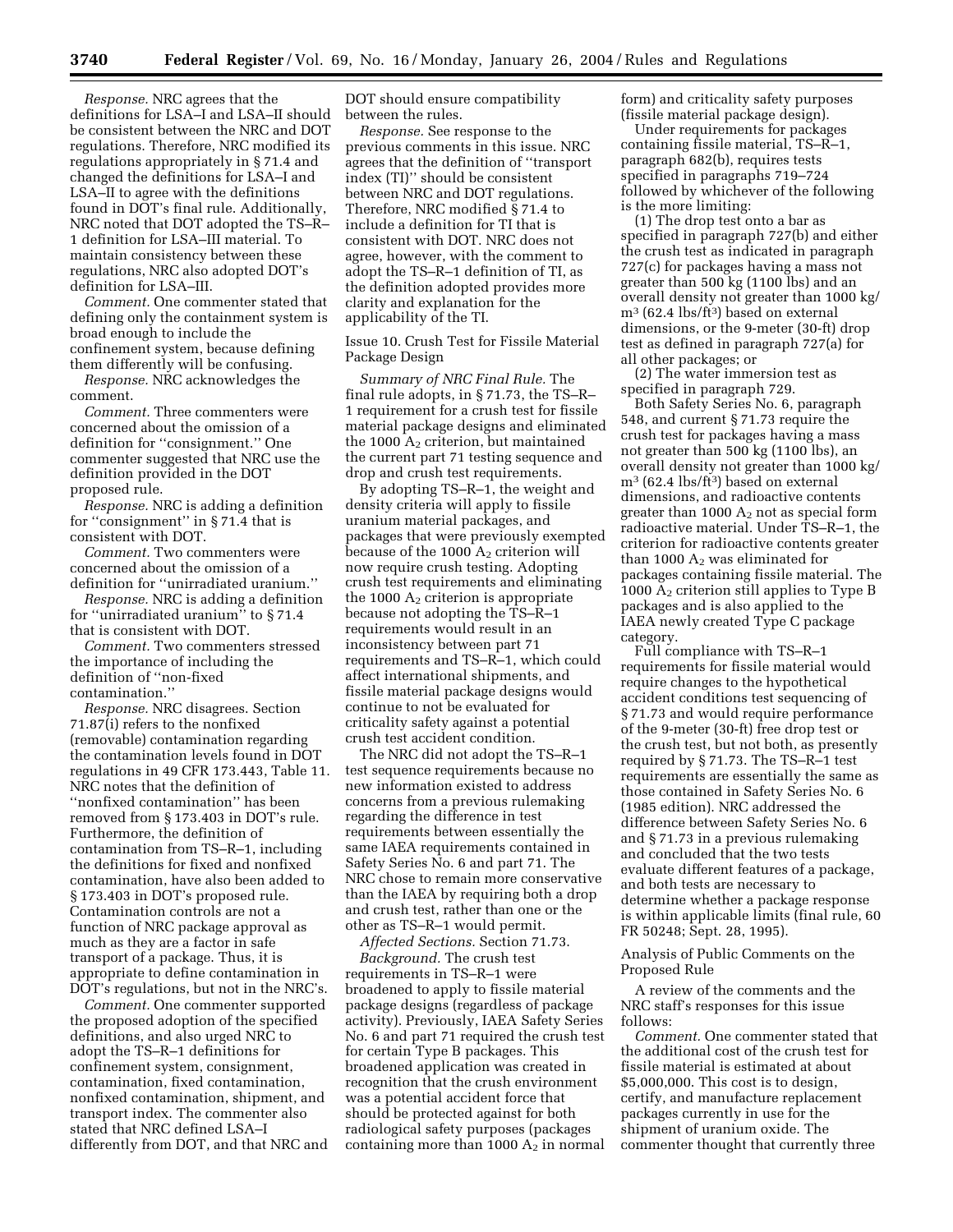*Response.* NRC agrees that the definitions for LSA–I and LSA–II should be consistent between the NRC and DOT regulations. Therefore, NRC modified its regulations appropriately in § 71.4 and changed the definitions for LSA–I and LSA–II to agree with the definitions found in DOT's final rule. Additionally, NRC noted that DOT adopted the TS–R– 1 definition for LSA–III material. To maintain consistency between these regulations, NRC also adopted DOT's definition for LSA–III.

*Comment.* One commenter stated that defining only the containment system is broad enough to include the confinement system, because defining them differently will be confusing.

*Response.* NRC acknowledges the comment.

*Comment.* Three commenters were concerned about the omission of a definition for ''consignment.'' One commenter suggested that NRC use the definition provided in the DOT proposed rule.

*Response.* NRC is adding a definition for ''consignment'' in § 71.4 that is consistent with DOT.

*Comment.* Two commenters were concerned about the omission of a definition for ''unirradiated uranium.''

*Response.* NRC is adding a definition for ''unirradiated uranium'' to § 71.4 that is consistent with DOT.

*Comment.* Two commenters stressed the importance of including the definition of ''non-fixed contamination.''

*Response.* NRC disagrees. Section 71.87(i) refers to the nonfixed (removable) contamination regarding the contamination levels found in DOT regulations in 49 CFR 173.443, Table 11. NRC notes that the definition of ''nonfixed contamination'' has been removed from § 173.403 in DOT's rule. Furthermore, the definition of contamination from TS–R–1, including the definitions for fixed and nonfixed contamination, have also been added to § 173.403 in DOT's proposed rule. Contamination controls are not a function of NRC package approval as much as they are a factor in safe transport of a package. Thus, it is appropriate to define contamination in DOT's regulations, but not in the NRC's.

*Comment.* One commenter supported the proposed adoption of the specified definitions, and also urged NRC to adopt the TS–R–1 definitions for confinement system, consignment, contamination, fixed contamination, nonfixed contamination, shipment, and transport index. The commenter also stated that NRC defined LSA–I differently from DOT, and that NRC and

DOT should ensure compatibility between the rules.

*Response.* See response to the previous comments in this issue. NRC agrees that the definition of ''transport index (TI)'' should be consistent between NRC and DOT regulations. Therefore, NRC modified § 71.4 to include a definition for TI that is consistent with DOT. NRC does not agree, however, with the comment to adopt the TS–R–1 definition of TI, as the definition adopted provides more clarity and explanation for the applicability of the TI.

Issue 10. Crush Test for Fissile Material Package Design

*Summary of NRC Final Rule.* The final rule adopts, in § 71.73, the TS–R– 1 requirement for a crush test for fissile material package designs and eliminated the 1000  $A_2$  criterion, but maintained the current part 71 testing sequence and drop and crush test requirements.

By adopting TS–R–1, the weight and density criteria will apply to fissile uranium material packages, and packages that were previously exempted because of the 1000  $A_2$  criterion will now require crush testing. Adopting crush test requirements and eliminating the 1000  $A_2$  criterion is appropriate because not adopting the TS–R–1 requirements would result in an inconsistency between part 71 requirements and TS–R–1, which could affect international shipments, and fissile material package designs would continue to not be evaluated for criticality safety against a potential crush test accident condition.

The NRC did not adopt the TS–R–1 test sequence requirements because no new information existed to address concerns from a previous rulemaking regarding the difference in test requirements between essentially the same IAEA requirements contained in Safety Series No. 6 and part 71. The NRC chose to remain more conservative than the IAEA by requiring both a drop and crush test, rather than one or the other as TS–R–1 would permit.

*Affected Sections.* Section 71.73. *Background.* The crush test requirements in TS–R–1 were broadened to apply to fissile material package designs (regardless of package activity). Previously, IAEA Safety Series No. 6 and part 71 required the crush test for certain Type B packages. This broadened application was created in recognition that the crush environment was a potential accident force that should be protected against for both radiological safety purposes (packages containing more than  $1000 \text{ A}_2$  in normal form) and criticality safety purposes (fissile material package design).

Under requirements for packages containing fissile material, TS–R–1, paragraph 682(b), requires tests specified in paragraphs 719–724 followed by whichever of the following is the more limiting:

(1) The drop test onto a bar as specified in paragraph 727(b) and either the crush test as indicated in paragraph 727(c) for packages having a mass not greater than 500 kg (1100 lbs) and an overall density not greater than 1000 kg/  $m^3$  (62.4 lbs/ft<sup>3</sup>) based on external dimensions, or the 9-meter (30-ft) drop test as defined in paragraph 727(a) for all other packages; or

(2) The water immersion test as specified in paragraph 729.

Both Safety Series No. 6, paragraph 548, and current § 71.73 require the crush test for packages having a mass not greater than 500 kg (1100 lbs), an overall density not greater than 1000 kg/  $m^3$  (62.4 lbs/ft<sup>3</sup>) based on external dimensions, and radioactive contents greater than 1000  $A_2$  not as special form radioactive material. Under TS–R–1, the criterion for radioactive contents greater than 1000  $A_2$  was eliminated for packages containing fissile material. The 1000  $A_2$  criterion still applies to Type B packages and is also applied to the IAEA newly created Type C package category.

Full compliance with TS–R–1 requirements for fissile material would require changes to the hypothetical accident conditions test sequencing of § 71.73 and would require performance of the 9-meter (30-ft) free drop test or the crush test, but not both, as presently required by § 71.73. The TS–R–1 test requirements are essentially the same as those contained in Safety Series No. 6 (1985 edition). NRC addressed the difference between Safety Series No. 6 and § 71.73 in a previous rulemaking and concluded that the two tests evaluate different features of a package, and both tests are necessary to determine whether a package response is within applicable limits (final rule, 60 FR 50248; Sept. 28, 1995).

Analysis of Public Comments on the Proposed Rule

A review of the comments and the NRC staff's responses for this issue follows:

*Comment.* One commenter stated that the additional cost of the crush test for fissile material is estimated at about \$5,000,000. This cost is to design, certify, and manufacture replacement packages currently in use for the shipment of uranium oxide. The commenter thought that currently three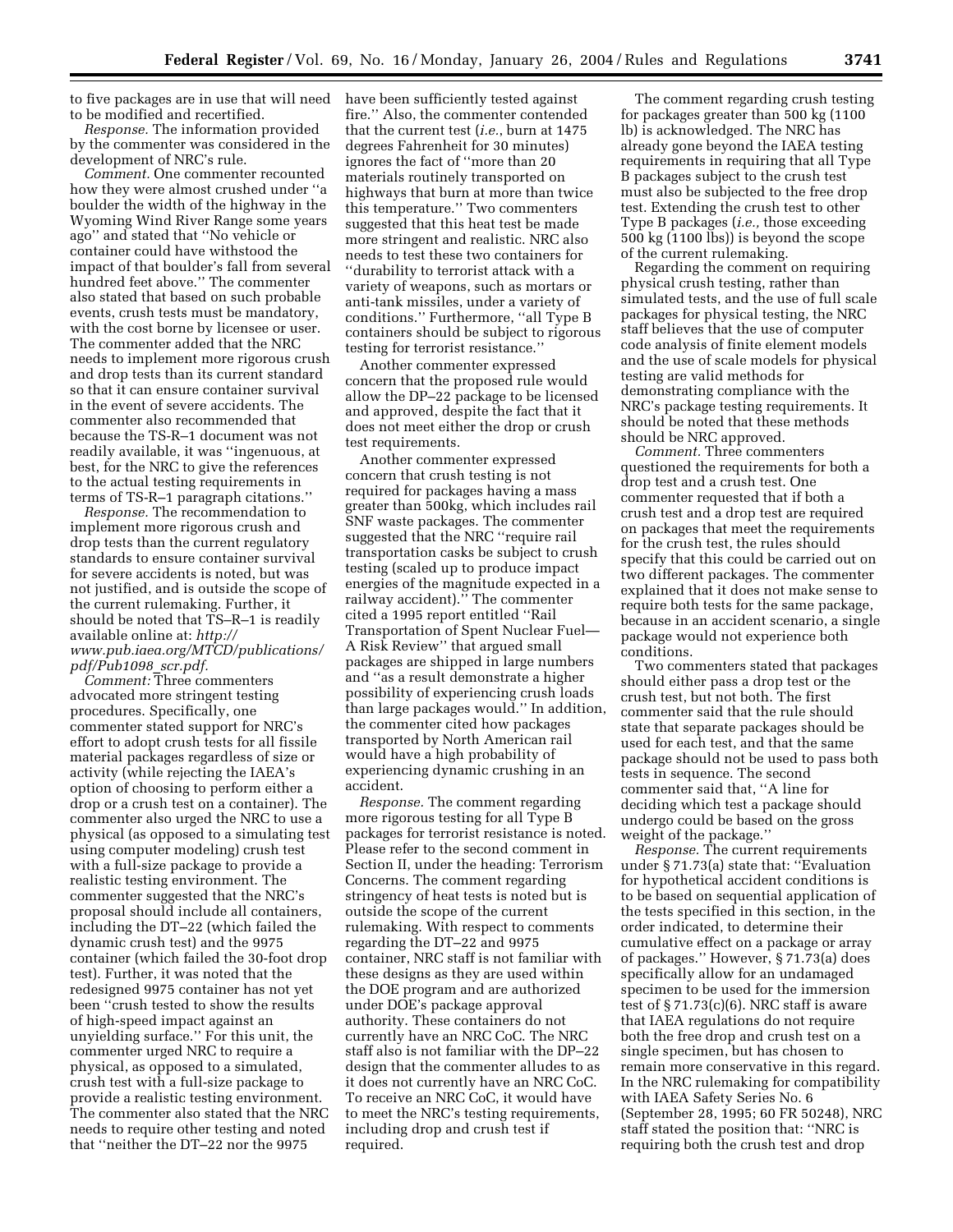to five packages are in use that will need have been sufficiently tested against to be modified and recertified.

*Response.* The information provided by the commenter was considered in the development of NRC's rule.

*Comment.* One commenter recounted how they were almost crushed under ''a boulder the width of the highway in the Wyoming Wind River Range some years ago'' and stated that ''No vehicle or container could have withstood the impact of that boulder's fall from several hundred feet above.'' The commenter also stated that based on such probable events, crush tests must be mandatory, with the cost borne by licensee or user. The commenter added that the NRC needs to implement more rigorous crush and drop tests than its current standard so that it can ensure container survival in the event of severe accidents. The commenter also recommended that because the TS-R–1 document was not readily available, it was ''ingenuous, at best, for the NRC to give the references to the actual testing requirements in terms of TS-R–1 paragraph citations.''

*Response.* The recommendation to implement more rigorous crush and drop tests than the current regulatory standards to ensure container survival for severe accidents is noted, but was not justified, and is outside the scope of the current rulemaking. Further, it should be noted that TS–R–1 is readily available online at: *http:// www.pub.iaea.org/MTCD/publications/ pdf/Pub1098*\_*scr.pdf.*

*Comment:* Three commenters advocated more stringent testing procedures. Specifically, one commenter stated support for NRC's effort to adopt crush tests for all fissile material packages regardless of size or activity (while rejecting the IAEA's option of choosing to perform either a drop or a crush test on a container). The commenter also urged the NRC to use a physical (as opposed to a simulating test using computer modeling) crush test with a full-size package to provide a realistic testing environment. The commenter suggested that the NRC's proposal should include all containers, including the DT–22 (which failed the dynamic crush test) and the 9975 container (which failed the 30-foot drop test). Further, it was noted that the redesigned 9975 container has not yet been ''crush tested to show the results of high-speed impact against an unyielding surface.'' For this unit, the commenter urged NRC to require a physical, as opposed to a simulated, crush test with a full-size package to provide a realistic testing environment. The commenter also stated that the NRC needs to require other testing and noted that ''neither the DT–22 nor the 9975

fire.'' Also, the commenter contended that the current test (*i.e.*, burn at 1475 degrees Fahrenheit for 30 minutes) ignores the fact of ''more than 20 materials routinely transported on highways that burn at more than twice this temperature.'' Two commenters suggested that this heat test be made more stringent and realistic. NRC also needs to test these two containers for ''durability to terrorist attack with a variety of weapons, such as mortars or anti-tank missiles, under a variety of conditions.'' Furthermore, ''all Type B containers should be subject to rigorous testing for terrorist resistance.''

Another commenter expressed concern that the proposed rule would allow the DP–22 package to be licensed and approved, despite the fact that it does not meet either the drop or crush test requirements.

Another commenter expressed concern that crush testing is not required for packages having a mass greater than 500kg, which includes rail SNF waste packages. The commenter suggested that the NRC ''require rail transportation casks be subject to crush testing (scaled up to produce impact energies of the magnitude expected in a railway accident).'' The commenter cited a 1995 report entitled ''Rail Transportation of Spent Nuclear Fuel— A Risk Review'' that argued small packages are shipped in large numbers and ''as a result demonstrate a higher possibility of experiencing crush loads than large packages would.'' In addition, the commenter cited how packages transported by North American rail would have a high probability of experiencing dynamic crushing in an accident.

*Response.* The comment regarding more rigorous testing for all Type B packages for terrorist resistance is noted. Please refer to the second comment in Section II, under the heading: Terrorism Concerns. The comment regarding stringency of heat tests is noted but is outside the scope of the current rulemaking. With respect to comments regarding the DT–22 and 9975 container, NRC staff is not familiar with these designs as they are used within the DOE program and are authorized under DOE's package approval authority. These containers do not currently have an NRC CoC. The NRC staff also is not familiar with the DP–22 design that the commenter alludes to as it does not currently have an NRC CoC. To receive an NRC CoC, it would have to meet the NRC's testing requirements, including drop and crush test if required.

The comment regarding crush testing for packages greater than 500 kg (1100 lb) is acknowledged. The NRC has already gone beyond the IAEA testing requirements in requiring that all Type B packages subject to the crush test must also be subjected to the free drop test. Extending the crush test to other Type B packages (*i.e.,* those exceeding 500 kg (1100 lbs)) is beyond the scope of the current rulemaking.

Regarding the comment on requiring physical crush testing, rather than simulated tests, and the use of full scale packages for physical testing, the NRC staff believes that the use of computer code analysis of finite element models and the use of scale models for physical testing are valid methods for demonstrating compliance with the NRC's package testing requirements. It should be noted that these methods should be NRC approved.

*Comment.* Three commenters questioned the requirements for both a drop test and a crush test. One commenter requested that if both a crush test and a drop test are required on packages that meet the requirements for the crush test, the rules should specify that this could be carried out on two different packages. The commenter explained that it does not make sense to require both tests for the same package, because in an accident scenario, a single package would not experience both conditions.

Two commenters stated that packages should either pass a drop test or the crush test, but not both. The first commenter said that the rule should state that separate packages should be used for each test, and that the same package should not be used to pass both tests in sequence. The second commenter said that, ''A line for deciding which test a package should undergo could be based on the gross weight of the package.''

*Response.* The current requirements under § 71.73(a) state that: ''Evaluation for hypothetical accident conditions is to be based on sequential application of the tests specified in this section, in the order indicated, to determine their cumulative effect on a package or array of packages.'' However, § 71.73(a) does specifically allow for an undamaged specimen to be used for the immersion test of  $\S 71.73(c)(6)$ . NRC staff is aware that IAEA regulations do not require both the free drop and crush test on a single specimen, but has chosen to remain more conservative in this regard. In the NRC rulemaking for compatibility with IAEA Safety Series No. 6 (September 28, 1995; 60 FR 50248), NRC staff stated the position that: ''NRC is requiring both the crush test and drop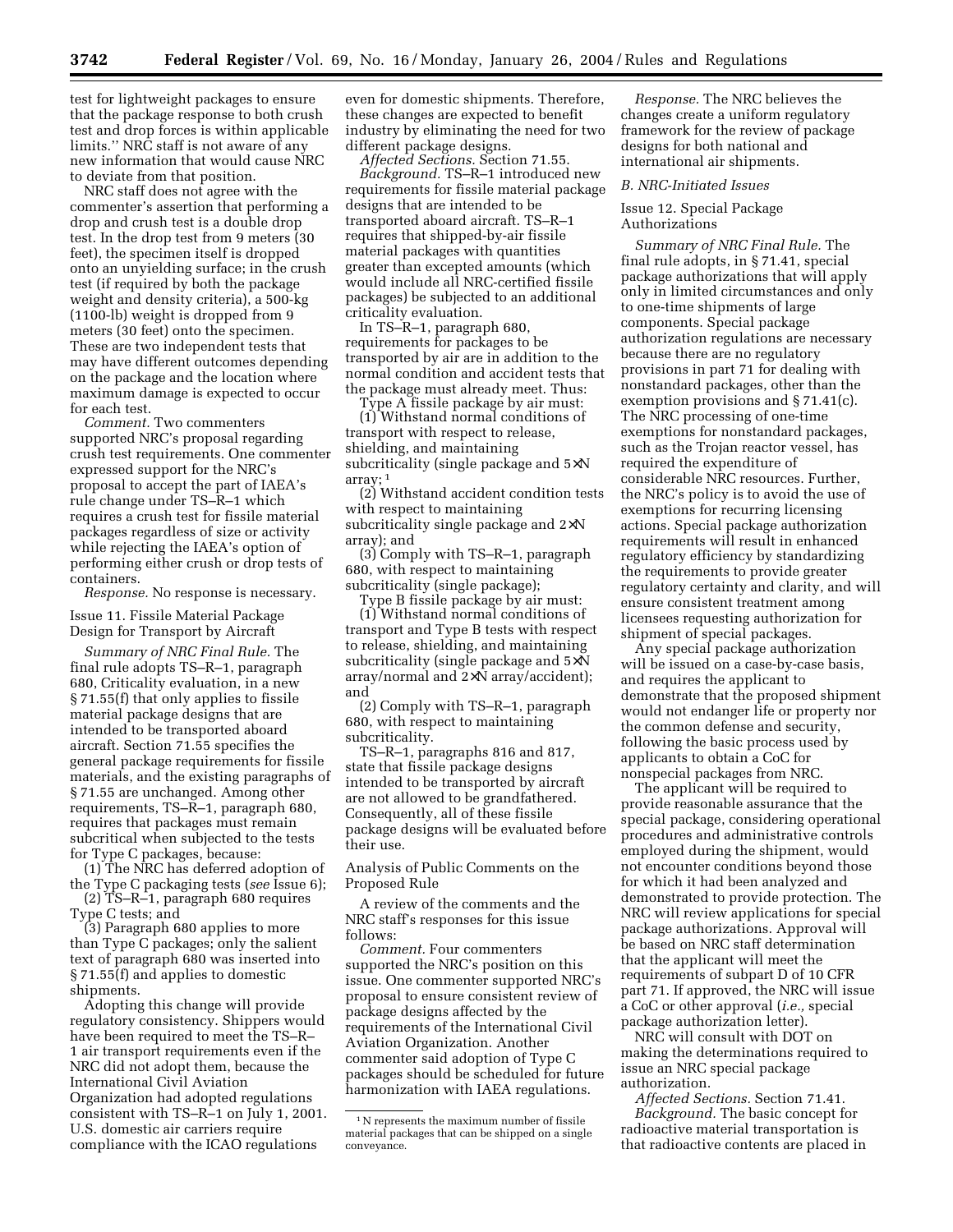test for lightweight packages to ensure that the package response to both crush test and drop forces is within applicable limits.'' NRC staff is not aware of any new information that would cause NRC to deviate from that position.

NRC staff does not agree with the commenter's assertion that performing a drop and crush test is a double drop test. In the drop test from 9 meters (30 feet), the specimen itself is dropped onto an unyielding surface; in the crush test (if required by both the package weight and density criteria), a 500-kg (1100-lb) weight is dropped from 9 meters (30 feet) onto the specimen. These are two independent tests that may have different outcomes depending on the package and the location where maximum damage is expected to occur for each test.

*Comment.* Two commenters supported NRC's proposal regarding crush test requirements. One commenter expressed support for the NRC's proposal to accept the part of IAEA's rule change under TS–R–1 which requires a crush test for fissile material packages regardless of size or activity while rejecting the IAEA's option of performing either crush or drop tests of containers.

*Response.* No response is necessary.

Issue 11. Fissile Material Package Design for Transport by Aircraft

*Summary of NRC Final Rule.* The final rule adopts TS–R–1, paragraph 680, Criticality evaluation, in a new § 71.55(f) that only applies to fissile material package designs that are intended to be transported aboard aircraft. Section 71.55 specifies the general package requirements for fissile materials, and the existing paragraphs of § 71.55 are unchanged. Among other requirements, TS–R–1, paragraph 680, requires that packages must remain subcritical when subjected to the tests for Type C packages, because:

(1) The NRC has deferred adoption of the Type C packaging tests (*see* Issue 6); (2) TS–R–1, paragraph 680 requires

Type C tests; and (3) Paragraph 680 applies to more than Type C packages; only the salient text of paragraph 680 was inserted into § 71.55(f) and applies to domestic

shipments. Adopting this change will provide regulatory consistency. Shippers would have been required to meet the TS–R– 1 air transport requirements even if the NRC did not adopt them, because the International Civil Aviation Organization had adopted regulations consistent with TS–R–1 on July 1, 2001. U.S. domestic air carriers require compliance with the ICAO regulations

even for domestic shipments. Therefore, these changes are expected to benefit industry by eliminating the need for two different package designs.

*Affected Sections.* Section 71.55.

*Background.* TS–R–1 introduced new requirements for fissile material package designs that are intended to be transported aboard aircraft. TS–R–1 requires that shipped-by-air fissile material packages with quantities greater than excepted amounts (which would include all NRC-certified fissile packages) be subjected to an additional criticality evaluation.

In TS–R–1, paragraph 680, requirements for packages to be transported by air are in addition to the normal condition and accident tests that the package must already meet. Thus:

Type A fissile package by air must: (1) Withstand normal conditions of transport with respect to release, shielding, and maintaining subcriticality (single package and 5×N array; 1

(2) Withstand accident condition tests with respect to maintaining subcriticality single package and 2×N array); and

(3) Comply with TS–R–1, paragraph 680, with respect to maintaining subcriticality (single package);

Type B fissile package by air must:

(1) Withstand normal conditions of transport and Type B tests with respect to release, shielding, and maintaining subcriticality (single package and 5×N array/normal and 2×N array/accident); and

(2) Comply with TS–R–1, paragraph 680, with respect to maintaining subcriticality.

TS–R–1, paragraphs 816 and 817, state that fissile package designs intended to be transported by aircraft are not allowed to be grandfathered. Consequently, all of these fissile package designs will be evaluated before their use.

Analysis of Public Comments on the Proposed Rule

A review of the comments and the NRC staff's responses for this issue follows:

*Comment.* Four commenters supported the NRC's position on this issue. One commenter supported NRC's proposal to ensure consistent review of package designs affected by the requirements of the International Civil Aviation Organization. Another commenter said adoption of Type C packages should be scheduled for future harmonization with IAEA regulations.

*Response.* The NRC believes the changes create a uniform regulatory framework for the review of package designs for both national and international air shipments.

#### *B. NRC-Initiated Issues*

Issue 12. Special Package Authorizations

*Summary of NRC Final Rule.* The final rule adopts, in § 71.41, special package authorizations that will apply only in limited circumstances and only to one-time shipments of large components. Special package authorization regulations are necessary because there are no regulatory provisions in part 71 for dealing with nonstandard packages, other than the exemption provisions and § 71.41(c). The NRC processing of one-time exemptions for nonstandard packages, such as the Trojan reactor vessel, has required the expenditure of considerable NRC resources. Further, the NRC's policy is to avoid the use of exemptions for recurring licensing actions. Special package authorization requirements will result in enhanced regulatory efficiency by standardizing the requirements to provide greater regulatory certainty and clarity, and will ensure consistent treatment among licensees requesting authorization for shipment of special packages.

Any special package authorization will be issued on a case-by-case basis, and requires the applicant to demonstrate that the proposed shipment would not endanger life or property nor the common defense and security, following the basic process used by applicants to obtain a CoC for nonspecial packages from NRC.

The applicant will be required to provide reasonable assurance that the special package, considering operational procedures and administrative controls employed during the shipment, would not encounter conditions beyond those for which it had been analyzed and demonstrated to provide protection. The NRC will review applications for special package authorizations. Approval will be based on NRC staff determination that the applicant will meet the requirements of subpart D of 10 CFR part 71. If approved, the NRC will issue a CoC or other approval (*i.e.,* special package authorization letter).

NRC will consult with DOT on making the determinations required to issue an NRC special package authorization.

*Affected Sections.* Section 71.41. *Background.* The basic concept for radioactive material transportation is that radioactive contents are placed in

<sup>1</sup>N represents the maximum number of fissile material packages that can be shipped on a single conveyance.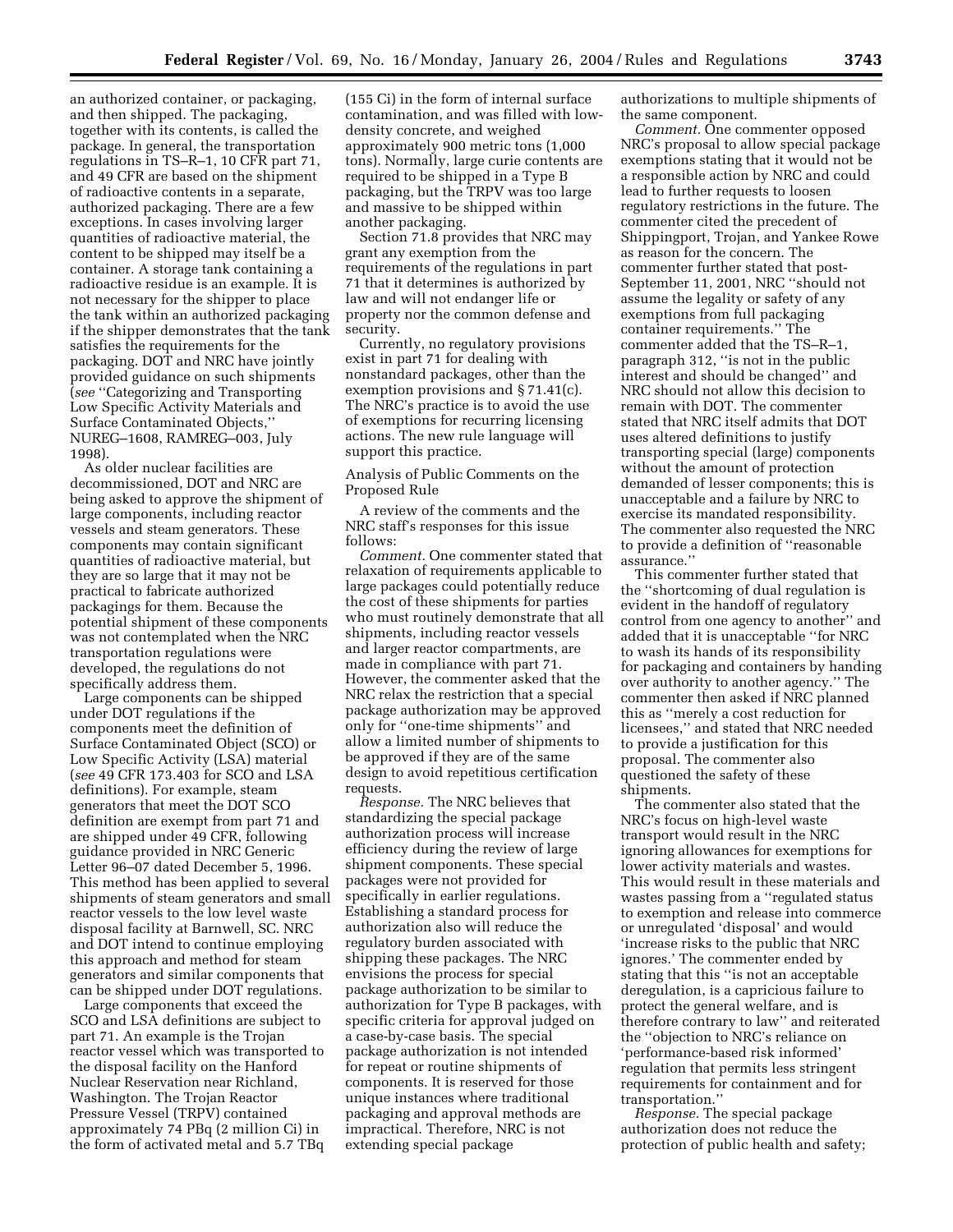an authorized container, or packaging, and then shipped. The packaging, together with its contents, is called the package. In general, the transportation regulations in TS–R–1, 10 CFR part 71, and 49 CFR are based on the shipment of radioactive contents in a separate, authorized packaging. There are a few exceptions. In cases involving larger quantities of radioactive material, the content to be shipped may itself be a container. A storage tank containing a radioactive residue is an example. It is not necessary for the shipper to place the tank within an authorized packaging if the shipper demonstrates that the tank satisfies the requirements for the packaging. DOT and NRC have jointly provided guidance on such shipments (*see* ''Categorizing and Transporting Low Specific Activity Materials and Surface Contaminated Objects,'' NUREG–1608, RAMREG–003, July 1998).

As older nuclear facilities are decommissioned, DOT and NRC are being asked to approve the shipment of large components, including reactor vessels and steam generators. These components may contain significant quantities of radioactive material, but they are so large that it may not be practical to fabricate authorized packagings for them. Because the potential shipment of these components was not contemplated when the NRC transportation regulations were developed, the regulations do not specifically address them.

Large components can be shipped under DOT regulations if the components meet the definition of Surface Contaminated Object (SCO) or Low Specific Activity (LSA) material (*see* 49 CFR 173.403 for SCO and LSA definitions). For example, steam generators that meet the DOT SCO definition are exempt from part 71 and are shipped under 49 CFR, following guidance provided in NRC Generic Letter 96–07 dated December 5, 1996. This method has been applied to several shipments of steam generators and small reactor vessels to the low level waste disposal facility at Barnwell, SC. NRC and DOT intend to continue employing this approach and method for steam generators and similar components that can be shipped under DOT regulations.

Large components that exceed the SCO and LSA definitions are subject to part 71. An example is the Trojan reactor vessel which was transported to the disposal facility on the Hanford Nuclear Reservation near Richland, Washington. The Trojan Reactor Pressure Vessel (TRPV) contained approximately 74 PBq (2 million Ci) in the form of activated metal and 5.7 TBq

(155 Ci) in the form of internal surface contamination, and was filled with lowdensity concrete, and weighed approximately 900 metric tons (1,000 tons). Normally, large curie contents are required to be shipped in a Type B packaging, but the TRPV was too large and massive to be shipped within another packaging.

Section 71.8 provides that NRC may grant any exemption from the requirements of the regulations in part 71 that it determines is authorized by law and will not endanger life or property nor the common defense and security.

Currently, no regulatory provisions exist in part 71 for dealing with nonstandard packages, other than the exemption provisions and § 71.41(c). The NRC's practice is to avoid the use of exemptions for recurring licensing actions. The new rule language will support this practice.

Analysis of Public Comments on the Proposed Rule

A review of the comments and the NRC staff's responses for this issue follows:

*Comment.* One commenter stated that relaxation of requirements applicable to large packages could potentially reduce the cost of these shipments for parties who must routinely demonstrate that all shipments, including reactor vessels and larger reactor compartments, are made in compliance with part 71. However, the commenter asked that the NRC relax the restriction that a special package authorization may be approved only for ''one-time shipments'' and allow a limited number of shipments to be approved if they are of the same design to avoid repetitious certification requests.

*Response.* The NRC believes that standardizing the special package authorization process will increase efficiency during the review of large shipment components. These special packages were not provided for specifically in earlier regulations. Establishing a standard process for authorization also will reduce the regulatory burden associated with shipping these packages. The NRC envisions the process for special package authorization to be similar to authorization for Type B packages, with specific criteria for approval judged on a case-by-case basis. The special package authorization is not intended for repeat or routine shipments of components. It is reserved for those unique instances where traditional packaging and approval methods are impractical. Therefore, NRC is not extending special package

authorizations to multiple shipments of the same component.

*Comment.* One commenter opposed NRC's proposal to allow special package exemptions stating that it would not be a responsible action by NRC and could lead to further requests to loosen regulatory restrictions in the future. The commenter cited the precedent of Shippingport, Trojan, and Yankee Rowe as reason for the concern. The commenter further stated that post-September 11, 2001, NRC ''should not assume the legality or safety of any exemptions from full packaging container requirements.'' The commenter added that the TS–R–1, paragraph 312, ''is not in the public interest and should be changed'' and NRC should not allow this decision to remain with DOT. The commenter stated that NRC itself admits that DOT uses altered definitions to justify transporting special (large) components without the amount of protection demanded of lesser components; this is unacceptable and a failure by NRC to exercise its mandated responsibility. The commenter also requested the NRC to provide a definition of ''reasonable assurance.''

This commenter further stated that the ''shortcoming of dual regulation is evident in the handoff of regulatory control from one agency to another'' and added that it is unacceptable ''for NRC to wash its hands of its responsibility for packaging and containers by handing over authority to another agency.'' The commenter then asked if NRC planned this as ''merely a cost reduction for licensees,'' and stated that NRC needed to provide a justification for this proposal. The commenter also questioned the safety of these shipments.

The commenter also stated that the NRC's focus on high-level waste transport would result in the NRC ignoring allowances for exemptions for lower activity materials and wastes. This would result in these materials and wastes passing from a ''regulated status to exemption and release into commerce or unregulated 'disposal' and would 'increase risks to the public that NRC ignores.' The commenter ended by stating that this ''is not an acceptable deregulation, is a capricious failure to protect the general welfare, and is therefore contrary to law'' and reiterated the ''objection to NRC's reliance on 'performance-based risk informed' regulation that permits less stringent requirements for containment and for transportation.''

*Response.* The special package authorization does not reduce the protection of public health and safety;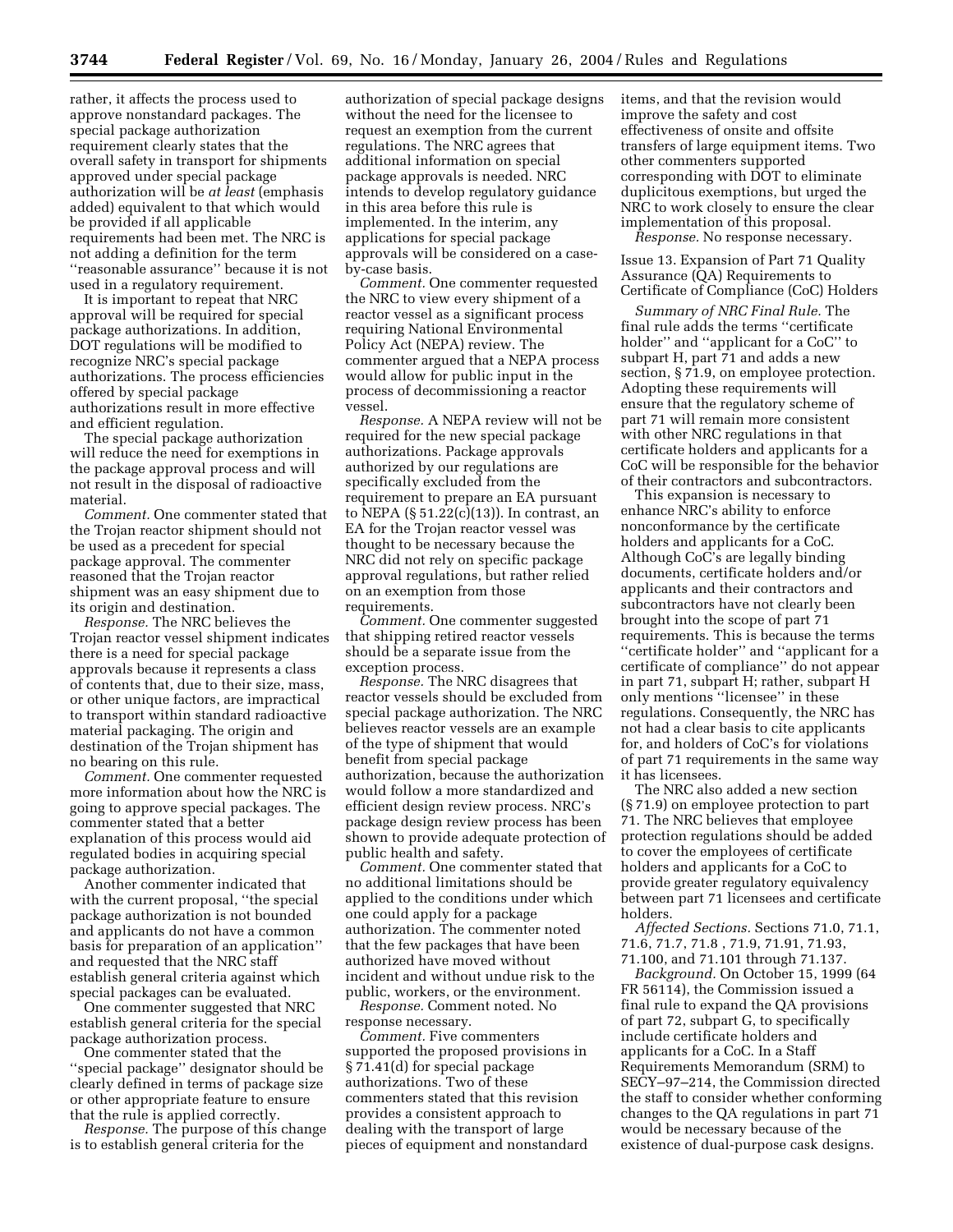rather, it affects the process used to approve nonstandard packages. The special package authorization requirement clearly states that the overall safety in transport for shipments approved under special package authorization will be *at least* (emphasis added) equivalent to that which would be provided if all applicable requirements had been met. The NRC is not adding a definition for the term ''reasonable assurance'' because it is not used in a regulatory requirement.

It is important to repeat that NRC approval will be required for special package authorizations. In addition, DOT regulations will be modified to recognize NRC's special package authorizations. The process efficiencies offered by special package authorizations result in more effective and efficient regulation.

The special package authorization will reduce the need for exemptions in the package approval process and will not result in the disposal of radioactive material.

*Comment.* One commenter stated that the Trojan reactor shipment should not be used as a precedent for special package approval. The commenter reasoned that the Trojan reactor shipment was an easy shipment due to its origin and destination.

*Response.* The NRC believes the Trojan reactor vessel shipment indicates there is a need for special package approvals because it represents a class of contents that, due to their size, mass, or other unique factors, are impractical to transport within standard radioactive material packaging. The origin and destination of the Trojan shipment has no bearing on this rule.

*Comment.* One commenter requested more information about how the NRC is going to approve special packages. The commenter stated that a better explanation of this process would aid regulated bodies in acquiring special package authorization.

Another commenter indicated that with the current proposal, ''the special package authorization is not bounded and applicants do not have a common basis for preparation of an application'' and requested that the NRC staff establish general criteria against which special packages can be evaluated.

One commenter suggested that NRC establish general criteria for the special package authorization process.

One commenter stated that the ''special package'' designator should be clearly defined in terms of package size or other appropriate feature to ensure that the rule is applied correctly.

*Response.* The purpose of this change is to establish general criteria for the

authorization of special package designs without the need for the licensee to request an exemption from the current regulations. The NRC agrees that additional information on special package approvals is needed. NRC intends to develop regulatory guidance in this area before this rule is implemented. In the interim, any applications for special package approvals will be considered on a caseby-case basis.

*Comment.* One commenter requested the NRC to view every shipment of a reactor vessel as a significant process requiring National Environmental Policy Act (NEPA) review. The commenter argued that a NEPA process would allow for public input in the process of decommissioning a reactor vessel.

*Response.* A NEPA review will not be required for the new special package authorizations. Package approvals authorized by our regulations are specifically excluded from the requirement to prepare an EA pursuant to NEPA  $(\S 51.22(c)(13))$ . In contrast, an EA for the Trojan reactor vessel was thought to be necessary because the NRC did not rely on specific package approval regulations, but rather relied on an exemption from those requirements.

*Comment.* One commenter suggested that shipping retired reactor vessels should be a separate issue from the exception process.

*Response.* The NRC disagrees that reactor vessels should be excluded from special package authorization. The NRC believes reactor vessels are an example of the type of shipment that would benefit from special package authorization, because the authorization would follow a more standardized and efficient design review process. NRC's package design review process has been shown to provide adequate protection of public health and safety.

*Comment.* One commenter stated that no additional limitations should be applied to the conditions under which one could apply for a package authorization. The commenter noted that the few packages that have been authorized have moved without incident and without undue risk to the public, workers, or the environment.

*Response.* Comment noted. No response necessary.

*Comment.* Five commenters supported the proposed provisions in § 71.41(d) for special package authorizations. Two of these commenters stated that this revision provides a consistent approach to dealing with the transport of large pieces of equipment and nonstandard items, and that the revision would improve the safety and cost effectiveness of onsite and offsite transfers of large equipment items. Two other commenters supported corresponding with DOT to eliminate duplicitous exemptions, but urged the NRC to work closely to ensure the clear implementation of this proposal. *Response.* No response necessary.

Issue 13. Expansion of Part 71 Quality Assurance (QA) Requirements to Certificate of Compliance (CoC) Holders

*Summary of NRC Final Rule.* The final rule adds the terms ''certificate holder'' and ''applicant for a CoC'' to subpart H, part 71 and adds a new section, § 71.9, on employee protection. Adopting these requirements will ensure that the regulatory scheme of part 71 will remain more consistent with other NRC regulations in that certificate holders and applicants for a CoC will be responsible for the behavior of their contractors and subcontractors.

This expansion is necessary to enhance NRC's ability to enforce nonconformance by the certificate holders and applicants for a CoC. Although CoC's are legally binding documents, certificate holders and/or applicants and their contractors and subcontractors have not clearly been brought into the scope of part 71 requirements. This is because the terms ''certificate holder'' and ''applicant for a certificate of compliance'' do not appear in part 71, subpart H; rather, subpart H only mentions ''licensee'' in these regulations. Consequently, the NRC has not had a clear basis to cite applicants for, and holders of CoC's for violations of part 71 requirements in the same way it has licensees.

The NRC also added a new section (§ 71.9) on employee protection to part 71. The NRC believes that employee protection regulations should be added to cover the employees of certificate holders and applicants for a CoC to provide greater regulatory equivalency between part 71 licensees and certificate holders.

*Affected Sections.* Sections 71.0, 71.1, 71.6, 71.7, 71.8 , 71.9, 71.91, 71.93, 71.100, and 71.101 through 71.137.

*Background.* On October 15, 1999 (64 FR 56114), the Commission issued a final rule to expand the QA provisions of part 72, subpart G, to specifically include certificate holders and applicants for a CoC. In a Staff Requirements Memorandum (SRM) to SECY–97–214, the Commission directed the staff to consider whether conforming changes to the QA regulations in part 71 would be necessary because of the existence of dual-purpose cask designs.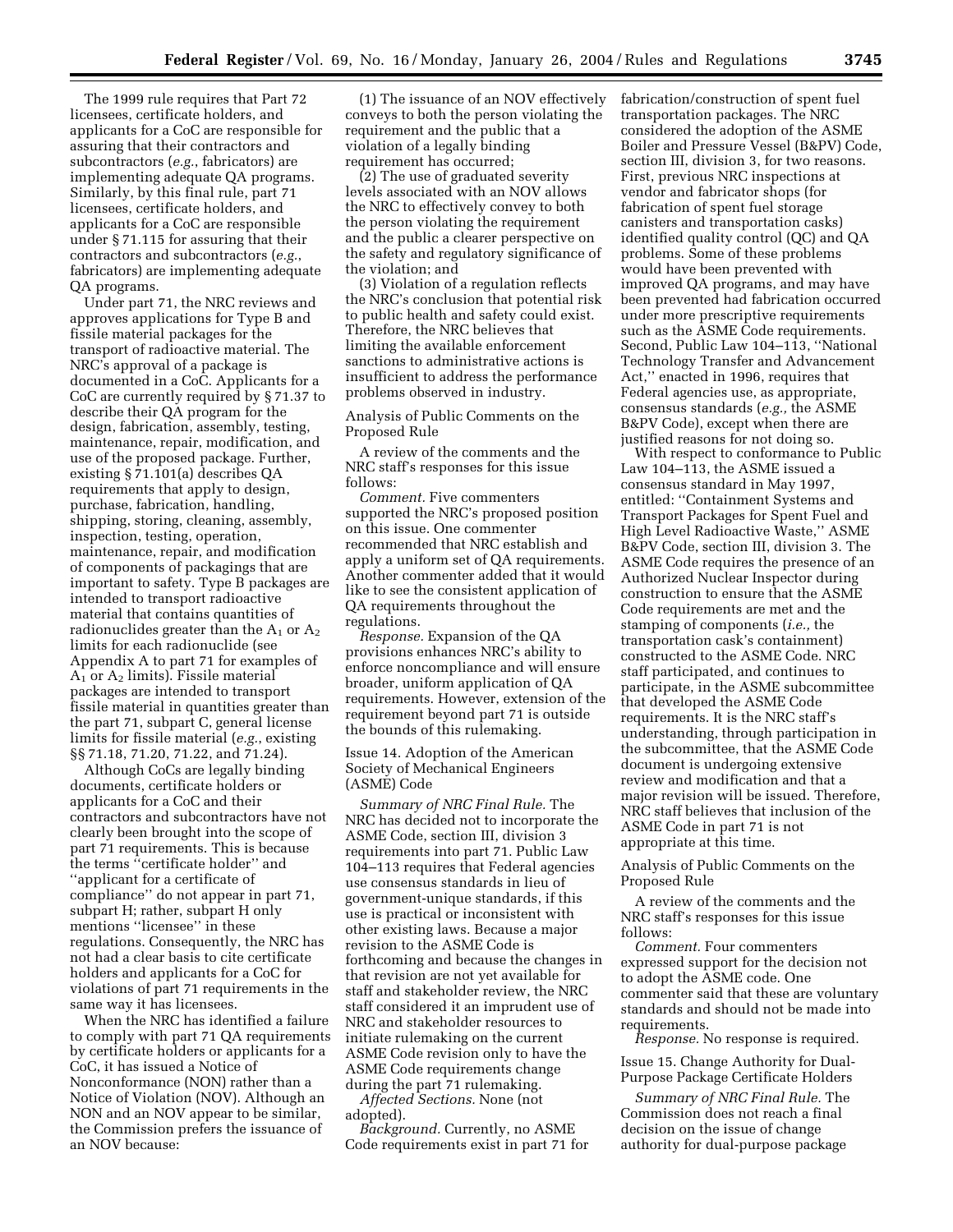The 1999 rule requires that Part 72 licensees, certificate holders, and applicants for a CoC are responsible for assuring that their contractors and subcontractors (*e.g.*, fabricators) are implementing adequate QA programs. Similarly, by this final rule, part 71 licensees, certificate holders, and applicants for a CoC are responsible under § 71.115 for assuring that their contractors and subcontractors (*e.g.*, fabricators) are implementing adequate QA programs.

Under part 71, the NRC reviews and approves applications for Type B and fissile material packages for the transport of radioactive material. The NRC's approval of a package is documented in a CoC. Applicants for a CoC are currently required by § 71.37 to describe their QA program for the design, fabrication, assembly, testing, maintenance, repair, modification, and use of the proposed package. Further, existing § 71.101(a) describes QA requirements that apply to design, purchase, fabrication, handling, shipping, storing, cleaning, assembly, inspection, testing, operation, maintenance, repair, and modification of components of packagings that are important to safety. Type B packages are intended to transport radioactive material that contains quantities of radionuclides greater than the  $A_1$  or  $A_2$ limits for each radionuclide (see Appendix A to part 71 for examples of  $A_1$  or  $A_2$  limits). Fissile material packages are intended to transport fissile material in quantities greater than the part 71, subpart C, general license limits for fissile material (*e.g.*, existing §§ 71.18, 71.20, 71.22, and 71.24).

Although CoCs are legally binding documents, certificate holders or applicants for a CoC and their contractors and subcontractors have not clearly been brought into the scope of part 71 requirements. This is because the terms ''certificate holder'' and ''applicant for a certificate of compliance'' do not appear in part 71, subpart H; rather, subpart H only mentions "licensee" in these regulations. Consequently, the NRC has not had a clear basis to cite certificate holders and applicants for a CoC for violations of part 71 requirements in the same way it has licensees.

When the NRC has identified a failure to comply with part 71 QA requirements by certificate holders or applicants for a CoC, it has issued a Notice of Nonconformance (NON) rather than a Notice of Violation (NOV). Although an NON and an NOV appear to be similar, the Commission prefers the issuance of an NOV because:

(1) The issuance of an NOV effectively conveys to both the person violating the requirement and the public that a violation of a legally binding requirement has occurred;

(2) The use of graduated severity levels associated with an NOV allows the NRC to effectively convey to both the person violating the requirement and the public a clearer perspective on the safety and regulatory significance of the violation; and

(3) Violation of a regulation reflects the NRC's conclusion that potential risk to public health and safety could exist. Therefore, the NRC believes that limiting the available enforcement sanctions to administrative actions is insufficient to address the performance problems observed in industry.

Analysis of Public Comments on the Proposed Rule

A review of the comments and the NRC staff's responses for this issue follows:

*Comment.* Five commenters supported the NRC's proposed position on this issue. One commenter recommended that NRC establish and apply a uniform set of QA requirements. Another commenter added that it would like to see the consistent application of QA requirements throughout the regulations.

*Response.* Expansion of the QA provisions enhances NRC's ability to enforce noncompliance and will ensure broader, uniform application of QA requirements. However, extension of the requirement beyond part 71 is outside the bounds of this rulemaking.

Issue 14. Adoption of the American Society of Mechanical Engineers (ASME) Code

*Summary of NRC Final Rule.* The NRC has decided not to incorporate the ASME Code, section III, division 3 requirements into part 71. Public Law 104–113 requires that Federal agencies use consensus standards in lieu of government-unique standards, if this use is practical or inconsistent with other existing laws. Because a major revision to the ASME Code is forthcoming and because the changes in that revision are not yet available for staff and stakeholder review, the NRC staff considered it an imprudent use of NRC and stakeholder resources to initiate rulemaking on the current ASME Code revision only to have the ASME Code requirements change during the part 71 rulemaking.

*Affected Sections.* None (not adopted).

*Background.* Currently, no ASME Code requirements exist in part 71 for fabrication/construction of spent fuel transportation packages. The NRC considered the adoption of the ASME Boiler and Pressure Vessel (B&PV) Code, section III, division 3, for two reasons. First, previous NRC inspections at vendor and fabricator shops (for fabrication of spent fuel storage canisters and transportation casks) identified quality control (QC) and QA problems. Some of these problems would have been prevented with improved QA programs, and may have been prevented had fabrication occurred under more prescriptive requirements such as the ASME Code requirements. Second, Public Law 104–113, ''National Technology Transfer and Advancement Act,'' enacted in 1996, requires that Federal agencies use, as appropriate, consensus standards (*e.g.,* the ASME B&PV Code), except when there are justified reasons for not doing so.

With respect to conformance to Public Law 104–113, the ASME issued a consensus standard in May 1997, entitled: ''Containment Systems and Transport Packages for Spent Fuel and High Level Radioactive Waste,'' ASME B&PV Code, section III, division 3. The ASME Code requires the presence of an Authorized Nuclear Inspector during construction to ensure that the ASME Code requirements are met and the stamping of components (*i.e.,* the transportation cask's containment) constructed to the ASME Code. NRC staff participated, and continues to participate, in the ASME subcommittee that developed the ASME Code requirements. It is the NRC staff's understanding, through participation in the subcommittee, that the ASME Code document is undergoing extensive review and modification and that a major revision will be issued. Therefore, NRC staff believes that inclusion of the ASME Code in part 71 is not appropriate at this time.

Analysis of Public Comments on the Proposed Rule

A review of the comments and the NRC staff's responses for this issue follows:

*Comment.* Four commenters expressed support for the decision not to adopt the ASME code. One commenter said that these are voluntary standards and should not be made into requirements.

*Response.* No response is required.

Issue 15. Change Authority for Dual-Purpose Package Certificate Holders

*Summary of NRC Final Rule.* The Commission does not reach a final decision on the issue of change authority for dual-purpose package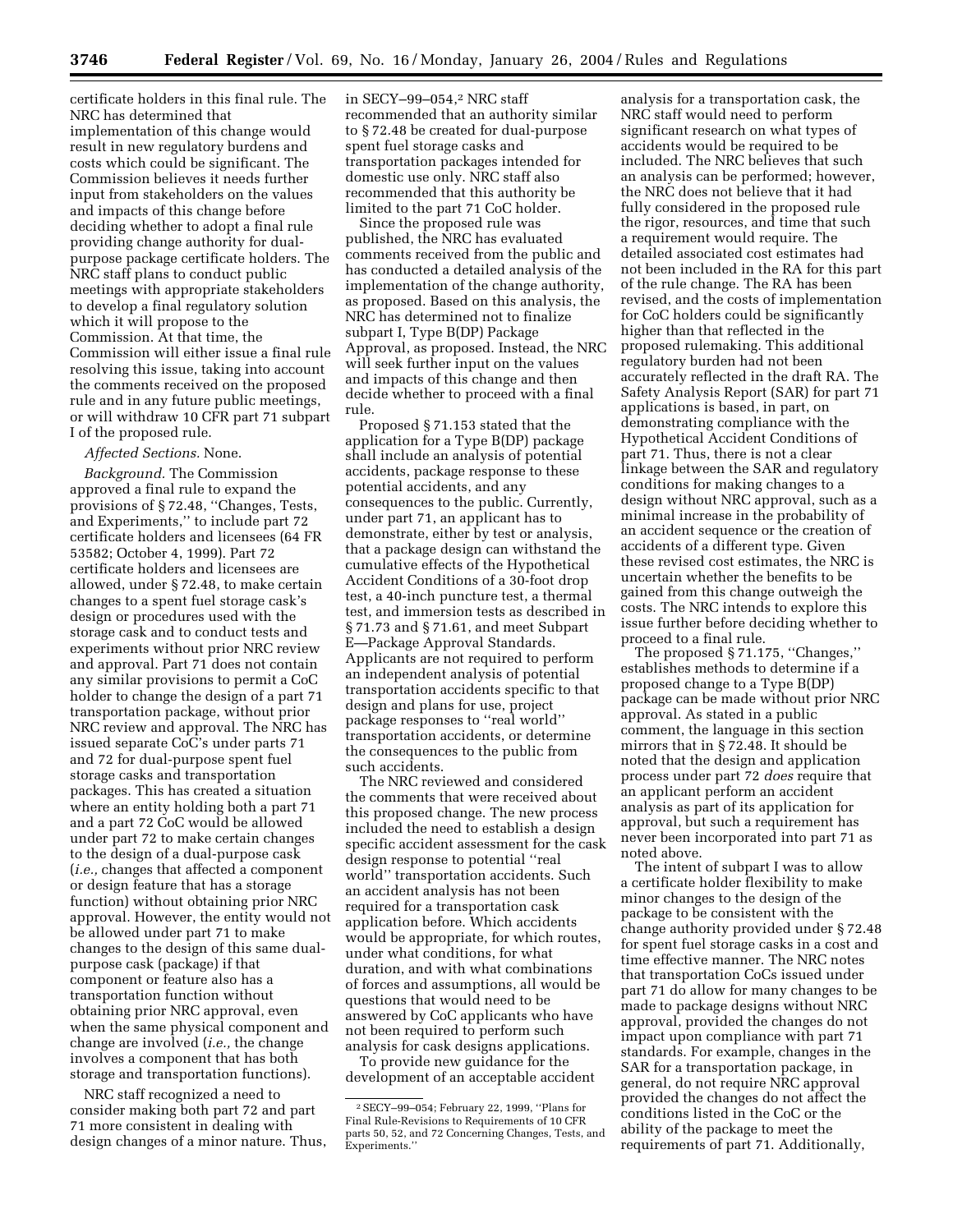certificate holders in this final rule. The NRC has determined that implementation of this change would result in new regulatory burdens and costs which could be significant. The Commission believes it needs further input from stakeholders on the values and impacts of this change before deciding whether to adopt a final rule providing change authority for dualpurpose package certificate holders. The NRC staff plans to conduct public meetings with appropriate stakeholders to develop a final regulatory solution which it will propose to the Commission. At that time, the Commission will either issue a final rule resolving this issue, taking into account the comments received on the proposed rule and in any future public meetings, or will withdraw 10 CFR part 71 subpart I of the proposed rule.

## *Affected Sections.* None.

*Background.* The Commission approved a final rule to expand the provisions of § 72.48, ''Changes, Tests, and Experiments,'' to include part 72 certificate holders and licensees (64 FR 53582; October 4, 1999). Part 72 certificate holders and licensees are allowed, under § 72.48, to make certain changes to a spent fuel storage cask's design or procedures used with the storage cask and to conduct tests and experiments without prior NRC review and approval. Part 71 does not contain any similar provisions to permit a CoC holder to change the design of a part 71 transportation package, without prior NRC review and approval. The NRC has issued separate CoC's under parts 71 and 72 for dual-purpose spent fuel storage casks and transportation packages. This has created a situation where an entity holding both a part 71 and a part 72 CoC would be allowed under part 72 to make certain changes to the design of a dual-purpose cask (*i.e.,* changes that affected a component or design feature that has a storage function) without obtaining prior NRC approval. However, the entity would not be allowed under part 71 to make changes to the design of this same dualpurpose cask (package) if that component or feature also has a transportation function without obtaining prior NRC approval, even when the same physical component and change are involved (*i.e.,* the change involves a component that has both storage and transportation functions).

NRC staff recognized a need to consider making both part 72 and part 71 more consistent in dealing with design changes of a minor nature. Thus, in SECY–99–054,2 NRC staff recommended that an authority similar to § 72.48 be created for dual-purpose spent fuel storage casks and transportation packages intended for domestic use only. NRC staff also recommended that this authority be limited to the part 71 CoC holder.

Since the proposed rule was published, the NRC has evaluated comments received from the public and has conducted a detailed analysis of the implementation of the change authority, as proposed. Based on this analysis, the NRC has determined not to finalize subpart I, Type B(DP) Package Approval, as proposed. Instead, the NRC will seek further input on the values and impacts of this change and then decide whether to proceed with a final rule.

Proposed § 71.153 stated that the application for a Type B(DP) package shall include an analysis of potential accidents, package response to these potential accidents, and any consequences to the public. Currently, under part 71, an applicant has to demonstrate, either by test or analysis, that a package design can withstand the cumulative effects of the Hypothetical Accident Conditions of a 30-foot drop test, a 40-inch puncture test, a thermal test, and immersion tests as described in § 71.73 and § 71.61, and meet Subpart E—Package Approval Standards. Applicants are not required to perform an independent analysis of potential transportation accidents specific to that design and plans for use, project package responses to ''real world'' transportation accidents, or determine the consequences to the public from such accidents.

The NRC reviewed and considered the comments that were received about this proposed change. The new process included the need to establish a design specific accident assessment for the cask design response to potential ''real world'' transportation accidents. Such an accident analysis has not been required for a transportation cask application before. Which accidents would be appropriate, for which routes, under what conditions, for what duration, and with what combinations of forces and assumptions, all would be questions that would need to be answered by CoC applicants who have not been required to perform such analysis for cask designs applications.

To provide new guidance for the development of an acceptable accident

analysis for a transportation cask, the NRC staff would need to perform significant research on what types of accidents would be required to be included. The NRC believes that such an analysis can be performed; however, the NRC does not believe that it had fully considered in the proposed rule the rigor, resources, and time that such a requirement would require. The detailed associated cost estimates had not been included in the RA for this part of the rule change. The RA has been revised, and the costs of implementation for CoC holders could be significantly higher than that reflected in the proposed rulemaking. This additional regulatory burden had not been accurately reflected in the draft RA. The Safety Analysis Report (SAR) for part 71 applications is based, in part, on demonstrating compliance with the Hypothetical Accident Conditions of part 71. Thus, there is not a clear linkage between the SAR and regulatory conditions for making changes to a design without NRC approval, such as a minimal increase in the probability of an accident sequence or the creation of accidents of a different type. Given these revised cost estimates, the NRC is uncertain whether the benefits to be gained from this change outweigh the costs. The NRC intends to explore this issue further before deciding whether to proceed to a final rule.

The proposed § 71.175, ''Changes,'' establishes methods to determine if a proposed change to a Type B(DP) package can be made without prior NRC approval. As stated in a public comment, the language in this section mirrors that in § 72.48. It should be noted that the design and application process under part 72 *does* require that an applicant perform an accident analysis as part of its application for approval, but such a requirement has never been incorporated into part 71 as noted above.

The intent of subpart I was to allow a certificate holder flexibility to make minor changes to the design of the package to be consistent with the change authority provided under § 72.48 for spent fuel storage casks in a cost and time effective manner. The NRC notes that transportation CoCs issued under part 71 do allow for many changes to be made to package designs without NRC approval, provided the changes do not impact upon compliance with part 71 standards. For example, changes in the SAR for a transportation package, in general, do not require NRC approval provided the changes do not affect the conditions listed in the CoC or the ability of the package to meet the requirements of part 71. Additionally,

<sup>2</sup>SECY–99–054; February 22, 1999, ''Plans for Final Rule-Revisions to Requirements of 10 CFR parts 50, 52, and 72 Concerning Changes, Tests, and Experiments.''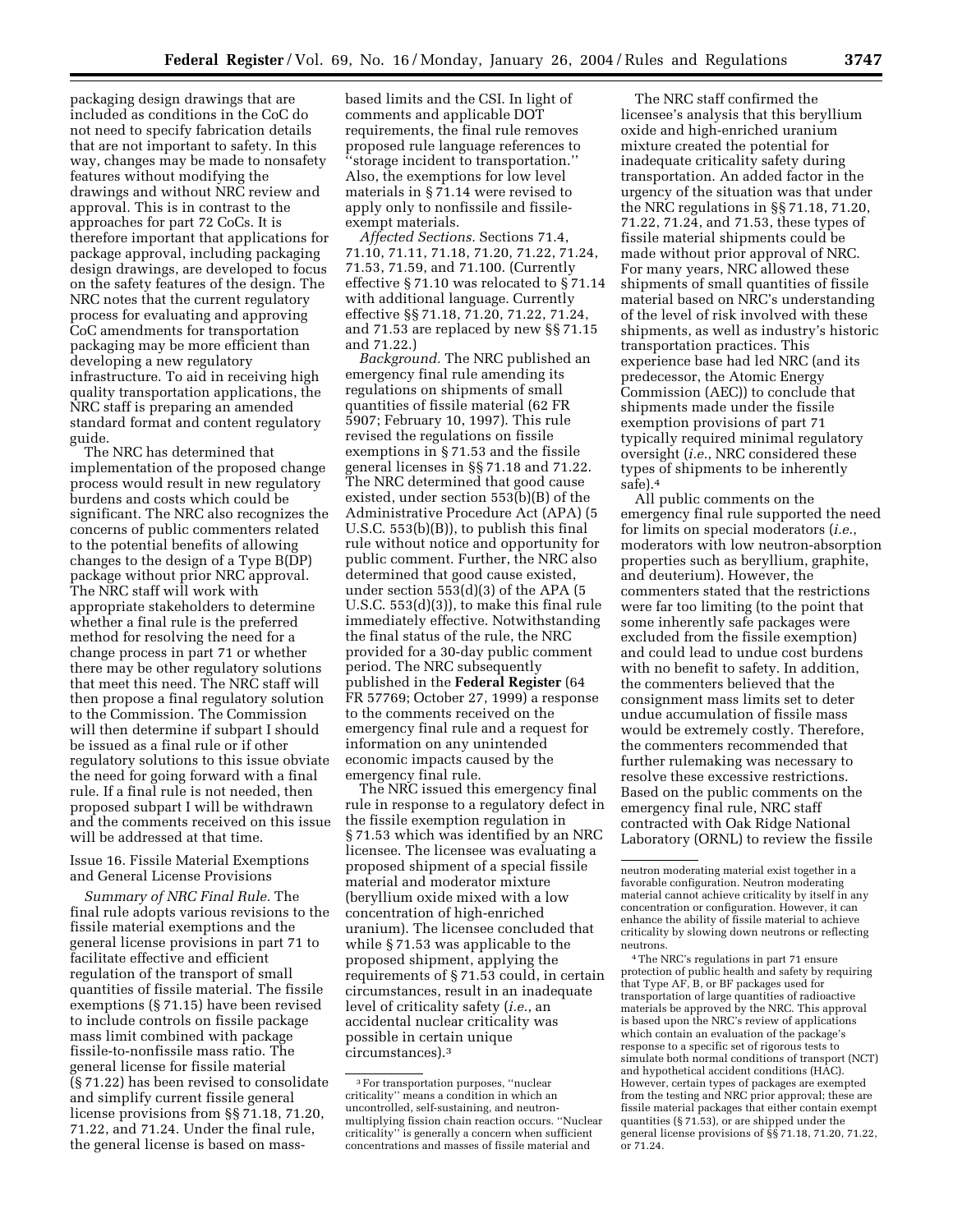packaging design drawings that are included as conditions in the CoC do not need to specify fabrication details that are not important to safety. In this way, changes may be made to nonsafety features without modifying the drawings and without NRC review and approval. This is in contrast to the approaches for part 72 CoCs. It is therefore important that applications for package approval, including packaging design drawings, are developed to focus on the safety features of the design. The NRC notes that the current regulatory process for evaluating and approving CoC amendments for transportation packaging may be more efficient than developing a new regulatory infrastructure. To aid in receiving high quality transportation applications, the NRC staff is preparing an amended standard format and content regulatory guide.

The NRC has determined that implementation of the proposed change process would result in new regulatory burdens and costs which could be significant. The NRC also recognizes the concerns of public commenters related to the potential benefits of allowing changes to the design of a Type B(DP) package without prior NRC approval. The NRC staff will work with appropriate stakeholders to determine whether a final rule is the preferred method for resolving the need for a change process in part 71 or whether there may be other regulatory solutions that meet this need. The NRC staff will then propose a final regulatory solution to the Commission. The Commission will then determine if subpart I should be issued as a final rule or if other regulatory solutions to this issue obviate the need for going forward with a final rule. If a final rule is not needed, then proposed subpart I will be withdrawn and the comments received on this issue will be addressed at that time.

# Issue 16. Fissile Material Exemptions and General License Provisions

*Summary of NRC Final Rule.* The final rule adopts various revisions to the fissile material exemptions and the general license provisions in part 71 to facilitate effective and efficient regulation of the transport of small quantities of fissile material. The fissile exemptions (§ 71.15) have been revised to include controls on fissile package mass limit combined with package fissile-to-nonfissile mass ratio. The general license for fissile material (§ 71.22) has been revised to consolidate and simplify current fissile general license provisions from §§ 71.18, 71.20, 71.22, and 71.24. Under the final rule, the general license is based on massbased limits and the CSI. In light of comments and applicable DOT requirements, the final rule removes proposed rule language references to ''storage incident to transportation.'' Also, the exemptions for low level materials in § 71.14 were revised to apply only to nonfissile and fissileexempt materials.

*Affected Sections.* Sections 71.4, 71.10, 71.11, 71.18, 71.20, 71.22, 71.24, 71.53, 71.59, and 71.100. (Currently effective § 71.10 was relocated to § 71.14 with additional language. Currently effective §§ 71.18, 71.20, 71.22, 71.24, and 71.53 are replaced by new §§ 71.15 and 71.22.)

*Background.* The NRC published an emergency final rule amending its regulations on shipments of small quantities of fissile material (62 FR 5907; February 10, 1997). This rule revised the regulations on fissile exemptions in § 71.53 and the fissile general licenses in §§ 71.18 and 71.22. The NRC determined that good cause existed, under section 553(b)(B) of the Administrative Procedure Act (APA) (5 U.S.C. 553(b)(B)), to publish this final rule without notice and opportunity for public comment. Further, the NRC also determined that good cause existed, under section 553(d)(3) of the APA (5 U.S.C. 553(d)(3)), to make this final rule immediately effective. Notwithstanding the final status of the rule, the NRC provided for a 30-day public comment period. The NRC subsequently published in the **Federal Register** (64 FR 57769; October 27, 1999) a response to the comments received on the emergency final rule and a request for information on any unintended economic impacts caused by the emergency final rule.

The NRC issued this emergency final rule in response to a regulatory defect in the fissile exemption regulation in § 71.53 which was identified by an NRC licensee. The licensee was evaluating a proposed shipment of a special fissile material and moderator mixture (beryllium oxide mixed with a low concentration of high-enriched uranium). The licensee concluded that while § 71.53 was applicable to the proposed shipment, applying the requirements of § 71.53 could, in certain circumstances, result in an inadequate level of criticality safety (*i.e.*, an accidental nuclear criticality was possible in certain unique circumstances).3

The NRC staff confirmed the licensee's analysis that this beryllium oxide and high-enriched uranium mixture created the potential for inadequate criticality safety during transportation. An added factor in the urgency of the situation was that under the NRC regulations in §§ 71.18, 71.20, 71.22, 71.24, and 71.53, these types of fissile material shipments could be made without prior approval of NRC. For many years, NRC allowed these shipments of small quantities of fissile material based on NRC's understanding of the level of risk involved with these shipments, as well as industry's historic transportation practices. This experience base had led NRC (and its predecessor, the Atomic Energy Commission (AEC)) to conclude that shipments made under the fissile exemption provisions of part 71 typically required minimal regulatory oversight (*i.e.*, NRC considered these types of shipments to be inherently safe).4

All public comments on the emergency final rule supported the need for limits on special moderators (*i.e.*, moderators with low neutron-absorption properties such as beryllium, graphite, and deuterium). However, the commenters stated that the restrictions were far too limiting (to the point that some inherently safe packages were excluded from the fissile exemption) and could lead to undue cost burdens with no benefit to safety. In addition, the commenters believed that the consignment mass limits set to deter undue accumulation of fissile mass would be extremely costly. Therefore, the commenters recommended that further rulemaking was necessary to resolve these excessive restrictions. Based on the public comments on the emergency final rule, NRC staff contracted with Oak Ridge National Laboratory (ORNL) to review the fissile

4The NRC's regulations in part 71 ensure protection of public health and safety by requiring that Type AF, B, or BF packages used for transportation of large quantities of radioactive materials be approved by the NRC. This approval is based upon the NRC's review of applications which contain an evaluation of the package's response to a specific set of rigorous tests to simulate both normal conditions of transport (NCT) and hypothetical accident conditions (HAC). However, certain types of packages are exempted from the testing and NRC prior approval; these are fissile material packages that either contain exempt quantities (§ 71.53), or are shipped under the general license provisions of §§ 71.18, 71.20, 71.22, or 71.24.

<sup>3</sup>For transportation purposes, ''nuclear criticality'' means a condition in which an uncontrolled, self-sustaining, and neutronmultiplying fission chain reaction occurs. ''Nuclear criticality'' is generally a concern when sufficient concentrations and masses of fissile material and

neutron moderating material exist together in a favorable configuration. Neutron moderating material cannot achieve criticality by itself in any concentration or configuration. However, it can enhance the ability of fissile material to achieve criticality by slowing down neutrons or reflecting neutrons.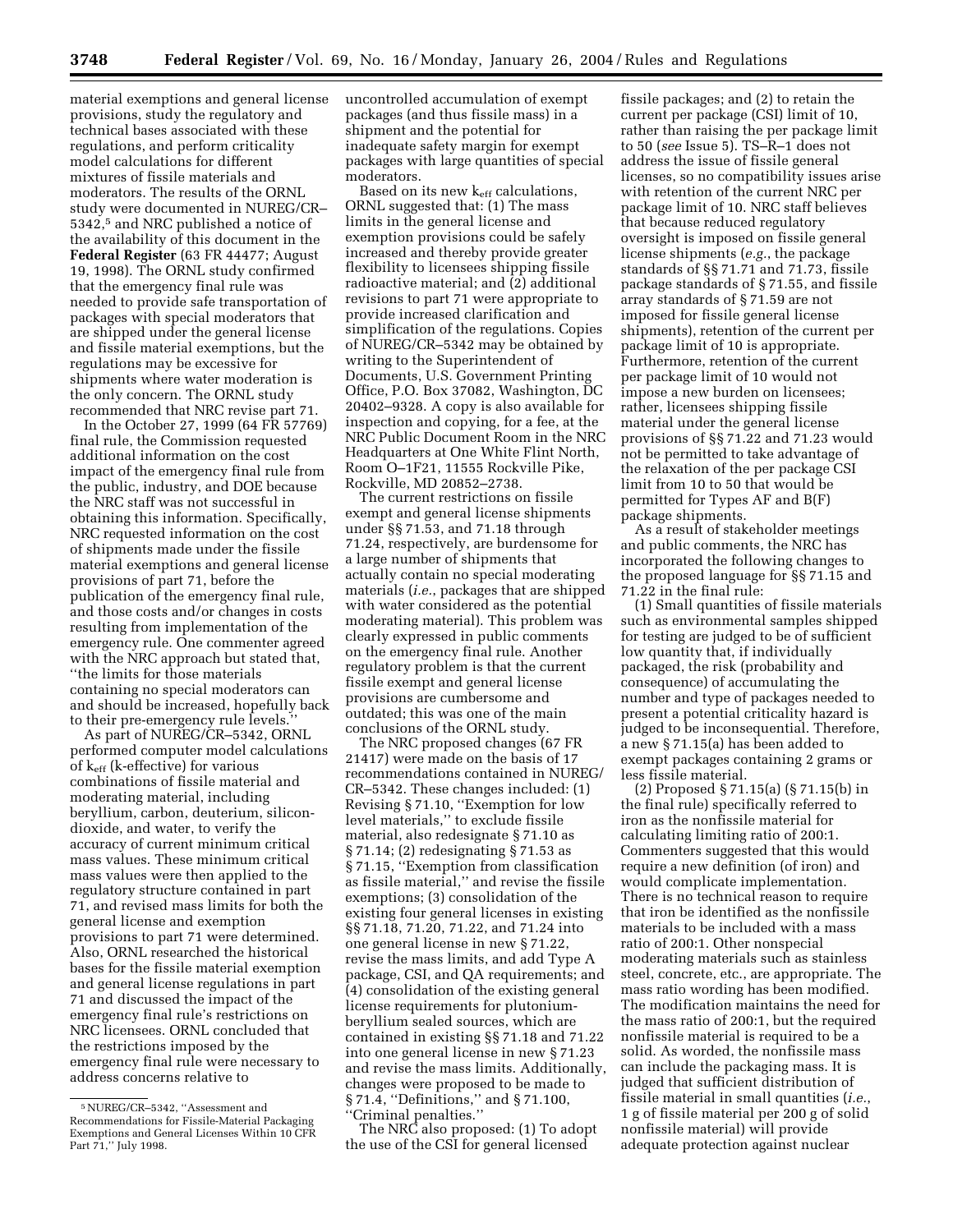material exemptions and general license provisions, study the regulatory and technical bases associated with these regulations, and perform criticality model calculations for different mixtures of fissile materials and moderators. The results of the ORNL study were documented in NUREG/CR– 5342,5 and NRC published a notice of the availability of this document in the **Federal Register** (63 FR 44477; August 19, 1998). The ORNL study confirmed that the emergency final rule was needed to provide safe transportation of packages with special moderators that are shipped under the general license and fissile material exemptions, but the regulations may be excessive for shipments where water moderation is the only concern. The ORNL study recommended that NRC revise part 71.

In the October 27, 1999 (64 FR 57769) final rule, the Commission requested additional information on the cost impact of the emergency final rule from the public, industry, and DOE because the NRC staff was not successful in obtaining this information. Specifically, NRC requested information on the cost of shipments made under the fissile material exemptions and general license provisions of part 71, before the publication of the emergency final rule, and those costs and/or changes in costs resulting from implementation of the emergency rule. One commenter agreed with the NRC approach but stated that, ''the limits for those materials containing no special moderators can and should be increased, hopefully back to their pre-emergency rule levels.''

As part of NUREG/CR–5342, ORNL performed computer model calculations of  $k_{\text{eff}}$  (k-effective) for various combinations of fissile material and moderating material, including beryllium, carbon, deuterium, silicondioxide, and water, to verify the accuracy of current minimum critical mass values. These minimum critical mass values were then applied to the regulatory structure contained in part 71, and revised mass limits for both the general license and exemption provisions to part 71 were determined. Also, ORNL researched the historical bases for the fissile material exemption and general license regulations in part 71 and discussed the impact of the emergency final rule's restrictions on NRC licensees. ORNL concluded that the restrictions imposed by the emergency final rule were necessary to address concerns relative to

uncontrolled accumulation of exempt packages (and thus fissile mass) in a shipment and the potential for inadequate safety margin for exempt packages with large quantities of special moderators.

Based on its new keff calculations, ORNL suggested that: (1) The mass limits in the general license and exemption provisions could be safely increased and thereby provide greater flexibility to licensees shipping fissile radioactive material; and (2) additional revisions to part 71 were appropriate to provide increased clarification and simplification of the regulations. Copies of NUREG/CR–5342 may be obtained by writing to the Superintendent of Documents, U.S. Government Printing Office, P.O. Box 37082, Washington, DC 20402–9328. A copy is also available for inspection and copying, for a fee, at the NRC Public Document Room in the NRC Headquarters at One White Flint North, Room O–1F21, 11555 Rockville Pike, Rockville, MD 20852–2738.

The current restrictions on fissile exempt and general license shipments under §§ 71.53, and 71.18 through 71.24, respectively, are burdensome for a large number of shipments that actually contain no special moderating materials (*i.e.*, packages that are shipped with water considered as the potential moderating material). This problem was clearly expressed in public comments on the emergency final rule. Another regulatory problem is that the current fissile exempt and general license provisions are cumbersome and outdated; this was one of the main conclusions of the ORNL study.

The NRC proposed changes (67 FR 21417) were made on the basis of 17 recommendations contained in NUREG/ CR–5342. These changes included: (1) Revising § 71.10, ''Exemption for low level materials,'' to exclude fissile material, also redesignate § 71.10 as § 71.14; (2) redesignating § 71.53 as § 71.15, ''Exemption from classification as fissile material,'' and revise the fissile exemptions; (3) consolidation of the existing four general licenses in existing §§ 71.18, 71.20, 71.22, and 71.24 into one general license in new § 71.22, revise the mass limits, and add Type A package, CSI, and QA requirements; and (4) consolidation of the existing general license requirements for plutoniumberyllium sealed sources, which are contained in existing §§ 71.18 and 71.22 into one general license in new § 71.23 and revise the mass limits. Additionally, changes were proposed to be made to § 71.4, "Definitions," and § 71.100, ''Criminal penalties.''

The NRC also proposed: (1) To adopt the use of the CSI for general licensed

fissile packages; and (2) to retain the current per package (CSI) limit of 10, rather than raising the per package limit to 50 (*see* Issue 5). TS–R–1 does not address the issue of fissile general licenses, so no compatibility issues arise with retention of the current NRC per package limit of 10. NRC staff believes that because reduced regulatory oversight is imposed on fissile general license shipments (*e.g.*, the package standards of §§ 71.71 and 71.73, fissile package standards of § 71.55, and fissile array standards of § 71.59 are not imposed for fissile general license shipments), retention of the current per package limit of 10 is appropriate. Furthermore, retention of the current per package limit of 10 would not impose a new burden on licensees; rather, licensees shipping fissile material under the general license provisions of §§ 71.22 and 71.23 would not be permitted to take advantage of the relaxation of the per package CSI limit from 10 to 50 that would be permitted for Types AF and B(F) package shipments.

As a result of stakeholder meetings and public comments, the NRC has incorporated the following changes to the proposed language for §§ 71.15 and 71.22 in the final rule:

(1) Small quantities of fissile materials such as environmental samples shipped for testing are judged to be of sufficient low quantity that, if individually packaged, the risk (probability and consequence) of accumulating the number and type of packages needed to present a potential criticality hazard is judged to be inconsequential. Therefore, a new § 71.15(a) has been added to exempt packages containing 2 grams or less fissile material.

(2) Proposed § 71.15(a) (§ 71.15(b) in the final rule) specifically referred to iron as the nonfissile material for calculating limiting ratio of 200:1. Commenters suggested that this would require a new definition (of iron) and would complicate implementation. There is no technical reason to require that iron be identified as the nonfissile materials to be included with a mass ratio of 200:1. Other nonspecial moderating materials such as stainless steel, concrete, etc., are appropriate. The mass ratio wording has been modified. The modification maintains the need for the mass ratio of 200:1, but the required nonfissile material is required to be a solid. As worded, the nonfissile mass can include the packaging mass. It is judged that sufficient distribution of fissile material in small quantities (*i.e.*, 1 g of fissile material per 200 g of solid nonfissile material) will provide adequate protection against nuclear

<sup>5</sup>NUREG/CR–5342, ''Assessment and Recommendations for Fissile-Material Packaging Exemptions and General Licenses Within 10 CFR Part 71,'' July 1998.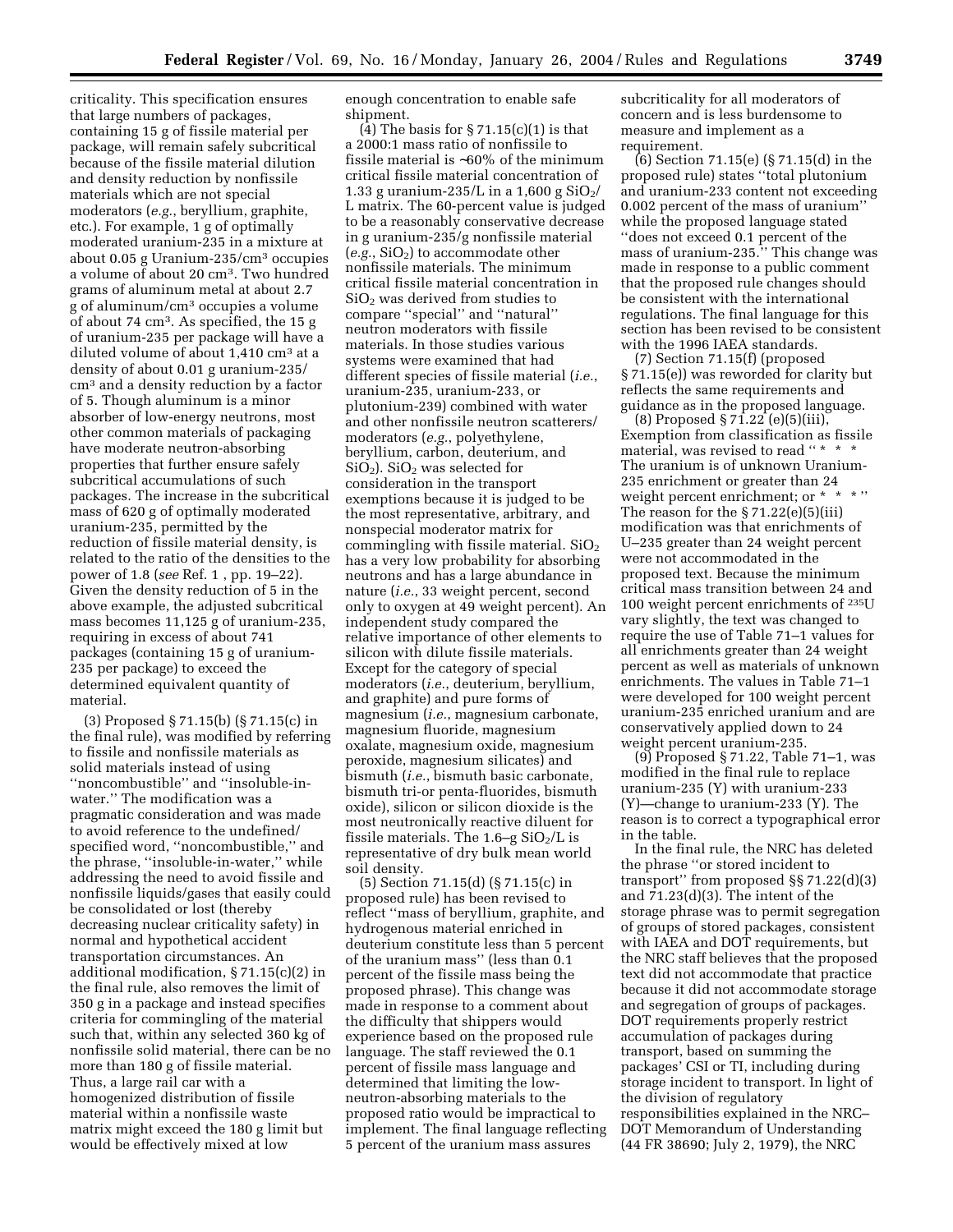criticality. This specification ensures that large numbers of packages, containing 15 g of fissile material per package, will remain safely subcritical because of the fissile material dilution and density reduction by nonfissile materials which are not special moderators (*e.g.*, beryllium, graphite, etc.). For example, 1 g of optimally moderated uranium-235 in a mixture at about 0.05 g Uranium-235/cm3 occupies a volume of about 20 cm3. Two hundred grams of aluminum metal at about 2.7 g of aluminum/cm3 occupies a volume of about 74 cm3. As specified, the 15 g of uranium-235 per package will have a diluted volume of about 1,410 cm<sup>3</sup> at a density of about 0.01 g uranium-235/ cm3 and a density reduction by a factor of 5. Though aluminum is a minor absorber of low-energy neutrons, most other common materials of packaging have moderate neutron-absorbing properties that further ensure safely subcritical accumulations of such packages. The increase in the subcritical mass of 620 g of optimally moderated uranium-235, permitted by the reduction of fissile material density, is related to the ratio of the densities to the power of 1.8 (*see* Ref. 1 , pp. 19–22). Given the density reduction of 5 in the above example, the adjusted subcritical mass becomes 11,125 g of uranium-235, requiring in excess of about 741 packages (containing 15 g of uranium-235 per package) to exceed the determined equivalent quantity of material.

(3) Proposed § 71.15(b) (§ 71.15(c) in the final rule), was modified by referring to fissile and nonfissile materials as solid materials instead of using ''noncombustible'' and ''insoluble-inwater.'' The modification was a pragmatic consideration and was made to avoid reference to the undefined/ specified word, ''noncombustible,'' and the phrase, ''insoluble-in-water,'' while addressing the need to avoid fissile and nonfissile liquids/gases that easily could be consolidated or lost (thereby decreasing nuclear criticality safety) in normal and hypothetical accident transportation circumstances. An additional modification, § 71.15(c)(2) in the final rule, also removes the limit of 350 g in a package and instead specifies criteria for commingling of the material such that, within any selected 360 kg of nonfissile solid material, there can be no more than 180 g of fissile material. Thus, a large rail car with a homogenized distribution of fissile material within a nonfissile waste matrix might exceed the 180 g limit but would be effectively mixed at low

enough concentration to enable safe shipment.

(4) The basis for  $\S 71.15(c)(1)$  is that a 2000:1 mass ratio of nonfissile to fissile material is ∼60% of the minimum critical fissile material concentration of 1.33 g uranium-235/L in a 1,600 g  $SiO_2/$ L matrix. The 60-percent value is judged to be a reasonably conservative decrease in g uranium-235/g nonfissile material  $(e.g., SiO<sub>2</sub>)$  to accommodate other nonfissile materials. The minimum critical fissile material concentration in SiO<sub>2</sub> was derived from studies to compare ''special'' and ''natural'' neutron moderators with fissile materials. In those studies various systems were examined that had different species of fissile material (*i.e.*, uranium-235, uranium-233, or plutonium-239) combined with water and other nonfissile neutron scatterers/ moderators (*e.g.*, polyethylene, beryllium, carbon, deuterium, and  $SiO<sub>2</sub>$ ).  $SiO<sub>2</sub>$  was selected for consideration in the transport exemptions because it is judged to be the most representative, arbitrary, and nonspecial moderator matrix for commingling with fissile material.  $SiO<sub>2</sub>$ has a very low probability for absorbing neutrons and has a large abundance in nature (*i.e.*, 33 weight percent, second only to oxygen at 49 weight percent). An independent study compared the relative importance of other elements to silicon with dilute fissile materials. Except for the category of special moderators (*i.e.*, deuterium, beryllium, and graphite) and pure forms of magnesium (*i.e.*, magnesium carbonate, magnesium fluoride, magnesium oxalate, magnesium oxide, magnesium peroxide, magnesium silicates) and bismuth (*i.e.*, bismuth basic carbonate, bismuth tri-or penta-fluorides, bismuth oxide), silicon or silicon dioxide is the most neutronically reactive diluent for fissile materials. The  $1.6$ –g  $SiO<sub>2</sub>/L$  is representative of dry bulk mean world soil density.

(5) Section 71.15(d) (§ 71.15(c) in proposed rule) has been revised to reflect ''mass of beryllium, graphite, and hydrogenous material enriched in deuterium constitute less than 5 percent of the uranium mass'' (less than 0.1 percent of the fissile mass being the proposed phrase). This change was made in response to a comment about the difficulty that shippers would experience based on the proposed rule language. The staff reviewed the 0.1 percent of fissile mass language and determined that limiting the lowneutron-absorbing materials to the proposed ratio would be impractical to implement. The final language reflecting 5 percent of the uranium mass assures

subcriticality for all moderators of concern and is less burdensome to measure and implement as a requirement.

(6) Section 71.15(e) (§ 71.15(d) in the proposed rule) states ''total plutonium and uranium-233 content not exceeding 0.002 percent of the mass of uranium'' while the proposed language stated ''does not exceed 0.1 percent of the mass of uranium-235.'' This change was made in response to a public comment that the proposed rule changes should be consistent with the international regulations. The final language for this section has been revised to be consistent with the 1996 IAEA standards.

(7) Section 71.15(f) (proposed § 71.15(e)) was reworded for clarity but reflects the same requirements and guidance as in the proposed language.

(8) Proposed § 71.22 (e)(5)(iii), Exemption from classification as fissile material, was revised to read '' \*  $*$  \* The uranium is of unknown Uranium-235 enrichment or greater than 24 weight percent enrichment; or \* \* \* " The reason for the  $\S 71.22(e)(5)(iii)$ modification was that enrichments of U–235 greater than 24 weight percent were not accommodated in the proposed text. Because the minimum critical mass transition between 24 and 100 weight percent enrichments of 235U vary slightly, the text was changed to require the use of Table 71–1 values for all enrichments greater than 24 weight percent as well as materials of unknown enrichments. The values in Table 71–1 were developed for 100 weight percent uranium-235 enriched uranium and are conservatively applied down to 24 weight percent uranium-235.

(9) Proposed § 71.22, Table 71–1, was modified in the final rule to replace uranium-235 (Y) with uranium-233 (Y)—change to uranium-233 (Y). The reason is to correct a typographical error in the table.

In the final rule, the NRC has deleted the phrase ''or stored incident to transport'' from proposed §§ 71.22(d)(3) and 71.23(d)(3). The intent of the storage phrase was to permit segregation of groups of stored packages, consistent with IAEA and DOT requirements, but the NRC staff believes that the proposed text did not accommodate that practice because it did not accommodate storage and segregation of groups of packages. DOT requirements properly restrict accumulation of packages during transport, based on summing the packages' CSI or TI, including during storage incident to transport. In light of the division of regulatory responsibilities explained in the NRC– DOT Memorandum of Understanding (44 FR 38690; July 2, 1979), the NRC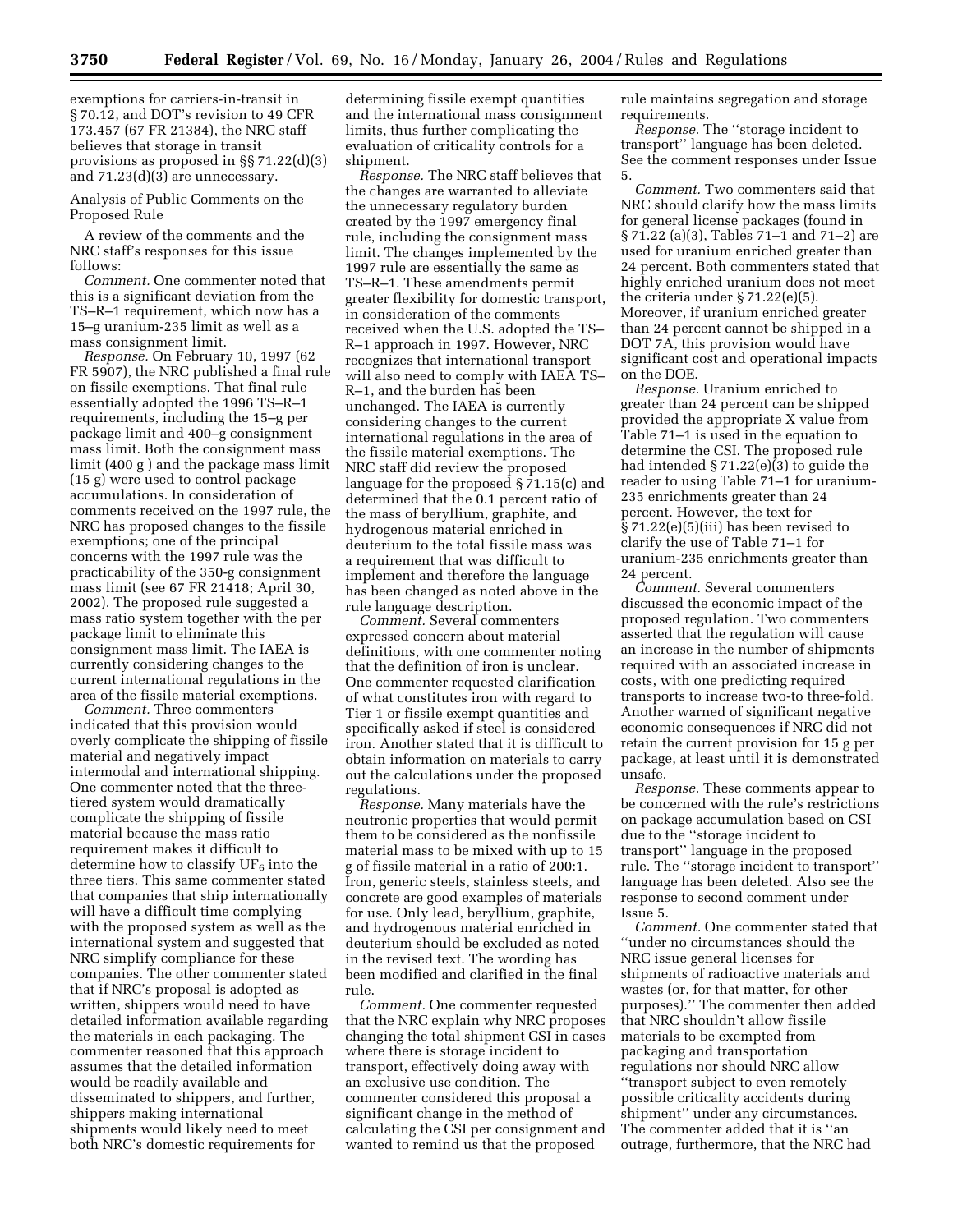exemptions for carriers-in-transit in § 70.12, and DOT's revision to 49 CFR 173.457 (67 FR 21384), the NRC staff believes that storage in transit provisions as proposed in §§ 71.22(d)(3) and 71.23(d)(3) are unnecessary.

Analysis of Public Comments on the Proposed Rule

A review of the comments and the NRC staff's responses for this issue follows:

*Comment.* One commenter noted that this is a significant deviation from the TS–R–1 requirement, which now has a 15–g uranium-235 limit as well as a mass consignment limit.

*Response.* On February 10, 1997 (62 FR 5907), the NRC published a final rule on fissile exemptions. That final rule essentially adopted the 1996 TS–R–1 requirements, including the 15–g per package limit and 400–g consignment mass limit. Both the consignment mass limit (400 g ) and the package mass limit (15 g) were used to control package accumulations. In consideration of comments received on the 1997 rule, the NRC has proposed changes to the fissile exemptions; one of the principal concerns with the 1997 rule was the practicability of the 350-g consignment mass limit (see 67 FR 21418; April 30, 2002). The proposed rule suggested a mass ratio system together with the per package limit to eliminate this consignment mass limit. The IAEA is currently considering changes to the current international regulations in the area of the fissile material exemptions.

*Comment.* Three commenters indicated that this provision would overly complicate the shipping of fissile material and negatively impact intermodal and international shipping. One commenter noted that the threetiered system would dramatically complicate the shipping of fissile material because the mass ratio requirement makes it difficult to determine how to classify  $UF_6$  into the three tiers. This same commenter stated that companies that ship internationally will have a difficult time complying with the proposed system as well as the international system and suggested that NRC simplify compliance for these companies. The other commenter stated that if NRC's proposal is adopted as written, shippers would need to have detailed information available regarding the materials in each packaging. The commenter reasoned that this approach assumes that the detailed information would be readily available and disseminated to shippers, and further, shippers making international shipments would likely need to meet both NRC's domestic requirements for

determining fissile exempt quantities and the international mass consignment limits, thus further complicating the evaluation of criticality controls for a shipment.

*Response.* The NRC staff believes that the changes are warranted to alleviate the unnecessary regulatory burden created by the 1997 emergency final rule, including the consignment mass limit. The changes implemented by the 1997 rule are essentially the same as TS–R–1. These amendments permit greater flexibility for domestic transport, in consideration of the comments received when the U.S. adopted the TS– R–1 approach in 1997. However, NRC recognizes that international transport will also need to comply with IAEA TS– R–1, and the burden has been unchanged. The IAEA is currently considering changes to the current international regulations in the area of the fissile material exemptions. The NRC staff did review the proposed language for the proposed § 71.15(c) and determined that the 0.1 percent ratio of the mass of beryllium, graphite, and hydrogenous material enriched in deuterium to the total fissile mass was a requirement that was difficult to implement and therefore the language has been changed as noted above in the rule language description.

*Comment.* Several commenters expressed concern about material definitions, with one commenter noting that the definition of iron is unclear. One commenter requested clarification of what constitutes iron with regard to Tier 1 or fissile exempt quantities and specifically asked if steel is considered iron. Another stated that it is difficult to obtain information on materials to carry out the calculations under the proposed regulations.

*Response.* Many materials have the neutronic properties that would permit them to be considered as the nonfissile material mass to be mixed with up to 15 g of fissile material in a ratio of 200:1. Iron, generic steels, stainless steels, and concrete are good examples of materials for use. Only lead, beryllium, graphite, and hydrogenous material enriched in deuterium should be excluded as noted in the revised text. The wording has been modified and clarified in the final rule.

*Comment.* One commenter requested that the NRC explain why NRC proposes changing the total shipment CSI in cases where there is storage incident to transport, effectively doing away with an exclusive use condition. The commenter considered this proposal a significant change in the method of calculating the CSI per consignment and wanted to remind us that the proposed

rule maintains segregation and storage requirements.

*Response.* The ''storage incident to transport'' language has been deleted. See the comment responses under Issue 5.

*Comment.* Two commenters said that NRC should clarify how the mass limits for general license packages (found in § 71.22 (a)(3), Tables 71–1 and 71–2) are used for uranium enriched greater than 24 percent. Both commenters stated that highly enriched uranium does not meet the criteria under § 71.22(e)(5). Moreover, if uranium enriched greater than 24 percent cannot be shipped in a DOT 7A, this provision would have significant cost and operational impacts on the DOE.

*Response.* Uranium enriched to greater than 24 percent can be shipped provided the appropriate X value from Table 71–1 is used in the equation to determine the CSI. The proposed rule had intended § 71.22(e)(3) to guide the reader to using Table 71–1 for uranium-235 enrichments greater than 24 percent. However, the text for § 71.22(e)(5)(iii) has been revised to clarify the use of Table 71–1 for uranium-235 enrichments greater than 24 percent.

*Comment.* Several commenters discussed the economic impact of the proposed regulation. Two commenters asserted that the regulation will cause an increase in the number of shipments required with an associated increase in costs, with one predicting required transports to increase two-to three-fold. Another warned of significant negative economic consequences if NRC did not retain the current provision for 15 g per package, at least until it is demonstrated unsafe.

*Response.* These comments appear to be concerned with the rule's restrictions on package accumulation based on CSI due to the ''storage incident to transport'' language in the proposed rule. The ''storage incident to transport'' language has been deleted. Also see the response to second comment under Issue 5.

*Comment.* One commenter stated that ''under no circumstances should the NRC issue general licenses for shipments of radioactive materials and wastes (or, for that matter, for other purposes).'' The commenter then added that NRC shouldn't allow fissile materials to be exempted from packaging and transportation regulations nor should NRC allow ''transport subject to even remotely possible criticality accidents during shipment'' under any circumstances. The commenter added that it is ''an outrage, furthermore, that the NRC had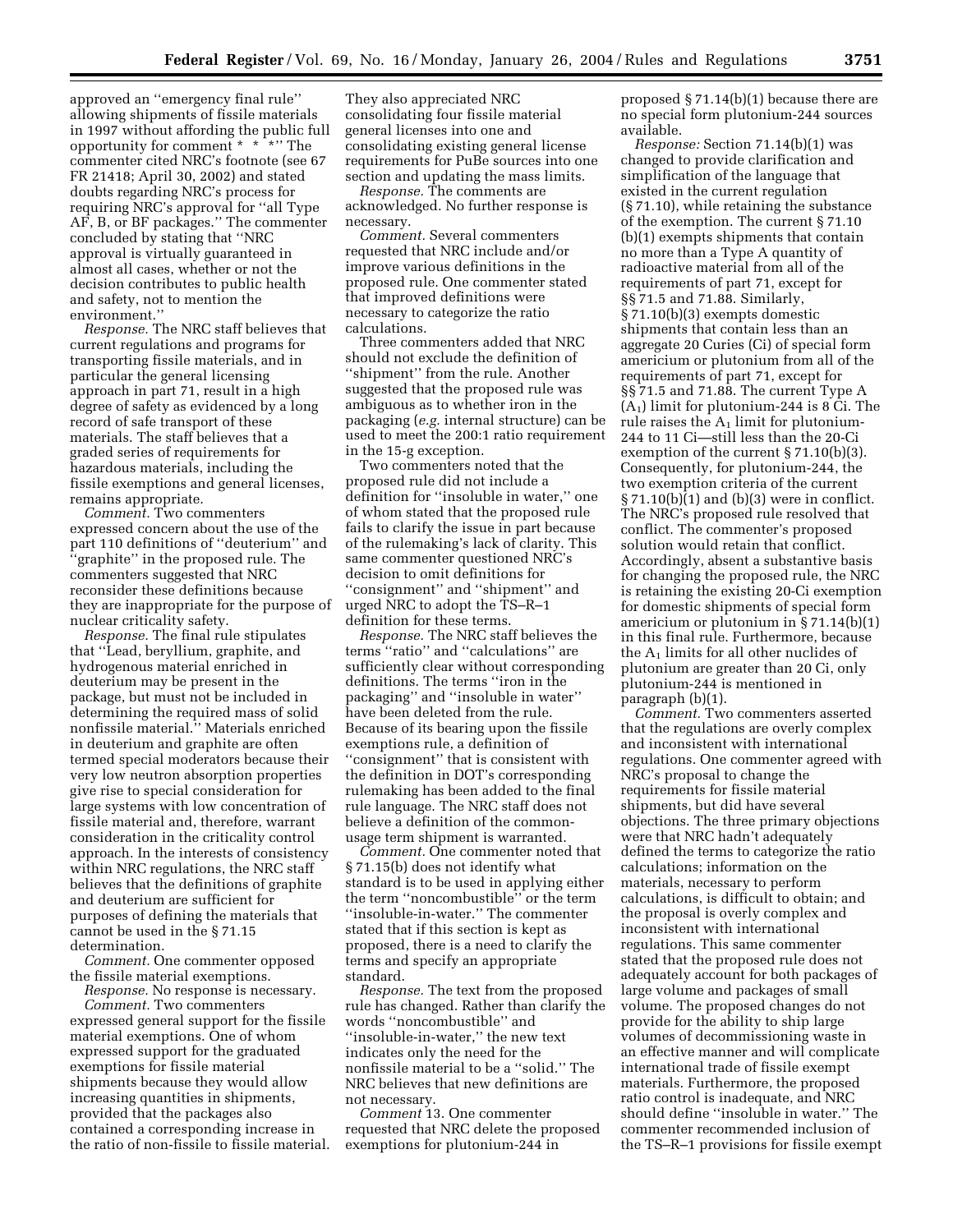approved an ''emergency final rule'' allowing shipments of fissile materials in 1997 without affording the public full opportunity for comment \* \* \*'' The commenter cited NRC's footnote (see 67 FR 21418; April 30, 2002) and stated doubts regarding NRC's process for requiring NRC's approval for ''all Type AF, B, or BF packages.'' The commenter concluded by stating that ''NRC approval is virtually guaranteed in almost all cases, whether or not the decision contributes to public health and safety, not to mention the environment.''

*Response.* The NRC staff believes that current regulations and programs for transporting fissile materials, and in particular the general licensing approach in part 71, result in a high degree of safety as evidenced by a long record of safe transport of these materials. The staff believes that a graded series of requirements for hazardous materials, including the fissile exemptions and general licenses, remains appropriate.

*Comment.* Two commenters expressed concern about the use of the part 110 definitions of ''deuterium'' and ''graphite'' in the proposed rule. The commenters suggested that NRC reconsider these definitions because they are inappropriate for the purpose of nuclear criticality safety.

*Response.* The final rule stipulates that ''Lead, beryllium, graphite, and hydrogenous material enriched in deuterium may be present in the package, but must not be included in determining the required mass of solid nonfissile material.'' Materials enriched in deuterium and graphite are often termed special moderators because their very low neutron absorption properties give rise to special consideration for large systems with low concentration of fissile material and, therefore, warrant consideration in the criticality control approach. In the interests of consistency within NRC regulations, the NRC staff believes that the definitions of graphite and deuterium are sufficient for purposes of defining the materials that cannot be used in the § 71.15 determination.

*Comment.* One commenter opposed the fissile material exemptions.

*Response.* No response is necessary. *Comment.* Two commenters expressed general support for the fissile material exemptions. One of whom expressed support for the graduated exemptions for fissile material shipments because they would allow increasing quantities in shipments, provided that the packages also contained a corresponding increase in the ratio of non-fissile to fissile material.

They also appreciated NRC consolidating four fissile material general licenses into one and consolidating existing general license requirements for PuBe sources into one section and updating the mass limits.

*Response.* The comments are acknowledged. No further response is necessary.

*Comment.* Several commenters requested that NRC include and/or improve various definitions in the proposed rule. One commenter stated that improved definitions were necessary to categorize the ratio calculations.

Three commenters added that NRC should not exclude the definition of ''shipment'' from the rule. Another suggested that the proposed rule was ambiguous as to whether iron in the packaging (*e.g.* internal structure) can be used to meet the 200:1 ratio requirement in the 15-g exception.

Two commenters noted that the proposed rule did not include a definition for ''insoluble in water,'' one of whom stated that the proposed rule fails to clarify the issue in part because of the rulemaking's lack of clarity. This same commenter questioned NRC's decision to omit definitions for ''consignment'' and ''shipment'' and urged NRC to adopt the TS–R–1 definition for these terms.

*Response.* The NRC staff believes the terms ''ratio'' and ''calculations'' are sufficiently clear without corresponding definitions. The terms ''iron in the packaging'' and ''insoluble in water'' have been deleted from the rule. Because of its bearing upon the fissile exemptions rule, a definition of ''consignment'' that is consistent with the definition in DOT's corresponding rulemaking has been added to the final rule language. The NRC staff does not believe a definition of the commonusage term shipment is warranted.

*Comment.* One commenter noted that § 71.15(b) does not identify what standard is to be used in applying either the term ''noncombustible'' or the term ''insoluble-in-water.'' The commenter stated that if this section is kept as proposed, there is a need to clarify the terms and specify an appropriate standard.

*Response.* The text from the proposed rule has changed. Rather than clarify the words ''noncombustible'' and ''insoluble-in-water,'' the new text indicates only the need for the nonfissile material to be a ''solid.'' The NRC believes that new definitions are not necessary.

*Comment* 13. One commenter requested that NRC delete the proposed exemptions for plutonium-244 in

proposed § 71.14(b)(1) because there are no special form plutonium-244 sources available.

*Response:* Section 71.14(b)(1) was changed to provide clarification and simplification of the language that existed in the current regulation (§ 71.10), while retaining the substance of the exemption. The current § 71.10 (b)(1) exempts shipments that contain no more than a Type A quantity of radioactive material from all of the requirements of part 71, except for §§ 71.5 and 71.88. Similarly, § 71.10(b)(3) exempts domestic shipments that contain less than an aggregate 20 Curies (Ci) of special form americium or plutonium from all of the requirements of part 71, except for §§ 71.5 and 71.88. The current Type A  $(A<sub>1</sub>)$  limit for plutonium-244 is 8 Gi. The rule raises the  $A_1$  limit for plutonium-244 to 11 Ci—still less than the 20-Ci exemption of the current § 71.10(b)(3). Consequently, for plutonium-244, the two exemption criteria of the current § 71.10(b)(1) and (b)(3) were in conflict. The NRC's proposed rule resolved that conflict. The commenter's proposed solution would retain that conflict. Accordingly, absent a substantive basis for changing the proposed rule, the NRC is retaining the existing 20-Ci exemption for domestic shipments of special form americium or plutonium in § 71.14(b)(1) in this final rule. Furthermore, because the  $A_1$  limits for all other nuclides of plutonium are greater than 20 Ci, only plutonium-244 is mentioned in paragraph (b)(1).

*Comment.* Two commenters asserted that the regulations are overly complex and inconsistent with international regulations. One commenter agreed with NRC's proposal to change the requirements for fissile material shipments, but did have several objections. The three primary objections were that NRC hadn't adequately defined the terms to categorize the ratio calculations; information on the materials, necessary to perform calculations, is difficult to obtain; and the proposal is overly complex and inconsistent with international regulations. This same commenter stated that the proposed rule does not adequately account for both packages of large volume and packages of small volume. The proposed changes do not provide for the ability to ship large volumes of decommissioning waste in an effective manner and will complicate international trade of fissile exempt materials. Furthermore, the proposed ratio control is inadequate, and NRC should define ''insoluble in water.'' The commenter recommended inclusion of the TS–R–1 provisions for fissile exempt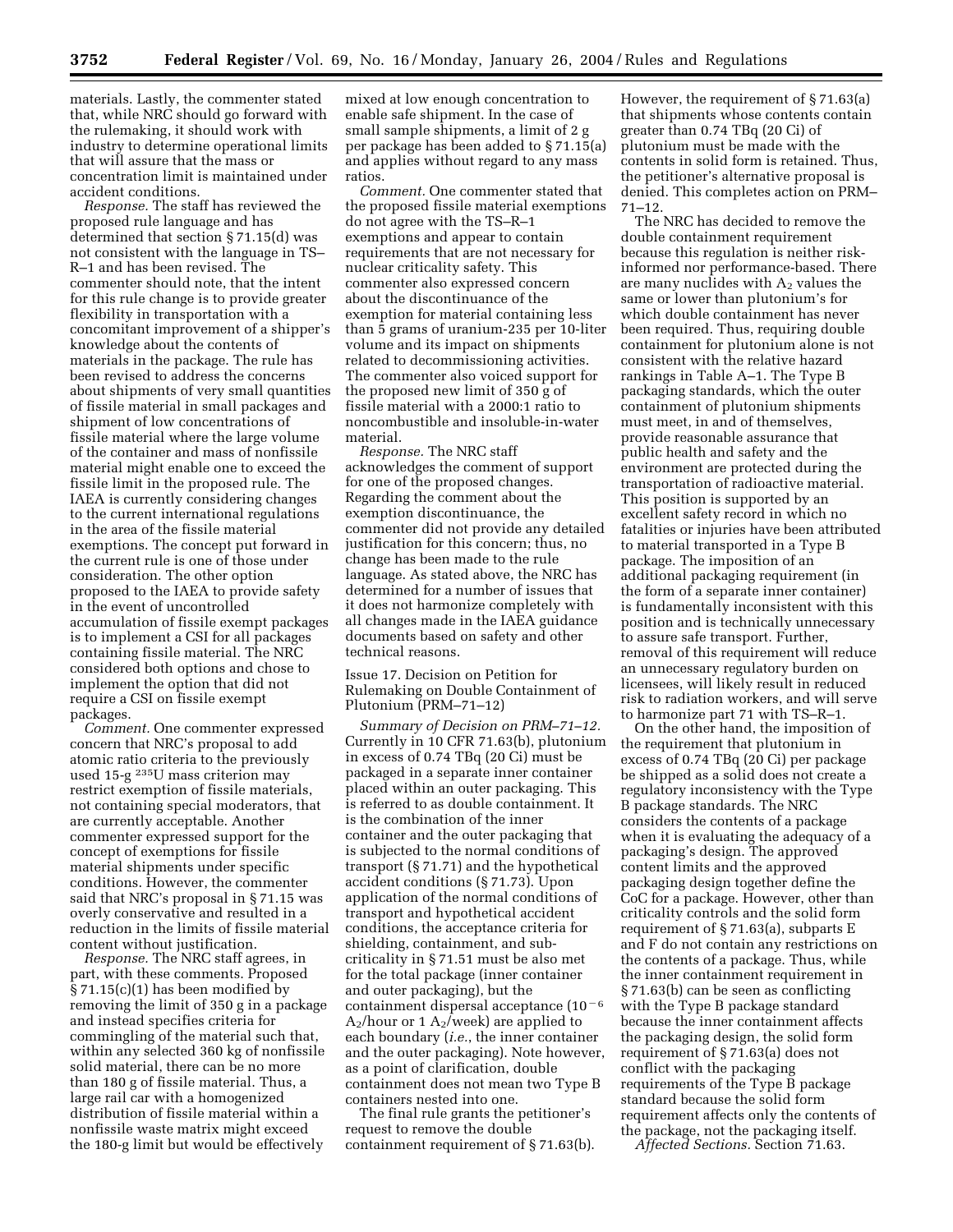materials. Lastly, the commenter stated that, while NRC should go forward with the rulemaking, it should work with industry to determine operational limits that will assure that the mass or concentration limit is maintained under accident conditions.

*Response.* The staff has reviewed the proposed rule language and has determined that section § 71.15(d) was not consistent with the language in TS– R–1 and has been revised. The commenter should note, that the intent for this rule change is to provide greater flexibility in transportation with a concomitant improvement of a shipper's knowledge about the contents of materials in the package. The rule has been revised to address the concerns about shipments of very small quantities of fissile material in small packages and shipment of low concentrations of fissile material where the large volume of the container and mass of nonfissile material might enable one to exceed the fissile limit in the proposed rule. The IAEA is currently considering changes to the current international regulations in the area of the fissile material exemptions. The concept put forward in the current rule is one of those under consideration. The other option proposed to the IAEA to provide safety in the event of uncontrolled accumulation of fissile exempt packages is to implement a CSI for all packages containing fissile material. The NRC considered both options and chose to implement the option that did not require a CSI on fissile exempt packages.

*Comment.* One commenter expressed concern that NRC's proposal to add atomic ratio criteria to the previously used 15-g 235U mass criterion may restrict exemption of fissile materials, not containing special moderators, that are currently acceptable. Another commenter expressed support for the concept of exemptions for fissile material shipments under specific conditions. However, the commenter said that NRC's proposal in § 71.15 was overly conservative and resulted in a reduction in the limits of fissile material content without justification.

*Response.* The NRC staff agrees, in part, with these comments. Proposed § 71.15(c)(1) has been modified by removing the limit of 350 g in a package and instead specifies criteria for commingling of the material such that, within any selected 360 kg of nonfissile solid material, there can be no more than 180 g of fissile material. Thus, a large rail car with a homogenized distribution of fissile material within a nonfissile waste matrix might exceed the 180-g limit but would be effectively

mixed at low enough concentration to enable safe shipment. In the case of small sample shipments, a limit of 2 g per package has been added to § 71.15(a) and applies without regard to any mass ratios.

*Comment.* One commenter stated that the proposed fissile material exemptions do not agree with the TS–R–1 exemptions and appear to contain requirements that are not necessary for nuclear criticality safety. This commenter also expressed concern about the discontinuance of the exemption for material containing less than 5 grams of uranium-235 per 10-liter volume and its impact on shipments related to decommissioning activities. The commenter also voiced support for the proposed new limit of 350 g of fissile material with a 2000:1 ratio to noncombustible and insoluble-in-water material.

*Response.* The NRC staff acknowledges the comment of support for one of the proposed changes. Regarding the comment about the exemption discontinuance, the commenter did not provide any detailed justification for this concern; thus, no change has been made to the rule language. As stated above, the NRC has determined for a number of issues that it does not harmonize completely with all changes made in the IAEA guidance documents based on safety and other technical reasons.

# Issue 17. Decision on Petition for Rulemaking on Double Containment of Plutonium (PRM–71–12)

*Summary of Decision on PRM–71–12.* Currently in 10 CFR 71.63(b), plutonium in excess of 0.74 TBq (20 Ci) must be packaged in a separate inner container placed within an outer packaging. This is referred to as double containment. It is the combination of the inner container and the outer packaging that is subjected to the normal conditions of transport (§ 71.71) and the hypothetical accident conditions (§ 71.73). Upon application of the normal conditions of transport and hypothetical accident conditions, the acceptance criteria for shielding, containment, and subcriticality in § 71.51 must be also met for the total package (inner container and outer packaging), but the containment dispersal acceptance  $(10<sup>-6</sup>)$  $A_2$ /hour or 1  $A_2$ /week) are applied to each boundary (*i.e.*, the inner container and the outer packaging). Note however, as a point of clarification, double containment does not mean two Type B containers nested into one.

The final rule grants the petitioner's request to remove the double containment requirement of § 71.63(b). However, the requirement of § 71.63(a) that shipments whose contents contain greater than 0.74 TBq (20 Ci) of plutonium must be made with the contents in solid form is retained. Thus, the petitioner's alternative proposal is denied. This completes action on PRM– 71–12.

The NRC has decided to remove the double containment requirement because this regulation is neither riskinformed nor performance-based. There are many nuclides with  $A_2$  values the same or lower than plutonium's for which double containment has never been required. Thus, requiring double containment for plutonium alone is not consistent with the relative hazard rankings in Table A–1. The Type B packaging standards, which the outer containment of plutonium shipments must meet, in and of themselves, provide reasonable assurance that public health and safety and the environment are protected during the transportation of radioactive material. This position is supported by an excellent safety record in which no fatalities or injuries have been attributed to material transported in a Type B package. The imposition of an additional packaging requirement (in the form of a separate inner container) is fundamentally inconsistent with this position and is technically unnecessary to assure safe transport. Further, removal of this requirement will reduce an unnecessary regulatory burden on licensees, will likely result in reduced risk to radiation workers, and will serve to harmonize part 71 with TS–R–1.

On the other hand, the imposition of the requirement that plutonium in excess of 0.74 TBq (20 Ci) per package be shipped as a solid does not create a regulatory inconsistency with the Type B package standards. The NRC considers the contents of a package when it is evaluating the adequacy of a packaging's design. The approved content limits and the approved packaging design together define the CoC for a package. However, other than criticality controls and the solid form requirement of § 71.63(a), subparts E and F do not contain any restrictions on the contents of a package. Thus, while the inner containment requirement in § 71.63(b) can be seen as conflicting with the Type B package standard because the inner containment affects the packaging design, the solid form requirement of § 71.63(a) does not conflict with the packaging requirements of the Type B package standard because the solid form requirement affects only the contents of the package, not the packaging itself.

*Affected Sections.* Section 71.63.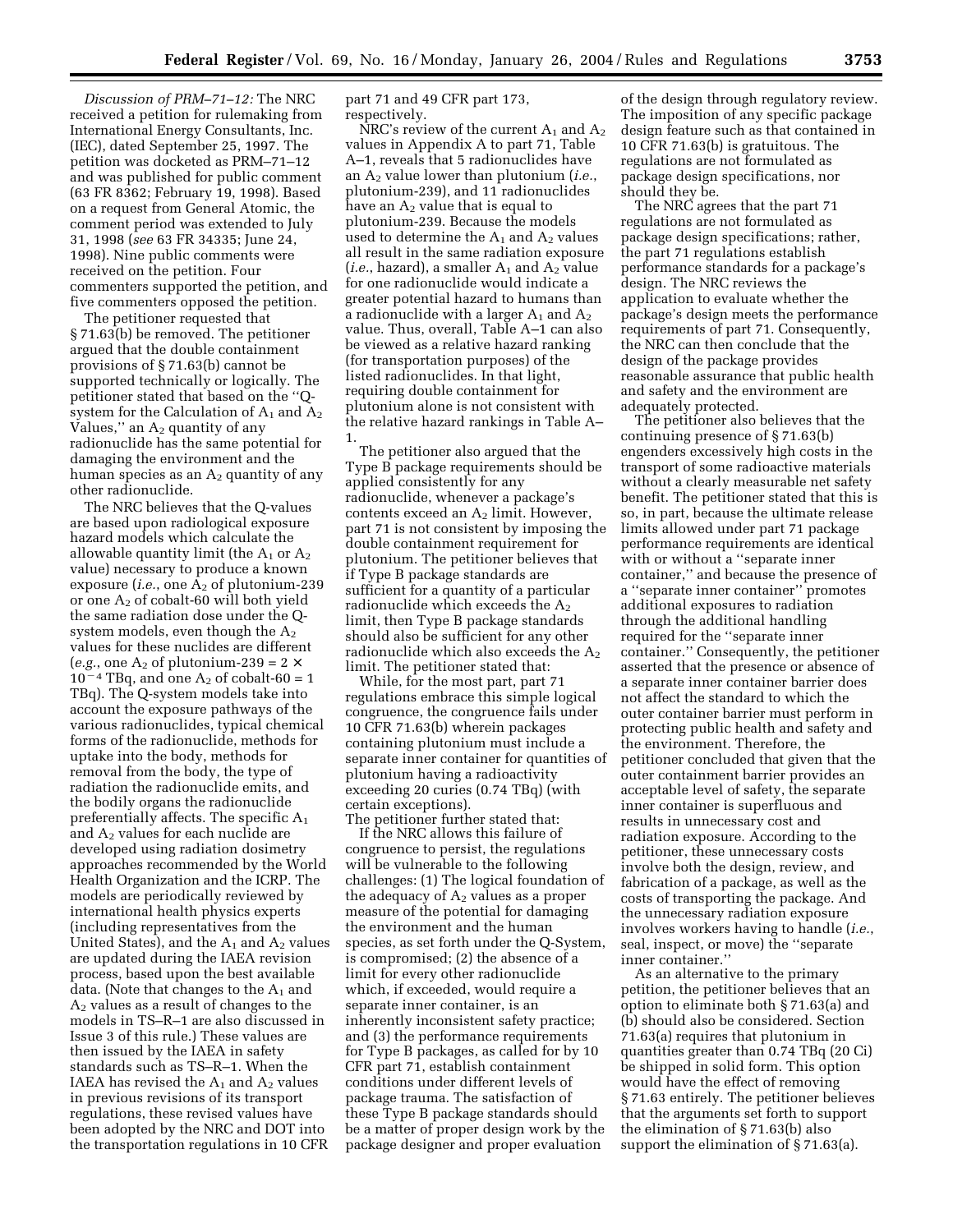*Discussion of PRM–71–12:* The NRC received a petition for rulemaking from International Energy Consultants, Inc. (IEC), dated September 25, 1997. The petition was docketed as PRM–71–12 and was published for public comment (63 FR 8362; February 19, 1998). Based on a request from General Atomic, the comment period was extended to July 31, 1998 (*see* 63 FR 34335; June 24, 1998). Nine public comments were received on the petition. Four commenters supported the petition, and five commenters opposed the petition.

The petitioner requested that § 71.63(b) be removed. The petitioner argued that the double containment provisions of § 71.63(b) cannot be supported technically or logically. The petitioner stated that based on the ''Qsystem for the Calculation of  $A_1$  and  $A_2$ Values," an  $A_2$  quantity of any radionuclide has the same potential for damaging the environment and the human species as an  $A_2$  quantity of any other radionuclide.

The NRC believes that the Q-values are based upon radiological exposure hazard models which calculate the allowable quantity limit (the  $A_1$  or  $A_2$ value) necessary to produce a known exposure (*i.e.*, one A<sub>2</sub> of plutonium-239 or one  $A_2$  of cobalt-60 will both yield the same radiation dose under the Qsystem models, even though the A2 values for these nuclides are different (*e.g.*, one  $A_2$  of plutonium-239 = 2  $\times$  $10^{-4}$  TBq, and one A<sub>2</sub> of cobalt-60 = 1 TBq). The Q-system models take into account the exposure pathways of the various radionuclides, typical chemical forms of the radionuclide, methods for uptake into the body, methods for removal from the body, the type of radiation the radionuclide emits, and the bodily organs the radionuclide preferentially affects. The specific  $A_1$ and  $A_2$  values for each nuclide are developed using radiation dosimetry approaches recommended by the World Health Organization and the ICRP. The models are periodically reviewed by international health physics experts (including representatives from the United States), and the  $A_1$  and  $A_2$  values are updated during the IAEA revision process, based upon the best available data. (Note that changes to the  $A_1$  and A2 values as a result of changes to the models in TS–R–1 are also discussed in Issue 3 of this rule.) These values are then issued by the IAEA in safety standards such as TS–R–1. When the IAEA has revised the  $A_1$  and  $A_2$  values in previous revisions of its transport regulations, these revised values have been adopted by the NRC and DOT into the transportation regulations in 10 CFR

part 71 and 49 CFR part 173, respectively.

NRC's review of the current  $A_1$  and  $A_2$ values in Appendix A to part 71, Table A–1, reveals that 5 radionuclides have an A2 value lower than plutonium (*i.e.*, plutonium-239), and 11 radionuclides have an  $A_2$  value that is equal to plutonium-239. Because the models used to determine the  $A_1$  and  $A_2$  values all result in the same radiation exposure  $(i.e., hazard),$  a smaller  $A_1$  and  $A_2$  value for one radionuclide would indicate a greater potential hazard to humans than a radionuclide with a larger  $A_1$  and  $A_2$ value. Thus, overall, Table A–1 can also be viewed as a relative hazard ranking (for transportation purposes) of the listed radionuclides. In that light, requiring double containment for plutonium alone is not consistent with the relative hazard rankings in Table A– 1.

The petitioner also argued that the Type B package requirements should be applied consistently for any radionuclide, whenever a package's contents exceed an  $A_2$  limit. However, part 71 is not consistent by imposing the double containment requirement for plutonium. The petitioner believes that if Type B package standards are sufficient for a quantity of a particular radionuclide which exceeds the  $A_2$ limit, then Type B package standards should also be sufficient for any other radionuclide which also exceeds the  $A_2$ limit. The petitioner stated that:

While, for the most part, part 71 regulations embrace this simple logical congruence, the congruence fails under 10 CFR 71.63(b) wherein packages containing plutonium must include a separate inner container for quantities of plutonium having a radioactivity exceeding 20 curies (0.74 TBq) (with certain exceptions).

The petitioner further stated that: If the NRC allows this failure of congruence to persist, the regulations will be vulnerable to the following challenges: (1) The logical foundation of the adequacy of  $A_2$  values as a proper measure of the potential for damaging the environment and the human species, as set forth under the Q-System, is compromised; (2) the absence of a limit for every other radionuclide which, if exceeded, would require a separate inner container, is an inherently inconsistent safety practice; and (3) the performance requirements for Type B packages, as called for by 10 CFR part 71, establish containment conditions under different levels of package trauma. The satisfaction of these Type B package standards should be a matter of proper design work by the package designer and proper evaluation

of the design through regulatory review. The imposition of any specific package design feature such as that contained in 10 CFR 71.63(b) is gratuitous. The regulations are not formulated as package design specifications, nor should they be.

The NRC agrees that the part 71 regulations are not formulated as package design specifications; rather, the part 71 regulations establish performance standards for a package's design. The NRC reviews the application to evaluate whether the package's design meets the performance requirements of part 71. Consequently, the NRC can then conclude that the design of the package provides reasonable assurance that public health and safety and the environment are adequately protected.

The petitioner also believes that the continuing presence of § 71.63(b) engenders excessively high costs in the transport of some radioactive materials without a clearly measurable net safety benefit. The petitioner stated that this is so, in part, because the ultimate release limits allowed under part 71 package performance requirements are identical with or without a ''separate inner container,'' and because the presence of a ''separate inner container'' promotes additional exposures to radiation through the additional handling required for the ''separate inner container.'' Consequently, the petitioner asserted that the presence or absence of a separate inner container barrier does not affect the standard to which the outer container barrier must perform in protecting public health and safety and the environment. Therefore, the petitioner concluded that given that the outer containment barrier provides an acceptable level of safety, the separate inner container is superfluous and results in unnecessary cost and radiation exposure. According to the petitioner, these unnecessary costs involve both the design, review, and fabrication of a package, as well as the costs of transporting the package. And the unnecessary radiation exposure involves workers having to handle (*i.e.*, seal, inspect, or move) the ''separate inner container.''

As an alternative to the primary petition, the petitioner believes that an option to eliminate both § 71.63(a) and (b) should also be considered. Section 71.63(a) requires that plutonium in quantities greater than 0.74 TBq (20 Ci) be shipped in solid form. This option would have the effect of removing § 71.63 entirely. The petitioner believes that the arguments set forth to support the elimination of § 71.63(b) also support the elimination of § 71.63(a).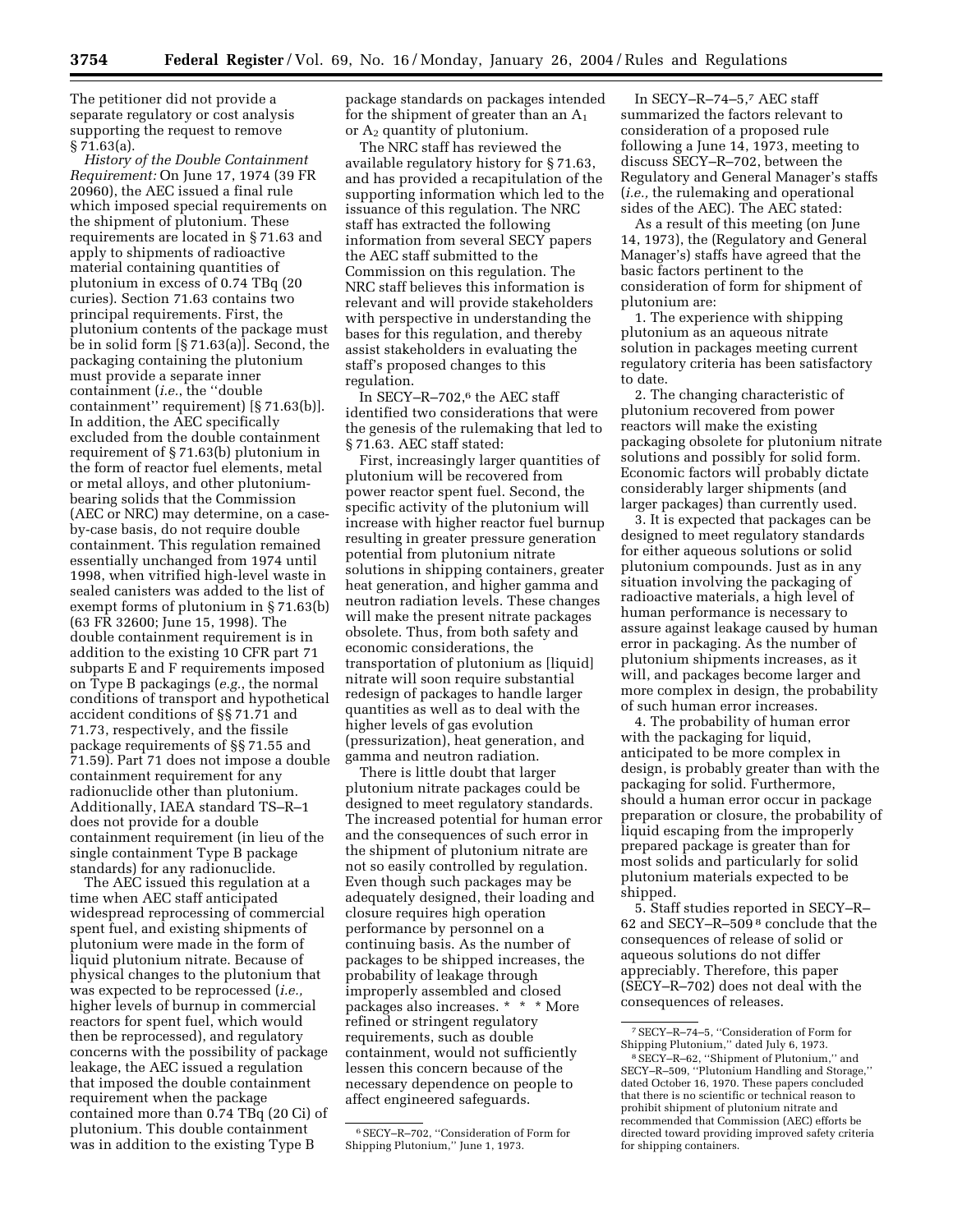The petitioner did not provide a separate regulatory or cost analysis supporting the request to remove § 71.63(a).

*History of the Double Containment Requirement:* On June 17, 1974 (39 FR 20960), the AEC issued a final rule which imposed special requirements on the shipment of plutonium. These requirements are located in § 71.63 and apply to shipments of radioactive material containing quantities of plutonium in excess of 0.74 TBq (20 curies). Section 71.63 contains two principal requirements. First, the plutonium contents of the package must be in solid form [§ 71.63(a)]. Second, the packaging containing the plutonium must provide a separate inner containment (*i.e.*, the ''double containment'' requirement) [§ 71.63(b)]. In addition, the AEC specifically excluded from the double containment requirement of § 71.63(b) plutonium in the form of reactor fuel elements, metal or metal alloys, and other plutoniumbearing solids that the Commission (AEC or NRC) may determine, on a caseby-case basis, do not require double containment. This regulation remained essentially unchanged from 1974 until 1998, when vitrified high-level waste in sealed canisters was added to the list of exempt forms of plutonium in § 71.63(b) (63 FR 32600; June 15, 1998). The double containment requirement is in addition to the existing 10 CFR part 71 subparts E and F requirements imposed on Type B packagings (*e.g.*, the normal conditions of transport and hypothetical accident conditions of §§ 71.71 and 71.73, respectively, and the fissile package requirements of §§ 71.55 and 71.59). Part 71 does not impose a double containment requirement for any radionuclide other than plutonium. Additionally, IAEA standard TS–R–1 does not provide for a double containment requirement (in lieu of the single containment Type B package standards) for any radionuclide.

The AEC issued this regulation at a time when AEC staff anticipated widespread reprocessing of commercial spent fuel, and existing shipments of plutonium were made in the form of liquid plutonium nitrate. Because of physical changes to the plutonium that was expected to be reprocessed (*i.e.,* higher levels of burnup in commercial reactors for spent fuel, which would then be reprocessed), and regulatory concerns with the possibility of package leakage, the AEC issued a regulation that imposed the double containment requirement when the package contained more than 0.74 TBq (20 Ci) of plutonium. This double containment was in addition to the existing Type B

package standards on packages intended for the shipment of greater than an  $A_1$ or  $A_2$  quantity of plutonium.

The NRC staff has reviewed the available regulatory history for § 71.63, and has provided a recapitulation of the supporting information which led to the issuance of this regulation. The NRC staff has extracted the following information from several SECY papers the AEC staff submitted to the Commission on this regulation. The NRC staff believes this information is relevant and will provide stakeholders with perspective in understanding the bases for this regulation, and thereby assist stakeholders in evaluating the staff's proposed changes to this regulation.

In SECY-R-702,<sup>6</sup> the AEC staff identified two considerations that were the genesis of the rulemaking that led to § 71.63. AEC staff stated:

First, increasingly larger quantities of plutonium will be recovered from power reactor spent fuel. Second, the specific activity of the plutonium will increase with higher reactor fuel burnup resulting in greater pressure generation potential from plutonium nitrate solutions in shipping containers, greater heat generation, and higher gamma and neutron radiation levels. These changes will make the present nitrate packages obsolete. Thus, from both safety and economic considerations, the transportation of plutonium as [liquid] nitrate will soon require substantial redesign of packages to handle larger quantities as well as to deal with the higher levels of gas evolution (pressurization), heat generation, and gamma and neutron radiation.

There is little doubt that larger plutonium nitrate packages could be designed to meet regulatory standards. The increased potential for human error and the consequences of such error in the shipment of plutonium nitrate are not so easily controlled by regulation. Even though such packages may be adequately designed, their loading and closure requires high operation performance by personnel on a continuing basis. As the number of packages to be shipped increases, the probability of leakage through improperly assembled and closed packages also increases. \* \* \* More refined or stringent regulatory requirements, such as double containment, would not sufficiently lessen this concern because of the necessary dependence on people to affect engineered safeguards.

6SECY–R–702, ''Consideration of Form for Shipping Plutonium,'' June 1, 1973.

In SECY–R–74–5,7 AEC staff summarized the factors relevant to consideration of a proposed rule following a June 14, 1973, meeting to discuss SECY–R–702, between the Regulatory and General Manager's staffs (*i.e.,* the rulemaking and operational sides of the AEC). The AEC stated:

As a result of this meeting (on June 14, 1973), the (Regulatory and General Manager's) staffs have agreed that the basic factors pertinent to the consideration of form for shipment of plutonium are:

1. The experience with shipping plutonium as an aqueous nitrate solution in packages meeting current regulatory criteria has been satisfactory to date.

2. The changing characteristic of plutonium recovered from power reactors will make the existing packaging obsolete for plutonium nitrate solutions and possibly for solid form. Economic factors will probably dictate considerably larger shipments (and larger packages) than currently used.

3. It is expected that packages can be designed to meet regulatory standards for either aqueous solutions or solid plutonium compounds. Just as in any situation involving the packaging of radioactive materials, a high level of human performance is necessary to assure against leakage caused by human error in packaging. As the number of plutonium shipments increases, as it will, and packages become larger and more complex in design, the probability of such human error increases.

4. The probability of human error with the packaging for liquid, anticipated to be more complex in design, is probably greater than with the packaging for solid. Furthermore, should a human error occur in package preparation or closure, the probability of liquid escaping from the improperly prepared package is greater than for most solids and particularly for solid plutonium materials expected to be shipped.

5. Staff studies reported in SECY–R– 62 and SECY–R–509 8 conclude that the consequences of release of solid or aqueous solutions do not differ appreciably. Therefore, this paper (SECY–R–702) does not deal with the consequences of releases.

<sup>7</sup>SECY–R–74–5, ''Consideration of Form for Shipping Plutonium,'' dated July 6, 1973.

<sup>8</sup>SECY–R–62, ''Shipment of Plutonium,'' and SECY–R–509, ''Plutonium Handling and Storage,'' dated October 16, 1970. These papers concluded that there is no scientific or technical reason to prohibit shipment of plutonium nitrate and recommended that Commission (AEC) efforts be directed toward providing improved safety criteria for shipping containers.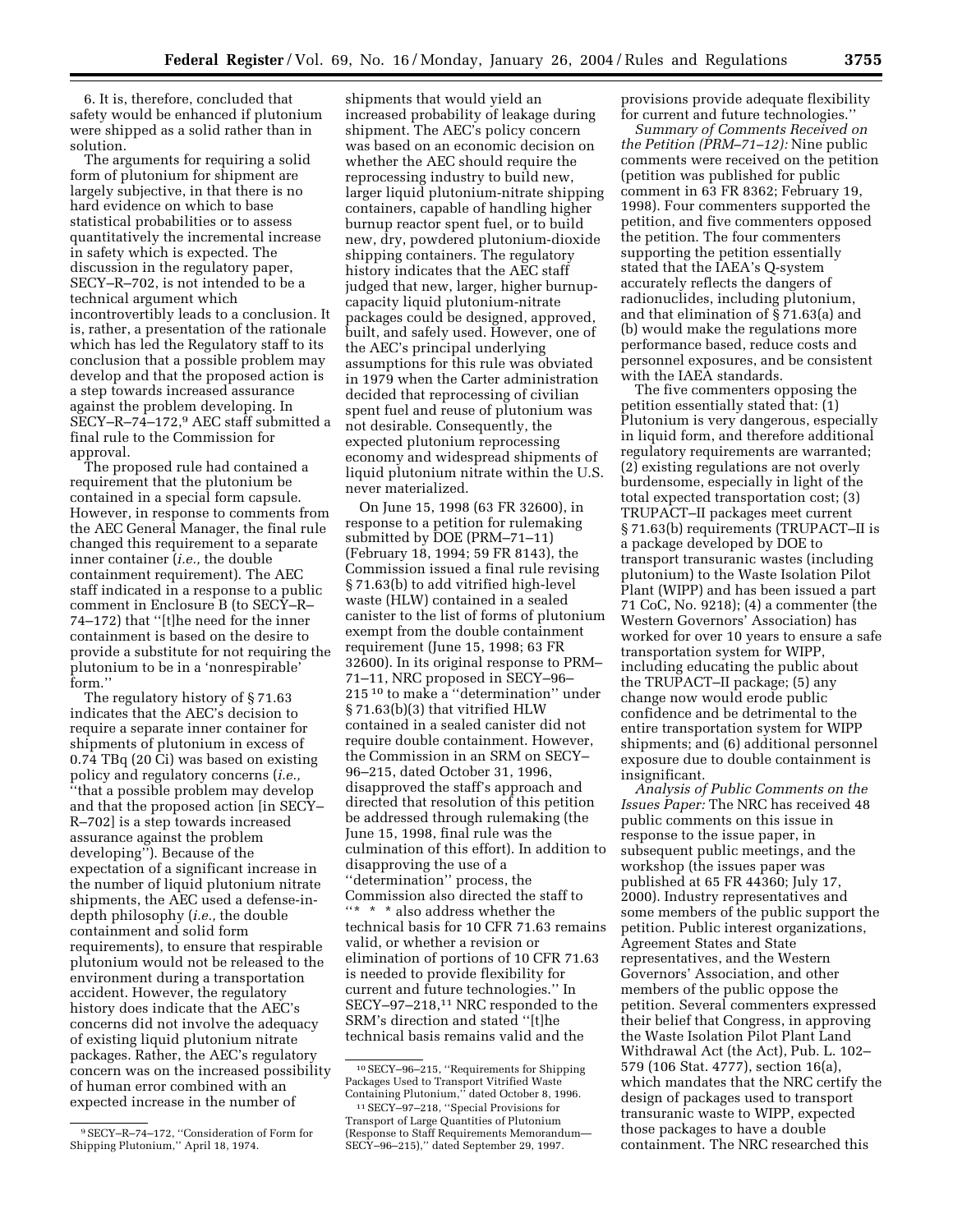6. It is, therefore, concluded that safety would be enhanced if plutonium were shipped as a solid rather than in solution.

The arguments for requiring a solid form of plutonium for shipment are largely subjective, in that there is no hard evidence on which to base statistical probabilities or to assess quantitatively the incremental increase in safety which is expected. The discussion in the regulatory paper, SECY–R–702, is not intended to be a technical argument which incontrovertibly leads to a conclusion. It is, rather, a presentation of the rationale which has led the Regulatory staff to its conclusion that a possible problem may develop and that the proposed action is a step towards increased assurance against the problem developing. In SECY–R–74–172,9 AEC staff submitted a final rule to the Commission for approval.

The proposed rule had contained a requirement that the plutonium be contained in a special form capsule. However, in response to comments from the AEC General Manager, the final rule changed this requirement to a separate inner container (*i.e.,* the double containment requirement). The AEC staff indicated in a response to a public comment in Enclosure B (to SECY–R– 74–172) that ''[t]he need for the inner containment is based on the desire to provide a substitute for not requiring the plutonium to be in a 'nonrespirable' form.''

The regulatory history of § 71.63 indicates that the AEC's decision to require a separate inner container for shipments of plutonium in excess of 0.74 TBq (20 Ci) was based on existing policy and regulatory concerns (*i.e.,* ''that a possible problem may develop and that the proposed action [in SECY– R–702] is a step towards increased assurance against the problem developing''). Because of the expectation of a significant increase in the number of liquid plutonium nitrate shipments, the AEC used a defense-indepth philosophy (*i.e.,* the double containment and solid form requirements), to ensure that respirable plutonium would not be released to the environment during a transportation accident. However, the regulatory history does indicate that the AEC's concerns did not involve the adequacy of existing liquid plutonium nitrate packages. Rather, the AEC's regulatory concern was on the increased possibility of human error combined with an expected increase in the number of

shipments that would yield an increased probability of leakage during shipment. The AEC's policy concern was based on an economic decision on whether the AEC should require the reprocessing industry to build new, larger liquid plutonium-nitrate shipping containers, capable of handling higher burnup reactor spent fuel, or to build new, dry, powdered plutonium-dioxide shipping containers. The regulatory history indicates that the AEC staff judged that new, larger, higher burnupcapacity liquid plutonium-nitrate packages could be designed, approved, built, and safely used. However, one of the AEC's principal underlying assumptions for this rule was obviated in 1979 when the Carter administration decided that reprocessing of civilian spent fuel and reuse of plutonium was not desirable. Consequently, the expected plutonium reprocessing economy and widespread shipments of liquid plutonium nitrate within the U.S. never materialized.

On June 15, 1998 (63 FR 32600), in response to a petition for rulemaking submitted by DOE (PRM–71–11) (February 18, 1994; 59 FR 8143), the Commission issued a final rule revising § 71.63(b) to add vitrified high-level waste (HLW) contained in a sealed canister to the list of forms of plutonium exempt from the double containment requirement (June 15, 1998; 63 FR 32600). In its original response to PRM– 71–11, NRC proposed in SECY–96– 215 10 to make a ''determination'' under § 71.63(b)(3) that vitrified HLW contained in a sealed canister did not require double containment. However, the Commission in an SRM on SECY– 96–215, dated October 31, 1996, disapproved the staff's approach and directed that resolution of this petition be addressed through rulemaking (the June 15, 1998, final rule was the culmination of this effort). In addition to disapproving the use of a ''determination'' process, the Commission also directed the staff to ''\* \* \* also address whether the technical basis for 10 CFR 71.63 remains valid, or whether a revision or elimination of portions of 10 CFR 71.63 is needed to provide flexibility for current and future technologies.'' In SECY–97–218,11 NRC responded to the SRM's direction and stated ''[t]he technical basis remains valid and the

provisions provide adequate flexibility for current and future technologies.''

*Summary of Comments Received on the Petition (PRM–71–12):* Nine public comments were received on the petition (petition was published for public comment in 63 FR 8362; February 19, 1998). Four commenters supported the petition, and five commenters opposed the petition. The four commenters supporting the petition essentially stated that the IAEA's Q-system accurately reflects the dangers of radionuclides, including plutonium, and that elimination of § 71.63(a) and (b) would make the regulations more performance based, reduce costs and personnel exposures, and be consistent with the IAEA standards.

The five commenters opposing the petition essentially stated that: (1) Plutonium is very dangerous, especially in liquid form, and therefore additional regulatory requirements are warranted; (2) existing regulations are not overly burdensome, especially in light of the total expected transportation cost; (3) TRUPACT–II packages meet current § 71.63(b) requirements (TRUPACT–II is a package developed by DOE to transport transuranic wastes (including plutonium) to the Waste Isolation Pilot Plant (WIPP) and has been issued a part 71 CoC, No. 9218); (4) a commenter (the Western Governors' Association) has worked for over 10 years to ensure a safe transportation system for WIPP, including educating the public about the TRUPACT–II package; (5) any change now would erode public confidence and be detrimental to the entire transportation system for WIPP shipments; and (6) additional personnel exposure due to double containment is insignificant.

*Analysis of Public Comments on the Issues Paper:* The NRC has received 48 public comments on this issue in response to the issue paper, in subsequent public meetings, and the workshop (the issues paper was published at 65 FR 44360; July 17, 2000). Industry representatives and some members of the public support the petition. Public interest organizations, Agreement States and State representatives, and the Western Governors' Association, and other members of the public oppose the petition. Several commenters expressed their belief that Congress, in approving the Waste Isolation Pilot Plant Land Withdrawal Act (the Act), Pub. L. 102– 579 (106 Stat. 4777), section 16(a), which mandates that the NRC certify the design of packages used to transport transuranic waste to WIPP, expected those packages to have a double containment. The NRC researched this

<sup>9</sup>SECY–R–74–172, ''Consideration of Form for Shipping Plutonium,'' April 18, 1974.

<sup>10</sup>SECY–96–215, ''Requirements for Shipping Packages Used to Transport Vitrified Waste Containing Plutonium,'' dated October 8, 1996.

<sup>11</sup>SECY–97–218, ''Special Provisions for Transport of Large Quantities of Plutonium (Response to Staff Requirements Memorandum— SECY–96–215),'' dated September 29, 1997.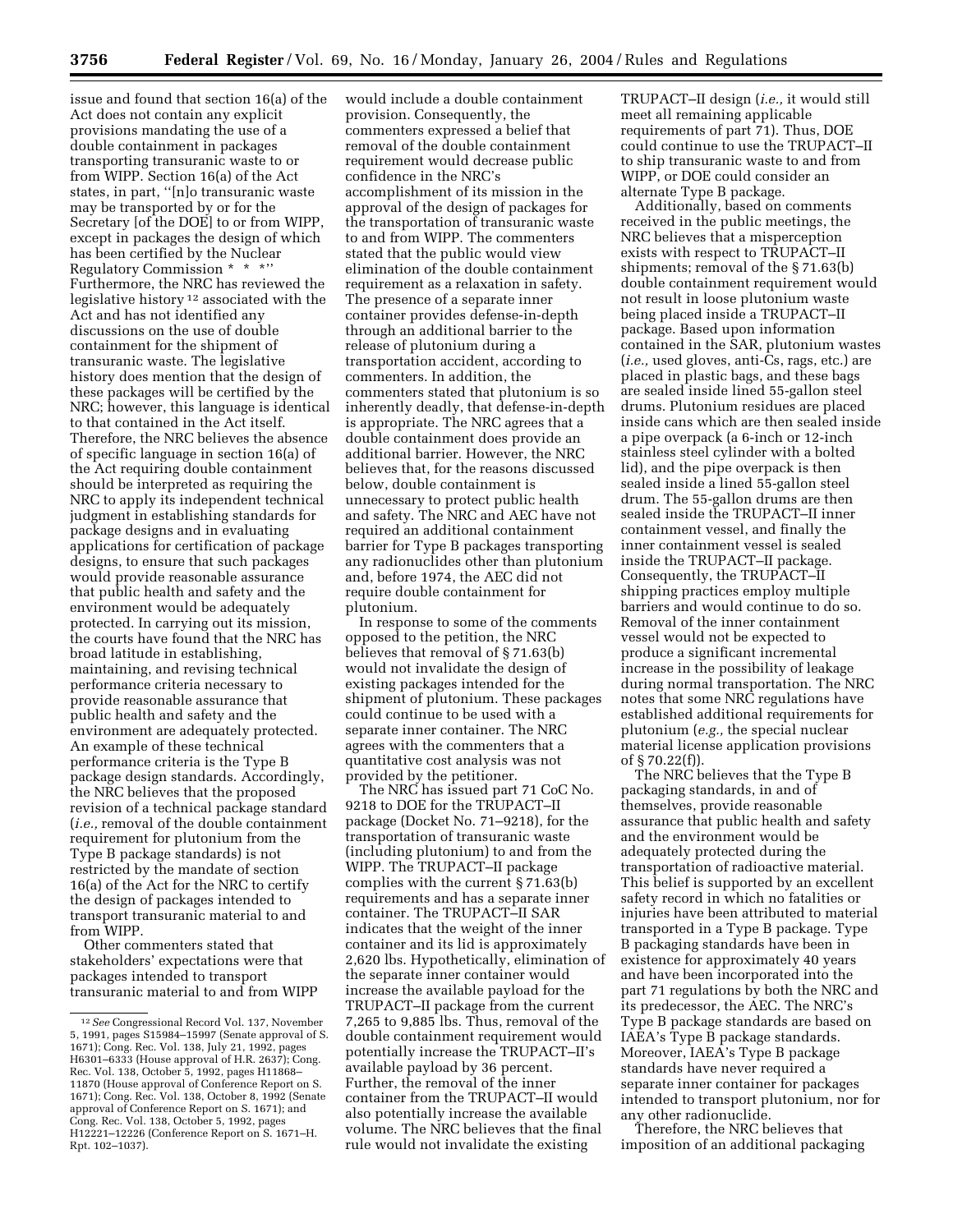issue and found that section 16(a) of the Act does not contain any explicit provisions mandating the use of a double containment in packages transporting transuranic waste to or from WIPP. Section 16(a) of the Act states, in part, ''[n]o transuranic waste may be transported by or for the Secretary [of the DOE] to or from WIPP, except in packages the design of which has been certified by the Nuclear Regulatory Commission \* \* \*'' Furthermore, the NRC has reviewed the legislative history 12 associated with the Act and has not identified any discussions on the use of double containment for the shipment of transuranic waste. The legislative history does mention that the design of these packages will be certified by the NRC; however, this language is identical to that contained in the Act itself. Therefore, the NRC believes the absence of specific language in section 16(a) of the Act requiring double containment should be interpreted as requiring the NRC to apply its independent technical judgment in establishing standards for package designs and in evaluating applications for certification of package designs, to ensure that such packages would provide reasonable assurance that public health and safety and the environment would be adequately protected. In carrying out its mission, the courts have found that the NRC has broad latitude in establishing, maintaining, and revising technical performance criteria necessary to provide reasonable assurance that public health and safety and the environment are adequately protected. An example of these technical performance criteria is the Type B package design standards. Accordingly, the NRC believes that the proposed revision of a technical package standard (*i.e.,* removal of the double containment requirement for plutonium from the Type B package standards) is not restricted by the mandate of section 16(a) of the Act for the NRC to certify the design of packages intended to transport transuranic material to and from WIPP.

Other commenters stated that stakeholders' expectations were that packages intended to transport transuranic material to and from WIPP would include a double containment provision. Consequently, the commenters expressed a belief that removal of the double containment requirement would decrease public confidence in the NRC's accomplishment of its mission in the approval of the design of packages for the transportation of transuranic waste to and from WIPP. The commenters stated that the public would view elimination of the double containment requirement as a relaxation in safety. The presence of a separate inner container provides defense-in-depth through an additional barrier to the release of plutonium during a transportation accident, according to commenters. In addition, the commenters stated that plutonium is so inherently deadly, that defense-in-depth is appropriate. The NRC agrees that a double containment does provide an additional barrier. However, the NRC believes that, for the reasons discussed below, double containment is unnecessary to protect public health and safety. The NRC and AEC have not required an additional containment barrier for Type B packages transporting any radionuclides other than plutonium and, before 1974, the AEC did not require double containment for plutonium.

In response to some of the comments opposed to the petition, the NRC believes that removal of § 71.63(b) would not invalidate the design of existing packages intended for the shipment of plutonium. These packages could continue to be used with a separate inner container. The NRC agrees with the commenters that a quantitative cost analysis was not provided by the petitioner.

The NRC has issued part 71 CoC No. 9218 to DOE for the TRUPACT–II package (Docket No. 71–9218), for the transportation of transuranic waste (including plutonium) to and from the WIPP. The TRUPACT–II package complies with the current § 71.63(b) requirements and has a separate inner container. The TRUPACT–II SAR indicates that the weight of the inner container and its lid is approximately 2,620 lbs. Hypothetically, elimination of the separate inner container would increase the available payload for the TRUPACT–II package from the current 7,265 to 9,885 lbs. Thus, removal of the double containment requirement would potentially increase the TRUPACT–II's available payload by 36 percent. Further, the removal of the inner container from the TRUPACT–II would also potentially increase the available volume. The NRC believes that the final rule would not invalidate the existing

TRUPACT–II design (*i.e.,* it would still meet all remaining applicable requirements of part 71). Thus, DOE could continue to use the TRUPACT–II to ship transuranic waste to and from WIPP, or DOE could consider an alternate Type B package.

Additionally, based on comments received in the public meetings, the NRC believes that a misperception exists with respect to TRUPACT–II shipments; removal of the § 71.63(b) double containment requirement would not result in loose plutonium waste being placed inside a TRUPACT–II package. Based upon information contained in the SAR, plutonium wastes (*i.e.,* used gloves, anti-Cs, rags, etc.) are placed in plastic bags, and these bags are sealed inside lined 55-gallon steel drums. Plutonium residues are placed inside cans which are then sealed inside a pipe overpack (a 6-inch or 12-inch stainless steel cylinder with a bolted lid), and the pipe overpack is then sealed inside a lined 55-gallon steel drum. The 55-gallon drums are then sealed inside the TRUPACT–II inner containment vessel, and finally the inner containment vessel is sealed inside the TRUPACT–II package. Consequently, the TRUPACT–II shipping practices employ multiple barriers and would continue to do so. Removal of the inner containment vessel would not be expected to produce a significant incremental increase in the possibility of leakage during normal transportation. The NRC notes that some NRC regulations have established additional requirements for plutonium (*e.g.,* the special nuclear material license application provisions of § 70.22(f)).

The NRC believes that the Type B packaging standards, in and of themselves, provide reasonable assurance that public health and safety and the environment would be adequately protected during the transportation of radioactive material. This belief is supported by an excellent safety record in which no fatalities or injuries have been attributed to material transported in a Type B package. Type B packaging standards have been in existence for approximately 40 years and have been incorporated into the part 71 regulations by both the NRC and its predecessor, the AEC. The NRC's Type B package standards are based on IAEA's Type B package standards. Moreover, IAEA's Type B package standards have never required a separate inner container for packages intended to transport plutonium, nor for any other radionuclide.

Therefore, the NRC believes that imposition of an additional packaging

<sup>12</sup>*See* Congressional Record Vol. 137, November 5, 1991, pages S15984–15997 (Senate approval of S. 1671); Cong. Rec. Vol. 138, July 21, 1992, pages H6301–6333 (House approval of H.R. 2637); Cong. Rec. Vol. 138, October 5, 1992, pages H11868– 11870 (House approval of Conference Report on S. 1671); Cong. Rec. Vol. 138, October 8, 1992 (Senate approval of Conference Report on S. 1671); and Cong. Rec. Vol. 138, October 5, 1992, pages H12221–12226 (Conference Report on S. 1671–H. Rpt. 102–1037).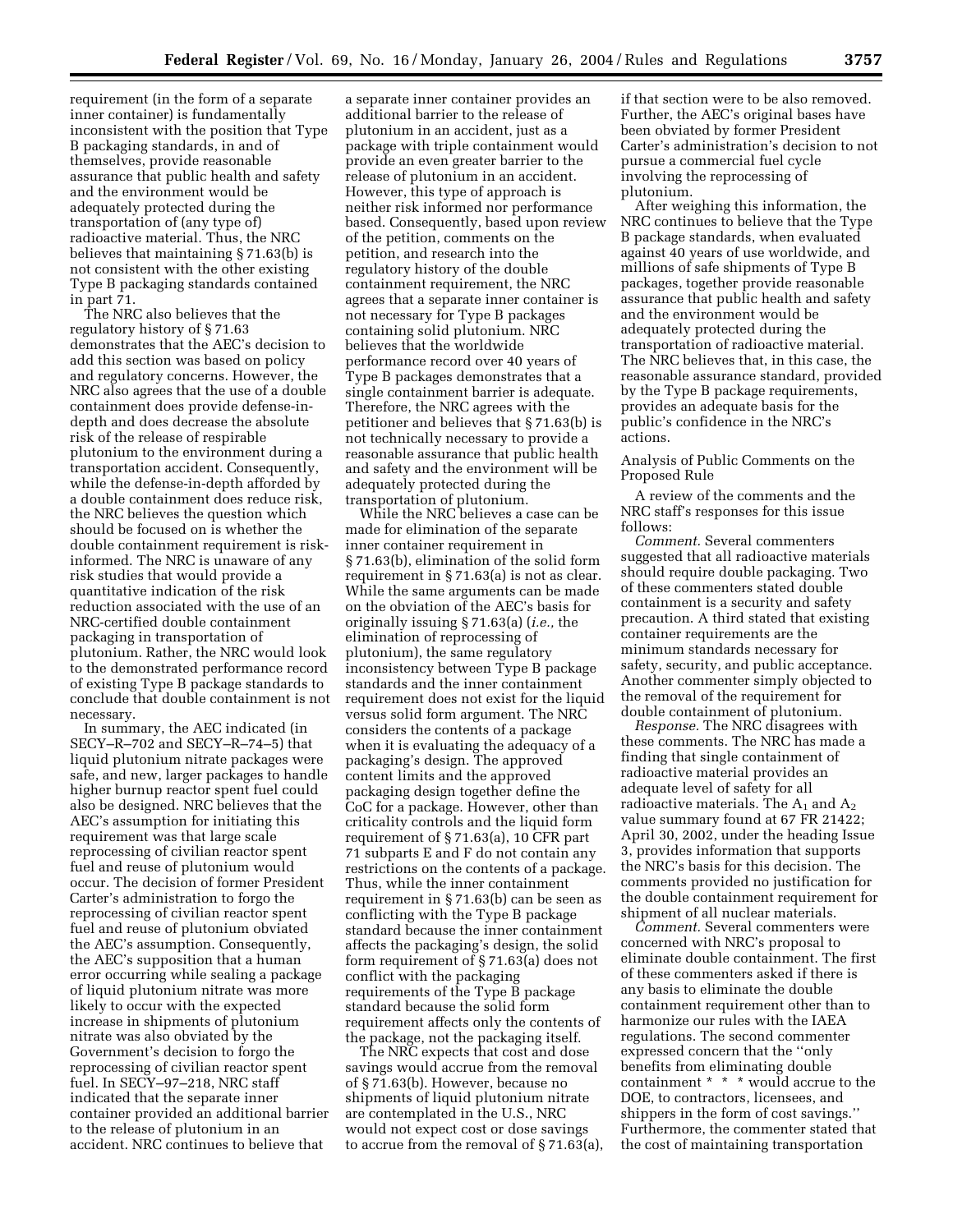requirement (in the form of a separate inner container) is fundamentally inconsistent with the position that Type B packaging standards, in and of themselves, provide reasonable assurance that public health and safety and the environment would be adequately protected during the transportation of (any type of) radioactive material. Thus, the NRC believes that maintaining § 71.63(b) is not consistent with the other existing Type B packaging standards contained in part 71.

The NRC also believes that the regulatory history of § 71.63 demonstrates that the AEC's decision to add this section was based on policy and regulatory concerns. However, the NRC also agrees that the use of a double containment does provide defense-indepth and does decrease the absolute risk of the release of respirable plutonium to the environment during a transportation accident. Consequently, while the defense-in-depth afforded by a double containment does reduce risk, the NRC believes the question which should be focused on is whether the double containment requirement is riskinformed. The NRC is unaware of any risk studies that would provide a quantitative indication of the risk reduction associated with the use of an NRC-certified double containment packaging in transportation of plutonium. Rather, the NRC would look to the demonstrated performance record of existing Type B package standards to conclude that double containment is not necessary.

In summary, the AEC indicated (in SECY–R–702 and SECY–R–74–5) that liquid plutonium nitrate packages were safe, and new, larger packages to handle higher burnup reactor spent fuel could also be designed. NRC believes that the AEC's assumption for initiating this requirement was that large scale reprocessing of civilian reactor spent fuel and reuse of plutonium would occur. The decision of former President Carter's administration to forgo the reprocessing of civilian reactor spent fuel and reuse of plutonium obviated the AEC's assumption. Consequently, the AEC's supposition that a human error occurring while sealing a package of liquid plutonium nitrate was more likely to occur with the expected increase in shipments of plutonium nitrate was also obviated by the Government's decision to forgo the reprocessing of civilian reactor spent fuel. In SECY–97–218, NRC staff indicated that the separate inner container provided an additional barrier to the release of plutonium in an accident. NRC continues to believe that

a separate inner container provides an additional barrier to the release of plutonium in an accident, just as a package with triple containment would provide an even greater barrier to the release of plutonium in an accident. However, this type of approach is neither risk informed nor performance based. Consequently, based upon review of the petition, comments on the petition, and research into the regulatory history of the double containment requirement, the NRC agrees that a separate inner container is not necessary for Type B packages containing solid plutonium. NRC believes that the worldwide performance record over 40 years of Type B packages demonstrates that a single containment barrier is adequate. Therefore, the NRC agrees with the petitioner and believes that § 71.63(b) is not technically necessary to provide a reasonable assurance that public health and safety and the environment will be adequately protected during the transportation of plutonium.

While the NRC believes a case can be made for elimination of the separate inner container requirement in § 71.63(b), elimination of the solid form requirement in § 71.63(a) is not as clear. While the same arguments can be made on the obviation of the AEC's basis for originally issuing § 71.63(a) (*i.e.,* the elimination of reprocessing of plutonium), the same regulatory inconsistency between Type B package standards and the inner containment requirement does not exist for the liquid versus solid form argument. The NRC considers the contents of a package when it is evaluating the adequacy of a packaging's design. The approved content limits and the approved packaging design together define the CoC for a package. However, other than criticality controls and the liquid form requirement of § 71.63(a), 10 CFR part 71 subparts E and F do not contain any restrictions on the contents of a package. Thus, while the inner containment requirement in § 71.63(b) can be seen as conflicting with the Type B package standard because the inner containment affects the packaging's design, the solid form requirement of § 71.63(a) does not conflict with the packaging requirements of the Type B package standard because the solid form requirement affects only the contents of the package, not the packaging itself.

The NRC expects that cost and dose savings would accrue from the removal of § 71.63(b). However, because no shipments of liquid plutonium nitrate are contemplated in the U.S., NRC would not expect cost or dose savings to accrue from the removal of § 71.63(a), if that section were to be also removed. Further, the AEC's original bases have been obviated by former President Carter's administration's decision to not pursue a commercial fuel cycle involving the reprocessing of plutonium.

After weighing this information, the NRC continues to believe that the Type B package standards, when evaluated against 40 years of use worldwide, and millions of safe shipments of Type B packages, together provide reasonable assurance that public health and safety and the environment would be adequately protected during the transportation of radioactive material. The NRC believes that, in this case, the reasonable assurance standard, provided by the Type B package requirements, provides an adequate basis for the public's confidence in the NRC's actions.

Analysis of Public Comments on the Proposed Rule

A review of the comments and the NRC staff's responses for this issue follows:

*Comment.* Several commenters suggested that all radioactive materials should require double packaging. Two of these commenters stated double containment is a security and safety precaution. A third stated that existing container requirements are the minimum standards necessary for safety, security, and public acceptance. Another commenter simply objected to the removal of the requirement for double containment of plutonium.

*Response.* The NRC disagrees with these comments. The NRC has made a finding that single containment of radioactive material provides an adequate level of safety for all radioactive materials. The  $A_1$  and  $A_2$ value summary found at 67 FR 21422; April 30, 2002, under the heading Issue 3, provides information that supports the NRC's basis for this decision. The comments provided no justification for the double containment requirement for shipment of all nuclear materials.

*Comment.* Several commenters were concerned with NRC's proposal to eliminate double containment. The first of these commenters asked if there is any basis to eliminate the double containment requirement other than to harmonize our rules with the IAEA regulations. The second commenter expressed concern that the ''only benefits from eliminating double containment \* \* \* would accrue to the DOE, to contractors, licensees, and shippers in the form of cost savings.'' Furthermore, the commenter stated that the cost of maintaining transportation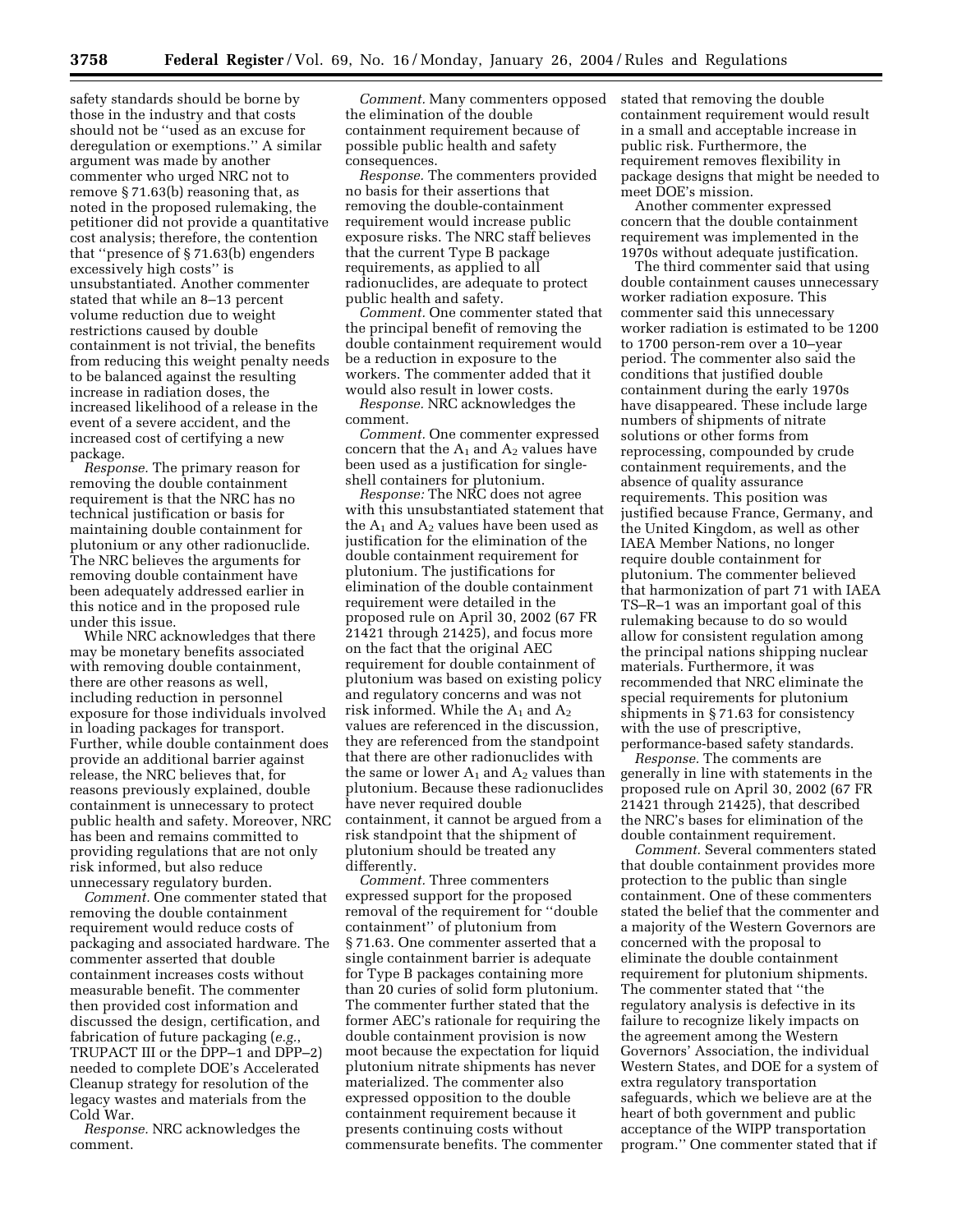safety standards should be borne by those in the industry and that costs should not be ''used as an excuse for deregulation or exemptions.'' A similar argument was made by another commenter who urged NRC not to remove § 71.63(b) reasoning that, as noted in the proposed rulemaking, the petitioner did not provide a quantitative cost analysis; therefore, the contention that ''presence of § 71.63(b) engenders excessively high costs'' is unsubstantiated. Another commenter stated that while an 8–13 percent volume reduction due to weight restrictions caused by double containment is not trivial, the benefits from reducing this weight penalty needs to be balanced against the resulting increase in radiation doses, the increased likelihood of a release in the event of a severe accident, and the increased cost of certifying a new package.

*Response.* The primary reason for removing the double containment requirement is that the NRC has no technical justification or basis for maintaining double containment for plutonium or any other radionuclide. The NRC believes the arguments for removing double containment have been adequately addressed earlier in this notice and in the proposed rule under this issue.

While NRC acknowledges that there may be monetary benefits associated with removing double containment, there are other reasons as well, including reduction in personnel exposure for those individuals involved in loading packages for transport. Further, while double containment does provide an additional barrier against release, the NRC believes that, for reasons previously explained, double containment is unnecessary to protect public health and safety. Moreover, NRC has been and remains committed to providing regulations that are not only risk informed, but also reduce unnecessary regulatory burden.

*Comment.* One commenter stated that removing the double containment requirement would reduce costs of packaging and associated hardware. The commenter asserted that double containment increases costs without measurable benefit. The commenter then provided cost information and discussed the design, certification, and fabrication of future packaging (*e.g.*, TRUPACT III or the DPP–1 and DPP–2) needed to complete DOE's Accelerated Cleanup strategy for resolution of the legacy wastes and materials from the Cold War.

*Response.* NRC acknowledges the comment.

*Comment.* Many commenters opposed the elimination of the double containment requirement because of possible public health and safety consequences.

*Response.* The commenters provided no basis for their assertions that removing the double-containment requirement would increase public exposure risks. The NRC staff believes that the current Type B package requirements, as applied to all radionuclides, are adequate to protect public health and safety.

*Comment.* One commenter stated that the principal benefit of removing the double containment requirement would be a reduction in exposure to the workers. The commenter added that it would also result in lower costs.

*Response.* NRC acknowledges the comment.

*Comment.* One commenter expressed concern that the  $A_1$  and  $A_2$  values have been used as a justification for singleshell containers for plutonium.

*Response:* The NRC does not agree with this unsubstantiated statement that the  $A_1$  and  $A_2$  values have been used as justification for the elimination of the double containment requirement for plutonium. The justifications for elimination of the double containment requirement were detailed in the proposed rule on April 30, 2002 (67 FR 21421 through 21425), and focus more on the fact that the original AEC requirement for double containment of plutonium was based on existing policy and regulatory concerns and was not risk informed. While the  $A_1$  and  $A_2$ values are referenced in the discussion, they are referenced from the standpoint that there are other radionuclides with the same or lower  $A_1$  and  $A_2$  values than plutonium. Because these radionuclides have never required double containment, it cannot be argued from a risk standpoint that the shipment of plutonium should be treated any differently.

*Comment.* Three commenters expressed support for the proposed removal of the requirement for ''double containment'' of plutonium from § 71.63. One commenter asserted that a single containment barrier is adequate for Type B packages containing more than 20 curies of solid form plutonium. The commenter further stated that the former AEC's rationale for requiring the double containment provision is now moot because the expectation for liquid plutonium nitrate shipments has never materialized. The commenter also expressed opposition to the double containment requirement because it presents continuing costs without commensurate benefits. The commenter stated that removing the double containment requirement would result in a small and acceptable increase in public risk. Furthermore, the requirement removes flexibility in package designs that might be needed to meet DOE's mission.

Another commenter expressed concern that the double containment requirement was implemented in the 1970s without adequate justification.

The third commenter said that using double containment causes unnecessary worker radiation exposure. This commenter said this unnecessary worker radiation is estimated to be 1200 to 1700 person-rem over a 10–year period. The commenter also said the conditions that justified double containment during the early 1970s have disappeared. These include large numbers of shipments of nitrate solutions or other forms from reprocessing, compounded by crude containment requirements, and the absence of quality assurance requirements. This position was justified because France, Germany, and the United Kingdom, as well as other IAEA Member Nations, no longer require double containment for plutonium. The commenter believed that harmonization of part 71 with IAEA TS–R–1 was an important goal of this rulemaking because to do so would allow for consistent regulation among the principal nations shipping nuclear materials. Furthermore, it was recommended that NRC eliminate the special requirements for plutonium shipments in § 71.63 for consistency with the use of prescriptive, performance-based safety standards.

*Response.* The comments are generally in line with statements in the proposed rule on April 30, 2002 (67 FR 21421 through 21425), that described the NRC's bases for elimination of the double containment requirement.

*Comment.* Several commenters stated that double containment provides more protection to the public than single containment. One of these commenters stated the belief that the commenter and a majority of the Western Governors are concerned with the proposal to eliminate the double containment requirement for plutonium shipments. The commenter stated that ''the regulatory analysis is defective in its failure to recognize likely impacts on the agreement among the Western Governors' Association, the individual Western States, and DOE for a system of extra regulatory transportation safeguards, which we believe are at the heart of both government and public acceptance of the WIPP transportation program.'' One commenter stated that if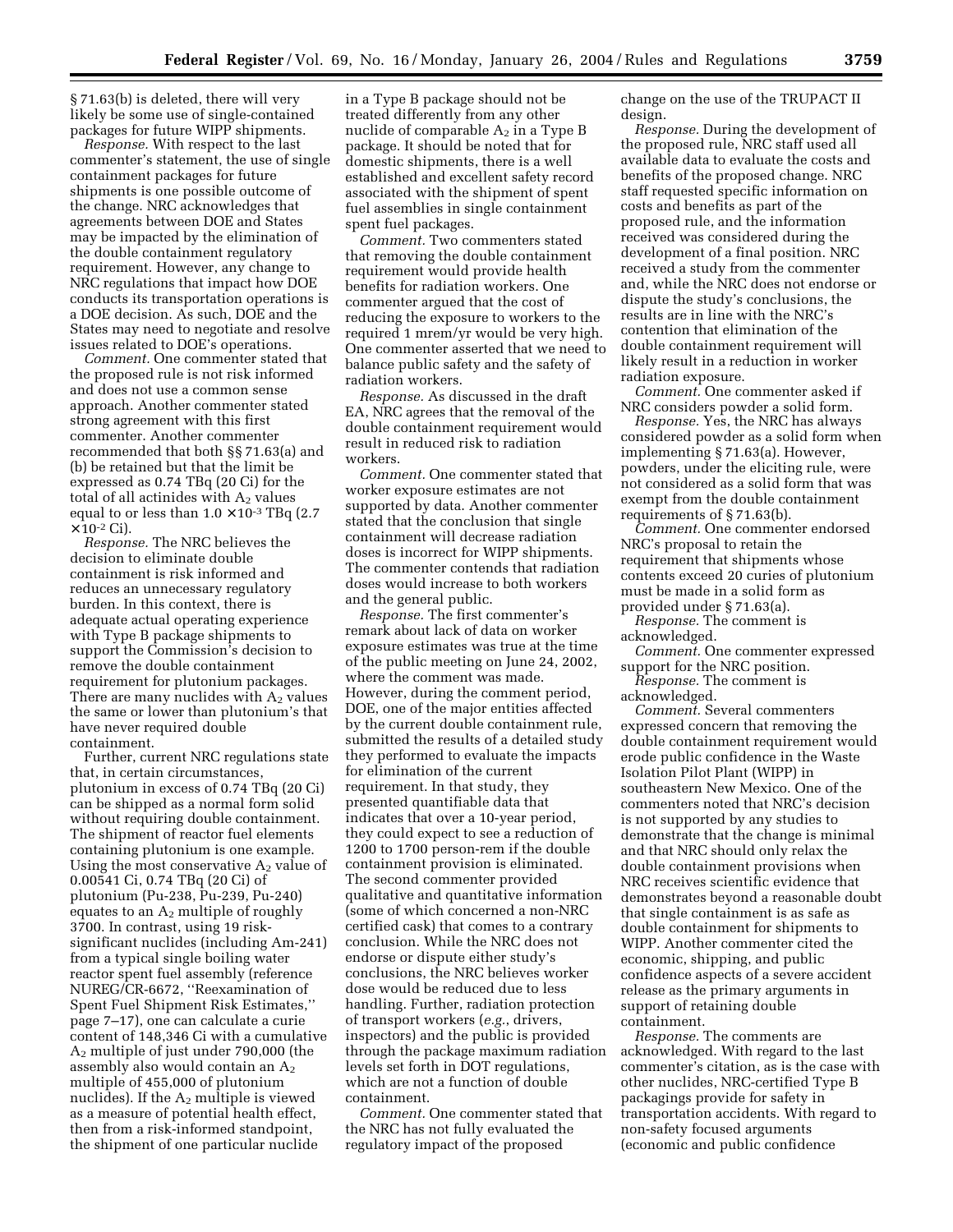§ 71.63(b) is deleted, there will very likely be some use of single-contained packages for future WIPP shipments.

*Response.* With respect to the last commenter's statement, the use of single containment packages for future shipments is one possible outcome of the change. NRC acknowledges that agreements between DOE and States may be impacted by the elimination of the double containment regulatory requirement. However, any change to NRC regulations that impact how DOE conducts its transportation operations is a DOE decision. As such, DOE and the States may need to negotiate and resolve issues related to DOE's operations.

*Comment.* One commenter stated that the proposed rule is not risk informed and does not use a common sense approach. Another commenter stated strong agreement with this first commenter. Another commenter recommended that both §§ 71.63(a) and (b) be retained but that the limit be expressed as 0.74 TBq (20 Ci) for the total of all actinides with  $A_2$  values equal to or less than  $1.0 \times 10^{-3}$  TBq (2.7)  $\times$  10<sup>-2</sup> Ci).

*Response.* The NRC believes the decision to eliminate double containment is risk informed and reduces an unnecessary regulatory burden. In this context, there is adequate actual operating experience with Type B package shipments to support the Commission's decision to remove the double containment requirement for plutonium packages. There are many nuclides with  $A_2$  values the same or lower than plutonium's that have never required double containment.

Further, current NRC regulations state that, in certain circumstances, plutonium in excess of 0.74 TBq (20 Ci) can be shipped as a normal form solid without requiring double containment. The shipment of reactor fuel elements containing plutonium is one example. Using the most conservative  $A_2$  value of 0.00541 Ci, 0.74 TBq (20 Ci) of plutonium (Pu-238, Pu-239, Pu-240) equates to an  $A_2$  multiple of roughly 3700. In contrast, using 19 risksignificant nuclides (including Am-241) from a typical single boiling water reactor spent fuel assembly (reference NUREG/CR-6672, ''Reexamination of Spent Fuel Shipment Risk Estimates,'' page 7–17), one can calculate a curie content of 148,346 Ci with a cumulative A2 multiple of just under 790,000 (the assembly also would contain an  $A_2$ multiple of 455,000 of plutonium nuclides). If the  $A_2$  multiple is viewed as a measure of potential health effect, then from a risk-informed standpoint, the shipment of one particular nuclide

in a Type B package should not be treated differently from any other nuclide of comparable  $A_2$  in a Type B package. It should be noted that for domestic shipments, there is a well established and excellent safety record associated with the shipment of spent fuel assemblies in single containment spent fuel packages.

*Comment.* Two commenters stated that removing the double containment requirement would provide health benefits for radiation workers. One commenter argued that the cost of reducing the exposure to workers to the required 1 mrem/yr would be very high. One commenter asserted that we need to balance public safety and the safety of radiation workers.

*Response.* As discussed in the draft EA, NRC agrees that the removal of the double containment requirement would result in reduced risk to radiation workers.

*Comment.* One commenter stated that worker exposure estimates are not supported by data. Another commenter stated that the conclusion that single containment will decrease radiation doses is incorrect for WIPP shipments. The commenter contends that radiation doses would increase to both workers and the general public.

*Response.* The first commenter's remark about lack of data on worker exposure estimates was true at the time of the public meeting on June 24, 2002, where the comment was made. However, during the comment period, DOE, one of the major entities affected by the current double containment rule, submitted the results of a detailed study they performed to evaluate the impacts for elimination of the current requirement. In that study, they presented quantifiable data that indicates that over a 10-year period, they could expect to see a reduction of 1200 to 1700 person-rem if the double containment provision is eliminated. The second commenter provided qualitative and quantitative information (some of which concerned a non-NRC certified cask) that comes to a contrary conclusion. While the NRC does not endorse or dispute either study's conclusions, the NRC believes worker dose would be reduced due to less handling. Further, radiation protection of transport workers (*e.g.*, drivers, inspectors) and the public is provided through the package maximum radiation levels set forth in DOT regulations, which are not a function of double containment.

*Comment.* One commenter stated that the NRC has not fully evaluated the regulatory impact of the proposed

change on the use of the TRUPACT II design.

*Response.* During the development of the proposed rule, NRC staff used all available data to evaluate the costs and benefits of the proposed change. NRC staff requested specific information on costs and benefits as part of the proposed rule, and the information received was considered during the development of a final position. NRC received a study from the commenter and, while the NRC does not endorse or dispute the study's conclusions, the results are in line with the NRC's contention that elimination of the double containment requirement will likely result in a reduction in worker radiation exposure.

*Comment.* One commenter asked if NRC considers powder a solid form.

*Response.* Yes, the NRC has always considered powder as a solid form when implementing § 71.63(a). However, powders, under the eliciting rule, were not considered as a solid form that was exempt from the double containment requirements of § 71.63(b).

*Comment.* One commenter endorsed NRC's proposal to retain the requirement that shipments whose contents exceed 20 curies of plutonium must be made in a solid form as provided under § 71.63(a).

*Response.* The comment is acknowledged.

*Comment.* One commenter expressed support for the NRC position.

*Response.* The comment is acknowledged.

*Comment.* Several commenters expressed concern that removing the double containment requirement would erode public confidence in the Waste Isolation Pilot Plant (WIPP) in southeastern New Mexico. One of the commenters noted that NRC's decision is not supported by any studies to demonstrate that the change is minimal and that NRC should only relax the double containment provisions when NRC receives scientific evidence that demonstrates beyond a reasonable doubt that single containment is as safe as double containment for shipments to WIPP. Another commenter cited the economic, shipping, and public confidence aspects of a severe accident release as the primary arguments in support of retaining double containment.

*Response.* The comments are acknowledged. With regard to the last commenter's citation, as is the case with other nuclides, NRC-certified Type B packagings provide for safety in transportation accidents. With regard to non-safety focused arguments (economic and public confidence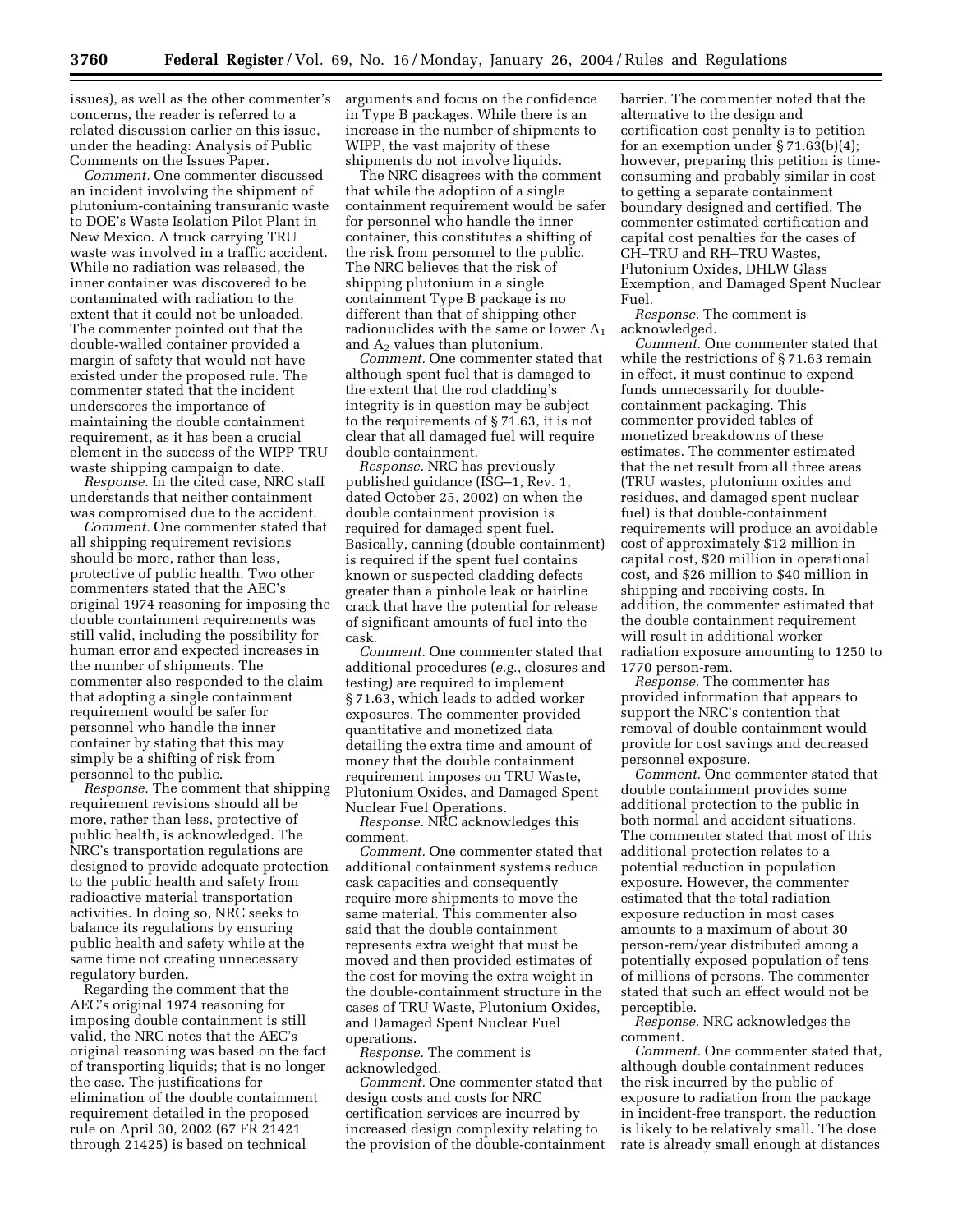issues), as well as the other commenter's concerns, the reader is referred to a related discussion earlier on this issue, under the heading: Analysis of Public Comments on the Issues Paper.

*Comment.* One commenter discussed an incident involving the shipment of plutonium-containing transuranic waste to DOE's Waste Isolation Pilot Plant in New Mexico. A truck carrying TRU waste was involved in a traffic accident. While no radiation was released, the inner container was discovered to be contaminated with radiation to the extent that it could not be unloaded. The commenter pointed out that the double-walled container provided a margin of safety that would not have existed under the proposed rule. The commenter stated that the incident underscores the importance of maintaining the double containment requirement, as it has been a crucial element in the success of the WIPP TRU waste shipping campaign to date.

*Response.* In the cited case, NRC staff understands that neither containment was compromised due to the accident.

*Comment.* One commenter stated that all shipping requirement revisions should be more, rather than less, protective of public health. Two other commenters stated that the AEC's original 1974 reasoning for imposing the double containment requirements was still valid, including the possibility for human error and expected increases in the number of shipments. The commenter also responded to the claim that adopting a single containment requirement would be safer for personnel who handle the inner container by stating that this may simply be a shifting of risk from personnel to the public.

*Response.* The comment that shipping requirement revisions should all be more, rather than less, protective of public health, is acknowledged. The NRC's transportation regulations are designed to provide adequate protection to the public health and safety from radioactive material transportation activities. In doing so, NRC seeks to balance its regulations by ensuring public health and safety while at the same time not creating unnecessary regulatory burden.

Regarding the comment that the AEC's original 1974 reasoning for imposing double containment is still valid, the NRC notes that the AEC's original reasoning was based on the fact of transporting liquids; that is no longer the case. The justifications for elimination of the double containment requirement detailed in the proposed rule on April 30, 2002 (67 FR 21421 through 21425) is based on technical

arguments and focus on the confidence in Type B packages. While there is an increase in the number of shipments to WIPP, the vast majority of these shipments do not involve liquids.

The NRC disagrees with the comment that while the adoption of a single containment requirement would be safer for personnel who handle the inner container, this constitutes a shifting of the risk from personnel to the public. The NRC believes that the risk of shipping plutonium in a single containment Type B package is no different than that of shipping other radionuclides with the same or lower  $A_1$ and  $A_2$  values than plutonium.

*Comment.* One commenter stated that although spent fuel that is damaged to the extent that the rod cladding's integrity is in question may be subject to the requirements of § 71.63, it is not clear that all damaged fuel will require double containment.

*Response.* NRC has previously published guidance (ISG–1, Rev. 1, dated October 25, 2002) on when the double containment provision is required for damaged spent fuel. Basically, canning (double containment) is required if the spent fuel contains known or suspected cladding defects greater than a pinhole leak or hairline crack that have the potential for release of significant amounts of fuel into the cask.

*Comment.* One commenter stated that additional procedures (*e.g.*, closures and testing) are required to implement § 71.63, which leads to added worker exposures. The commenter provided quantitative and monetized data detailing the extra time and amount of money that the double containment requirement imposes on TRU Waste, Plutonium Oxides, and Damaged Spent Nuclear Fuel Operations.

*Response.* NRC acknowledges this comment.

*Comment.* One commenter stated that additional containment systems reduce cask capacities and consequently require more shipments to move the same material. This commenter also said that the double containment represents extra weight that must be moved and then provided estimates of the cost for moving the extra weight in the double-containment structure in the cases of TRU Waste, Plutonium Oxides, and Damaged Spent Nuclear Fuel operations.

*Response.* The comment is acknowledged.

*Comment.* One commenter stated that design costs and costs for NRC certification services are incurred by increased design complexity relating to the provision of the double-containment

barrier. The commenter noted that the alternative to the design and certification cost penalty is to petition for an exemption under  $\S 71.63(b)(4)$ ; however, preparing this petition is timeconsuming and probably similar in cost to getting a separate containment boundary designed and certified. The commenter estimated certification and capital cost penalties for the cases of CH–TRU and RH–TRU Wastes, Plutonium Oxides, DHLW Glass Exemption, and Damaged Spent Nuclear Fuel.

*Response.* The comment is acknowledged.

*Comment.* One commenter stated that while the restrictions of § 71.63 remain in effect, it must continue to expend funds unnecessarily for doublecontainment packaging. This commenter provided tables of monetized breakdowns of these estimates. The commenter estimated that the net result from all three areas (TRU wastes, plutonium oxides and residues, and damaged spent nuclear fuel) is that double-containment requirements will produce an avoidable cost of approximately \$12 million in capital cost, \$20 million in operational cost, and \$26 million to \$40 million in shipping and receiving costs. In addition, the commenter estimated that the double containment requirement will result in additional worker radiation exposure amounting to 1250 to 1770 person-rem.

*Response.* The commenter has provided information that appears to support the NRC's contention that removal of double containment would provide for cost savings and decreased personnel exposure.

*Comment.* One commenter stated that double containment provides some additional protection to the public in both normal and accident situations. The commenter stated that most of this additional protection relates to a potential reduction in population exposure. However, the commenter estimated that the total radiation exposure reduction in most cases amounts to a maximum of about 30 person-rem/year distributed among a potentially exposed population of tens of millions of persons. The commenter stated that such an effect would not be perceptible.

*Response.* NRC acknowledges the comment.

*Comment.* One commenter stated that, although double containment reduces the risk incurred by the public of exposure to radiation from the package in incident-free transport, the reduction is likely to be relatively small. The dose rate is already small enough at distances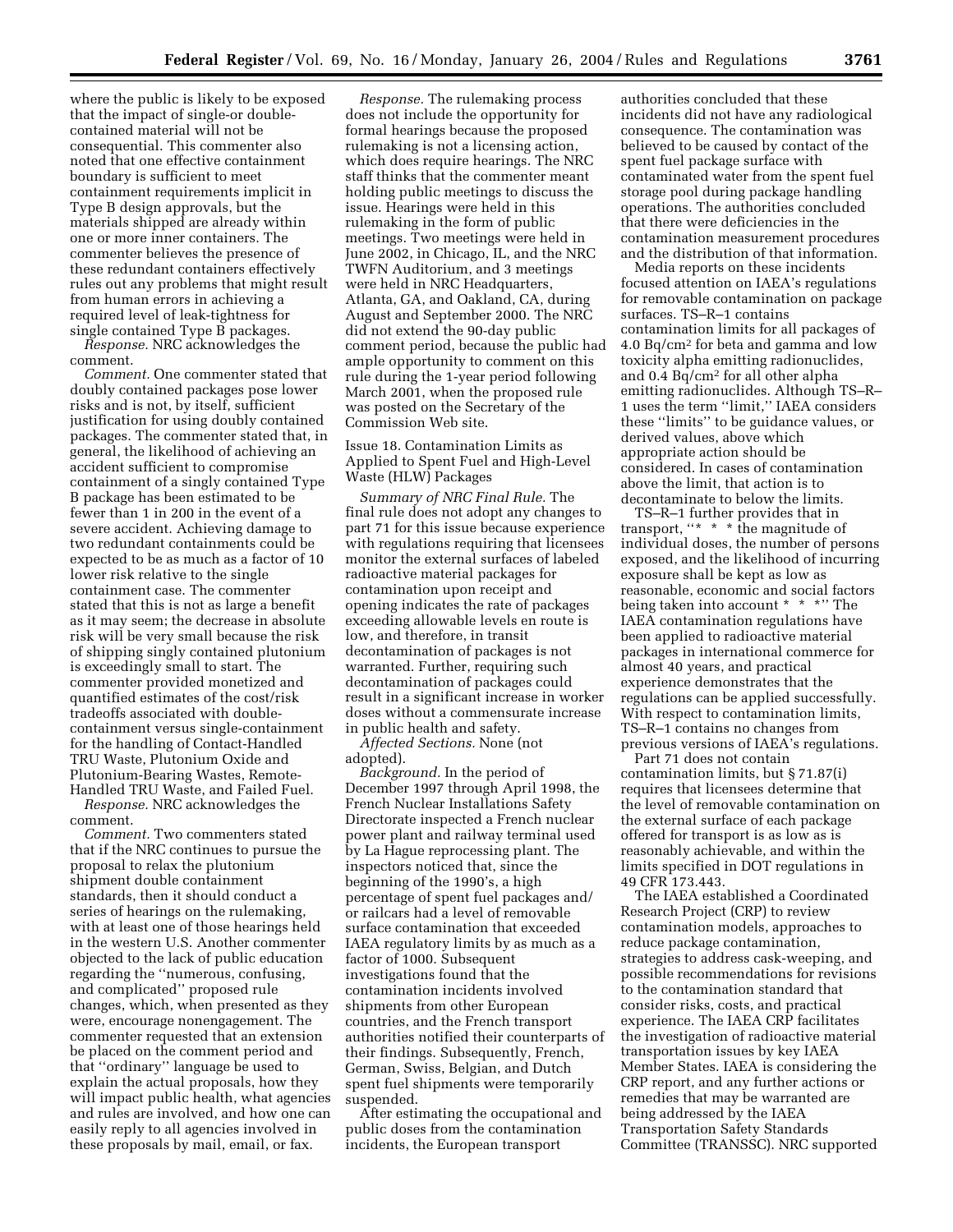where the public is likely to be exposed that the impact of single-or doublecontained material will not be consequential. This commenter also noted that one effective containment boundary is sufficient to meet containment requirements implicit in Type B design approvals, but the materials shipped are already within one or more inner containers. The commenter believes the presence of these redundant containers effectively rules out any problems that might result from human errors in achieving a required level of leak-tightness for single contained Type B packages.

*Response.* NRC acknowledges the comment.

*Comment.* One commenter stated that doubly contained packages pose lower risks and is not, by itself, sufficient justification for using doubly contained packages. The commenter stated that, in general, the likelihood of achieving an accident sufficient to compromise containment of a singly contained Type B package has been estimated to be fewer than 1 in 200 in the event of a severe accident. Achieving damage to two redundant containments could be expected to be as much as a factor of 10 lower risk relative to the single containment case. The commenter stated that this is not as large a benefit as it may seem; the decrease in absolute risk will be very small because the risk of shipping singly contained plutonium is exceedingly small to start. The commenter provided monetized and quantified estimates of the cost/risk tradeoffs associated with doublecontainment versus single-containment for the handling of Contact-Handled TRU Waste, Plutonium Oxide and Plutonium-Bearing Wastes, Remote-Handled TRU Waste, and Failed Fuel.

*Response.* NRC acknowledges the comment.

*Comment.* Two commenters stated that if the NRC continues to pursue the proposal to relax the plutonium shipment double containment standards, then it should conduct a series of hearings on the rulemaking, with at least one of those hearings held in the western U.S. Another commenter objected to the lack of public education regarding the ''numerous, confusing, and complicated'' proposed rule changes, which, when presented as they were, encourage nonengagement. The commenter requested that an extension be placed on the comment period and that ''ordinary'' language be used to explain the actual proposals, how they will impact public health, what agencies and rules are involved, and how one can easily reply to all agencies involved in these proposals by mail, email, or fax.

*Response.* The rulemaking process does not include the opportunity for formal hearings because the proposed rulemaking is not a licensing action, which does require hearings. The NRC staff thinks that the commenter meant holding public meetings to discuss the issue. Hearings were held in this rulemaking in the form of public meetings. Two meetings were held in June 2002, in Chicago, IL, and the NRC TWFN Auditorium, and 3 meetings were held in NRC Headquarters, Atlanta, GA, and Oakland, CA, during August and September 2000. The NRC did not extend the 90-day public comment period, because the public had ample opportunity to comment on this rule during the 1-year period following March 2001, when the proposed rule was posted on the Secretary of the Commission Web site.

Issue 18. Contamination Limits as Applied to Spent Fuel and High-Level Waste (HLW) Packages

*Summary of NRC Final Rule.* The final rule does not adopt any changes to part 71 for this issue because experience with regulations requiring that licensees monitor the external surfaces of labeled radioactive material packages for contamination upon receipt and opening indicates the rate of packages exceeding allowable levels en route is low, and therefore, in transit decontamination of packages is not warranted. Further, requiring such decontamination of packages could result in a significant increase in worker doses without a commensurate increase in public health and safety.

*Affected Sections.* None (not adopted).

*Background.* In the period of December 1997 through April 1998, the French Nuclear Installations Safety Directorate inspected a French nuclear power plant and railway terminal used by La Hague reprocessing plant. The inspectors noticed that, since the beginning of the 1990's, a high percentage of spent fuel packages and/ or railcars had a level of removable surface contamination that exceeded IAEA regulatory limits by as much as a factor of 1000. Subsequent investigations found that the contamination incidents involved shipments from other European countries, and the French transport authorities notified their counterparts of their findings. Subsequently, French, German, Swiss, Belgian, and Dutch spent fuel shipments were temporarily suspended.

After estimating the occupational and public doses from the contamination incidents, the European transport

authorities concluded that these incidents did not have any radiological consequence. The contamination was believed to be caused by contact of the spent fuel package surface with contaminated water from the spent fuel storage pool during package handling operations. The authorities concluded that there were deficiencies in the contamination measurement procedures and the distribution of that information.

Media reports on these incidents focused attention on IAEA's regulations for removable contamination on package surfaces. TS–R–1 contains contamination limits for all packages of 4.0 Bq/cm2 for beta and gamma and low toxicity alpha emitting radionuclides, and 0.4 Bq/cm2 for all other alpha emitting radionuclides. Although TS–R– 1 uses the term ''limit,'' IAEA considers these ''limits'' to be guidance values, or derived values, above which appropriate action should be considered. In cases of contamination above the limit, that action is to decontaminate to below the limits.

TS–R–1 further provides that in transport, "\* \* \* the magnitude of individual doses, the number of persons exposed, and the likelihood of incurring exposure shall be kept as low as reasonable, economic and social factors being taken into account \* \* \* \*'' The IAEA contamination regulations have been applied to radioactive material packages in international commerce for almost 40 years, and practical experience demonstrates that the regulations can be applied successfully. With respect to contamination limits, TS–R–1 contains no changes from previous versions of IAEA's regulations.

Part 71 does not contain contamination limits, but § 71.87(i) requires that licensees determine that the level of removable contamination on the external surface of each package offered for transport is as low as is reasonably achievable, and within the limits specified in DOT regulations in 49 CFR 173.443.

The IAEA established a Coordinated Research Project (CRP) to review contamination models, approaches to reduce package contamination, strategies to address cask-weeping, and possible recommendations for revisions to the contamination standard that consider risks, costs, and practical experience. The IAEA CRP facilitates the investigation of radioactive material transportation issues by key IAEA Member States. IAEA is considering the CRP report, and any further actions or remedies that may be warranted are being addressed by the IAEA Transportation Safety Standards Committee (TRANSSC). NRC supported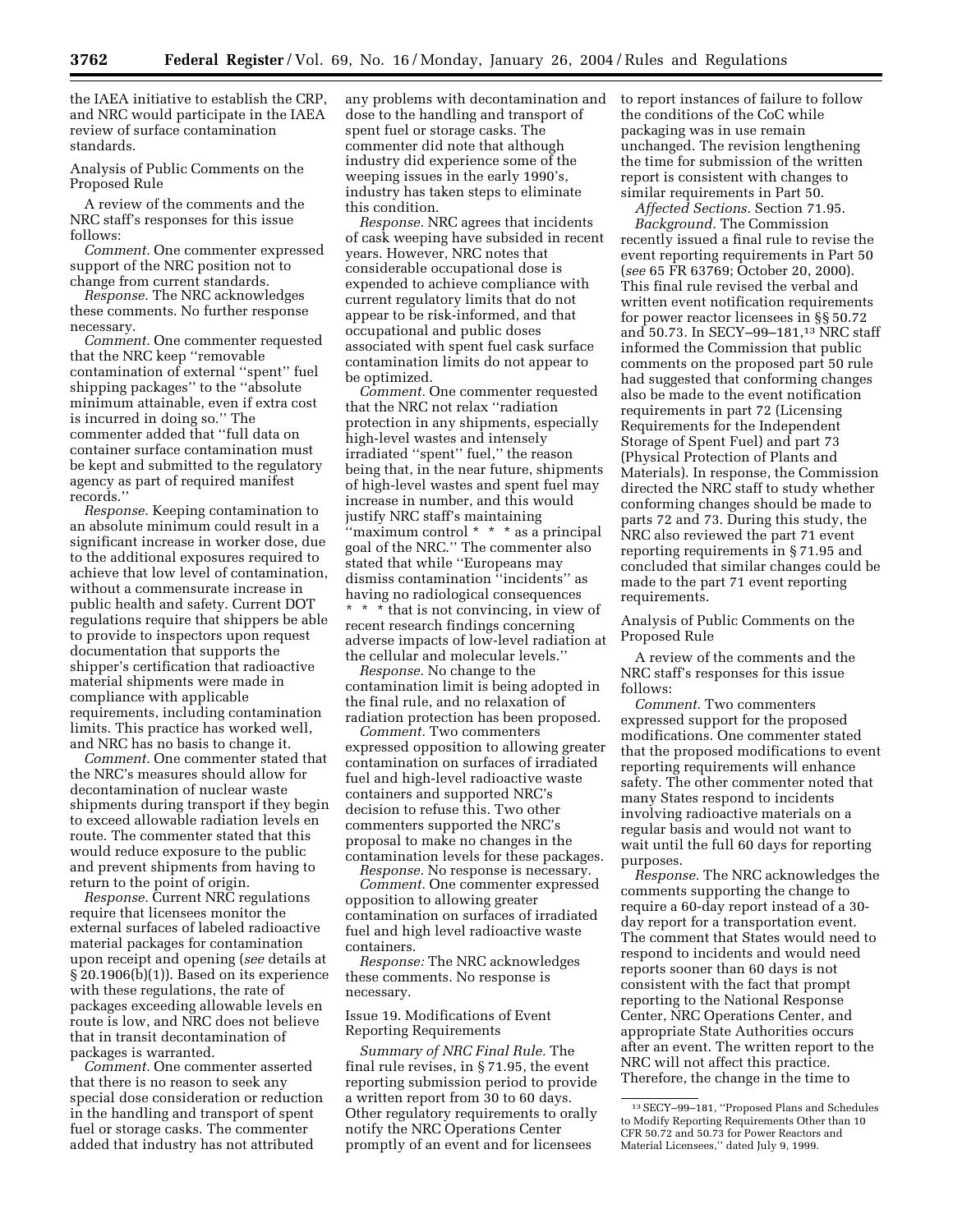the IAEA initiative to establish the CRP, and NRC would participate in the IAEA review of surface contamination standards.

Analysis of Public Comments on the Proposed Rule

A review of the comments and the NRC staff's responses for this issue follows:

*Comment.* One commenter expressed support of the NRC position not to change from current standards.

*Response.* The NRC acknowledges these comments. No further response necessary.

*Comment.* One commenter requested that the NRC keep ''removable contamination of external ''spent'' fuel shipping packages'' to the ''absolute minimum attainable, even if extra cost is incurred in doing so.'' The commenter added that ''full data on container surface contamination must be kept and submitted to the regulatory agency as part of required manifest records.''

*Response.* Keeping contamination to an absolute minimum could result in a significant increase in worker dose, due to the additional exposures required to achieve that low level of contamination, without a commensurate increase in public health and safety. Current DOT regulations require that shippers be able to provide to inspectors upon request documentation that supports the shipper's certification that radioactive material shipments were made in compliance with applicable requirements, including contamination limits. This practice has worked well, and NRC has no basis to change it.

*Comment.* One commenter stated that the NRC's measures should allow for decontamination of nuclear waste shipments during transport if they begin to exceed allowable radiation levels en route. The commenter stated that this would reduce exposure to the public and prevent shipments from having to return to the point of origin.

*Response.* Current NRC regulations require that licensees monitor the external surfaces of labeled radioactive material packages for contamination upon receipt and opening (*see* details at § 20.1906(b)(1)). Based on its experience with these regulations, the rate of packages exceeding allowable levels en route is low, and NRC does not believe that in transit decontamination of packages is warranted.

*Comment.* One commenter asserted that there is no reason to seek any special dose consideration or reduction in the handling and transport of spent fuel or storage casks. The commenter added that industry has not attributed

any problems with decontamination and dose to the handling and transport of spent fuel or storage casks. The commenter did note that although industry did experience some of the weeping issues in the early 1990's, industry has taken steps to eliminate this condition.

*Response.* NRC agrees that incidents of cask weeping have subsided in recent years. However, NRC notes that considerable occupational dose is expended to achieve compliance with current regulatory limits that do not appear to be risk-informed, and that occupational and public doses associated with spent fuel cask surface contamination limits do not appear to be optimized.

*Comment.* One commenter requested that the NRC not relax ''radiation protection in any shipments, especially high-level wastes and intensely irradiated ''spent'' fuel,'' the reason being that, in the near future, shipments of high-level wastes and spent fuel may increase in number, and this would justify NRC staff's maintaining ''maximum control \* \* \* as a principal goal of the NRC.'' The commenter also stated that while ''Europeans may dismiss contamination ''incidents'' as having no radiological consequences \* \* \* that is not convincing, in view of recent research findings concerning adverse impacts of low-level radiation at the cellular and molecular levels.''

*Response.* No change to the contamination limit is being adopted in the final rule, and no relaxation of radiation protection has been proposed.

*Comment.* Two commenters expressed opposition to allowing greater contamination on surfaces of irradiated fuel and high-level radioactive waste containers and supported NRC's decision to refuse this. Two other commenters supported the NRC's proposal to make no changes in the contamination levels for these packages.

*Response.* No response is necessary. *Comment.* One commenter expressed opposition to allowing greater contamination on surfaces of irradiated fuel and high level radioactive waste containers.

*Response:* The NRC acknowledges these comments. No response is necessary.

# Issue 19. Modifications of Event Reporting Requirements

*Summary of NRC Final Rule.* The final rule revises, in § 71.95, the event reporting submission period to provide a written report from 30 to 60 days. Other regulatory requirements to orally notify the NRC Operations Center promptly of an event and for licensees

to report instances of failure to follow the conditions of the CoC while packaging was in use remain unchanged. The revision lengthening the time for submission of the written report is consistent with changes to similar requirements in Part 50.

*Affected Sections.* Section 71.95. *Background.* The Commission recently issued a final rule to revise the event reporting requirements in Part 50 (*see* 65 FR 63769; October 20, 2000). This final rule revised the verbal and written event notification requirements for power reactor licensees in §§ 50.72 and 50.73. In SECY–99–181,13 NRC staff informed the Commission that public comments on the proposed part 50 rule had suggested that conforming changes also be made to the event notification requirements in part 72 (Licensing Requirements for the Independent Storage of Spent Fuel) and part 73 (Physical Protection of Plants and Materials). In response, the Commission directed the NRC staff to study whether conforming changes should be made to parts 72 and 73. During this study, the NRC also reviewed the part 71 event reporting requirements in § 71.95 and concluded that similar changes could be made to the part 71 event reporting requirements.

Analysis of Public Comments on the Proposed Rule

A review of the comments and the NRC staff's responses for this issue follows:

*Comment.* Two commenters expressed support for the proposed modifications. One commenter stated that the proposed modifications to event reporting requirements will enhance safety. The other commenter noted that many States respond to incidents involving radioactive materials on a regular basis and would not want to wait until the full 60 days for reporting purposes.

*Response.* The NRC acknowledges the comments supporting the change to require a 60-day report instead of a 30 day report for a transportation event. The comment that States would need to respond to incidents and would need reports sooner than 60 days is not consistent with the fact that prompt reporting to the National Response Center, NRC Operations Center, and appropriate State Authorities occurs after an event. The written report to the NRC will not affect this practice. Therefore, the change in the time to

<sup>13</sup>SECY–99–181, ''Proposed Plans and Schedules to Modify Reporting Requirements Other than 10 CFR 50.72 and 50.73 for Power Reactors and Material Licensees,'' dated July 9, 1999.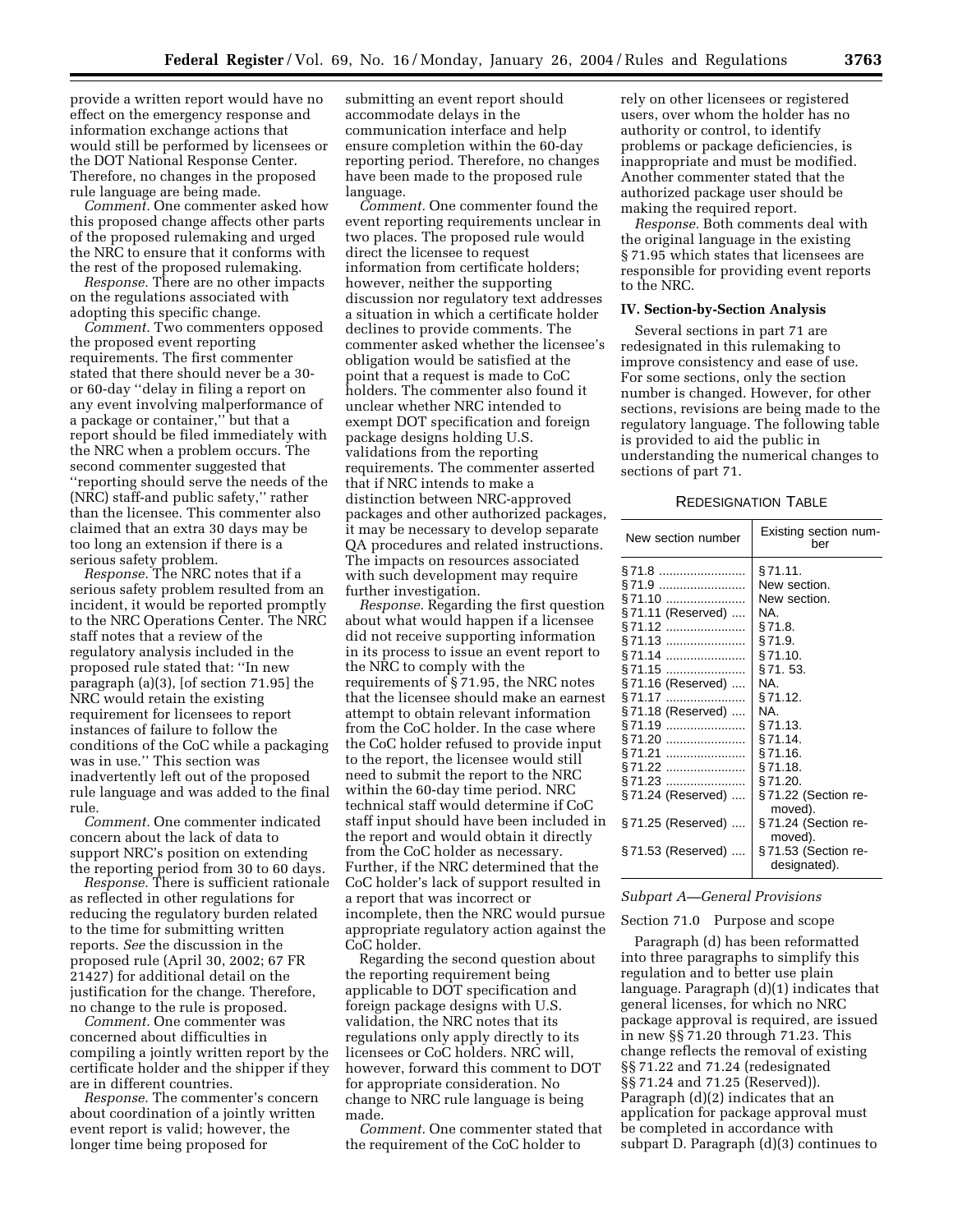provide a written report would have no effect on the emergency response and information exchange actions that would still be performed by licensees or the DOT National Response Center. Therefore, no changes in the proposed rule language are being made.

*Comment.* One commenter asked how this proposed change affects other parts of the proposed rulemaking and urged the NRC to ensure that it conforms with the rest of the proposed rulemaking.

*Response.* There are no other impacts on the regulations associated with adopting this specific change.

*Comment.* Two commenters opposed the proposed event reporting requirements. The first commenter stated that there should never be a 30 or 60-day ''delay in filing a report on any event involving malperformance of a package or container,'' but that a report should be filed immediately with the NRC when a problem occurs. The second commenter suggested that ''reporting should serve the needs of the (NRC) staff-and public safety,'' rather than the licensee. This commenter also claimed that an extra 30 days may be too long an extension if there is a serious safety problem.

*Response.* The NRC notes that if a serious safety problem resulted from an incident, it would be reported promptly to the NRC Operations Center. The NRC staff notes that a review of the regulatory analysis included in the proposed rule stated that: ''In new paragraph (a)(3), [of section 71.95] the NRC would retain the existing requirement for licensees to report instances of failure to follow the conditions of the CoC while a packaging was in use.'' This section was inadvertently left out of the proposed rule language and was added to the final rule.

*Comment.* One commenter indicated concern about the lack of data to support NRC's position on extending the reporting period from 30 to 60 days.

*Response.* There is sufficient rationale as reflected in other regulations for reducing the regulatory burden related to the time for submitting written reports. *See* the discussion in the proposed rule (April 30, 2002; 67 FR 21427) for additional detail on the justification for the change. Therefore, no change to the rule is proposed.

*Comment.* One commenter was concerned about difficulties in compiling a jointly written report by the certificate holder and the shipper if they are in different countries.

*Response.* The commenter's concern about coordination of a jointly written event report is valid; however, the longer time being proposed for

submitting an event report should accommodate delays in the communication interface and help ensure completion within the 60-day reporting period. Therefore, no changes have been made to the proposed rule language.

*Comment.* One commenter found the event reporting requirements unclear in two places. The proposed rule would direct the licensee to request information from certificate holders; however, neither the supporting discussion nor regulatory text addresses a situation in which a certificate holder declines to provide comments. The commenter asked whether the licensee's obligation would be satisfied at the point that a request is made to CoC holders. The commenter also found it unclear whether NRC intended to exempt DOT specification and foreign package designs holding U.S. validations from the reporting requirements. The commenter asserted that if NRC intends to make a distinction between NRC-approved packages and other authorized packages, it may be necessary to develop separate QA procedures and related instructions. The impacts on resources associated with such development may require further investigation.

*Response.* Regarding the first question about what would happen if a licensee did not receive supporting information in its process to issue an event report to the NRC to comply with the requirements of § 71.95, the NRC notes that the licensee should make an earnest attempt to obtain relevant information from the CoC holder. In the case where the CoC holder refused to provide input to the report, the licensee would still need to submit the report to the NRC within the 60-day time period. NRC technical staff would determine if CoC staff input should have been included in the report and would obtain it directly from the CoC holder as necessary. Further, if the NRC determined that the CoC holder's lack of support resulted in a report that was incorrect or incomplete, then the NRC would pursue appropriate regulatory action against the CoC holder.

Regarding the second question about the reporting requirement being applicable to DOT specification and foreign package designs with U.S. validation, the NRC notes that its regulations only apply directly to its licensees or CoC holders. NRC will, however, forward this comment to DOT for appropriate consideration. No change to NRC rule language is being made.

*Comment.* One commenter stated that the requirement of the CoC holder to

rely on other licensees or registered users, over whom the holder has no authority or control, to identify problems or package deficiencies, is inappropriate and must be modified. Another commenter stated that the authorized package user should be making the required report.

*Response.* Both comments deal with the original language in the existing § 71.95 which states that licensees are responsible for providing event reports to the NRC.

## **IV. Section-by-Section Analysis**

Several sections in part 71 are redesignated in this rulemaking to improve consistency and ease of use. For some sections, only the section number is changed. However, for other sections, revisions are being made to the regulatory language. The following table is provided to aid the public in understanding the numerical changes to sections of part 71.

#### REDESIGNATION TABLE

| New section number                                                                                                                                                                                                                                                                                      | Existing section num-<br>ber                                                                                                                                                                                                                                                        |
|---------------------------------------------------------------------------------------------------------------------------------------------------------------------------------------------------------------------------------------------------------------------------------------------------------|-------------------------------------------------------------------------------------------------------------------------------------------------------------------------------------------------------------------------------------------------------------------------------------|
| §71.8 ……………………<br>§71.9 ……………………<br>§71.10<br>§71.11 (Reserved)<br>§71.12<br>§71.13<br>§71.14 ……………………<br>§71.15<br>§71.16 (Reserved)<br>§71.17 ……………………<br>§71.18 (Reserved)<br>§71.19 ……………………<br>§71.20<br>§71.21<br>§71.22<br>§71.23<br>§71.24 (Reserved)<br>§71.25 (Reserved)<br>§71.53 (Reserved) | §71.11.<br>New section.<br>New section.<br>NA.<br>§71.8.<br>§71.9.<br>§71.10.<br>§71.53.<br>NA.<br>§71.12.<br>NA.<br>§71.13.<br>§71.14.<br>§71.16.<br>§71.18.<br>§71.20.<br>§71.22 (Section re-<br>moved).<br>§71.24 (Section re-<br>moved).<br>§71.53 (Section re-<br>designated). |

# *Subpart A—General Provisions*

Section 71.0 Purpose and scope

Paragraph (d) has been reformatted into three paragraphs to simplify this regulation and to better use plain language. Paragraph (d)(1) indicates that general licenses, for which no NRC package approval is required, are issued in new §§ 71.20 through 71.23. This change reflects the removal of existing §§ 71.22 and 71.24 (redesignated §§ 71.24 and 71.25 (Reserved)). Paragraph (d)(2) indicates that an application for package approval must be completed in accordance with subpart D. Paragraph (d)(3) continues to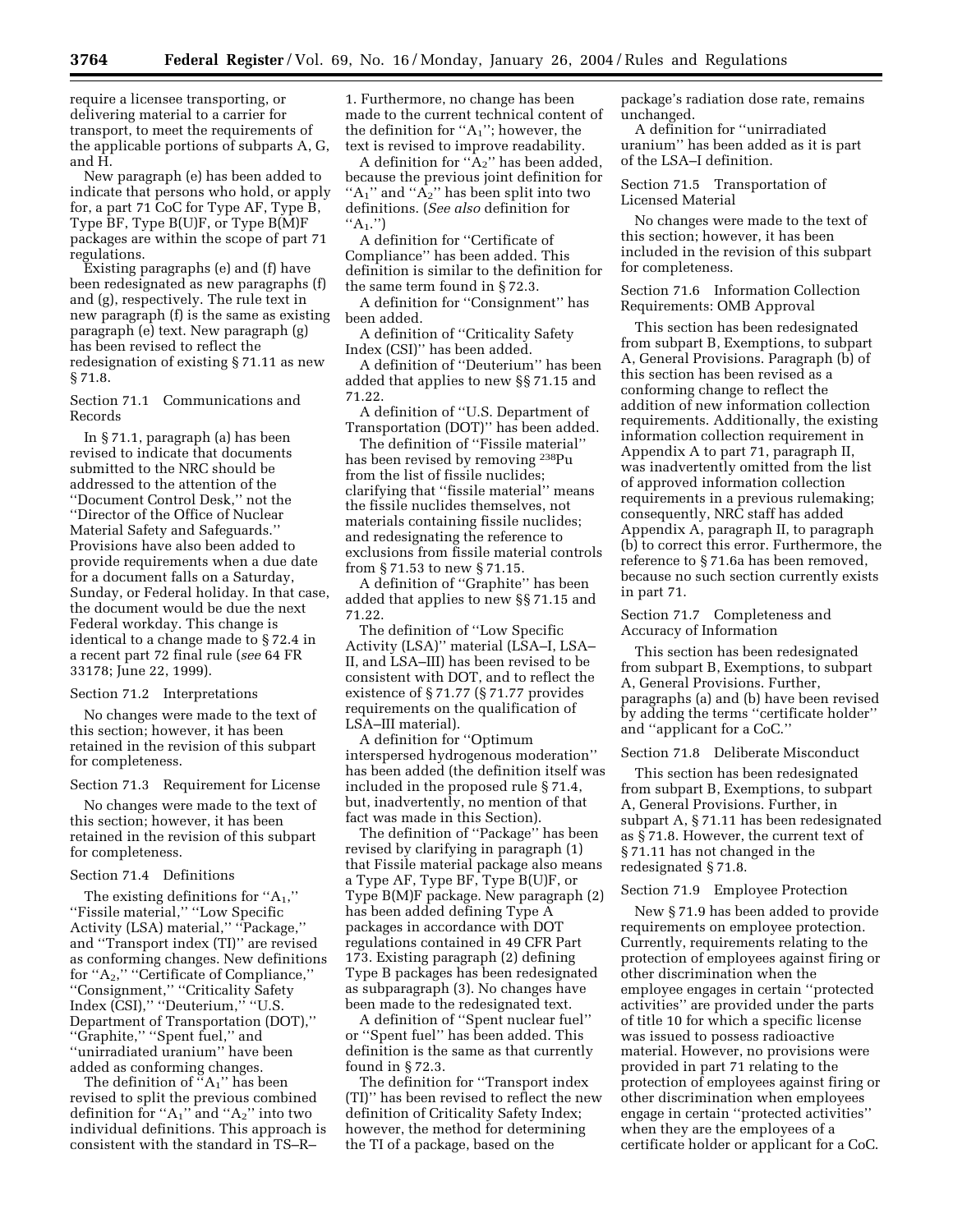require a licensee transporting, or delivering material to a carrier for transport, to meet the requirements of the applicable portions of subparts A, G, and H.

New paragraph (e) has been added to indicate that persons who hold, or apply for, a part 71 CoC for Type AF, Type B, Type BF, Type B(U)F, or Type B(M)F packages are within the scope of part 71 regulations.

Existing paragraphs (e) and (f) have been redesignated as new paragraphs (f) and (g), respectively. The rule text in new paragraph (f) is the same as existing paragraph (e) text. New paragraph (g) has been revised to reflect the redesignation of existing § 71.11 as new § 71.8.

Section 71.1 Communications and Records

In § 71.1, paragraph (a) has been revised to indicate that documents submitted to the NRC should be addressed to the attention of the ''Document Control Desk,'' not the ''Director of the Office of Nuclear Material Safety and Safeguards.'' Provisions have also been added to provide requirements when a due date for a document falls on a Saturday, Sunday, or Federal holiday. In that case, the document would be due the next Federal workday. This change is identical to a change made to § 72.4 in a recent part 72 final rule (*see* 64 FR 33178; June 22, 1999).

### Section 71.2 Interpretations

No changes were made to the text of this section; however, it has been retained in the revision of this subpart for completeness.

## Section 71.3 Requirement for License

No changes were made to the text of this section; however, it has been retained in the revision of this subpart for completeness.

## Section 71.4 Definitions

The existing definitions for " $A_1$ ," ''Fissile material,'' ''Low Specific Activity (LSA) material,'' ''Package,'' and ''Transport index (TI)'' are revised as conforming changes. New definitions for "A<sub>2</sub>," "Certificate of Compliance," ''Consignment,'' ''Criticality Safety Index (CSI),'' ''Deuterium,'' ''U.S. Department of Transportation (DOT),'' ''Graphite,'' ''Spent fuel,'' and ''unirradiated uranium'' have been added as conforming changes.

The definition of  $A_1$ " has been revised to split the previous combined definition for " $A_1$ " and " $A_2$ " into two individual definitions. This approach is consistent with the standard in TS–R–

1. Furthermore, no change has been made to the current technical content of the definition for " $A_1$ "; however, the text is revised to improve readability.

A definition for " $A_2$ " has been added, because the previous joint definition for " $A_1$ " and " $A_2$ " has been split into two definitions. (*See also* definition for  $"A_1."$ 

A definition for ''Certificate of Compliance'' has been added. This definition is similar to the definition for the same term found in § 72.3.

A definition for ''Consignment'' has been added.

A definition of ''Criticality Safety Index (CSI)'' has been added.

A definition of ''Deuterium'' has been added that applies to new §§ 71.15 and 71.22.

A definition of ''U.S. Department of Transportation (DOT)'' has been added.

The definition of ''Fissile material'' has been revised by removing 238Pu from the list of fissile nuclides; clarifying that ''fissile material'' means the fissile nuclides themselves, not materials containing fissile nuclides; and redesignating the reference to exclusions from fissile material controls from § 71.53 to new § 71.15.

A definition of ''Graphite'' has been added that applies to new §§ 71.15 and 71.22.

The definition of ''Low Specific Activity (LSA)'' material (LSA–I, LSA– II, and LSA–III) has been revised to be consistent with DOT, and to reflect the existence of § 71.77 (§ 71.77 provides requirements on the qualification of LSA–III material).

A definition for ''Optimum interspersed hydrogenous moderation'' has been added (the definition itself was included in the proposed rule § 71.4, but, inadvertently, no mention of that fact was made in this Section).

The definition of ''Package'' has been revised by clarifying in paragraph (1) that Fissile material package also means a Type AF, Type BF, Type B(U)F, or Type B(M)F package. New paragraph (2) has been added defining Type A packages in accordance with DOT regulations contained in 49 CFR Part 173. Existing paragraph (2) defining Type B packages has been redesignated as subparagraph (3). No changes have been made to the redesignated text.

A definition of ''Spent nuclear fuel'' or ''Spent fuel'' has been added. This definition is the same as that currently found in § 72.3.

The definition for ''Transport index (TI)'' has been revised to reflect the new definition of Criticality Safety Index; however, the method for determining the TI of a package, based on the

package's radiation dose rate, remains unchanged.

A definition for ''unirradiated uranium'' has been added as it is part of the LSA–I definition.

Section 71.5 Transportation of Licensed Material

No changes were made to the text of this section; however, it has been included in the revision of this subpart for completeness.

Section 71.6 Information Collection Requirements: OMB Approval

This section has been redesignated from subpart B, Exemptions, to subpart A, General Provisions. Paragraph (b) of this section has been revised as a conforming change to reflect the addition of new information collection requirements. Additionally, the existing information collection requirement in Appendix A to part 71, paragraph II, was inadvertently omitted from the list of approved information collection requirements in a previous rulemaking; consequently, NRC staff has added Appendix A, paragraph II, to paragraph (b) to correct this error. Furthermore, the reference to § 71.6a has been removed, because no such section currently exists in part 71.

Section 71.7 Completeness and Accuracy of Information

This section has been redesignated from subpart B, Exemptions, to subpart A, General Provisions. Further, paragraphs (a) and (b) have been revised by adding the terms ''certificate holder'' and ''applicant for a CoC.''

### Section 71.8 Deliberate Misconduct

This section has been redesignated from subpart B, Exemptions, to subpart A, General Provisions. Further, in subpart A, § 71.11 has been redesignated as § 71.8. However, the current text of § 71.11 has not changed in the redesignated § 71.8.

### Section 71.9 Employee Protection

New § 71.9 has been added to provide requirements on employee protection. Currently, requirements relating to the protection of employees against firing or other discrimination when the employee engages in certain ''protected activities'' are provided under the parts of title 10 for which a specific license was issued to possess radioactive material. However, no provisions were provided in part 71 relating to the protection of employees against firing or other discrimination when employees engage in certain ''protected activities'' when they are the employees of a certificate holder or applicant for a CoC.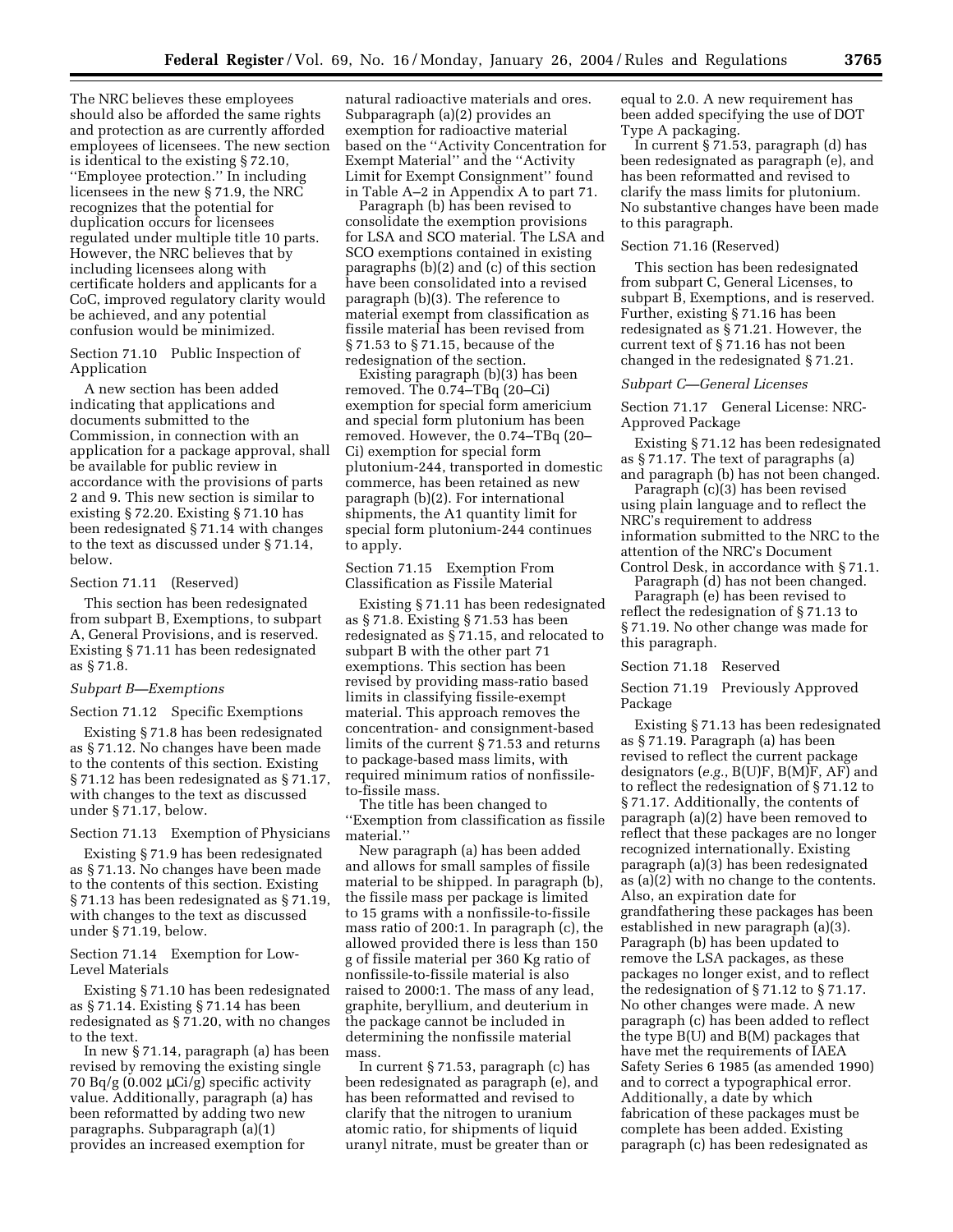The NRC believes these employees should also be afforded the same rights and protection as are currently afforded employees of licensees. The new section is identical to the existing § 72.10, ''Employee protection.'' In including licensees in the new § 71.9, the NRC recognizes that the potential for duplication occurs for licensees regulated under multiple title 10 parts. However, the NRC believes that by including licensees along with certificate holders and applicants for a CoC, improved regulatory clarity would be achieved, and any potential confusion would be minimized.

Section 71.10 Public Inspection of Application

A new section has been added indicating that applications and documents submitted to the Commission, in connection with an application for a package approval, shall be available for public review in accordance with the provisions of parts 2 and 9. This new section is similar to existing § 72.20. Existing § 71.10 has been redesignated § 71.14 with changes to the text as discussed under § 71.14, below.

### Section 71.11 (Reserved)

This section has been redesignated from subpart B, Exemptions, to subpart A, General Provisions, and is reserved. Existing § 71.11 has been redesignated as § 71.8.

#### *Subpart B—Exemptions*

Section 71.12 Specific Exemptions

Existing § 71.8 has been redesignated as § 71.12. No changes have been made to the contents of this section. Existing § 71.12 has been redesignated as § 71.17, with changes to the text as discussed under § 71.17, below.

#### Section 71.13 Exemption of Physicians

Existing § 71.9 has been redesignated as § 71.13. No changes have been made to the contents of this section. Existing § 71.13 has been redesignated as § 71.19, with changes to the text as discussed under § 71.19, below.

Section 71.14 Exemption for Low-Level Materials

Existing § 71.10 has been redesignated as § 71.14. Existing § 71.14 has been redesignated as § 71.20, with no changes to the text.

In new § 71.14, paragraph (a) has been revised by removing the existing single 70  $Bq/g$  (0.002  $\mu$ Ci/g) specific activity value. Additionally, paragraph (a) has been reformatted by adding two new paragraphs. Subparagraph (a)(1) provides an increased exemption for

natural radioactive materials and ores. Subparagraph (a)(2) provides an exemption for radioactive material based on the ''Activity Concentration for Exempt Material'' and the ''Activity Limit for Exempt Consignment'' found in Table A–2 in Appendix A to part 71.

Paragraph (b) has been revised to consolidate the exemption provisions for LSA and SCO material. The LSA and SCO exemptions contained in existing paragraphs (b)(2) and (c) of this section have been consolidated into a revised paragraph (b)(3). The reference to material exempt from classification as fissile material has been revised from § 71.53 to § 71.15, because of the redesignation of the section.

Existing paragraph (b)(3) has been removed. The 0.74–TBq (20–Ci) exemption for special form americium and special form plutonium has been removed. However, the 0.74–TBq (20– Ci) exemption for special form plutonium-244, transported in domestic commerce, has been retained as new paragraph (b)(2). For international shipments, the A1 quantity limit for special form plutonium-244 continues to apply.

Section 71.15 Exemption From Classification as Fissile Material

Existing § 71.11 has been redesignated as § 71.8. Existing § 71.53 has been redesignated as § 71.15, and relocated to subpart B with the other part 71 exemptions. This section has been revised by providing mass-ratio based limits in classifying fissile-exempt material. This approach removes the concentration- and consignment-based limits of the current § 71.53 and returns to package-based mass limits, with required minimum ratios of nonfissileto-fissile mass.

The title has been changed to ''Exemption from classification as fissile material.''

New paragraph (a) has been added and allows for small samples of fissile material to be shipped. In paragraph (b), the fissile mass per package is limited to 15 grams with a nonfissile-to-fissile mass ratio of 200:1. In paragraph (c), the allowed provided there is less than 150 g of fissile material per 360 Kg ratio of nonfissile-to-fissile material is also raised to 2000:1. The mass of any lead, graphite, beryllium, and deuterium in the package cannot be included in determining the nonfissile material mass.

In current § 71.53, paragraph (c) has been redesignated as paragraph (e), and has been reformatted and revised to clarify that the nitrogen to uranium atomic ratio, for shipments of liquid uranyl nitrate, must be greater than or

equal to 2.0. A new requirement has been added specifying the use of DOT Type A packaging.

In current § 71.53, paragraph (d) has been redesignated as paragraph (e), and has been reformatted and revised to clarify the mass limits for plutonium. No substantive changes have been made to this paragraph.

### Section 71.16 (Reserved)

This section has been redesignated from subpart C, General Licenses, to subpart B, Exemptions, and is reserved. Further, existing § 71.16 has been redesignated as § 71.21. However, the current text of § 71.16 has not been changed in the redesignated § 71.21.

# *Subpart C—General Licenses*

Section 71.17 General License: NRC-Approved Package

Existing § 71.12 has been redesignated as  $\S 71.17$ . The text of paragraphs (a) and paragraph (b) has not been changed.

Paragraph (c)(3) has been revised using plain language and to reflect the NRC's requirement to address information submitted to the NRC to the attention of the NRC's Document Control Desk, in accordance with § 71.1.

Paragraph (d) has not been changed. Paragraph (e) has been revised to reflect the redesignation of § 71.13 to § 71.19. No other change was made for this paragraph.

Section 71.18 Reserved

Section 71.19 Previously Approved Package

Existing § 71.13 has been redesignated as § 71.19. Paragraph (a) has been revised to reflect the current package designators (*e.g.*, B(U)F, B(M)F, AF) and to reflect the redesignation of § 71.12 to § 71.17. Additionally, the contents of paragraph (a)(2) have been removed to reflect that these packages are no longer recognized internationally. Existing paragraph (a)(3) has been redesignated as (a)(2) with no change to the contents. Also, an expiration date for grandfathering these packages has been established in new paragraph (a)(3). Paragraph (b) has been updated to remove the LSA packages, as these packages no longer exist, and to reflect the redesignation of § 71.12 to § 71.17. No other changes were made. A new paragraph (c) has been added to reflect the type B(U) and B(M) packages that have met the requirements of IAEA Safety Series 6 1985 (as amended 1990) and to correct a typographical error. Additionally, a date by which fabrication of these packages must be complete has been added. Existing paragraph (c) has been redesignated as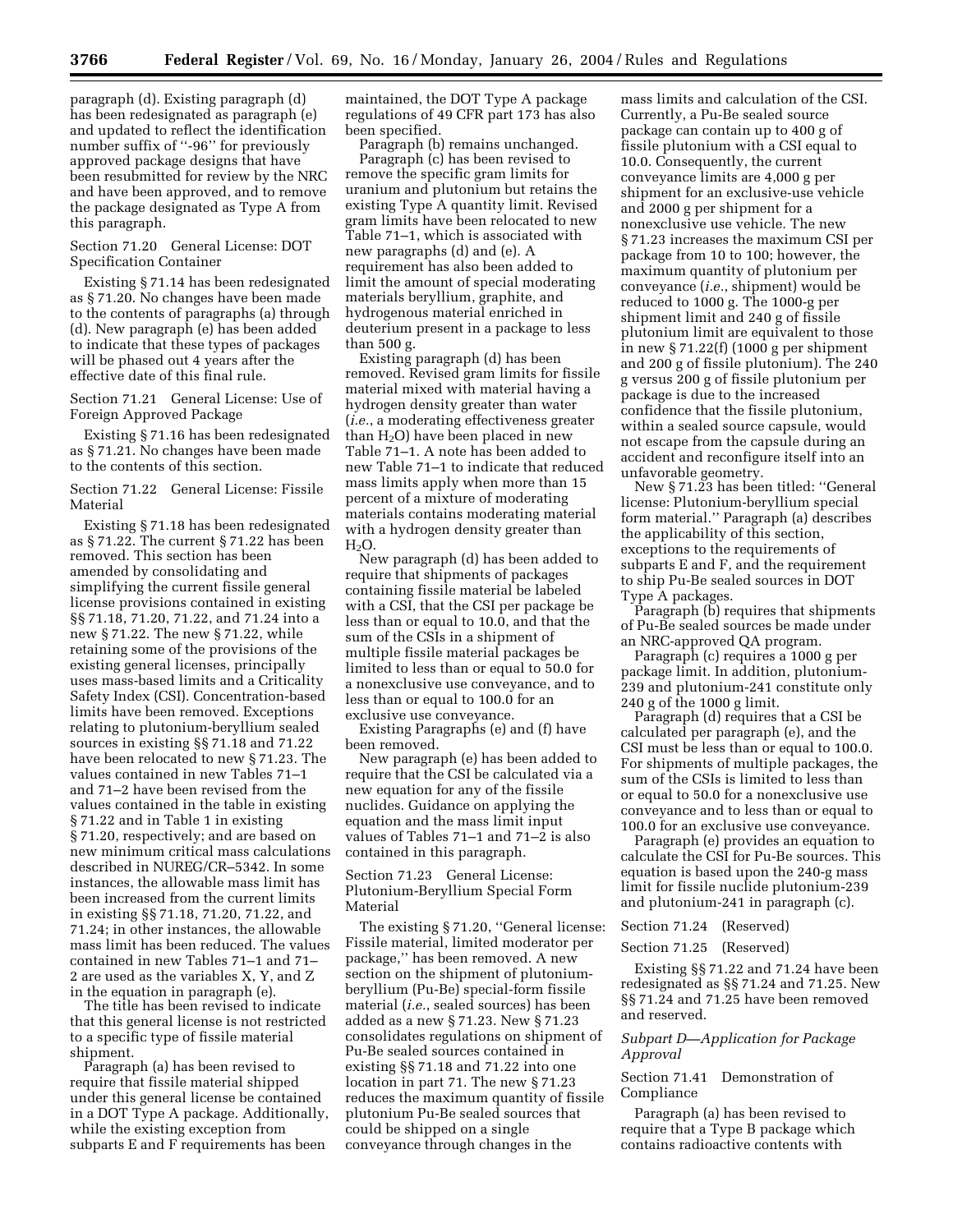paragraph (d). Existing paragraph (d) has been redesignated as paragraph (e) and updated to reflect the identification number suffix of ''-96'' for previously approved package designs that have been resubmitted for review by the NRC and have been approved, and to remove the package designated as Type A from this paragraph.

# Section 71.20 General License: DOT Specification Container

Existing § 71.14 has been redesignated as § 71.20. No changes have been made to the contents of paragraphs (a) through (d). New paragraph (e) has been added to indicate that these types of packages will be phased out 4 years after the effective date of this final rule.

Section 71.21 General License: Use of Foreign Approved Package

Existing § 71.16 has been redesignated as § 71.21. No changes have been made to the contents of this section.

Section 71.22 General License: Fissile Material

Existing § 71.18 has been redesignated as § 71.22. The current § 71.22 has been removed. This section has been amended by consolidating and simplifying the current fissile general license provisions contained in existing §§ 71.18, 71.20, 71.22, and 71.24 into a new § 71.22. The new § 71.22, while retaining some of the provisions of the existing general licenses, principally uses mass-based limits and a Criticality Safety Index (CSI). Concentration-based limits have been removed. Exceptions relating to plutonium-beryllium sealed sources in existing §§ 71.18 and 71.22 have been relocated to new § 71.23. The values contained in new Tables 71–1 and 71–2 have been revised from the values contained in the table in existing § 71.22 and in Table 1 in existing § 71.20, respectively; and are based on new minimum critical mass calculations described in NUREG/CR–5342. In some instances, the allowable mass limit has been increased from the current limits in existing §§ 71.18, 71.20, 71.22, and 71.24; in other instances, the allowable mass limit has been reduced. The values contained in new Tables 71–1 and 71– 2 are used as the variables X, Y, and Z in the equation in paragraph (e).

The title has been revised to indicate that this general license is not restricted to a specific type of fissile material shipment.

Paragraph (a) has been revised to require that fissile material shipped under this general license be contained in a DOT Type A package. Additionally, while the existing exception from subparts E and F requirements has been

maintained, the DOT Type A package regulations of 49 CFR part 173 has also been specified.

Paragraph (b) remains unchanged. Paragraph (c) has been revised to remove the specific gram limits for uranium and plutonium but retains the existing Type A quantity limit. Revised gram limits have been relocated to new Table 71–1, which is associated with new paragraphs (d) and (e). A requirement has also been added to limit the amount of special moderating materials beryllium, graphite, and hydrogenous material enriched in deuterium present in a package to less than 500 g.

Existing paragraph (d) has been removed. Revised gram limits for fissile material mixed with material having a hydrogen density greater than water (*i.e.*, a moderating effectiveness greater than  $H_2O$ ) have been placed in new Table 71–1. A note has been added to new Table 71–1 to indicate that reduced mass limits apply when more than 15 percent of a mixture of moderating materials contains moderating material with a hydrogen density greater than  $H<sub>2</sub>O$ .

New paragraph (d) has been added to require that shipments of packages containing fissile material be labeled with a CSI, that the CSI per package be less than or equal to 10.0, and that the sum of the CSIs in a shipment of multiple fissile material packages be limited to less than or equal to 50.0 for a nonexclusive use conveyance, and to less than or equal to 100.0 for an exclusive use conveyance.

Existing Paragraphs (e) and (f) have been removed.

New paragraph (e) has been added to require that the CSI be calculated via a new equation for any of the fissile nuclides. Guidance on applying the equation and the mass limit input values of Tables 71–1 and 71–2 is also contained in this paragraph.

Section 71.23 General License: Plutonium-Beryllium Special Form Material

The existing § 71.20, ''General license: Fissile material, limited moderator per package,'' has been removed. A new section on the shipment of plutoniumberyllium (Pu-Be) special-form fissile material (*i.e.*, sealed sources) has been added as a new § 71.23. New § 71.23 consolidates regulations on shipment of Pu-Be sealed sources contained in existing §§ 71.18 and 71.22 into one location in part 71. The new § 71.23 reduces the maximum quantity of fissile plutonium Pu-Be sealed sources that could be shipped on a single conveyance through changes in the

mass limits and calculation of the CSI. Currently, a Pu-Be sealed source package can contain up to 400 g of fissile plutonium with a CSI equal to 10.0. Consequently, the current conveyance limits are 4,000 g per shipment for an exclusive-use vehicle and 2000 g per shipment for a nonexclusive use vehicle. The new § 71.23 increases the maximum CSI per package from 10 to 100; however, the maximum quantity of plutonium per conveyance (*i.e.*, shipment) would be reduced to 1000 g. The 1000-g per shipment limit and 240 g of fissile plutonium limit are equivalent to those in new § 71.22(f) (1000 g per shipment and 200 g of fissile plutonium). The 240 g versus 200 g of fissile plutonium per package is due to the increased confidence that the fissile plutonium, within a sealed source capsule, would not escape from the capsule during an accident and reconfigure itself into an unfavorable geometry.

New § 71.23 has been titled: ''General license: Plutonium-beryllium special form material.'' Paragraph (a) describes the applicability of this section, exceptions to the requirements of subparts E and F, and the requirement to ship Pu-Be sealed sources in DOT Type A packages.

Paragraph (b) requires that shipments of Pu-Be sealed sources be made under an NRC-approved QA program.

Paragraph (c) requires a 1000 g per package limit. In addition, plutonium-239 and plutonium-241 constitute only 240 g of the 1000 g limit.

Paragraph (d) requires that a CSI be calculated per paragraph (e), and the CSI must be less than or equal to 100.0. For shipments of multiple packages, the sum of the CSIs is limited to less than or equal to 50.0 for a nonexclusive use conveyance and to less than or equal to 100.0 for an exclusive use conveyance.

Paragraph (e) provides an equation to calculate the CSI for Pu-Be sources. This equation is based upon the 240-g mass limit for fissile nuclide plutonium-239 and plutonium-241 in paragraph (c).

Section 71.24 (Reserved)

Section 71.25 (Reserved)

Existing §§ 71.22 and 71.24 have been redesignated as §§ 71.24 and 71.25. New §§ 71.24 and 71.25 have been removed and reserved.

# *Subpart D—Application for Package Approval*

Section 71.41 Demonstration of Compliance

Paragraph (a) has been revised to require that a Type B package which contains radioactive contents with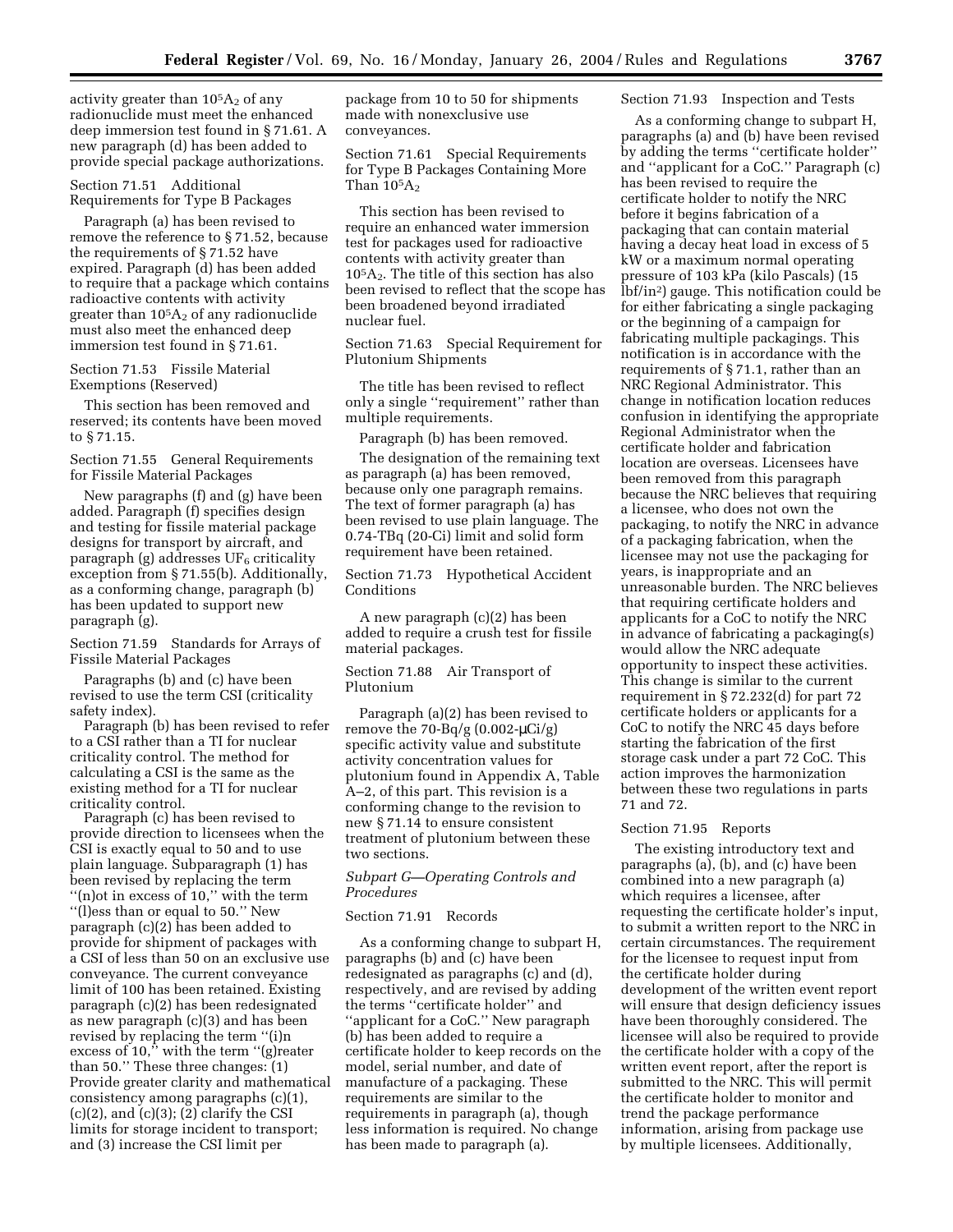activity greater than  $10<sup>5</sup>A<sub>2</sub>$  of any radionuclide must meet the enhanced deep immersion test found in § 71.61. A new paragraph (d) has been added to provide special package authorizations.

## Section 71.51 Additional Requirements for Type B Packages

Paragraph (a) has been revised to remove the reference to § 71.52, because the requirements of § 71.52 have expired. Paragraph (d) has been added to require that a package which contains radioactive contents with activity greater than  $10<sup>5</sup>A<sub>2</sub>$  of any radionuclide must also meet the enhanced deep immersion test found in § 71.61.

Section 71.53 Fissile Material Exemptions (Reserved)

This section has been removed and reserved; its contents have been moved to § 71.15.

Section 71.55 General Requirements for Fissile Material Packages

New paragraphs (f) and (g) have been added. Paragraph (f) specifies design and testing for fissile material package designs for transport by aircraft, and paragraph (g) addresses  $UF<sub>6</sub>$  criticality exception from § 71.55(b). Additionally, as a conforming change, paragraph (b) has been updated to support new paragraph (g).

Section 71.59 Standards for Arrays of Fissile Material Packages

Paragraphs (b) and (c) have been revised to use the term CSI (criticality safety index).

Paragraph (b) has been revised to refer to a CSI rather than a TI for nuclear criticality control. The method for calculating a CSI is the same as the existing method for a TI for nuclear criticality control.

Paragraph (c) has been revised to provide direction to licensees when the CSI is exactly equal to 50 and to use plain language. Subparagraph (1) has been revised by replacing the term ''(n)ot in excess of 10,'' with the term ''(l)ess than or equal to 50.'' New paragraph (c)(2) has been added to provide for shipment of packages with a CSI of less than 50 on an exclusive use conveyance. The current conveyance limit of 100 has been retained. Existing paragraph (c)(2) has been redesignated as new paragraph (c)(3) and has been revised by replacing the term "(i)n excess of 10,'' with the term ''(g)reater than 50.'' These three changes: (1) Provide greater clarity and mathematical consistency among paragraphs (c)(1),  $(c)(2)$ , and  $(c)(3)$ ;  $(2)$  clarify the CSI limits for storage incident to transport; and (3) increase the CSI limit per

package from 10 to 50 for shipments made with nonexclusive use conveyances.

Section 71.61 Special Requirements for Type B Packages Containing More Than  $10<sup>5</sup>A<sub>2</sub>$ 

This section has been revised to require an enhanced water immersion test for packages used for radioactive contents with activity greater than 105A2. The title of this section has also been revised to reflect that the scope has been broadened beyond irradiated nuclear fuel.

Section 71.63 Special Requirement for Plutonium Shipments

The title has been revised to reflect only a single ''requirement'' rather than multiple requirements.

Paragraph (b) has been removed.

The designation of the remaining text as paragraph (a) has been removed, because only one paragraph remains. The text of former paragraph (a) has been revised to use plain language. The 0.74-TBq (20-Ci) limit and solid form requirement have been retained.

Section 71.73 Hypothetical Accident Conditions

A new paragraph (c)(2) has been added to require a crush test for fissile material packages.

Section 71.88 Air Transport of Plutonium

Paragraph (a)(2) has been revised to remove the 70-Bq/g  $(0.002-\mu\text{Ci/g})$ specific activity value and substitute activity concentration values for plutonium found in Appendix A, Table A–2, of this part. This revision is a conforming change to the revision to new § 71.14 to ensure consistent treatment of plutonium between these two sections.

*Subpart G—Operating Controls and Procedures* 

# Section 71.91 Records

As a conforming change to subpart H, paragraphs (b) and (c) have been redesignated as paragraphs (c) and (d), respectively, and are revised by adding the terms ''certificate holder'' and ''applicant for a CoC.'' New paragraph (b) has been added to require a certificate holder to keep records on the model, serial number, and date of manufacture of a packaging. These requirements are similar to the requirements in paragraph (a), though less information is required. No change has been made to paragraph (a).

# Section 71.93 Inspection and Tests

As a conforming change to subpart H, paragraphs (a) and (b) have been revised by adding the terms ''certificate holder'' and ''applicant for a CoC.'' Paragraph (c) has been revised to require the certificate holder to notify the NRC before it begins fabrication of a packaging that can contain material having a decay heat load in excess of 5 kW or a maximum normal operating pressure of 103 kPa (kilo Pascals) (15 lbf/in2) gauge. This notification could be for either fabricating a single packaging or the beginning of a campaign for fabricating multiple packagings. This notification is in accordance with the requirements of § 71.1, rather than an NRC Regional Administrator. This change in notification location reduces confusion in identifying the appropriate Regional Administrator when the certificate holder and fabrication location are overseas. Licensees have been removed from this paragraph because the NRC believes that requiring a licensee, who does not own the packaging, to notify the NRC in advance of a packaging fabrication, when the licensee may not use the packaging for years, is inappropriate and an unreasonable burden. The NRC believes that requiring certificate holders and applicants for a CoC to notify the NRC in advance of fabricating a packaging(s) would allow the NRC adequate opportunity to inspect these activities. This change is similar to the current requirement in § 72.232(d) for part 72 certificate holders or applicants for a CoC to notify the NRC 45 days before starting the fabrication of the first storage cask under a part 72 CoC. This action improves the harmonization between these two regulations in parts 71 and 72.

#### Section 71.95 Reports

The existing introductory text and paragraphs (a), (b), and (c) have been combined into a new paragraph (a) which requires a licensee, after requesting the certificate holder's input, to submit a written report to the NRC in certain circumstances. The requirement for the licensee to request input from the certificate holder during development of the written event report will ensure that design deficiency issues have been thoroughly considered. The licensee will also be required to provide the certificate holder with a copy of the written event report, after the report is submitted to the NRC. This will permit the certificate holder to monitor and trend the package performance information, arising from package use by multiple licensees. Additionally,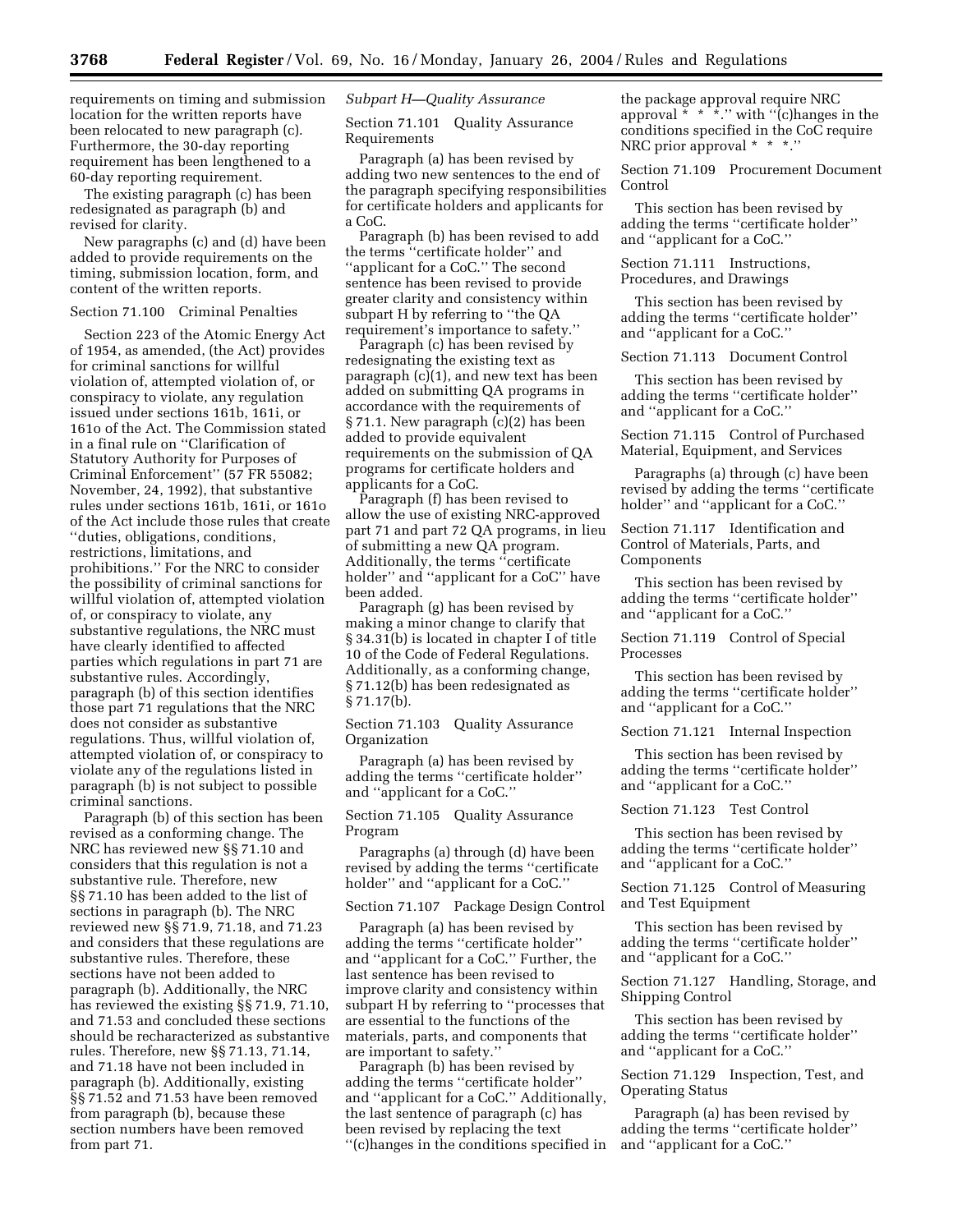requirements on timing and submission location for the written reports have been relocated to new paragraph (c). Furthermore, the 30-day reporting requirement has been lengthened to a 60-day reporting requirement.

The existing paragraph (c) has been redesignated as paragraph (b) and revised for clarity.

New paragraphs (c) and (d) have been added to provide requirements on the timing, submission location, form, and content of the written reports.

#### Section 71.100 Criminal Penalties

Section 223 of the Atomic Energy Act of 1954, as amended, (the Act) provides for criminal sanctions for willful violation of, attempted violation of, or conspiracy to violate, any regulation issued under sections 161b, 161i, or 161o of the Act. The Commission stated in a final rule on ''Clarification of Statutory Authority for Purposes of Criminal Enforcement'' (57 FR 55082; November, 24, 1992), that substantive rules under sections 161b, 161i, or 161o of the Act include those rules that create ''duties, obligations, conditions, restrictions, limitations, and prohibitions.'' For the NRC to consider the possibility of criminal sanctions for willful violation of, attempted violation of, or conspiracy to violate, any substantive regulations, the NRC must have clearly identified to affected parties which regulations in part 71 are substantive rules. Accordingly, paragraph (b) of this section identifies those part 71 regulations that the NRC does not consider as substantive regulations. Thus, willful violation of, attempted violation of, or conspiracy to violate any of the regulations listed in paragraph (b) is not subject to possible criminal sanctions.

Paragraph (b) of this section has been revised as a conforming change. The NRC has reviewed new §§ 71.10 and considers that this regulation is not a substantive rule. Therefore, new §§ 71.10 has been added to the list of sections in paragraph (b). The NRC reviewed new §§ 71.9, 71.18, and 71.23 and considers that these regulations are substantive rules. Therefore, these sections have not been added to paragraph (b). Additionally, the NRC has reviewed the existing §§ 71.9, 71.10, and 71.53 and concluded these sections should be recharacterized as substantive rules. Therefore, new §§ 71.13, 71.14, and 71.18 have not been included in paragraph (b). Additionally, existing §§ 71.52 and 71.53 have been removed from paragraph (b), because these section numbers have been removed from part 71.

# *Subpart H—Quality Assurance*

Section 71.101 Quality Assurance Requirements

Paragraph (a) has been revised by adding two new sentences to the end of the paragraph specifying responsibilities for certificate holders and applicants for a CoC.

Paragraph (b) has been revised to add the terms ''certificate holder'' and ''applicant for a CoC.'' The second sentence has been revised to provide greater clarity and consistency within subpart H by referring to ''the QA requirement's importance to safety.''

Paragraph (c) has been revised by redesignating the existing text as paragraph (c)(1), and new text has been added on submitting QA programs in accordance with the requirements of § 71.1. New paragraph (c)(2) has been added to provide equivalent requirements on the submission of QA programs for certificate holders and applicants for a CoC.

Paragraph (f) has been revised to allow the use of existing NRC-approved part 71 and part 72 QA programs, in lieu of submitting a new QA program. Additionally, the terms ''certificate holder'' and ''applicant for a CoC'' have been added.

Paragraph (g) has been revised by making a minor change to clarify that § 34.31(b) is located in chapter I of title 10 of the Code of Federal Regulations. Additionally, as a conforming change, § 71.12(b) has been redesignated as § 71.17(b).

Section 71.103 Quality Assurance **Organization** 

Paragraph (a) has been revised by adding the terms ''certificate holder'' and ''applicant for a CoC.''

Section 71.105 Quality Assurance Program

Paragraphs (a) through (d) have been revised by adding the terms ''certificate holder'' and ''applicant for a CoC.''

Section 71.107 Package Design Control

Paragraph (a) has been revised by adding the terms ''certificate holder'' and ''applicant for a CoC.'' Further, the last sentence has been revised to improve clarity and consistency within subpart H by referring to ''processes that are essential to the functions of the materials, parts, and components that are important to safety.''

Paragraph (b) has been revised by adding the terms ''certificate holder'' and ''applicant for a CoC.'' Additionally, the last sentence of paragraph (c) has been revised by replacing the text ''(c)hanges in the conditions specified in

the package approval require NRC approval  $\overline{X}$   $\overline{X}$   $\overline{Y}$ ." with "(c) hanges in the conditions specified in the CoC require NRC prior approval \* \* \*.''

Section 71.109 Procurement Document Control

This section has been revised by adding the terms ''certificate holder'' and ''applicant for a CoC.''

Section 71.111 Instructions, Procedures, and Drawings

This section has been revised by adding the terms ''certificate holder'' and ''applicant for a CoC.''

Section 71.113 Document Control

This section has been revised by adding the terms ''certificate holder'' and ''applicant for a CoC.''

Section 71.115 Control of Purchased Material, Equipment, and Services

Paragraphs (a) through (c) have been revised by adding the terms ''certificate holder'' and ''applicant for a CoC.''

Section 71.117 Identification and Control of Materials, Parts, and Components

This section has been revised by adding the terms ''certificate holder'' and ''applicant for a CoC.''

Section 71.119 Control of Special Processes

This section has been revised by adding the terms ''certificate holder'' and ''applicant for a CoC.''

Section 71.121 Internal Inspection

This section has been revised by adding the terms ''certificate holder'' and ''applicant for a CoC.''

Section 71.123 Test Control

This section has been revised by adding the terms ''certificate holder'' and ''applicant for a CoC.''

Section 71.125 Control of Measuring and Test Equipment

This section has been revised by adding the terms ''certificate holder'' and ''applicant for a CoC.''

Section 71.127 Handling, Storage, and Shipping Control

This section has been revised by adding the terms ''certificate holder'' and ''applicant for a CoC.''

Section 71.129 Inspection, Test, and Operating Status

Paragraph (a) has been revised by adding the terms ''certificate holder'' and ''applicant for a CoC.''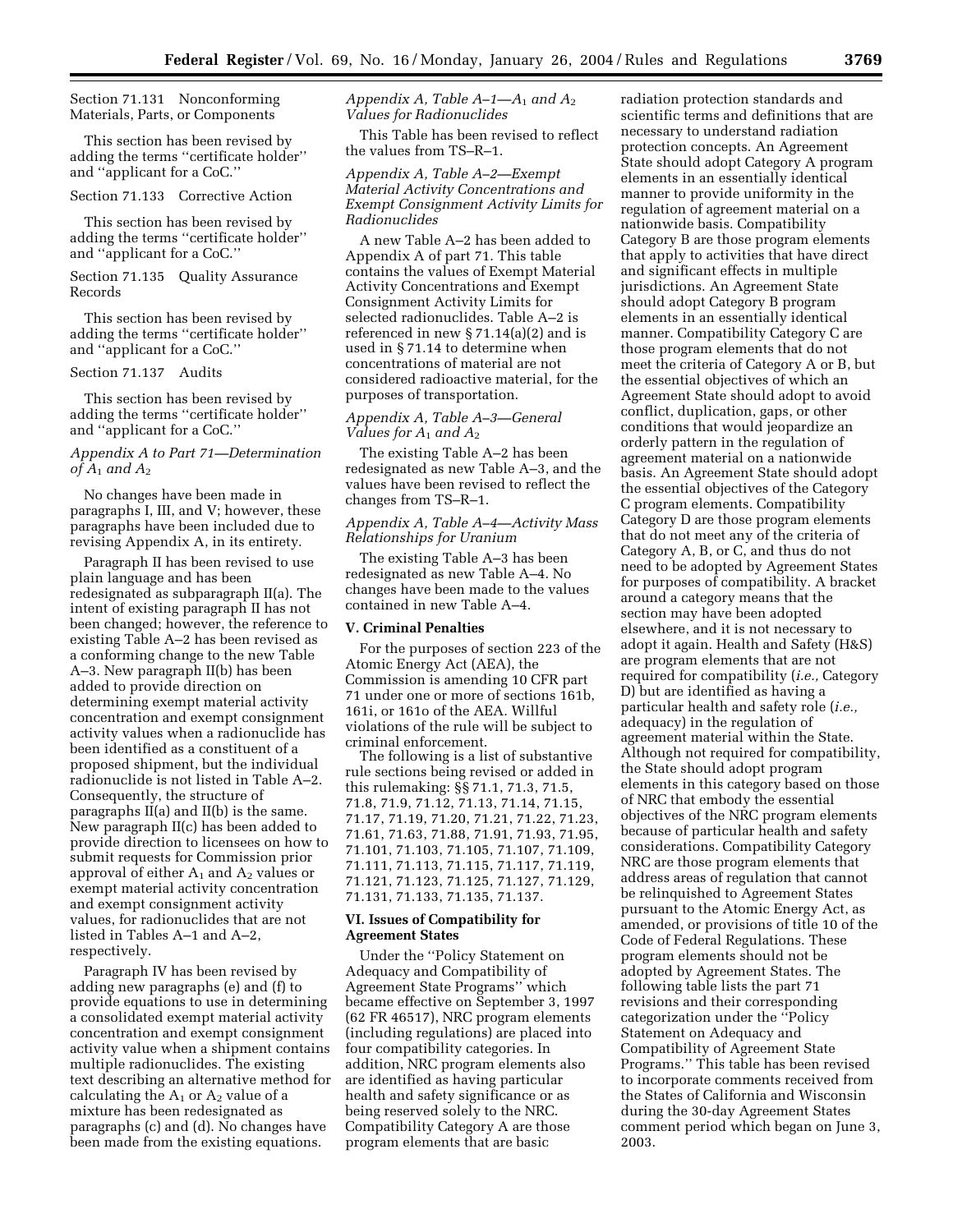Section 71.131 Nonconforming Materials, Parts, or Components

This section has been revised by adding the terms ''certificate holder'' and ''applicant for a CoC.''

#### Section 71.133 Corrective Action

This section has been revised by adding the terms ''certificate holder'' and ''applicant for a CoC.''

### Section 71.135 Quality Assurance Records

This section has been revised by adding the terms ''certificate holder'' and ''applicant for a CoC.''

#### Section 71.137 Audits

This section has been revised by adding the terms ''certificate holder'' and ''applicant for a CoC.''

## *Appendix A to Part 71—Determination of A*1 *and A*2

No changes have been made in paragraphs I, III, and V; however, these paragraphs have been included due to revising Appendix A, in its entirety.

Paragraph II has been revised to use plain language and has been redesignated as subparagraph II(a). The intent of existing paragraph II has not been changed; however, the reference to existing Table A–2 has been revised as a conforming change to the new Table A–3. New paragraph II(b) has been added to provide direction on determining exempt material activity concentration and exempt consignment activity values when a radionuclide has been identified as a constituent of a proposed shipment, but the individual radionuclide is not listed in Table A–2. Consequently, the structure of paragraphs II(a) and II(b) is the same. New paragraph II(c) has been added to provide direction to licensees on how to submit requests for Commission prior approval of either  $A_1$  and  $A_2$  values or exempt material activity concentration and exempt consignment activity values, for radionuclides that are not listed in Tables A–1 and A–2, respectively.

Paragraph IV has been revised by adding new paragraphs (e) and (f) to provide equations to use in determining a consolidated exempt material activity concentration and exempt consignment activity value when a shipment contains multiple radionuclides. The existing text describing an alternative method for calculating the  $A_1$  or  $A_2$  value of a mixture has been redesignated as paragraphs (c) and (d). No changes have been made from the existing equations.

*Appendix A, Table A–1—A*1 *and A*2 *Values for Radionuclides* 

This Table has been revised to reflect the values from TS–R–1.

## *Appendix A, Table A–2—Exempt Material Activity Concentrations and Exempt Consignment Activity Limits for Radionuclides*

A new Table A–2 has been added to Appendix A of part 71. This table contains the values of Exempt Material Activity Concentrations and Exempt Consignment Activity Limits for selected radionuclides. Table A–2 is referenced in new § 71.14(a)(2) and is used in § 71.14 to determine when concentrations of material are not considered radioactive material, for the purposes of transportation.

## *Appendix A, Table A–3—General Values for A*1 *and A*2

The existing Table A–2 has been redesignated as new Table A–3, and the values have been revised to reflect the changes from TS–R–1.

## *Appendix A, Table A–4—Activity Mass Relationships for Uranium*

The existing Table A–3 has been redesignated as new Table A–4. No changes have been made to the values contained in new Table A–4.

#### **V. Criminal Penalties**

For the purposes of section 223 of the Atomic Energy Act (AEA), the Commission is amending 10 CFR part 71 under one or more of sections 161b, 161i, or 161o of the AEA. Willful violations of the rule will be subject to criminal enforcement.

The following is a list of substantive rule sections being revised or added in this rulemaking: §§ 71.1, 71.3, 71.5, 71.8, 71.9, 71.12, 71.13, 71.14, 71.15, 71.17, 71.19, 71.20, 71.21, 71.22, 71.23, 71.61, 71.63, 71.88, 71.91, 71.93, 71.95, 71.101, 71.103, 71.105, 71.107, 71.109, 71.111, 71.113, 71.115, 71.117, 71.119, 71.121, 71.123, 71.125, 71.127, 71.129, 71.131, 71.133, 71.135, 71.137.

#### **VI. Issues of Compatibility for Agreement States**

Under the ''Policy Statement on Adequacy and Compatibility of Agreement State Programs'' which became effective on September 3, 1997 (62 FR 46517), NRC program elements (including regulations) are placed into four compatibility categories. In addition, NRC program elements also are identified as having particular health and safety significance or as being reserved solely to the NRC. Compatibility Category A are those program elements that are basic

radiation protection standards and scientific terms and definitions that are necessary to understand radiation protection concepts. An Agreement State should adopt Category A program elements in an essentially identical manner to provide uniformity in the regulation of agreement material on a nationwide basis. Compatibility Category B are those program elements that apply to activities that have direct and significant effects in multiple jurisdictions. An Agreement State should adopt Category B program elements in an essentially identical manner. Compatibility Category C are those program elements that do not meet the criteria of Category A or B, but the essential objectives of which an Agreement State should adopt to avoid conflict, duplication, gaps, or other conditions that would jeopardize an orderly pattern in the regulation of agreement material on a nationwide basis. An Agreement State should adopt the essential objectives of the Category C program elements. Compatibility Category D are those program elements that do not meet any of the criteria of Category A, B, or C, and thus do not need to be adopted by Agreement States for purposes of compatibility. A bracket around a category means that the section may have been adopted elsewhere, and it is not necessary to adopt it again. Health and Safety (H&S) are program elements that are not required for compatibility (*i.e.,* Category D) but are identified as having a particular health and safety role (*i.e.,* adequacy) in the regulation of agreement material within the State. Although not required for compatibility, the State should adopt program elements in this category based on those of NRC that embody the essential objectives of the NRC program elements because of particular health and safety considerations. Compatibility Category NRC are those program elements that address areas of regulation that cannot be relinquished to Agreement States pursuant to the Atomic Energy Act, as amended, or provisions of title 10 of the Code of Federal Regulations. These program elements should not be adopted by Agreement States. The following table lists the part 71 revisions and their corresponding categorization under the ''Policy Statement on Adequacy and Compatibility of Agreement State Programs.'' This table has been revised to incorporate comments received from the States of California and Wisconsin during the 30-day Agreement States comment period which began on June 3, 2003.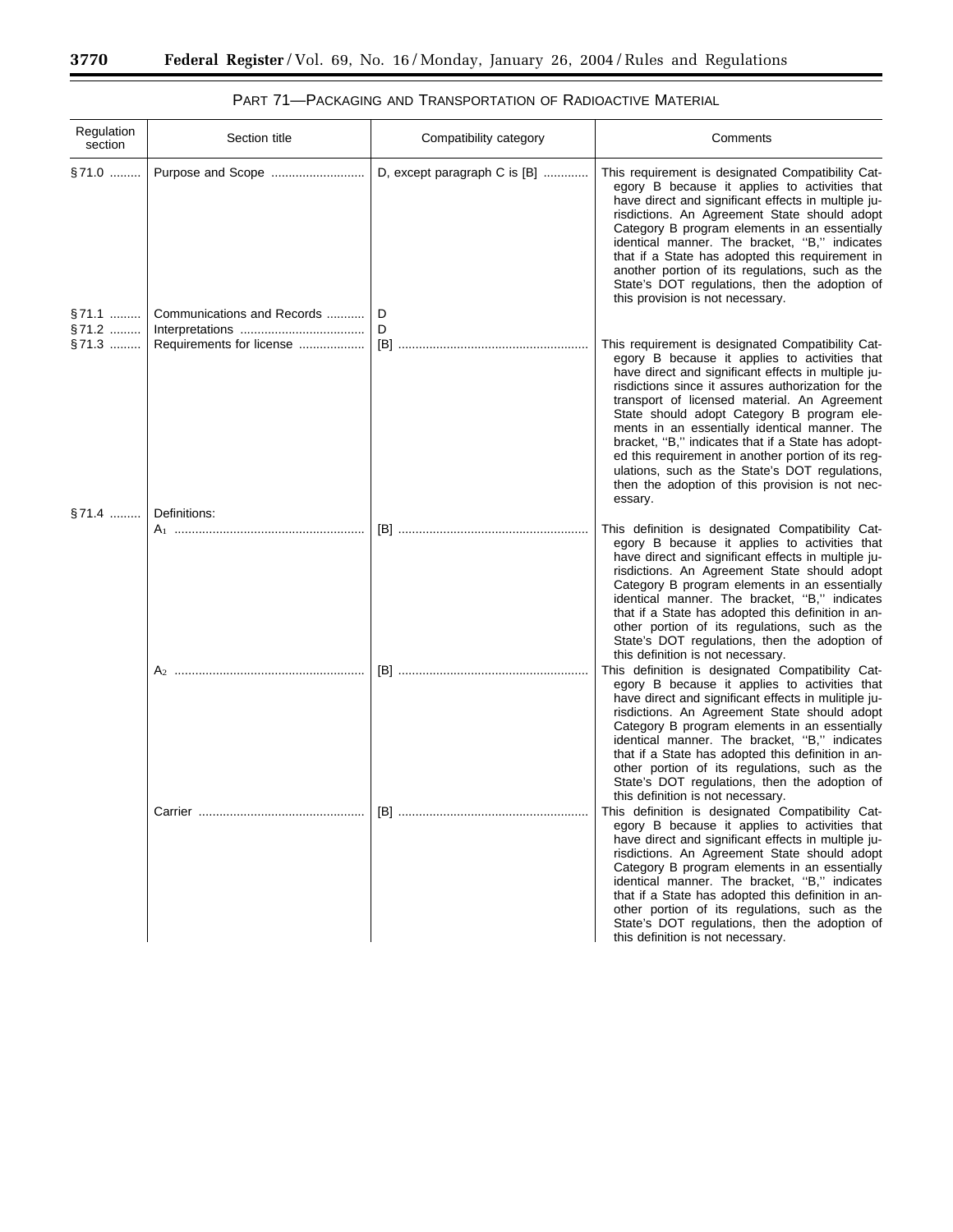| Regulation<br>section | Section title                            | Compatibility category       | Comments                                                                                                                                                                                                                                                                                                                                                                                                                                                                                                                                                                                   |
|-----------------------|------------------------------------------|------------------------------|--------------------------------------------------------------------------------------------------------------------------------------------------------------------------------------------------------------------------------------------------------------------------------------------------------------------------------------------------------------------------------------------------------------------------------------------------------------------------------------------------------------------------------------------------------------------------------------------|
| §71.0                 | Purpose and Scope                        | D, except paragraph C is [B] | This requirement is designated Compatibility Cat-<br>egory B because it applies to activities that<br>have direct and significant effects in multiple ju-<br>risdictions. An Agreement State should adopt<br>Category B program elements in an essentially<br>identical manner. The bracket, "B," indicates<br>that if a State has adopted this requirement in<br>another portion of its regulations, such as the<br>State's DOT regulations, then the adoption of<br>this provision is not necessary.                                                                                     |
| §71.1                 | Communications and Records               | D                            |                                                                                                                                                                                                                                                                                                                                                                                                                                                                                                                                                                                            |
| §71.2                 |                                          | D                            |                                                                                                                                                                                                                                                                                                                                                                                                                                                                                                                                                                                            |
| §71.3<br>§71.4        | Requirements for license<br>Definitions: |                              | This requirement is designated Compatibility Cat-<br>egory B because it applies to activities that<br>have direct and significant effects in multiple ju-<br>risdictions since it assures authorization for the<br>transport of licensed material. An Agreement<br>State should adopt Category B program ele-<br>ments in an essentially identical manner. The<br>bracket, "B," indicates that if a State has adopt-<br>ed this requirement in another portion of its reg-<br>ulations, such as the State's DOT regulations,<br>then the adoption of this provision is not nec-<br>essary. |
|                       |                                          |                              | This definition is designated Compatibility Cat-                                                                                                                                                                                                                                                                                                                                                                                                                                                                                                                                           |
|                       |                                          |                              | egory B because it applies to activities that<br>have direct and significant effects in multiple ju-<br>risdictions. An Agreement State should adopt<br>Category B program elements in an essentially<br>identical manner. The bracket, "B," indicates<br>that if a State has adopted this definition in an-<br>other portion of its regulations, such as the<br>State's DOT regulations, then the adoption of<br>this definition is not necessary.                                                                                                                                        |
|                       |                                          |                              | This definition is designated Compatibility Cat-<br>egory B because it applies to activities that<br>have direct and significant effects in mulitiple ju-<br>risdictions. An Agreement State should adopt<br>Category B program elements in an essentially<br>identical manner. The bracket, "B," indicates<br>that if a State has adopted this definition in an-<br>other portion of its regulations, such as the<br>State's DOT regulations, then the adoption of<br>this definition is not necessary.                                                                                   |
|                       |                                          |                              | This definition is designated Compatibility Cat-<br>egory B because it applies to activities that<br>have direct and significant effects in multiple ju-<br>risdictions. An Agreement State should adopt<br>Category B program elements in an essentially<br>identical manner. The bracket, "B," indicates<br>that if a State has adopted this definition in an-<br>other portion of its regulations, such as the<br>State's DOT regulations, then the adoption of<br>this definition is not necessary.                                                                                    |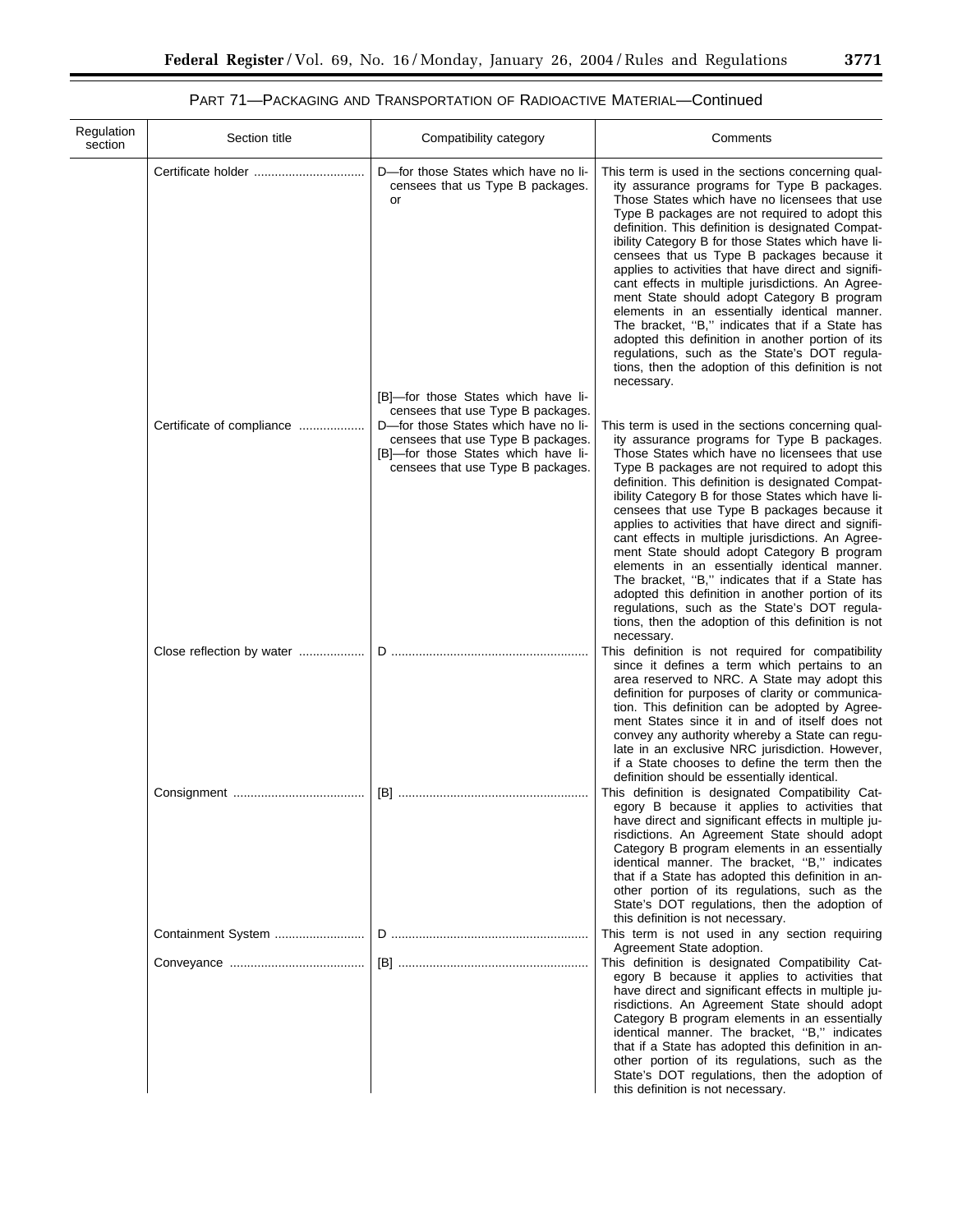| Regulation<br>section | Section title             | Compatibility category                                                                                                                                | Comments                                                                                                                                                                                                                                                                                                                                                                                                                                                                                                                                                                                                                                                                                                                                                                                            |
|-----------------------|---------------------------|-------------------------------------------------------------------------------------------------------------------------------------------------------|-----------------------------------------------------------------------------------------------------------------------------------------------------------------------------------------------------------------------------------------------------------------------------------------------------------------------------------------------------------------------------------------------------------------------------------------------------------------------------------------------------------------------------------------------------------------------------------------------------------------------------------------------------------------------------------------------------------------------------------------------------------------------------------------------------|
|                       | Certificate holder        | D-for those States which have no li-<br>censees that us Type B packages.<br>or                                                                        | This term is used in the sections concerning qual-<br>ity assurance programs for Type B packages.<br>Those States which have no licensees that use<br>Type B packages are not required to adopt this<br>definition. This definition is designated Compat-<br>ibility Category B for those States which have li-<br>censees that us Type B packages because it<br>applies to activities that have direct and signifi-<br>cant effects in multiple jurisdictions. An Agree-<br>ment State should adopt Category B program<br>elements in an essentially identical manner.<br>The bracket, "B," indicates that if a State has<br>adopted this definition in another portion of its<br>regulations, such as the State's DOT regula-<br>tions, then the adoption of this definition is not<br>necessary. |
|                       |                           | [B]-for those States which have li-<br>censees that use Type B packages.                                                                              |                                                                                                                                                                                                                                                                                                                                                                                                                                                                                                                                                                                                                                                                                                                                                                                                     |
|                       | Certificate of compliance | D-for those States which have no li-<br>censees that use Type B packages.<br>[B]-for those States which have li-<br>censees that use Type B packages. | This term is used in the sections concerning qual-<br>ity assurance programs for Type B packages.<br>Those States which have no licensees that use<br>Type B packages are not required to adopt this<br>definition. This definition is designated Compat-<br>ibility Category B for those States which have li-                                                                                                                                                                                                                                                                                                                                                                                                                                                                                     |
|                       |                           |                                                                                                                                                       | censees that use Type B packages because it<br>applies to activities that have direct and signifi-<br>cant effects in multiple jurisdictions. An Agree-<br>ment State should adopt Category B program<br>elements in an essentially identical manner.<br>The bracket, "B," indicates that if a State has<br>adopted this definition in another portion of its<br>regulations, such as the State's DOT regula-<br>tions, then the adoption of this definition is not<br>necessary.                                                                                                                                                                                                                                                                                                                   |
|                       | Close reflection by water |                                                                                                                                                       | This definition is not required for compatibility<br>since it defines a term which pertains to an<br>area reserved to NRC. A State may adopt this<br>definition for purposes of clarity or communica-<br>tion. This definition can be adopted by Agree-<br>ment States since it in and of itself does not<br>convey any authority whereby a State can regu-<br>late in an exclusive NRC jurisdiction. However,<br>if a State chooses to define the term then the<br>definition should be essentially identical.                                                                                                                                                                                                                                                                                     |
|                       |                           |                                                                                                                                                       | This definition is designated Compatibility Cat-<br>egory B because it applies to activities that<br>have direct and significant effects in multiple ju-<br>risdictions. An Agreement State should adopt<br>Category B program elements in an essentially<br>identical manner. The bracket, "B," indicates<br>that if a State has adopted this definition in an-<br>other portion of its regulations, such as the<br>State's DOT regulations, then the adoption of<br>this definition is not necessary.                                                                                                                                                                                                                                                                                             |
|                       | Containment System        |                                                                                                                                                       | This term is not used in any section requiring                                                                                                                                                                                                                                                                                                                                                                                                                                                                                                                                                                                                                                                                                                                                                      |
|                       |                           |                                                                                                                                                       | Agreement State adoption.<br>This definition is designated Compatibility Cat-<br>egory B because it applies to activities that<br>have direct and significant effects in multiple ju-<br>risdictions. An Agreement State should adopt<br>Category B program elements in an essentially<br>identical manner. The bracket, "B," indicates<br>that if a State has adopted this definition in an-<br>other portion of its regulations, such as the<br>State's DOT regulations, then the adoption of<br>this definition is not necessary.                                                                                                                                                                                                                                                                |

## PART 71—PACKAGING AND TRANSPORTATION OF RADIOACTIVE MATERIAL—Continued

▀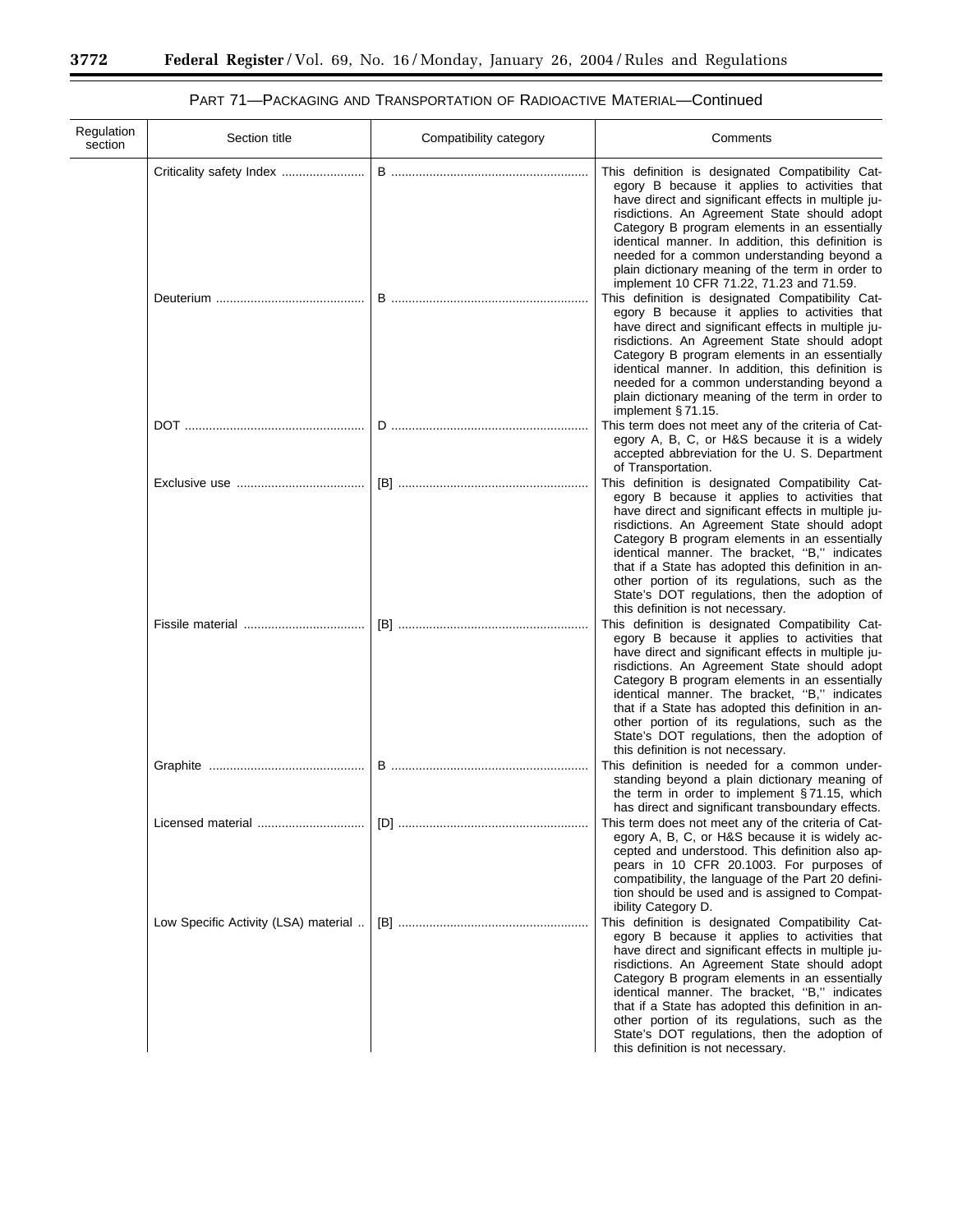۲

| Regulation<br>section | Section title                        | Compatibility category | Comments                                                                                                                                                                                                                                                                                                                                                                                                                                                                                                |
|-----------------------|--------------------------------------|------------------------|---------------------------------------------------------------------------------------------------------------------------------------------------------------------------------------------------------------------------------------------------------------------------------------------------------------------------------------------------------------------------------------------------------------------------------------------------------------------------------------------------------|
|                       | Criticality safety Index             |                        | This definition is designated Compatibility Cat-<br>egory B because it applies to activities that<br>have direct and significant effects in multiple ju-<br>risdictions. An Agreement State should adopt<br>Category B program elements in an essentially<br>identical manner. In addition, this definition is<br>needed for a common understanding beyond a<br>plain dictionary meaning of the term in order to<br>implement 10 CFR 71.22, 71.23 and 71.59.                                            |
|                       |                                      | <b>B</b>               | This definition is designated Compatibility Cat-<br>egory B because it applies to activities that<br>have direct and significant effects in multiple ju-<br>risdictions. An Agreement State should adopt<br>Category B program elements in an essentially<br>identical manner. In addition, this definition is<br>needed for a common understanding beyond a<br>plain dictionary meaning of the term in order to<br>implement $§$ 71.15.                                                                |
|                       |                                      |                        | This term does not meet any of the criteria of Cat-<br>egory A, B, C, or H&S because it is a widely<br>accepted abbreviation for the U.S. Department<br>of Transportation.                                                                                                                                                                                                                                                                                                                              |
|                       |                                      |                        | This definition is designated Compatibility Cat-<br>egory B because it applies to activities that<br>have direct and significant effects in multiple ju-<br>risdictions. An Agreement State should adopt<br>Category B program elements in an essentially<br>identical manner. The bracket, "B," indicates<br>that if a State has adopted this definition in an-<br>other portion of its regulations, such as the<br>State's DOT regulations, then the adoption of<br>this definition is not necessary. |
|                       |                                      |                        | This definition is designated Compatibility Cat-<br>egory B because it applies to activities that<br>have direct and significant effects in multiple ju-<br>risdictions. An Agreement State should adopt<br>Category B program elements in an essentially<br>identical manner. The bracket, "B," indicates<br>that if a State has adopted this definition in an-<br>other portion of its regulations, such as the<br>State's DOT regulations, then the adoption of<br>this definition is not necessary. |
|                       |                                      | B                      | This definition is needed for a common under-<br>standing beyond a plain dictionary meaning of<br>the term in order to implement §71.15, which<br>has direct and significant transboundary effects.                                                                                                                                                                                                                                                                                                     |
|                       | Licensed material                    |                        | This term does not meet any of the criteria of Cat-<br>egory A, B, C, or H&S because it is widely ac-<br>cepted and understood. This definition also ap-<br>pears in 10 CFR 20.1003. For purposes of<br>compatibility, the language of the Part 20 defini-<br>tion should be used and is assigned to Compat-<br>ibility Category D.                                                                                                                                                                     |
|                       | Low Specific Activity (LSA) material |                        | This definition is designated Compatibility Cat-<br>egory B because it applies to activities that<br>have direct and significant effects in multiple ju-<br>risdictions. An Agreement State should adopt<br>Category B program elements in an essentially<br>identical manner. The bracket, "B," indicates<br>that if a State has adopted this definition in an-<br>other portion of its regulations, such as the<br>State's DOT regulations, then the adoption of<br>this definition is not necessary. |

## PART 71—PACKAGING AND TRANSPORTATION OF RADIOACTIVE MATERIAL—Continued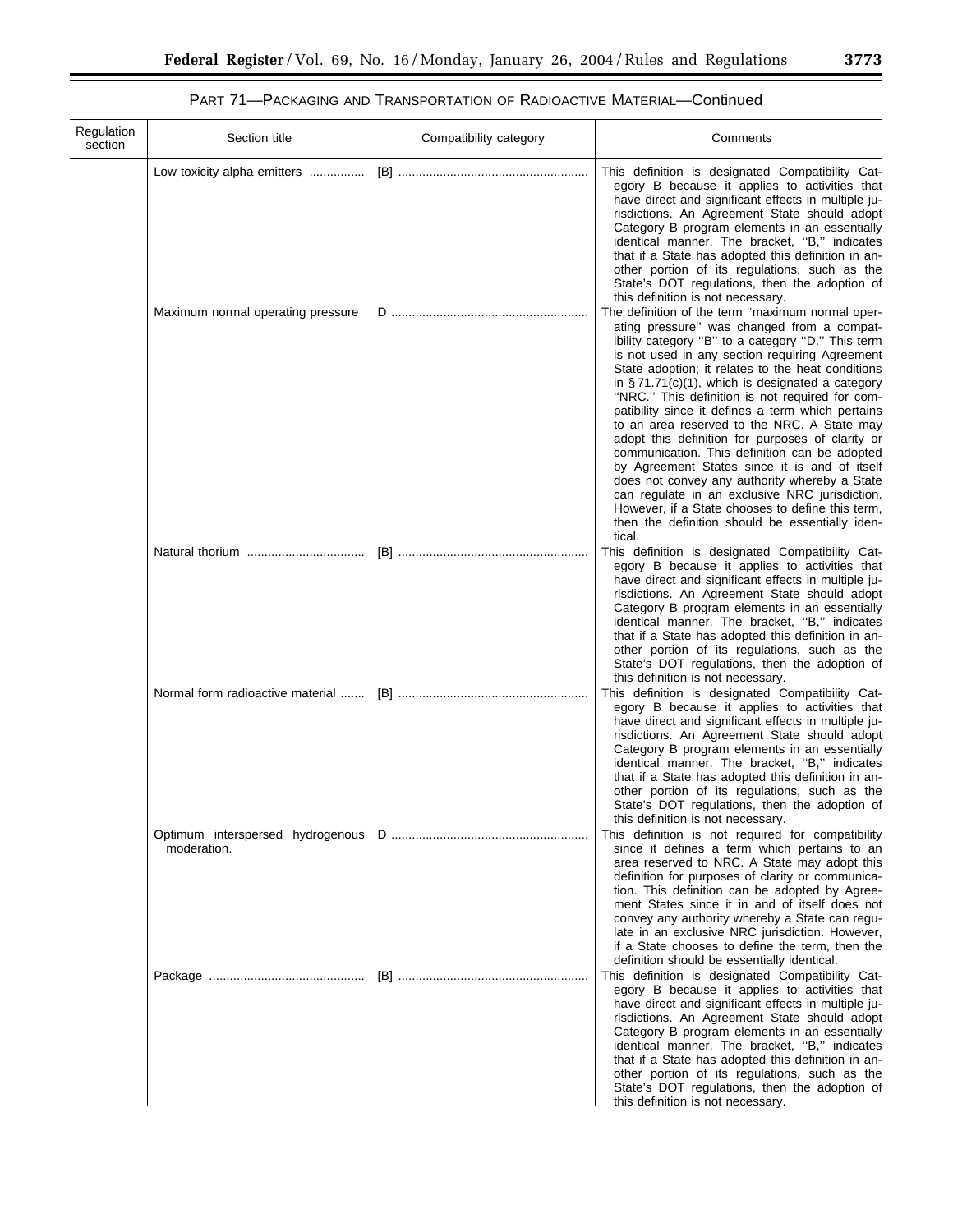| Regulation<br>section | Section title                                   | Compatibility category | Comments                                                                                                                                                                                                                                                                                                                                                                                                                                                                                                                                                                                                                                                                                                                                                                                                                                            |
|-----------------------|-------------------------------------------------|------------------------|-----------------------------------------------------------------------------------------------------------------------------------------------------------------------------------------------------------------------------------------------------------------------------------------------------------------------------------------------------------------------------------------------------------------------------------------------------------------------------------------------------------------------------------------------------------------------------------------------------------------------------------------------------------------------------------------------------------------------------------------------------------------------------------------------------------------------------------------------------|
|                       | Low toxicity alpha emitters                     |                        | This definition is designated Compatibility Cat-<br>egory B because it applies to activities that<br>have direct and significant effects in multiple ju-<br>risdictions. An Agreement State should adopt<br>Category B program elements in an essentially<br>identical manner. The bracket, "B," indicates<br>that if a State has adopted this definition in an-<br>other portion of its regulations, such as the<br>State's DOT regulations, then the adoption of<br>this definition is not necessary.                                                                                                                                                                                                                                                                                                                                             |
|                       | Maximum normal operating pressure               |                        | The definition of the term "maximum normal oper-<br>ating pressure" was changed from a compat-<br>ibility category "B" to a category "D." This term<br>is not used in any section requiring Agreement<br>State adoption; it relates to the heat conditions<br>in $\S 71.71(c)(1)$ , which is designated a category<br>"NRC." This definition is not required for com-<br>patibility since it defines a term which pertains<br>to an area reserved to the NRC. A State may<br>adopt this definition for purposes of clarity or<br>communication. This definition can be adopted<br>by Agreement States since it is and of itself<br>does not convey any authority whereby a State<br>can regulate in an exclusive NRC jurisdiction.<br>However, if a State chooses to define this term,<br>then the definition should be essentially iden-<br>tical. |
|                       |                                                 |                        | This definition is designated Compatibility Cat-<br>egory B because it applies to activities that<br>have direct and significant effects in multiple ju-<br>risdictions. An Agreement State should adopt<br>Category B program elements in an essentially<br>identical manner. The bracket, "B," indicates<br>that if a State has adopted this definition in an-<br>other portion of its regulations, such as the<br>State's DOT regulations, then the adoption of<br>this definition is not necessary.                                                                                                                                                                                                                                                                                                                                             |
|                       | Normal form radioactive material                |                        | This definition is designated Compatibility Cat-<br>egory B because it applies to activities that<br>have direct and significant effects in multiple ju-<br>risdictions. An Agreement State should adopt<br>Category B program elements in an essentially<br>identical manner. The bracket, "B," indicates<br>that if a State has adopted this definition in an-<br>other portion of its regulations, such as the<br>State's DOT regulations, then the adoption of<br>this definition is not necessary.                                                                                                                                                                                                                                                                                                                                             |
|                       | Optimum interspersed hydrogenous<br>moderation. |                        | This definition is not required for compatibility<br>since it defines a term which pertains to an<br>area reserved to NRC. A State may adopt this<br>definition for purposes of clarity or communica-<br>tion. This definition can be adopted by Agree-<br>ment States since it in and of itself does not<br>convey any authority whereby a State can regu-<br>late in an exclusive NRC jurisdiction. However,<br>if a State chooses to define the term, then the<br>definition should be essentially identical.                                                                                                                                                                                                                                                                                                                                    |
|                       |                                                 |                        | This definition is designated Compatibility Cat-<br>egory B because it applies to activities that<br>have direct and significant effects in multiple ju-<br>risdictions. An Agreement State should adopt<br>Category B program elements in an essentially<br>identical manner. The bracket, "B," indicates<br>that if a State has adopted this definition in an-<br>other portion of its regulations, such as the<br>State's DOT regulations, then the adoption of<br>this definition is not necessary.                                                                                                                                                                                                                                                                                                                                             |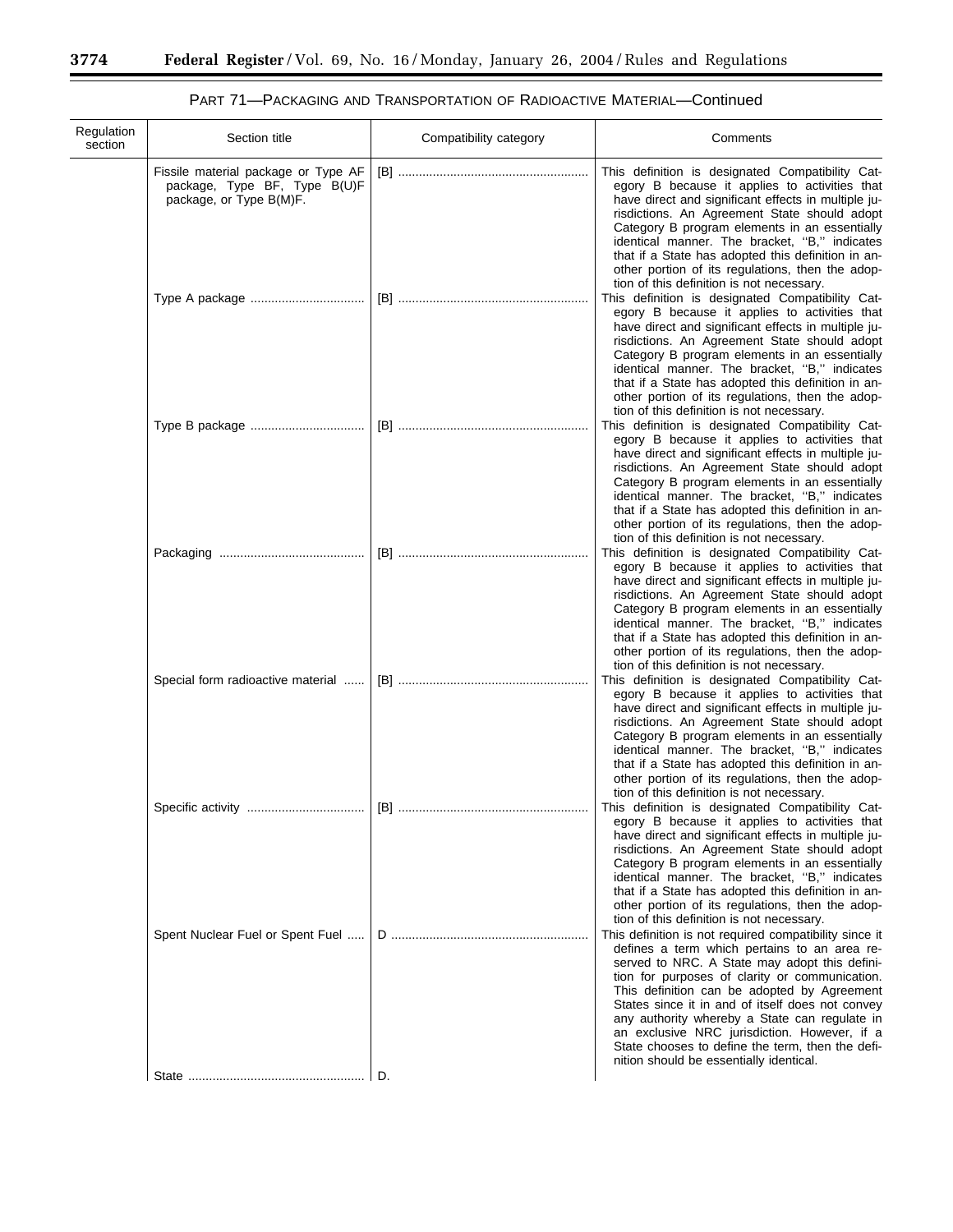| Regulation<br>section | Section title                                                                                  | Compatibility category | Comments                                                                                                                                                                                                                                                                                                                                                                                                                                                                                                     |
|-----------------------|------------------------------------------------------------------------------------------------|------------------------|--------------------------------------------------------------------------------------------------------------------------------------------------------------------------------------------------------------------------------------------------------------------------------------------------------------------------------------------------------------------------------------------------------------------------------------------------------------------------------------------------------------|
|                       | Fissile material package or Type AF<br>package, Type BF, Type B(U)F<br>package, or Type B(M)F. |                        | This definition is designated Compatibility Cat-<br>egory B because it applies to activities that<br>have direct and significant effects in multiple ju-<br>risdictions. An Agreement State should adopt<br>Category B program elements in an essentially<br>identical manner. The bracket, "B," indicates<br>that if a State has adopted this definition in an-<br>other portion of its regulations, then the adop-<br>tion of this definition is not necessary.                                            |
|                       |                                                                                                |                        | This definition is designated Compatibility Cat-<br>egory B because it applies to activities that<br>have direct and significant effects in multiple ju-<br>risdictions. An Agreement State should adopt<br>Category B program elements in an essentially<br>identical manner. The bracket, "B," indicates<br>that if a State has adopted this definition in an-<br>other portion of its regulations, then the adop-<br>tion of this definition is not necessary.                                            |
|                       |                                                                                                |                        | This definition is designated Compatibility Cat-<br>egory B because it applies to activities that<br>have direct and significant effects in multiple ju-<br>risdictions. An Agreement State should adopt<br>Category B program elements in an essentially<br>identical manner. The bracket, "B," indicates<br>that if a State has adopted this definition in an-<br>other portion of its regulations, then the adop-<br>tion of this definition is not necessary.                                            |
|                       |                                                                                                |                        | This definition is designated Compatibility Cat-<br>egory B because it applies to activities that<br>have direct and significant effects in multiple ju-<br>risdictions. An Agreement State should adopt<br>Category B program elements in an essentially<br>identical manner. The bracket, "B," indicates<br>that if a State has adopted this definition in an-<br>other portion of its regulations, then the adop-<br>tion of this definition is not necessary.                                            |
|                       |                                                                                                |                        | This definition is designated Compatibility Cat-<br>egory B because it applies to activities that<br>have direct and significant effects in multiple ju-<br>risdictions. An Agreement State should adopt<br>Category B program elements in an essentially<br>identical manner. The bracket, "B," indicates<br>that if a State has adopted this definition in an-<br>other portion of its regulations, then the adop-<br>tion of this definition is not necessary.                                            |
|                       |                                                                                                |                        | This definition is designated Compatibility Cat-<br>egory B because it applies to activities that<br>have direct and significant effects in multiple ju-<br>risdictions. An Agreement State should adopt<br>Category B program elements in an essentially<br>identical manner. The bracket, "B," indicates<br>that if a State has adopted this definition in an-<br>other portion of its regulations, then the adop-<br>tion of this definition is not necessary.                                            |
|                       | Spent Nuclear Fuel or Spent Fuel                                                               | D.                     | This definition is not required compatibility since it<br>defines a term which pertains to an area re-<br>served to NRC. A State may adopt this defini-<br>tion for purposes of clarity or communication.<br>This definition can be adopted by Agreement<br>States since it in and of itself does not convey<br>any authority whereby a State can regulate in<br>an exclusive NRC jurisdiction. However, if a<br>State chooses to define the term, then the defi-<br>nition should be essentially identical. |
|                       |                                                                                                |                        |                                                                                                                                                                                                                                                                                                                                                                                                                                                                                                              |

## PART 71—PACKAGING AND TRANSPORTATION OF RADIOACTIVE MATERIAL—Continued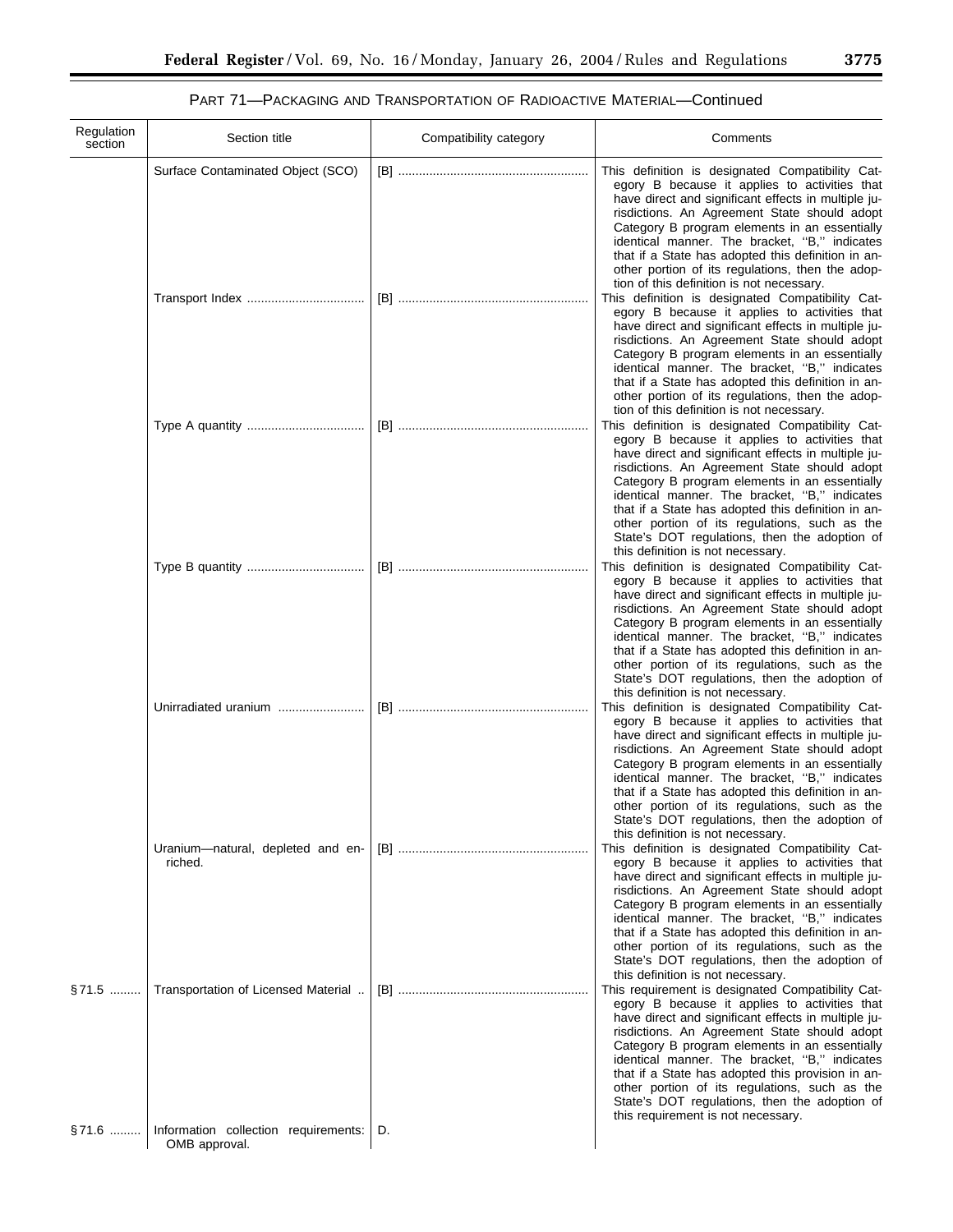| Regulation<br>section | Section title                                         | Compatibility category | Comments                                                                                                                                                                                                                                                                                                                                                                                                                                                                                                       |
|-----------------------|-------------------------------------------------------|------------------------|----------------------------------------------------------------------------------------------------------------------------------------------------------------------------------------------------------------------------------------------------------------------------------------------------------------------------------------------------------------------------------------------------------------------------------------------------------------------------------------------------------------|
|                       | Surface Contaminated Object (SCO)                     |                        | This definition is designated Compatibility Cat-<br>egory B because it applies to activities that<br>have direct and significant effects in multiple ju-<br>risdictions. An Agreement State should adopt<br>Category B program elements in an essentially<br>identical manner. The bracket, "B," indicates<br>that if a State has adopted this definition in an-<br>other portion of its regulations, then the adop-                                                                                           |
|                       |                                                       |                        | tion of this definition is not necessary.<br>This definition is designated Compatibility Cat-<br>egory B because it applies to activities that<br>have direct and significant effects in multiple ju-<br>risdictions. An Agreement State should adopt<br>Category B program elements in an essentially<br>identical manner. The bracket, "B," indicates<br>that if a State has adopted this definition in an-<br>other portion of its regulations, then the adop-<br>tion of this definition is not necessary. |
|                       |                                                       |                        | This definition is designated Compatibility Cat-<br>egory B because it applies to activities that<br>have direct and significant effects in multiple ju-<br>risdictions. An Agreement State should adopt<br>Category B program elements in an essentially<br>identical manner. The bracket, "B," indicates<br>that if a State has adopted this definition in an-<br>other portion of its regulations, such as the<br>State's DOT regulations, then the adoption of<br>this definition is not necessary.        |
|                       |                                                       |                        | This definition is designated Compatibility Cat-<br>egory B because it applies to activities that<br>have direct and significant effects in multiple ju-<br>risdictions. An Agreement State should adopt<br>Category B program elements in an essentially<br>identical manner. The bracket, "B," indicates<br>that if a State has adopted this definition in an-<br>other portion of its regulations, such as the<br>State's DOT regulations, then the adoption of<br>this definition is not necessary.        |
|                       | Unirradiated uranium                                  |                        | This definition is designated Compatibility Cat-<br>egory B because it applies to activities that<br>have direct and significant effects in multiple ju-<br>risdictions. An Agreement State should adopt<br>Category B program elements in an essentially<br>identical manner. The bracket, "B," indicates<br>that if a State has adopted this definition in an-<br>other portion of its regulations, such as the<br>State's DOT regulations, then the adoption of<br>this definition is not necessary.        |
|                       | Uranium—natural, depleted and en-<br>riched.          |                        | This definition is designated Compatibility Cat-<br>egory B because it applies to activities that<br>have direct and significant effects in multiple ju-<br>risdictions. An Agreement State should adopt<br>Category B program elements in an essentially<br>identical manner. The bracket, "B," indicates<br>that if a State has adopted this definition in an-<br>other portion of its regulations, such as the<br>State's DOT regulations, then the adoption of<br>this definition is not necessary.        |
| §71.5                 | Transportation of Licensed Material                   |                        | This requirement is designated Compatibility Cat-<br>egory B because it applies to activities that<br>have direct and significant effects in multiple ju-<br>risdictions. An Agreement State should adopt<br>Category B program elements in an essentially<br>identical manner. The bracket, "B," indicates<br>that if a State has adopted this provision in an-<br>other portion of its regulations, such as the<br>State's DOT regulations, then the adoption of<br>this requirement is not necessary.       |
| §71.6                 | Information collection requirements:<br>OMB approval. | D.                     |                                                                                                                                                                                                                                                                                                                                                                                                                                                                                                                |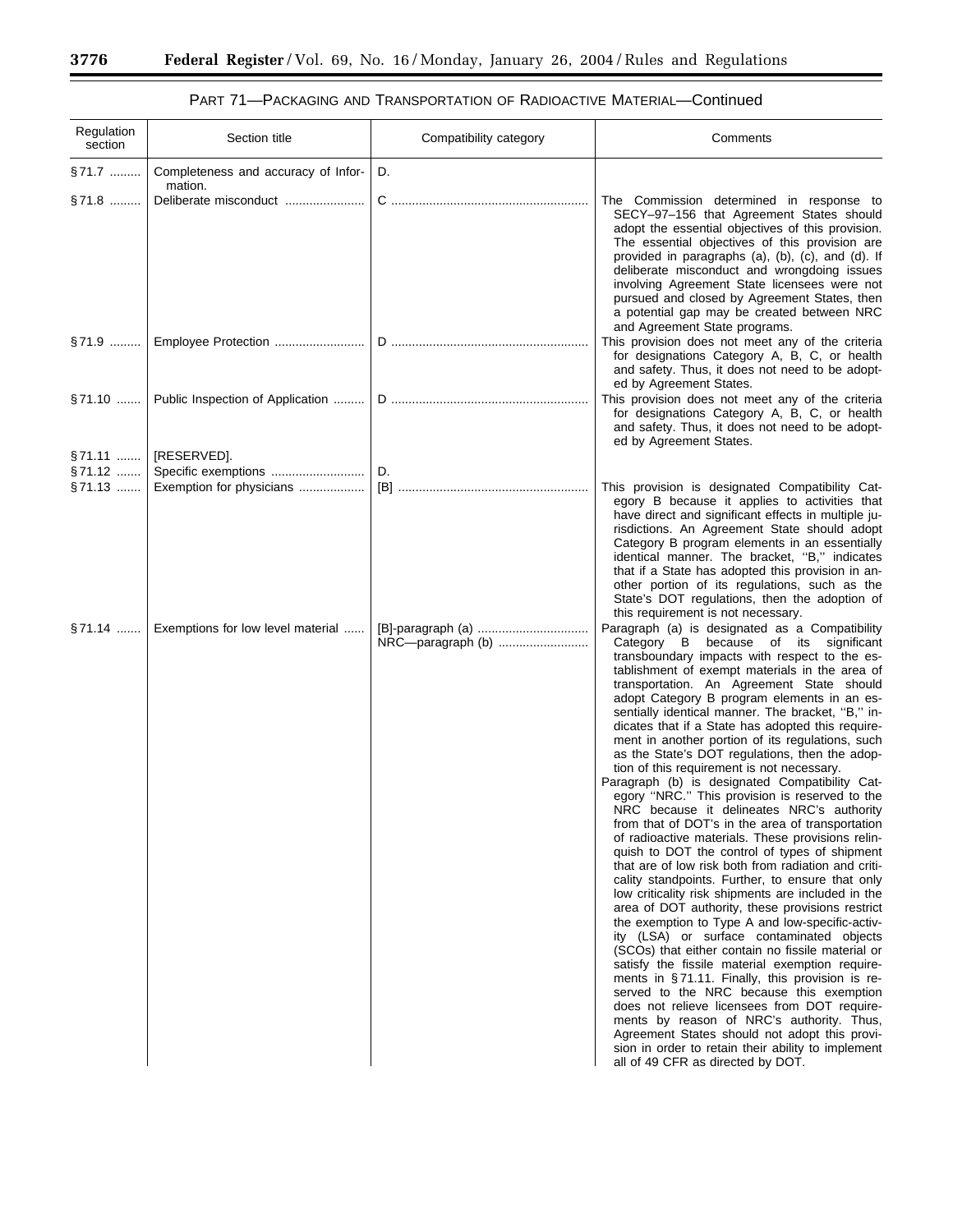$\equiv$ 

۲

| Regulation<br>section | Section title                       | Compatibility category | Comments                                                                                                                                                                                                                                                                                                                                                                                                                                                                                                                                                                                                                                                                                                                                                                                                                                                                                                                                                                                                                                                                                                                                                                                                                                                                                                                                                                                                                                                                                                                                                                                                                             |
|-----------------------|-------------------------------------|------------------------|--------------------------------------------------------------------------------------------------------------------------------------------------------------------------------------------------------------------------------------------------------------------------------------------------------------------------------------------------------------------------------------------------------------------------------------------------------------------------------------------------------------------------------------------------------------------------------------------------------------------------------------------------------------------------------------------------------------------------------------------------------------------------------------------------------------------------------------------------------------------------------------------------------------------------------------------------------------------------------------------------------------------------------------------------------------------------------------------------------------------------------------------------------------------------------------------------------------------------------------------------------------------------------------------------------------------------------------------------------------------------------------------------------------------------------------------------------------------------------------------------------------------------------------------------------------------------------------------------------------------------------------|
| §71.7                 | Completeness and accuracy of Infor- | D.                     |                                                                                                                                                                                                                                                                                                                                                                                                                                                                                                                                                                                                                                                                                                                                                                                                                                                                                                                                                                                                                                                                                                                                                                                                                                                                                                                                                                                                                                                                                                                                                                                                                                      |
| §71.8                 | mation.<br>Deliberate misconduct    |                        | The Commission determined in response to<br>SECY-97-156 that Agreement States should<br>adopt the essential objectives of this provision.<br>The essential objectives of this provision are<br>provided in paragraphs (a), (b), (c), and (d). If<br>deliberate misconduct and wrongdoing issues<br>involving Agreement State licensees were not<br>pursued and closed by Agreement States, then<br>a potential gap may be created between NRC<br>and Agreement State programs.                                                                                                                                                                                                                                                                                                                                                                                                                                                                                                                                                                                                                                                                                                                                                                                                                                                                                                                                                                                                                                                                                                                                                       |
| §71.9                 |                                     |                        | This provision does not meet any of the criteria<br>for designations Category A, B, C, or health<br>and safety. Thus, it does not need to be adopt-<br>ed by Agreement States.                                                                                                                                                                                                                                                                                                                                                                                                                                                                                                                                                                                                                                                                                                                                                                                                                                                                                                                                                                                                                                                                                                                                                                                                                                                                                                                                                                                                                                                       |
| §71.10                |                                     |                        | This provision does not meet any of the criteria<br>for designations Category A, B, C, or health<br>and safety. Thus, it does not need to be adopt-<br>ed by Agreement States.                                                                                                                                                                                                                                                                                                                                                                                                                                                                                                                                                                                                                                                                                                                                                                                                                                                                                                                                                                                                                                                                                                                                                                                                                                                                                                                                                                                                                                                       |
| $§71.11$              | [RESERVED].                         |                        |                                                                                                                                                                                                                                                                                                                                                                                                                                                                                                                                                                                                                                                                                                                                                                                                                                                                                                                                                                                                                                                                                                                                                                                                                                                                                                                                                                                                                                                                                                                                                                                                                                      |
| §71.12                |                                     | D.                     |                                                                                                                                                                                                                                                                                                                                                                                                                                                                                                                                                                                                                                                                                                                                                                                                                                                                                                                                                                                                                                                                                                                                                                                                                                                                                                                                                                                                                                                                                                                                                                                                                                      |
| §71.13                | Exemption for physicians            |                        | This provision is designated Compatibility Cat-<br>egory B because it applies to activities that<br>have direct and significant effects in multiple ju-<br>risdictions. An Agreement State should adopt<br>Category B program elements in an essentially<br>identical manner. The bracket, "B," indicates<br>that if a State has adopted this provision in an-<br>other portion of its regulations, such as the<br>State's DOT regulations, then the adoption of<br>this requirement is not necessary.                                                                                                                                                                                                                                                                                                                                                                                                                                                                                                                                                                                                                                                                                                                                                                                                                                                                                                                                                                                                                                                                                                                               |
| §71.14                | Exemptions for low level material   | NRC-paragraph (b)      | Paragraph (a) is designated as a Compatibility<br>Category B because of its significant<br>transboundary impacts with respect to the es-<br>tablishment of exempt materials in the area of<br>transportation. An Agreement State should<br>adopt Category B program elements in an es-<br>sentially identical manner. The bracket, "B," in-<br>dicates that if a State has adopted this require-<br>ment in another portion of its regulations, such<br>as the State's DOT regulations, then the adop-<br>tion of this requirement is not necessary.<br>Paragraph (b) is designated Compatibility Cat-<br>egory "NRC." This provision is reserved to the<br>NRC because it delineates NRC's authority<br>from that of DOT's in the area of transportation<br>of radioactive materials. These provisions relin-<br>quish to DOT the control of types of shipment<br>that are of low risk both from radiation and criti-<br>cality standpoints. Further, to ensure that only<br>low criticality risk shipments are included in the<br>area of DOT authority, these provisions restrict<br>the exemption to Type A and low-specific-activ-<br>ity (LSA) or surface contaminated objects<br>(SCOs) that either contain no fissile material or<br>satisfy the fissile material exemption require-<br>ments in §71.11. Finally, this provision is re-<br>served to the NRC because this exemption<br>does not relieve licensees from DOT require-<br>ments by reason of NRC's authority. Thus,<br>Agreement States should not adopt this provi-<br>sion in order to retain their ability to implement<br>all of 49 CFR as directed by DOT. |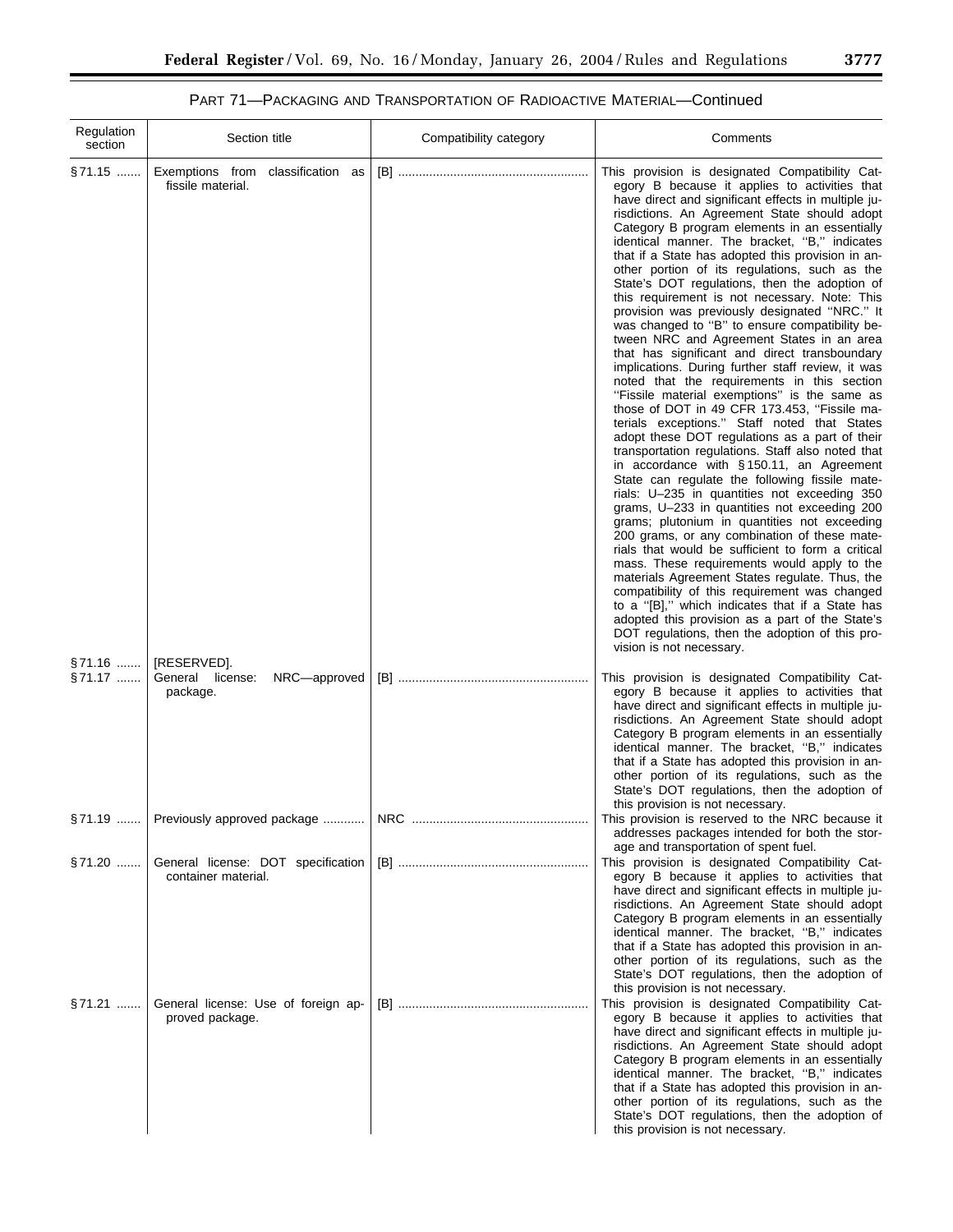| Regulation<br>section     | Section title                                                         | Compatibility category | Comments                                                                                                                                                                                                                                                                                                                                                                                                                                                                                                                                                                                                                                                                                                                                                                                                                                                                                                                                                                                                                                                                                                                                                                                                                                                                                                                                                                                                                                                                                                                                                                                                                                                                                                                                                                |
|---------------------------|-----------------------------------------------------------------------|------------------------|-------------------------------------------------------------------------------------------------------------------------------------------------------------------------------------------------------------------------------------------------------------------------------------------------------------------------------------------------------------------------------------------------------------------------------------------------------------------------------------------------------------------------------------------------------------------------------------------------------------------------------------------------------------------------------------------------------------------------------------------------------------------------------------------------------------------------------------------------------------------------------------------------------------------------------------------------------------------------------------------------------------------------------------------------------------------------------------------------------------------------------------------------------------------------------------------------------------------------------------------------------------------------------------------------------------------------------------------------------------------------------------------------------------------------------------------------------------------------------------------------------------------------------------------------------------------------------------------------------------------------------------------------------------------------------------------------------------------------------------------------------------------------|
| §71.15 …….<br>§71.16 …… ∣ | Exemptions from classification as<br>fissile material.<br>[RESERVED]. |                        | This provision is designated Compatibility Cat-<br>egory B because it applies to activities that<br>have direct and significant effects in multiple ju-<br>risdictions. An Agreement State should adopt<br>Category B program elements in an essentially<br>identical manner. The bracket, "B," indicates<br>that if a State has adopted this provision in an-<br>other portion of its regulations, such as the<br>State's DOT regulations, then the adoption of<br>this requirement is not necessary. Note: This<br>provision was previously designated "NRC." It<br>was changed to "B" to ensure compatibility be-<br>tween NRC and Agreement States in an area<br>that has significant and direct transboundary<br>implications. During further staff review, it was<br>noted that the requirements in this section<br>"Fissile material exemptions" is the same as<br>those of DOT in 49 CFR 173.453, "Fissile ma-<br>terials exceptions." Staff noted that States<br>adopt these DOT regulations as a part of their<br>transportation regulations. Staff also noted that<br>in accordance with §150.11, an Agreement<br>State can regulate the following fissile mate-<br>rials: U-235 in quantities not exceeding 350<br>grams, U-233 in quantities not exceeding 200<br>grams; plutonium in quantities not exceeding<br>200 grams, or any combination of these mate-<br>rials that would be sufficient to form a critical<br>mass. These requirements would apply to the<br>materials Agreement States regulate. Thus, the<br>compatibility of this requirement was changed<br>to a "[B]," which indicates that if a State has<br>adopted this provision as a part of the State's<br>DOT regulations, then the adoption of this pro-<br>vision is not necessary. |
| §71.17                    | General license:<br>NRC—approved<br>package.                          |                        | This provision is designated Compatibility Cat-<br>egory B because it applies to activities that<br>have direct and significant effects in multiple ju-<br>risdictions. An Agreement State should adopt<br>Category B program elements in an essentially<br>identical manner. The bracket, "B," indicates<br>that if a State has adopted this provision in an-<br>other portion of its regulations, such as the<br>State's DOT regulations, then the adoption of<br>this provision is not necessary.                                                                                                                                                                                                                                                                                                                                                                                                                                                                                                                                                                                                                                                                                                                                                                                                                                                                                                                                                                                                                                                                                                                                                                                                                                                                    |
|                           |                                                                       |                        | This provision is reserved to the NRC because it<br>addresses packages intended for both the stor-<br>age and transportation of spent fuel.                                                                                                                                                                                                                                                                                                                                                                                                                                                                                                                                                                                                                                                                                                                                                                                                                                                                                                                                                                                                                                                                                                                                                                                                                                                                                                                                                                                                                                                                                                                                                                                                                             |
| §71.20 …… ∣               | General license: DOT specification<br>container material.             |                        | This provision is designated Compatibility Cat-<br>egory B because it applies to activities that<br>have direct and significant effects in multiple ju-<br>risdictions. An Agreement State should adopt<br>Category B program elements in an essentially<br>identical manner. The bracket, "B," indicates<br>that if a State has adopted this provision in an-<br>other portion of its regulations, such as the<br>State's DOT regulations, then the adoption of<br>this provision is not necessary.                                                                                                                                                                                                                                                                                                                                                                                                                                                                                                                                                                                                                                                                                                                                                                                                                                                                                                                                                                                                                                                                                                                                                                                                                                                                    |
| §71.21                    | General license: Use of foreign ap-<br>proved package.                |                        | This provision is designated Compatibility Cat-<br>egory B because it applies to activities that<br>have direct and significant effects in multiple ju-<br>risdictions. An Agreement State should adopt<br>Category B program elements in an essentially<br>identical manner. The bracket, "B," indicates<br>that if a State has adopted this provision in an-<br>other portion of its regulations, such as the<br>State's DOT regulations, then the adoption of<br>this provision is not necessary.                                                                                                                                                                                                                                                                                                                                                                                                                                                                                                                                                                                                                                                                                                                                                                                                                                                                                                                                                                                                                                                                                                                                                                                                                                                                    |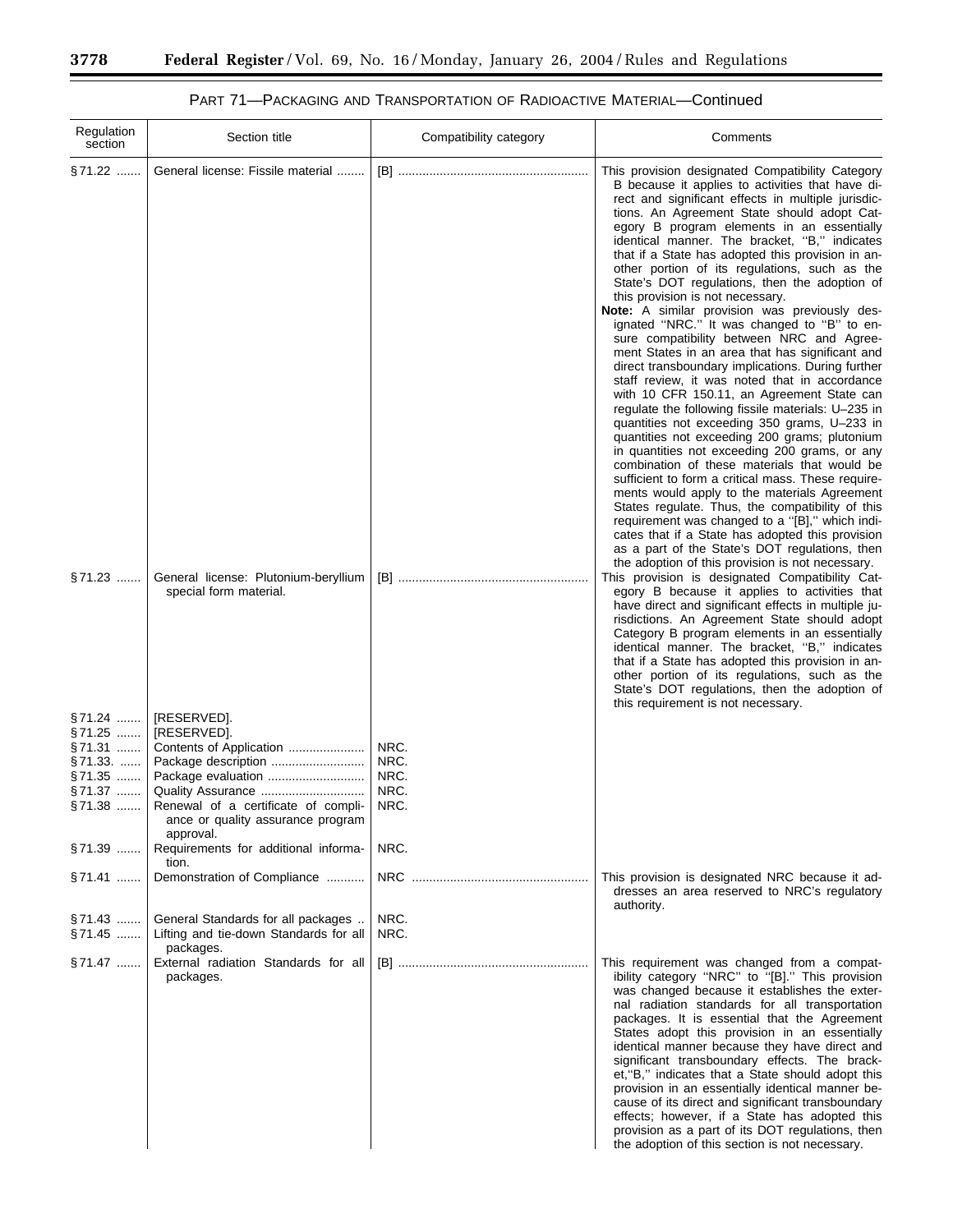۲

| Regulation<br>section | Section title                                                                         | Compatibility category | Comments                                                                                                                                                                                                                                                                                                                                                                                                                                                                                                                                                                                                                                                                                                                                                                                                                                                                                                                                                                                                                                                                                                                                                                                                                                                                                                                                                                                                                           |
|-----------------------|---------------------------------------------------------------------------------------|------------------------|------------------------------------------------------------------------------------------------------------------------------------------------------------------------------------------------------------------------------------------------------------------------------------------------------------------------------------------------------------------------------------------------------------------------------------------------------------------------------------------------------------------------------------------------------------------------------------------------------------------------------------------------------------------------------------------------------------------------------------------------------------------------------------------------------------------------------------------------------------------------------------------------------------------------------------------------------------------------------------------------------------------------------------------------------------------------------------------------------------------------------------------------------------------------------------------------------------------------------------------------------------------------------------------------------------------------------------------------------------------------------------------------------------------------------------|
| $§71.22$              | General license: Fissile material                                                     |                        | This provision designated Compatibility Category<br>B because it applies to activities that have di-<br>rect and significant effects in multiple jurisdic-<br>tions. An Agreement State should adopt Cat-<br>egory B program elements in an essentially<br>identical manner. The bracket, "B," indicates<br>that if a State has adopted this provision in an-<br>other portion of its regulations, such as the<br>State's DOT regulations, then the adoption of<br>this provision is not necessary.<br>Note: A similar provision was previously des-<br>ignated "NRC." It was changed to "B" to en-<br>sure compatibility between NRC and Agree-<br>ment States in an area that has significant and<br>direct transboundary implications. During further<br>staff review, it was noted that in accordance<br>with 10 CFR 150.11, an Agreement State can<br>regulate the following fissile materials: U-235 in<br>quantities not exceeding 350 grams, U-233 in<br>quantities not exceeding 200 grams; plutonium<br>in quantities not exceeding 200 grams, or any<br>combination of these materials that would be<br>sufficient to form a critical mass. These require-<br>ments would apply to the materials Agreement<br>States regulate. Thus, the compatibility of this<br>requirement was changed to a "[B]," which indi-<br>cates that if a State has adopted this provision<br>as a part of the State's DOT regulations, then |
| $§71.23$              | General license: Plutonium-beryllium<br>special form material.                        |                        | the adoption of this provision is not necessary.<br>This provision is designated Compatibility Cat-<br>egory B because it applies to activities that<br>have direct and significant effects in multiple ju-<br>risdictions. An Agreement State should adopt<br>Category B program elements in an essentially<br>identical manner. The bracket, "B," indicates<br>that if a State has adopted this provision in an-<br>other portion of its regulations, such as the<br>State's DOT regulations, then the adoption of<br>this requirement is not necessary.                                                                                                                                                                                                                                                                                                                                                                                                                                                                                                                                                                                                                                                                                                                                                                                                                                                                         |
| §71.24                | [RESERVED].                                                                           |                        |                                                                                                                                                                                                                                                                                                                                                                                                                                                                                                                                                                                                                                                                                                                                                                                                                                                                                                                                                                                                                                                                                                                                                                                                                                                                                                                                                                                                                                    |
| §71.25                | [RESERVED].                                                                           |                        |                                                                                                                                                                                                                                                                                                                                                                                                                                                                                                                                                                                                                                                                                                                                                                                                                                                                                                                                                                                                                                                                                                                                                                                                                                                                                                                                                                                                                                    |
| §71.31                | Contents of Application                                                               | NRC.                   |                                                                                                                                                                                                                                                                                                                                                                                                                                                                                                                                                                                                                                                                                                                                                                                                                                                                                                                                                                                                                                                                                                                                                                                                                                                                                                                                                                                                                                    |
| §71.33.               |                                                                                       | NRC.                   |                                                                                                                                                                                                                                                                                                                                                                                                                                                                                                                                                                                                                                                                                                                                                                                                                                                                                                                                                                                                                                                                                                                                                                                                                                                                                                                                                                                                                                    |
| §71.35                | Package evaluation                                                                    | NRC.                   |                                                                                                                                                                                                                                                                                                                                                                                                                                                                                                                                                                                                                                                                                                                                                                                                                                                                                                                                                                                                                                                                                                                                                                                                                                                                                                                                                                                                                                    |
| §71.37                |                                                                                       | NRC.                   |                                                                                                                                                                                                                                                                                                                                                                                                                                                                                                                                                                                                                                                                                                                                                                                                                                                                                                                                                                                                                                                                                                                                                                                                                                                                                                                                                                                                                                    |
| §71.38 ……             | Renewal of a certificate of compli-<br>ance or quality assurance program<br>approval. | NRC.                   |                                                                                                                                                                                                                                                                                                                                                                                                                                                                                                                                                                                                                                                                                                                                                                                                                                                                                                                                                                                                                                                                                                                                                                                                                                                                                                                                                                                                                                    |
| §71.39                | Requirements for additional informa-<br>tion.                                         | NRC.                   |                                                                                                                                                                                                                                                                                                                                                                                                                                                                                                                                                                                                                                                                                                                                                                                                                                                                                                                                                                                                                                                                                                                                                                                                                                                                                                                                                                                                                                    |
| §71.41                | Demonstration of Compliance                                                           |                        | This provision is designated NRC because it ad-<br>dresses an area reserved to NRC's regulatory<br>authority.                                                                                                                                                                                                                                                                                                                                                                                                                                                                                                                                                                                                                                                                                                                                                                                                                                                                                                                                                                                                                                                                                                                                                                                                                                                                                                                      |
| §71.43<br>§71.45      | General Standards for all packages<br>Lifting and tie-down Standards for all          | NRC.<br>NRC.           |                                                                                                                                                                                                                                                                                                                                                                                                                                                                                                                                                                                                                                                                                                                                                                                                                                                                                                                                                                                                                                                                                                                                                                                                                                                                                                                                                                                                                                    |
|                       | packages.                                                                             |                        |                                                                                                                                                                                                                                                                                                                                                                                                                                                                                                                                                                                                                                                                                                                                                                                                                                                                                                                                                                                                                                                                                                                                                                                                                                                                                                                                                                                                                                    |
| §71.47                | External radiation Standards for all<br>packages.                                     |                        | This requirement was changed from a compat-<br>ibility category "NRC" to "[B]." This provision<br>was changed because it establishes the exter-<br>nal radiation standards for all transportation<br>packages. It is essential that the Agreement<br>States adopt this provision in an essentially<br>identical manner because they have direct and<br>significant transboundary effects. The brack-<br>et, "B," indicates that a State should adopt this<br>provision in an essentially identical manner be-<br>cause of its direct and significant transboundary<br>effects; however, if a State has adopted this<br>provision as a part of its DOT regulations, then<br>the adoption of this section is not necessary.                                                                                                                                                                                                                                                                                                                                                                                                                                                                                                                                                                                                                                                                                                          |

## PART 71—PACKAGING AND TRANSPORTATION OF RADIOACTIVE MATERIAL—Continued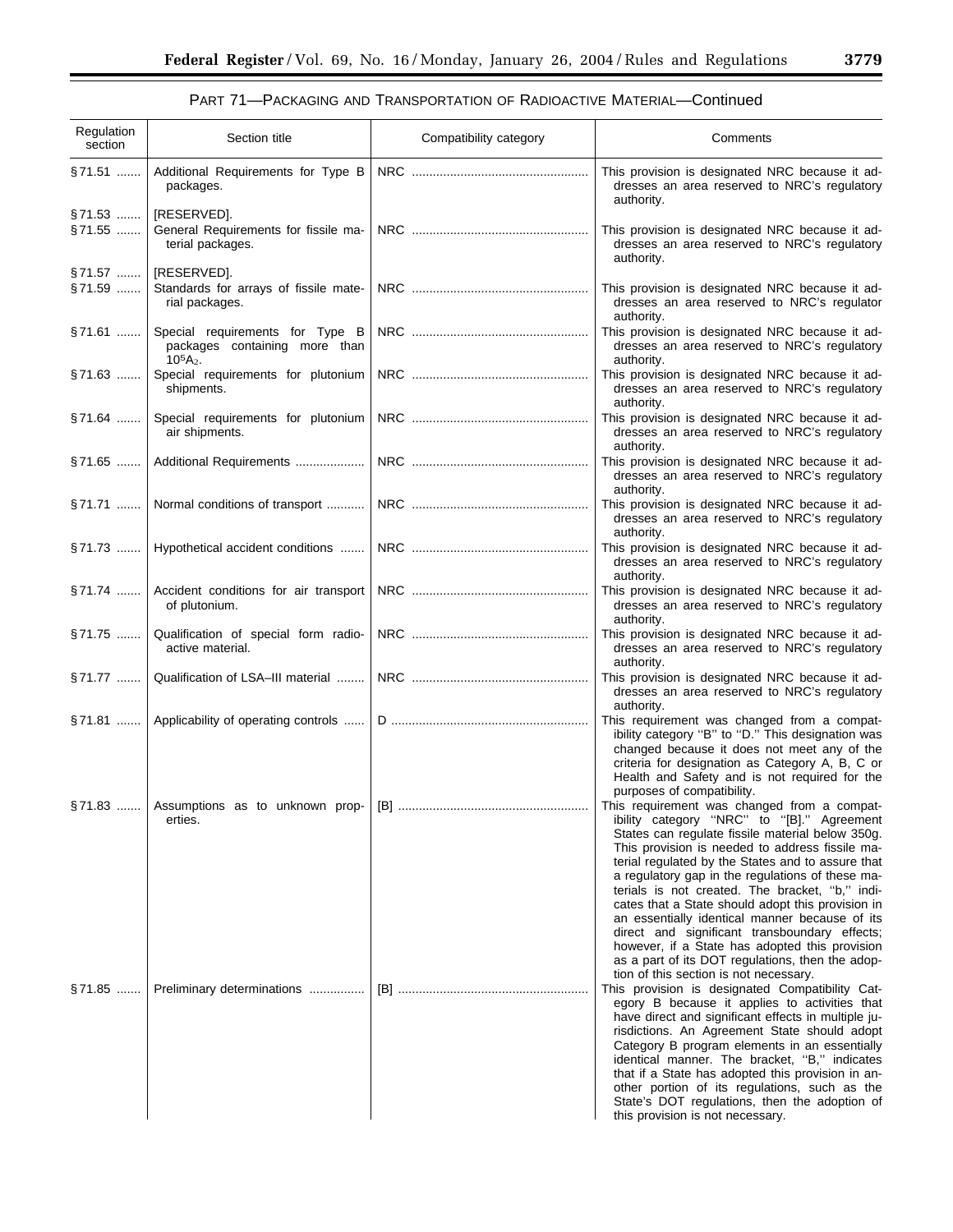| Regulation<br>section | Section title                                                                   | Compatibility category | Comments                                                                                                                                                                                                                                                                                                                                                                                                                                                                                                                                                                                                                                                             |
|-----------------------|---------------------------------------------------------------------------------|------------------------|----------------------------------------------------------------------------------------------------------------------------------------------------------------------------------------------------------------------------------------------------------------------------------------------------------------------------------------------------------------------------------------------------------------------------------------------------------------------------------------------------------------------------------------------------------------------------------------------------------------------------------------------------------------------|
| §71.51                | Additional Requirements for Type B<br>packages.                                 |                        | This provision is designated NRC because it ad-<br>dresses an area reserved to NRC's regulatory<br>authority.                                                                                                                                                                                                                                                                                                                                                                                                                                                                                                                                                        |
| §71.53<br>§71.55      | [RESERVED].<br>General Requirements for fissile ma-<br>terial packages.         |                        | This provision is designated NRC because it ad-<br>dresses an area reserved to NRC's regulatory<br>authority.                                                                                                                                                                                                                                                                                                                                                                                                                                                                                                                                                        |
| $§71.57$<br>§71.59    | [RESERVED].<br>Standards for arrays of fissile mate-<br>rial packages.          |                        | This provision is designated NRC because it ad-<br>dresses an area reserved to NRC's regulator<br>authority.                                                                                                                                                                                                                                                                                                                                                                                                                                                                                                                                                         |
| §71.61                | Special requirements for Type B<br>packages containing more than<br>$10^5A_2$ . |                        | This provision is designated NRC because it ad-<br>dresses an area reserved to NRC's regulatory<br>authority.                                                                                                                                                                                                                                                                                                                                                                                                                                                                                                                                                        |
| §71.63                | Special requirements for plutonium<br>shipments.                                |                        | This provision is designated NRC because it ad-<br>dresses an area reserved to NRC's regulatory<br>authority.                                                                                                                                                                                                                                                                                                                                                                                                                                                                                                                                                        |
| §71.64                | Special requirements for plutonium<br>air shipments.                            |                        | This provision is designated NRC because it ad-<br>dresses an area reserved to NRC's regulatory<br>authority.                                                                                                                                                                                                                                                                                                                                                                                                                                                                                                                                                        |
|                       | §71.65    Additional Requirements                                               |                        | This provision is designated NRC because it ad-<br>dresses an area reserved to NRC's regulatory<br>authority.                                                                                                                                                                                                                                                                                                                                                                                                                                                                                                                                                        |
| §71.71                | Normal conditions of transport                                                  |                        | This provision is designated NRC because it ad-<br>dresses an area reserved to NRC's regulatory<br>authority.                                                                                                                                                                                                                                                                                                                                                                                                                                                                                                                                                        |
| §71.73                | Hypothetical accident conditions                                                |                        | This provision is designated NRC because it ad-<br>dresses an area reserved to NRC's regulatory<br>authority.                                                                                                                                                                                                                                                                                                                                                                                                                                                                                                                                                        |
| §71.74                | Accident conditions for air transport<br>of plutonium.                          |                        | This provision is designated NRC because it ad-<br>dresses an area reserved to NRC's regulatory<br>authority.                                                                                                                                                                                                                                                                                                                                                                                                                                                                                                                                                        |
| §71.75                | Qualification of special form radio-<br>active material.                        |                        | This provision is designated NRC because it ad-<br>dresses an area reserved to NRC's regulatory<br>authority.                                                                                                                                                                                                                                                                                                                                                                                                                                                                                                                                                        |
| §71.77                | Qualification of LSA-III material                                               |                        | This provision is designated NRC because it ad-<br>dresses an area reserved to NRC's regulatory<br>authority.                                                                                                                                                                                                                                                                                                                                                                                                                                                                                                                                                        |
|                       | §71.81    Applicability of operating controls                                   |                        | This requirement was changed from a compat-<br>ibility category "B" to "D." This designation was<br>changed because it does not meet any of the<br>criteria for designation as Category A, B, C or<br>Health and Safety and is not required for the<br>purposes of compatibility.                                                                                                                                                                                                                                                                                                                                                                                    |
|                       | erties.                                                                         |                        | This requirement was changed from a compat-<br>ibility category "NRC" to "[B]." Agreement<br>States can regulate fissile material below 350g.<br>This provision is needed to address fissile ma-<br>terial regulated by the States and to assure that<br>a regulatory gap in the regulations of these ma-<br>terials is not created. The bracket, "b," indi-<br>cates that a State should adopt this provision in<br>an essentially identical manner because of its<br>direct and significant transboundary effects;<br>however, if a State has adopted this provision<br>as a part of its DOT regulations, then the adop-<br>tion of this section is not necessary. |
| §71.85                | Preliminary determinations                                                      |                        | This provision is designated Compatibility Cat-<br>egory B because it applies to activities that<br>have direct and significant effects in multiple ju-<br>risdictions. An Agreement State should adopt<br>Category B program elements in an essentially<br>identical manner. The bracket, "B," indicates<br>that if a State has adopted this provision in an-<br>other portion of its regulations, such as the<br>State's DOT regulations, then the adoption of<br>this provision is not necessary.                                                                                                                                                                 |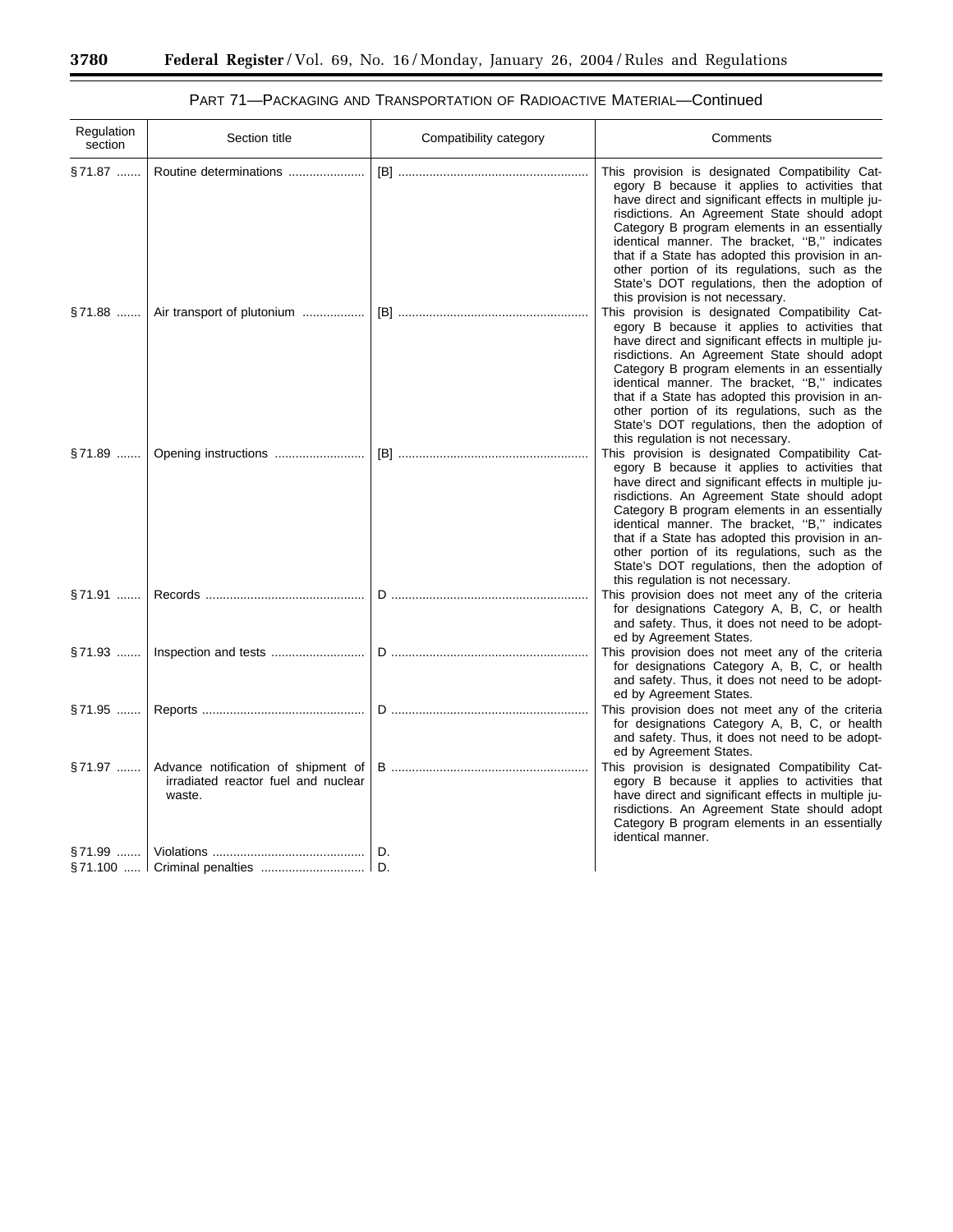| Regulation<br>section | Section title                                                                        | Compatibility category | Comments                                                                                                                                                                                                                                                                                                                                                                                                                                                                                              |
|-----------------------|--------------------------------------------------------------------------------------|------------------------|-------------------------------------------------------------------------------------------------------------------------------------------------------------------------------------------------------------------------------------------------------------------------------------------------------------------------------------------------------------------------------------------------------------------------------------------------------------------------------------------------------|
| §71.87                | Routine determinations                                                               |                        | This provision is designated Compatibility Cat-<br>egory B because it applies to activities that<br>have direct and significant effects in multiple ju-<br>risdictions. An Agreement State should adopt<br>Category B program elements in an essentially<br>identical manner. The bracket, "B," indicates<br>that if a State has adopted this provision in an-<br>other portion of its regulations, such as the<br>State's DOT regulations, then the adoption of<br>this provision is not necessary.  |
| §71.88                | Air transport of plutonium                                                           |                        | This provision is designated Compatibility Cat-<br>egory B because it applies to activities that<br>have direct and significant effects in multiple ju-<br>risdictions. An Agreement State should adopt<br>Category B program elements in an essentially<br>identical manner. The bracket, "B," indicates<br>that if a State has adopted this provision in an-<br>other portion of its regulations, such as the<br>State's DOT regulations, then the adoption of<br>this regulation is not necessary. |
| $§71.89$              |                                                                                      |                        | This provision is designated Compatibility Cat-<br>egory B because it applies to activities that<br>have direct and significant effects in multiple ju-<br>risdictions. An Agreement State should adopt<br>Category B program elements in an essentially<br>identical manner. The bracket, "B," indicates<br>that if a State has adopted this provision in an-<br>other portion of its regulations, such as the<br>State's DOT regulations, then the adoption of<br>this regulation is not necessary. |
| §71.91                |                                                                                      |                        | This provision does not meet any of the criteria<br>for designations Category A, B, C, or health<br>and safety. Thus, it does not need to be adopt-<br>ed by Agreement States.                                                                                                                                                                                                                                                                                                                        |
| §71.93                |                                                                                      |                        | This provision does not meet any of the criteria<br>for designations Category A, B, C, or health<br>and safety. Thus, it does not need to be adopt-<br>ed by Agreement States.                                                                                                                                                                                                                                                                                                                        |
| §71.95                |                                                                                      |                        | This provision does not meet any of the criteria<br>for designations Category A, B, C, or health<br>and safety. Thus, it does not need to be adopt-<br>ed by Agreement States.                                                                                                                                                                                                                                                                                                                        |
| §71.97                | Advance notification of shipment of<br>irradiated reactor fuel and nuclear<br>waste. |                        | This provision is designated Compatibility Cat-<br>egory B because it applies to activities that<br>have direct and significant effects in multiple ju-<br>risdictions. An Agreement State should adopt<br>Category B program elements in an essentially<br>identical manner.                                                                                                                                                                                                                         |
| §71.99                | §71.100    Criminal penalties    D.                                                  |                        |                                                                                                                                                                                                                                                                                                                                                                                                                                                                                                       |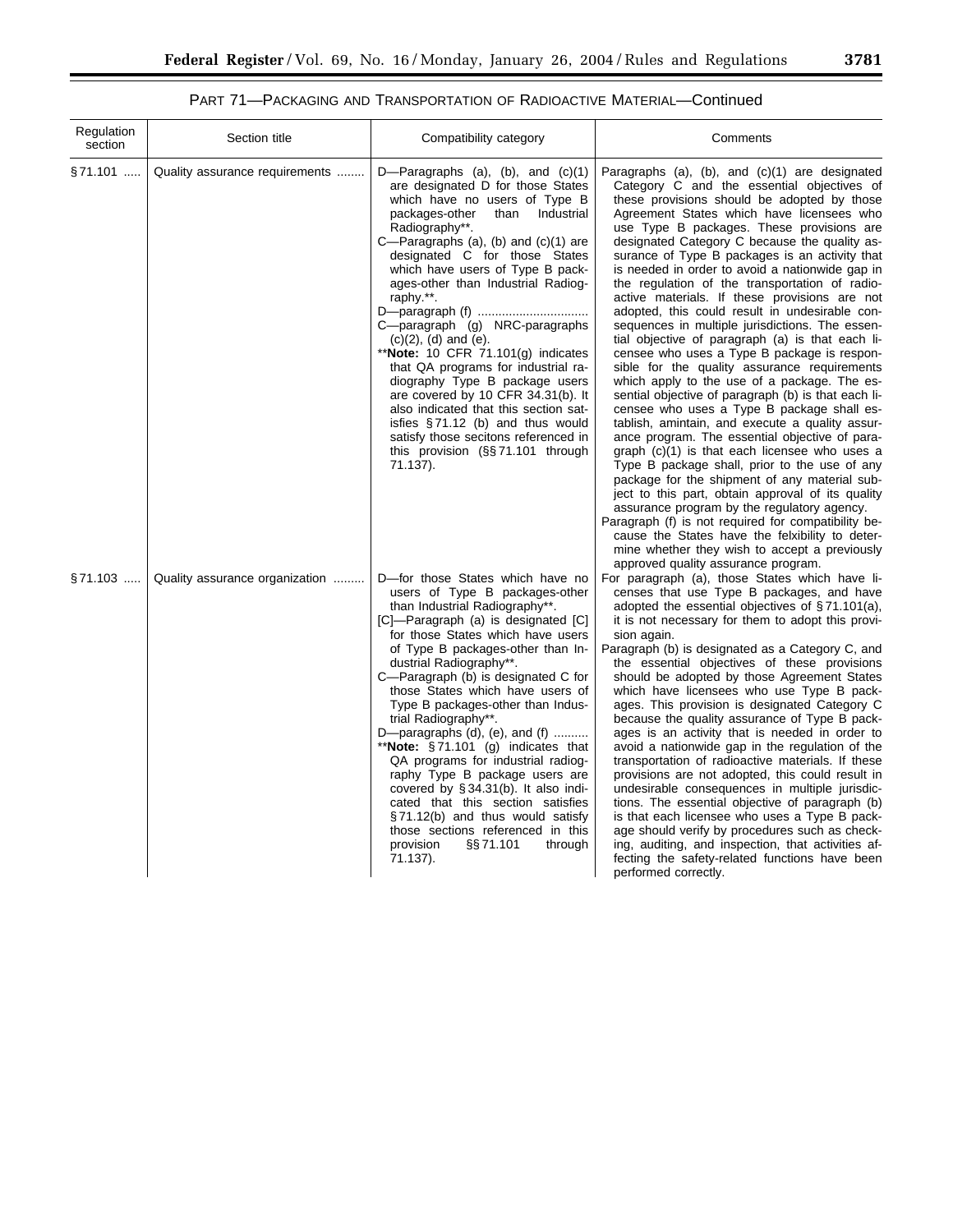| Regulation<br>section | Section title                  | Compatibility category                                                                                                                                                                                                                                                                                                                                                                                                                                                                                                                                                                                                                                                                                                                                     | Comments                                                                                                                                                                                                                                                                                                                                                                                                                                                                                                                                                                                                                                                                                                                                                                                                                                                                                                                                                                                                                                                                                                                                                                                                                                                                                                                                                                                                                                                                      |
|-----------------------|--------------------------------|------------------------------------------------------------------------------------------------------------------------------------------------------------------------------------------------------------------------------------------------------------------------------------------------------------------------------------------------------------------------------------------------------------------------------------------------------------------------------------------------------------------------------------------------------------------------------------------------------------------------------------------------------------------------------------------------------------------------------------------------------------|-------------------------------------------------------------------------------------------------------------------------------------------------------------------------------------------------------------------------------------------------------------------------------------------------------------------------------------------------------------------------------------------------------------------------------------------------------------------------------------------------------------------------------------------------------------------------------------------------------------------------------------------------------------------------------------------------------------------------------------------------------------------------------------------------------------------------------------------------------------------------------------------------------------------------------------------------------------------------------------------------------------------------------------------------------------------------------------------------------------------------------------------------------------------------------------------------------------------------------------------------------------------------------------------------------------------------------------------------------------------------------------------------------------------------------------------------------------------------------|
| $§71.101$             | Quality assurance requirements | D—Paragraphs $(a)$ , $(b)$ , and $(c)(1)$<br>are designated D for those States<br>which have no users of Type B<br>packages-other<br>than<br>Industrial<br>Radiography**.<br>C-Paragraphs (a), (b) and $(c)(1)$ are<br>designated C for those States<br>which have users of Type B pack-<br>ages-other than Industrial Radiog-<br>raphy.**.<br>C-paragraph (g) NRC-paragraphs<br>$(c)(2)$ , $(d)$ and $(e)$ .<br>**Note: 10 CFR 71.101(g) indicates<br>that QA programs for industrial ra-<br>diography Type B package users<br>are covered by 10 CFR 34.31(b). It<br>also indicated that this section sat-<br>isfies $\S 71.12$ (b) and thus would<br>satisfy those secitons referenced in<br>this provision $(\S\$ 71.101 through<br>71.137).            | Paragraphs (a), (b), and $(c)(1)$ are designated<br>Category C and the essential objectives of<br>these provisions should be adopted by those<br>Agreement States which have licensees who<br>use Type B packages. These provisions are<br>designated Category C because the quality as-<br>surance of Type B packages is an activity that<br>is needed in order to avoid a nationwide gap in<br>the regulation of the transportation of radio-<br>active materials. If these provisions are not<br>adopted, this could result in undesirable con-<br>sequences in multiple jurisdictions. The essen-<br>tial objective of paragraph (a) is that each li-<br>censee who uses a Type B package is respon-<br>sible for the quality assurance requirements<br>which apply to the use of a package. The es-<br>sential objective of paragraph (b) is that each li-<br>censee who uses a Type B package shall es-<br>tablish, amintain, and execute a quality assur-<br>ance program. The essential objective of para-<br>graph $(c)(1)$ is that each licensee who uses a<br>Type B package shall, prior to the use of any<br>package for the shipment of any material sub-<br>ject to this part, obtain approval of its quality<br>assurance program by the regulatory agency.<br>Paragraph (f) is not required for compatibility be-<br>cause the States have the felxibility to deter-<br>mine whether they wish to accept a previously<br>approved quality assurance program. |
| $§71.103$             | Quality assurance organization | D-for those States which have no<br>users of Type B packages-other<br>than Industrial Radiography**.<br>[C]-Paragraph (a) is designated [C]<br>for those States which have users<br>of Type B packages-other than In-<br>dustrial Radiography**.<br>C—Paragraph (b) is designated C for<br>those States which have users of<br>Type B packages-other than Indus-<br>trial Radiography**.<br>D—paragraphs $(d)$ , $(e)$ , and $(f)$<br>**Note: §71.101 (g) indicates that<br>QA programs for industrial radiog-<br>raphy Type B package users are<br>covered by $\S 34.31(b)$ . It also indi-<br>cated that this section satisfies<br>§71.12(b) and thus would satisfy<br>those sections referenced in this<br>§§71.101<br>provision<br>through<br>71.137). | For paragraph (a), those States which have li-<br>censes that use Type B packages, and have<br>adopted the essential objectives of $\S 71.101(a)$ ,<br>it is not necessary for them to adopt this provi-<br>sion again.<br>Paragraph (b) is designated as a Category C, and<br>the essential objectives of these provisions<br>should be adopted by those Agreement States<br>which have licensees who use Type B pack-<br>ages. This provision is designated Category C<br>because the quality assurance of Type B pack-<br>ages is an activity that is needed in order to<br>avoid a nationwide gap in the regulation of the<br>transportation of radioactive materials. If these<br>provisions are not adopted, this could result in<br>undesirable consequences in multiple jurisdic-<br>tions. The essential objective of paragraph (b)<br>is that each licensee who uses a Type B pack-<br>age should verify by procedures such as check-<br>ing, auditing, and inspection, that activities af-<br>fecting the safety-related functions have been<br>performed correctly.                                                                                                                                                                                                                                                                                                                                                                                               |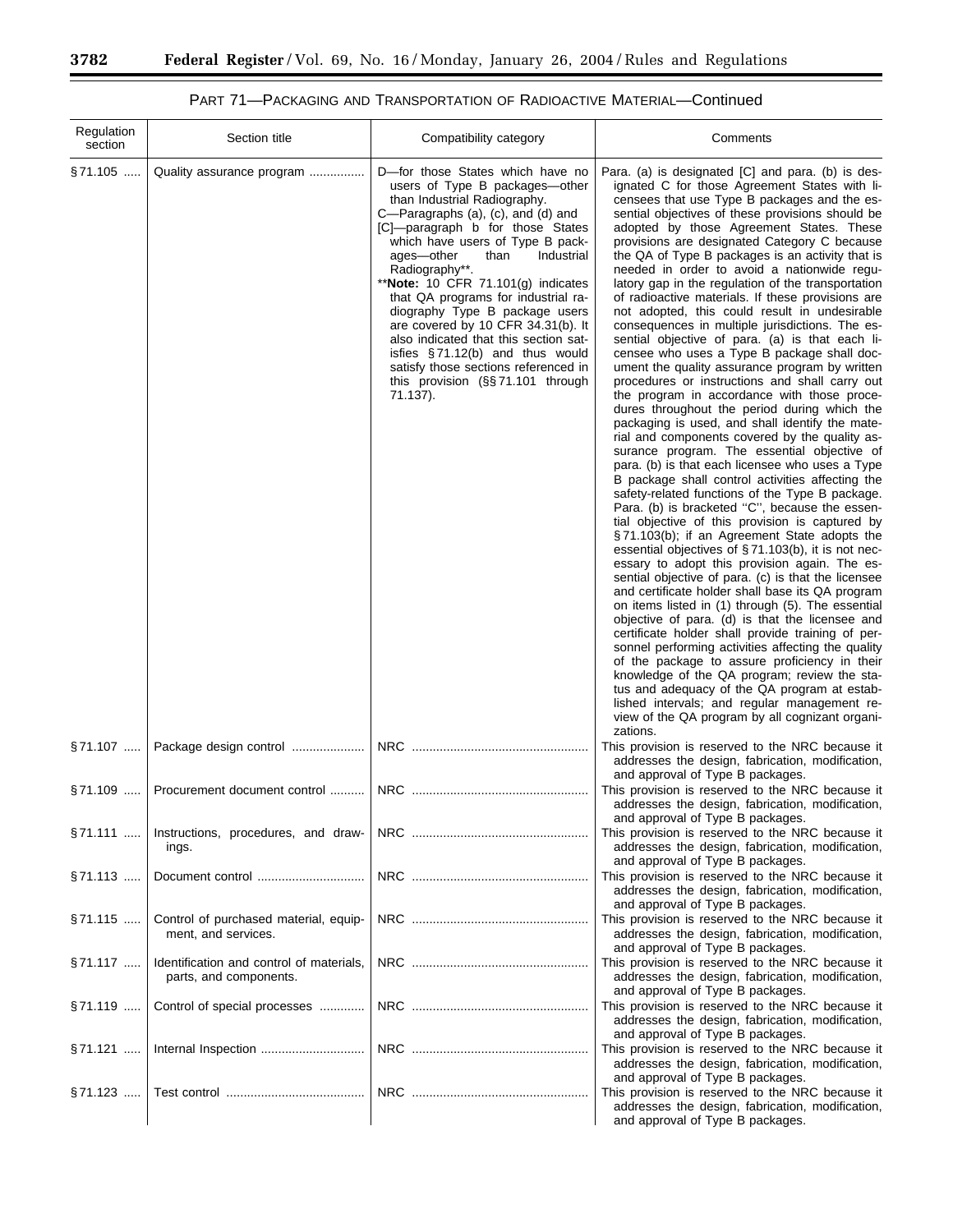Ξ

| Regulation<br>section | Section title                                                      | Compatibility category                                                                                                                                                                                                                                                                                                                                                                                                                                                                                                                                                                                   | Comments                                                                                                                                                                                                                                                                                                                                                                                                                                                                                                                                                                                                                                                                                                                                                                                                                                                                                                                                                                                                                                                                                                                                                                                                                                                                                                                                                                                                                                                                                                                                                                                                                                                                                                                                                                                                                                                                                                                                                                                                                                                                                               |
|-----------------------|--------------------------------------------------------------------|----------------------------------------------------------------------------------------------------------------------------------------------------------------------------------------------------------------------------------------------------------------------------------------------------------------------------------------------------------------------------------------------------------------------------------------------------------------------------------------------------------------------------------------------------------------------------------------------------------|--------------------------------------------------------------------------------------------------------------------------------------------------------------------------------------------------------------------------------------------------------------------------------------------------------------------------------------------------------------------------------------------------------------------------------------------------------------------------------------------------------------------------------------------------------------------------------------------------------------------------------------------------------------------------------------------------------------------------------------------------------------------------------------------------------------------------------------------------------------------------------------------------------------------------------------------------------------------------------------------------------------------------------------------------------------------------------------------------------------------------------------------------------------------------------------------------------------------------------------------------------------------------------------------------------------------------------------------------------------------------------------------------------------------------------------------------------------------------------------------------------------------------------------------------------------------------------------------------------------------------------------------------------------------------------------------------------------------------------------------------------------------------------------------------------------------------------------------------------------------------------------------------------------------------------------------------------------------------------------------------------------------------------------------------------------------------------------------------------|
| $§71.105$             | Quality assurance program                                          | D-for those States which have no<br>users of Type B packages-other<br>than Industrial Radiography.<br>C—Paragraphs (a), (c), and (d) and<br>[C]-paragraph b for those States<br>which have users of Type B pack-<br>Industrial<br>ages-other<br>than<br>Radiography**.<br>**Note: 10 CFR 71.101(g) indicates<br>that QA programs for industrial ra-<br>diography Type B package users<br>are covered by 10 CFR 34.31(b). It<br>also indicated that this section sat-<br>isfies $\S 71.12(b)$ and thus would<br>satisfy those sections referenced in<br>this provision $(\S\S 71.101$ through<br>71.137). | Para. (a) is designated [C] and para. (b) is des-<br>ignated C for those Agreement States with li-<br>censees that use Type B packages and the es-<br>sential objectives of these provisions should be<br>adopted by those Agreement States. These<br>provisions are designated Category C because<br>the QA of Type B packages is an activity that is<br>needed in order to avoid a nationwide regu-<br>latory gap in the regulation of the transportation<br>of radioactive materials. If these provisions are<br>not adopted, this could result in undesirable<br>consequences in multiple jurisdictions. The es-<br>sential objective of para. (a) is that each li-<br>censee who uses a Type B package shall doc-<br>ument the quality assurance program by written<br>procedures or instructions and shall carry out<br>the program in accordance with those proce-<br>dures throughout the period during which the<br>packaging is used, and shall identify the mate-<br>rial and components covered by the quality as-<br>surance program. The essential objective of<br>para. (b) is that each licensee who uses a Type<br>B package shall control activities affecting the<br>safety-related functions of the Type B package.<br>Para. (b) is bracketed "C", because the essen-<br>tial objective of this provision is captured by<br>§71.103(b); if an Agreement State adopts the<br>essential objectives of $\S 71.103(b)$ , it is not nec-<br>essary to adopt this provision again. The es-<br>sential objective of para. (c) is that the licensee<br>and certificate holder shall base its QA program<br>on items listed in (1) through (5). The essential<br>objective of para. (d) is that the licensee and<br>certificate holder shall provide training of per-<br>sonnel performing activities affecting the quality<br>of the package to assure proficiency in their<br>knowledge of the QA program; review the sta-<br>tus and adequacy of the QA program at estab-<br>lished intervals; and regular management re-<br>view of the QA program by all cognizant organi-<br>zations. |
| $§71.107$             | Package design control                                             |                                                                                                                                                                                                                                                                                                                                                                                                                                                                                                                                                                                                          | This provision is reserved to the NRC because it<br>addresses the design, fabrication, modification,<br>and approval of Type B packages.                                                                                                                                                                                                                                                                                                                                                                                                                                                                                                                                                                                                                                                                                                                                                                                                                                                                                                                                                                                                                                                                                                                                                                                                                                                                                                                                                                                                                                                                                                                                                                                                                                                                                                                                                                                                                                                                                                                                                               |
| $§71.109$             |                                                                    |                                                                                                                                                                                                                                                                                                                                                                                                                                                                                                                                                                                                          | This provision is reserved to the NRC because it<br>addresses the design, fabrication, modification,<br>and approval of Type B packages.                                                                                                                                                                                                                                                                                                                                                                                                                                                                                                                                                                                                                                                                                                                                                                                                                                                                                                                                                                                                                                                                                                                                                                                                                                                                                                                                                                                                                                                                                                                                                                                                                                                                                                                                                                                                                                                                                                                                                               |
| §71.111               | Instructions, procedures, and draw-<br>ings.                       |                                                                                                                                                                                                                                                                                                                                                                                                                                                                                                                                                                                                          | This provision is reserved to the NRC because it<br>addresses the design, fabrication, modification,<br>and approval of Type B packages.                                                                                                                                                                                                                                                                                                                                                                                                                                                                                                                                                                                                                                                                                                                                                                                                                                                                                                                                                                                                                                                                                                                                                                                                                                                                                                                                                                                                                                                                                                                                                                                                                                                                                                                                                                                                                                                                                                                                                               |
| $§71.113$             |                                                                    |                                                                                                                                                                                                                                                                                                                                                                                                                                                                                                                                                                                                          | This provision is reserved to the NRC because it<br>addresses the design, fabrication, modification,<br>and approval of Type B packages.                                                                                                                                                                                                                                                                                                                                                                                                                                                                                                                                                                                                                                                                                                                                                                                                                                                                                                                                                                                                                                                                                                                                                                                                                                                                                                                                                                                                                                                                                                                                                                                                                                                                                                                                                                                                                                                                                                                                                               |
| $§71.115$             | Control of purchased material, equip-<br>ment, and services.       |                                                                                                                                                                                                                                                                                                                                                                                                                                                                                                                                                                                                          | This provision is reserved to the NRC because it<br>addresses the design, fabrication, modification,<br>and approval of Type B packages.                                                                                                                                                                                                                                                                                                                                                                                                                                                                                                                                                                                                                                                                                                                                                                                                                                                                                                                                                                                                                                                                                                                                                                                                                                                                                                                                                                                                                                                                                                                                                                                                                                                                                                                                                                                                                                                                                                                                                               |
| $\S 71.117$           | Identification and control of materials,<br>parts, and components. |                                                                                                                                                                                                                                                                                                                                                                                                                                                                                                                                                                                                          | This provision is reserved to the NRC because it<br>addresses the design, fabrication, modification,<br>and approval of Type B packages.                                                                                                                                                                                                                                                                                                                                                                                                                                                                                                                                                                                                                                                                                                                                                                                                                                                                                                                                                                                                                                                                                                                                                                                                                                                                                                                                                                                                                                                                                                                                                                                                                                                                                                                                                                                                                                                                                                                                                               |
| $§71.119$             | Control of special processes                                       |                                                                                                                                                                                                                                                                                                                                                                                                                                                                                                                                                                                                          | This provision is reserved to the NRC because it<br>addresses the design, fabrication, modification,<br>and approval of Type B packages.                                                                                                                                                                                                                                                                                                                                                                                                                                                                                                                                                                                                                                                                                                                                                                                                                                                                                                                                                                                                                                                                                                                                                                                                                                                                                                                                                                                                                                                                                                                                                                                                                                                                                                                                                                                                                                                                                                                                                               |
| §71.121               |                                                                    |                                                                                                                                                                                                                                                                                                                                                                                                                                                                                                                                                                                                          | This provision is reserved to the NRC because it<br>addresses the design, fabrication, modification,<br>and approval of Type B packages.                                                                                                                                                                                                                                                                                                                                                                                                                                                                                                                                                                                                                                                                                                                                                                                                                                                                                                                                                                                                                                                                                                                                                                                                                                                                                                                                                                                                                                                                                                                                                                                                                                                                                                                                                                                                                                                                                                                                                               |
| §71.123               |                                                                    |                                                                                                                                                                                                                                                                                                                                                                                                                                                                                                                                                                                                          | This provision is reserved to the NRC because it<br>addresses the design, fabrication, modification,<br>and approval of Type B packages.                                                                                                                                                                                                                                                                                                                                                                                                                                                                                                                                                                                                                                                                                                                                                                                                                                                                                                                                                                                                                                                                                                                                                                                                                                                                                                                                                                                                                                                                                                                                                                                                                                                                                                                                                                                                                                                                                                                                                               |

## PART 71—PACKAGING AND TRANSPORTATION OF RADIOACTIVE MATERIAL—Continued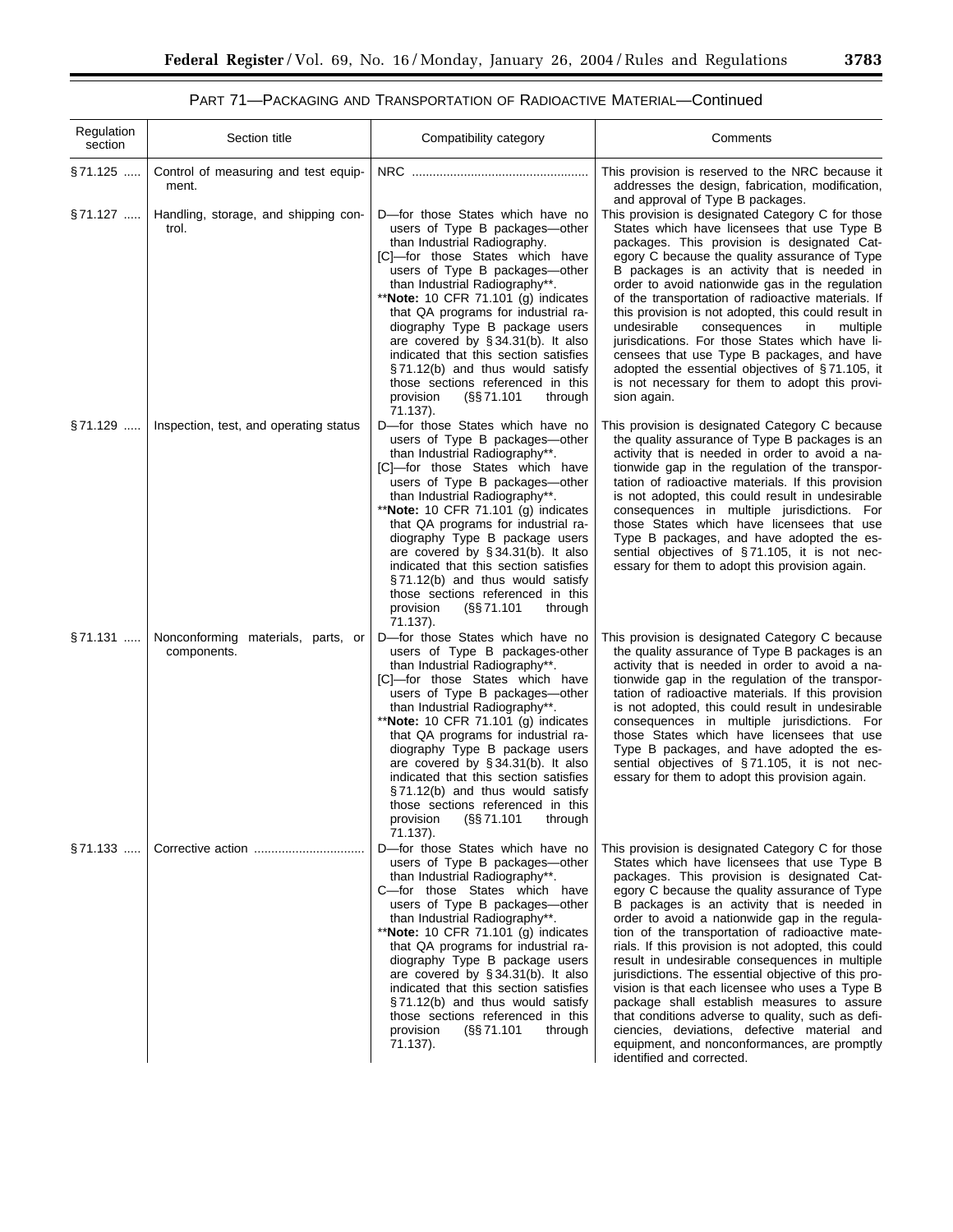| Regulation<br>section | Section title                                     | Compatibility category                                                                                                                                                                                                                                                                                                                                                                                                                                                                                                                  | Comments                                                                                                                                                                                                                                                                                                                                                                                                                                                                                                                                                                                                                                                                                                                                                                                               |
|-----------------------|---------------------------------------------------|-----------------------------------------------------------------------------------------------------------------------------------------------------------------------------------------------------------------------------------------------------------------------------------------------------------------------------------------------------------------------------------------------------------------------------------------------------------------------------------------------------------------------------------------|--------------------------------------------------------------------------------------------------------------------------------------------------------------------------------------------------------------------------------------------------------------------------------------------------------------------------------------------------------------------------------------------------------------------------------------------------------------------------------------------------------------------------------------------------------------------------------------------------------------------------------------------------------------------------------------------------------------------------------------------------------------------------------------------------------|
| §71.125               | Control of measuring and test equip-<br>ment.     |                                                                                                                                                                                                                                                                                                                                                                                                                                                                                                                                         | This provision is reserved to the NRC because it<br>addresses the design, fabrication, modification,<br>and approval of Type B packages.                                                                                                                                                                                                                                                                                                                                                                                                                                                                                                                                                                                                                                                               |
| $§71.127$             | Handling, storage, and shipping con-<br>trol.     | D-for those States which have no<br>users of Type B packages-other<br>than Industrial Radiography.<br>[C]—for those States which have<br>users of Type B packages-other<br>than Industrial Radiography**.<br>**Note: 10 CFR 71.101 (g) indicates<br>that QA programs for industrial ra-<br>diography Type B package users<br>are covered by §34.31(b). It also<br>indicated that this section satisfies<br>§71.12(b) and thus would satisfy<br>those sections referenced in this<br>provision<br>(§§ 71.101<br>through<br>71.137).      | This provision is designated Category C for those<br>States which have licensees that use Type B<br>packages. This provision is designated Cat-<br>egory C because the quality assurance of Type<br>B packages is an activity that is needed in<br>order to avoid nationwide gas in the regulation<br>of the transportation of radioactive materials. If<br>this provision is not adopted, this could result in<br>undesirable<br>consequences<br>multiple<br>in<br>jurisdications. For those States which have li-<br>censees that use Type B packages, and have<br>adopted the essential objectives of §71.105, it<br>is not necessary for them to adopt this provi-<br>sion again.                                                                                                                  |
| §71.129               | Inspection, test, and operating status            | D-for those States which have no<br>users of Type B packages-other<br>than Industrial Radiography**.<br>[C]-for those States which have<br>users of Type B packages-other<br>than Industrial Radiography**.<br>**Note: 10 CFR 71.101 (g) indicates<br>that QA programs for industrial ra-<br>diography Type B package users<br>are covered by §34.31(b). It also<br>indicated that this section satisfies<br>§71.12(b) and thus would satisfy<br>those sections referenced in this<br>provision<br>$(S\$ 71.101<br>through<br>71.137).  | This provision is designated Category C because<br>the quality assurance of Type B packages is an<br>activity that is needed in order to avoid a na-<br>tionwide gap in the regulation of the transpor-<br>tation of radioactive materials. If this provision<br>is not adopted, this could result in undesirable<br>consequences in multiple jurisdictions. For<br>those States which have licensees that use<br>Type B packages, and have adopted the es-<br>sential objectives of §71.105, it is not nec-<br>essary for them to adopt this provision again.                                                                                                                                                                                                                                         |
| §71.131               | Nonconforming materials, parts, or<br>components. | D-for those States which have no<br>users of Type B packages-other<br>than Industrial Radiography**.<br>[C]-for those States which have<br>users of Type B packages-other<br>than Industrial Radiography**.<br>**Note: 10 CFR 71.101 (g) indicates<br>that QA programs for industrial ra-<br>diography Type B package users<br>are covered by §34.31(b). It also<br>indicated that this section satisfies<br>§71.12(b) and thus would satisfy<br>those sections referenced in this<br>(§§ 71.101<br>provision<br>through<br>71.137).    | This provision is designated Category C because<br>the quality assurance of Type B packages is an<br>activity that is needed in order to avoid a na-<br>tionwide gap in the regulation of the transpor-<br>tation of radioactive materials. If this provision<br>is not adopted, this could result in undesirable<br>consequences in multiple jurisdictions. For<br>those States which have licensees that use<br>Type B packages, and have adopted the es-<br>sential objectives of §71.105, it is not nec-<br>essary for them to adopt this provision again.                                                                                                                                                                                                                                         |
| $\S 71.133$           |                                                   | D-for those States which have no<br>users of Type B packages-other<br>than Industrial Radiography**.<br>C-for those States which have<br>users of Type B packages-other<br>than Industrial Radiography**.<br>**Note: 10 CFR 71.101 (g) indicates<br>that QA programs for industrial ra-<br>diography Type B package users<br>are covered by $\S 34.31(b)$ . It also<br>indicated that this section satisfies<br>§71.12(b) and thus would satisfy<br>those sections referenced in this<br>provision<br>(§§ 71.101<br>through<br>71.137). | This provision is designated Category C for those<br>States which have licensees that use Type B<br>packages. This provision is designated Cat-<br>egory C because the quality assurance of Type<br>B packages is an activity that is needed in<br>order to avoid a nationwide gap in the regula-<br>tion of the transportation of radioactive mate-<br>rials. If this provision is not adopted, this could<br>result in undesirable consequences in multiple<br>jurisdictions. The essential objective of this pro-<br>vision is that each licensee who uses a Type B<br>package shall establish measures to assure<br>that conditions adverse to quality, such as defi-<br>ciencies, deviations, defective material and<br>equipment, and nonconformances, are promptly<br>identified and corrected. |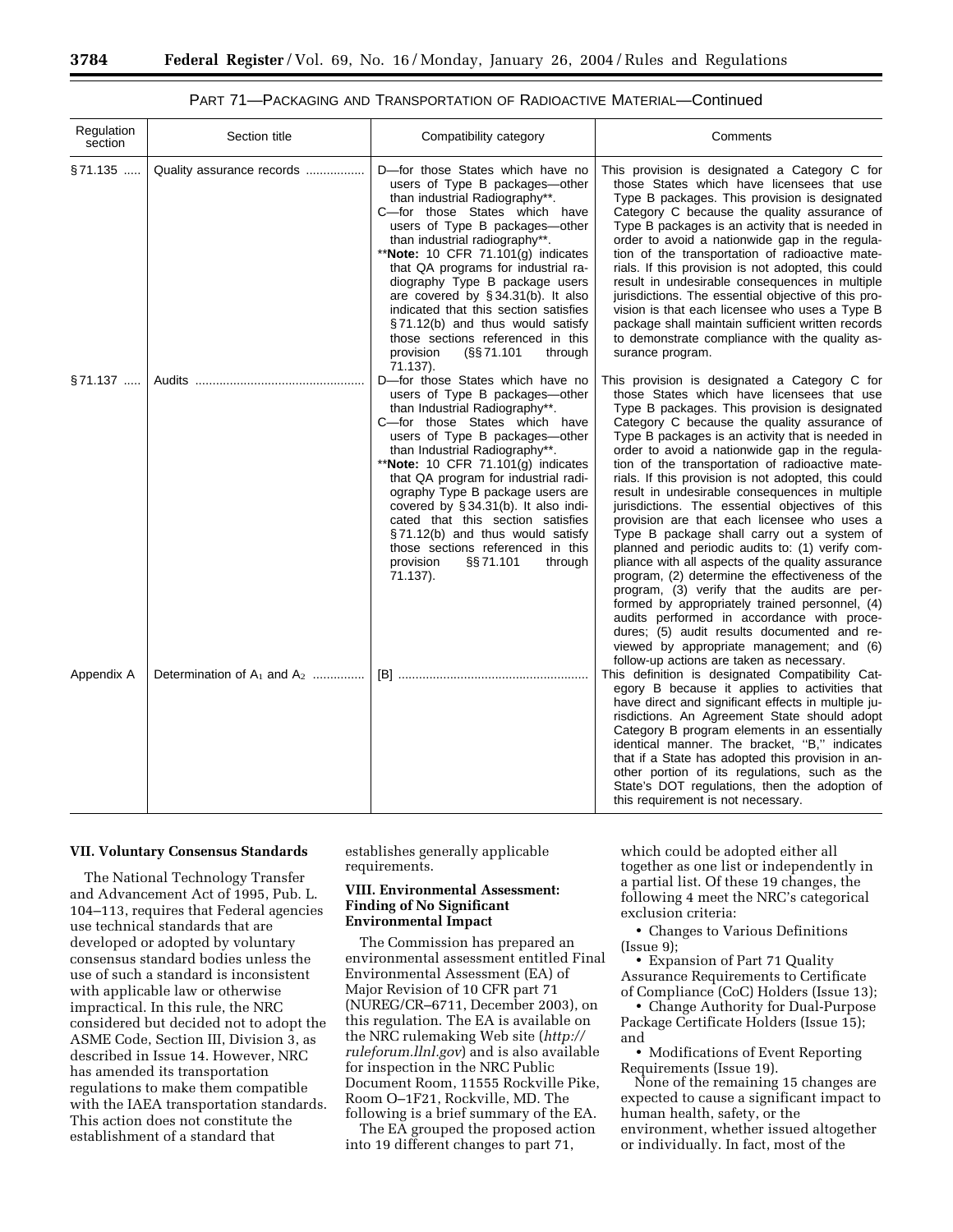| Regulation<br>section | Section title             | Compatibility category                                                                                                                                                                                                                                                                                                                                                                                                                                                                                                                    | Comments                                                                                                                                                                                                                                                                                                                                                                                                                                                                                                                                                                                                                                                                                                                                                                                                                                            |
|-----------------------|---------------------------|-------------------------------------------------------------------------------------------------------------------------------------------------------------------------------------------------------------------------------------------------------------------------------------------------------------------------------------------------------------------------------------------------------------------------------------------------------------------------------------------------------------------------------------------|-----------------------------------------------------------------------------------------------------------------------------------------------------------------------------------------------------------------------------------------------------------------------------------------------------------------------------------------------------------------------------------------------------------------------------------------------------------------------------------------------------------------------------------------------------------------------------------------------------------------------------------------------------------------------------------------------------------------------------------------------------------------------------------------------------------------------------------------------------|
| $§71.135$             | Quality assurance records | D-for those States which have no<br>users of Type B packages-other<br>than industrial Radiography**.<br>C-for those States which have<br>users of Type B packages-other<br>than industrial radiography**.<br>**Note: 10 CFR 71.101 $(g)$ indicates<br>that QA programs for industrial ra-<br>diography Type B package users<br>are covered by §34.31(b). It also<br>indicated that this section satisfies<br>§71.12(b) and thus would satisfy<br>those sections referenced in this<br>provision<br>$(S\$ 71.101<br>through<br>$71.137$ ). | This provision is designated a Category C for<br>those States which have licensees that use<br>Type B packages. This provision is designated<br>Category C because the quality assurance of<br>Type B packages is an activity that is needed in<br>order to avoid a nationwide gap in the regula-<br>tion of the transportation of radioactive mate-<br>rials. If this provision is not adopted, this could<br>result in undesirable consequences in multiple<br>jurisdictions. The essential objective of this pro-<br>vision is that each licensee who uses a Type B<br>package shall maintain sufficient written records<br>to demonstrate compliance with the quality as-<br>surance program.                                                                                                                                                   |
| §71.137               |                           | D-for those States which have no<br>users of Type B packages-other<br>than Industrial Radiography**.<br>C-for those States which have<br>users of Type B packages-other<br>than Industrial Radiography**.<br>**Note: 10 CFR 71.101 $(g)$ indicates<br>that QA program for industrial radi-<br>ography Type B package users are<br>covered by §34.31(b). It also indi-<br>cated that this section satisfies<br>§71.12(b) and thus would satisfy<br>those sections referenced in this<br>provision<br>§§ 71.101<br>through                  | This provision is designated a Category C for<br>those States which have licensees that use<br>Type B packages. This provision is designated<br>Category C because the quality assurance of<br>Type B packages is an activity that is needed in<br>order to avoid a nationwide gap in the regula-<br>tion of the transportation of radioactive mate-<br>rials. If this provision is not adopted, this could<br>result in undesirable consequences in multiple<br>jurisdictions. The essential objectives of this<br>provision are that each licensee who uses a<br>Type B package shall carry out a system of<br>planned and periodic audits to: (1) verify com-<br>pliance with all aspects of the quality assurance                                                                                                                               |
| Appendix A            |                           | 71.137).                                                                                                                                                                                                                                                                                                                                                                                                                                                                                                                                  | program, (2) determine the effectiveness of the<br>program, (3) verify that the audits are per-<br>formed by appropriately trained personnel, (4)<br>audits performed in accordance with proce-<br>dures; (5) audit results documented and re-<br>viewed by appropriate management; and (6)<br>follow-up actions are taken as necessary.<br>This definition is designated Compatibility Cat-<br>egory B because it applies to activities that<br>have direct and significant effects in multiple ju-<br>risdictions. An Agreement State should adopt<br>Category B program elements in an essentially<br>identical manner. The bracket, "B," indicates<br>that if a State has adopted this provision in an-<br>other portion of its regulations, such as the<br>State's DOT regulations, then the adoption of<br>this requirement is not necessary. |

## PART 71—PACKAGING AND TRANSPORTATION OF RADIOACTIVE MATERIAL—Continued

## **VII. Voluntary Consensus Standards**

The National Technology Transfer and Advancement Act of 1995, Pub. L. 104–113, requires that Federal agencies use technical standards that are developed or adopted by voluntary consensus standard bodies unless the use of such a standard is inconsistent with applicable law or otherwise impractical. In this rule, the NRC considered but decided not to adopt the ASME Code, Section III, Division 3, as described in Issue 14. However, NRC has amended its transportation regulations to make them compatible with the IAEA transportation standards. This action does not constitute the establishment of a standard that

establishes generally applicable requirements.

## **VIII. Environmental Assessment: Finding of No Significant Environmental Impact**

The Commission has prepared an environmental assessment entitled Final Environmental Assessment (EA) of Major Revision of 10 CFR part 71 (NUREG/CR–6711, December 2003), on this regulation. The EA is available on the NRC rulemaking Web site (*http:// ruleforum.llnl.gov*) and is also available for inspection in the NRC Public Document Room, 11555 Rockville Pike, Room O–1F21, Rockville, MD. The following is a brief summary of the EA.

The EA grouped the proposed action into 19 different changes to part 71,

which could be adopted either all together as one list or independently in a partial list. Of these 19 changes, the following 4 meet the NRC's categorical exclusion criteria:

• Changes to Various Definitions (Issue 9);

• Expansion of Part 71 Quality Assurance Requirements to Certificate of Compliance (CoC) Holders (Issue 13);

• Change Authority for Dual-Purpose Package Certificate Holders (Issue 15); and

• Modifications of Event Reporting Requirements (Issue 19).

None of the remaining 15 changes are expected to cause a significant impact to human health, safety, or the environment, whether issued altogether or individually. In fact, most of the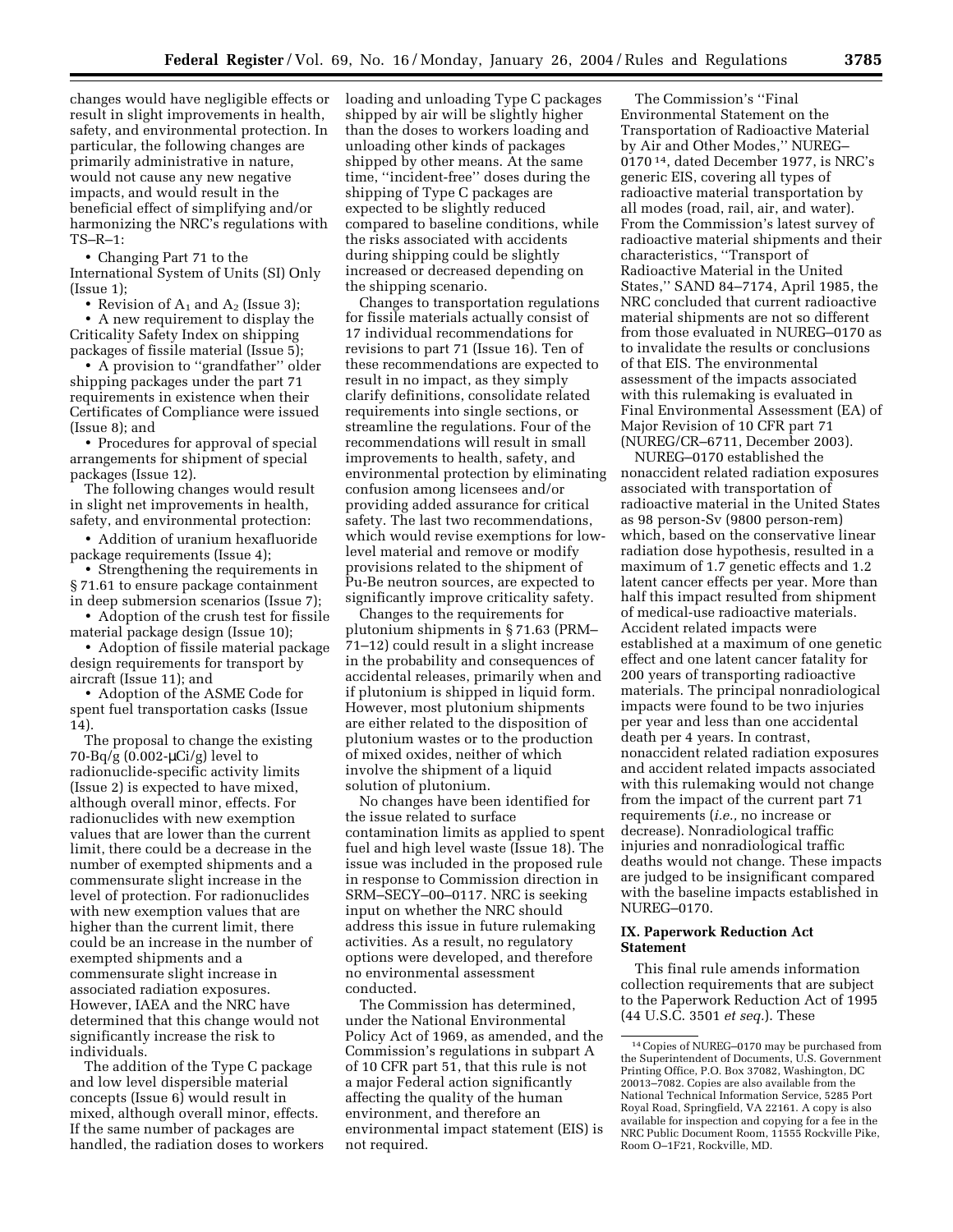changes would have negligible effects or result in slight improvements in health, safety, and environmental protection. In particular, the following changes are primarily administrative in nature, would not cause any new negative impacts, and would result in the beneficial effect of simplifying and/or harmonizing the NRC's regulations with TS–R–1:

• Changing Part 71 to the International System of Units (SI) Only (Issue 1);

• Revision of  $A_1$  and  $A_2$  (Issue 3); • A new requirement to display the Criticality Safety Index on shipping packages of fissile material (Issue 5);

• A provision to ''grandfather'' older shipping packages under the part 71 requirements in existence when their Certificates of Compliance were issued (Issue 8); and

• Procedures for approval of special arrangements for shipment of special packages (Issue 12).

The following changes would result in slight net improvements in health, safety, and environmental protection:

• Addition of uranium hexafluoride package requirements (Issue 4);

• Strengthening the requirements in § 71.61 to ensure package containment in deep submersion scenarios (Issue 7);

• Adoption of the crush test for fissile material package design (Issue 10);

• Adoption of fissile material package design requirements for transport by aircraft (Issue 11); and

• Adoption of the ASME Code for spent fuel transportation casks (Issue 14).

The proposal to change the existing  $70$ -Bq/g  $(0.002$ - $\mu$ Ci/g) level to radionuclide-specific activity limits (Issue 2) is expected to have mixed, although overall minor, effects. For radionuclides with new exemption values that are lower than the current limit, there could be a decrease in the number of exempted shipments and a commensurate slight increase in the level of protection. For radionuclides with new exemption values that are higher than the current limit, there could be an increase in the number of exempted shipments and a commensurate slight increase in associated radiation exposures. However, IAEA and the NRC have determined that this change would not significantly increase the risk to individuals.

The addition of the Type C package and low level dispersible material concepts (Issue 6) would result in mixed, although overall minor, effects. If the same number of packages are handled, the radiation doses to workers loading and unloading Type C packages shipped by air will be slightly higher than the doses to workers loading and unloading other kinds of packages shipped by other means. At the same time, ''incident-free'' doses during the shipping of Type C packages are expected to be slightly reduced compared to baseline conditions, while the risks associated with accidents during shipping could be slightly increased or decreased depending on the shipping scenario.

Changes to transportation regulations for fissile materials actually consist of 17 individual recommendations for revisions to part 71 (Issue 16). Ten of these recommendations are expected to result in no impact, as they simply clarify definitions, consolidate related requirements into single sections, or streamline the regulations. Four of the recommendations will result in small improvements to health, safety, and environmental protection by eliminating confusion among licensees and/or providing added assurance for critical safety. The last two recommendations, which would revise exemptions for lowlevel material and remove or modify provisions related to the shipment of Pu-Be neutron sources, are expected to significantly improve criticality safety.

Changes to the requirements for plutonium shipments in § 71.63 (PRM– 71–12) could result in a slight increase in the probability and consequences of accidental releases, primarily when and if plutonium is shipped in liquid form. However, most plutonium shipments are either related to the disposition of plutonium wastes or to the production of mixed oxides, neither of which involve the shipment of a liquid solution of plutonium.

No changes have been identified for the issue related to surface contamination limits as applied to spent fuel and high level waste (Issue 18). The issue was included in the proposed rule in response to Commission direction in SRM–SECY–00–0117. NRC is seeking input on whether the NRC should address this issue in future rulemaking activities. As a result, no regulatory options were developed, and therefore no environmental assessment conducted.

The Commission has determined, under the National Environmental Policy Act of 1969, as amended, and the Commission's regulations in subpart A of 10 CFR part 51, that this rule is not a major Federal action significantly affecting the quality of the human environment, and therefore an environmental impact statement (EIS) is not required.

The Commission's ''Final Environmental Statement on the Transportation of Radioactive Material by Air and Other Modes,'' NUREG– 0170 14, dated December 1977, is NRC's generic EIS, covering all types of radioactive material transportation by all modes (road, rail, air, and water). From the Commission's latest survey of radioactive material shipments and their characteristics, ''Transport of Radioactive Material in the United States,'' SAND 84–7174, April 1985, the NRC concluded that current radioactive material shipments are not so different from those evaluated in NUREG–0170 as to invalidate the results or conclusions of that EIS. The environmental assessment of the impacts associated with this rulemaking is evaluated in Final Environmental Assessment (EA) of Major Revision of 10 CFR part 71 (NUREG/CR–6711, December 2003).

NUREG–0170 established the nonaccident related radiation exposures associated with transportation of radioactive material in the United States as 98 person-Sv (9800 person-rem) which, based on the conservative linear radiation dose hypothesis, resulted in a maximum of 1.7 genetic effects and 1.2 latent cancer effects per year. More than half this impact resulted from shipment of medical-use radioactive materials. Accident related impacts were established at a maximum of one genetic effect and one latent cancer fatality for 200 years of transporting radioactive materials. The principal nonradiological impacts were found to be two injuries per year and less than one accidental death per 4 years. In contrast, nonaccident related radiation exposures and accident related impacts associated with this rulemaking would not change from the impact of the current part 71 requirements (*i.e.,* no increase or decrease). Nonradiological traffic injuries and nonradiological traffic deaths would not change. These impacts are judged to be insignificant compared with the baseline impacts established in NUREG–0170.

## **IX. Paperwork Reduction Act Statement**

This final rule amends information collection requirements that are subject to the Paperwork Reduction Act of 1995 (44 U.S.C. 3501 *et seq.*). These

<sup>14</sup>Copies of NUREG–0170 may be purchased from the Superintendent of Documents, U.S. Government Printing Office, P.O. Box 37082, Washington, DC 20013–7082. Copies are also available from the National Technical Information Service, 5285 Port Royal Road, Springfield, VA 22161. A copy is also available for inspection and copying for a fee in the NRC Public Document Room, 11555 Rockville Pike, Room O–1F21, Rockville, MD.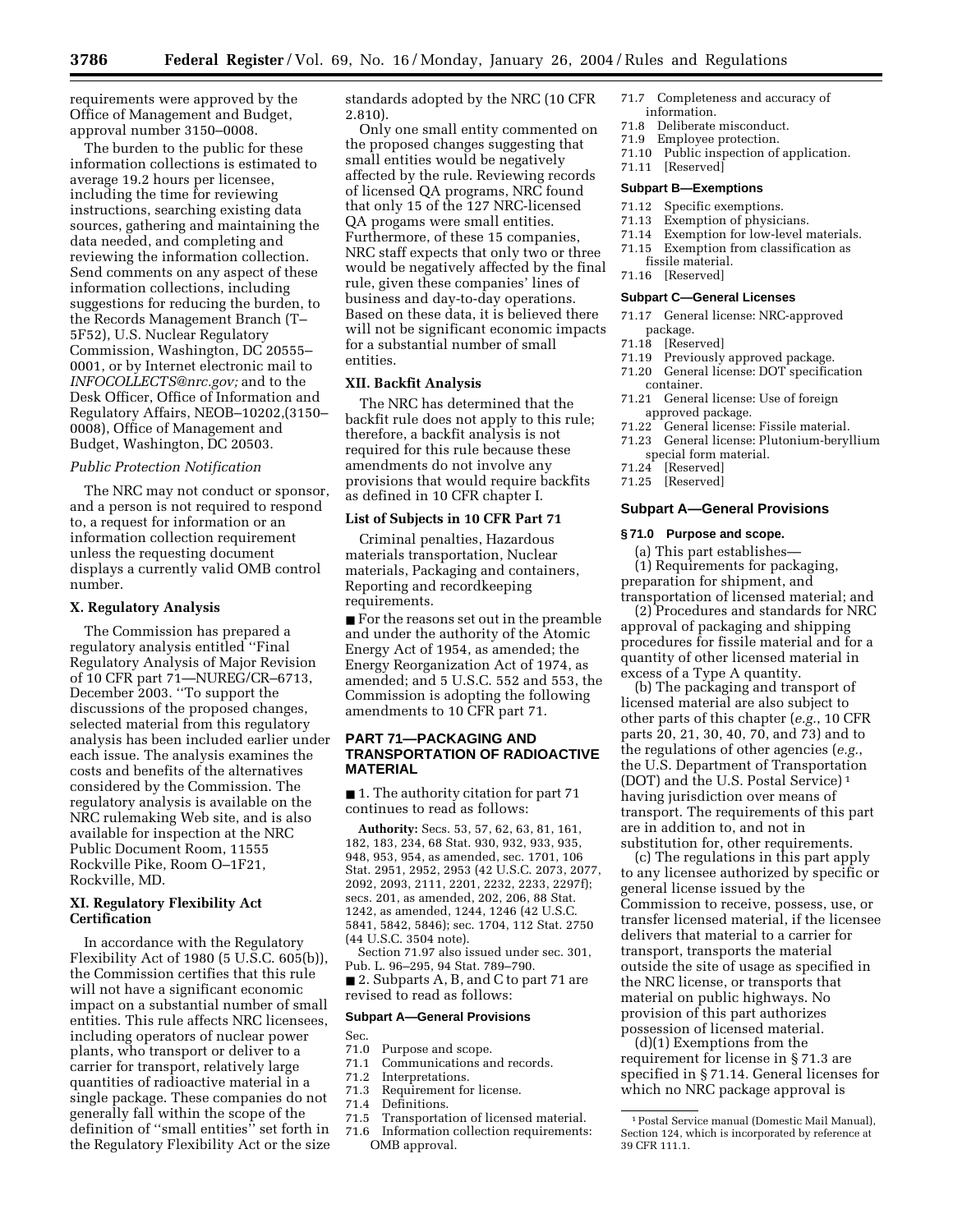requirements were approved by the Office of Management and Budget, approval number 3150–0008.

The burden to the public for these information collections is estimated to average 19.2 hours per licensee, including the time for reviewing instructions, searching existing data sources, gathering and maintaining the data needed, and completing and reviewing the information collection. Send comments on any aspect of these information collections, including suggestions for reducing the burden, to the Records Management Branch (T– 5F52), U.S. Nuclear Regulatory Commission, Washington, DC 20555– 0001, or by Internet electronic mail to *INFOCOLLECTS@nrc.gov;* and to the Desk Officer, Office of Information and Regulatory Affairs, NEOB–10202,(3150– 0008), Office of Management and Budget, Washington, DC 20503.

#### *Public Protection Notification*

The NRC may not conduct or sponsor, and a person is not required to respond to, a request for information or an information collection requirement unless the requesting document displays a currently valid OMB control number.

### **X. Regulatory Analysis**

The Commission has prepared a regulatory analysis entitled ''Final Regulatory Analysis of Major Revision of 10 CFR part 71—NUREG/CR–6713, December 2003. ''To support the discussions of the proposed changes, selected material from this regulatory analysis has been included earlier under each issue. The analysis examines the costs and benefits of the alternatives considered by the Commission. The regulatory analysis is available on the NRC rulemaking Web site, and is also available for inspection at the NRC Public Document Room, 11555 Rockville Pike, Room O–1F21, Rockville, MD.

## **XI. Regulatory Flexibility Act Certification**

In accordance with the Regulatory Flexibility Act of 1980 (5 U.S.C. 605(b)), the Commission certifies that this rule will not have a significant economic impact on a substantial number of small entities. This rule affects NRC licensees, including operators of nuclear power plants, who transport or deliver to a carrier for transport, relatively large quantities of radioactive material in a single package. These companies do not generally fall within the scope of the definition of ''small entities'' set forth in the Regulatory Flexibility Act or the size standards adopted by the NRC (10 CFR 2.810).

Only one small entity commented on the proposed changes suggesting that small entities would be negatively affected by the rule. Reviewing records of licensed QA programs, NRC found that only 15 of the 127 NRC-licensed QA progams were small entities. Furthermore, of these 15 companies, NRC staff expects that only two or three would be negatively affected by the final rule, given these companies' lines of business and day-to-day operations. Based on these data, it is believed there will not be significant economic impacts for a substantial number of small entities.

### **XII. Backfit Analysis**

The NRC has determined that the backfit rule does not apply to this rule; therefore, a backfit analysis is not required for this rule because these amendments do not involve any provisions that would require backfits as defined in 10 CFR chapter I.

## **List of Subjects in 10 CFR Part 71**

Criminal penalties, Hazardous materials transportation, Nuclear materials, Packaging and containers, Reporting and recordkeeping requirements.

■ For the reasons set out in the preamble and under the authority of the Atomic Energy Act of 1954, as amended; the Energy Reorganization Act of 1974, as amended; and 5 U.S.C. 552 and 553, the Commission is adopting the following amendments to 10 CFR part 71.

## **PART 71—PACKAGING AND TRANSPORTATION OF RADIOACTIVE MATERIAL**

■ 1. The authority citation for part 71 continues to read as follows:

**Authority:** Secs. 53, 57, 62, 63, 81, 161, 182, 183, 234, 68 Stat. 930, 932, 933, 935, 948, 953, 954, as amended, sec. 1701, 106 Stat. 2951, 2952, 2953 (42 U.S.C. 2073, 2077, 2092, 2093, 2111, 2201, 2232, 2233, 2297f); secs. 201, as amended, 202, 206, 88 Stat. 1242, as amended, 1244, 1246 (42 U.S.C. 5841, 5842, 5846); sec. 1704, 112 Stat. 2750 (44 U.S.C. 3504 note).

Section 71.97 also issued under sec. 301, Pub. L. 96–295, 94 Stat. 789–790.

■ 2. Subparts A, B, and C to part 71 are revised to read as follows:

#### **Subpart A—General Provisions**

Sec.<br>71.0

- Purpose and scope.
- 71.1 Communications and records.
- 71.2 Interpretations.
- 71.3 Requirement for license.
- Definitions.
- 
- 71.5 Transportation of licensed material. Information collection requirements: OMB approval.
- 71.7 Completeness and accuracy of information.
- 71.8 Deliberate misconduct.
- 71.9 Employee protection.
- 71.10 Public inspection of application.
- 71.11 [Reserved]

## **Subpart B—Exemptions**

- 71.12 Specific exemptions.<br>71.13 Exemption of physici
- 71.13 Exemption of physicians.<br>71.14 Exemption for low-level r
- 71.14 Exemption for low-level materials.
- Exemption from classification as
- fissile material.
- 71.16 [Reserved]

## **Subpart C—General Licenses**

- 71.17 General license: NRC-approved package.
- 
- 71.18 [Reserved]<br>71.19 Previously Previously approved package.
- 71.20 General license: DOT specification
- container. 71.21 General license: Use of foreign
- approved package.<br>71.22 General license
- General license: Fissile material.
- 71.23 General license: Plutonium-beryllium special form material.<br>71.24 [Reserved]
- [Reserved]
- 71.25 [Reserved]

## **Subpart A—General Provisions**

#### **§ 71.0 Purpose and scope.**

(a) This part establishes— (1) Requirements for packaging,

preparation for shipment, and transportation of licensed material; and

(2) Procedures and standards for NRC approval of packaging and shipping procedures for fissile material and for a quantity of other licensed material in excess of a Type A quantity.

(b) The packaging and transport of licensed material are also subject to other parts of this chapter (*e.g.*, 10 CFR parts 20, 21, 30, 40, 70, and 73) and to the regulations of other agencies (*e.g.*, the U.S. Department of Transportation (DOT) and the U.S. Postal Service) 1 having jurisdiction over means of transport. The requirements of this part are in addition to, and not in substitution for, other requirements.

(c) The regulations in this part apply to any licensee authorized by specific or general license issued by the Commission to receive, possess, use, or transfer licensed material, if the licensee delivers that material to a carrier for transport, transports the material outside the site of usage as specified in the NRC license, or transports that material on public highways. No provision of this part authorizes possession of licensed material.

(d)(1) Exemptions from the requirement for license in § 71.3 are specified in § 71.14. General licenses for which no NRC package approval is

<sup>1</sup>Postal Service manual (Domestic Mail Manual), Section 124, which is incorporated by reference at 39 CFR 111.1.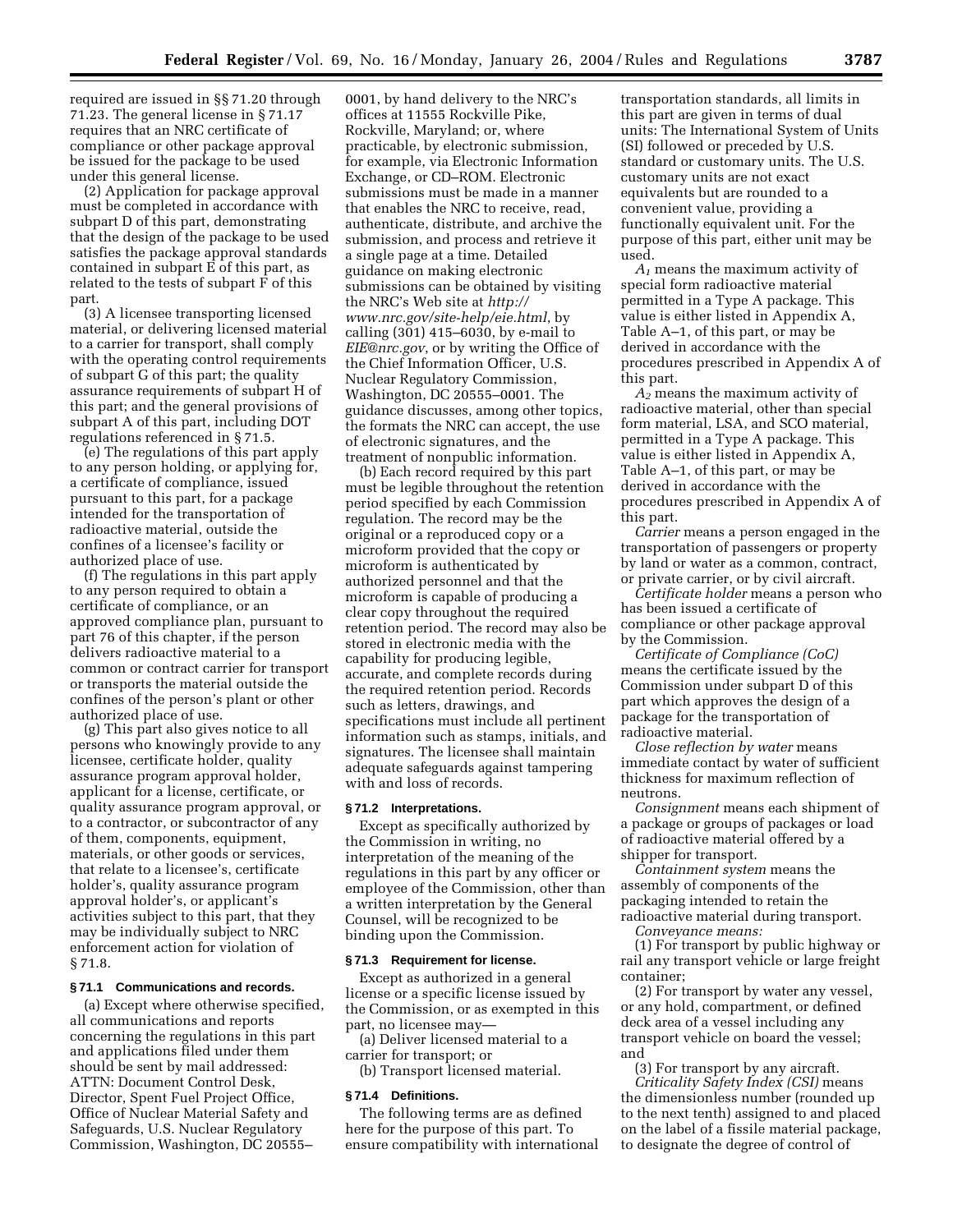required are issued in §§ 71.20 through 71.23. The general license in § 71.17 requires that an NRC certificate of compliance or other package approval be issued for the package to be used under this general license.

(2) Application for package approval must be completed in accordance with subpart D of this part, demonstrating that the design of the package to be used satisfies the package approval standards contained in subpart E of this part, as related to the tests of subpart F of this part.

(3) A licensee transporting licensed material, or delivering licensed material to a carrier for transport, shall comply with the operating control requirements of subpart G of this part; the quality assurance requirements of subpart H of this part; and the general provisions of subpart A of this part, including DOT regulations referenced in § 71.5.

(e) The regulations of this part apply to any person holding, or applying for, a certificate of compliance, issued pursuant to this part, for a package intended for the transportation of radioactive material, outside the confines of a licensee's facility or authorized place of use.

(f) The regulations in this part apply to any person required to obtain a certificate of compliance, or an approved compliance plan, pursuant to part 76 of this chapter, if the person delivers radioactive material to a common or contract carrier for transport or transports the material outside the confines of the person's plant or other authorized place of use.

(g) This part also gives notice to all persons who knowingly provide to any licensee, certificate holder, quality assurance program approval holder, applicant for a license, certificate, or quality assurance program approval, or to a contractor, or subcontractor of any of them, components, equipment, materials, or other goods or services, that relate to a licensee's, certificate holder's, quality assurance program approval holder's, or applicant's activities subject to this part, that they may be individually subject to NRC enforcement action for violation of § 71.8.

#### **§ 71.1 Communications and records.**

(a) Except where otherwise specified, all communications and reports concerning the regulations in this part and applications filed under them should be sent by mail addressed: ATTN: Document Control Desk, Director, Spent Fuel Project Office, Office of Nuclear Material Safety and Safeguards, U.S. Nuclear Regulatory Commission, Washington, DC 20555–

0001, by hand delivery to the NRC's offices at 11555 Rockville Pike, Rockville, Maryland; or, where practicable, by electronic submission, for example, via Electronic Information Exchange, or CD–ROM. Electronic submissions must be made in a manner that enables the NRC to receive, read, authenticate, distribute, and archive the submission, and process and retrieve it a single page at a time. Detailed guidance on making electronic submissions can be obtained by visiting the NRC's Web site at *http:// www.nrc.gov/site-help/eie.html*, by calling (301) 415–6030, by e-mail to *EIE@nrc.gov*, or by writing the Office of the Chief Information Officer, U.S. Nuclear Regulatory Commission, Washington, DC 20555–0001. The guidance discusses, among other topics, the formats the NRC can accept, the use of electronic signatures, and the treatment of nonpublic information.

(b) Each record required by this part must be legible throughout the retention period specified by each Commission regulation. The record may be the original or a reproduced copy or a microform provided that the copy or microform is authenticated by authorized personnel and that the microform is capable of producing a clear copy throughout the required retention period. The record may also be stored in electronic media with the capability for producing legible, accurate, and complete records during the required retention period. Records such as letters, drawings, and specifications must include all pertinent information such as stamps, initials, and signatures. The licensee shall maintain adequate safeguards against tampering with and loss of records.

#### **§ 71.2 Interpretations.**

Except as specifically authorized by the Commission in writing, no interpretation of the meaning of the regulations in this part by any officer or employee of the Commission, other than a written interpretation by the General Counsel, will be recognized to be binding upon the Commission.

#### **§ 71.3 Requirement for license.**

Except as authorized in a general license or a specific license issued by the Commission, or as exempted in this part, no licensee may—

(a) Deliver licensed material to a carrier for transport; or

(b) Transport licensed material.

## **§ 71.4 Definitions.**

The following terms are as defined here for the purpose of this part. To ensure compatibility with international

transportation standards, all limits in this part are given in terms of dual units: The International System of Units (SI) followed or preceded by U.S. standard or customary units. The U.S. customary units are not exact equivalents but are rounded to a convenient value, providing a functionally equivalent unit. For the purpose of this part, either unit may be used.

*A1* means the maximum activity of special form radioactive material permitted in a Type A package. This value is either listed in Appendix A, Table A–1, of this part, or may be derived in accordance with the procedures prescribed in Appendix A of this part.

*A2* means the maximum activity of radioactive material, other than special form material, LSA, and SCO material, permitted in a Type A package. This value is either listed in Appendix A, Table A–1, of this part, or may be derived in accordance with the procedures prescribed in Appendix A of this part.

*Carrier* means a person engaged in the transportation of passengers or property by land or water as a common, contract, or private carrier, or by civil aircraft.

*Certificate holder* means a person who has been issued a certificate of compliance or other package approval by the Commission.

*Certificate of Compliance (CoC)* means the certificate issued by the Commission under subpart D of this part which approves the design of a package for the transportation of radioactive material.

*Close reflection by water* means immediate contact by water of sufficient thickness for maximum reflection of neutrons.

*Consignment* means each shipment of a package or groups of packages or load of radioactive material offered by a shipper for transport.

*Containment system* means the assembly of components of the packaging intended to retain the radioactive material during transport.

*Conveyance means:*

(1) For transport by public highway or rail any transport vehicle or large freight container;

(2) For transport by water any vessel, or any hold, compartment, or defined deck area of a vessel including any transport vehicle on board the vessel; and

(3) For transport by any aircraft. *Criticality Safety Index (CSI)* means the dimensionless number (rounded up to the next tenth) assigned to and placed on the label of a fissile material package, to designate the degree of control of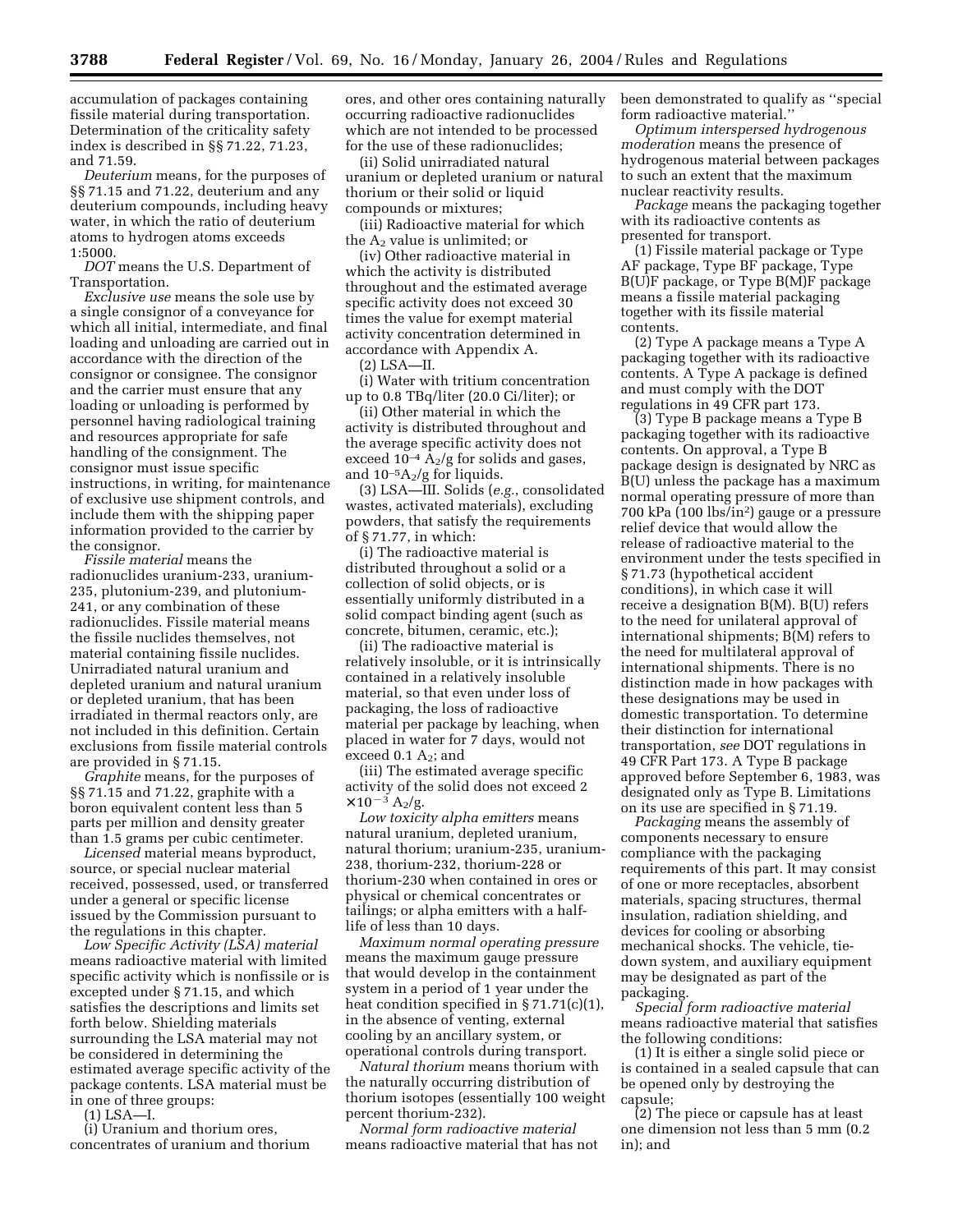accumulation of packages containing fissile material during transportation. Determination of the criticality safety index is described in §§ 71.22, 71.23, and 71.59.

*Deuterium* means, for the purposes of §§ 71.15 and 71.22, deuterium and any deuterium compounds, including heavy water, in which the ratio of deuterium atoms to hydrogen atoms exceeds 1:5000.

*DOT* means the U.S. Department of Transportation.

*Exclusive use* means the sole use by a single consignor of a conveyance for which all initial, intermediate, and final loading and unloading are carried out in accordance with the direction of the consignor or consignee. The consignor and the carrier must ensure that any loading or unloading is performed by personnel having radiological training and resources appropriate for safe handling of the consignment. The consignor must issue specific instructions, in writing, for maintenance of exclusive use shipment controls, and include them with the shipping paper information provided to the carrier by the consignor.

*Fissile material* means the radionuclides uranium-233, uranium-235, plutonium-239, and plutonium-241, or any combination of these radionuclides. Fissile material means the fissile nuclides themselves, not material containing fissile nuclides. Unirradiated natural uranium and depleted uranium and natural uranium or depleted uranium, that has been irradiated in thermal reactors only, are not included in this definition. Certain exclusions from fissile material controls are provided in § 71.15.

*Graphite* means, for the purposes of §§ 71.15 and 71.22, graphite with a boron equivalent content less than 5 parts per million and density greater than 1.5 grams per cubic centimeter.

*Licensed* material means byproduct, source, or special nuclear material received, possessed, used, or transferred under a general or specific license issued by the Commission pursuant to the regulations in this chapter.

*Low Specific Activity (LSA) material* means radioactive material with limited specific activity which is nonfissile or is excepted under § 71.15, and which satisfies the descriptions and limits set forth below. Shielding materials surrounding the LSA material may not be considered in determining the estimated average specific activity of the package contents. LSA material must be in one of three groups:

(1) LSA—I.

(i) Uranium and thorium ores, concentrates of uranium and thorium ores, and other ores containing naturally occurring radioactive radionuclides which are not intended to be processed for the use of these radionuclides;

(ii) Solid unirradiated natural uranium or depleted uranium or natural thorium or their solid or liquid compounds or mixtures;

(iii) Radioactive material for which the  $A_2$  value is unlimited; or

(iv) Other radioactive material in which the activity is distributed throughout and the estimated average specific activity does not exceed 30 times the value for exempt material activity concentration determined in accordance with Appendix A.

(2) LSA—II.

(i) Water with tritium concentration up to 0.8 TBq/liter (20.0 Ci/liter); or

(ii) Other material in which the activity is distributed throughout and the average specific activity does not exceed  $10^{-4}$   $\rm \AA_2/g$  for solids and gases, and  $10^{-5}A_2/g$  for liquids.

(3) LSA—III. Solids (*e.g.*, consolidated wastes, activated materials), excluding powders, that satisfy the requirements of § 71.77, in which:

(i) The radioactive material is distributed throughout a solid or a collection of solid objects, or is essentially uniformly distributed in a solid compact binding agent (such as concrete, bitumen, ceramic, etc.);

(ii) The radioactive material is relatively insoluble, or it is intrinsically contained in a relatively insoluble material, so that even under loss of packaging, the loss of radioactive material per package by leaching, when placed in water for 7 days, would not exceed  $0.1 A<sub>2</sub>$ ; and

(iii) The estimated average specific activity of the solid does not exceed 2  $\times$  10<sup>-3</sup> A<sub>2</sub>/g.

*Low toxicity alpha emitters* means natural uranium, depleted uranium, natural thorium; uranium-235, uranium-238, thorium-232, thorium-228 or thorium-230 when contained in ores or physical or chemical concentrates or tailings; or alpha emitters with a halflife of less than 10 days.

*Maximum normal operating pressure* means the maximum gauge pressure that would develop in the containment system in a period of 1 year under the heat condition specified in § 71.71(c)(1), in the absence of venting, external cooling by an ancillary system, or operational controls during transport.

*Natural thorium* means thorium with the naturally occurring distribution of thorium isotopes (essentially 100 weight percent thorium-232).

*Normal form radioactive material* means radioactive material that has not been demonstrated to qualify as ''special form radioactive material.''

*Optimum interspersed hydrogenous moderation* means the presence of hydrogenous material between packages to such an extent that the maximum nuclear reactivity results.

*Package* means the packaging together with its radioactive contents as presented for transport.

(1) Fissile material package or Type AF package, Type BF package, Type B(U)F package, or Type B(M)F package means a fissile material packaging together with its fissile material contents.

(2) Type A package means a Type A packaging together with its radioactive contents. A Type A package is defined and must comply with the DOT regulations in 49 CFR part 173.

(3) Type B package means a Type B packaging together with its radioactive contents. On approval, a Type B package design is designated by NRC as B(U) unless the package has a maximum normal operating pressure of more than 700 kPa (100 lbs/in2) gauge or a pressure relief device that would allow the release of radioactive material to the environment under the tests specified in § 71.73 (hypothetical accident conditions), in which case it will receive a designation B(M). B(U) refers to the need for unilateral approval of international shipments; B(M) refers to the need for multilateral approval of international shipments. There is no distinction made in how packages with these designations may be used in domestic transportation. To determine their distinction for international transportation, *see* DOT regulations in 49 CFR Part 173. A Type B package approved before September 6, 1983, was designated only as Type B. Limitations on its use are specified in § 71.19.

*Packaging* means the assembly of components necessary to ensure compliance with the packaging requirements of this part. It may consist of one or more receptacles, absorbent materials, spacing structures, thermal insulation, radiation shielding, and devices for cooling or absorbing mechanical shocks. The vehicle, tiedown system, and auxiliary equipment may be designated as part of the packaging.

*Special form radioactive material* means radioactive material that satisfies the following conditions:

(1) It is either a single solid piece or is contained in a sealed capsule that can be opened only by destroying the capsule;

(2) The piece or capsule has at least one dimension not less than 5 mm (0.2 in); and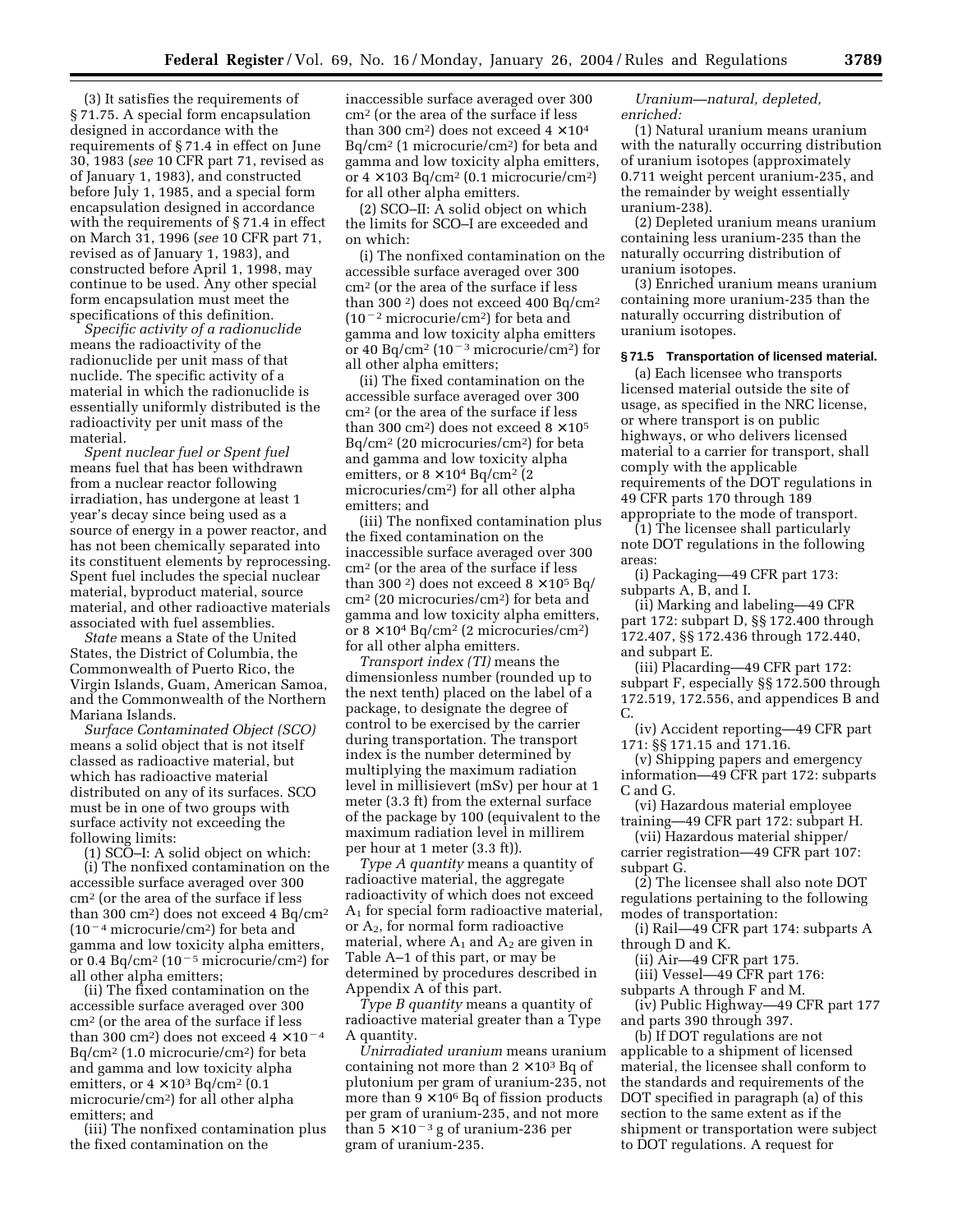(3) It satisfies the requirements of § 71.75. A special form encapsulation designed in accordance with the requirements of § 71.4 in effect on June 30, 1983 (*see* 10 CFR part 71, revised as of January 1, 1983), and constructed before July 1, 1985, and a special form encapsulation designed in accordance with the requirements of § 71.4 in effect on March 31, 1996 (*see* 10 CFR part 71, revised as of January 1, 1983), and constructed before April 1, 1998, may continue to be used. Any other special form encapsulation must meet the specifications of this definition.

*Specific activity of a radionuclide* means the radioactivity of the radionuclide per unit mass of that nuclide. The specific activity of a material in which the radionuclide is essentially uniformly distributed is the radioactivity per unit mass of the material.

*Spent nuclear fuel or Spent fuel* means fuel that has been withdrawn from a nuclear reactor following irradiation, has undergone at least 1 year's decay since being used as a source of energy in a power reactor, and has not been chemically separated into its constituent elements by reprocessing. Spent fuel includes the special nuclear material, byproduct material, source material, and other radioactive materials associated with fuel assemblies.

*State* means a State of the United States, the District of Columbia, the Commonwealth of Puerto Rico, the Virgin Islands, Guam, American Samoa, and the Commonwealth of the Northern Mariana Islands.

*Surface Contaminated Object (SCO)* means a solid object that is not itself classed as radioactive material, but which has radioactive material distributed on any of its surfaces. SCO must be in one of two groups with surface activity not exceeding the following limits:

(1) SCO–I: A solid object on which: (i) The nonfixed contamination on the accessible surface averaged over 300 cm2 (or the area of the surface if less than 300 cm2) does not exceed 4 Bq/cm2  $(10^{-4}$  microcurie/cm<sup>2</sup>) for beta and gamma and low toxicity alpha emitters, or 0.4 Bq/cm<sup>2</sup> (10<sup> $-5$ </sup> microcurie/cm<sup>2</sup>) for all other alpha emitters;

(ii) The fixed contamination on the accessible surface averaged over 300 cm2 (or the area of the surface if less than 300 cm<sup>2</sup>) does not exceed  $4 \times 10^{-4}$ Bq/cm2 (1.0 microcurie/cm2) for beta and gamma and low toxicity alpha emitters, or  $4 \times 10^3$  Bq/cm<sup>2</sup> (0.1) microcurie/cm2) for all other alpha emitters; and

(iii) The nonfixed contamination plus the fixed contamination on the

inaccessible surface averaged over 300 cm2 (or the area of the surface if less than 300 cm<sup>2</sup>) does not exceed  $4 \times 10^4$ Bq/cm2 (1 microcurie/cm2) for beta and gamma and low toxicity alpha emitters, or  $4 \times 103$  Bq/cm<sup>2</sup> (0.1 microcurie/cm<sup>2</sup>) for all other alpha emitters.

(2) SCO–II: A solid object on which the limits for SCO–I are exceeded and on which:

(i) The nonfixed contamination on the accessible surface averaged over 300 cm2 (or the area of the surface if less than 300 2) does not exceed 400 Bq/cm2  $(10^{-2}$  microcurie/cm<sup>2</sup>) for beta and gamma and low toxicity alpha emitters or 40 Bq/cm<sup>2</sup> (10<sup> $-3$ </sup> microcurie/cm<sup>2</sup>) for all other alpha emitters;

(ii) The fixed contamination on the accessible surface averaged over 300 cm2 (or the area of the surface if less than 300 cm<sup>2</sup>) does not exceed  $8 \times 10^5$ Bq/cm2 (20 microcuries/cm2) for beta and gamma and low toxicity alpha emitters, or  $8 \times 10^4$  Bq/cm<sup>2</sup> (2) microcuries/cm2) for all other alpha emitters; and

(iii) The nonfixed contamination plus the fixed contamination on the inaccessible surface averaged over 300 cm2 (or the area of the surface if less than 300 <sup>2</sup>) does not exceed  $8 \times 10^5$  Bq/ cm2 (20 microcuries/cm2) for beta and gamma and low toxicity alpha emitters, or  $8 \times 10^4$  Bq/cm<sup>2</sup> (2 microcuries/cm<sup>2</sup>) for all other alpha emitters.

*Transport index (TI)* means the dimensionless number (rounded up to the next tenth) placed on the label of a package, to designate the degree of control to be exercised by the carrier during transportation. The transport index is the number determined by multiplying the maximum radiation level in millisievert (mSv) per hour at 1 meter (3.3 ft) from the external surface of the package by 100 (equivalent to the maximum radiation level in millirem per hour at 1 meter (3.3 ft)).

*Type A quantity* means a quantity of radioactive material, the aggregate radioactivity of which does not exceed  $A_1$  for special form radioactive material, or A2, for normal form radioactive material, where  $A_1$  and  $A_2$  are given in Table A–1 of this part, or may be determined by procedures described in Appendix A of this part.

*Type B quantity* means a quantity of radioactive material greater than a Type A quantity.

*Unirradiated uranium* means uranium containing not more than  $2 \times 10^3$  Bq of plutonium per gram of uranium-235, not more than  $9 \times 10^6$  Bq of fission products per gram of uranium-235, and not more than  $5 \times 10^{-3}$  g of uranium-236 per gram of uranium-235.

## *Uranium—natural, depleted, enriched:*

(1) Natural uranium means uranium with the naturally occurring distribution of uranium isotopes (approximately 0.711 weight percent uranium-235, and the remainder by weight essentially uranium-238).

(2) Depleted uranium means uranium containing less uranium-235 than the naturally occurring distribution of uranium isotopes.

(3) Enriched uranium means uranium containing more uranium-235 than the naturally occurring distribution of uranium isotopes.

## **§ 71.5 Transportation of licensed material.**

(a) Each licensee who transports licensed material outside the site of usage, as specified in the NRC license, or where transport is on public highways, or who delivers licensed material to a carrier for transport, shall comply with the applicable requirements of the DOT regulations in 49 CFR parts 170 through 189 appropriate to the mode of transport.

(1) The licensee shall particularly note DOT regulations in the following areas:

(i) Packaging—49 CFR part 173: subparts A, B, and I.

(ii) Marking and labeling—49 CFR part 172: subpart D, §§ 172.400 through 172.407, §§ 172.436 through 172.440, and subpart E.

(iii) Placarding—49 CFR part 172: subpart F, especially §§ 172.500 through 172.519, 172.556, and appendices B and C.

(iv) Accident reporting—49 CFR part 171: §§ 171.15 and 171.16.

(v) Shipping papers and emergency information—49 CFR part 172: subparts C and G.

(vi) Hazardous material employee training—49 CFR part 172: subpart H.

(vii) Hazardous material shipper/ carrier registration—49 CFR part 107:

subpart G.

(2) The licensee shall also note DOT regulations pertaining to the following modes of transportation:

(i) Rail—49 CFR part 174: subparts A through D and K.

(ii) Air—49 CFR part 175.

(iii) Vessel—49 CFR part 176: subparts A through F and M.

(iv) Public Highway—49 CFR part 177 and parts 390 through 397.

(b) If DOT regulations are not applicable to a shipment of licensed material, the licensee shall conform to the standards and requirements of the DOT specified in paragraph (a) of this section to the same extent as if the shipment or transportation were subject to DOT regulations. A request for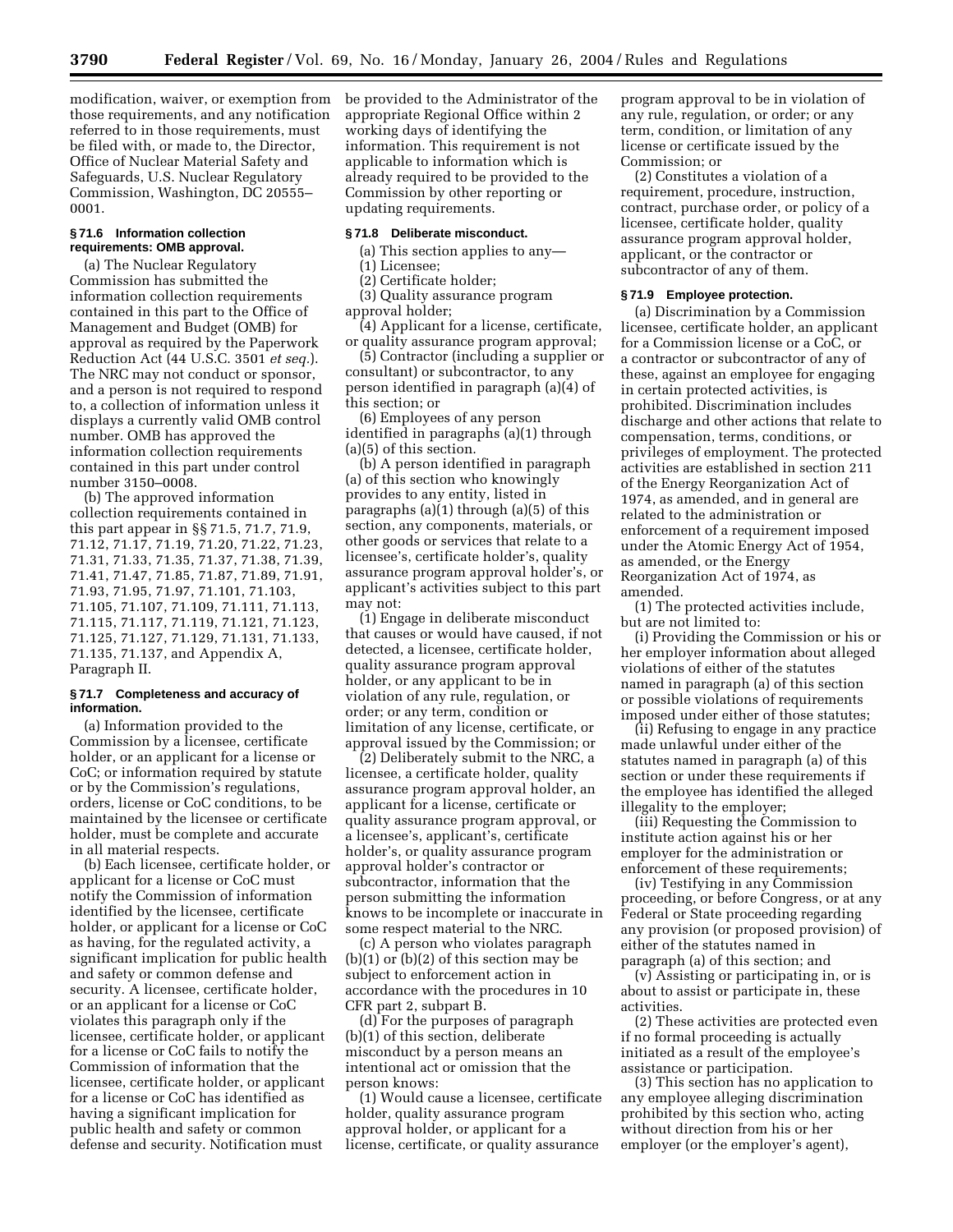modification, waiver, or exemption from be provided to the Administrator of the those requirements, and any notification referred to in those requirements, must be filed with, or made to, the Director, Office of Nuclear Material Safety and Safeguards, U.S. Nuclear Regulatory Commission, Washington, DC 20555– 0001.

#### **§ 71.6 Information collection requirements: OMB approval.**

(a) The Nuclear Regulatory Commission has submitted the information collection requirements contained in this part to the Office of Management and Budget (OMB) for approval as required by the Paperwork Reduction Act (44 U.S.C. 3501 *et seq.*). The NRC may not conduct or sponsor, and a person is not required to respond to, a collection of information unless it displays a currently valid OMB control number. OMB has approved the information collection requirements contained in this part under control number 3150–0008.

(b) The approved information collection requirements contained in this part appear in §§ 71.5, 71.7, 71.9, 71.12, 71.17, 71.19, 71.20, 71.22, 71.23, 71.31, 71.33, 71.35, 71.37, 71.38, 71.39, 71.41, 71.47, 71.85, 71.87, 71.89, 71.91, 71.93, 71.95, 71.97, 71.101, 71.103, 71.105, 71.107, 71.109, 71.111, 71.113, 71.115, 71.117, 71.119, 71.121, 71.123, 71.125, 71.127, 71.129, 71.131, 71.133, 71.135, 71.137, and Appendix A, Paragraph II.

#### **§ 71.7 Completeness and accuracy of information.**

(a) Information provided to the Commission by a licensee, certificate holder, or an applicant for a license or CoC; or information required by statute or by the Commission's regulations, orders, license or CoC conditions, to be maintained by the licensee or certificate holder, must be complete and accurate in all material respects.

(b) Each licensee, certificate holder, or applicant for a license or CoC must notify the Commission of information identified by the licensee, certificate holder, or applicant for a license or CoC as having, for the regulated activity, a significant implication for public health and safety or common defense and security. A licensee, certificate holder, or an applicant for a license or CoC violates this paragraph only if the licensee, certificate holder, or applicant for a license or CoC fails to notify the Commission of information that the licensee, certificate holder, or applicant for a license or CoC has identified as having a significant implication for public health and safety or common defense and security. Notification must

appropriate Regional Office within 2 working days of identifying the information. This requirement is not applicable to information which is already required to be provided to the Commission by other reporting or updating requirements.

#### **§ 71.8 Deliberate misconduct.**

- (a) This section applies to any—
- (1) Licensee;

(2) Certificate holder;

(3) Quality assurance program approval holder;

(4) Applicant for a license, certificate, or quality assurance program approval;

(5) Contractor (including a supplier or consultant) or subcontractor, to any person identified in paragraph (a)(4) of this section; or

(6) Employees of any person identified in paragraphs (a)(1) through (a)(5) of this section.

(b) A person identified in paragraph (a) of this section who knowingly provides to any entity, listed in paragraphs (a)(1) through (a)(5) of this section, any components, materials, or other goods or services that relate to a licensee's, certificate holder's, quality assurance program approval holder's, or applicant's activities subject to this part may not:

(1) Engage in deliberate misconduct that causes or would have caused, if not detected, a licensee, certificate holder, quality assurance program approval holder, or any applicant to be in violation of any rule, regulation, or order; or any term, condition or limitation of any license, certificate, or approval issued by the Commission; or

(2) Deliberately submit to the NRC, a licensee, a certificate holder, quality assurance program approval holder, an applicant for a license, certificate or quality assurance program approval, or a licensee's, applicant's, certificate holder's, or quality assurance program approval holder's contractor or subcontractor, information that the person submitting the information knows to be incomplete or inaccurate in some respect material to the NRC.

(c) A person who violates paragraph  $(b)(1)$  or  $(b)(2)$  of this section may be subject to enforcement action in accordance with the procedures in 10 CFR part 2, subpart B.

(d) For the purposes of paragraph (b)(1) of this section, deliberate misconduct by a person means an intentional act or omission that the person knows:

(1) Would cause a licensee, certificate holder, quality assurance program approval holder, or applicant for a license, certificate, or quality assurance

program approval to be in violation of any rule, regulation, or order; or any term, condition, or limitation of any license or certificate issued by the Commission; or

(2) Constitutes a violation of a requirement, procedure, instruction, contract, purchase order, or policy of a licensee, certificate holder, quality assurance program approval holder, applicant, or the contractor or subcontractor of any of them.

#### **§ 71.9 Employee protection.**

(a) Discrimination by a Commission licensee, certificate holder, an applicant for a Commission license or a CoC, or a contractor or subcontractor of any of these, against an employee for engaging in certain protected activities, is prohibited. Discrimination includes discharge and other actions that relate to compensation, terms, conditions, or privileges of employment. The protected activities are established in section 211 of the Energy Reorganization Act of 1974, as amended, and in general are related to the administration or enforcement of a requirement imposed under the Atomic Energy Act of 1954, as amended, or the Energy Reorganization Act of 1974, as amended.

(1) The protected activities include, but are not limited to:

(i) Providing the Commission or his or her employer information about alleged violations of either of the statutes named in paragraph (a) of this section or possible violations of requirements imposed under either of those statutes;

(ii) Refusing to engage in any practice made unlawful under either of the statutes named in paragraph (a) of this section or under these requirements if the employee has identified the alleged illegality to the employer;

(iii) Requesting the Commission to institute action against his or her employer for the administration or enforcement of these requirements;

(iv) Testifying in any Commission proceeding, or before Congress, or at any Federal or State proceeding regarding any provision (or proposed provision) of either of the statutes named in paragraph (a) of this section; and

(v) Assisting or participating in, or is about to assist or participate in, these activities.

(2) These activities are protected even if no formal proceeding is actually initiated as a result of the employee's assistance or participation.

(3) This section has no application to any employee alleging discrimination prohibited by this section who, acting without direction from his or her employer (or the employer's agent),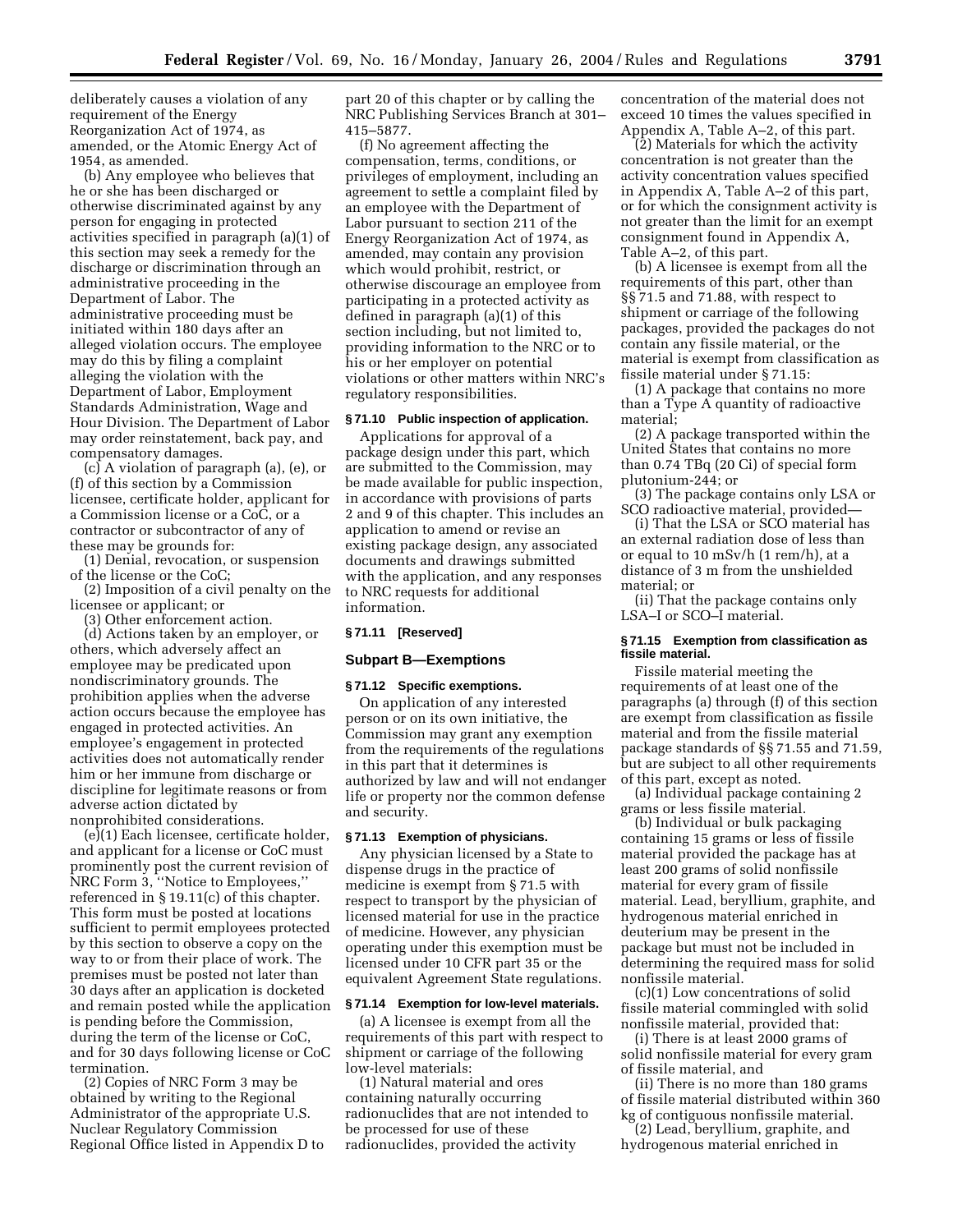deliberately causes a violation of any requirement of the Energy Reorganization Act of 1974, as amended, or the Atomic Energy Act of 1954, as amended.

(b) Any employee who believes that he or she has been discharged or otherwise discriminated against by any person for engaging in protected activities specified in paragraph (a)(1) of this section may seek a remedy for the discharge or discrimination through an administrative proceeding in the Department of Labor. The administrative proceeding must be initiated within 180 days after an alleged violation occurs. The employee may do this by filing a complaint alleging the violation with the Department of Labor, Employment Standards Administration, Wage and Hour Division. The Department of Labor may order reinstatement, back pay, and compensatory damages.

(c) A violation of paragraph (a), (e), or (f) of this section by a Commission licensee, certificate holder, applicant for a Commission license or a CoC, or a contractor or subcontractor of any of these may be grounds for:

(1) Denial, revocation, or suspension of the license or the CoC;

(2) Imposition of a civil penalty on the licensee or applicant; or

(3) Other enforcement action.

(d) Actions taken by an employer, or others, which adversely affect an employee may be predicated upon nondiscriminatory grounds. The prohibition applies when the adverse action occurs because the employee has engaged in protected activities. An employee's engagement in protected activities does not automatically render him or her immune from discharge or discipline for legitimate reasons or from adverse action dictated by nonprohibited considerations.

(e)(1) Each licensee, certificate holder, and applicant for a license or CoC must prominently post the current revision of NRC Form 3, ''Notice to Employees,'' referenced in § 19.11(c) of this chapter. This form must be posted at locations sufficient to permit employees protected by this section to observe a copy on the way to or from their place of work. The premises must be posted not later than 30 days after an application is docketed and remain posted while the application is pending before the Commission, during the term of the license or CoC, and for 30 days following license or CoC termination.

(2) Copies of NRC Form 3 may be obtained by writing to the Regional Administrator of the appropriate U.S. Nuclear Regulatory Commission Regional Office listed in Appendix D to part 20 of this chapter or by calling the NRC Publishing Services Branch at 301– 415–5877.

(f) No agreement affecting the compensation, terms, conditions, or privileges of employment, including an agreement to settle a complaint filed by an employee with the Department of Labor pursuant to section 211 of the Energy Reorganization Act of 1974, as amended, may contain any provision which would prohibit, restrict, or otherwise discourage an employee from participating in a protected activity as defined in paragraph (a)(1) of this section including, but not limited to, providing information to the NRC or to his or her employer on potential violations or other matters within NRC's regulatory responsibilities.

### **§ 71.10 Public inspection of application.**

Applications for approval of a package design under this part, which are submitted to the Commission, may be made available for public inspection, in accordance with provisions of parts 2 and 9 of this chapter. This includes an application to amend or revise an existing package design, any associated documents and drawings submitted with the application, and any responses to NRC requests for additional information.

## **§ 71.11 [Reserved]**

#### **Subpart B—Exemptions**

#### **§ 71.12 Specific exemptions.**

On application of any interested person or on its own initiative, the Commission may grant any exemption from the requirements of the regulations in this part that it determines is authorized by law and will not endanger life or property nor the common defense and security.

#### **§ 71.13 Exemption of physicians.**

Any physician licensed by a State to dispense drugs in the practice of medicine is exempt from § 71.5 with respect to transport by the physician of licensed material for use in the practice of medicine. However, any physician operating under this exemption must be licensed under 10 CFR part 35 or the equivalent Agreement State regulations.

#### **§ 71.14 Exemption for low-level materials.**

(a) A licensee is exempt from all the requirements of this part with respect to shipment or carriage of the following low-level materials:

(1) Natural material and ores containing naturally occurring radionuclides that are not intended to be processed for use of these radionuclides, provided the activity

concentration of the material does not exceed 10 times the values specified in Appendix A, Table A–2, of this part.

(2) Materials for which the activity concentration is not greater than the activity concentration values specified in Appendix A, Table A–2 of this part, or for which the consignment activity is not greater than the limit for an exempt consignment found in Appendix A, Table A–2, of this part.

(b) A licensee is exempt from all the requirements of this part, other than §§ 71.5 and 71.88, with respect to shipment or carriage of the following packages, provided the packages do not contain any fissile material, or the material is exempt from classification as fissile material under § 71.15:

(1) A package that contains no more than a Type A quantity of radioactive material;

(2) A package transported within the United States that contains no more than 0.74 TBq (20 Ci) of special form plutonium-244; or

(3) The package contains only LSA or SCO radioactive material, provided—

(i) That the LSA or SCO material has an external radiation dose of less than or equal to 10 mSv/h (1 rem/h), at a distance of 3 m from the unshielded material; or

(ii) That the package contains only LSA–I or SCO–I material.

#### **§ 71.15 Exemption from classification as fissile material.**

Fissile material meeting the requirements of at least one of the paragraphs (a) through (f) of this section are exempt from classification as fissile material and from the fissile material package standards of §§ 71.55 and 71.59, but are subject to all other requirements of this part, except as noted.

(a) Individual package containing 2 grams or less fissile material.

(b) Individual or bulk packaging containing 15 grams or less of fissile material provided the package has at least 200 grams of solid nonfissile material for every gram of fissile material. Lead, beryllium, graphite, and hydrogenous material enriched in deuterium may be present in the package but must not be included in determining the required mass for solid nonfissile material.

(c)(1) Low concentrations of solid fissile material commingled with solid nonfissile material, provided that:

(i) There is at least 2000 grams of solid nonfissile material for every gram of fissile material, and

(ii) There is no more than 180 grams of fissile material distributed within 360 kg of contiguous nonfissile material.

(2) Lead, beryllium, graphite, and hydrogenous material enriched in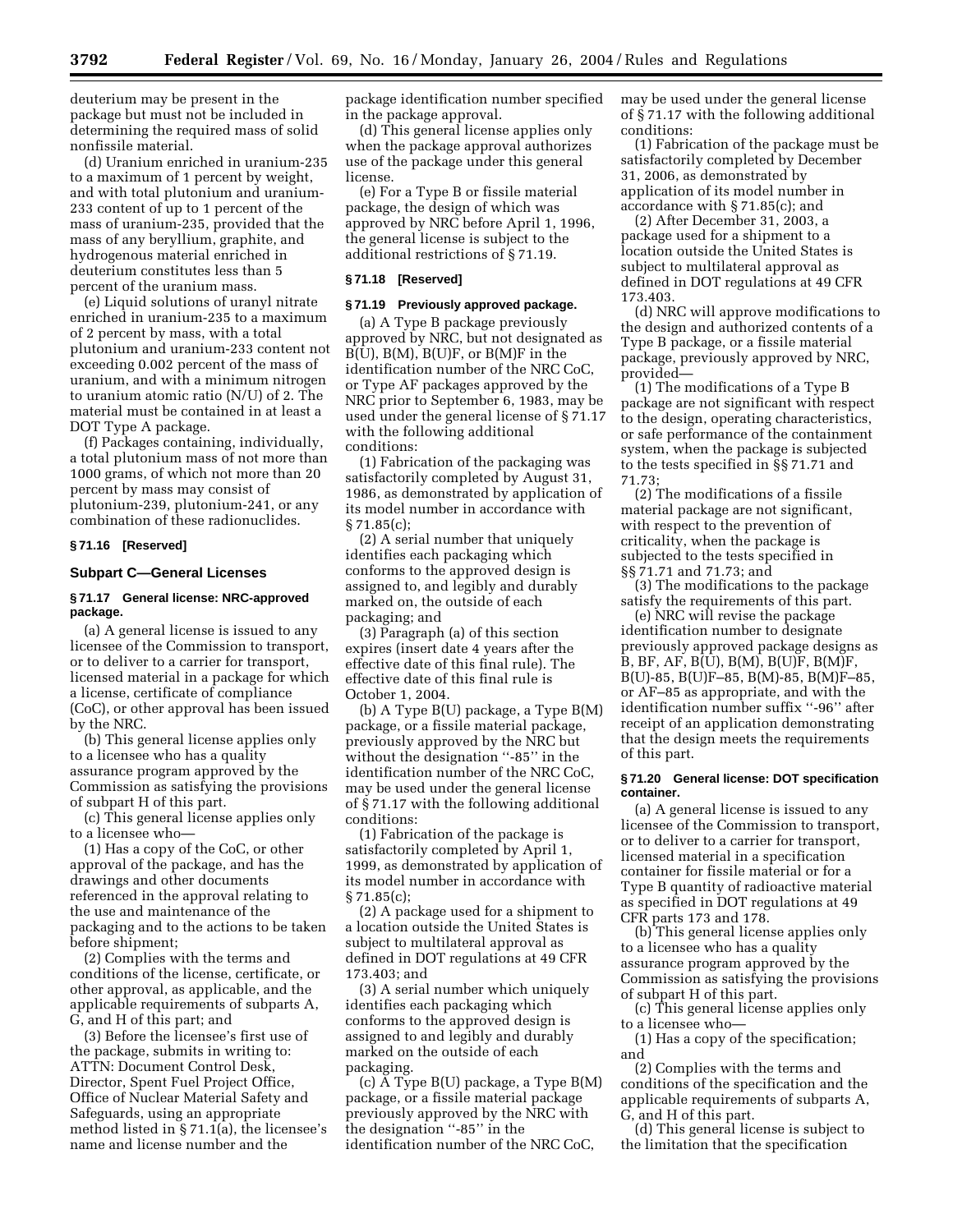deuterium may be present in the package but must not be included in determining the required mass of solid nonfissile material.

(d) Uranium enriched in uranium-235 to a maximum of 1 percent by weight, and with total plutonium and uranium-233 content of up to 1 percent of the mass of uranium-235, provided that the mass of any beryllium, graphite, and hydrogenous material enriched in deuterium constitutes less than 5 percent of the uranium mass.

(e) Liquid solutions of uranyl nitrate enriched in uranium-235 to a maximum of 2 percent by mass, with a total plutonium and uranium-233 content not exceeding 0.002 percent of the mass of uranium, and with a minimum nitrogen to uranium atomic ratio (N/U) of 2. The material must be contained in at least a DOT Type A package.

(f) Packages containing, individually, a total plutonium mass of not more than 1000 grams, of which not more than 20 percent by mass may consist of plutonium-239, plutonium-241, or any combination of these radionuclides.

### **§ 71.16 [Reserved]**

#### **Subpart C—General Licenses**

## **§ 71.17 General license: NRC-approved package.**

(a) A general license is issued to any licensee of the Commission to transport, or to deliver to a carrier for transport, licensed material in a package for which a license, certificate of compliance (CoC), or other approval has been issued by the NRC.

(b) This general license applies only to a licensee who has a quality assurance program approved by the Commission as satisfying the provisions of subpart H of this part.

(c) This general license applies only to a licensee who—

(1) Has a copy of the CoC, or other approval of the package, and has the drawings and other documents referenced in the approval relating to the use and maintenance of the packaging and to the actions to be taken before shipment;

(2) Complies with the terms and conditions of the license, certificate, or other approval, as applicable, and the applicable requirements of subparts A, G, and H of this part; and

(3) Before the licensee's first use of the package, submits in writing to: ATTN: Document Control Desk, Director, Spent Fuel Project Office, Office of Nuclear Material Safety and Safeguards, using an appropriate method listed in § 71.1(a), the licensee's name and license number and the

package identification number specified in the package approval.

(d) This general license applies only when the package approval authorizes use of the package under this general license.

(e) For a Type B or fissile material package, the design of which was approved by NRC before April 1, 1996, the general license is subject to the additional restrictions of § 71.19.

#### **§ 71.18 [Reserved]**

## **§ 71.19 Previously approved package.**

(a) A Type B package previously approved by NRC, but not designated as  $B(U)$ ,  $B(M)$ ,  $B(U)F$ , or  $B(M)F$  in the identification number of the NRC CoC, or Type AF packages approved by the NRC prior to September 6, 1983, may be used under the general license of § 71.17 with the following additional conditions:

(1) Fabrication of the packaging was satisfactorily completed by August 31, 1986, as demonstrated by application of its model number in accordance with  $§ 71.85(c);$ 

(2) A serial number that uniquely identifies each packaging which conforms to the approved design is assigned to, and legibly and durably marked on, the outside of each packaging; and

(3) Paragraph (a) of this section expires (insert date 4 years after the effective date of this final rule). The effective date of this final rule is October 1, 2004.

(b) A Type B(U) package, a Type B(M) package, or a fissile material package, previously approved by the NRC but without the designation "-85" in the identification number of the NRC CoC, may be used under the general license of § 71.17 with the following additional conditions:

(1) Fabrication of the package is satisfactorily completed by April 1, 1999, as demonstrated by application of its model number in accordance with  $§ 71.85(c);$ 

(2) A package used for a shipment to a location outside the United States is subject to multilateral approval as defined in DOT regulations at 49 CFR 173.403; and

(3) A serial number which uniquely identifies each packaging which conforms to the approved design is assigned to and legibly and durably marked on the outside of each packaging.

(c) A Type B(U) package, a Type B(M) package, or a fissile material package previously approved by the NRC with the designation ''-85'' in the identification number of the NRC CoC,

may be used under the general license of § 71.17 with the following additional conditions:

(1) Fabrication of the package must be satisfactorily completed by December 31, 2006, as demonstrated by application of its model number in accordance with § 71.85(c); and

(2) After December 31, 2003, a package used for a shipment to a location outside the United States is subject to multilateral approval as defined in DOT regulations at 49 CFR 173.403.

(d) NRC will approve modifications to the design and authorized contents of a Type B package, or a fissile material package, previously approved by NRC, provided—

(1) The modifications of a Type B package are not significant with respect to the design, operating characteristics, or safe performance of the containment system, when the package is subjected to the tests specified in §§ 71.71 and 71.73;

(2) The modifications of a fissile material package are not significant, with respect to the prevention of criticality, when the package is subjected to the tests specified in §§ 71.71 and 71.73; and

(3) The modifications to the package satisfy the requirements of this part.

(e) NRC will revise the package identification number to designate previously approved package designs as B, BF, AF, B(U), B(M), B(U)F, B(M)F, B(U)-85, B(U)F–85, B(M)-85, B(M)F–85, or AF–85 as appropriate, and with the identification number suffix ''-96'' after receipt of an application demonstrating that the design meets the requirements of this part.

### **§ 71.20 General license: DOT specification container.**

(a) A general license is issued to any licensee of the Commission to transport, or to deliver to a carrier for transport, licensed material in a specification container for fissile material or for a Type B quantity of radioactive material as specified in DOT regulations at 49 CFR parts 173 and 178.

(b) This general license applies only to a licensee who has a quality assurance program approved by the Commission as satisfying the provisions of subpart H of this part.

(c) This general license applies only to a licensee who—

(1) Has a copy of the specification; and

(2) Complies with the terms and conditions of the specification and the applicable requirements of subparts A, G, and H of this part.

(d) This general license is subject to the limitation that the specification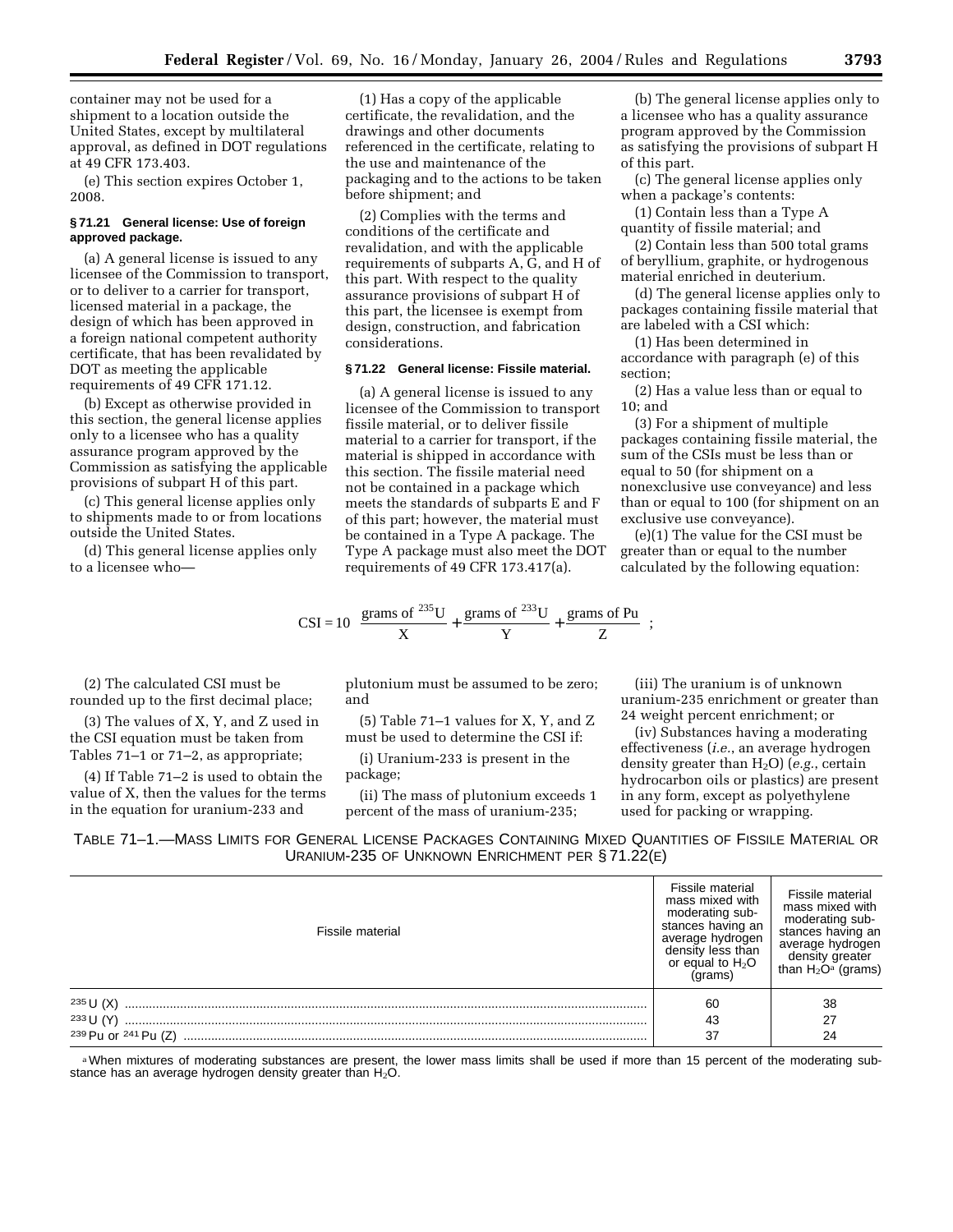container may not be used for a shipment to a location outside the United States, except by multilateral approval, as defined in DOT regulations at 49 CFR 173.403.

(e) This section expires October 1, 2008.

### **§ 71.21 General license: Use of foreign approved package.**

(a) A general license is issued to any licensee of the Commission to transport, or to deliver to a carrier for transport, licensed material in a package, the design of which has been approved in a foreign national competent authority certificate, that has been revalidated by DOT as meeting the applicable requirements of 49 CFR 171.12.

(b) Except as otherwise provided in this section, the general license applies only to a licensee who has a quality assurance program approved by the Commission as satisfying the applicable provisions of subpart H of this part.

(c) This general license applies only to shipments made to or from locations outside the United States.

(d) This general license applies only to a licensee who—

(1) Has a copy of the applicable certificate, the revalidation, and the drawings and other documents referenced in the certificate, relating to the use and maintenance of the packaging and to the actions to be taken before shipment; and

(2) Complies with the terms and conditions of the certificate and revalidation, and with the applicable requirements of subparts A, G, and H of this part. With respect to the quality assurance provisions of subpart H of this part, the licensee is exempt from design, construction, and fabrication considerations.

## **§ 71.22 General license: Fissile material.**

(a) A general license is issued to any licensee of the Commission to transport fissile material, or to deliver fissile material to a carrier for transport, if the material is shipped in accordance with this section. The fissile material need not be contained in a package which meets the standards of subparts E and F of this part; however, the material must be contained in a Type A package. The Type A package must also meet the DOT requirements of 49 CFR 173.417(a).

(b) The general license applies only to a licensee who has a quality assurance program approved by the Commission as satisfying the provisions of subpart H of this part.

(c) The general license applies only when a package's contents:

(1) Contain less than a Type A quantity of fissile material; and

(2) Contain less than 500 total grams of beryllium, graphite, or hydrogenous material enriched in deuterium.

(d) The general license applies only to packages containing fissile material that are labeled with a CSI which:

(1) Has been determined in accordance with paragraph (e) of this section;

(2) Has a value less than or equal to 10; and

(3) For a shipment of multiple packages containing fissile material, the sum of the CSIs must be less than or equal to 50 (for shipment on a nonexclusive use conveyance) and less than or equal to 100 (for shipment on an exclusive use conveyance).

(e)(1) The value for the CSI must be greater than or equal to the number calculated by the following equation:

(2) The calculated CSI must be rounded up to the first decimal place;

(3) The values of X, Y, and Z used in the CSI equation must be taken from Tables 71–1 or 71–2, as appropriate;

(4) If Table 71–2 is used to obtain the value of X, then the values for the terms in the equation for uranium-233 and

plutonium must be assumed to be zero; and

 $235$ <sub>L</sub>  $\alpha$ rome of  $233$  $10\left[\frac{\text{grams of }^{235}\text{U}}{\text{S}} + \frac{\text{grams of }^{233}\text{U}}{\text{S}} + \right]$ 

grams of  $^{233}$ U Y

 $\frac{\frac{\text{grams of }^{235}U}{V} + \frac{\text{grams of }^{233}U}{V} + \frac{\text{grams of Pu}}{Z}$ 

 $\frac{\text{grams of Pu}}{Z}$  ;

 $\overline{\phantom{a}}$ I

 $CSI = 10 \frac{\text{grams of }^{235} \text{U}}{\text{X}}$ 

 $\lfloor$ 

(5) Table 71–1 values for X, Y, and Z must be used to determine the CSI if:

(i) Uranium-233 is present in the package;

(ii) The mass of plutonium exceeds 1 percent of the mass of uranium-235;

(iii) The uranium is of unknown uranium-235 enrichment or greater than 24 weight percent enrichment; or

(iv) Substances having a moderating effectiveness (*i.e.*, an average hydrogen density greater than H2O) (*e.g.*, certain hydrocarbon oils or plastics) are present in any form, except as polyethylene used for packing or wrapping.

TABLE 71–1.—MASS LIMITS FOR GENERAL LICENSE PACKAGES CONTAINING MIXED QUANTITIES OF FISSILE MATERIAL OR URANIUM-235 OF UNKNOWN ENRICHMENT PER § 71.22(E)

| Fissile material                                        | Fissile material<br>mass mixed with<br>moderating sub-<br>stances having an<br>average hydrogen<br>density less than<br>or equal to $H_2O$<br>(grams) | Fissile material<br>mass mixed with<br>moderating sub-<br>stances having an<br>average hydrogen<br>density greater<br>than $H_2O^a$ (grams) |
|---------------------------------------------------------|-------------------------------------------------------------------------------------------------------------------------------------------------------|---------------------------------------------------------------------------------------------------------------------------------------------|
| 233 U (Y)<br><sup>239</sup> Pu or <sup>241</sup> Pu (Z) | 60<br>43<br>37                                                                                                                                        | 38<br>27<br>24                                                                                                                              |

a When mixtures of moderating substances are present, the lower mass limits shall be used if more than 15 percent of the moderating substance has an average hydrogen density greater than  $H_2O$ .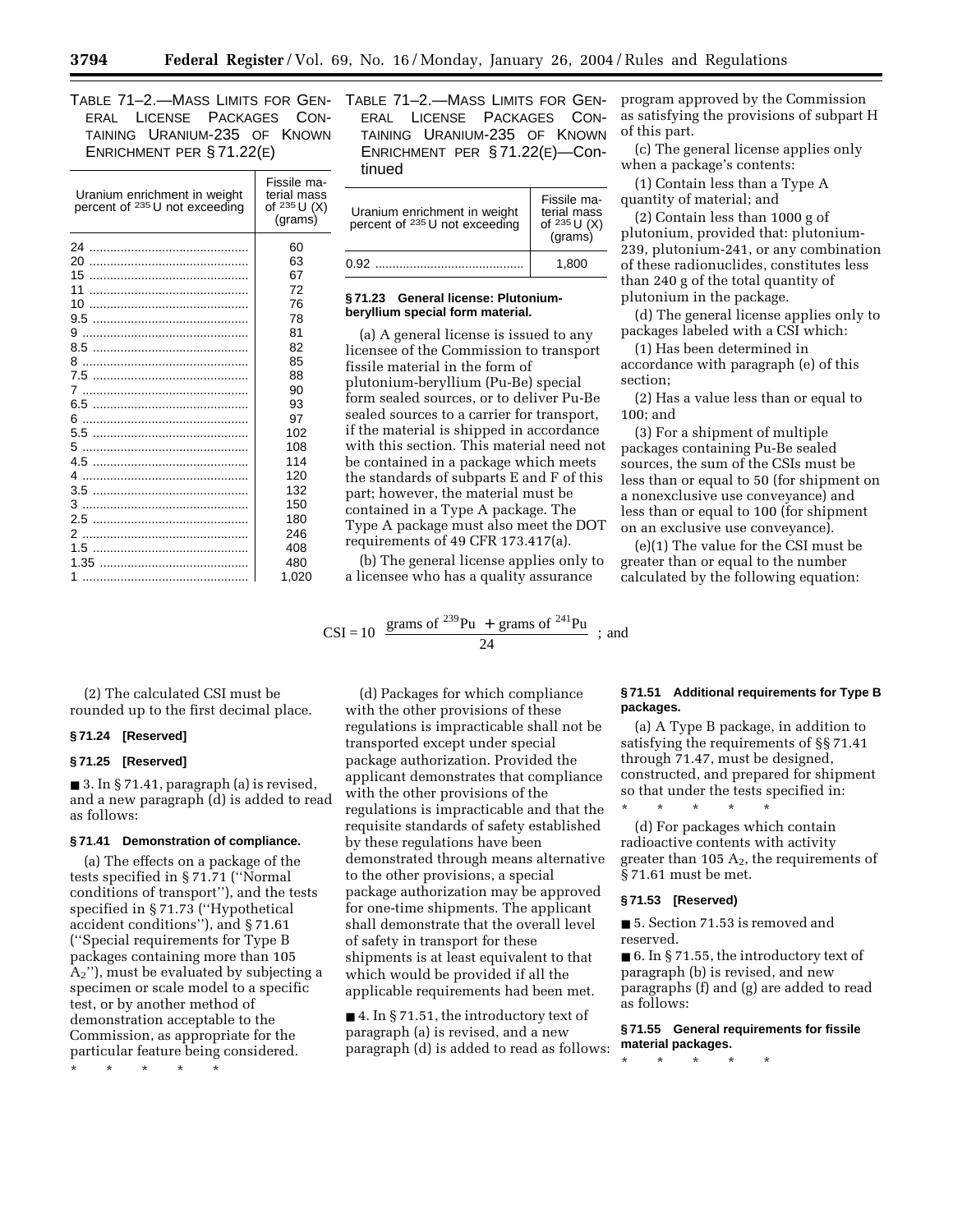TABLE 71–2.—MASS LIMITS FOR GEN-ERAL LICENSE PACKAGES CON-TAINING URANIUM-235 OF KNOWN ENRICHMENT PER § 71.22(E)

| Uranium enrichment in weight<br>percent of <sup>235</sup> U not exceeding | Fissile ma-<br>terial mass<br>of ${}^{235}U(X)$<br>(grams) |
|---------------------------------------------------------------------------|------------------------------------------------------------|
| 24                                                                        | 60                                                         |
| 20                                                                        | 63                                                         |
|                                                                           | 67                                                         |
| 11                                                                        | 72                                                         |
| 10                                                                        | 76                                                         |
|                                                                           | 78                                                         |
|                                                                           | 81                                                         |
|                                                                           | 82                                                         |
|                                                                           | 85                                                         |
|                                                                           | 88                                                         |
|                                                                           | 90                                                         |
|                                                                           | 93                                                         |
|                                                                           | 97                                                         |
|                                                                           | 102                                                        |
|                                                                           | 108                                                        |
|                                                                           | 114                                                        |
|                                                                           | 120                                                        |
|                                                                           | 132                                                        |
|                                                                           | 150                                                        |
|                                                                           | 180                                                        |
|                                                                           | 246                                                        |
|                                                                           | 408                                                        |
|                                                                           | 480                                                        |
| 1                                                                         | 1.020                                                      |

(2) The calculated CSI must be rounded up to the first decimal place.

## **§ 71.24 [Reserved]**

## **§ 71.25 [Reserved]**

 $\blacksquare$  3. In § 71.41, paragraph (a) is revised, and a new paragraph (d) is added to read as follows:

### **§ 71.41 Demonstration of compliance.**

(a) The effects on a package of the tests specified in § 71.71 (''Normal conditions of transport''), and the tests specified in § 71.73 (''Hypothetical accident conditions''), and § 71.61 (''Special requirements for Type B packages containing more than 105 A2''), must be evaluated by subjecting a specimen or scale model to a specific test, or by another method of demonstration acceptable to the Commission, as appropriate for the particular feature being considered.

\* \* \* \* \*

TABLE 71–2.—MASS LIMITS FOR GEN-ERAL LICENSE PACKAGES CON-TAINING URANIUM-235 OF KNOWN ENRICHMENT PER § 71.22(E)—Continued

| Uranium enrichment in weight<br>percent of <sup>235</sup> U not exceeding | Fissile ma-<br>terial mass<br>of $^{235}$ U (X)<br>(grams) |
|---------------------------------------------------------------------------|------------------------------------------------------------|
| በ 92                                                                      | 1.800                                                      |

#### **§ 71.23 General license: Plutoniumberyllium special form material.**

(a) A general license is issued to any licensee of the Commission to transport fissile material in the form of plutonium-beryllium (Pu-Be) special form sealed sources, or to deliver Pu-Be sealed sources to a carrier for transport, if the material is shipped in accordance with this section. This material need not be contained in a package which meets the standards of subparts E and F of this part; however, the material must be contained in a Type A package. The Type A package must also meet the DOT requirements of 49 CFR 173.417(a).

(b) The general license applies only to a licensee who has a quality assurance

$$
CSI = 10 \left[ \frac{\text{grams of }^{239} \text{Pu} + \text{grams of }^{241} \text{Pu}}{24} \right]; \text{ and}
$$

(d) Packages for which compliance with the other provisions of these regulations is impracticable shall not be transported except under special package authorization. Provided the applicant demonstrates that compliance with the other provisions of the regulations is impracticable and that the requisite standards of safety established by these regulations have been demonstrated through means alternative to the other provisions, a special package authorization may be approved for one-time shipments. The applicant shall demonstrate that the overall level of safety in transport for these shipments is at least equivalent to that which would be provided if all the applicable requirements had been met.

■ 4. In § 71.51, the introductory text of paragraph (a) is revised, and a new paragraph (d) is added to read as follows: program approved by the Commission as satisfying the provisions of subpart H of this part.

(c) The general license applies only when a package's contents:

(1) Contain less than a Type A quantity of material; and

(2) Contain less than 1000 g of plutonium, provided that: plutonium-239, plutonium-241, or any combination of these radionuclides, constitutes less than 240 g of the total quantity of plutonium in the package.

(d) The general license applies only to packages labeled with a CSI which:

(1) Has been determined in accordance with paragraph (e) of this section;

(2) Has a value less than or equal to 100; and

(3) For a shipment of multiple packages containing Pu-Be sealed sources, the sum of the CSIs must be less than or equal to 50 (for shipment on a nonexclusive use conveyance) and less than or equal to 100 (for shipment on an exclusive use conveyance).

(e)(1) The value for the CSI must be greater than or equal to the number calculated by the following equation:

## **§ 71.51 Additional requirements for Type B packages.**

(a) A Type B package, in addition to satisfying the requirements of §§ 71.41 through 71.47, must be designed, constructed, and prepared for shipment so that under the tests specified in:

\* \* \* \* \* (d) For packages which contain radioactive contents with activity greater than 105  $A_2$ , the requirements of § 71.61 must be met.

## **§ 71.53 [Reserved)**

■ 5. Section 71.53 is removed and reserved.

■ 6. In § 71.55, the introductory text of paragraph (b) is revised, and new paragraphs (f) and (g) are added to read as follows:

**§ 71.55 General requirements for fissile material packages.**

\* \* \* \* \*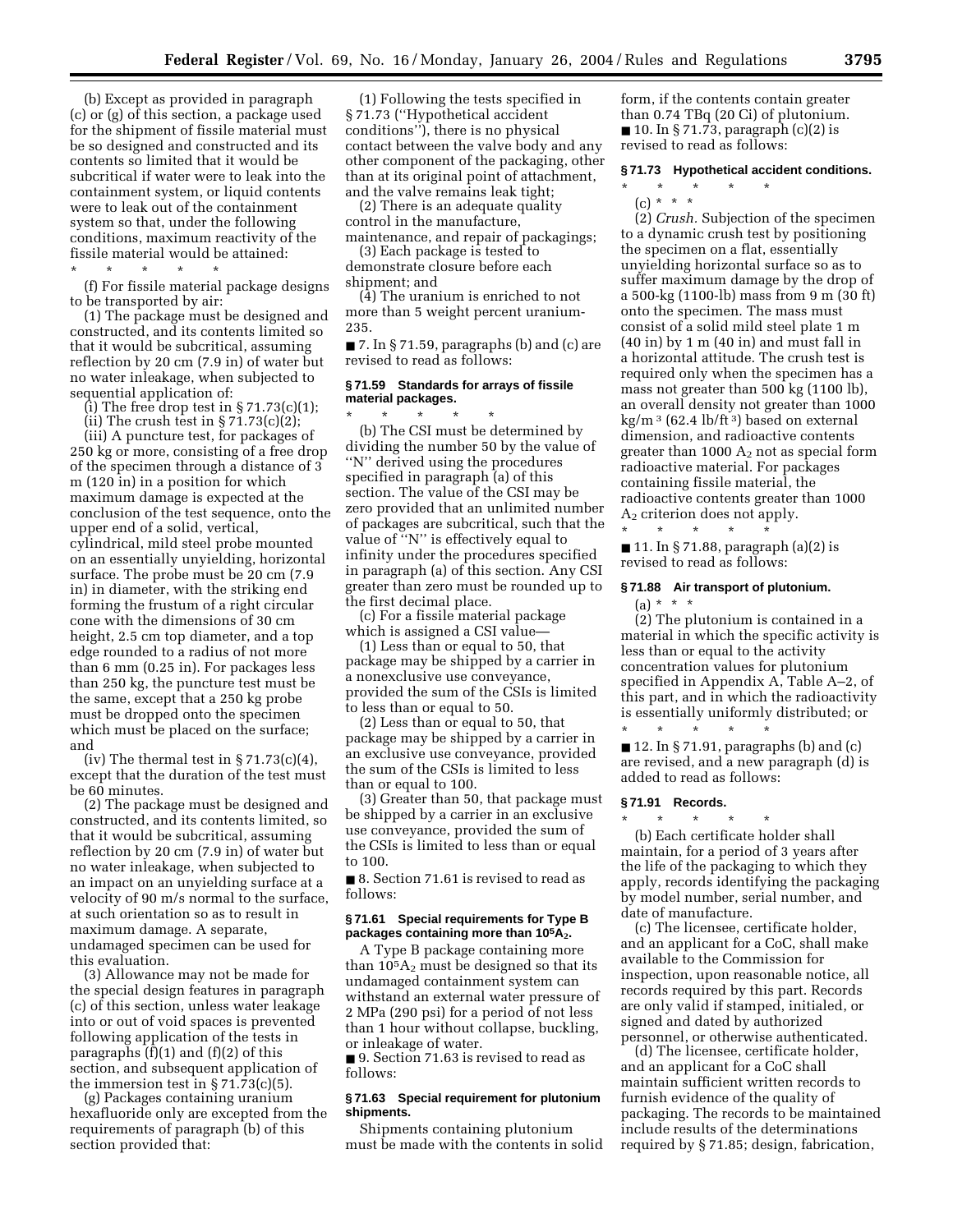(b) Except as provided in paragraph (c) or (g) of this section, a package used for the shipment of fissile material must be so designed and constructed and its contents so limited that it would be subcritical if water were to leak into the containment system, or liquid contents were to leak out of the containment system so that, under the following conditions, maximum reactivity of the fissile material would be attained: \* \* \* \* \*

(f) For fissile material package designs to be transported by air:

(1) The package must be designed and constructed, and its contents limited so that it would be subcritical, assuming reflection by 20 cm (7.9 in) of water but no water inleakage, when subjected to sequential application of:

(i) The free drop test in  $\S 71.73(c)(1);$ 

(ii) The crush test in  $\S 71.73(c)(2);$ 

(iii) A puncture test, for packages of 250 kg or more, consisting of a free drop of the specimen through a distance of 3 m (120 in) in a position for which maximum damage is expected at the conclusion of the test sequence, onto the upper end of a solid, vertical, cylindrical, mild steel probe mounted on an essentially unyielding, horizontal surface. The probe must be 20 cm (7.9 in) in diameter, with the striking end forming the frustum of a right circular cone with the dimensions of 30 cm height, 2.5 cm top diameter, and a top edge rounded to a radius of not more than 6 mm (0.25 in). For packages less than 250 kg, the puncture test must be the same, except that a 250 kg probe must be dropped onto the specimen which must be placed on the surface; and

(iv) The thermal test in  $\S 71.73(c)(4)$ , except that the duration of the test must be 60 minutes.

(2) The package must be designed and constructed, and its contents limited, so that it would be subcritical, assuming reflection by 20 cm (7.9 in) of water but no water inleakage, when subjected to an impact on an unyielding surface at a velocity of 90 m/s normal to the surface, at such orientation so as to result in maximum damage. A separate, undamaged specimen can be used for this evaluation.

(3) Allowance may not be made for the special design features in paragraph (c) of this section, unless water leakage into or out of void spaces is prevented following application of the tests in paragraphs  $(f)(1)$  and  $(f)(2)$  of this section, and subsequent application of the immersion test in  $\S 71.73(c)(5)$ .

(g) Packages containing uranium hexafluoride only are excepted from the requirements of paragraph (b) of this section provided that:

(1) Following the tests specified in § 71.73 (''Hypothetical accident conditions''), there is no physical contact between the valve body and any other component of the packaging, other than at its original point of attachment, and the valve remains leak tight;

(2) There is an adequate quality control in the manufacture,

maintenance, and repair of packagings; (3) Each package is tested to

demonstrate closure before each shipment; and

(4) The uranium is enriched to not more than 5 weight percent uranium-235.

 $\blacksquare$  7. In § 71.59, paragraphs (b) and (c) are revised to read as follows:

## **§ 71.59 Standards for arrays of fissile material packages.**

\* \* \* \* \* (b) The CSI must be determined by dividing the number 50 by the value of ''N'' derived using the procedures specified in paragraph (a) of this section. The value of the CSI may be zero provided that an unlimited number of packages are subcritical, such that the value of ''N'' is effectively equal to infinity under the procedures specified in paragraph (a) of this section. Any CSI greater than zero must be rounded up to the first decimal place.

(c) For a fissile material package which is assigned a CSI value—

(1) Less than or equal to 50, that package may be shipped by a carrier in a nonexclusive use conveyance, provided the sum of the CSIs is limited to less than or equal to 50.

(2) Less than or equal to 50, that package may be shipped by a carrier in an exclusive use conveyance, provided the sum of the CSIs is limited to less than or equal to 100.

(3) Greater than 50, that package must be shipped by a carrier in an exclusive use conveyance, provided the sum of the CSIs is limited to less than or equal to 100.

■ 8. Section 71.61 is revised to read as follows:

#### **§ 71.61 Special requirements for Type B packages containing more than 105A2.**

A Type B package containing more than  $10<sup>5</sup>A<sub>2</sub>$  must be designed so that its undamaged containment system can withstand an external water pressure of 2 MPa (290 psi) for a period of not less than 1 hour without collapse, buckling, or inleakage of water.

■ 9. Section 71.63 is revised to read as follows:

### **§ 71.63 Special requirement for plutonium shipments.**

Shipments containing plutonium must be made with the contents in solid

form, if the contents contain greater than 0.74 TBq (20 Ci) of plutonium. ■ 10. In § 71.73, paragraph (c)(2) is revised to read as follows:

### **§ 71.73 Hypothetical accident conditions.**

- \* \* \* \* \*
	- (c) \* \* \*

(2) *Crush.* Subjection of the specimen to a dynamic crush test by positioning the specimen on a flat, essentially unyielding horizontal surface so as to suffer maximum damage by the drop of a 500-kg (1100-lb) mass from 9 m (30 ft) onto the specimen. The mass must consist of a solid mild steel plate 1 m (40 in) by 1 m (40 in) and must fall in a horizontal attitude. The crush test is required only when the specimen has a mass not greater than 500 kg (1100 lb), an overall density not greater than 1000  $kg/m^3$  (62.4 lb/ft<sup>3</sup>) based on external dimension, and radioactive contents greater than 1000  $A_2$  not as special form radioactive material. For packages containing fissile material, the radioactive contents greater than 1000 A2 criterion does not apply. \* \* \* \* \*

■ 11. In § 71.88, paragraph (a)(2) is revised to read as follows:

## **§ 71.88 Air transport of plutonium.**

(a) \* \* \*

(2) The plutonium is contained in a material in which the specific activity is less than or equal to the activity concentration values for plutonium specified in Appendix A, Table A–2, of this part, and in which the radioactivity is essentially uniformly distributed; or \* \* \* \* \*

 $\blacksquare$  12. In § 71.91, paragraphs (b) and (c) are revised, and a new paragraph (d) is added to read as follows:

#### **§ 71.91 Records.** \* \* \* \* \*

(b) Each certificate holder shall maintain, for a period of 3 years after the life of the packaging to which they apply, records identifying the packaging by model number, serial number, and date of manufacture.

(c) The licensee, certificate holder, and an applicant for a CoC, shall make available to the Commission for inspection, upon reasonable notice, all records required by this part. Records are only valid if stamped, initialed, or signed and dated by authorized personnel, or otherwise authenticated.

(d) The licensee, certificate holder, and an applicant for a CoC shall maintain sufficient written records to furnish evidence of the quality of packaging. The records to be maintained include results of the determinations required by § 71.85; design, fabrication,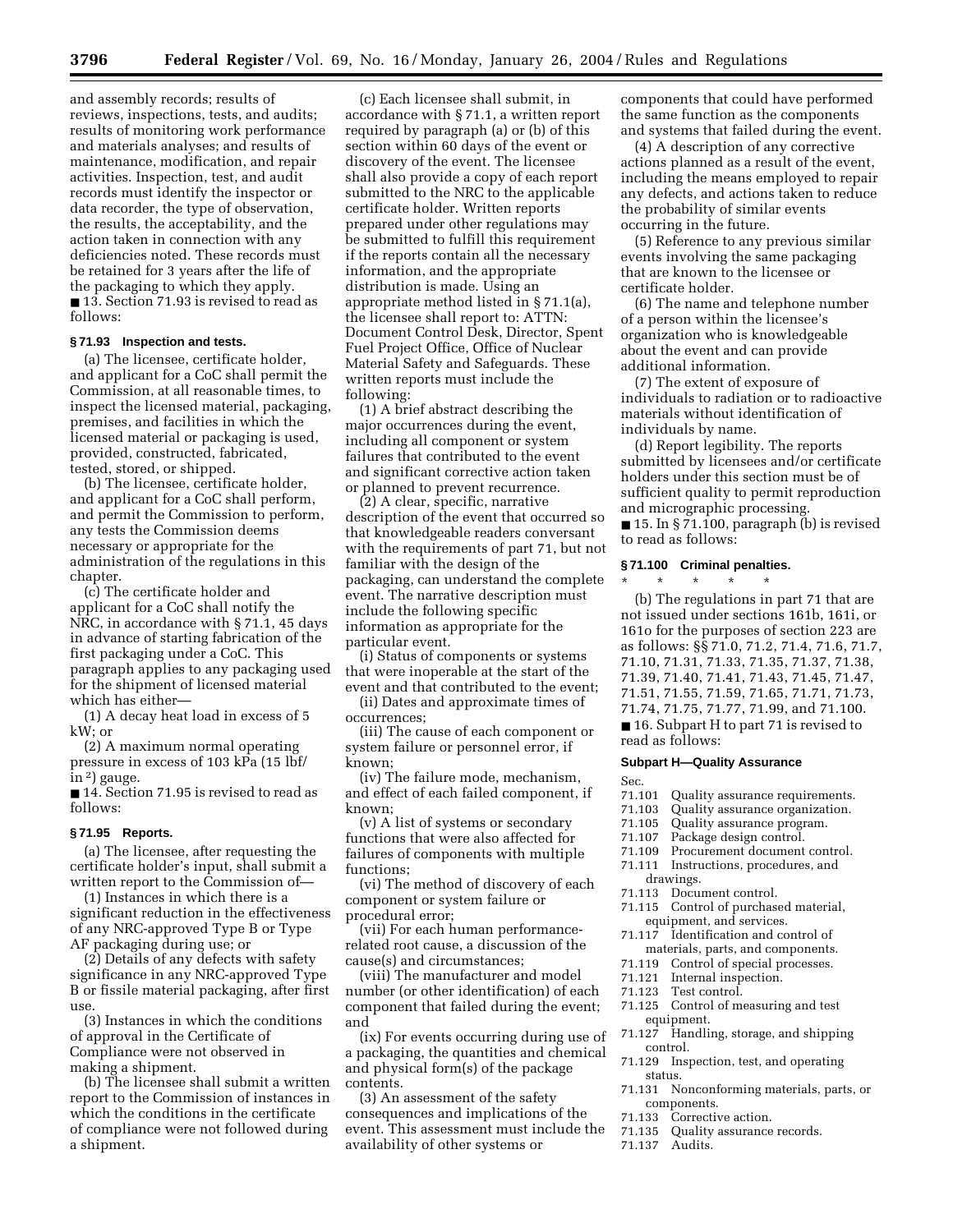and assembly records; results of reviews, inspections, tests, and audits; results of monitoring work performance and materials analyses; and results of maintenance, modification, and repair activities. Inspection, test, and audit records must identify the inspector or data recorder, the type of observation, the results, the acceptability, and the action taken in connection with any deficiencies noted. These records must be retained for 3 years after the life of the packaging to which they apply. ■ 13. Section 71.93 is revised to read as follows:

## **§ 71.93 Inspection and tests.**

(a) The licensee, certificate holder, and applicant for a CoC shall permit the Commission, at all reasonable times, to inspect the licensed material, packaging, premises, and facilities in which the licensed material or packaging is used, provided, constructed, fabricated, tested, stored, or shipped.

(b) The licensee, certificate holder, and applicant for a CoC shall perform, and permit the Commission to perform, any tests the Commission deems necessary or appropriate for the administration of the regulations in this chapter.

(c) The certificate holder and applicant for a CoC shall notify the NRC, in accordance with § 71.1, 45 days in advance of starting fabrication of the first packaging under a CoC. This paragraph applies to any packaging used for the shipment of licensed material which has either—

(1) A decay heat load in excess of 5 kW; or

(2) A maximum normal operating pressure in excess of 103 kPa (15 lbf/ in 2) gauge.

■ 14. Section 71.95 is revised to read as follows:

#### **§ 71.95 Reports.**

(a) The licensee, after requesting the certificate holder's input, shall submit a written report to the Commission of—

(1) Instances in which there is a significant reduction in the effectiveness of any NRC-approved Type B or Type AF packaging during use; or

(2) Details of any defects with safety significance in any NRC-approved Type B or fissile material packaging, after first use.

(3) Instances in which the conditions of approval in the Certificate of Compliance were not observed in making a shipment.

(b) The licensee shall submit a written report to the Commission of instances in which the conditions in the certificate of compliance were not followed during a shipment.

(c) Each licensee shall submit, in accordance with § 71.1, a written report required by paragraph (a) or (b) of this section within 60 days of the event or discovery of the event. The licensee shall also provide a copy of each report submitted to the NRC to the applicable certificate holder. Written reports prepared under other regulations may be submitted to fulfill this requirement if the reports contain all the necessary information, and the appropriate distribution is made. Using an appropriate method listed in § 71.1(a), the licensee shall report to: ATTN: Document Control Desk, Director, Spent Fuel Project Office, Office of Nuclear Material Safety and Safeguards. These written reports must include the following:

(1) A brief abstract describing the major occurrences during the event, including all component or system failures that contributed to the event and significant corrective action taken or planned to prevent recurrence.

(2) A clear, specific, narrative description of the event that occurred so that knowledgeable readers conversant with the requirements of part 71, but not familiar with the design of the packaging, can understand the complete event. The narrative description must include the following specific information as appropriate for the particular event.

(i) Status of components or systems that were inoperable at the start of the event and that contributed to the event;

(ii) Dates and approximate times of occurrences;

(iii) The cause of each component or system failure or personnel error, if known;

(iv) The failure mode, mechanism, and effect of each failed component, if known;

(v) A list of systems or secondary functions that were also affected for failures of components with multiple functions;

(vi) The method of discovery of each component or system failure or procedural error;

(vii) For each human performancerelated root cause, a discussion of the cause(s) and circumstances;

(viii) The manufacturer and model number (or other identification) of each component that failed during the event; and

(ix) For events occurring during use of a packaging, the quantities and chemical and physical form(s) of the package contents.

(3) An assessment of the safety consequences and implications of the event. This assessment must include the availability of other systems or

components that could have performed the same function as the components and systems that failed during the event.

(4) A description of any corrective actions planned as a result of the event, including the means employed to repair any defects, and actions taken to reduce the probability of similar events occurring in the future.

(5) Reference to any previous similar events involving the same packaging that are known to the licensee or certificate holder.

(6) The name and telephone number of a person within the licensee's organization who is knowledgeable about the event and can provide additional information.

(7) The extent of exposure of individuals to radiation or to radioactive materials without identification of individuals by name.

(d) Report legibility. The reports submitted by licensees and/or certificate holders under this section must be of sufficient quality to permit reproduction and micrographic processing.

■ 15. In § 71.100, paragraph (b) is revised to read as follows:

#### **§ 71.100 Criminal penalties.**

\* \* \* \* \*

(b) The regulations in part 71 that are not issued under sections 161b, 161i, or 161o for the purposes of section 223 are as follows: §§ 71.0, 71.2, 71.4, 71.6, 71.7, 71.10, 71.31, 71.33, 71.35, 71.37, 71.38, 71.39, 71.40, 71.41, 71.43, 71.45, 71.47, 71.51, 71.55, 71.59, 71.65, 71.71, 71.73, 71.74, 71.75, 71.77, 71.99, and 71.100.

■ 16. Subpart H to part 71 is revised to read as follows:

#### **Subpart H—Quality Assurance**

Sec.

- 71.101 Quality assurance requirements.<br>71.103 Ouality assurance organization.
- Quality assurance organization.
- 71.105 Quality assurance program.
- Package design control.
- 71.109 Procurement document control.
- 71.111 Instructions, procedures, and
- drawings.
- 71.113 Document control.
- 71.115 Control of purchased material, equipment, and services.
- 71.117 Identification and control of
- materials, parts, and components.
- 71.119 Control of special processes.<br>71.121 Internal inspection.
- 71.121 Internal inspection.<br>71.123 Test control
- Test control.
- 71.125 Control of measuring and test equipment.
- 71.127 Handling, storage, and shipping control.
- 71.129 Inspection, test, and operating status.
- 71.131 Nonconforming materials, parts, or components.
- 71.133 Corrective action.
- 71.135 Quality assurance records.
- 71.137 Audits.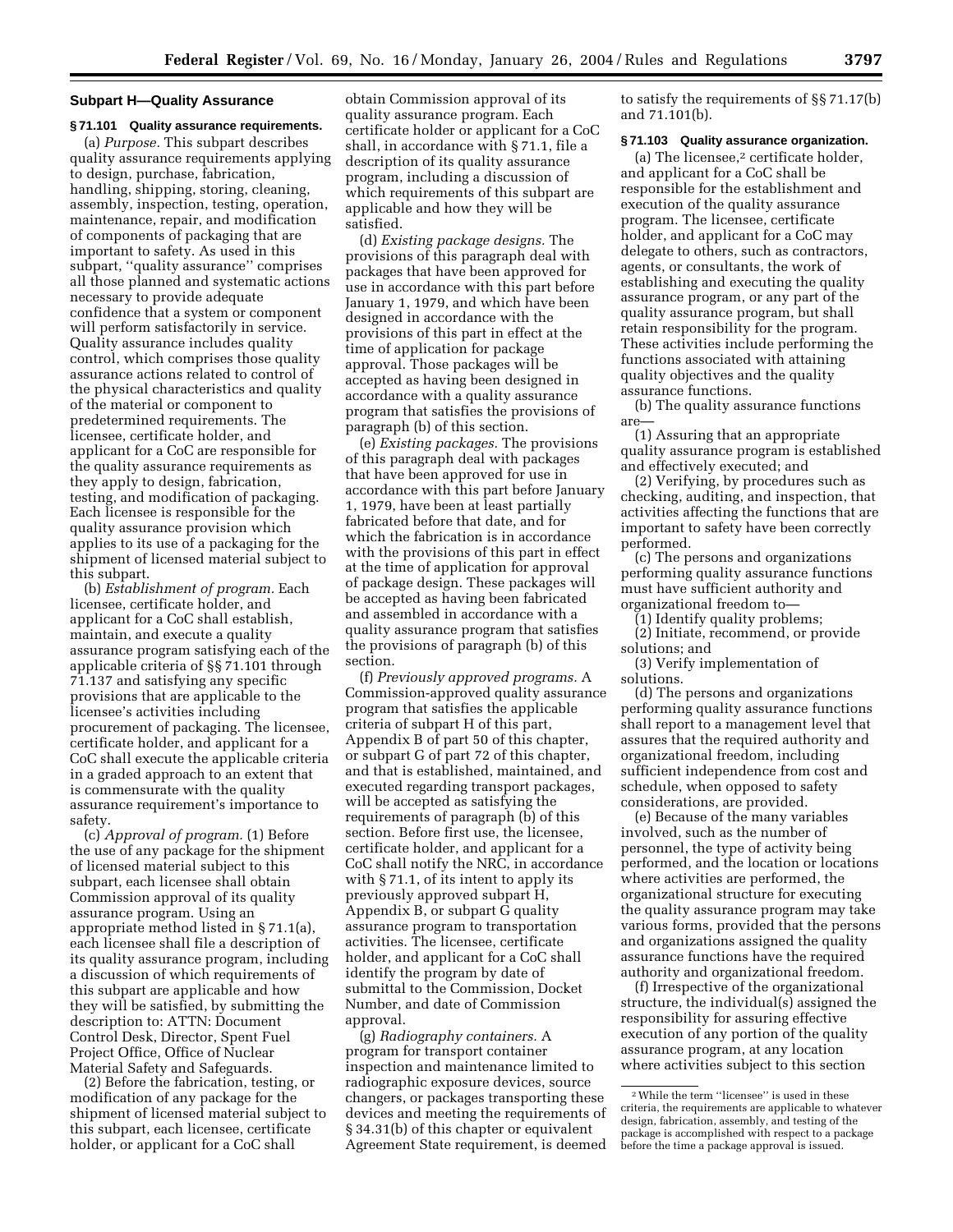#### **Subpart H—Quality Assurance**

## **§ 71.101 Quality assurance requirements.**

(a) *Purpose.* This subpart describes quality assurance requirements applying to design, purchase, fabrication, handling, shipping, storing, cleaning, assembly, inspection, testing, operation, maintenance, repair, and modification of components of packaging that are important to safety. As used in this subpart, ''quality assurance'' comprises all those planned and systematic actions necessary to provide adequate confidence that a system or component will perform satisfactorily in service. Quality assurance includes quality control, which comprises those quality assurance actions related to control of the physical characteristics and quality of the material or component to predetermined requirements. The licensee, certificate holder, and applicant for a CoC are responsible for the quality assurance requirements as they apply to design, fabrication, testing, and modification of packaging. Each licensee is responsible for the quality assurance provision which applies to its use of a packaging for the shipment of licensed material subject to this subpart.

(b) *Establishment of program.* Each licensee, certificate holder, and applicant for a CoC shall establish, maintain, and execute a quality assurance program satisfying each of the applicable criteria of §§ 71.101 through 71.137 and satisfying any specific provisions that are applicable to the licensee's activities including procurement of packaging. The licensee, certificate holder, and applicant for a CoC shall execute the applicable criteria in a graded approach to an extent that is commensurate with the quality assurance requirement's importance to safety.

(c) *Approval of program.* (1) Before the use of any package for the shipment of licensed material subject to this subpart, each licensee shall obtain Commission approval of its quality assurance program. Using an appropriate method listed in § 71.1(a), each licensee shall file a description of its quality assurance program, including a discussion of which requirements of this subpart are applicable and how they will be satisfied, by submitting the description to: ATTN: Document Control Desk, Director, Spent Fuel Project Office, Office of Nuclear Material Safety and Safeguards.

(2) Before the fabrication, testing, or modification of any package for the shipment of licensed material subject to this subpart, each licensee, certificate holder, or applicant for a CoC shall

obtain Commission approval of its quality assurance program. Each certificate holder or applicant for a CoC shall, in accordance with § 71.1, file a description of its quality assurance program, including a discussion of which requirements of this subpart are applicable and how they will be satisfied.

(d) *Existing package designs.* The provisions of this paragraph deal with packages that have been approved for use in accordance with this part before January 1, 1979, and which have been designed in accordance with the provisions of this part in effect at the time of application for package approval. Those packages will be accepted as having been designed in accordance with a quality assurance program that satisfies the provisions of paragraph (b) of this section.

(e) *Existing packages.* The provisions of this paragraph deal with packages that have been approved for use in accordance with this part before January 1, 1979, have been at least partially fabricated before that date, and for which the fabrication is in accordance with the provisions of this part in effect at the time of application for approval of package design. These packages will be accepted as having been fabricated and assembled in accordance with a quality assurance program that satisfies the provisions of paragraph (b) of this section.

(f) *Previously approved programs.* A Commission-approved quality assurance program that satisfies the applicable criteria of subpart H of this part, Appendix B of part 50 of this chapter, or subpart G of part 72 of this chapter, and that is established, maintained, and executed regarding transport packages, will be accepted as satisfying the requirements of paragraph (b) of this section. Before first use, the licensee, certificate holder, and applicant for a CoC shall notify the NRC, in accordance with § 71.1, of its intent to apply its previously approved subpart H, Appendix B, or subpart G quality assurance program to transportation activities. The licensee, certificate holder, and applicant for a CoC shall identify the program by date of submittal to the Commission, Docket Number, and date of Commission approval.

(g) *Radiography containers.* A program for transport container inspection and maintenance limited to radiographic exposure devices, source changers, or packages transporting these devices and meeting the requirements of § 34.31(b) of this chapter or equivalent Agreement State requirement, is deemed

to satisfy the requirements of §§ 71.17(b) and 71.101(b).

#### **§ 71.103 Quality assurance organization.**

(a) The licensee,<sup>2</sup> certificate holder, and applicant for a CoC shall be responsible for the establishment and execution of the quality assurance program. The licensee, certificate holder, and applicant for a CoC may delegate to others, such as contractors, agents, or consultants, the work of establishing and executing the quality assurance program, or any part of the quality assurance program, but shall retain responsibility for the program. These activities include performing the functions associated with attaining quality objectives and the quality assurance functions.

(b) The quality assurance functions are—

(1) Assuring that an appropriate quality assurance program is established and effectively executed; and

(2) Verifying, by procedures such as checking, auditing, and inspection, that activities affecting the functions that are important to safety have been correctly performed.

(c) The persons and organizations performing quality assurance functions must have sufficient authority and organizational freedom to—

(1) Identify quality problems;

(2) Initiate, recommend, or provide solutions; and

(3) Verify implementation of solutions.

(d) The persons and organizations performing quality assurance functions shall report to a management level that assures that the required authority and organizational freedom, including sufficient independence from cost and schedule, when opposed to safety considerations, are provided.

(e) Because of the many variables involved, such as the number of personnel, the type of activity being performed, and the location or locations where activities are performed, the organizational structure for executing the quality assurance program may take various forms, provided that the persons and organizations assigned the quality assurance functions have the required authority and organizational freedom.

(f) Irrespective of the organizational structure, the individual(s) assigned the responsibility for assuring effective execution of any portion of the quality assurance program, at any location where activities subject to this section

<sup>2</sup>While the term ''licensee'' is used in these criteria, the requirements are applicable to whatever design, fabrication, assembly, and testing of the package is accomplished with respect to a package before the time a package approval is issued.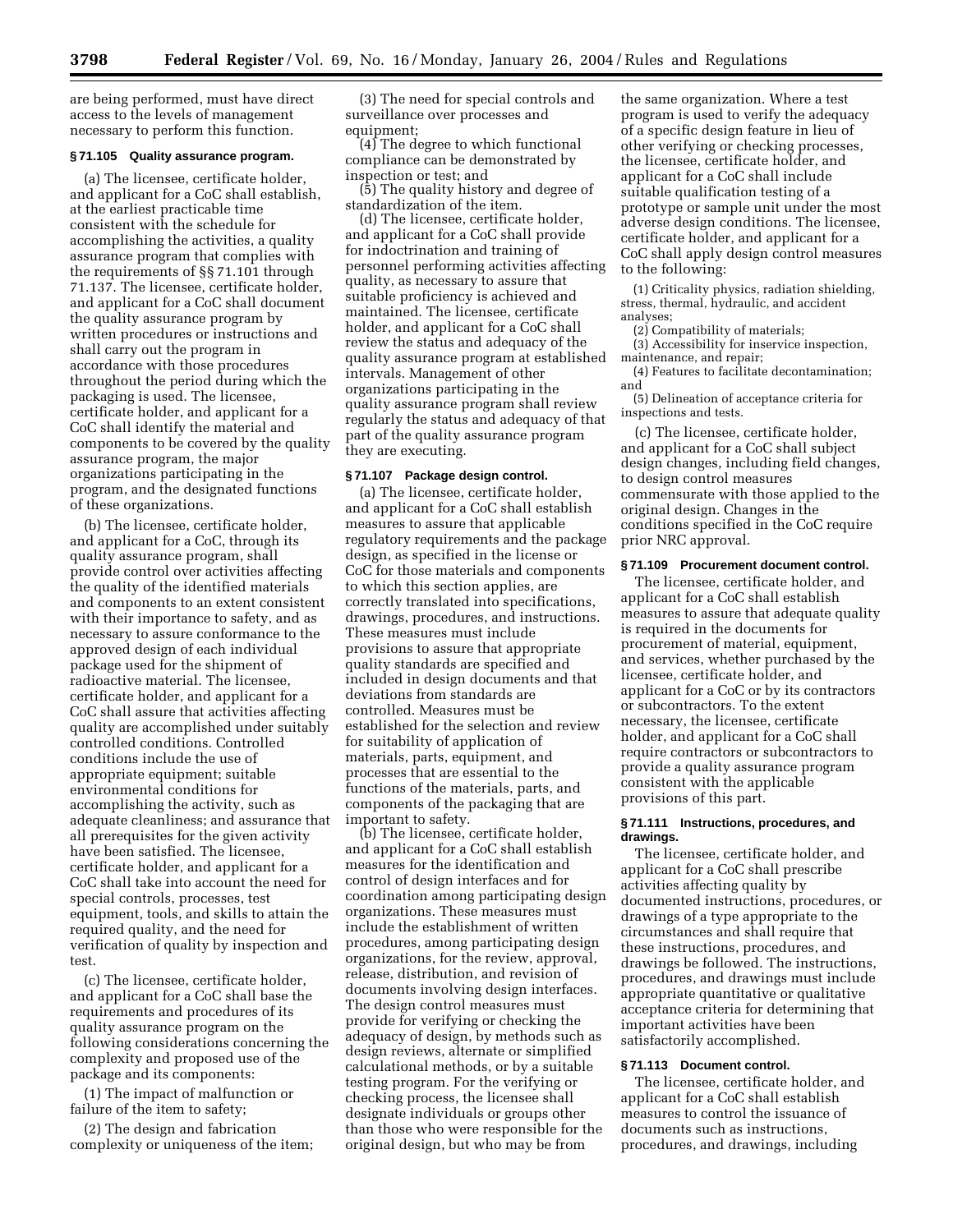are being performed, must have direct access to the levels of management necessary to perform this function.

### **§ 71.105 Quality assurance program.**

(a) The licensee, certificate holder, and applicant for a CoC shall establish, at the earliest practicable time consistent with the schedule for accomplishing the activities, a quality assurance program that complies with the requirements of §§ 71.101 through 71.137. The licensee, certificate holder, and applicant for a CoC shall document the quality assurance program by written procedures or instructions and shall carry out the program in accordance with those procedures throughout the period during which the packaging is used. The licensee, certificate holder, and applicant for a CoC shall identify the material and components to be covered by the quality assurance program, the major organizations participating in the program, and the designated functions of these organizations.

(b) The licensee, certificate holder, and applicant for a CoC, through its quality assurance program, shall provide control over activities affecting the quality of the identified materials and components to an extent consistent with their importance to safety, and as necessary to assure conformance to the approved design of each individual package used for the shipment of radioactive material. The licensee, certificate holder, and applicant for a CoC shall assure that activities affecting quality are accomplished under suitably controlled conditions. Controlled conditions include the use of appropriate equipment; suitable environmental conditions for accomplishing the activity, such as adequate cleanliness; and assurance that all prerequisites for the given activity have been satisfied. The licensee, certificate holder, and applicant for a CoC shall take into account the need for special controls, processes, test equipment, tools, and skills to attain the required quality, and the need for verification of quality by inspection and test.

(c) The licensee, certificate holder, and applicant for a CoC shall base the requirements and procedures of its quality assurance program on the following considerations concerning the complexity and proposed use of the package and its components:

(1) The impact of malfunction or failure of the item to safety;

(2) The design and fabrication complexity or uniqueness of the item;

(3) The need for special controls and surveillance over processes and equipment;

(4) The degree to which functional compliance can be demonstrated by inspection or test; and

(5) The quality history and degree of standardization of the item.

(d) The licensee, certificate holder, and applicant for a CoC shall provide for indoctrination and training of personnel performing activities affecting quality, as necessary to assure that suitable proficiency is achieved and maintained. The licensee, certificate holder, and applicant for a CoC shall review the status and adequacy of the quality assurance program at established intervals. Management of other organizations participating in the quality assurance program shall review regularly the status and adequacy of that part of the quality assurance program they are executing.

#### **§ 71.107 Package design control.**

(a) The licensee, certificate holder, and applicant for a CoC shall establish measures to assure that applicable regulatory requirements and the package design, as specified in the license or CoC for those materials and components to which this section applies, are correctly translated into specifications, drawings, procedures, and instructions. These measures must include provisions to assure that appropriate quality standards are specified and included in design documents and that deviations from standards are controlled. Measures must be established for the selection and review for suitability of application of materials, parts, equipment, and processes that are essential to the functions of the materials, parts, and components of the packaging that are important to safety.

(b) The licensee, certificate holder, and applicant for a CoC shall establish measures for the identification and control of design interfaces and for coordination among participating design organizations. These measures must include the establishment of written procedures, among participating design organizations, for the review, approval, release, distribution, and revision of documents involving design interfaces. The design control measures must provide for verifying or checking the adequacy of design, by methods such as design reviews, alternate or simplified calculational methods, or by a suitable testing program. For the verifying or checking process, the licensee shall designate individuals or groups other than those who were responsible for the original design, but who may be from

the same organization. Where a test program is used to verify the adequacy of a specific design feature in lieu of other verifying or checking processes, the licensee, certificate holder, and applicant for a CoC shall include suitable qualification testing of a prototype or sample unit under the most adverse design conditions. The licensee, certificate holder, and applicant for a CoC shall apply design control measures to the following:

(1) Criticality physics, radiation shielding, stress, thermal, hydraulic, and accident analyses;

(2) Compatibility of materials;

(3) Accessibility for inservice inspection, maintenance, and repair;

(4) Features to facilitate decontamination; and

(5) Delineation of acceptance criteria for inspections and tests.

(c) The licensee, certificate holder, and applicant for a CoC shall subject design changes, including field changes, to design control measures commensurate with those applied to the original design. Changes in the conditions specified in the CoC require prior NRC approval.

### **§ 71.109 Procurement document control.**

The licensee, certificate holder, and applicant for a CoC shall establish measures to assure that adequate quality is required in the documents for procurement of material, equipment, and services, whether purchased by the licensee, certificate holder, and applicant for a CoC or by its contractors or subcontractors. To the extent necessary, the licensee, certificate holder, and applicant for a CoC shall require contractors or subcontractors to provide a quality assurance program consistent with the applicable provisions of this part.

#### **§ 71.111 Instructions, procedures, and drawings.**

The licensee, certificate holder, and applicant for a CoC shall prescribe activities affecting quality by documented instructions, procedures, or drawings of a type appropriate to the circumstances and shall require that these instructions, procedures, and drawings be followed. The instructions, procedures, and drawings must include appropriate quantitative or qualitative acceptance criteria for determining that important activities have been satisfactorily accomplished.

#### **§ 71.113 Document control.**

The licensee, certificate holder, and applicant for a CoC shall establish measures to control the issuance of documents such as instructions, procedures, and drawings, including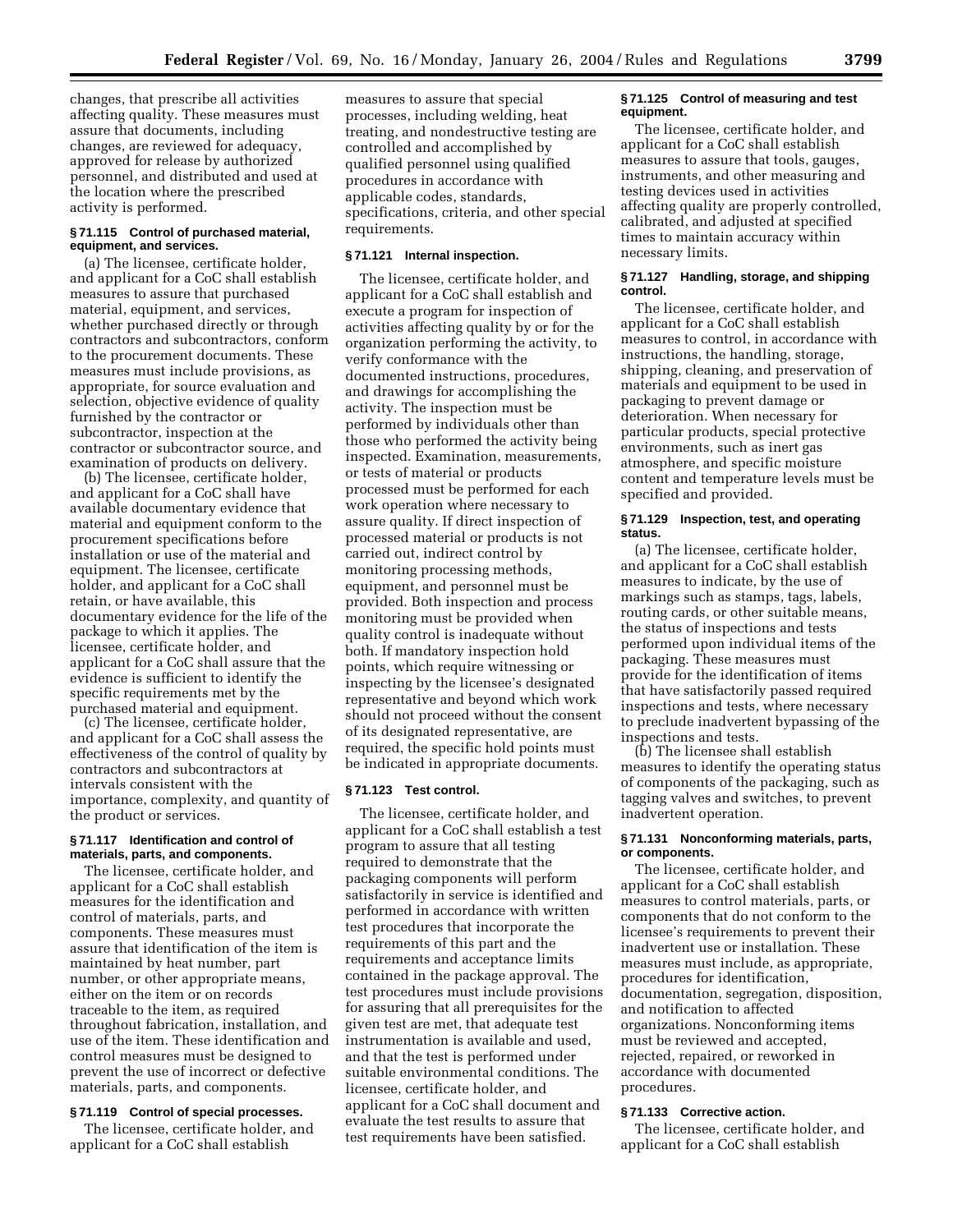changes, that prescribe all activities affecting quality. These measures must assure that documents, including changes, are reviewed for adequacy, approved for release by authorized personnel, and distributed and used at the location where the prescribed activity is performed.

#### **§ 71.115 Control of purchased material, equipment, and services.**

(a) The licensee, certificate holder, and applicant for a CoC shall establish measures to assure that purchased material, equipment, and services, whether purchased directly or through contractors and subcontractors, conform to the procurement documents. These measures must include provisions, as appropriate, for source evaluation and selection, objective evidence of quality furnished by the contractor or subcontractor, inspection at the contractor or subcontractor source, and examination of products on delivery.

(b) The licensee, certificate holder, and applicant for a CoC shall have available documentary evidence that material and equipment conform to the procurement specifications before installation or use of the material and equipment. The licensee, certificate holder, and applicant for a CoC shall retain, or have available, this documentary evidence for the life of the package to which it applies. The licensee, certificate holder, and applicant for a CoC shall assure that the evidence is sufficient to identify the specific requirements met by the purchased material and equipment.

(c) The licensee, certificate holder, and applicant for a CoC shall assess the effectiveness of the control of quality by contractors and subcontractors at intervals consistent with the importance, complexity, and quantity of the product or services.

#### **§ 71.117 Identification and control of materials, parts, and components.**

The licensee, certificate holder, and applicant for a CoC shall establish measures for the identification and control of materials, parts, and components. These measures must assure that identification of the item is maintained by heat number, part number, or other appropriate means, either on the item or on records traceable to the item, as required throughout fabrication, installation, and use of the item. These identification and control measures must be designed to prevent the use of incorrect or defective materials, parts, and components.

## **§ 71.119 Control of special processes.**

The licensee, certificate holder, and applicant for a CoC shall establish

measures to assure that special processes, including welding, heat treating, and nondestructive testing are controlled and accomplished by qualified personnel using qualified procedures in accordance with applicable codes, standards, specifications, criteria, and other special requirements.

## **§ 71.121 Internal inspection.**

The licensee, certificate holder, and applicant for a CoC shall establish and execute a program for inspection of activities affecting quality by or for the organization performing the activity, to verify conformance with the documented instructions, procedures, and drawings for accomplishing the activity. The inspection must be performed by individuals other than those who performed the activity being inspected. Examination, measurements, or tests of material or products processed must be performed for each work operation where necessary to assure quality. If direct inspection of processed material or products is not carried out, indirect control by monitoring processing methods, equipment, and personnel must be provided. Both inspection and process monitoring must be provided when quality control is inadequate without both. If mandatory inspection hold points, which require witnessing or inspecting by the licensee's designated representative and beyond which work should not proceed without the consent of its designated representative, are required, the specific hold points must be indicated in appropriate documents.

#### **§ 71.123 Test control.**

The licensee, certificate holder, and applicant for a CoC shall establish a test program to assure that all testing required to demonstrate that the packaging components will perform satisfactorily in service is identified and performed in accordance with written test procedures that incorporate the requirements of this part and the requirements and acceptance limits contained in the package approval. The test procedures must include provisions for assuring that all prerequisites for the given test are met, that adequate test instrumentation is available and used, and that the test is performed under suitable environmental conditions. The licensee, certificate holder, and applicant for a CoC shall document and evaluate the test results to assure that test requirements have been satisfied.

#### **§ 71.125 Control of measuring and test equipment.**

The licensee, certificate holder, and applicant for a CoC shall establish measures to assure that tools, gauges, instruments, and other measuring and testing devices used in activities affecting quality are properly controlled, calibrated, and adjusted at specified times to maintain accuracy within necessary limits.

#### **§ 71.127 Handling, storage, and shipping control.**

The licensee, certificate holder, and applicant for a CoC shall establish measures to control, in accordance with instructions, the handling, storage, shipping, cleaning, and preservation of materials and equipment to be used in packaging to prevent damage or deterioration. When necessary for particular products, special protective environments, such as inert gas atmosphere, and specific moisture content and temperature levels must be specified and provided.

#### **§ 71.129 Inspection, test, and operating status.**

(a) The licensee, certificate holder, and applicant for a CoC shall establish measures to indicate, by the use of markings such as stamps, tags, labels, routing cards, or other suitable means, the status of inspections and tests performed upon individual items of the packaging. These measures must provide for the identification of items that have satisfactorily passed required inspections and tests, where necessary to preclude inadvertent bypassing of the inspections and tests.

(b) The licensee shall establish measures to identify the operating status of components of the packaging, such as tagging valves and switches, to prevent inadvertent operation.

#### **§ 71.131 Nonconforming materials, parts, or components.**

The licensee, certificate holder, and applicant for a CoC shall establish measures to control materials, parts, or components that do not conform to the licensee's requirements to prevent their inadvertent use or installation. These measures must include, as appropriate, procedures for identification, documentation, segregation, disposition, and notification to affected organizations. Nonconforming items must be reviewed and accepted, rejected, repaired, or reworked in accordance with documented procedures.

#### **§ 71.133 Corrective action.**

The licensee, certificate holder, and applicant for a CoC shall establish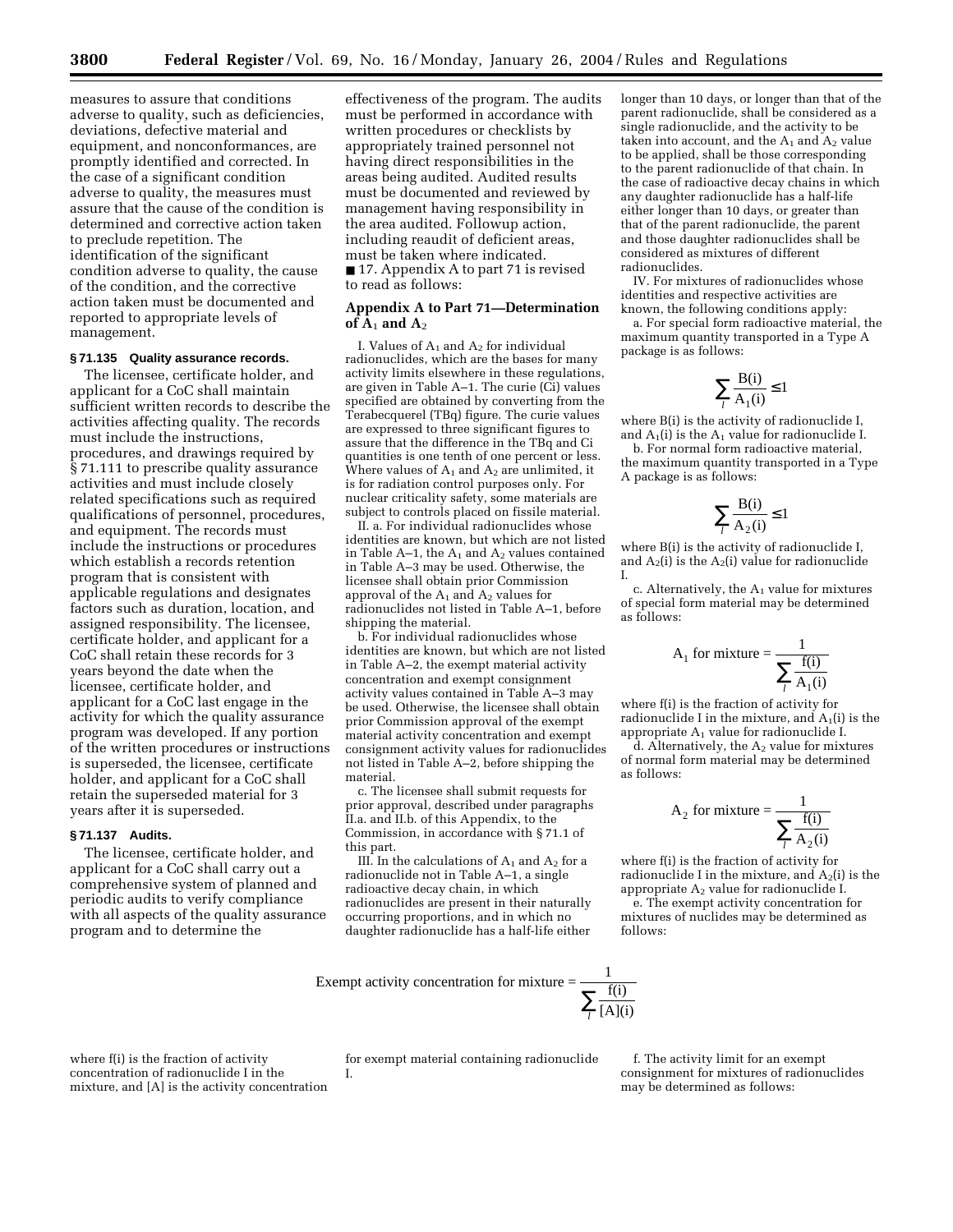**3800 Federal Register** / Vol. 69, No. 16 / Monday, January 26, 2004 / Rules and Regulations

measures to assure that conditions adverse to quality, such as deficiencies, deviations, defective material and equipment, and nonconformances, are promptly identified and corrected. In the case of a significant condition adverse to quality, the measures must assure that the cause of the condition is determined and corrective action taken to preclude repetition. The identification of the significant condition adverse to quality, the cause of the condition, and the corrective action taken must be documented and reported to appropriate levels of management.

## **§ 71.135 Quality assurance records.**

The licensee, certificate holder, and applicant for a CoC shall maintain sufficient written records to describe the activities affecting quality. The records must include the instructions, procedures, and drawings required by § 71.111 to prescribe quality assurance activities and must include closely related specifications such as required qualifications of personnel, procedures, and equipment. The records must include the instructions or procedures which establish a records retention program that is consistent with applicable regulations and designates factors such as duration, location, and assigned responsibility. The licensee, certificate holder, and applicant for a CoC shall retain these records for 3 years beyond the date when the licensee, certificate holder, and applicant for a CoC last engage in the activity for which the quality assurance program was developed. If any portion of the written procedures or instructions is superseded, the licensee, certificate holder, and applicant for a CoC shall retain the superseded material for 3 years after it is superseded.

## **§ 71.137 Audits.**

The licensee, certificate holder, and applicant for a CoC shall carry out a comprehensive system of planned and periodic audits to verify compliance with all aspects of the quality assurance program and to determine the

effectiveness of the program. The audits must be performed in accordance with written procedures or checklists by appropriately trained personnel not having direct responsibilities in the areas being audited. Audited results must be documented and reviewed by management having responsibility in the area audited. Followup action, including reaudit of deficient areas, must be taken where indicated. ■ 17. Appendix A to part 71 is revised to read as follows:

### **Appendix A to Part 71—Determination of A**1 **and A**2

I. Values of  $A_1$  and  $A_2$  for individual radionuclides, which are the bases for many activity limits elsewhere in these regulations, are given in Table A–1. The curie (Ci) values specified are obtained by converting from the Terabecquerel (TBq) figure. The curie values are expressed to three significant figures to assure that the difference in the TBq and Ci quantities is one tenth of one percent or less. Where values of  $A_1$  and  $A_2$  are unlimited, it is for radiation control purposes only. For nuclear criticality safety, some materials are subject to controls placed on fissile material.

II. a. For individual radionuclides whose identities are known, but which are not listed in Table A-1, the  $A_1$  and  $A_2$  values contained in Table A–3 may be used. Otherwise, the licensee shall obtain prior Commission approval of the  $A_1$  and  $A_2$  values for radionuclides not listed in Table A–1, before shipping the material.

b. For individual radionuclides whose identities are known, but which are not listed in Table A–2, the exempt material activity concentration and exempt consignment activity values contained in Table A–3 may be used. Otherwise, the licensee shall obtain prior Commission approval of the exempt material activity concentration and exempt consignment activity values for radionuclides not listed in Table A–2, before shipping the material.

c. The licensee shall submit requests for prior approval, described under paragraphs II.a. and II.b. of this Appendix, to the Commission, in accordance with § 71.1 of this part.

III. In the calculations of  $A_1$  and  $A_2$  for a radionuclide not in Table A–1, a single radioactive decay chain, in which radionuclides are present in their naturally occurring proportions, and in which no daughter radionuclide has a half-life either



where f(i) is the fraction of activity concentration of radionuclide I in the mixture, and [A] is the activity concentration

for exempt material containing radionuclide I.

longer than 10 days, or longer than that of the parent radionuclide, shall be considered as a single radionuclide, and the activity to be taken into account, and the  $A_1$  and  $A_2$  value to be applied, shall be those corresponding to the parent radionuclide of that chain. In the case of radioactive decay chains in which any daughter radionuclide has a half-life either longer than 10 days, or greater than that of the parent radionuclide, the parent and those daughter radionuclides shall be considered as mixtures of different radionuclides.

IV. For mixtures of radionuclides whose identities and respective activities are known, the following conditions apply:

a. For special form radioactive material, the maximum quantity transported in a Type A package is as follows:

$$
\sum_{l} \frac{\mathbf{B}(i)}{\mathbf{A}_1(i)} \le 1
$$

where B(i) is the activity of radionuclide I, and  $A_1(i)$  is the  $A_1$  value for radionuclide I.

b. For normal form radioactive material, the maximum quantity transported in a Type A package is as follows:

$$
\sum_{l} \frac{\mathbf{B}(i)}{\mathbf{A}_2(i)} \le 1
$$

where B(i) is the activity of radionuclide I, and  $A_2(i)$  is the  $A_2(i)$  value for radionuclide I.

c. Alternatively, the  $A_1$  value for mixtures of special form material may be determined as follows:

$$
A_1 \text{ for mixture} = \frac{1}{\sum_{l} \frac{f(i)}{A_1(i)}}
$$

where f(i) is the fraction of activity for radionuclide I in the mixture, and  $A_1(i)$  is the appropriate  $A_1$  value for radionuclide I.

d. Alternatively, the  $A_2$  value for mixtures of normal form material may be determined as follows:

$$
A_2 \text{ for mixture} = \frac{1}{\sum_{i} \frac{f(i)}{A_2(i)}}
$$

where f(i) is the fraction of activity for radionuclide I in the mixture, and  $A_2(i)$  is the appropriate  $A_2$  value for radionuclide I.

e. The exempt activity concentration for mixtures of nuclides may be determined as follows:

f. The activity limit for an exempt consignment for mixtures of radionuclides may be determined as follows: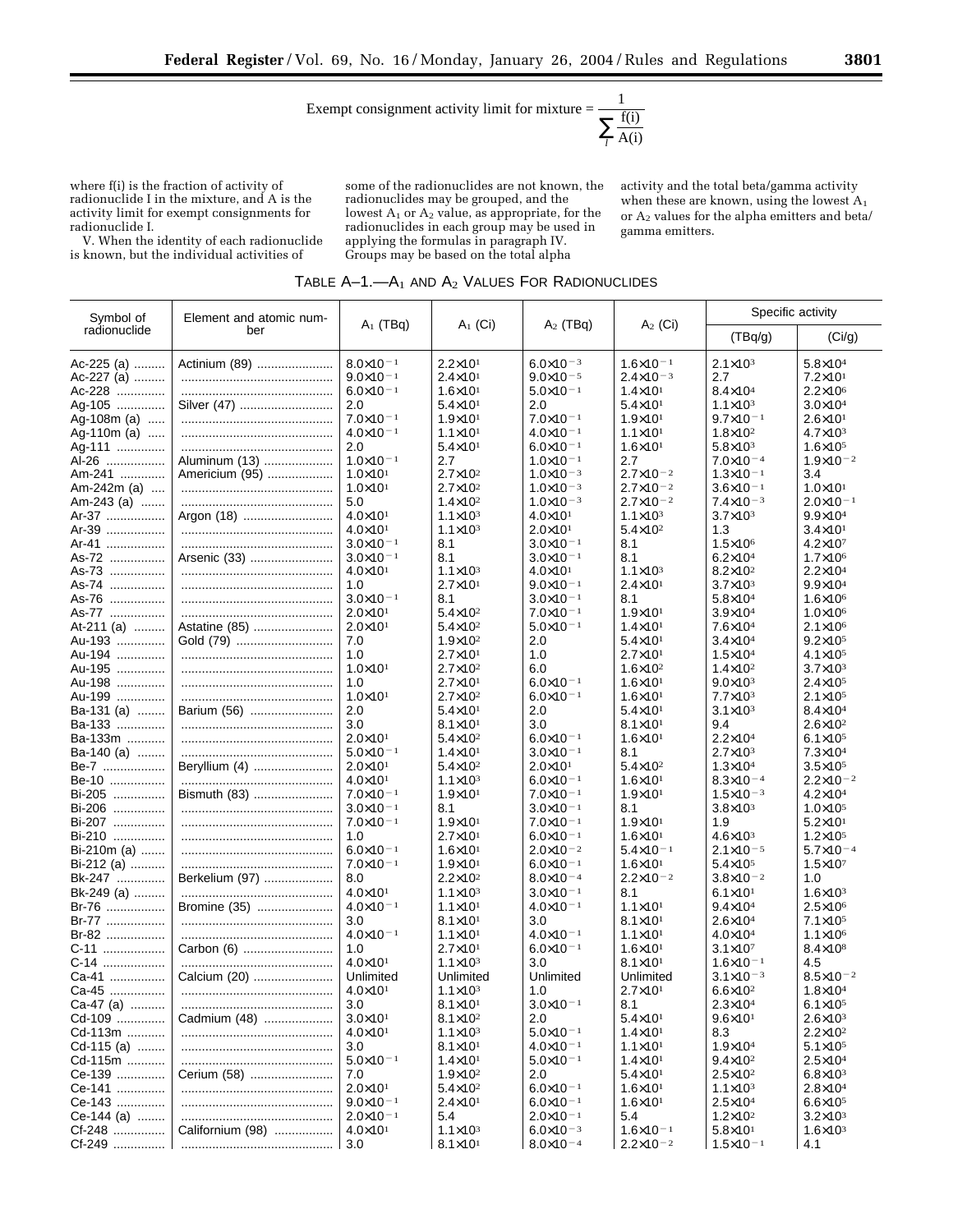Exempt consignment activity limit for mixture  $=$   $\sum_{l} \frac{I(l)}{A(i)}$ 1

where f(i) is the fraction of activity of radionuclide I in the mixture, and A is the activity limit for exempt consignments for radionuclide I.

V. When the identity of each radionuclide is known, but the individual activities of

some of the radionuclides are not known, the radionuclides may be grouped, and the lowest  $A_1$  or  $A_2$  value, as appropriate, for the radionuclides in each group may be used in applying the formulas in paragraph IV. Groups may be based on the total alpha

activity and the total beta/gamma activity when these are known, using the lowest  $A_1$ or A2 values for the alpha emitters and beta/ gamma emitters.

| TABLE A-1.— $\mathsf{A}_1$ and $\mathsf{A}_2$ Values For Radionuclides |
|------------------------------------------------------------------------|
|------------------------------------------------------------------------|

| Symbol of    | Element and atomic num-<br>ber | $A_1$ (TBq)          | $A_1$ (Ci)          | $A_2$ (TBq)          | $A_2$ (Ci)           | Specific activity    |                      |
|--------------|--------------------------------|----------------------|---------------------|----------------------|----------------------|----------------------|----------------------|
| radionuclide |                                |                      |                     |                      |                      | (TBq/q)              | (Ci/g)               |
| Ac-225 (a)   | Actinium (89)                  | $8.0 \times 10^{-1}$ | $2.2 \times 10^{1}$ | $6.0 \times 10^{-3}$ | $1.6 \times 10^{-1}$ | $2.1 \times 10^{3}$  | $5.8 \times 10^{4}$  |
| Ac-227 (a)   |                                | $9.0 \times 10^{-1}$ | $2.4 \times 10^{1}$ | $9.0 \times 10^{-5}$ | $2.4 \times 10^{-3}$ | 2.7                  | $7.2 \times 10^{1}$  |
| Ac-228       |                                | $6.0 \times 10^{-1}$ | $1.6 \times 10^{1}$ | $5.0 \times 10^{-1}$ | $1.4 \times 10^{1}$  | $8.4 \times 10^{4}$  | $2.2 \times 10^{6}$  |
| Ag-105       | Silver (47)                    | 2.0                  | $5.4 \times 10^{1}$ | 2.0                  | $5.4 \times 10^{1}$  | $1.1 \times 10^{3}$  | $3.0 \times 10^{4}$  |
| Ag-108m (a)  |                                | $7.0 \times 10^{-1}$ | $1.9 \times 10^{1}$ | $7.0 \times 10^{-1}$ | $1.9 \times 10^{1}$  | $9.7\times10^{-1}$   | $2.6 \times 10^{1}$  |
| Ag-110m (a)  |                                | $4.0 \times 10^{-1}$ | $1.1 \times 10^{1}$ | $4.0 \times 10^{-1}$ | $1.1 \times 10^{1}$  | $1.8 \times 10^{2}$  | $4.7\times10^{3}$    |
| Ag-111       |                                | 2.0                  | $5.4 \times 10^{1}$ | $6.0 \times 10^{-1}$ | $1.6 \times 10^{1}$  | $5.8 \times 10^3$    | $1.6 \times 10^{5}$  |
| Al-26        | Aluminum (13)                  | $1.0 \times 10^{-1}$ | 2.7                 | $1.0 \times 10^{-1}$ | 2.7                  | $7.0 \times 10^{-4}$ | $1.9 \times 10^{-2}$ |
| Am-241       | Americium (95)                 | $1.0 \times 10^{1}$  | $2.7\times10^{2}$   | $1.0 \times 10^{-3}$ | $2.7 \times 10^{-2}$ | $1.3 \times 10^{-1}$ | 3.4                  |
| Am-242m (a)  |                                | $1.0 \times 10^{1}$  | $2.7\times10^{2}$   | $1.0 \times 10^{-3}$ | $2.7 \times 10^{-2}$ | $3.6 \times 10^{-1}$ | $1.0 \times 10^{1}$  |
| Am-243 (a)   |                                | 5.0                  | $1.4 \times 10^{2}$ | $1.0 \times 10^{-3}$ | $2.7\times10^{-2}$   | $7.4 \times 10^{-3}$ | $2.0 \times 10^{-1}$ |
| Ar-37        | Argon (18)                     | $4.0 \times 10^{1}$  | $1.1 \times 10^{3}$ | $4.0 \times 10^{1}$  | $1.1 \times 10^{3}$  | $3.7\times10^{3}$    | $9.9 \times 10^{4}$  |
| Ar-39        |                                | $4.0 \times 10^{1}$  | $1.1 \times 10^{3}$ | $2.0 \times 10^{1}$  | $5.4 \times 10^{2}$  | 1.3                  | $3.4\times10^{1}$    |
| Ar-41        |                                | $3.0 \times 10^{-1}$ | 8.1                 | $3.0 \times 10^{-1}$ | 8.1                  | $1.5 \times 10^{6}$  | $4.2 \times 10^{7}$  |
| As-72        | Arsenic (33)                   | $3.0 \times 10^{-1}$ | 8.1                 | $3.0 \times 10^{-1}$ | 8.1                  | $6.2 \times 10^{4}$  | $1.7\times10^{6}$    |
| As-73        |                                | $4.0 \times 10^{1}$  | $1.1 \times 10^{3}$ | $4.0 \times 10^{1}$  | $1.1 \times 10^{3}$  | $8.2 \times 10^{2}$  | $2.2 \times 10^{4}$  |
| As-74        |                                | 1.0                  | $2.7\times10^{1}$   | $9.0 \times 10^{-1}$ | $2.4 \times 10^{1}$  | $3.7\times10^{3}$    | $9.9 \times 10^{4}$  |
| As-76        |                                | $3.0 \times 10^{-1}$ | 8.1                 | $3.0 \times 10^{-1}$ | 8.1                  | $5.8 \times 10^{4}$  | $1.6 \times 10^{6}$  |
| As-77        |                                | $2.0 \times 10^{1}$  | $5.4 \times 10^{2}$ | $7.0 \times 10^{-1}$ | $1.9 \times 10^{1}$  | $3.9 \times 10^{4}$  | $1.0 \times 10^{6}$  |
| At-211 (a)   | Astatine (85)                  | $2.0 \times 10^{1}$  | $5.4 \times 10^{2}$ | $5.0 \times 10^{-1}$ | $1.4 \times 10^{1}$  | $7.6 \times 10^{4}$  | $2.1 \times 10^{6}$  |
| Au-193       | Gold (79)                      | 7.0                  | $1.9 \times 10^{2}$ | 2.0                  | $5.4 \times 10^{1}$  | $3.4 \times 10^{4}$  | $9.2\times10^{5}$    |
| Au-194       |                                | 1.0                  | $2.7\times10^{1}$   | 1.0                  | $2.7\times10^{1}$    | $1.5 \times 10^{4}$  | $4.1 \times 10^{5}$  |
| Au-195       |                                | $1.0 \times 10^{1}$  | $2.7\times10^{2}$   | 6.0                  | $1.6 \times 10^{2}$  | $1.4 \times 10^2$    | $3.7\times10^{3}$    |
| Au-198       |                                | 1.0                  | $2.7\times10^{1}$   | $6.0 \times 10^{-1}$ | $1.6 \times 10^{1}$  | $9.0 \times 10^3$    | $2.4 \times 10^{5}$  |
| Au-199       |                                | $1.0 \times 10^{1}$  | $2.7\times10^{2}$   | $6.0 \times 10^{-1}$ | $1.6 \times 10^{1}$  | $7.7 \times 10^3$    | $2.1 \times 10^{5}$  |
| Ba-131 (a)   | Barium (56)                    | 2.0                  | $5.4 \times 10^{1}$ | 2.0                  | $5.4 \times 10^{1}$  | $3.1 \times 10^3$    | $8.4 \times 10^{4}$  |
| Ba-133       |                                | 3.0                  | $8.1 \times 10^{1}$ | 3.0                  | $8.1 \times 10^{1}$  | 9.4                  | $2.6 \times 10^{2}$  |
| Ba-133m      |                                | $2.0 \times 10^{1}$  | $5.4 \times 10^{2}$ | $6.0 \times 10^{-1}$ | $1.6 \times 10^{1}$  | $2.2 \times 10^{4}$  | $6.1 \times 10^{5}$  |
| Ba-140 (a)   |                                | $5.0 \times 10^{-1}$ | $1.4 \times 10^{1}$ | $3.0 \times 10^{-1}$ | 8.1                  | $2.7\times10^{3}$    | $7.3 \times 10^{4}$  |
| Be-7         | Beryllium (4)                  | $2.0 \times 10^{1}$  | $5.4 \times 10^{2}$ | $2.0 \times 10^{1}$  | $5.4 \times 10^{2}$  | $1.3 \times 10^{4}$  | $3.5 \times 10^{5}$  |
| Be-10        |                                | $4.0 \times 10^{1}$  | $1.1 \times 10^3$   | $6.0 \times 10^{-1}$ | $1.6 \times 10^{1}$  | $8.3 \times 10^{-4}$ | $2.2 \times 10^{-2}$ |
| Bi-205       | Bismuth (83)                   | $7.0 \times 10^{-1}$ | $1.9 \times 10^{1}$ | $7.0 \times 10^{-1}$ | $1.9 \times 10^{1}$  | $1.5 \times 10^{-3}$ | $4.2 \times 10^{4}$  |
| Bi-206       |                                | $3.0 \times 10^{-1}$ | 8.1                 | $3.0 \times 10^{-1}$ | 8.1                  | $3.8 \times 10^3$    | $1.0 \times 10^{5}$  |
| Bi-207       |                                | $7.0 \times 10^{-1}$ | $1.9 \times 10^{1}$ | $7.0 \times 10^{-1}$ | $1.9 \times 10^{1}$  | 1.9                  | $5.2 \times 10^{1}$  |
| Bi-210       |                                | 1.0                  | $2.7\times10^{1}$   | $6.0 \times 10^{-1}$ | $1.6 \times 10^{1}$  | $4.6 \times 10^{3}$  | $1.2 \times 10^{5}$  |
| Bi-210m (a)  |                                | $6.0 \times 10^{-1}$ | $1.6 \times 10^{1}$ | $2.0 \times 10^{-2}$ | $5.4 \times 10^{-1}$ | $2.1 \times 10^{-5}$ | $5.7\times10^{-4}$   |
| Bi-212 (a)   |                                | $7.0 \times 10^{-1}$ | $1.9 \times 10^{1}$ | $6.0 \times 10^{-1}$ | $1.6 \times 10^{1}$  | $5.4 \times 10^{5}$  | $1.5 \times 10^{7}$  |
| Bk-247       | Berkelium (97)                 | 8.0                  | $2.2\times10^{2}$   | $8.0 \times 10^{-4}$ | $2.2 \times 10^{-2}$ | $3.8 \times 10^{-2}$ | 1.0                  |
| Bk-249 (a)   |                                | $4.0 \times 10^{1}$  | $1.1 \times 10^3$   | $3.0 \times 10^{-1}$ | 8.1                  | $6.1 \times 10^{1}$  | $1.6 \times 10^{3}$  |
| Br-76        | Bromine (35)                   | $4.0 \times 10^{-1}$ | $1.1 \times 10^{1}$ | $4.0 \times 10^{-1}$ | $1.1 \times 10^{1}$  | $9.4 \times 10^{4}$  | $2.5 \times 10^{6}$  |
| Br-77        |                                | 3.0                  | $8.1 \times 10^{1}$ | 3.0                  | $8.1 \times 10^{1}$  | $2.6 \times 10^{4}$  | $7.1\times10^{5}$    |
| Br-82        |                                | $4.0 \times 10^{-1}$ | $1.1 \times 10^{1}$ | $4.0 \times 10^{-1}$ | $1.1 \times 10^{1}$  | $4.0 \times 10^{4}$  | $1.1\times10^{6}$    |
| C-11         | Carbon (6)                     | 1.0                  | $2.7\times10^{1}$   | $6.0 \times 10^{-1}$ | $1.6 \times 10^{1}$  | $3.1 \times 10^{7}$  | $8.4 \times 10^{8}$  |
| C-14         |                                | $4.0 \times 10^{1}$  | $1.1 \times 10^3$   | 3.0                  | $8.1 \times 10^{1}$  | $1.6 \times 10^{-1}$ | 4.5                  |
| Ca-41        | Calcium (20)                   | Unlimited            | Unlimited           | Unlimited            | Unlimited            | $3.1 \times 10^{-3}$ | $8.5 \times 10^{-2}$ |
| Ca-45        |                                | $4.0 \times 10^{1}$  | $1.1 \times 10^3$   | 1.0                  | $2.7\times10^{1}$    | $6.6 \times 10^{2}$  | $1.8 \times 10^{4}$  |
| Ca-47 (a)    |                                | 3.0                  | $8.1\times10^{1}$   | $3.0 \times 10^{-1}$ | 8.1                  | $2.3 \times 10^4$    | $6.1 \times 10^{5}$  |
| Cd-109       | Cadmium (48)                   | $3.0 \times 10^{1}$  | $8.1 \times 10^{2}$ | 2.0                  | $5.4 \times 10^{1}$  | $9.6 \times 10^{1}$  | $2.6 \times 10^{3}$  |
| Cd-113m      |                                | $4.0 \times 10^{1}$  | $1.1 \times 10^3$   | $5.0 \times 10^{-1}$ | $1.4 \times 10^{1}$  | 8.3                  | $2.2 \times 10^2$    |
| $Cd-115$ (a) |                                | 3.0                  | $8.1 \times 10^{1}$ | $4.0 \times 10^{-1}$ | $1.1 \times 10^{1}$  | $1.9 \times 10^{4}$  | $5.1 \times 10^{5}$  |
| Cd-115m      |                                | $5.0 \times 10^{-1}$ | $1.4 \times 10^{1}$ | $5.0 \times 10^{-1}$ | $1.4 \times 10^{1}$  | $9.4 \times 10^{2}$  | $2.5 \times 10^{4}$  |
| Ce-139       | Cerium (58)                    | 7.0                  | $1.9 \times 10^{2}$ | 2.0                  | $5.4 \times 10^{1}$  | $2.5 \times 10^{2}$  | $6.8 \times 10^{3}$  |
| Ce-141       |                                | $2.0 \times 10^{1}$  | $5.4 \times 10^{2}$ | $6.0 \times 10^{-1}$ | $1.6 \times 10^{1}$  | $1.1 \times 10^3$    | $2.8 \times 10^{4}$  |
| Ce-143       |                                | $9.0 \times 10^{-1}$ | $2.4 \times 10^{1}$ | $6.0 \times 10^{-1}$ | $1.6 \times 10^{1}$  | $2.5 \times 10^{4}$  | $6.6 \times 10^{5}$  |
| Ce-144 (a)   |                                | $2.0 \times 10^{-1}$ | 5.4                 | $2.0 \times 10^{-1}$ | 5.4                  | $1.2\times10^{2}$    | $3.2 \times 10^3$    |
| Cf-248       | Californium (98)               | $4.0 \times 10^{1}$  | $1.1 \times 10^3$   | $6.0 \times 10^{-3}$ | $1.6 \times 10^{-1}$ | $5.8 \times 10^{1}$  | $1.6 \times 10^{3}$  |
| Cf-249       |                                | 3.0                  | $8.1 \times 10^{1}$ | $8.0 \times 10^{-4}$ | $2.2 \times 10^{-2}$ | $1.5 \times 10^{-1}$ | 4.1                  |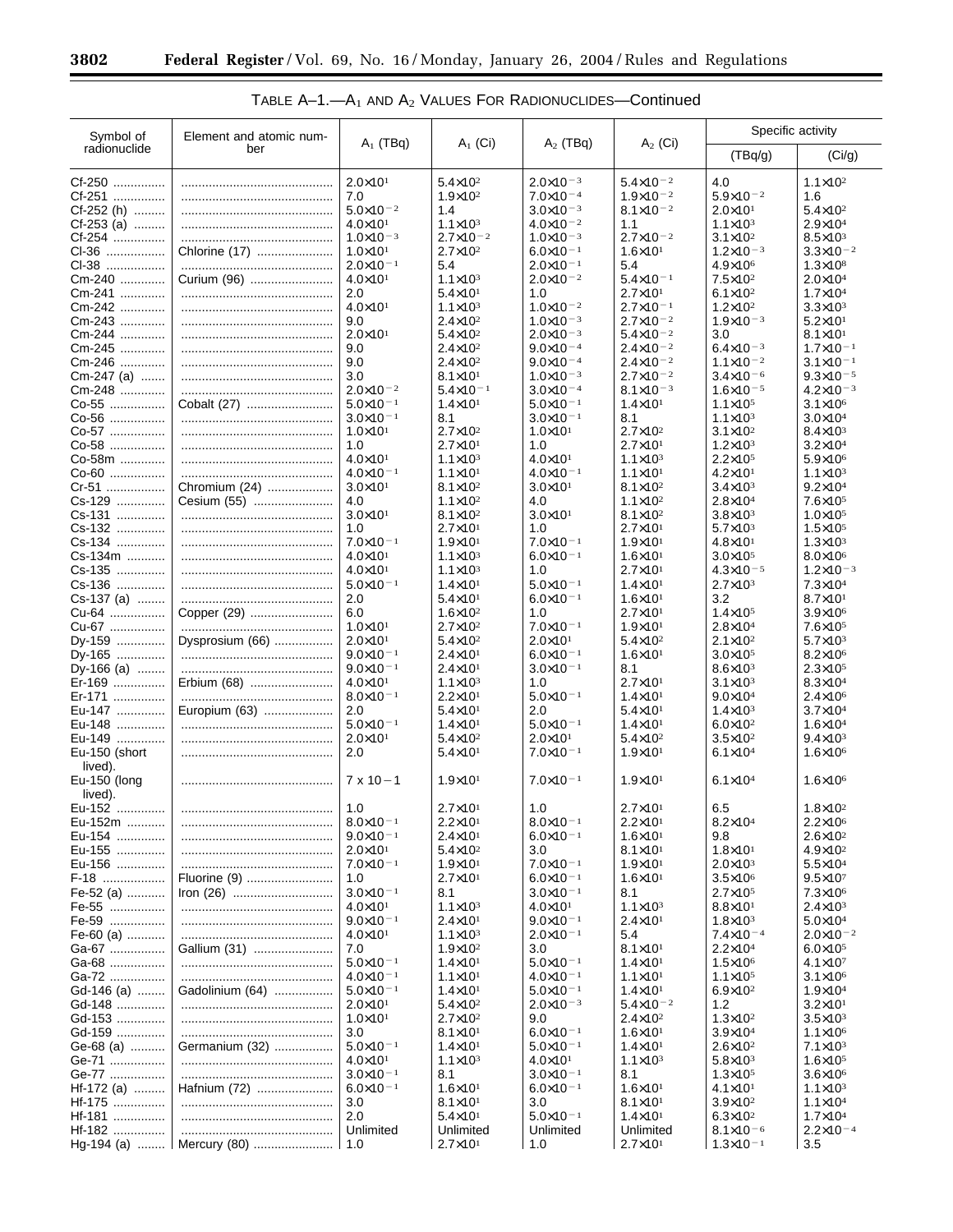-

| Symbol of                | Element and atomic num-    |                                              |                                            |                                              |                                             | Specific activity                          |                                            |
|--------------------------|----------------------------|----------------------------------------------|--------------------------------------------|----------------------------------------------|---------------------------------------------|--------------------------------------------|--------------------------------------------|
| radionuclide             | ber                        | $A_1$ (TBq)                                  | $A_1$ (Ci)                                 | $A_2$ (TBq)                                  | $A_2$ (Ci)                                  | (TBq/g)                                    | (Ci/g)                                     |
| Cf-250                   |                            | $2.0 \times 10^{1}$                          | $5.4 \times 10^{2}$                        | $2.0 \times 10^{-3}$                         | $5.4 \times 10^{-2}$                        | 4.0                                        | $1.1 \times 10^{2}$                        |
| Cf-251                   |                            | 7.0                                          | $1.9 \times 10^{2}$                        | $7.0 \times 10^{-4}$                         | $1.9 \times 10^{-2}$                        | $5.9 \times 10^{-2}$                       | 1.6                                        |
| Cf-252 (h)               |                            | $5.0 \times 10^{-2}$                         | 1.4                                        | $3.0 \times 10^{-3}$                         | $8.1 \times 10^{-2}$                        | $2.0 \times 10^{1}$                        | $5.4 \times 10^{2}$                        |
| $Cf-253$ (a)             |                            | $4.0 \times 10^{1}$                          | $1.1 \times 10^{3}$                        | $4.0 \times 10^{-2}$                         | 1.1                                         | $1.1 \times 10^3$                          | $2.9 \times 10^{4}$                        |
| Cf-254                   |                            | $1.0 \times 10^{-3}$                         | $2.7\times10^{-2}$                         | $1.0 \times 10^{-3}$                         | $2.7 \times 10^{-2}$                        | $3.1 \times 10^{2}$                        | $8.5 \times 10^{3}$                        |
| Cl-36                    | Chlorine (17)              | $1.0 \times 10^{1}$<br>$2.0 \times 10^{-1}$  | $2.7\times10^{2}$                          | $6.0 \times 10^{-1}$                         | $1.6 \times 10^{1}$                         | $1.2 \times 10^{-3}$                       | $3.3 \times 10^{-2}$                       |
| CI-38<br>Cm-240          | Curium (96)                | $4.0 \times 10^{1}$                          | 5.4<br>$1.1 \times 10^{3}$                 | $2.0 \times 10^{-1}$<br>$2.0 \times 10^{-2}$ | 5.4<br>$5.4 \times 10^{-1}$                 | $4.9 \times 10^{6}$<br>$7.5 \times 10^2$   | $1.3 \times 10^8$<br>$2.0 \times 10^{4}$   |
| Cm-241                   |                            | 2.0                                          | $5.4 \times 10^{1}$                        | 1.0                                          | $2.7\times10^{1}$                           | $6.1 \times 10^{2}$                        | $1.7 \times 10^{4}$                        |
| Cm-242                   |                            | $4.0 \times 10^{1}$                          | $1.1 \times 10^3$                          | $1.0 \times 10^{-2}$                         | $2.7 \times 10^{-1}$                        | $1.2 \times 10^{2}$                        | $3.3 \times 10^{3}$                        |
| Cm-243                   |                            | 9.0                                          | $2.4 \times 10^{2}$                        | $1.0 \times 10^{-3}$                         | $2.7\times10^{-2}$                          | $1.9 \times 10^{-3}$                       | $5.2 \times 10^{1}$                        |
| Cm-244                   |                            | $2.0 \times 10^{1}$                          | $5.4 \times 10^{2}$                        | $2.0 \times 10^{-3}$                         | $5.4 \times 10^{-2}$                        | 3.0                                        | $8.1 \times 10^{1}$                        |
| Cm-245                   |                            | 9.0                                          | $2.4 \times 10^{2}$                        | $9.0 \times 10^{-4}$                         | $2.4 \times 10^{-2}$                        | $6.4 \times 10^{-3}$                       | $1.7 \times 10^{-1}$                       |
| Cm-246                   |                            | 9.0                                          | $2.4 \times 10^{2}$                        | $9.0 \times 10^{-4}$                         | $2.4 \times 10^{-2}$                        | $1.1 \times 10^{-2}$                       | $3.1 \times 10^{-1}$                       |
| Cm-247 (a)               |                            | 3.0                                          | $8.1 \times 10^{1}$                        | $1.0 \times 10^{-3}$                         | $2.7\times10^{-2}$                          | $3.4 \times 10^{-6}$                       | $9.3 \times 10^{-5}$                       |
| Cm-248                   |                            | $2.0 \times 10^{-2}$                         | $5.4 \times 10^{-1}$                       | $3.0 \times 10^{-4}$                         | $8.1 \times 10^{-3}$                        | $1.6 \times 10^{-5}$                       | $4.2 \times 10^{-3}$                       |
| Co-55                    | Cobalt (27)                | $5.0 \times 10^{-1}$                         | $1.4 \times 10^{1}$                        | $5.0 \times 10^{-1}$                         | $1.4 \times 10^{1}$                         | $1.1 \times 10^{5}$                        | $3.1 \times 10^{6}$                        |
| Co-56                    |                            | $3.0 \times 10^{-1}$                         | 8.1                                        | $3.0 \times 10^{-1}$                         | 8.1                                         | $1.1 \times 10^3$                          | $3.0 \times 10^{4}$                        |
| Co-57<br>Co-58           |                            | $1.0 \times 10^{1}$<br>1.0                   | $2.7\times10^{2}$<br>$2.7\times10^{1}$     | $1.0 \times 10^{1}$<br>1.0                   | $2.7\times10^{2}$<br>$2.7\times10^{1}$      | $3.1 \times 10^{2}$<br>$1.2 \times 10^3$   | $8.4 \times 10^{3}$<br>$3.2 \times 10^{4}$ |
| Co-58m                   |                            | $4.0 \times 10^{1}$                          | $1.1 \times 10^3$                          | $4.0 \times 10^{1}$                          | $1.1 \times 10^{3}$                         | $2.2 \times 10^{5}$                        | $5.9 \times 10^{6}$                        |
| Co-60                    |                            | $4.0 \times 10^{-1}$                         | $1.1 \times 10^{1}$                        | $4.0 \times 10^{-1}$                         | $1.1 \times 10^{1}$                         | $4.2 \times 10^{1}$                        | $1.1 \times 10^3$                          |
| Cr-51                    | Chromium (24)              | $3.0 \times 10^{1}$                          | $8.1 \times 10^{2}$                        | $3.0 \times 10^{1}$                          | $8.1 \times 10^{2}$                         | $3.4 \times 10^{3}$                        | $9.2 \times 10^{4}$                        |
| Cs-129                   | Cesium (55)                | 4.0                                          | $1.1 \times 10^{2}$                        | 4.0                                          | $1.1 \times 10^{2}$                         | $2.8 \times 10^{4}$                        | 7.6×10 <sup>5</sup>                        |
| Cs-131                   |                            | $3.0 \times 10^{1}$                          | $8.1 \times 10^{2}$                        | $3.0 \times 10^{1}$                          | $8.1 \times 10^{2}$                         | $3.8 \times 10^{3}$                        | $1.0 \times 10^{5}$                        |
| Cs-132                   |                            | 1.0                                          | $2.7\times10^{1}$                          | 1.0                                          | $2.7\times10^{1}$                           | $5.7\times10^{3}$                          | $1.5 \times 10^{5}$                        |
| Cs-134                   |                            | $7.0 \times 10^{-1}$                         | $1.9 \times 10^{1}$                        | $7.0 \times 10^{-1}$                         | $1.9 \times 10^{1}$                         | $4.8 \times 10^{1}$                        | $1.3 \times 10^{3}$                        |
| Cs-134m                  |                            | $4.0 \times 10^{1}$                          | $1.1 \times 10^{3}$                        | $6.0 \times 10^{-1}$                         | $1.6 \times 10^{1}$                         | $3.0 \times 10^{5}$                        | $8.0 \times 10^{6}$                        |
| Cs-135                   |                            | $4.0 \times 10^{1}$                          | $1.1 \times 10^3$                          | 1.0                                          | $2.7\times10^{1}$                           | $4.3 \times 10^{-5}$                       | $1.2 \times 10^{-3}$                       |
| Cs-136                   |                            | $5.0 \times 10^{-1}$                         | $1.4 \times 10^{1}$                        | $5.0 \times 10^{-1}$                         | $1.4 \times 10^{1}$                         | $2.7\times10^{3}$                          | $7.3 \times 10^{4}$                        |
| Cs-137 (a)               |                            | 2.0                                          | $5.4 \times 10^{1}$                        | $6.0 \times 10^{-1}$                         | $1.6 \times 10^{1}$                         | 3.2                                        | $8.7 \times 10^{1}$                        |
| Cu-64                    | Copper (29)                | 6.0                                          | $1.6 \times 10^{2}$                        | 1.0                                          | $2.7\times10^{1}$                           | $1.4 \times 10^{5}$                        | $3.9 \times 10^{6}$                        |
| Cu-67                    |                            | $1.0 \times 10^{1}$                          | $2.7\times10^{2}$                          | $7.0 \times 10^{-1}$<br>$2.0 \times 10^{1}$  | $1.9 \times 10^{1}$<br>$5.4 \times 10^{2}$  | $2.8 \times 10^{4}$                        | $7.6 \times 10^{5}$                        |
| Dy-159<br>Dy-165         | Dysprosium (66)            | $2.0 \times 10^{1}$<br>$9.0 \times 10^{-1}$  | $5.4 \times 10^{2}$<br>$2.4 \times 10^{1}$ | $6.0 \times 10^{-1}$                         | $1.6 \times 10^{1}$                         | $2.1 \times 10^{2}$<br>$3.0 \times 10^{5}$ | $5.7 \times 10^{3}$<br>$8.2 \times 10^{6}$ |
| Dy-166 (a)               |                            | $9.0 \times 10^{-1}$                         | $2.4 \times 10^{1}$                        | $3.0 \times 10^{-1}$                         | 8.1                                         | $8.6 \times 10^{3}$                        | $2.3 \times 10^{5}$                        |
| Er-169                   | Erbium (68)                | $4.0 \times 10^{1}$                          | $1.1 \times 10^3$                          | 1.0                                          | $2.7\times10^{1}$                           | $3.1 \times 10^3$                          | $8.3 \times 10^{4}$                        |
| Er-171                   |                            | $8.0 \times 10^{-1}$                         | $2.2 \times 10^{1}$                        | $5.0 \times 10^{-1}$                         | $1.4 \times 10^{1}$                         | $9.0 \times 10^4$                          | $2.4 \times 10^{6}$                        |
| Eu-147                   | Europium (63)              | 2.0                                          | $5.4 \times 10^{1}$                        | 2.0                                          | $5.4 \times 10^{1}$                         | $1.4 \times 10^{3}$                        | $3.7\times10^{4}$                          |
| Eu-148                   |                            | $5.0 \times 10^{-1}$                         | $1.4 \times 10^{1}$                        | $5.0 \times 10^{-1}$                         | $1.4 \times 10^{1}$                         | $6.0 \times 10^{2}$                        | $1.6 \times 10^{4}$                        |
| Eu-149                   |                            | $2.0 \times 10^{1}$                          | $5.4 \times 10^{2}$                        | $2.0 \times 10^{1}$                          | $5.4 \times 10^{2}$                         | $3.5 \times 10^{2}$                        | $9.4 \times 10^{3}$                        |
| Eu-150 (short<br>lived). |                            | 2.0                                          | $5.4 \times 10^{1}$                        | $7.0 \times 10^{-1}$                         | $1.9 \times 10^{1}$                         | $6.1 \times 10^{4}$                        | $1.6 \times 10^{6}$                        |
| Eu-150 (long             |                            | $7 \times 10 - 1$                            | $1.9 \times 10^{1}$                        | $7.0 \times 10^{-1}$                         | $1.9 \times 10^{1}$                         | $6.1 \times 10^{4}$                        | $1.6 \times 10^{6}$                        |
| lived).                  |                            |                                              |                                            |                                              |                                             |                                            |                                            |
|                          |                            | 1.0                                          | $2.7 \times 10^{1}$                        | 1.0                                          | $2.7 \times 10^{1}$                         | 6.5                                        | $1.8 \times 10^{2}$                        |
| Eu-152m<br>Eu-154        |                            | $8.0 \times 10^{-1}$<br>$9.0 \times 10^{-1}$ | $2.2 \times 10^{1}$<br>$2.4 \times 10^{1}$ | $8.0 \times 10^{-1}$<br>$6.0 \times 10^{-1}$ | $2.2 \times 10^{1}$<br>$1.6 \times 10^{1}$  | $8.2 \times 10^{4}$<br>9.8                 | $2.2 \times 10^6$<br>$2.6 \times 10^{2}$   |
| Eu-155                   |                            | $2.0 \times 10^{1}$                          | $5.4 \times 10^2$                          | 3.0                                          | $8.1 \times 10^{1}$                         | $1.8 \times 10^{1}$                        | $4.9 \times 10^{2}$                        |
| Eu-156                   |                            | $7.0 \times 10^{-1}$                         | $1.9 \times 10^{1}$                        | $7.0 \times 10^{-1}$                         | $1.9 \times 10^{1}$                         | $2.0 \times 10^3$                          | $5.5 \times 10^{4}$                        |
| F-18                     | Fluorine (9)               | 1.0                                          | $2.7\times10^{1}$                          | $6.0 \times 10^{-1}$                         | $1.6 \times 10^{1}$                         | $3.5 \times 10^{6}$                        | $9.5 \times 10^{7}$                        |
| Fe-52 (a)                |                            | $3.0 \times 10^{-1}$                         | 8.1                                        | $3.0 \times 10^{-1}$                         | 8.1                                         | $2.7\times10^{5}$                          | $7.3 \times 10^{6}$                        |
| Fe-55                    |                            | $4.0 \times 10^{1}$                          | $1.1 \times 10^3$                          | $4.0 \times 10^{1}$                          | $1.1 \times 10^3$                           | $8.8 \times 10^{1}$                        | $2.4 \times 10^{3}$                        |
| Fe-59                    |                            | $9.0 \times 10^{-1}$                         | $2.4 \times 10^{1}$                        | $9.0 \times 10^{-1}$                         | $2.4 \times 10^{1}$                         | $1.8 \times 10^3$                          | $5.0 \times 10^{4}$                        |
| Fe-60 (a)                |                            | $4.0 \times 10^{1}$                          | $1.1 \times 10^3$                          | $2.0 \times 10^{-1}$                         | 5.4                                         | $7.4 \times 10^{-4}$                       | $2.0 \times 10^{-2}$                       |
| Ga-67                    | Gallium (31)               | 7.0                                          | $1.9 \times 10^{2}$                        | 3.0                                          | $8.1 \times 10^{1}$                         | $2.2 \times 10^4$                          | $6.0 \times 10^{5}$                        |
| Ga-68                    |                            | $5.0 \times 10^{-1}$                         | $1.4 \times 10^{1}$                        | $5.0 \times 10^{-1}$                         | $1.4 \times 10^{1}$                         | $1.5 \times 10^{6}$                        | $4.1 \times 10^{7}$                        |
| Ga-72                    |                            | $4.0 \times 10^{-1}$                         | $1.1 \times 10^{1}$                        | $4.0 \times 10^{-1}$                         | $1.1 \times 10^{1}$                         | $1.1 \times 10^{5}$                        | $3.1\times10^{6}$                          |
| Gd-146 (a)<br>Gd-148     | Gadolinium (64)            | $5.0 \times 10^{-1}$                         | $1.4 \times 10^{1}$                        | $5.0 \times 10^{-1}$                         | $1.4 \times 10^{1}$<br>$5.4 \times 10^{-2}$ | $6.9 \times 10^{2}$                        | $1.9 \times 10^{4}$                        |
| Gd-153                   |                            | $2.0 \times 10^{1}$<br>$1.0 \times 10^{1}$   | $5.4 \times 10^{2}$<br>$2.7\times10^{2}$   | $2.0 \times 10^{-3}$<br>9.0                  | $2.4 \times 10^{2}$                         | 1.2<br>$1.3 \times 10^{2}$                 | $3.2 \times 10^{1}$<br>$3.5 \times 10^3$   |
| Gd-159                   |                            | 3.0                                          | $8.1 \times 10^{1}$                        | $6.0 \times 10^{-1}$                         | $1.6 \times 10^{1}$                         | $3.9 \times 10^{4}$                        | $1.1 \times 10^{6}$                        |
| Ge-68 (a)                | Germanium (32)             | $5.0 \times 10^{-1}$                         | $1.4 \times 10^{1}$                        | $5.0 \times 10^{-1}$                         | $1.4 \times 10^{1}$                         | $2.6 \times 10^{2}$                        | $7.1 \times 10^3$                          |
| Ge-71                    |                            | $4.0 \times 10^{1}$                          | $1.1 \times 10^3$                          | $4.0 \times 10^{1}$                          | $1.1 \times 10^3$                           | $5.8 \times 10^3$                          | $1.6 \times 10^{5}$                        |
| Ge-77                    |                            | $3.0 \times 10^{-1}$                         | 8.1                                        | $3.0 \times 10^{-1}$                         | 8.1                                         | $1.3 \times 10^{5}$                        | $3.6 \times 10^{6}$                        |
| Hf-172 (a)               | Hafnium (72)               | $6.0 \times 10^{-1}$                         | $1.6 \times 10^{1}$                        | $6.0 \times 10^{-1}$                         | $1.6 \times 10^{1}$                         | $4.1 \times 10^{1}$                        | $1.1 \times 10^3$                          |
| Hf-175                   |                            | 3.0                                          | $8.1 \times 10^{1}$                        | 3.0                                          | $8.1 \times 10^{1}$                         | $3.9 \times 10^{2}$                        | $1.1 \times 10^{4}$                        |
| Hf-181                   |                            | 2.0                                          | $5.4 \times 10^{1}$                        | $5.0 \times 10^{-1}$                         | $1.4 \times 10^{1}$                         | $6.3 \times 10^{2}$                        | $1.7\times10^{4}$                          |
| Hf-182                   |                            | Unlimited                                    | Unlimited                                  | Unlimited                                    | Unlimited                                   | $8.1 \times 10^{-6}$                       | $2.2 \times 10^{-4}$                       |
|                          | Hg-194 (a)    Mercury (80) | 1.0                                          | $2.7 \times 10^{1}$                        | 1.0                                          | $2.7 \times 10^{1}$                         | $1.3 \times 10^{-1}$                       | 3.5                                        |

# TABLE  $A-1$ .  $-A_1$  and  $A_2$  Values For Radionuclides -- Continued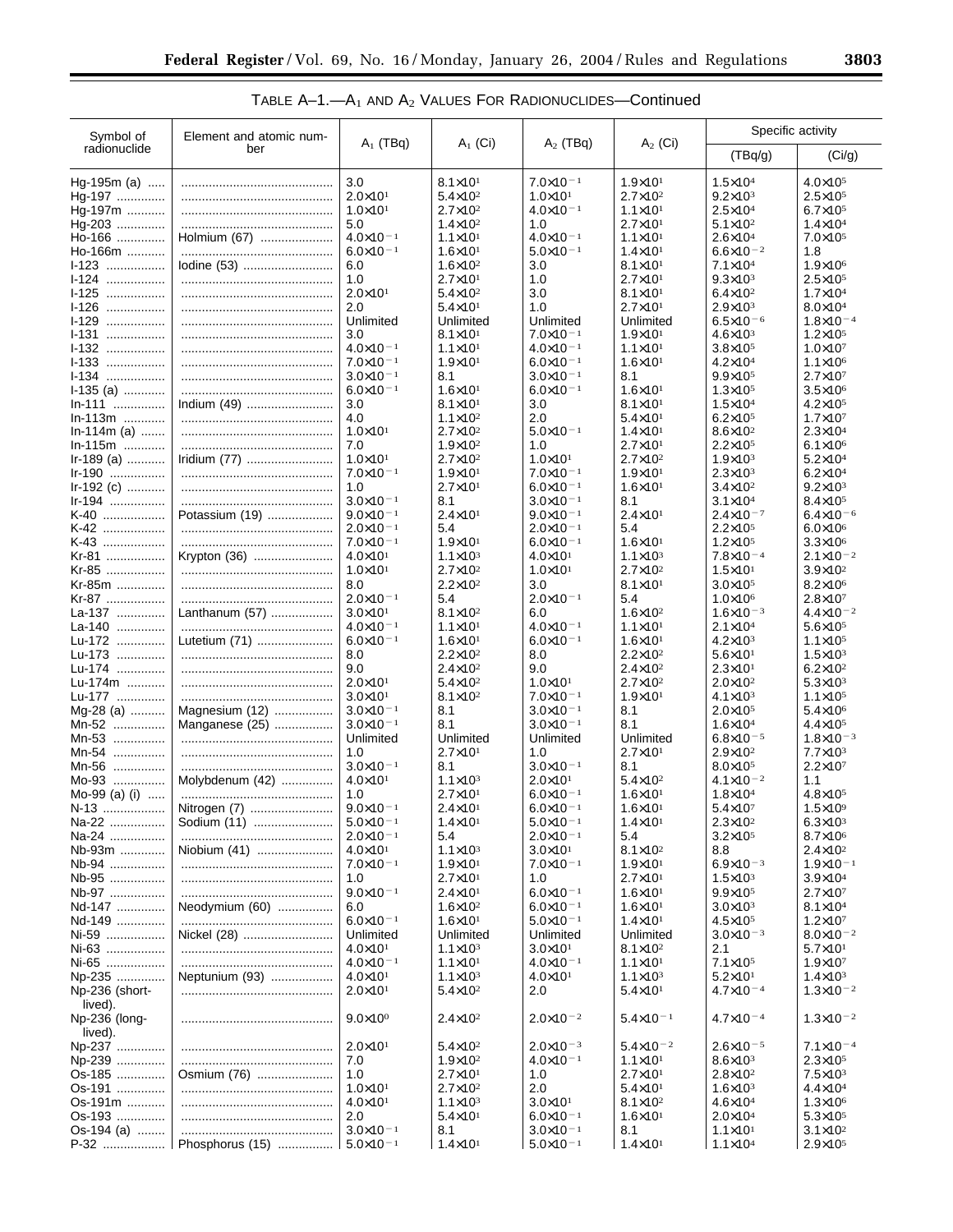# TABLE  $A-1$ .  $-A_1$  and  $A_2$  Values For Radionuclides -- Continued

| Symbol of                  | Element and atomic num-<br>ber | $A_1$ (TBq)                                  | $A_1$ (Ci)                                 | $A_2$ (TBq)                                  | $A_2$ (Ci)                               | Specific activity                           |                                             |
|----------------------------|--------------------------------|----------------------------------------------|--------------------------------------------|----------------------------------------------|------------------------------------------|---------------------------------------------|---------------------------------------------|
| radionuclide               |                                |                                              |                                            |                                              |                                          | (TBq/g)                                     | (Ci/g)                                      |
| Hg-195m (a)                |                                | 3.0                                          | $8.1 \times 10^{1}$                        | $7.0 \times 10^{-1}$                         | $1.9 \times 10^{1}$                      | $1.5 \times 10^{4}$                         | $4.0 \times 10^{5}$                         |
| Hg-197                     |                                | $2.0 \times 10^{1}$                          | $5.4 \times 10^{2}$                        | $1.0 \times 10^{1}$                          | $2.7\times10^{2}$                        | $9.2 \times 10^{3}$                         | $2.5 \times 10^{5}$                         |
| Hg-197m                    |                                | $1.0 \times 10^{1}$                          | $2.7\times10^{2}$                          | $4.0 \times 10^{-1}$                         | $1.1 \times 10^{1}$                      | $2.5 \times 10^{4}$                         | $6.7\times10^{5}$                           |
| Hg-203                     |                                | 5.0                                          | $1.4 \times 10^{2}$                        | 1.0                                          | $2.7\times10^{1}$                        | $5.1 \times 10^{2}$                         | $1.4 \times 10^{4}$                         |
| Ho-166                     | Holmium (67)                   | $4.0 \times 10^{-1}$                         | $1.1 \times 10^{1}$                        | $4.0 \times 10^{-1}$                         | $1.1 \times 10^{1}$                      | $2.6 \times 10^{4}$                         | $7.0 \times 10^{5}$                         |
| Ho-166m                    |                                | $6.0 \times 10^{-1}$                         | $1.6 \times 10^{1}$                        | $5.0 \times 10^{-1}$                         | $1.4 \times 10^{1}$                      | $6.6 \times 10^{-2}$                        | 1.8                                         |
| I-123                      | lodine (53)                    | 6.0                                          | $1.6 \times 10^{2}$                        | 3.0                                          | $8.1 \times 10^{1}$                      | $7.1 \times 10^{4}$                         | $1.9 \times 10^{6}$                         |
| $1 - 124$<br>.<br>I-125    |                                | 1.0<br>$2.0 \times 10^{1}$                   | $2.7 \times 10^{1}$<br>$5.4 \times 10^{2}$ | 1.0<br>3.0                                   | $2.7\times10^{1}$<br>$8.1 \times 10^{1}$ | $9.3 \times 10^{3}$<br>$6.4 \times 10^{2}$  | $2.5 \times 10^{5}$<br>$1.7 \times 10^{4}$  |
| I-126                      |                                | 2.0                                          | $5.4 \times 10^{1}$                        | 1.0                                          | $2.7\times10^{1}$                        | $2.9 \times 10^{3}$                         | $8.0 \times 10^{4}$                         |
| 1-129                      |                                | Unlimited                                    | Unlimited                                  | Unlimited                                    | Unlimited                                | $6.5 \times 10^{-6}$                        | $1.8 \times 10^{-4}$                        |
| $1 - 131$<br>.             |                                | 3.0                                          | $8.1 \times 10^{1}$                        | $7.0 \times 10^{-1}$                         | $1.9 \times 10^{1}$                      | $4.6 \times 10^{3}$                         | $1.2 \times 10^{5}$                         |
| I-132                      |                                | $4.0 \times 10^{-1}$                         | $1.1 \times 10^{1}$                        | $4.0 \times 10^{-1}$                         | $1.1 \times 10^{1}$                      | $3.8 \times 10^{5}$                         | $1.0 \times 10^{7}$                         |
| 1-133                      |                                | $7.0 \times 10^{-1}$                         | $1.9 \times 10^{1}$                        | $6.0 \times 10^{-1}$                         | $1.6 \times 10^{1}$                      | $4.2 \times 10^{4}$                         | $1.1 \times 10^{6}$                         |
| $1 - 134$<br>.             |                                | $3.0 \times 10^{-1}$                         | 8.1                                        | $3.0 \times 10^{-1}$                         | 8.1                                      | $9.9 \times 10^{5}$                         | $2.7 \times 10^{7}$                         |
| $1-135$ (a)                |                                | $6.0 \times 10^{-1}$                         | $1.6 \times 10^{1}$                        | $6.0 \times 10^{-1}$                         | $1.6 \times 10^{1}$                      | $1.3 \times 10^{5}$                         | $3.5 \times 10^{6}$                         |
| In-111                     | Indium (49)                    | 3.0                                          | $8.1 \times 10^{1}$                        | 3.0                                          | $8.1 \times 10^{1}$                      | $1.5 \times 10^{4}$                         | $4.2 \times 10^{5}$                         |
| $In-113m$                  |                                | 4.0                                          | $1.1 \times 10^{2}$                        | 2.0                                          | $5.4 \times 10^{1}$                      | $6.2 \times 10^{5}$                         | $1.7 \times 10^{7}$                         |
| $ln-114m$ (a)              |                                | $1.0 \times 10^{1}$                          | $2.7\times10^{2}$                          | $5.0 \times 10^{-1}$                         | $1.4 \times 10^{1}$                      | $8.6 \times 10^{2}$                         | $2.3 \times 10^{4}$                         |
| $In-115m$                  |                                | 7.0                                          | $1.9 \times 10^{2}$                        | 1.0                                          | $2.7\times10^{1}$                        | $2.2 \times 10^{5}$                         | $6.1 \times 10^{6}$                         |
| $Ir-189(a)$                |                                | $1.0 \times 10^{1}$                          | $2.7\times10^{2}$                          | $1.0 \times 10^{1}$                          | $2.7\times10^{2}$                        | $1.9 \times 10^3$                           | $5.2 \times 10^{4}$                         |
| $Ir-190$                   |                                | $7.0 \times 10^{-1}$                         | $1.9 \times 10^{1}$                        | $7.0 \times 10^{-1}$                         | $1.9 \times 10^{1}$                      | $2.3 \times 10^{3}$                         | $6.2 \times 10^{4}$                         |
| $Ir-192$ (c)               |                                | 1.0                                          | $2.7\times10^{1}$                          | $6.0 \times 10^{-1}$                         | $1.6 \times 10^{1}$                      | $3.4 \times 10^{2}$                         | $9.2 \times 10^{3}$<br>$8.4 \times 10^{5}$  |
| Ir-194<br>K-40             | Potassium (19)                 | $3.0 \times 10^{-1}$<br>$9.0 \times 10^{-1}$ | 8.1<br>$2.4 \times 10^{1}$                 | $3.0 \times 10^{-1}$<br>$9.0 \times 10^{-1}$ | 8.1<br>$2.4 \times 10^{1}$               | $3.1 \times 10^{4}$<br>$2.4 \times 10^{-7}$ | $6.4 \times 10^{-6}$                        |
| <br>K-42                   |                                | $2.0 \times 10^{-1}$                         | 5.4                                        | $2.0 \times 10^{-1}$                         | 5.4                                      | $2.2 \times 10^{5}$                         | $6.0 \times 10^{6}$                         |
| K-43                       |                                | $7.0 \times 10^{-1}$                         | $1.9 \times 10^{1}$                        | $6.0 \times 10^{-1}$                         | $1.6 \times 10^{1}$                      | $1.2 \times 10^{5}$                         | $3.3 \times 10^{6}$                         |
| Kr-81                      | Krypton (36)                   | $4.0 \times 10^{1}$                          | $1.1 \times 10^3$                          | $4.0 \times 10^{1}$                          | $1.1 \times 10^3$                        | $7.8 \times 10^{-4}$                        | $2.1 \times 10^{-2}$                        |
| Kr-85                      |                                | $1.0 \times 10^{1}$                          | $2.7\times10^{2}$                          | $1.0 \times 10^{1}$                          | $2.7\times10^{2}$                        | $1.5 \times 10^{1}$                         | $3.9 \times 10^{2}$                         |
| Kr-85m                     |                                | 8.0                                          | $2.2 \times 10^{2}$                        | 3.0                                          | $8.1 \times 10^{1}$                      | $3.0 \times 10^{5}$                         | $8.2 \times 10^{6}$                         |
| Kr-87                      |                                | $2.0 \times 10^{-1}$                         | 5.4                                        | $2.0 \times 10^{-1}$                         | 5.4                                      | $1.0 \times 10^{6}$                         | $2.8 \times 10^{7}$                         |
| La-137                     | Lanthanum (57)                 | $3.0 \times 10^{1}$                          | $8.1 \times 10^{2}$                        | 6.0                                          | $1.6 \times 10^{2}$                      | $1.6 \times 10^{-3}$                        | $4.4 \times 10^{-2}$                        |
| La-140                     |                                | $4.0 \times 10^{-1}$                         | $1.1 \times 10^{1}$                        | $4.0 \times 10^{-1}$                         | $1.1 \times 10^{1}$                      | $2.1 \times 10^{4}$                         | $5.6 \times 10^{5}$                         |
| Lu-172                     | Lutetium (71)                  | $6.0 \times 10^{-1}$                         | $1.6 \times 10^{1}$                        | $6.0 \times 10^{-1}$                         | $1.6 \times 10^{1}$                      | $4.2 \times 10^{3}$                         | $1.1 \times 10^{5}$                         |
| Lu-173                     |                                | 8.0                                          | $2.2 \times 10^{2}$                        | 8.0                                          | $2.2 \times 10^{2}$                      | $5.6 \times 10^{1}$                         | $1.5 \times 10^{3}$                         |
| Lu-174                     |                                | 9.0                                          | $2.4 \times 10^{2}$                        | 9.0                                          | $2.4 \times 10^{2}$                      | $2.3 \times 10^{1}$                         | $6.2 \times 10^{2}$                         |
| Lu-174m                    |                                | $2.0 \times 10^{1}$                          | $5.4 \times 10^{2}$                        | $1.0 \times 10^{1}$                          | $2.7\times10^{2}$                        | $2.0 \times 10^2$                           | $5.3 \times 10^{3}$                         |
| Lu-177                     |                                | $3.0 \times 10^{1}$                          | $8.1 \times 10^{2}$                        | $7.0 \times 10^{-1}$                         | $1.9 \times 10^{1}$                      | $4.1 \times 10^{3}$                         | $1.1 \times 10^{5}$                         |
| Mg-28 (a)                  | Magnesium (12)                 | $3.0 \times 10^{-1}$                         | 8.1                                        | $3.0 \times 10^{-1}$                         | 8.1                                      | $2.0 \times 10^{5}$                         | $5.4 \times 10^{6}$                         |
| Mn-52                      | Manganese (25)                 | $3.0 \times 10^{-1}$                         | 8.1                                        | $3.0 \times 10^{-1}$                         | 8.1                                      | $1.6 \times 10^{4}$                         | $4.4 \times 10^{5}$<br>$1.8 \times 10^{-3}$ |
| Mn-53<br>Mn-54             |                                | Unlimited<br>1.0                             | Unlimited<br>$2.7\times10^{1}$             | Unlimited<br>1.0                             | Unlimited<br>$2.7 \times 10^{1}$         | $6.8 \times 10^{-5}$<br>$2.9 \times 10^{2}$ | $7.7\times10^{3}$                           |
| Mn-56                      |                                | $3.0 \times 10^{-1}$                         | 8.1                                        | $3.0 \times 10^{-1}$                         | 8.1                                      | $8.0 \times 10^{5}$                         | $2.2 \times 10^{7}$                         |
| Mo-93                      | Molybdenum (42)                | $4.0 \times 10^{1}$                          | $1.1 \times 10^3$                          | $2.0 \times 10^{1}$                          | $5.4 \times 10^{2}$                      | $4.1 \times 10^{-2}$                        | 1.1                                         |
| Mo-99 (a) (i)              |                                | 1.0                                          | $2.7\times10^{1}$                          | $6.0 \times 10^{-1}$                         | $1.6 \times 10^{1}$                      | $1.8 \times 10^{4}$                         | $4.8 \times 10^{5}$                         |
| N-13                       | Nitrogen (7)                   | $9.0 \times 10^{-1}$                         | $2.4 \times 10^{1}$                        | $6.0 \times 10^{-1}$                         | $1.6 \times 10^{1}$                      | $5.4 \times 10^{7}$                         | $1.5 \times 10^{9}$                         |
| Na-22                      | Sodium (11)                    | $5.0 \times 10^{-1}$                         | $1.4 \times 10^{1}$                        | $5.0 \times 10^{-1}$                         | $1.4 \times 10^{1}$                      | $2.3 \times 10^{2}$                         | $6.3 \times 10^{3}$                         |
| Na-24                      |                                | $2.0 \times 10^{-1}$                         | 5.4                                        | $2.0 \times 10^{-1}$                         | 5.4                                      | $3.2 \times 10^{5}$                         | $8.7\times10^{6}$                           |
| Nb-93m                     | Niobium (41)                   | $4.0 \times 10^{1}$                          | $1.1 \times 10^3$                          | $3.0 \times 10^{1}$                          | $8.1 \times 10^{2}$                      | 8.8                                         | $2.4 \times 10^{2}$                         |
| Nb-94                      |                                | $7.0 \times 10^{-1}$                         | $1.9 \times 10^{1}$                        | $7.0 \times 10^{-1}$                         | $1.9 \times 10^{1}$                      | $6.9 \times 10^{-3}$                        | $1.9 \times 10^{-1}$                        |
| Nb-95                      |                                | 1.0                                          | $2.7\times10^{1}$                          | 1.0                                          | $2.7\times10^{1}$                        | $1.5 \times 10^3$                           | $3.9 \times 10^{4}$                         |
| Nb-97                      |                                | $9.0 \times 10^{-1}$                         | $2.4 \times 10^{1}$                        | $6.0 \times 10^{-1}$                         | $1.6 \times 10^{1}$                      | $9.9 \times 10^{5}$                         | $2.7 \times 10^{7}$                         |
| Nd-147                     | Neodymium (60)                 | 6.0                                          | $1.6 \times 10^{2}$                        | $6.0 \times 10^{-1}$                         | $1.6 \times 10^{1}$                      | $3.0 \times 10^3$                           | $8.1 \times 10^{4}$                         |
| Nd-149                     |                                | $6.0 \times 10^{-1}$                         | $1.6 \times 10^{1}$                        | $5.0 \times 10^{-1}$                         | $1.4 \times 10^{1}$                      | $4.5 \times 10^{5}$                         | $1.2 \times 10^7$                           |
| Ni-59                      | Nickel (28)                    | Unlimited                                    | Unlimited                                  | Unlimited                                    | Unlimited                                | $3.0 \times 10^{-3}$                        | $8.0 \times 10^{-2}$                        |
| Ni-63<br>Ni-65             |                                | $4.0 \times 10^{1}$<br>$4.0 \times 10^{-1}$  | $1.1 \times 10^3$<br>$1.1 \times 10^{1}$   | $3.0 \times 10^{1}$<br>$4.0 \times 10^{-1}$  | $8.1 \times 10^{2}$                      | 2.1<br>$7.1 \times 10^{5}$                  | $5.7\times10^{1}$<br>$1.9 \times 10^{7}$    |
| Np-235                     | Neptunium (93)                 | $4.0 \times 10^{1}$                          | $1.1 \times 10^3$                          | $4.0 \times 10^{1}$                          | $1.1 \times 10^{1}$<br>$1.1 \times 10^3$ | $5.2 \times 10^{1}$                         | $1.4\times10^3$                             |
| Np-236 (short-             |                                | $2.0 \times 10^{1}$                          | $5.4 \times 10^{2}$                        | 2.0                                          | $5.4 \times 10^{1}$                      | $4.7 \times 10^{-4}$                        | $1.3 \times 10^{-2}$                        |
| lived).                    |                                |                                              |                                            |                                              |                                          |                                             |                                             |
| $Np-236$ (long-<br>lived). |                                | $9.0 \times 10^{0}$                          | $2.4 \times 10^{2}$                        | $2.0 \times 10^{-2}$                         | $5.4 \times 10^{-1}$                     | $4.7\times10^{-4}$                          | $1.3 \times 10^{-2}$                        |
| Np-237                     |                                | $2.0 \times 10^{1}$                          | $5.4 \times 10^{2}$                        | $2.0 \times 10^{-3}$                         | $5.4 \times 10^{-2}$                     | $2.6 \times 10^{-5}$                        | $7.1 \times 10^{-4}$                        |
| Np-239                     |                                | 7.0                                          | $1.9 \times 10^{2}$                        | $4.0 \times 10^{-1}$                         | $1.1 \times 10^{1}$                      | $8.6 \times 10^{3}$                         | $2.3 \times 10^{5}$                         |
| Os-185                     | Osmium (76)                    | 1.0                                          | $2.7\times10^{1}$                          | 1.0                                          | $2.7\times10^{1}$                        | $2.8 \times 10^{2}$                         | $7.5 \times 10^3$                           |
| Os-191                     |                                | $1.0 \times 10^{1}$                          | $2.7\times10^{2}$                          | 2.0                                          | $5.4 \times 10^{1}$                      | $1.6 \times 10^3$                           | $4.4 \times 10^4$                           |
| Os-191m                    |                                | $4.0 \times 10^{1}$                          | $1.1 \times 10^3$                          | $3.0 \times 10^{1}$                          | $8.1 \times 10^{2}$                      | $4.6 \times 10^{4}$                         | $1.3 \times 10^{6}$                         |
| Os-193                     |                                | 2.0                                          | $5.4 \times 10^{1}$                        | $6.0 \times 10^{-1}$                         | $1.6 \times 10^{1}$                      | $2.0 \times 10^{4}$                         | $5.3 \times 10^{5}$                         |
| Os-194 (a)                 |                                | $3.0 \times 10^{-1}$                         | 8.1                                        | $3.0 \times 10^{-1}$                         | 8.1                                      | $1.1 \times 10^{1}$                         | $3.1 \times 10^{2}$                         |
| P-32                       | Phosphorus (15)                | $5.0 \times 10^{-1}$                         | $1.4 \times 10^{1}$                        | $5.0 \times 10^{-1}$                         | $1.4 \times 10^{1}$                      | $1.1 \times 10^{4}$                         | $2.9 \times 10^{5}$                         |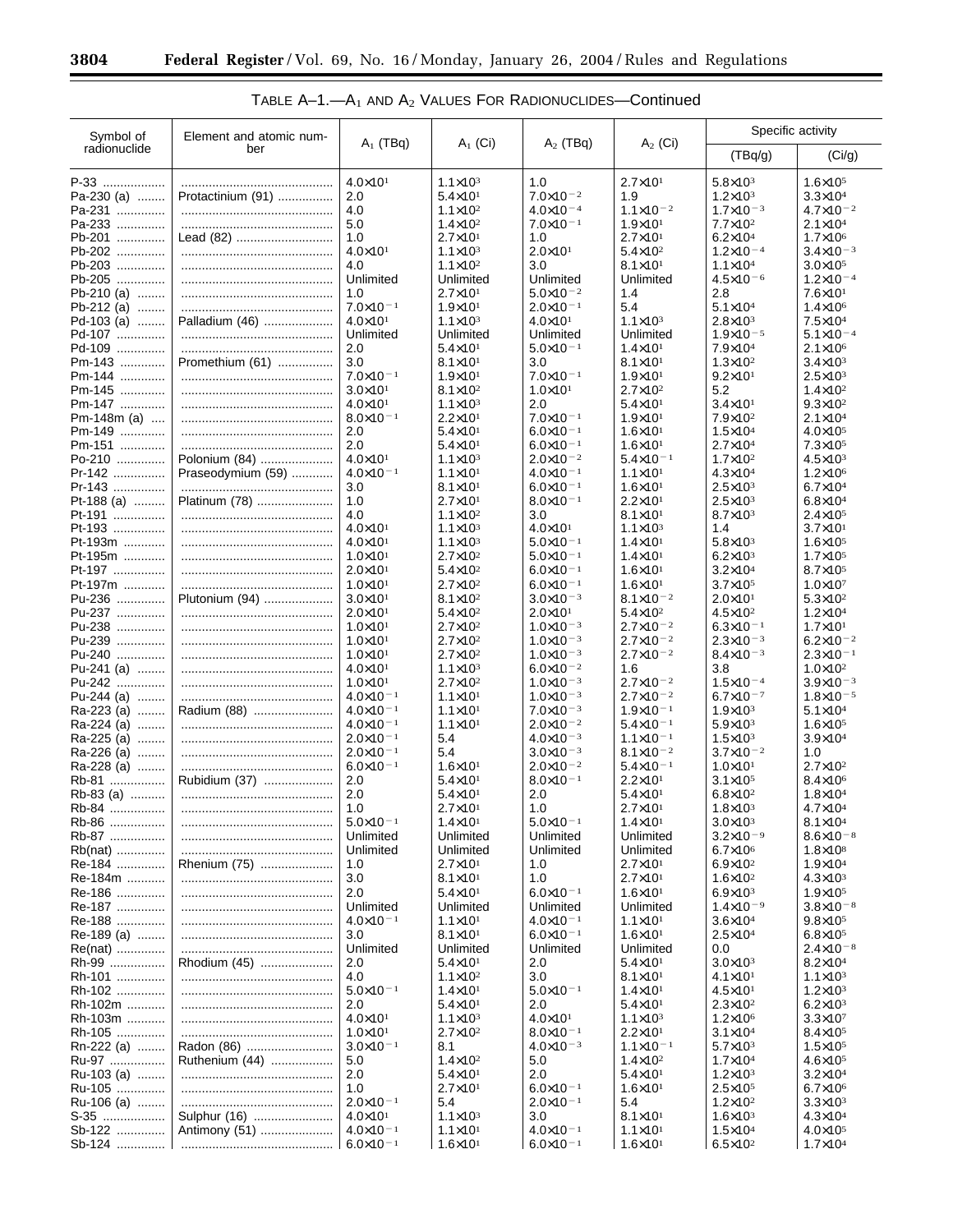| Symbol of                | Element and atomic num- |                                             |                                            |                                              |                                             | Specific activity                          |                                              |
|--------------------------|-------------------------|---------------------------------------------|--------------------------------------------|----------------------------------------------|---------------------------------------------|--------------------------------------------|----------------------------------------------|
| radionuclide             | ber                     | $A_1$ (TBq)                                 | $A_1$ (Ci)                                 | $A_2$ (TBq)                                  | $A_2$ (Ci)                                  | (TBq/g)                                    | (Ci/g)                                       |
| P-33                     |                         | $4.0 \times 10^{1}$                         | $1.1 \times 10^3$                          | 1.0                                          | $2.7\times10^{1}$                           | $5.8 \times 10^{3}$                        | $1.6 \times 10^{5}$                          |
| Pa-230 (a)               | Protactinium (91)       | 2.0                                         | $5.4 \times 10^{1}$                        | $7.0 \times 10^{-2}$                         | 1.9                                         | $1.2 \times 10^{3}$                        | $3.3 \times 10^{4}$                          |
| Pa-231                   |                         | 4.0                                         | $1.1 \times 10^{2}$                        | $4.0 \times 10^{-4}$                         | $1.1 \times 10^{-2}$                        | $1.7\times10^{-3}$                         | $4.7 \times 10^{-2}$                         |
| Pa-233                   |                         | 5.0                                         | $1.4 \times 10^{2}$                        | $7.0 \times 10^{-1}$                         | $1.9 \times 10^{1}$                         | $7.7\times10^{2}$                          | $2.1 \times 10^{4}$                          |
| Pb-201                   | Lead (82)               | 1.0                                         | $2.7\times10^{1}$                          | 1.0                                          | $2.7\times10^{1}$                           | $6.2 \times 10^{4}$                        | $1.7\times10^{6}$                            |
| Pb-202                   |                         | $4.0 \times 10^{1}$                         | $1.1 \times 10^3$                          | $2.0 \times 10^{1}$                          | $5.4 \times 10^{2}$                         | $1.2 \times 10^{-4}$                       | $3.4 \times 10^{-3}$                         |
| Pb-203                   |                         | 4.0                                         | $1.1 \times 10^{2}$                        | 3.0                                          | $8.1 \times 10^{1}$                         | $1.1 \times 10^{4}$                        | $3.0 \times 10^{5}$                          |
| Pb-205                   |                         | Unlimited                                   | Unlimited<br>$2.7\times10^{1}$             | Unlimited<br>$5.0 \times 10^{-2}$            | Unlimited<br>1.4                            | $4.5 \times 10^{-6}$<br>2.8                | $1.2 \times 10^{-4}$<br>$7.6 \times 10^{1}$  |
| Pb-210 (a)<br>Pb-212 (a) |                         | 1.0<br>$7.0 \times 10^{-1}$                 | $1.9 \times 10^{1}$                        | $2.0 \times 10^{-1}$                         | 5.4                                         | $5.1 \times 10^{4}$                        | $1.4 \times 10^{6}$                          |
| Pd-103 (a)               | Palladium (46)          | $4.0 \times 10^{1}$                         | $1.1 \times 10^3$                          | $4.0 \times 10^{1}$                          | $1.1 \times 10^3$                           | $2.8 \times 10^3$                          | $7.5 \times 10^{4}$                          |
| Pd-107                   |                         | Unlimited                                   | Unlimited                                  | Unlimited                                    | Unlimited                                   | $1.9 \times 10^{-5}$                       | $5.1 \times 10^{-4}$                         |
| Pd-109                   |                         | 2.0                                         | $5.4 \times 10^{1}$                        | $5.0 \times 10^{-1}$                         | $1.4 \times 10^{1}$                         | 7.9×10 <sup>4</sup>                        | $2.1 \times 10^{6}$                          |
| Pm-143                   | Promethium (61)         | 3.0                                         | $8.1 \times 10^{1}$                        | 3.0                                          | $8.1 \times 10^{1}$                         | $1.3 \times 10^{2}$                        | $3.4 \times 10^{3}$                          |
| Pm-144                   |                         | $7.0 \times 10^{-1}$                        | $1.9 \times 10^{1}$                        | $7.0 \times 10^{-1}$                         | $1.9 \times 10^{1}$                         | $9.2 \times 10^{1}$                        | $2.5 \times 10^{3}$                          |
| Pm-145                   |                         | $3.0 \times 10^{1}$                         | $8.1 \times 10^{2}$                        | $1.0 \times 10^{1}$                          | $2.7\times10^{2}$                           | 5.2                                        | $1.4 \times 10^{2}$                          |
| Pm-147                   |                         | $4.0 \times 10^{1}$                         | $1.1 \times 10^3$                          | 2.0                                          | $5.4 \times 10^{1}$                         | $3.4 \times 10^{1}$                        | $9.3 \times 10^{2}$                          |
| Pm-148m (a)              |                         | $8.0 \times 10^{-1}$                        | $2.2 \times 10^{1}$                        | $7.0 \times 10^{-1}$                         | $1.9 \times 10^{1}$                         | $7.9 \times 10^{2}$                        | $2.1 \times 10^{4}$                          |
| Pm-149                   |                         | 2.0                                         | $5.4 \times 10^{1}$                        | $6.0 \times 10^{-1}$                         | $1.6 \times 10^{1}$                         | $1.5 \times 10^{4}$                        | $4.0 \times 10^{5}$                          |
| Pm-151                   |                         | 2.0                                         | $5.4 \times 10^{1}$                        | $6.0 \times 10^{-1}$                         | $1.6 \times 10^{1}$                         | $2.7\times10^{4}$                          | $7.3 \times 10^{5}$                          |
| Po-210                   | Polonium (84)           | $4.0 \times 10^{1}$                         | $1.1 \times 10^3$                          | $2.0 \times 10^{-2}$                         | $5.4 \times 10^{-1}$<br>$1.1 \times 10^{1}$ | $1.7 \times 10^{2}$                        | $4.5 \times 10^{3}$                          |
| Pr-142<br>Pr-143         | Praseodymium (59)       | $4.0 \times 10^{-1}$<br>3.0                 | $1.1 \times 10^{1}$<br>$8.1 \times 10^{1}$ | $4.0 \times 10^{-1}$<br>$6.0 \times 10^{-1}$ | $1.6 \times 10^{1}$                         | $4.3 \times 10^{4}$<br>$2.5 \times 10^{3}$ | $1.2 \times 10^{6}$<br>$6.7 \times 10^{4}$   |
| Pt-188 (a)               | Platinum (78)           | 1.0                                         | $2.7\times10^{1}$                          | $8.0 \times 10^{-1}$                         | $2.2 \times 10^{1}$                         | $2.5 \times 10^3$                          | $6.8 \times 10^{4}$                          |
| Pt-191                   |                         | 4.0                                         | $1.1 \times 10^{2}$                        | 3.0                                          | $8.1 \times 10^{1}$                         | $8.7\times10^{3}$                          | $2.4 \times 10^{5}$                          |
| Pt-193                   |                         | $4.0 \times 10^{1}$                         | $1.1 \times 10^3$                          | $4.0 \times 10^{1}$                          | $1.1 \times 10^3$                           | 1.4                                        | $3.7\times10^{1}$                            |
| Pt-193m                  |                         | $4.0 \times 10^{1}$                         | $1.1 \times 10^3$                          | $5.0 \times 10^{-1}$                         | $1.4 \times 10^{1}$                         | $5.8 \times 10^{3}$                        | $1.6 \times 10^{5}$                          |
| Pt-195m                  |                         | $1.0 \times 10^{1}$                         | $2.7\times10^{2}$                          | $5.0 \times 10^{-1}$                         | $1.4 \times 10^{1}$                         | $6.2 \times 10^{3}$                        | $1.7 \times 10^{5}$                          |
| Pt-197                   |                         | $2.0 \times 10^{1}$                         | $5.4 \times 10^{2}$                        | $6.0 \times 10^{-1}$                         | $1.6 \times 10^{1}$                         | $3.2 \times 10^{4}$                        | $8.7\times10^{5}$                            |
| Pt-197m                  |                         | $1.0 \times 10^{1}$                         | $2.7\times10^{2}$                          | $6.0 \times 10^{-1}$                         | $1.6 \times 10^{1}$                         | $3.7\times10^{5}$                          | $1.0 \times 10^{7}$                          |
| Pu-236                   | Plutonium (94)          | $3.0 \times 10^{1}$                         | $8.1 \times 10^{2}$                        | $3.0 \times 10^{-3}$                         | $8.1 \times 10^{-2}$                        | $2.0 \times 10^{1}$                        | $5.3 \times 10^{2}$                          |
| Pu-237                   |                         | $2.0 \times 10^{1}$                         | $5.4 \times 10^{2}$                        | $2.0 \times 10^{1}$                          | $5.4 \times 10^{2}$                         | $4.5 \times 10^{2}$                        | $1.2 \times 10^{4}$                          |
| Pu-238                   |                         | $1.0 \times 10^{1}$                         | $2.7\times10^{2}$                          | $1.0 \times 10^{-3}$                         | $2.7\times10^{-2}$                          | $6.3 \times 10^{-1}$                       | $1.7 \times 10^{1}$                          |
| Pu-239                   |                         | $1.0 \times 10^{1}$                         | $2.7\times10^{2}$                          | $1.0 \times 10^{-3}$                         | $2.7\times10^{-2}$                          | $2.3 \times 10^{-3}$                       | $6.2 \times 10^{-2}$                         |
| Pu-240                   |                         | $1.0 \times 10^{1}$                         | $2.7\times10^{2}$                          | $1.0 \times 10^{-3}$                         | $2.7 \times 10^{-2}$                        | $8.4 \times 10^{-3}$                       | $2.3 \times 10^{-1}$                         |
| Pu-241 (a)               |                         | $4.0 \times 10^{1}$                         | $1.1 \times 10^3$<br>$2.7\times10^{2}$     | $6.0 \times 10^{-2}$                         | 1.6                                         | 3.8                                        | $1.0 \times 10^{2}$                          |
| Pu-242<br>Pu-244 (a)     |                         | $1.0 \times 10^{1}$<br>$4.0 \times 10^{-1}$ | $1.1 \times 10^{1}$                        | $1.0 \times 10^{-3}$<br>$1.0 \times 10^{-3}$ | $2.7\times10^{-2}$<br>$2.7\times10^{-2}$    | $1.5 \times 10^{-4}$<br>$6.7\times10^{-7}$ | $3.9 \times 10^{-3}$<br>$1.8 \times 10^{-5}$ |
| Ra-223 (a)               | Radium (88)             | $4.0 \times 10^{-1}$                        | $1.1 \times 10^{1}$                        | $7.0 \times 10^{-3}$                         | $1.9 \times 10^{-1}$                        | $1.9 \times 10^{3}$                        | $5.1 \times 10^{4}$                          |
| Ra-224 (a)               |                         | $4.0 \times 10^{-1}$                        | $1.1 \times 10^{1}$                        | $2.0 \times 10^{-2}$                         | $5.4 \times 10^{-1}$                        | $5.9 \times 10^{3}$                        | $1.6 \times 10^{5}$                          |
| Ra-225 (a)               |                         | $2.0 \times 10^{-1}$                        | 5.4                                        | $4.0 \times 10^{-3}$                         | $1.1 \times 10^{-1}$                        | $1.5 \times 10^{3}$                        | $3.9 \times 10^{4}$                          |
| Ra-226 (a)               |                         | $2.0 \times 10^{-1}$                        | 5.4                                        | $3.0 \times 10^{-3}$                         | $8.1 \times 10^{-2}$                        | $3.7\times10^{-2}$                         | 1.0                                          |
| Ra-228 (a)               |                         | $6.0 \times 10^{-1}$                        | $1.6 \times 10^{1}$                        | $2.0 \times 10^{-2}$                         | $5.4 \times 10^{-1}$                        | $1.0 \times 10^{1}$                        | $2.7\times10^{2}$                            |
| Rb-81<br>                | Rubidium (37)           | 2.0                                         | $5.4 \times 10^{1}$                        | $8.0 \times 10^{-1}$                         | $2.2 \times 10^{1}$                         | $3.1 \times 10^{5}$                        | $8.4 \times 10^{6}$                          |
| Rb-83 (a)                |                         | 2.0                                         | $5.4 \times 10^{1}$                        | 2.0                                          | $5.4 \times 10^{1}$                         | $6.8 \times 10^{2}$                        | $1.8 \times 10^{4}$                          |
| Rb-84                    |                         | 1.0                                         | $2.7\times10^{1}$                          | 1.0                                          | $2.7\times10^{1}$                           | $1.8 \times 10^{3}$                        | $4.7 \times 10^{4}$                          |
| Rb-86                    |                         | $5.0 \times 10^{-1}$                        | $1.4 \times 10^{1}$                        | $5.0 \times 10^{-1}$                         | $1.4 \times 10^{1}$                         | $3.0 \times 10^3$                          | $8.1 \times 10^{4}$                          |
| Rb-87                    |                         | Unlimited                                   | Unlimited                                  | Unlimited                                    | Unlimited                                   | $3.2 \times 10^{-9}$                       | $8.6 \times 10^{-8}$                         |
| Rb(nat)                  | Rhenium (75)            | Unlimited<br>1.0                            | Unlimited<br>$2.7\times10^{1}$             | Unlimited                                    | Unlimited<br>$2.7\times10^{1}$              | $6.7\times10^{6}$<br>$6.9 \times 10^{2}$   | $1.8 \times 10^8$                            |
| Re-184<br>Re-184m        |                         | 3.0                                         | $8.1 \times 10^{1}$                        | 1.0<br>1.0                                   | $2.7\times10^{1}$                           | $1.6 \times 10^{2}$                        | $1.9 \times 10^{4}$<br>$4.3 \times 10^{3}$   |
| Re-186                   |                         | 2.0                                         | $5.4 \times 10^{1}$                        | $6.0 \times 10^{-1}$                         | $1.6 \times 10^{1}$                         | $6.9 \times 10^{3}$                        | $1.9 \times 10^{5}$                          |
| Re-187                   |                         | Unlimited                                   | Unlimited                                  | Unlimited                                    | Unlimited                                   | $1.4 \times 10^{-9}$                       | $3.8 \times 10^{-8}$                         |
| Re-188                   |                         | $4.0 \times 10^{-1}$                        | $1.1 \times 10^{1}$                        | $4.0 \times 10^{-1}$                         | $1.1 \times 10^{1}$                         | $3.6 \times 10^{4}$                        | $9.8 \times 10^{5}$                          |
| Re-189 (a)               |                         | 3.0                                         | $8.1 \times 10^{1}$                        | $6.0 \times 10^{-1}$                         | $1.6 \times 10^{1}$                         | $2.5 \times 10^{4}$                        | $6.8 \times 10^{5}$                          |
| Re(nat)                  |                         | Unlimited                                   | Unlimited                                  | Unlimited                                    | Unlimited                                   | 0.0                                        | $2.4 \times 10^{-8}$                         |
| Rh-99                    | Rhodium (45)            | 2.0                                         | $5.4 \times 10^{1}$                        | 2.0                                          | $5.4 \times 10^{1}$                         | $3.0 \times 10^3$                          | $8.2 \times 10^{4}$                          |
| Rh-101                   |                         | 4.0                                         | $1.1 \times 10^{2}$                        | 3.0                                          | $8.1 \times 10^{1}$                         | $4.1 \times 10^{1}$                        | $1.1 \times 10^3$                            |
| Rh-102                   |                         | $5.0 \times 10^{-1}$                        | $1.4 \times 10^{1}$                        | $5.0 \times 10^{-1}$                         | $1.4 \times 10^{1}$                         | $4.5 \times 10^{1}$                        | $1.2 \times 10^{3}$                          |
| Rh-102m                  |                         | 2.0                                         | $5.4 \times 10^{1}$                        | 2.0                                          | $5.4 \times 10^{1}$                         | $2.3 \times 10^{2}$                        | $6.2 \times 10^{3}$                          |
| Rh-103m                  |                         | $4.0 \times 10^{1}$                         | $1.1 \times 10^3$                          | $4.0 \times 10^{1}$                          | $1.1 \times 10^3$                           | $1.2\times10^{6}$                          | $3.3 \times 10^{7}$                          |
| Rh-105                   |                         | $1.0 \times 10^{1}$                         | $2.7\times10^{2}$                          | $8.0 \times 10^{-1}$                         | $2.2 \times 10^{1}$                         | $3.1 \times 10^{4}$                        | $8.4 \times 10^{5}$                          |
| Rn-222 (a)               | Radon (86)              | $3.0 \times 10^{-1}$                        | 8.1                                        | $4.0 \times 10^{-3}$                         | $1.1 \times 10^{-1}$                        | $5.7\times10^{3}$                          | $1.5 \times 10^{5}$                          |
| Ru-97                    | Ruthenium (44)          | 5.0<br>2.0                                  | $1.4 \times 10^{2}$<br>$5.4 \times 10^{1}$ | 5.0<br>2.0                                   | $1.4 \times 10^{2}$                         | $1.7\times10^{4}$                          | $4.6 \times 10^{5}$                          |
| Ru-103 (a)<br>Ru-105     |                         | 1.0                                         | $2.7\times10^{1}$                          | $6.0 \times 10^{-1}$                         | $5.4 \times 10^{1}$<br>$1.6 \times 10^{1}$  | $1.2 \times 10^3$<br>$2.5 \times 10^{5}$   | $3.2 \times 10^{4}$<br>$6.7\times10^{6}$     |
| Ru-106 (a)               |                         | $2.0 \times 10^{-1}$                        | 5.4                                        | $2.0 \times 10^{-1}$                         | 5.4                                         | $1.2 \times 10^2$                          | $3.3 \times 10^{3}$                          |
| S-35                     | Sulphur (16)            | $4.0 \times 10^{1}$                         | $1.1 \times 10^3$                          | 3.0                                          | $8.1 \times 10^{1}$                         | $1.6 \times 10^{3}$                        | $4.3 \times 10^{4}$                          |
| Sb-122                   | Antimony (51)           | $4.0 \times 10^{-1}$                        | $1.1 \times 10^{1}$                        | $4.0 \times 10^{-1}$                         | $1.1 \times 10^{1}$                         | $1.5 \times 10^{4}$                        | $4.0 \times 10^{5}$                          |
| Sb-124                   |                         | $6.0 \times 10^{-1}$                        | $1.6 \times 10^{1}$                        | $6.0 \times 10^{-1}$                         | $1.6 \times 10^{1}$                         | $6.5 \times 10^{2}$                        | $1.7 \times 10^{4}$                          |

# TABLE  $A-1$ .  $-A_1$  and  $A_2$  Values For Radionuclides -- Continued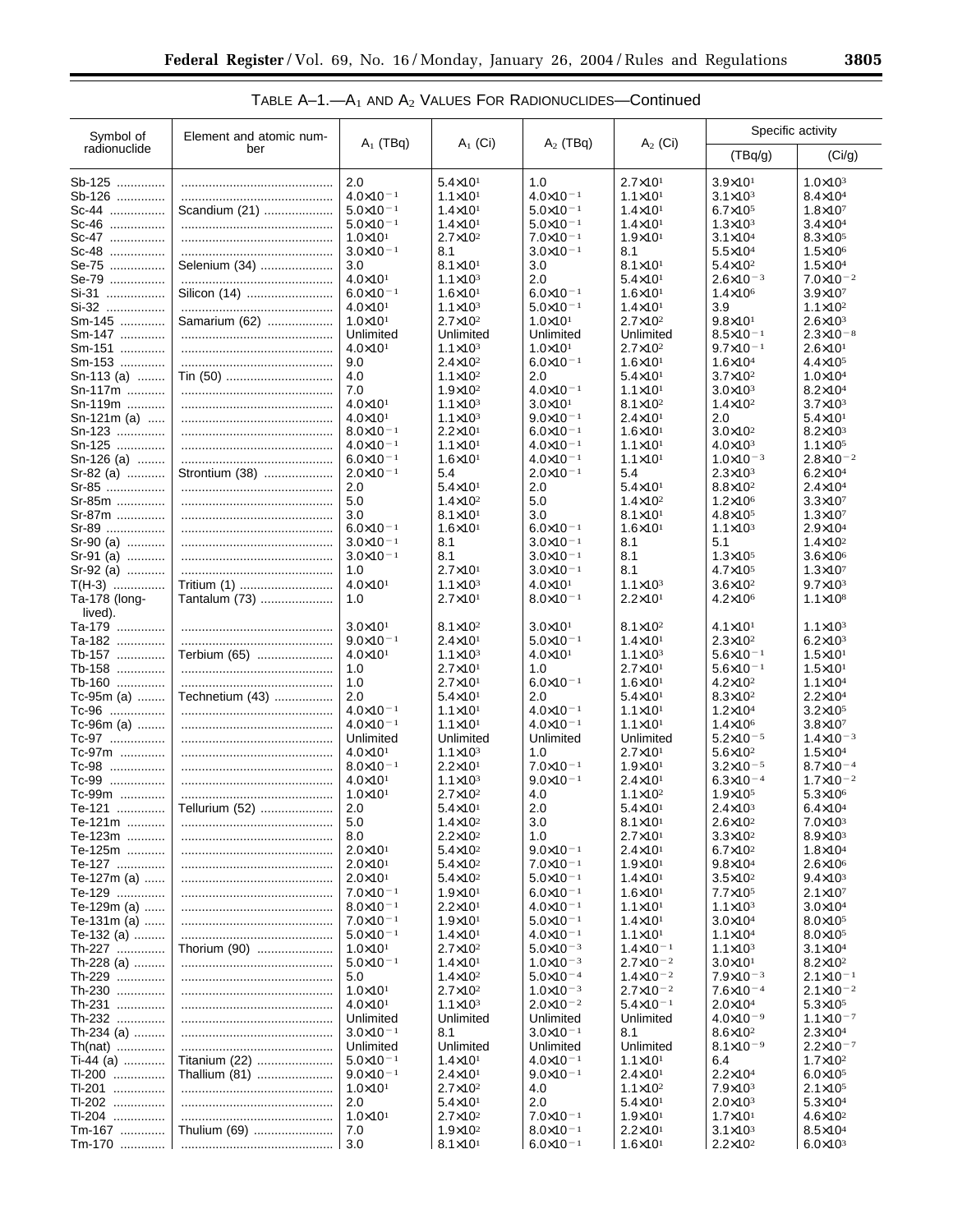### TABLE  $A-1$ .  $-A_1$  and  $A_2$  Values For Radionuclides -- Continued

| Symbol of               | Element and atomic num- |                                              |                                            |                                              |                                            | Specific activity                           |                                             |
|-------------------------|-------------------------|----------------------------------------------|--------------------------------------------|----------------------------------------------|--------------------------------------------|---------------------------------------------|---------------------------------------------|
| radionuclide            | ber                     | $A_1$ (TBq)                                  | $A_1$ (Ci)                                 | $A_2$ (TBq)                                  | $A_2$ (Ci)                                 | (TBq/g)                                     | (Ci/g)                                      |
| Sb-125                  |                         | 2.0                                          | $5.4 \times 10^{1}$                        | 1.0                                          | $2.7\times10^{1}$                          | $3.9 \times 10^{1}$                         | $1.0 \times 10^{3}$                         |
| Sb-126                  |                         | $4.0 \times 10^{-1}$                         | $1.1 \times 10^{1}$                        | $4.0 \times 10^{-1}$                         | $1.1 \times 10^{1}$                        | $3.1 \times 10^{3}$                         | $8.4 \times 10^{4}$                         |
| Sc-44                   | Scandium (21)           | $5.0 \times 10^{-1}$                         | $1.4 \times 10^{1}$                        | $5.0 \times 10^{-1}$                         | $1.4 \times 10^{1}$                        | $6.7\times10^{5}$                           | $1.8 \times 10^{7}$                         |
| Sc-46                   |                         | $5.0 \times 10^{-1}$                         | $1.4 \times 10^{1}$                        | $5.0 \times 10^{-1}$                         | $1.4 \times 10^{1}$                        | $1.3 \times 10^{3}$                         | $3.4 \times 10^{4}$                         |
| Sc-47                   |                         | $1.0 \times 10^{1}$                          | $2.7\times10^{2}$                          | $7.0 \times 10^{-1}$                         | $1.9 \times 10^{1}$                        | $3.1 \times 10^{4}$                         | $8.3 \times 10^{5}$                         |
| Sc-48                   |                         | $3.0 \times 10^{-1}$                         | 8.1                                        | $3.0 \times 10^{-1}$                         | 8.1                                        | $5.5 \times 10^{4}$                         | $1.5 \times 10^{6}$                         |
| Se-75                   | Selenium (34)           | 3.0                                          | $8.1 \times 10^{1}$                        | 3.0                                          | $8.1 \times 10^{1}$                        | $5.4 \times 10^{2}$                         | $1.5 \times 10^{4}$                         |
| Se-79                   |                         | $4.0 \times 10^{1}$                          | $1.1 \times 10^3$                          | 2.0                                          | $5.4 \times 10^{1}$                        | $2.6 \times 10^{-3}$                        | $7.0 \times 10^{-2}$                        |
| Si-31                   | Silicon (14)            | $6.0 \times 10^{-1}$<br>$4.0 \times 10^{1}$  | $1.6 \times 10^{1}$                        | $6.0 \times 10^{-1}$                         | $1.6 \times 10^{1}$                        | $1.4 \times 10^{6}$                         | $3.9 \times 10^{7}$<br>$1.1 \times 10^{2}$  |
| Si-32<br>Sm-145         | Samarium (62)           | $1.0 \times 10^{1}$                          | $1.1 \times 10^3$<br>$2.7\times10^{2}$     | $5.0 \times 10^{-1}$<br>$1.0 \times 10^{1}$  | $1.4 \times 10^{1}$<br>$2.7\times10^{2}$   | 3.9<br>$9.8 \times 10^{1}$                  | $2.6 \times 10^{3}$                         |
| Sm-147                  |                         | Unlimited                                    | Unlimited                                  | Unlimited                                    | Unlimited                                  | $8.5 \times 10^{-1}$                        | $2.3 \times 10^{-8}$                        |
| Sm-151                  |                         | $4.0 \times 10^{1}$                          | $1.1 \times 10^3$                          | $1.0 \times 10^{1}$                          | $2.7\times10^{2}$                          | $9.7\times10^{-1}$                          | $2.6 \times 10^{1}$                         |
| Sm-153                  |                         | 9.0                                          | $2.4 \times 10^{2}$                        | $6.0 \times 10^{-1}$                         | $1.6 \times 10^{1}$                        | $1.6 \times 10^{4}$                         | $4.4 \times 10^{5}$                         |
| Sn-113 (a)              | Tin (50)                | 4.0                                          | $1.1 \times 10^{2}$                        | 2.0                                          | $5.4 \times 10^{1}$                        | $3.7\times10^{2}$                           | $1.0 \times 10^{4}$                         |
| Sn-117m                 |                         | 7.0                                          | $1.9 \times 10^{2}$                        | $4.0 \times 10^{-1}$                         | $1.1 \times 10^{1}$                        | $3.0 \times 10^3$                           | $8.2 \times 10^{4}$                         |
| Sn-119m                 |                         | $4.0 \times 10^{1}$                          | $1.1 \times 10^{3}$                        | $3.0 \times 10^{1}$                          | $8.1 \times 10^{2}$                        | $1.4 \times 10^{2}$                         | $3.7 \times 10^{3}$                         |
| Sn-121m (a)             |                         | $4.0 \times 10^{1}$                          | $1.1 \times 10^3$                          | $9.0 \times 10^{-1}$                         | $2.4 \times 10^{1}$                        | 2.0                                         | $5.4 \times 10^{1}$                         |
| Sn-123                  |                         | $8.0 \times 10^{-1}$                         | $2.2 \times 10^{1}$                        | $6.0 \times 10^{-1}$                         | $1.6 \times 10^{1}$                        | $3.0 \times 10^{2}$                         | $8.2 \times 10^{3}$                         |
| Sn-125                  |                         | $4.0 \times 10^{-1}$                         | $1.1 \times 10^{1}$                        | $4.0 \times 10^{-1}$                         | $1.1 \times 10^{1}$                        | $4.0 \times 10^3$                           | $1.1 \times 10^{5}$                         |
| Sn-126 (a)<br>Sr-82 (a) |                         | $6.0 \times 10^{-1}$<br>$2.0 \times 10^{-1}$ | $1.6 \times 10^{1}$                        | $4.0 \times 10^{-1}$                         | $1.1 \times 10^{1}$                        | $1.0 \times 10^{-3}$                        | $2.8 \times 10^{-2}$                        |
| Sr-85                   | Strontium (38)          | 2.0                                          | 5.4<br>$5.4 \times 10^{1}$                 | $2.0 \times 10^{-1}$<br>2.0                  | 5.4<br>$5.4 \times 10^{1}$                 | $2.3 \times 10^3$<br>$8.8 \times 10^{2}$    | $6.2 \times 10^{4}$<br>$2.4 \times 10^{4}$  |
| Sr-85m                  |                         | 5.0                                          | $1.4 \times 10^{2}$                        | 5.0                                          | $1.4 \times 10^{2}$                        | $1.2 \times 10^{6}$                         | $3.3 \times 10^{7}$                         |
| Sr-87m                  |                         | 3.0                                          | $8.1 \times 10^{1}$                        | 3.0                                          | $8.1 \times 10^{1}$                        | $4.8 \times 10^{5}$                         | $1.3 \times 10^{7}$                         |
| Sr-89                   |                         | $6.0 \times 10^{-1}$                         | $1.6 \times 10^{1}$                        | $6.0 \times 10^{-1}$                         | $1.6 \times 10^{1}$                        | $1.1 \times 10^3$                           | $2.9 \times 10^{4}$                         |
| Sr-90 (a)               |                         | $3.0 \times 10^{-1}$                         | 8.1                                        | $3.0 \times 10^{-1}$                         | 8.1                                        | 5.1                                         | $1.4 \times 10^{2}$                         |
| Sr-91 (a)               |                         | $3.0 \times 10^{-1}$                         | 8.1                                        | $3.0 \times 10^{-1}$                         | 8.1                                        | $1.3 \times 10^{5}$                         | $3.6 \times 10^{6}$                         |
| Sr-92 (a)               |                         | 1.0                                          | $2.7\times10^{1}$                          | $3.0 \times 10^{-1}$                         | 8.1                                        | $4.7\times10^{5}$                           | $1.3 \times 10^{7}$                         |
| T(H-3)                  |                         | $4.0 \times 10^{1}$                          | $1.1 \times 10^3$                          | $4.0 \times 10^{1}$                          | $1.1 \times 10^3$                          | $3.6 \times 10^{2}$                         | $9.7\times10^{3}$                           |
| Ta-178 (long-           | Tantalum (73)           | 1.0                                          | $2.7\times10^{1}$                          | $8.0 \times 10^{-1}$                         | $2.2 \times 10^{1}$                        | $4.2\times10^{6}$                           | $1.1 \times 10^8$                           |
| lived).                 |                         |                                              |                                            |                                              |                                            |                                             |                                             |
| Ta-179<br>Ta-182        |                         | $3.0 \times 10^{1}$<br>$9.0 \times 10^{-1}$  | $8.1 \times 10^{2}$<br>$2.4 \times 10^{1}$ | $3.0 \times 10^{1}$<br>$5.0 \times 10^{-1}$  | $8.1 \times 10^{2}$<br>$1.4 \times 10^{1}$ | $4.1 \times 10^{1}$<br>$2.3 \times 10^{2}$  | $1.1 \times 10^3$<br>$6.2 \times 10^{3}$    |
| Tb-157                  | Terbium (65)            | $4.0 \times 10^{1}$                          | $1.1 \times 10^3$                          | $4.0 \times 10^{1}$                          | $1.1 \times 10^3$                          | $5.6 \times 10^{-1}$                        | $1.5 \times 10^{1}$                         |
| Tb-158                  |                         | 1.0                                          | $2.7\times10^{1}$                          | 1.0                                          | $2.7\times10^{1}$                          | $5.6 \times 10^{-1}$                        | $1.5 \times 10^{1}$                         |
| Tb-160                  |                         | 1.0                                          | $2.7\times10^{1}$                          | $6.0 \times 10^{-1}$                         | $1.6 \times 10^{1}$                        | $4.2 \times 10^{2}$                         | $1.1 \times 10^{4}$                         |
| Tc-95m (a)              | Technetium (43)         | 2.0                                          | $5.4 \times 10^{1}$                        | 2.0                                          | $5.4 \times 10^{1}$                        | $8.3 \times 10^{2}$                         | $2.2 \times 10^{4}$                         |
| Tc-96                   |                         | $4.0 \times 10^{-1}$                         | $1.1 \times 10^{1}$                        | $4.0 \times 10^{-1}$                         | $1.1 \times 10^{1}$                        | $1.2\times10^{4}$                           | $3.2 \times 10^{5}$                         |
| Tc-96m (a)              |                         | $4.0 \times 10^{-1}$                         | $1.1 \times 10^{1}$                        | $4.0 \times 10^{-1}$                         | $1.1 \times 10^{1}$                        | $1.4\times10^{6}$                           | $3.8 \times 10^{7}$                         |
| Tc-97                   |                         | Unlimited                                    | Unlimited                                  | Unlimited                                    | Unlimited                                  | $5.2 \times 10^{-5}$                        | $1.4 \times 10^{-3}$                        |
| Tc-97m                  |                         | $4.0 \times 10^{1}$                          | $1.1 \times 10^3$                          | 1.0                                          | $2.7\times10^{1}$                          | $5.6 \times 10^{2}$                         | $1.5 \times 10^{4}$                         |
| Tc-98<br>.              |                         | $8.0 \times 10^{-1}$                         | $2.2 \times 10^{1}$                        | $7.0 \times 10^{-1}$                         | $1.9 \times 10^{1}$                        | $3.2 \times 10^{-5}$                        | $8.7\times10^{-4}$                          |
| Tc-99                   |                         | $4.0 \times 10^{1}$                          | $1.1 \times 10^3$                          | $9.0 \times 10^{-1}$                         | $2.4 \times 10^{1}$                        | $6.3 \times 10^{-4}$                        | $1.7 \times 10^{-2}$                        |
| Tc-99m                  |                         | $1.0 \times 10^{1}$<br>2.0                   | $2.7\times10^{2}$<br>$5.4 \times 10^{1}$   | 4.0<br>2.0                                   | $1.1 \times 10^2$<br>$5.4 \times 10^{1}$   | $1.9 \times 10^{5}$<br>$2.4 \times 10^{3}$  | $5.3 \times 10^{6}$<br>$6.4 \times 10^{4}$  |
| Te-121<br>Te-121m       | Tellurium (52)          | 5.0                                          | $1.4 \times 10^{2}$                        | 3.0                                          | $8.1 \times 10^{1}$                        | $2.6 \times 10^{2}$                         | $7.0 \times 10^{3}$                         |
| Te-123m                 |                         | 8.0                                          | $2.2 \times 10^{2}$                        | 1.0                                          | $2.7\times10^{1}$                          | $3.3 \times 10^{2}$                         | $8.9 \times 10^{3}$                         |
| Te-125m                 |                         | $2.0 \times 10^{1}$                          | $5.4 \times 10^{2}$                        | $9.0 \times 10^{-1}$                         | $2.4 \times 10^{1}$                        | $6.7\times10^{2}$                           | $1.8 \times 10^{4}$                         |
| Te-127                  |                         | $2.0 \times 10^{1}$                          | $5.4 \times 10^{2}$                        | $7.0 \times 10^{-1}$                         | $1.9 \times 10^{1}$                        | $9.8 \times 10^4$                           | $2.6 \times 10^{6}$                         |
| Te-127m (a)             |                         | $2.0 \times 10^{1}$                          | $5.4 \times 10^{2}$                        | $5.0 \times 10^{-1}$                         | $1.4 \times 10^{1}$                        | $3.5 \times 10^{2}$                         | $9.4 \times 10^{3}$                         |
| Te-129                  |                         | $7.0 \times 10^{-1}$                         | $1.9 \times 10^{1}$                        | $6.0 \times 10^{-1}$                         | $1.6 \times 10^{1}$                        | $7.7\times10^{5}$                           | $2.1 \times 10^{7}$                         |
| Te-129m (a)             |                         | $8.0 \times 10^{-1}$                         | $2.2 \times 10^{1}$                        | $4.0 \times 10^{-1}$                         | $1.1 \times 10^{1}$                        | $1.1 \times 10^3$                           | $3.0 \times 10^{4}$                         |
| Te-131m (a)             |                         | $7.0 \times 10^{-1}$                         | $1.9 \times 10^{1}$                        | $5.0 \times 10^{-1}$                         | $1.4 \times 10^{1}$                        | $3.0 \times 10^{4}$                         | $8.0 \times 10^{5}$                         |
| Te-132 (a)              |                         | $5.0 \times 10^{-1}$                         | $1.4 \times 10^{1}$                        | $4.0 \times 10^{-1}$                         | $1.1 \times 10^{1}$                        | $1.1 \times 10^{4}$                         | $8.0 \times 10^{5}$                         |
| Th-227                  | Thorium (90)            | $1.0 \times 10^{1}$                          | $2.7\times10^{2}$                          | $5.0 \times 10^{-3}$                         | $1.4 \times 10^{-1}$                       | $1.1 \times 10^3$                           | $3.1 \times 10^{4}$                         |
| Th-228 (a)              |                         | $5.0 \times 10^{-1}$                         | $1.4 \times 10^{1}$                        | $1.0 \times 10^{-3}$                         | $2.7\times10^{-2}$                         | $3.0 \times 10^{1}$                         | $8.2 \times 10^{2}$                         |
| Th-229                  |                         | 5.0<br>$1.0 \times 10^{1}$                   | $1.4 \times 10^{2}$                        | $5.0 \times 10^{-4}$                         | $1.4 \times 10^{-2}$                       | $7.9 \times 10^{-3}$                        | $2.1 \times 10^{-1}$                        |
| Th-230<br>Th-231        |                         | $4.0 \times 10^{1}$                          | $2.7\times10^{2}$<br>$1.1 \times 10^3$     | $1.0 \times 10^{-3}$<br>$2.0 \times 10^{-2}$ | $2.7\times10^{-2}$<br>$5.4 \times 10^{-1}$ | $7.6 \times 10^{-4}$<br>$2.0 \times 10^{4}$ | $2.1 \times 10^{-2}$<br>$5.3 \times 10^{5}$ |
| Th-232                  |                         | Unlimited                                    | Unlimited                                  | Unlimited                                    | Unlimited                                  | $4.0 \times 10^{-9}$                        | $1.1 \times 10^{-7}$                        |
| Th-234 (a)              |                         | $3.0 \times 10^{-1}$                         | 8.1                                        | $3.0 \times 10^{-1}$                         | 8.1                                        | $8.6 \times 10^{2}$                         | $2.3 \times 10^{4}$                         |
| Th(nat)                 |                         | Unlimited                                    | Unlimited                                  | Unlimited                                    | Unlimited                                  | $8.1 \times 10^{-9}$                        | $2.2 \times 10^{-7}$                        |
| Ti-44 (a)               | Titanium (22)           | $5.0 \times 10^{-1}$                         | $1.4 \times 10^{1}$                        | $4.0 \times 10^{-1}$                         | $1.1 \times 10^{1}$                        | 6.4                                         | $1.7\times10^{2}$                           |
| TI-200                  | Thallium (81)           | $9.0 \times 10^{-1}$                         | $2.4 \times 10^{1}$                        | $9.0 \times 10^{-1}$                         | $2.4 \times 10^{1}$                        | $2.2 \times 10^{4}$                         | $6.0 \times 10^{5}$                         |
| TI-201                  |                         | $1.0 \times 10^{1}$                          | $2.7\times10^{2}$                          | 4.0                                          | $1.1 \times 10^2$                          | $7.9 \times 10^3$                           | $2.1 \times 10^{5}$                         |
| TI-202                  |                         | 2.0                                          | $5.4 \times 10^{1}$                        | 2.0                                          | $5.4 \times 10^{1}$                        | $2.0 \times 10^3$                           | $5.3 \times 10^{4}$                         |
| TI-204                  |                         | $1.0 \times 10^{1}$                          | $2.7\times10^{2}$                          | $7.0 \times 10^{-1}$                         | $1.9 \times 10^{1}$                        | $1.7\times10^{1}$                           | $4.6 \times 10^{2}$                         |
| Tm-167                  | Thulium (69)            | 7.0                                          | $1.9 \times 10^{2}$                        | $8.0 \times 10^{-1}$                         | $2.2 \times 10^{1}$                        | $3.1 \times 10^3$                           | $8.5 \times 10^{4}$                         |
| Tm-170                  |                         | 3.0                                          | $8.1 \times 10^{1}$                        | $6.0 \times 10^{-1}$                         | $1.6 \times 10^{1}$                        | $2.2 \times 10^{2}$                         | $6.0 \times 10^{3}$                         |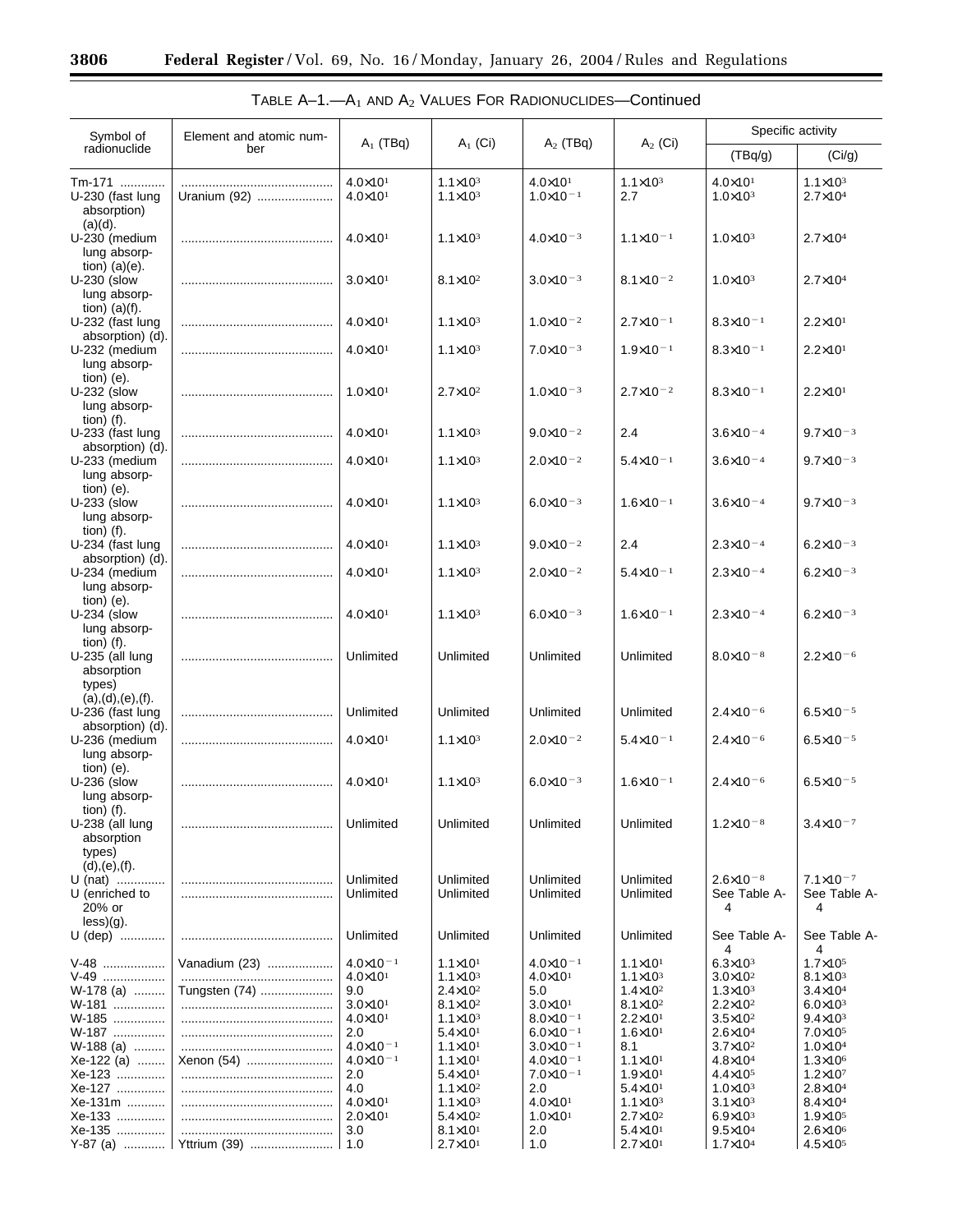-

| Symbol of                                                   | Element and atomic num- |                                             |                                            |                                              |                                            | Specific activity                          |                                            |
|-------------------------------------------------------------|-------------------------|---------------------------------------------|--------------------------------------------|----------------------------------------------|--------------------------------------------|--------------------------------------------|--------------------------------------------|
| radionuclide                                                | ber                     | $A_1$ (TBq)                                 | $A_1$ (Ci)                                 | $A_2$ (TBq)                                  | $A_2$ (Ci)                                 | (TBq/g)                                    | (Ci/g)                                     |
| Tm-171<br>U-230 (fast lung<br>absorption)                   | Uranium (92)            | $4.0 \times 10^{1}$<br>$4.0 \times 10^{1}$  | $1.1 \times 10^{3}$<br>$1.1 \times 10^{3}$ | $4.0 \times 10^{1}$<br>$1.0 \times 10^{-1}$  | $1.1 \times 10^{3}$<br>2.7                 | $4.0 \times 10^{1}$<br>$1.0 \times 10^{3}$ | $1.1 \times 10^{3}$<br>$2.7\times10^{4}$   |
| $(a)(d)$ .<br>U-230 (medium<br>lung absorp-                 |                         | $4.0 \times 10^{1}$                         | $1.1 \times 10^3$                          | $4.0 \times 10^{-3}$                         | $1.1 \times 10^{-1}$                       | $1.0 \times 10^3$                          | $2.7\times10^{4}$                          |
| tion) $(a)(e)$ .<br>$U-230$ (slow<br>lung absorp-           |                         | $3.0 \times 10^{1}$                         | $8.1 \times 10^{2}$                        | $3.0 \times 10^{-3}$                         | $8.1 \times 10^{-2}$                       | $1.0 \times 10^3$                          | $2.7\times10^{4}$                          |
| tion) $(a)(f)$ .<br>U-232 (fast lung<br>absorption) (d).    |                         | $4.0 \times 10^{1}$                         | $1.1 \times 10^3$                          | $1.0 \times 10^{-2}$                         | $2.7 \times 10^{-1}$                       | $8.3 \times 10^{-1}$                       | $2.2 \times 10^{1}$                        |
| U-232 (medium<br>lung absorp-                               |                         | $4.0 \times 10^{1}$                         | $1.1 \times 10^3$                          | $7.0 \times 10^{-3}$                         | $1.9 \times 10^{-1}$                       | $8.3 \times 10^{-1}$                       | $2.2 \times 10^{1}$                        |
| $tion)$ (e).<br>$U-232$ (slow<br>lung absorp-               |                         | $1.0 \times 10^{1}$                         | $2.7\times10^{2}$                          | $1.0 \times 10^{-3}$                         | $2.7 \times 10^{-2}$                       | $8.3 \times 10^{-1}$                       | $2.2 \times 10^{1}$                        |
| $tion)$ (f).<br>U-233 (fast lung<br>absorption) (d).        |                         | $4.0 \times 10^{1}$                         | $1.1 \times 10^{3}$                        | $9.0 \times 10^{-2}$                         | 2.4                                        | $3.6 \times 10^{-4}$                       | $9.7 \times 10^{-3}$                       |
| U-233 (medium<br>lung absorp-                               |                         | $4.0 \times 10^{1}$                         | $1.1 \times 10^{3}$                        | $2.0 \times 10^{-2}$                         | $5.4 \times 10^{-1}$                       | $3.6 \times 10^{-4}$                       | $9.7 \times 10^{-3}$                       |
| $tion)$ (e).<br>$U-233$ (slow<br>lung absorp-               |                         | $4.0 \times 10^{1}$                         | $1.1 \times 10^{3}$                        | $6.0 \times 10^{-3}$                         | $1.6 \times 10^{-1}$                       | $3.6 \times 10^{-4}$                       | $9.7\times10^{-3}$                         |
| $tion)$ (f).<br>U-234 (fast lung                            |                         | $4.0 \times 10^{1}$                         | $1.1 \times 10^3$                          | $9.0 \times 10^{-2}$                         | 2.4                                        | $2.3 \times 10^{-4}$                       | $6.2 \times 10^{-3}$                       |
| absorption) (d).<br>U-234 (medium<br>lung absorp-           |                         | $4.0 \times 10^{1}$                         | $1.1 \times 10^{3}$                        | $2.0 \times 10^{-2}$                         | $5.4 \times 10^{-1}$                       | $2.3 \times 10^{-4}$                       | $6.2 \times 10^{-3}$                       |
| $tion)$ (e).<br>$U-234$ (slow<br>lung absorp-               |                         | $4.0 \times 10^{1}$                         | $1.1 \times 10^{3}$                        | $6.0 \times 10^{-3}$                         | $1.6 \times 10^{-1}$                       | $2.3 \times 10^{-4}$                       | $6.2 \times 10^{-3}$                       |
| tion) $(f)$ .<br>$U-235$ (all lung<br>absorption<br>types)  |                         | Unlimited                                   | Unlimited                                  | Unlimited                                    | Unlimited                                  | $8.0 \times 10^{-8}$                       | $2.2 \times 10^{-6}$                       |
| (a), (d), (e), (f).<br>U-236 (fast lung<br>absorption) (d). |                         | Unlimited                                   | Unlimited                                  | Unlimited                                    | Unlimited                                  | $2.4 \times 10^{-6}$                       | $6.5 \times 10^{-5}$                       |
| U-236 (medium<br>lung absorp-                               |                         | $4.0 \times 10^{1}$                         | $1.1 \times 10^{3}$                        | $2.0 \times 10^{-2}$                         | $5.4 \times 10^{-1}$                       | $2.4 \times 10^{-6}$                       | $6.5 \times 10^{-5}$                       |
| $tion)$ (e).<br>U-236 (slow<br>lung absorp-                 |                         | $4.0 \times 10^{1}$                         | $1.1 \times 10^{3}$                        | $6.0 \times 10^{-3}$                         | $1.6 \times 10^{-1}$                       | $2.4 \times 10^{-6}$                       | $6.5 \times 10^{-5}$                       |
| $tion)$ (f).<br>U-238 (all lung<br>absorption<br>types)     |                         | Unlimited                                   | Unlimited                                  | Unlimited                                    | Unlimited                                  | $1.2 \times 10^{-8}$                       | $3.4 \times 10^{-7}$                       |
| (d), (e), (f).<br>U (nat)<br>U (enriched to<br>20% or       |                         | Unlimited<br>Unlimited                      | Unlimited<br>Unlimited                     | Unlimited<br>Unlimited                       | Unlimited<br>Unlimited                     | $2.6 \times 10^{-8}$<br>See Table A-<br>4  | $7.1 \times 10^{-7}$<br>See Table A-<br>4  |
| $less)(q)$ .<br>U (dep)                                     |                         | Unlimited                                   | Unlimited                                  | Unlimited                                    | Unlimited                                  | See Table A-<br>4                          | See Table A-<br>4                          |
| V-48<br>V-49                                                | Vanadium (23)           | $4.0 \times 10^{-1}$<br>$4.0 \times 10^{1}$ | $1.1 \times 10^{1}$<br>$1.1 \times 10^3$   | $4.0 \times 10^{-1}$<br>$4.0 \times 10^{1}$  | $1.1 \times 10^{1}$<br>$1.1 \times 10^{3}$ | $6.3 \times 10^{3}$<br>$3.0 \times 10^{2}$ | $1.7\times10^{5}$<br>$8.1 \times 10^{3}$   |
| W-178 (a)<br>W-181                                          | Tungsten (74)           | 9.0<br>$3.0 \times 10^{1}$                  | $2.4 \times 10^{2}$<br>$8.1 \times 10^{2}$ | 5.0<br>$3.0 \times 10^{1}$                   | $1.4 \times 10^{2}$<br>$8.1 \times 10^{2}$ | $1.3 \times 10^3$<br>$2.2 \times 10^2$     | $3.4 \times 10^{4}$<br>$6.0 \times 10^{3}$ |
| W-185                                                       |                         | $4.0 \times 10^{1}$                         | $1.1 \times 10^3$                          | $8.0 \times 10^{-1}$                         | $2.2 \times 10^{1}$                        | $3.5 \times 10^2$                          | $9.4 \times 10^3$                          |
| W-187                                                       |                         | 2.0                                         | $5.4 \times 10^{1}$                        | $6.0 \times 10^{-1}$                         | $1.6 \times 10^{1}$                        | $2.6 \times 10^{4}$                        | $7.0 \times 10^{5}$                        |
| W-188 (a)                                                   |                         | $4.0 \times 10^{-1}$                        | $1.1 \times 10^{1}$                        | $3.0 \times 10^{-1}$                         | 8.1                                        | $3.7\times10^{2}$                          | $1.0 \times 10^{4}$                        |
| Xe-122 (a)<br>Xe-123                                        | Xenon (54)              | $4.0 \times 10^{-1}$<br>2.0                 | $1.1 \times 10^{1}$<br>$5.4 \times 10^{1}$ | $4.0 \times 10^{-1}$<br>$7.0 \times 10^{-1}$ | $1.1 \times 10^{1}$<br>$1.9 \times 10^{1}$ | $4.8 \times 10^{4}$<br>$4.4 \times 10^{5}$ | $1.3 \times 10^{6}$<br>$1.2 \times 10^{7}$ |
| Xe-127                                                      |                         | 4.0                                         | $1.1 \times 10^{2}$                        | 2.0                                          | $5.4 \times 10^{1}$                        | $1.0 \times 10^3$                          | $2.8 \times 10^{4}$                        |
| Xe-131m                                                     |                         | $4.0 \times 10^{1}$                         | $1.1 \times 10^3$                          | $4.0 \times 10^{1}$                          | $1.1 \times 10^3$                          | $3.1 \times 10^3$                          | $8.4 \times 10^{4}$                        |
| Xe-133                                                      |                         | $2.0 \times 10^{1}$                         | $5.4 \times 10^{2}$                        | $1.0 \times 10^{1}$                          | $2.7\times10^{2}$                          | $6.9 \times 10^{3}$                        | $1.9 \times 10^{5}$                        |
| Xe-135                                                      |                         | 3.0                                         | $8.1 \times 10^{1}$                        | 2.0                                          | $5.4 \times 10^{1}$                        | $9.5 \times 10^{4}$                        | $2.6 \times 10^{6}$                        |
| Y-87 (a)                                                    |                         | 1.0                                         | $2.7 \times 10^{1}$                        | 1.0                                          | $2.7 \times 10^{1}$                        | $1.7\times10^{4}$                          | $4.5 \times 10^{5}$                        |

### TABLE  $A-1$ .  $-A_1$  and  $A_2$  Values For Radionuclides -- Continued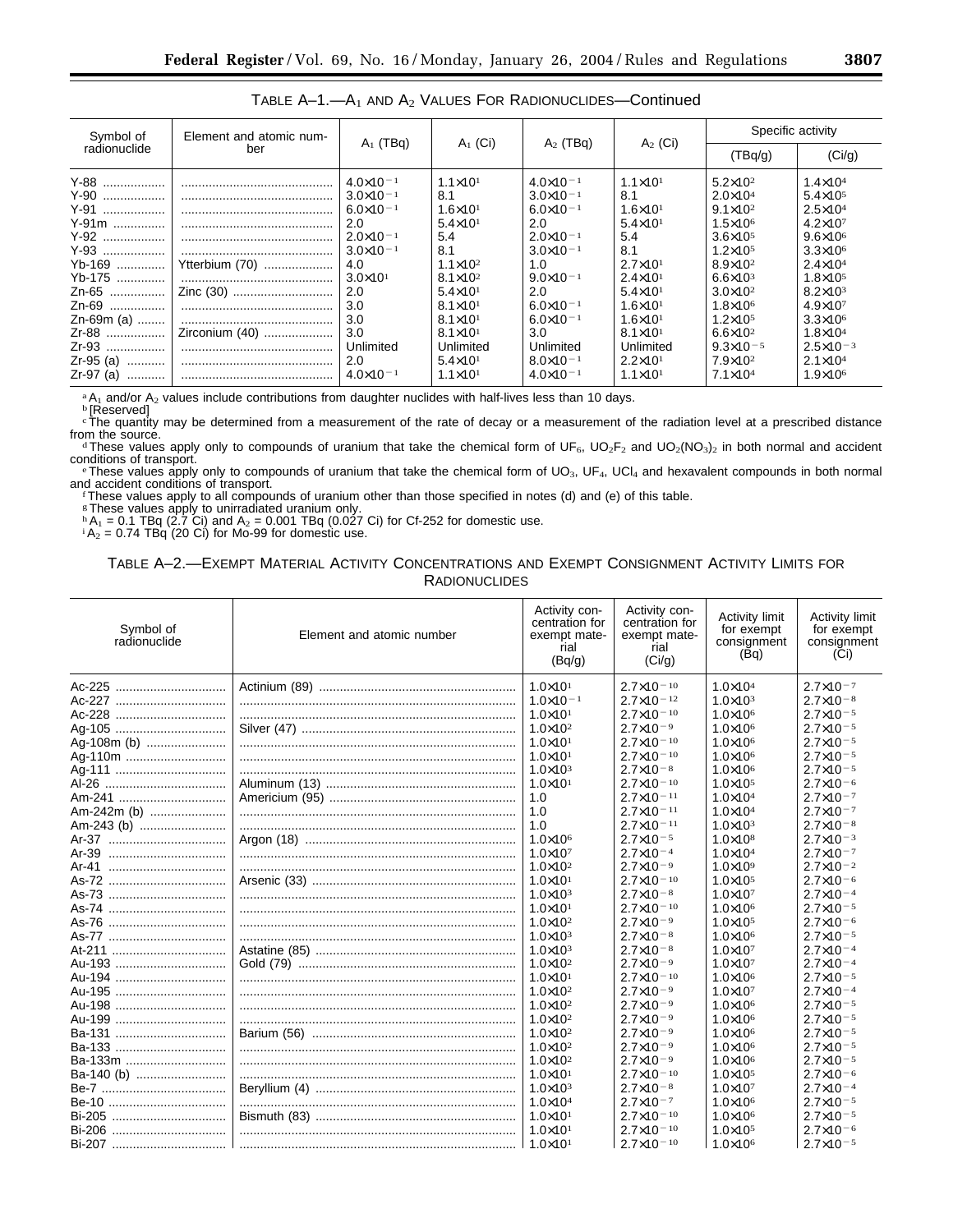| Symbol of    | Element and atomic num- |                      |                     |                      |                     |                      | Specific activity    |
|--------------|-------------------------|----------------------|---------------------|----------------------|---------------------|----------------------|----------------------|
| radionuclide | ber                     | $A_1$ (TBq)          | $A_1$ (Ci)          | $A_2$ (TBq)          | $A_2$ (Ci)          | (TBq/g)              | (Ci/q)               |
| Y-88         |                         | $4.0 \times 10^{-1}$ | $1.1 \times 10^{1}$ | $4.0 \times 10^{-1}$ | $1.1 \times 10^{1}$ | $5.2 \times 10^{2}$  | $1.4 \times 10^{4}$  |
| Y-90         |                         | $3.0 \times 10^{-1}$ | 8.1                 | $3.0 \times 10^{-1}$ | 8.1                 | $2.0 \times 10^{4}$  | $5.4 \times 10^{5}$  |
| Y-91         |                         | $6.0 \times 10^{-1}$ | $1.6 \times 10^{1}$ | $6.0 \times 10^{-1}$ | $1.6 \times 10^{1}$ | $9.1 \times 10^{2}$  | $2.5 \times 10^{4}$  |
| Y-91m        |                         | 2.0                  | $5.4 \times 10^{1}$ | 2.0                  | $5.4 \times 10^{1}$ | $1.5 \times 10^{6}$  | $4.2 \times 10^{7}$  |
| Y-92         |                         | $2.0 \times 10^{-1}$ | 5.4                 | $2.0 \times 10^{-1}$ | 5.4                 | $3.6 \times 10^{5}$  | $9.6 \times 10^{6}$  |
| Y-93         |                         | $3.0 \times 10^{-1}$ | 8.1                 | $3.0 \times 10^{-1}$ | 8.1                 | $1.2 \times 10^{5}$  | $3.3 \times 10^{6}$  |
| Yb-169       | Ytterbium (70)          | 4.0                  | $1.1 \times 10^{2}$ | 1.0                  | $2.7\times10^{1}$   | $8.9 \times 10^{2}$  | $2.4 \times 10^{4}$  |
| Yb-175       |                         | $3.0 \times 10^{1}$  | $8.1 \times 10^{2}$ | $9.0 \times 10^{-1}$ | $2.4 \times 10^{1}$ | $6.6 \times 10^{3}$  | $1.8 \times 10^{5}$  |
|              | Zn-65    Zinc (30)      | 2.0                  | $5.4 \times 10^{1}$ | 2.0                  | $5.4 \times 10^{1}$ | $3.0\times10^{2}$    | $8.2 \times 10^{3}$  |
| Zn-69        |                         | 3.0                  | $8.1 \times 10^{1}$ | $6.0 \times 10^{-1}$ | $1.6 \times 10^{1}$ | $1.8 \times 10^{6}$  | $4.9 \times 10^{7}$  |
| Zn-69m (a)   |                         | 3.0                  | $8.1 \times 10^{1}$ | $6.0 \times 10^{-1}$ | $1.6 \times 10^{1}$ | $1.2 \times 10^{5}$  | $3.3 \times 10^{6}$  |
| Zr-88        | Zirconium (40)          | 3.0                  | $8.1 \times 10^{1}$ | 3.0                  | $8.1 \times 10^{1}$ | $6.6 \times 10^{2}$  | $1.8 \times 10^{4}$  |
| Zr-93        |                         | Unlimited            | Unlimited           | Unlimited            | Unlimited           | $9.3 \times 10^{-5}$ | $2.5 \times 10^{-3}$ |
| Zr-95 (a)    |                         | 2.0                  | $5.4 \times 10^{1}$ | $8.0 \times 10^{-1}$ | $2.2 \times 10^{1}$ | $7.9 \times 10^{2}$  | $2.1 \times 10^{4}$  |
| Zr-97 (a)    |                         | $4.0 \times 10^{-1}$ | $1.1 \times 10^{1}$ | $4.0 \times 10^{-1}$ | $1.1 \times 10^{1}$ | $7.1 \times 10^{4}$  | $1.9 \times 10^{6}$  |

#### TABLE A-1.-A<sub>1</sub> AND A<sub>2</sub> VALUES FOR RADIONUCLIDES-Continued

<sup>a</sup>A<sub>1</sub> and/or A<sub>2</sub> values include contributions from daughter nuclides with half-lives less than 10 days.<br>**b** [Reserved]

cThe quantity may be determined from a measurement of the rate of decay or a measurement of the radiation level at a prescribed distance<br>from the source.

<sup>d</sup> These values apply only to compounds of uranium that take the chemical form of UF<sub>6</sub>, UO<sub>2</sub>F<sub>2</sub> and UO<sub>2</sub>(NO<sub>3</sub>)<sub>2</sub> in both normal and accident conditions of transport.

<sup>e</sup> These values apply only to compounds of uranium that take the chemical form of UO<sub>3</sub>, UF<sub>4</sub>, UCl<sub>4</sub> and hexavalent compounds in both normal and accident conditions of transport.

 $f$ These values apply to all compounds of uranium other than those specified in notes (d) and (e) of this table.

 $\frac{1}{2}$  These values apply to unirradiated uranium only.<br>  $\frac{1}{2}$  A<sub>1</sub> = 0.1 TBq (2.7 Ci) and A<sub>2</sub> = 0.001 TBq (0.027 Ci) for Cf-252 for domestic use.<br>  $\frac{1}{2}$  A<sub>2</sub> = 0.74 TBq (20 Ci) for Mo-99 for domestic use.

#### TABLE A–2.—EXEMPT MATERIAL ACTIVITY CONCENTRATIONS AND EXEMPT CONSIGNMENT ACTIVITY LIMITS FOR RADIONUCLIDES

| Symbol of<br>radionuclide | Element and atomic number | Activity con-<br>centration for<br>exempt mate-<br>rial<br>(Bq/g) | Activity con-<br>centration for<br>exempt mate-<br>rial<br>(Ci/q) | <b>Activity limit</b><br>for exempt<br>consignment<br>(Bq) | Activity limit<br>for exempt<br>consignment<br>(Ci) |
|---------------------------|---------------------------|-------------------------------------------------------------------|-------------------------------------------------------------------|------------------------------------------------------------|-----------------------------------------------------|
| Ac-225                    |                           | $1.0 \times 10^{1}$                                               | $2.7\times10^{-10}$                                               | $1.0 \times 10^{4}$                                        | $2.7 \times 10^{-7}$                                |
| Ac-227                    |                           | $1.0 \times 10^{-1}$                                              | $2.7 \times 10^{-12}$                                             | $1.0 \times 10^{3}$                                        | $2.7 \times 10^{-8}$                                |
| Ac-228                    |                           | $1.0 \times 10^{1}$                                               | $2.7\times10^{-10}$                                               | $1.0 \times 10^{6}$                                        | $2.7 \times 10^{-5}$                                |
| Ag-105                    |                           | $1.0 \times 10^{2}$                                               | $2.7\times10^{-9}$                                                | $1.0\times10^{6}$                                          | $2.7\times10^{-5}$                                  |
| Ag-108m (b)               |                           | $1.0 \times 10^{1}$                                               | $2.7\times10^{-10}$                                               | $1.0 \times 10^{6}$                                        | $2.7\times10^{-5}$                                  |
| Ag-110m                   |                           | $1.0 \times 10^{1}$                                               | $2.7\times10^{-10}$                                               | $1.0 \times 10^{6}$                                        | $2.7\times10^{-5}$                                  |
|                           |                           | $1.0 \times 10^{3}$                                               | $2.7 \times 10^{-8}$                                              | $1.0\times10^{6}$                                          | $2.7\times10^{-5}$                                  |
|                           |                           | $1.0 \times 10^{1}$                                               | $2.7\times10^{-10}$                                               | $1.0 \times 10^{5}$                                        | $2.7\times10^{-6}$                                  |
| Am-241                    |                           | 1.0                                                               | $2.7 \times 10^{-11}$                                             | $1.0 \times 10^{4}$                                        | $2.7 \times 10^{-7}$                                |
| Am-242m (b)               |                           | 1.0                                                               | $2.7 \times 10^{-11}$                                             | $1.0 \times 10^{4}$                                        | $2.7 \times 10^{-7}$                                |
| Am-243 (b)                |                           | 1.0                                                               | $2.7 \times 10^{-11}$                                             | $1.0 \times 10^3$                                          | $2.7 \times 10^{-8}$                                |
|                           |                           | $1.0 \times 10^{6}$                                               | $2.7\times10^{-5}$                                                | $1.0 \times 10^8$                                          | $2.7\times10^{-3}$                                  |
|                           |                           | $1.0 \times 10^{7}$                                               | $2.7 \times 10^{-4}$                                              | $1.0 \times 10^{4}$                                        | $2.7 \times 10^{-7}$                                |
| Ar-41                     |                           | $1.0 \times 10^{2}$                                               | $2.7\times10^{-9}$                                                | $1.0 \times 10^{9}$                                        | $2.7 \times 10^{-2}$                                |
| As-72                     |                           | $1.0 \times 10^{1}$                                               | $2.7\times10^{-10}$                                               | $1.0 \times 10^{5}$                                        | $2.7\times10^{-6}$                                  |
|                           |                           | $1.0 \times 10^{3}$                                               | $2.7 \times 10^{-8}$                                              | $1.0 \times 10^{7}$                                        | $2.7\times10^{-4}$                                  |
| As-74                     |                           | $1.0 \times 10^{1}$                                               | $2.7\times10^{-10}$                                               | $1.0 \times 10^{6}$                                        | $2.7\times10^{-5}$                                  |
|                           |                           | $1.0 \times 10^{2}$                                               | $2.7\times10^{-9}$                                                | $1.0 \times 10^{5}$                                        | $2.7\times10^{-6}$                                  |
|                           |                           | $1.0 \times 10^{3}$                                               | $2.7\times10^{-8}$                                                | $1.0\times10^{6}$                                          | $2.7\times10^{-5}$                                  |
| At-211                    |                           | $1.0 \times 10^{3}$                                               | $2.7\times10^{-8}$                                                | $1.0 \times 10^{7}$                                        | $2.7\times10^{-4}$                                  |
| Au-193                    |                           | $1.0 \times 10^{2}$                                               | $2.7\times10^{-9}$                                                | $1.0 \times 10^{7}$                                        | $2.7\times10^{-4}$                                  |
| Au-194                    |                           | $1.0 \times 10^{1}$                                               | $2.7\times10^{-10}$                                               | $1.0\times10^{6}$                                          | $2.7\times10^{-5}$                                  |
| Au-195                    |                           | $1.0 \times 10^{2}$                                               | $2.7\times10^{-9}$                                                | $1.0 \times 10^{7}$                                        | $2.7\times10^{-4}$                                  |
| Au-198                    |                           | $1.0 \times 10^{2}$                                               | $2.7 \times 10^{-9}$                                              | $1.0 \times 10^{6}$                                        | $2.7\times10^{-5}$                                  |
| Au-199                    |                           | $1.0 \times 10^{2}$                                               | $2.7\times10^{-9}$                                                | $1.0 \times 10^{6}$                                        | $2.7 \times 10^{-5}$                                |
| Ba-131                    |                           | $1.0 \times 10^{2}$                                               | $2.7 \times 10^{-9}$                                              | $1.0\times10^{6}$                                          | $2.7\times10^{-5}$                                  |
| Ba-133                    |                           | $1.0 \times 10^{2}$                                               | $2.7\times10^{-9}$                                                | $1.0\times10^{6}$                                          | $2.7\times10^{-5}$                                  |
| Ba-133m                   |                           | $1.0 \times 10^{2}$                                               | $2.7\times10^{-9}$                                                | $1.0\times10^{6}$                                          | $2.7\times10^{-5}$                                  |
| Ba-140 (b)                |                           | $1.0 \times 10^{1}$                                               | $2.7\times10^{-10}$                                               | $1.0 \times 10^{5}$                                        | $2.7\times10^{-6}$                                  |
|                           |                           | $1.0 \times 10^{3}$                                               | $2.7 \times 10^{-8}$                                              | $1.0 \times 10^{7}$                                        | $2.7\times10^{-4}$                                  |
|                           |                           | $1.0 \times 10^{4}$                                               | $2.7 \times 10^{-7}$                                              | $1.0 \times 10^{6}$                                        | $2.7\times10^{-5}$                                  |
| Bi-205                    |                           | $1.0 \times 10^{1}$                                               | $2.7\times10^{-10}$                                               | $1.0 \times 10^{6}$                                        | $2.7\times10^{-5}$                                  |
|                           |                           | $1.0 \times 10^{1}$                                               | $2.7\times10^{-10}$                                               | $1.0 \times 10^{5}$                                        | $2.7\times10^{-6}$                                  |
|                           |                           |                                                                   | $2.7\times10^{-10}$                                               | $1.0 \times 10^{6}$                                        | $2.7\times10^{-5}$                                  |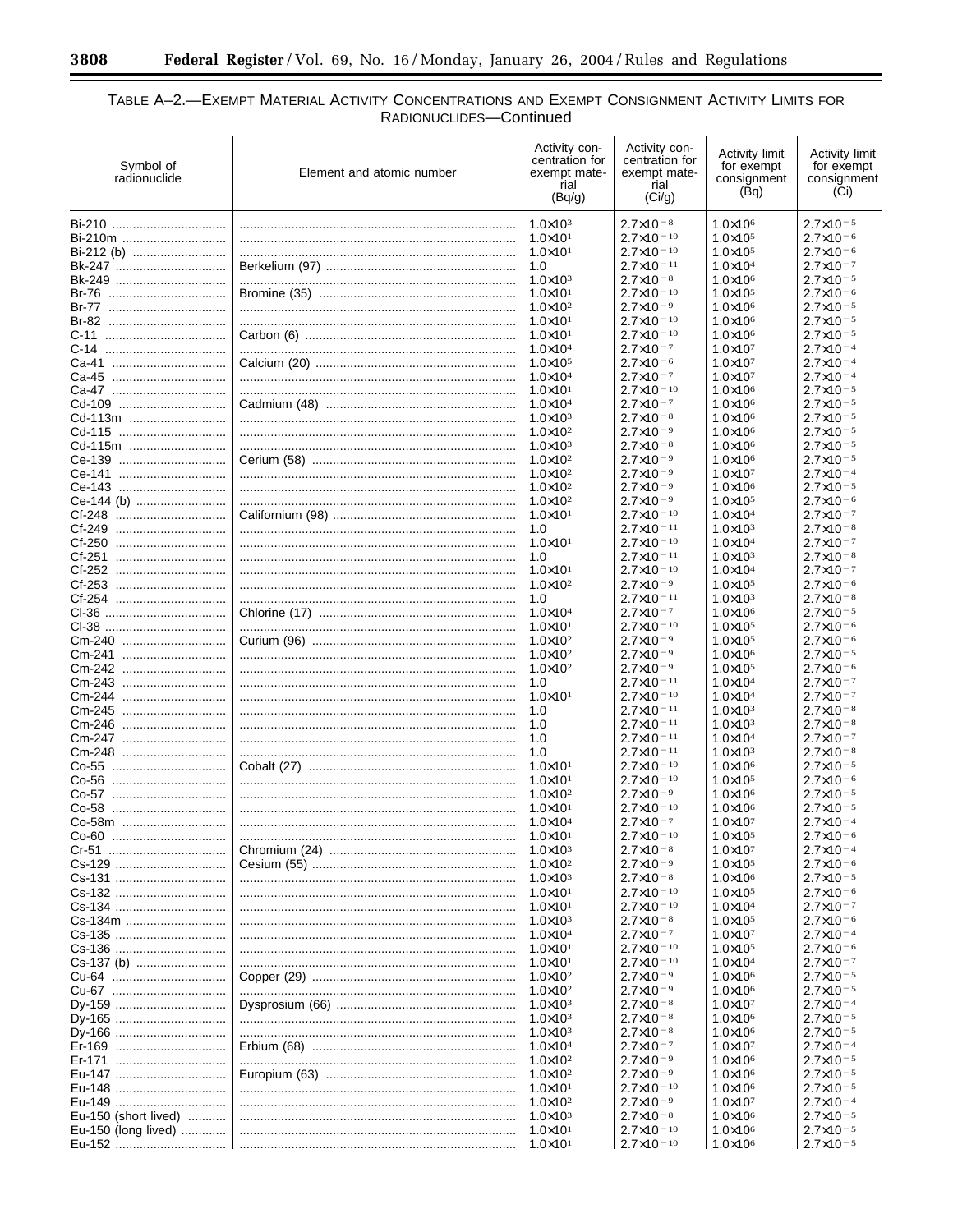$\equiv$ 

▀

#### TABLE A-2.-EXEMPT MATERIAL ACTIVITY CONCENTRATIONS AND EXEMPT CONSIGNMENT ACTIVITY LIMITS FOR RADIONUCLIDES-Continued

| Symbol of<br>radionuclide | Element and atomic number | Activity con-<br>centration for<br>exempt mate-<br>rial<br>(Bq/g) | Activity con-<br>centration for<br>exempt mate-<br>rial<br>(Ci/q) | <b>Activity limit</b><br>for exempt<br>consignment<br>(Bq) | <b>Activity limit</b><br>for exempt<br>consignment<br>(Ci) |
|---------------------------|---------------------------|-------------------------------------------------------------------|-------------------------------------------------------------------|------------------------------------------------------------|------------------------------------------------------------|
|                           |                           |                                                                   |                                                                   |                                                            |                                                            |
|                           |                           | $1.0 \times 10^{3}$                                               | $2.7 \times 10^{-8}$                                              | $1.0\times10^{6}$                                          | $2.7 \times 10^{-5}$                                       |
| Bi-210m                   |                           | $1.0 \times 10^{1}$                                               | $2.7\times10^{-10}$                                               | $1.0 \times 10^{5}$                                        | $2.7\times10^{-6}$                                         |
| Bi-212 (b)                |                           | $1.0 \times 10^{1}$                                               | $2.7\times10^{-10}$                                               | $1.0 \times 10^{5}$                                        | $2.7\times10^{-6}$                                         |
| Bk-247                    |                           | 1.0                                                               | $2.7\times10^{-11}$                                               | $1.0 \times 10^{4}$                                        | $2.7 \times 10^{-7}$                                       |
| Bk-249                    |                           | $1.0 \times 10^{3}$                                               | $2.7\times10^{-8}$                                                | $1.0 \times 10^{6}$                                        | $2.7 \times 10^{-5}$                                       |
|                           |                           | $1.0 \times 10^{1}$                                               | $2.7\times10^{-10}$                                               | $1.0 \times 10^{5}$                                        | $2.7\times10^{-6}$                                         |
|                           |                           | $1.0 \times 10^{2}$                                               | $2.7\times10^{-9}$                                                | $1.0 \times 10^{6}$                                        | $2.7 \times 10^{-5}$                                       |
|                           |                           | $1.0 \times 10^{1}$                                               | $2.7\times10^{-10}$                                               | $1.0 \times 10^{6}$                                        | $2.7 \times 10^{-5}$                                       |
|                           |                           | $1.0 \times 10^{1}$                                               | $2.7\times10^{-10}$                                               | $1.0 \times 10^{6}$                                        | $2.7 \times 10^{-5}$                                       |
|                           |                           | $1.0 \times 10^{4}$                                               | $2.7\times10^{-7}$                                                | $1.0 \times 10^{7}$                                        | $2.7 \times 10^{-4}$                                       |
|                           |                           | $1.0 \times 10^{5}$                                               | $2.7\times10^{-6}$                                                | $1.0 \times 10^{7}$                                        | $2.7 \times 10^{-4}$                                       |
|                           |                           | $1.0 \times 10^{4}$                                               | $2.7\times10^{-7}$                                                | $1.0 \times 10^{7}$                                        | $2.7\times10^{-4}$                                         |
|                           |                           | $1.0 \times 10^{1}$                                               | $2.7\times10^{-10}$                                               | $1.0 \times 10^{6}$                                        | $2.7 \times 10^{-5}$                                       |
|                           |                           |                                                                   |                                                                   |                                                            |                                                            |
| Cd-109                    |                           | $1.0 \times 10^{4}$                                               | $2.7\times10^{-7}$                                                | $1.0 \times 10^{6}$                                        | $2.7\times10^{-5}$                                         |
| Cd-113m                   |                           | $1.0 \times 10^{3}$                                               | $2.7\times10^{-8}$                                                | $1.0 \times 10^{6}$                                        | $2.7 \times 10^{-5}$                                       |
| Cd-115                    |                           | $1.0 \times 10^{2}$                                               | $2.7\times10^{-9}$                                                | $1.0 \times 10^{6}$                                        | $2.7 \times 10^{-5}$                                       |
| Cd-115m                   |                           | $1.0 \times 10^{3}$                                               | $2.7\times10^{-8}$                                                | $1.0 \times 10^{6}$                                        | $2.7 \times 10^{-5}$                                       |
| Ce-139                    |                           | $1.0 \times 10^{2}$                                               | $2.7\times10^{-9}$                                                | $1.0\times10^{6}$                                          | $2.7\times10^{-5}$                                         |
| Ce-141                    |                           | $1.0 \times 10^{2}$                                               | $2.7\times10^{-9}$                                                | $1.0 \times 10^{7}$                                        | $2.7 \times 10^{-4}$                                       |
| Ce-143                    |                           | $1.0 \times 10^{2}$                                               | $2.7\times10^{-9}$                                                | $1.0\times10^{6}$                                          | $2.7\times10^{-5}$                                         |
| Ce-144 (b)                |                           | $1.0 \times 10^{2}$                                               | $2.7\times10^{-9}$                                                | $1.0 \times 10^{5}$                                        | $2.7\times10^{-6}$                                         |
| Cf-248                    |                           | $1.0 \times 10^{1}$                                               | $2.7\times10^{-10}$                                               | $1.0 \times 10^{4}$                                        | $2.7 \times 10^{-7}$                                       |
| Cf-249                    |                           | 1.0                                                               | $2.7 \times 10^{-11}$                                             | $1.0 \times 10^{3}$                                        | $2.7 \times 10^{-8}$                                       |
| Cf-250                    |                           | $1.0 \times 10^{1}$                                               | $2.7\times10^{-10}$                                               | $1.0 \times 10^{4}$                                        | $2.7 \times 10^{-7}$                                       |
| Cf-251                    |                           | 1.0                                                               | $2.7\times10^{-11}$                                               | $1.0 \times 10^{3}$                                        | $2.7 \times 10^{-8}$                                       |
|                           |                           | $1.0 \times 10^{1}$                                               | $2.7\times10^{-10}$                                               | $1.0 \times 10^{4}$                                        | $2.7 \times 10^{-7}$                                       |
| Cf-253                    |                           | $1.0 \times 10^{2}$                                               | $2.7\times10^{-9}$                                                | $1.0 \times 10^{5}$                                        | $2.7 \times 10^{-6}$                                       |
|                           |                           |                                                                   |                                                                   |                                                            | $2.7 \times 10^{-8}$                                       |
| Cf-254                    |                           | 1.0                                                               | $2.7\times10^{-11}$                                               | $1.0 \times 10^3$                                          |                                                            |
|                           |                           | $1.0 \times 10^{4}$                                               | $2.7\times10^{-7}$                                                | $1.0 \times 10^{6}$                                        | $2.7\times10^{-5}$                                         |
|                           |                           | $1.0 \times 10^{1}$                                               | $2.7\times10^{-10}$                                               | $1.0 \times 10^{5}$                                        | $2.7 \times 10^{-6}$                                       |
| Cm-240                    |                           | $1.0 \times 10^{2}$                                               | $2.7\times10^{-9}$                                                | $1.0 \times 10^{5}$                                        | $2.7 \times 10^{-6}$                                       |
| Cm-241                    |                           | $1.0 \times 10^{2}$                                               | $2.7\times10^{-9}$                                                | $1.0 \times 10^{6}$                                        | $2.7\times10^{-5}$                                         |
| Cm-242                    |                           | $1.0 \times 10^{2}$                                               | $2.7\times10^{-9}$                                                | $1.0 \times 10^{5}$                                        | $2.7\times10^{-6}$                                         |
| Cm-243                    |                           | 1.0                                                               | $2.7\times10^{-11}$                                               | $1.0 \times 10^{4}$                                        | $2.7 \times 10^{-7}$                                       |
| Cm-244                    |                           | $1.0 \times 10^{1}$                                               | $2.7\times10^{-10}$                                               | $1.0 \times 10^{4}$                                        | $2.7 \times 10^{-7}$                                       |
| Cm-245                    |                           | 1.0                                                               | $2.7\times10^{-11}$                                               | $1.0 \times 10^3$                                          | $2.7 \times 10^{-8}$                                       |
| Cm-246                    |                           | 1.0                                                               | $2.7\times10^{-11}$                                               | $1.0 \times 10^3$                                          | $2.7 \times 10^{-8}$                                       |
| Cm-247                    |                           | 1.0                                                               | $2.7\times10^{-11}$                                               | $1.0 \times 10^{4}$                                        | $2.7 \times 10^{-7}$                                       |
| Cm-248                    |                           | 1.0                                                               | $2.7\times10^{-11}$                                               | $1.0 \times 10^3$                                          | $2.7 \times 10^{-8}$                                       |
|                           |                           | $1.0 \times 10^{1}$                                               | $2.7\times10^{-10}$                                               | $1.0 \times 10^{6}$                                        | $2.7 \times 10^{-5}$                                       |
| Co-56                     |                           | $1.0 \times 10^{1}$                                               | $2.7\times10^{-10}$                                               | $1.0 \times 10^{5}$                                        | $2.7 \times 10^{-6}$                                       |
|                           |                           | $1.0 \times 10^{2}$                                               | $2.7\times10^{-9}$                                                | $1.0 \times 10^{6}$                                        | $2.7 \times 10^{-5}$                                       |
|                           |                           |                                                                   |                                                                   |                                                            |                                                            |
| Co-58                     |                           | $1.0 \times 10^{1}$                                               | $2.7\times10^{-10}$                                               | $1.0 \times 10^{6}$                                        | $2.7\times10^{-5}$                                         |
| Co-58m                    |                           | $1.0 \times 10^{4}$                                               | $2.7 \times 10^{-7}$                                              | $1.0 \times 10^{7}$                                        | $2.7\times10^{-4}$                                         |
| Co-60                     |                           | $1.0 \times 10^{1}$                                               | $2.7\times10^{-10}$                                               | $1.0 \times 10^{5}$                                        | $2.7\times10^{-6}$                                         |
|                           |                           | $1.0 \times 10^{3}$                                               | $2.7\times10^{-8}$                                                | $1.0 \times 10^{7}$                                        | $2.7 \times 10^{-4}$                                       |
| Cs-129                    |                           | $1.0 \times 10^{2}$                                               | $2.7\times10^{-9}$                                                | $1.0\times10^{5}$                                          | $2.7\times10^{-6}$                                         |
|                           |                           | $1.0 \times 10^{3}$                                               | $2.7\times10^{-8}$                                                | $1.0 \times 10^6$                                          | $2.7\times10^{-5}$                                         |
| Cs-132                    |                           | $1.0 \times 10^{1}$                                               | $2.7\times10^{-10}$                                               | $1.0\times10^{5}$                                          | $2.7\times10^{-6}$                                         |
| Cs-134                    |                           | $1.0 \times 10^{1}$                                               | $2.7\times10^{-10}$                                               | $1.0 \times 10^{4}$                                        | $2.7 \times 10^{-7}$                                       |
| Cs-134m                   |                           | $1.0 \times 10^{3}$                                               | $2.7\times10^{-8}$                                                | $1.0 \times 10^{5}$                                        | $2.7\times10^{-6}$                                         |
| Cs-135                    |                           | $1.0 \times 10^{4}$                                               | $2.7\times10^{-7}$                                                | $1.0 \times 10^{7}$                                        | $2.7 \times 10^{-4}$                                       |
| Cs-136                    |                           | $1.0 \times 10^{1}$                                               | $2.7\times10^{-10}$                                               | $1.0\times10^{5}$                                          | $2.7\times10^{-6}$                                         |
| Cs-137 (b)                |                           | $1.0 \times 10^{1}$                                               | $2.7\times10^{-10}$                                               | $1.0 \times 10^{4}$                                        | $2.7 \times 10^{-7}$                                       |
|                           |                           |                                                                   |                                                                   |                                                            |                                                            |
| Cu-64                     |                           | $1.0 \times 10^{2}$                                               | $2.7\times10^{-9}$                                                | $1.0 \times 10^{6}$                                        | $2.7 \times 10^{-5}$                                       |
| Cu-67                     |                           | $1.0 \times 10^{2}$                                               | $2.7\times10^{-9}$                                                | $1.0 \times 10^6$                                          | $2.7\times10^{-5}$                                         |
| Dy-159                    |                           | $1.0 \times 10^{3}$                                               | $2.7\times10^{-8}$                                                | $1.0 \times 10^{7}$                                        | $2.7\times10^{-4}$                                         |
| Dy-165                    |                           | $1.0 \times 10^{3}$                                               | $2.7\times10^{-8}$                                                | $1.0 \times 10^{6}$                                        | $2.7\times10^{-5}$                                         |
|                           |                           | $1.0 \times 10^{3}$                                               | $2.7\times10^{-8}$                                                | $1.0 \times 10^{6}$                                        | $2.7\times10^{-5}$                                         |
| Er-169                    |                           | $1.0 \times 10^{4}$                                               | $2.7\times10^{-7}$                                                | $1.0 \times 10^{7}$                                        | $2.7 \times 10^{-4}$                                       |
| Er-171                    |                           | $1.0 \times 10^{2}$                                               | $2.7\times10^{-9}$                                                | $1.0 \times 10^{6}$                                        | $2.7 \times 10^{-5}$                                       |
| Eu-147                    |                           | $1.0 \times 10^{2}$                                               | $2.7\times10^{-9}$                                                | $1.0 \times 10^6$                                          | $2.7\times10^{-5}$                                         |
| Eu-148                    |                           | $1.0 \times 10^{1}$                                               | $2.7\times10^{-10}$                                               | $1.0 \times 10^{6}$                                        | $2.7 \times 10^{-5}$                                       |
| Eu-149                    |                           | $1.0 \times 10^{2}$                                               | $2.7\times10^{-9}$                                                | $1.0 \times 10^{7}$                                        | $2.7 \times 10^{-4}$                                       |
| Eu-150 (short lived)      |                           | $1.0 \times 10^{3}$                                               | $2.7\times10^{-8}$                                                | $1.0 \times 10^{6}$                                        | $2.7 \times 10^{-5}$                                       |
| Eu-150 (long lived)       |                           | $1.0 \times 10^{1}$                                               | $2.7\times10^{-10}$                                               | $1.0 \times 10^6$                                          | $2.7\times10^{-5}$                                         |
|                           |                           |                                                                   |                                                                   |                                                            |                                                            |
|                           |                           | $1.0 \times 10^{1}$                                               | $2.7\times10^{-10}$                                               | $1.0 \times 10^6$                                          | $2.7\times10^{-5}$                                         |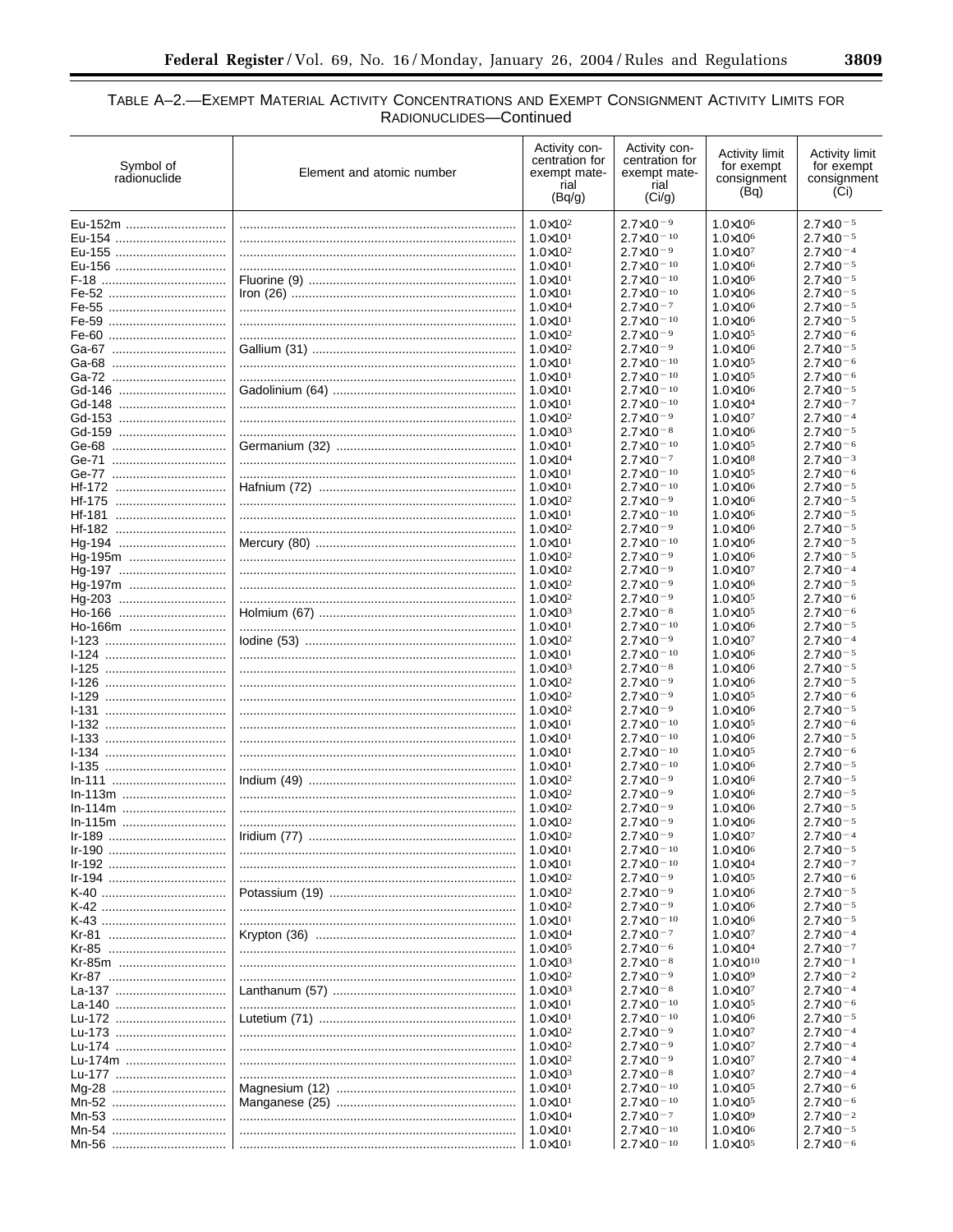$\equiv$ 

# TABLE A-2.—EXEMPT MATERIAL ACTIVITY CONCENTRATIONS AND EXEMPT CONSIGNMENT ACTIVITY LIMITS FOR<br>RADIONUCLIDES—Continued

| Symbol of<br>radionuclide | Element and atomic number | Activity con-<br>centration for<br>exempt mate-<br>rial<br>(Bq/g) | Activity con-<br>centration for<br>exempt mate-<br>rial<br>(Ci/q) | Activity limit<br>for exempt<br>consignment<br>(Bq) | <b>Activity limit</b><br>for exempt<br>consignment<br>(Ci) |
|---------------------------|---------------------------|-------------------------------------------------------------------|-------------------------------------------------------------------|-----------------------------------------------------|------------------------------------------------------------|
| Eu-152m                   |                           | $1.0 \times 10^{2}$                                               | $2.7 \times 10^{-9}$                                              | $1.0 \times 10^{6}$                                 | $2.7\times10^{-5}$                                         |
| Eu-154                    |                           | $1.0 \times 10^{1}$                                               | $2.7\times10^{-10}$                                               | $1.0\times10^{6}$                                   | $2.7\times10^{-5}$                                         |
| Eu-155                    |                           | $1.0 \times 10^{2}$                                               | $2.7\times10^{-9}$                                                | $1.0 \times 10^{7}$                                 | $2.7\times10^{-4}$                                         |
| Eu-156                    |                           | $1.0 \times 10^{1}$                                               | $2.7\times10^{-10}$                                               | $1.0 \times 10^6$                                   | $2.7\times10^{-5}$                                         |
|                           |                           | $1.0 \times 10^{1}$                                               | $2.7\times10^{-10}$                                               | $1.0 \times 10^6$                                   | $2.7\times10^{-5}$                                         |
|                           |                           | $1.0 \times 10^{1}$                                               | $2.7\times10^{-10}$                                               | $1.0 \times 10^6$                                   | $2.7 \times 10^{-5}$                                       |
|                           |                           | $1.0 \times 10^{4}$                                               | $2.7\times10^{-7}$                                                | $1.0 \times 10^{6}$                                 | $2.7\times10^{-5}$                                         |
|                           |                           | $1.0 \times 10^{1}$                                               | $2.7\times10^{-10}$                                               | $1.0 \times 10^6$                                   | $2.7 \times 10^{-5}$                                       |
| Fe-60                     |                           | $1.0 \times 10^{2}$                                               | $2.7\times10^{-9}$                                                | $1.0 \times 10^{5}$                                 | $2.7\times10^{-6}$                                         |
| Ga-67                     |                           | $1.0 \times 10^{2}$                                               | $2.7\times10^{-9}$                                                | $1.0 \times 10^{6}$                                 | $2.7\times10^{-5}$                                         |
| Ga-68                     |                           | $1.0 \times 10^{1}$                                               | $2.7\times10^{-10}$                                               | $1.0 \times 10^{5}$                                 | $2.7\times10^{-6}$                                         |
|                           |                           | $1.0 \times 10^{1}$                                               | $2.7\times10^{-10}$                                               | $1.0 \times 10^{5}$                                 | $2.7\times10^{-6}$                                         |
| Gd-146                    |                           | $1.0 \times 10^{1}$<br>$1.0 \times 10^{1}$                        | $2.7\times10^{-10}$<br>$2.7\times10^{-10}$                        | $1.0 \times 10^{6}$                                 | $2.7\times10^{-5}$<br>$2.7\times10^{-7}$                   |
| Gd-148                    |                           | $1.0 \times 10^{2}$                                               | $2.7\times10^{-9}$                                                | $1.0 \times 10^{4}$<br>$1.0 \times 10^{7}$          | $2.7\times10^{-4}$                                         |
| Gd-153<br>Gd-159          |                           | $1.0 \times 10^{3}$                                               | $2.7\times10^{-8}$                                                | $1.0 \times 10^{6}$                                 | $2.7\times10^{-5}$                                         |
|                           |                           | $1.0 \times 10^{1}$                                               | $2.7\times10^{-10}$                                               | $1.0 \times 10^{5}$                                 | $2.7\times10^{-6}$                                         |
| Ge-71                     |                           | $1.0 \times 10^{4}$                                               | $2.7\times10^{-7}$                                                | $1.0 \times 10^8$                                   | $2.7\times10^{-3}$                                         |
|                           |                           | $1.0 \times 10^{1}$                                               | $2.7\times10^{-10}$                                               | $1.0 \times 10^{5}$                                 | $2.7\times10^{-6}$                                         |
|                           |                           | $1.0 \times 10^{1}$                                               | $2.7\times10^{-10}$                                               | $1.0 \times 10^{6}$                                 | $2.7 \times 10^{-5}$                                       |
| Hf-175                    |                           | $1.0 \times 10^{2}$                                               | $2.7\times10^{-9}$                                                | $1.0 \times 10^{6}$                                 | $2.7\times10^{-5}$                                         |
|                           |                           | $1.0 \times 10^{1}$                                               | $2.7\times10^{-10}$                                               | $1.0 \times 10^{6}$                                 | $2.7\times10^{-5}$                                         |
| Hf-182                    |                           | $1.0 \times 10^{2}$                                               | $2.7\times10^{-9}$                                                | $1.0 \times 10^{6}$                                 | $2.7\times10^{-5}$                                         |
| Hg-194                    |                           | $1.0 \times 10^{1}$                                               | $2.7\times10^{-10}$                                               | $1.0 \times 10^{6}$                                 | $2.7 \times 10^{-5}$                                       |
| Hg-195m                   |                           | $1.0 \times 10^{2}$                                               | $2.7\times10^{-9}$                                                | $1.0\times10^{6}$                                   | $2.7 \times 10^{-5}$                                       |
| Hq-197                    |                           | $1.0 \times 10^{2}$                                               | $2.7\times10^{-9}$                                                | $1.0 \times 10^{7}$                                 | $2.7 \times 10^{-4}$                                       |
| Hg-197m                   |                           | $1.0 \times 10^{2}$                                               | $2.7\times10^{-9}$                                                | $1.0\times10^{6}$                                   | $2.7\times10^{-5}$                                         |
| Hg-203                    |                           | $1.0 \times 10^{2}$                                               | $2.7\times10^{-9}$                                                | $1.0 \times 10^{5}$                                 | $2.7\times10^{-6}$                                         |
| Ho-166                    |                           | $1.0 \times 10^{3}$                                               | $2.7\times10^{-8}$                                                | $1.0 \times 10^{5}$                                 | $2.7\times10^{-6}$                                         |
| Ho-166m                   |                           | $1.0 \times 10^{1}$                                               | $2.7\times10^{-10}$                                               | $1.0 \times 10^{6}$                                 | $2.7\times10^{-5}$                                         |
|                           |                           | $1.0 \times 10^{2}$                                               | $2.7\times10^{-9}$                                                | $1.0 \times 10^{7}$                                 | $2.7\times10^{-4}$                                         |
|                           |                           | $1.0 \times 10^{1}$                                               | $2.7\times10^{-10}$                                               | $1.0 \times 10^{6}$                                 | $2.7\times10^{-5}$<br>$2.7\times10^{-5}$                   |
|                           |                           | $1.0 \times 10^{3}$<br>$1.0 \times 10^{2}$                        | $2.7\times10^{-8}$<br>$2.7\times10^{-9}$                          | $1.0\times10^{6}$<br>$1.0 \times 10^{6}$            | $2.7\times10^{-5}$                                         |
|                           |                           | $1.0 \times 10^{2}$                                               | $2.7\times10^{-9}$                                                | $1.0 \times 10^{5}$                                 | $2.7 \times 10^{-6}$                                       |
|                           |                           | $1.0 \times 10^{2}$                                               | $2.7\times10^{-9}$                                                | $1.0 \times 10^{6}$                                 | $2.7\times10^{-5}$                                         |
|                           |                           | $1.0 \times 10^{1}$                                               | $2.7\times10^{-10}$                                               | $1.0 \times 10^{5}$                                 | $2.7\times10^{-6}$                                         |
|                           |                           | $1.0 \times 10^{1}$                                               | $2.7\times10^{-10}$                                               | $1.0 \times 10^{6}$                                 | $2.7\times10^{-5}$                                         |
|                           |                           | $1.0 \times 10^{1}$                                               | $2.7\times10^{-10}$                                               | $1.0 \times 10^{5}$                                 | $2.7 \times 10^{-6}$                                       |
|                           |                           | $1.0 \times 10^{1}$                                               | $2.7\times10^{-10}$                                               | $1.0 \times 10^{6}$                                 | $2.7\times10^{-5}$                                         |
|                           |                           | $1.0 \times 10^{2}$                                               | $2.7\times10^{-9}$                                                | $1.0\times10^{6}$                                   | $2.7 \times 10^{-5}$                                       |
| In-113m                   |                           | $1.0 \times 10^{2}$                                               | $2.7\times10^{-9}$                                                | $1.0 \times 10^{6}$                                 | $2.7\times10^{-5}$                                         |
| In-114m                   |                           | $1.0 \times 10^{2}$                                               | $2.7\times10^{-9}$                                                | $1.0\times10^{6}$                                   | $2.7\times10^{-5}$                                         |
| $In-115m$                 |                           | $1.0 \times 10^{2}$                                               | $2.7\times10^{-9}$                                                | $1.0 \times 10^{6}$                                 | $2.7\times10^{-5}$                                         |
|                           |                           | $1.0 \times 10^{2}$                                               | $2.7\times10^{-9}$                                                | $1.0 \times 10^{7}$                                 | $2.7\times10^{-4}$                                         |
|                           |                           | $1.0 \times 10^{1}$                                               | $2.7\times10^{-10}$                                               | $1.0 \times 10^{6}$                                 | $2.7\times10^{-5}$                                         |
|                           |                           | $1.0 \times 10^{1}$                                               | $2.7\times10^{-10}$                                               | $1.0 \times 10^{4}$                                 | $2.7 \times 10^{-7}$                                       |
|                           |                           | $1.0 \times 10^{2}$                                               | $2.7\times10^{-9}$                                                | $1.0 \times 10^{5}$                                 | $2.7\times10^{-6}$                                         |
|                           |                           | $1.0 \times 10^{2}$<br>$1.0 \times 10^{2}$                        | $2.7\times10^{-9}$<br>$2.7\times10^{-9}$                          | $1.0 \times 10^{6}$<br>$1.0 \times 10^{6}$          | $2.7\times10^{-5}$<br>$2.7\times10^{-5}$                   |
|                           |                           | $1.0 \times 10^{1}$                                               | $2.7\times10^{-10}$                                               | $1.0 \times 10^{6}$                                 | $2.7\times10^{-5}$                                         |
|                           |                           | $1.0 \times 10^{4}$                                               | $2.7\times10^{-7}$                                                | $1.0 \times 10^{7}$                                 | $2.7 \times 10^{-4}$                                       |
|                           |                           | $1.0 \times 10^{5}$                                               | $2.7\times10^{-6}$                                                | $1.0 \times 10^{4}$                                 | $2.7 \times 10^{-7}$                                       |
| Kr-85m                    |                           | $1.0 \times 10^3$                                                 | $2.7\times10^{-8}$                                                | $1.0 \times 10^{10}$                                | $2.7 \times 10^{-1}$                                       |
|                           |                           | $1.0 \times 10^{2}$                                               | $2.7\times10^{-9}$                                                | $1.0\times10^{9}$                                   | $2.7 \times 10^{-2}$                                       |
|                           |                           | $1.0 \times 10^{3}$                                               | $2.7\times10^{-8}$                                                | $1.0 \times 10^{7}$                                 | $2.7 \times 10^{-4}$                                       |
| La-140                    |                           | $1.0 \times 10^{1}$                                               | $2.7\times10^{-10}$                                               | $1.0 \times 10^{5}$                                 | $2.7\times10^{-6}$                                         |
| Lu-172                    |                           | $1.0 \times 10^{1}$                                               | $2.7\times10^{-10}$                                               | $1.0 \times 10^{6}$                                 | $2.7\times10^{-5}$                                         |
| Lu-173                    |                           | $1.0 \times 10^{2}$                                               | $2.7\times10^{-9}$                                                | $1.0 \times 10^{7}$                                 | $2.7\times10^{-4}$                                         |
| Lu-174                    |                           | $1.0 \times 10^{2}$                                               | $2.7\times10^{-9}$                                                | $1.0 \times 10^{7}$                                 | $2.7 \times 10^{-4}$                                       |
| Lu-174m                   |                           | $1.0 \times 10^{2}$                                               | $2.7\times10^{-9}$                                                | $1.0 \times 10^{7}$                                 | $2.7 \times 10^{-4}$                                       |
| Lu-177                    |                           | $1.0 \times 10^3$                                                 | $2.7\times10^{-8}$                                                | $1.0 \times 10^{7}$                                 | $2.7 \times 10^{-4}$                                       |
| Mg-28                     |                           | $1.0 \times 10^{1}$                                               | $2.7\times10^{-10}$                                               | $1.0 \times 10^{5}$                                 | $2.7\times10^{-6}$                                         |
| Mn-52                     |                           | $1.0 \times 10^{1}$                                               | $2.7\times10^{-10}$                                               | $1.0 \times 10^{5}$                                 | $2.7\times10^{-6}$                                         |
| Mn-53                     |                           | $1.0 \times 10^{4}$                                               | $2.7\times10^{-7}$                                                | $1.0 \times 10^{9}$                                 | $2.7 \times 10^{-2}$                                       |
| Mn-54                     |                           | $1.0 \times 10^{1}$                                               | $2.7\times10^{-10}$                                               | $1.0 \times 10^{6}$                                 | $2.7\times10^{-5}$                                         |
|                           |                           | $\pm 1.0 \times 10^{1}$                                           | $2.7\times10^{-10}$                                               | $1.0 \times 10^{5}$                                 | $2.7\times10^{-6}$                                         |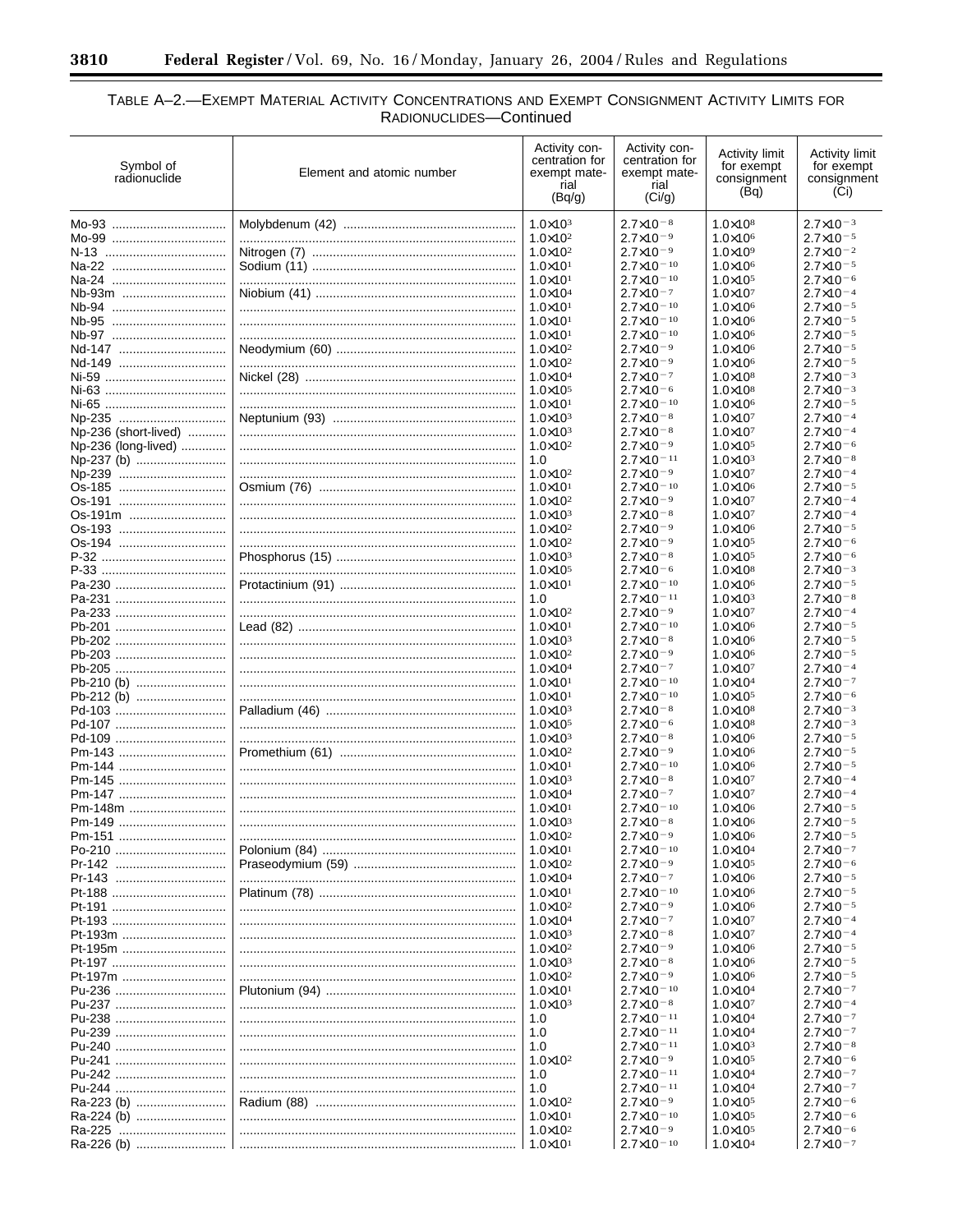$\equiv$ 

▀

#### TABLE A-2.-EXEMPT MATERIAL ACTIVITY CONCENTRATIONS AND EXEMPT CONSIGNMENT ACTIVITY LIMITS FOR RADIONUCLIDES-Continued

| Symbol of<br>radionuclide | Element and atomic number | Activity con-<br>centration for<br>exempt mate-<br>rial<br>(Bq/g) | Activity con-<br>centration for<br>exempt mate-<br>rial<br>(Ci/q) | <b>Activity limit</b><br>for exempt<br>consignment<br>(Bq) | <b>Activity limit</b><br>for exempt<br>consignment<br>(Ci) |
|---------------------------|---------------------------|-------------------------------------------------------------------|-------------------------------------------------------------------|------------------------------------------------------------|------------------------------------------------------------|
|                           |                           | $1.0 \times 10^{3}$                                               | $2.7\times10^{-8}$                                                | $1.0 \times 10^8$                                          | $2.7 \times 10^{-3}$                                       |
| Mo-99                     |                           | $1.0 \times 10^{2}$                                               | $2.7\times10^{-9}$                                                | $1.0 \times 10^{6}$                                        | $2.7 \times 10^{-5}$                                       |
|                           |                           | $1.0 \times 10^{2}$                                               | $2.7\times10^{-9}$                                                | $1.0 \times 10^{9}$                                        | $2.7 \times 10^{-2}$                                       |
|                           |                           | $1.0 \times 10^{1}$                                               | $2.7\times10^{-10}$                                               | $1.0 \times 10^6$                                          | $2.7 \times 10^{-5}$                                       |
| Na-24                     |                           | $1.0 \times 10^{1}$                                               | $2.7\times10^{-10}$                                               | $1.0 \times 10^{5}$                                        | $2.7\times10^{-6}$                                         |
| Nb-93m                    |                           | $1.0 \times 10^{4}$                                               | $2.7\times10^{-7}$                                                | $1.0 \times 10^{7}$                                        | $2.7\times10^{-4}$                                         |
|                           |                           | $1.0 \times 10^{1}$                                               | $2.7\times10^{-10}$                                               | $1.0 \times 10^{6}$                                        | $2.7 \times 10^{-5}$                                       |
|                           |                           | $1.0 \times 10^{1}$                                               | $2.7\times10^{-10}$                                               | $1.0 \times 10^{6}$                                        | $2.7 \times 10^{-5}$                                       |
|                           |                           | $1.0 \times 10^{1}$                                               | $2.7\times10^{-10}$                                               | $1.0 \times 10^{6}$                                        | $2.7 \times 10^{-5}$                                       |
| Nd-147                    |                           | $1.0 \times 10^{2}$                                               | $2.7\times10^{-9}$                                                | $1.0 \times 10^{6}$                                        | $2.7 \times 10^{-5}$                                       |
| Nd-149                    |                           | $1.0 \times 10^{2}$                                               | $2.7\times10^{-9}$                                                | $1.0 \times 10^{6}$                                        | $2.7 \times 10^{-5}$                                       |
|                           |                           | $1.0 \times 10^{4}$                                               | $2.7\times10^{-7}$                                                | $1.0 \times 10^8$                                          | $2.7\times10^{-3}$                                         |
|                           |                           | $1.0 \times 10^{5}$                                               | $2.7\times10^{-6}$                                                | $1.0 \times 10^8$                                          | $2.7 \times 10^{-3}$                                       |
|                           |                           | $1.0 \times 10^{1}$                                               | $2.7\times10^{-10}$                                               | $1.0 \times 10^{6}$                                        | $2.7\times10^{-5}$                                         |
| Np-235                    |                           | $1.0 \times 10^{3}$                                               | $2.7\times10^{-8}$                                                | $1.0 \times 10^{7}$                                        | $2.7 \times 10^{-4}$                                       |
| Np-236 (short-lived)      |                           | $1.0 \times 10^{3}$                                               | $2.7\times10^{-8}$                                                | $1.0 \times 10^{7}$                                        | $2.7 \times 10^{-4}$                                       |
| Np-236 (long-lived)       |                           | $1.0 \times 10^{2}$                                               | $2.7\times10^{-9}$                                                | $1.0 \times 10^{5}$                                        | $2.7\times10^{-6}$                                         |
| Np-237 (b)                |                           | 1.0                                                               | $2.7 \times 10^{-11}$                                             | $1.0 \times 10^3$                                          | $2.7 \times 10^{-8}$                                       |
| Np-239                    |                           | $1.0 \times 10^{2}$                                               | $2.7\times10^{-9}$                                                | $1.0 \times 10^{7}$                                        | $2.7\times10^{-4}$                                         |
| Os-185                    |                           | $1.0 \times 10^{1}$                                               | $2.7\times10^{-10}$                                               | $1.0 \times 10^{6}$                                        | $2.7\times10^{-5}$                                         |
| Os-191                    |                           | $1.0 \times 10^{2}$                                               | $2.7\times10^{-9}$                                                | $1.0 \times 10^{7}$                                        | $2.7 \times 10^{-4}$                                       |
| Os-191m                   |                           | $1.0 \times 10^{3}$                                               | $2.7\times10^{-8}$                                                | $1.0 \times 10^{7}$                                        | $2.7\times10^{-4}$                                         |
| Os-193                    |                           | $1.0 \times 10^{2}$                                               | $2.7\times10^{-9}$                                                | $1.0 \times 10^{6}$                                        | $2.7 \times 10^{-5}$                                       |
| Os-194                    |                           | $1.0 \times 10^{2}$                                               | $2.7\times10^{-9}$                                                | $1.0 \times 10^{5}$                                        | $2.7 \times 10^{-6}$                                       |
|                           |                           | $1.0 \times 10^{3}$                                               | $2.7\times10^{-8}$                                                | $1.0 \times 10^{5}$                                        | $2.7\times10^{-6}$                                         |
|                           |                           | $1.0 \times 10^{5}$                                               | $2.7\times10^{-6}$                                                | $1.0 \times 10^8$                                          | $2.7 \times 10^{-3}$                                       |
| Pa-230                    |                           | $1.0 \times 10^{1}$                                               | $2.7\times10^{-10}$                                               | $1.0 \times 10^{6}$                                        | $2.7 \times 10^{-5}$                                       |
|                           |                           | 1.0                                                               | $2.7\times10^{-11}$                                               | $1.0 \times 10^3$                                          | $2.7 \times 10^{-8}$                                       |
| Pa-233                    |                           | $1.0 \times 10^{2}$                                               | $2.7\times10^{-9}$                                                | $1.0 \times 10^{7}$                                        | $2.7 \times 10^{-4}$                                       |
| Pb-201                    |                           | $1.0 \times 10^{1}$                                               | $2.7\times10^{-10}$                                               | $1.0 \times 10^{6}$                                        | $2.7 \times 10^{-5}$                                       |
|                           |                           | $1.0 \times 10^{3}$                                               | $2.7\times10^{-8}$                                                | $1.0 \times 10^{6}$                                        | $2.7 \times 10^{-5}$                                       |
|                           |                           | $1.0 \times 10^{2}$                                               | $2.7\times10^{-9}$                                                |                                                            | $2.7\times10^{-5}$                                         |
| Pb-203                    |                           |                                                                   |                                                                   | $1.0 \times 10^{6}$                                        | $2.7 \times 10^{-4}$                                       |
| Pb-205                    |                           | $1.0 \times 10^{4}$<br>$1.0 \times 10^{1}$                        | $2.7\times10^{-7}$<br>$2.7\times10^{-10}$                         | $1.0 \times 10^{7}$                                        | $2.7 \times 10^{-7}$                                       |
| Pb-210 (b)                |                           |                                                                   | $2.7\times10^{-10}$                                               | $1.0 \times 10^{4}$                                        | $2.7 \times 10^{-6}$                                       |
| Pb-212 (b)                |                           | $1.0 \times 10^{1}$<br>$1.0 \times 10^{3}$                        | $2.7\times10^{-8}$                                                | $1.0 \times 10^{5}$                                        | $2.7 \times 10^{-3}$                                       |
| Pd-103                    |                           | $1.0 \times 10^{5}$                                               | $2.7\times10^{-6}$                                                | $1.0 \times 10^8$                                          | $2.7 \times 10^{-3}$                                       |
| Pd-107                    |                           |                                                                   | $2.7\times10^{-8}$                                                | $1.0 \times 10^8$                                          | $2.7 \times 10^{-5}$                                       |
| Pd-109<br>Pm-143          |                           | $1.0 \times 10^{3}$<br>$1.0 \times 10^{2}$                        | $2.7\times10^{-9}$                                                | $1.0 \times 10^{6}$<br>$1.0 \times 10^{6}$                 | $2.7 \times 10^{-5}$                                       |
|                           |                           | $1.0 \times 10^{1}$                                               | $2.7\times10^{-10}$                                               | $1.0 \times 10^{6}$                                        | $2.7 \times 10^{-5}$                                       |
| Pm-144<br>Pm-145          |                           | $1.0 \times 10^{3}$                                               | $2.7\times10^{-8}$                                                | $1.0 \times 10^{7}$                                        | $2.7 \times 10^{-4}$                                       |
| Pm-147                    |                           | $1.0 \times 10^{4}$                                               | $2.7\times10^{-7}$                                                | $1.0 \times 10^{7}$                                        | $2.7 \times 10^{-4}$                                       |
| Pm-148m                   |                           | $1.0 \times 10^{1}$                                               | $2.7\times10^{-10}$                                               | $1.0 \times 10^{6}$                                        | $2.7\times10^{-5}$                                         |
|                           |                           |                                                                   | $2.7\times10^{-8}$                                                | $1.0 \times 10^{6}$                                        | $2.7\times10^{-5}$                                         |
| Pm-149<br>Pm-151          |                           | $1.0 \times 10^{3}$<br>$1.0 \times 10^{2}$                        | $2.7\times10^{-9}$                                                | $1.0 \times 10^{6}$                                        | $2.7\times10^{-5}$                                         |
| Po-210                    |                           | $1.0 \times 10^{1}$                                               | $2.7\times10^{-10}$                                               | $1.0 \times 10^{4}$                                        | $2.7 \times 10^{-7}$                                       |
| Pr-142                    |                           | $1.0 \times 10^{2}$                                               | $2.7\times10^{-9}$                                                |                                                            | $2.7\times10^{-6}$                                         |
| Pr-143                    |                           | $1.0 \times 10^{4}$                                               | $2.7 \times 10^{-7}$                                              | $1.0 \times 10^{5}$<br>$1.0 \times 10^6$                   | $2.7\times10^{-5}$                                         |
|                           |                           | $1.0 \times 10^{1}$                                               | $2.7\times10^{-10}$                                               | $1.0 \times 10^{6}$                                        | $2.7 \times 10^{-5}$                                       |
|                           |                           | $1.0 \times 10^{2}$                                               | $2.7\times10^{-9}$                                                | $1.0 \times 10^6$                                          | $2.7\times10^{-5}$                                         |
| Pt-193                    |                           | $1.0 \times 10^{4}$                                               | $2.7\times10^{-7}$                                                | $1.0 \times 10^{7}$                                        | $2.7 \times 10^{-4}$                                       |
| Pt-193m                   |                           | $1.0 \times 10^{3}$                                               | $2.7\times10^{-8}$                                                | $1.0 \times 10^{7}$                                        | $2.7 \times 10^{-4}$                                       |
| Pt-195m                   |                           | $1.0 \times 10^{2}$                                               |                                                                   |                                                            | $2.7 \times 10^{-5}$                                       |
|                           |                           | $1.0 \times 10^{3}$                                               | $2.7\times10^{-9}$                                                | $1.0 \times 10^{6}$                                        | $2.7\times10^{-5}$                                         |
| Pt-197m                   |                           | $1.0 \times 10^{2}$                                               | $2.7\times10^{-8}$                                                | $1.0 \times 10^6$                                          | $2.7 \times 10^{-5}$                                       |
|                           |                           |                                                                   | $2.7\times10^{-9}$                                                | $1.0 \times 10^{6}$                                        |                                                            |
| Pu-236                    |                           | $1.0 \times 10^{1}$                                               | $2.7\times10^{-10}$                                               | $1.0 \times 10^{4}$                                        | $2.7 \times 10^{-7}$                                       |
| Pu-237<br>Pu-238          |                           | $1.0 \times 10^{3}$                                               | $2.7\times10^{-8}$<br>$2.7\times10^{-11}$                         | $1.0 \times 10^{7}$                                        | $2.7 \times 10^{-4}$<br>$2.7 \times 10^{-7}$               |
|                           |                           | 1.0                                                               |                                                                   | $1.0 \times 10^{4}$                                        |                                                            |
| Pu-239                    |                           | 1.0                                                               | $2.7 \times 10^{-11}$                                             | $1.0 \times 10^{4}$                                        | $2.7\times10^{-7}$                                         |
| Pu-240                    |                           | 1.0                                                               | $2.7\times10^{-11}$                                               | $1.0 \times 10^3$                                          | $2.7 \times 10^{-8}$                                       |
| Pu-241                    |                           | $1.0 \times 10^{2}$                                               | $2.7\times10^{-9}$                                                | $1.0 \times 10^{5}$                                        | $2.7\times10^{-6}$                                         |
| Pu-242                    |                           | 1.0                                                               | $2.7\times10^{-11}$                                               | $1.0 \times 10^{4}$                                        | $2.7 \times 10^{-7}$                                       |
| Pu-244                    |                           | 1.0                                                               | $2.7 \times 10^{-11}$                                             | $1.0 \times 10^{4}$                                        | $2.7 \times 10^{-7}$                                       |
| Ra-223 (b)                |                           | $1.0 \times 10^{2}$                                               | $2.7\times10^{-9}$                                                | $1.0 \times 10^{5}$                                        | $2.7\times10^{-6}$                                         |
| Ra-224 (b)                |                           | $1.0 \times 10^{1}$                                               | $2.7\times10^{-10}$                                               | $1.0 \times 10^{5}$                                        | $2.7\times10^{-6}$                                         |
| Ra-225                    |                           | $1.0 \times 10^{2}$                                               | $2.7\times10^{-9}$                                                | $1.0 \times 10^{5}$                                        | $2.7\times10^{-6}$                                         |
|                           |                           |                                                                   | $2.7\times10^{-10}$                                               | $1.0\times10^4$                                            | $2.7 \times 10^{-7}$                                       |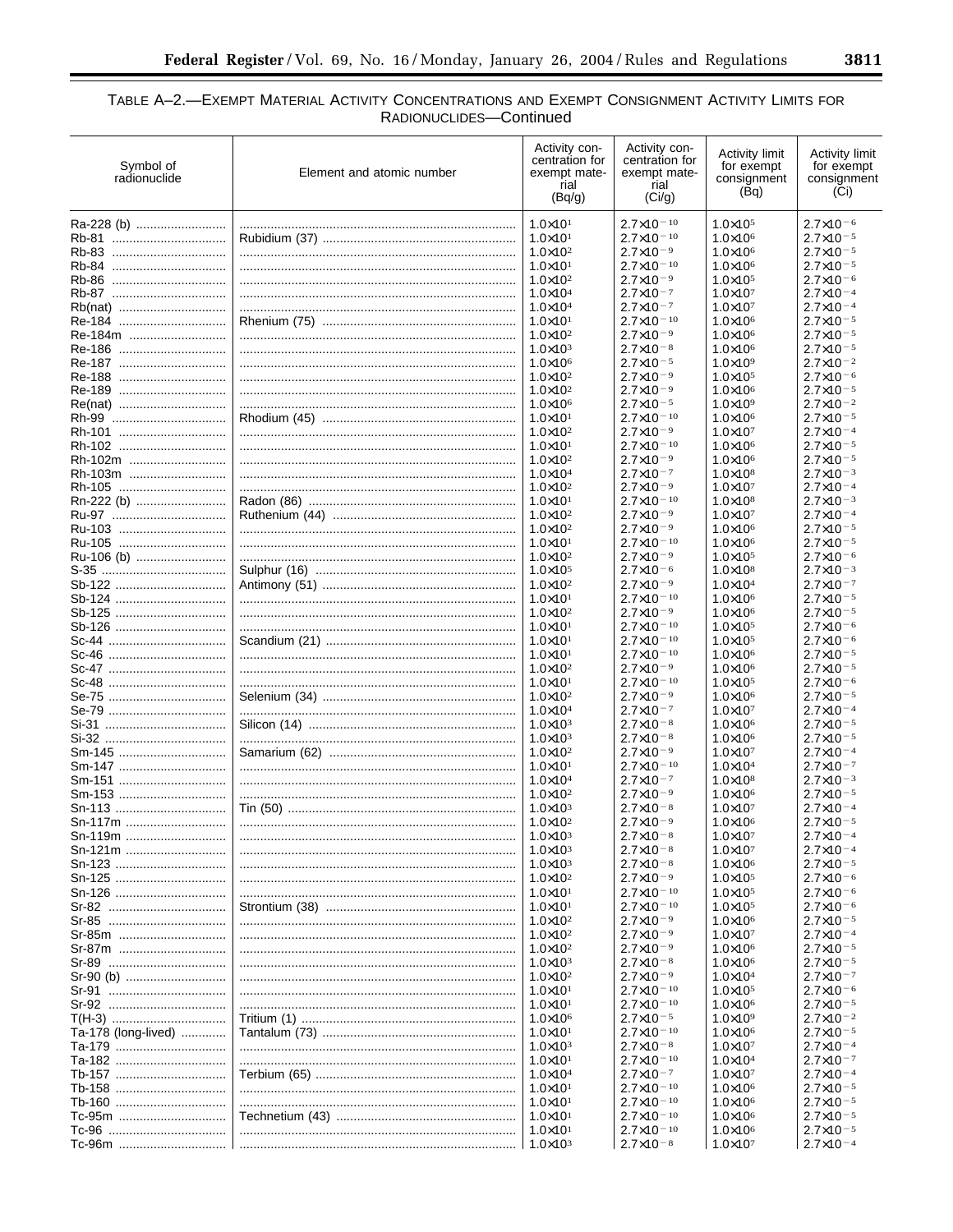#### 3811  $\equiv$

#### TABLE A-2.-EXEMPT MATERIAL ACTIVITY CONCENTRATIONS AND EXEMPT CONSIGNMENT ACTIVITY LIMITS FOR RADIONUCLIDES-Continued

| Symbol of<br>radionuclide | Element and atomic number | Activity con-<br>centration for<br>exempt mate-<br>rial<br>(Bq/g) | Activity con-<br>centration for<br>exempt mate-<br>rial<br>(Ci/q) | <b>Activity limit</b><br>for exempt<br>consignment<br>(Bq) | <b>Activity limit</b><br>for exempt<br>consignment<br>(Ci) |
|---------------------------|---------------------------|-------------------------------------------------------------------|-------------------------------------------------------------------|------------------------------------------------------------|------------------------------------------------------------|
| Ra-228 (b)                |                           | $1.0 \times 10^{1}$                                               | $2.7 \times 10^{-10}$                                             | $1.0 \times 10^{5}$                                        | $2.7\times10^{-6}$                                         |
| Rb-81                     |                           | $1.0 \times 10^{1}$                                               | $2.7\times10^{-10}$                                               | $1.0 \times 10^{6}$                                        | $2.7\times10^{-5}$                                         |
| Rb-83                     |                           | $1.0 \times 10^{2}$                                               | $2.7\times10^{-9}$                                                | $1.0\times10^{6}$                                          | $2.7\times10^{-5}$                                         |
|                           |                           | $1.0 \times 10^{1}$                                               | $2.7\times10^{-10}$                                               | $1.0 \times 10^{6}$                                        | $2.7\times10^{-5}$                                         |
| Rb-86                     |                           | $1.0 \times 10^{2}$                                               | $2.7\times10^{-9}$                                                | $1.0 \times 10^{5}$                                        | $2.7\times10^{-6}$                                         |
| Rb-87                     |                           | $1.0\times10^{4}$<br>$1.0 \times 10^{4}$                          | $2.7\times10^{-7}$<br>$2.7\times10^{-7}$                          | $1.0 \times 10^{7}$<br>$1.0 \times 10^{7}$                 | $2.7\times10^{-4}$<br>$2.7\times10^{-4}$                   |
| Rb(nat)<br>Re-184         |                           | $1.0 \times 10^{1}$                                               | $2.7\times10^{-10}$                                               | $1.0 \times 10^{6}$                                        | $2.7\times10^{-5}$                                         |
| Re-184m                   |                           | $1.0 \times 10^{2}$                                               | $2.7\times10^{-9}$                                                | $1.0 \times 10^{6}$                                        | $2.7 \times 10^{-5}$                                       |
| Re-186                    |                           | $1.0 \times 10^{3}$                                               | $2.7\times10^{-8}$                                                | $1.0 \times 10^{6}$                                        | $2.7\times10^{-5}$                                         |
| Re-187                    |                           | $1.0 \times 10^{6}$                                               | $2.7\times10^{-5}$                                                | $1.0 \times 10^{9}$                                        | $2.7 \times 10^{-2}$                                       |
| Re-188                    |                           | $1.0 \times 10^{2}$                                               | $2.7\times10^{-9}$                                                | $1.0 \times 10^{5}$                                        | $2.7\times10^{-6}$                                         |
| Re-189                    |                           | $1.0 \times 10^{2}$                                               | $2.7\times10^{-9}$                                                | $1.0 \times 10^{6}$                                        | $2.7 \times 10^{-5}$                                       |
| Re(nat)                   |                           | $1.0 \times 10^{6}$                                               | $2.7\times10^{-5}$                                                | $1.0 \times 10^{9}$                                        | $2.7 \times 10^{-2}$                                       |
| Rh-99                     |                           | $1.0 \times 10^{1}$                                               | $2.7\times10^{-10}$                                               | $1.0\times10^{6}$                                          | $2.7\times10^{-5}$                                         |
| Rh-101                    |                           | $1.0 \times 10^{2}$                                               | $2.7\times10^{-9}$                                                | $1.0 \times 10^{7}$                                        | $2.7\times10^{-4}$                                         |
| Rh-102                    |                           | $1.0 \times 10^{1}$                                               | $2.7\times10^{-10}$                                               | $1.0 \times 10^{6}$                                        | $2.7\times10^{-5}$<br>$2.7\times10^{-5}$                   |
| Rh-102m<br>Rh-103m        |                           | $1.0 \times 10^{2}$<br>$1.0 \times 10^{4}$                        | $2.7\times10^{-9}$<br>$2.7 \times 10^{-7}$                        | $1.0\times10^{6}$<br>$1.0 \times 10^{8}$                   | $2.7\times10^{-3}$                                         |
| Rh-105                    |                           | $1.0 \times 10^{2}$                                               | $2.7\times10^{-9}$                                                | $1.0 \times 10^{7}$                                        | $2.7\times10^{-4}$                                         |
| Rn-222 (b)                |                           | $1.0 \times 10^{1}$                                               | $2.7\times10^{-10}$                                               | $1.0 \times 10^{8}$                                        | $2.7\times10^{-3}$                                         |
| Ru-97                     |                           | $1.0 \times 10^{2}$                                               | $2.7\times10^{-9}$                                                | $1.0 \times 10^{7}$                                        | $2.7\times10^{-4}$                                         |
| Ru-103                    |                           | $1.0 \times 10^{2}$                                               | $2.7\times10^{-9}$                                                | $1.0 \times 10^{6}$                                        | $2.7 \times 10^{-5}$                                       |
| Ru-105                    |                           | $1.0 \times 10^{1}$                                               | $2.7\times10^{-10}$                                               | $1.0\times10^{6}$                                          | $2.7\times10^{-5}$                                         |
| Ru-106 (b)                |                           | $1.0 \times 10^{2}$                                               | $2.7\times10^{-9}$                                                | $1.0 \times 10^{5}$                                        | $2.7\times10^{-6}$                                         |
|                           |                           | $1.0 \times 10^{5}$                                               | $2.7\times10^{-6}$                                                | $1.0 \times 10^8$                                          | $2.7\times10^{-3}$                                         |
| Sb-122                    |                           | $1.0 \times 10^{2}$                                               | $2.7\times10^{-9}$                                                | $1.0 \times 10^{4}$                                        | $2.7 \times 10^{-7}$                                       |
| Sb-124                    |                           | $1.0 \times 10^{1}$                                               | $2.7\times10^{-10}$                                               | $1.0\times10^{6}$                                          | $2.7\times10^{-5}$                                         |
| Sb-125                    |                           | $1.0 \times 10^{2}$                                               | $2.7\times10^{-9}$                                                | $1.0\times10^{6}$                                          | $2.7 \times 10^{-5}$                                       |
| Sb-126                    |                           | $1.0 \times 10^{1}$<br>$1.0 \times 10^{1}$                        | $2.7\times10^{-10}$<br>$2.7\times10^{-10}$                        | $1.0 \times 10^{5}$<br>$1.0 \times 10^{5}$                 | $2.7\times10^{-6}$<br>$2.7 \times 10^{-6}$                 |
|                           |                           | $1.0 \times 10^{1}$                                               | $2.7\times10^{-10}$                                               | $1.0 \times 10^{6}$                                        | $2.7 \times 10^{-5}$                                       |
| Sc-47                     |                           | $1.0 \times 10^{2}$                                               | $2.7\times10^{-9}$                                                | $1.0\times10^{6}$                                          | $2.7\times10^{-5}$                                         |
|                           |                           | $1.0 \times 10^{1}$                                               | $2.7\times10^{-10}$                                               | $1.0 \times 10^{5}$                                        | $2.7 \times 10^{-6}$                                       |
| Se-75                     |                           | $1.0 \times 10^{2}$                                               | $2.7\times10^{-9}$                                                | $1.0\times10^{6}$                                          | $2.7\times10^{-5}$                                         |
|                           |                           | $1.0 \times 10^{4}$                                               | $2.7\times10^{-7}$                                                | $1.0 \times 10^{7}$                                        | $2.7 \times 10^{-4}$                                       |
|                           |                           | $1.0 \times 10^{3}$                                               | $2.7\times10^{-8}$                                                | $1.0\times10^{6}$                                          | $2.7\times10^{-5}$                                         |
|                           |                           | $1.0 \times 10^{3}$                                               | $2.7\times10^{-8}$                                                | $1.0 \times 10^{6}$                                        | $2.7 \times 10^{-5}$                                       |
| Sm-145                    |                           | $1.0 \times 10^{2}$                                               | $2.7\times10^{-9}$                                                | $1.0 \times 10^{7}$                                        | $2.7 \times 10^{-4}$                                       |
| Sm-147                    |                           | $1.0 \times 10^{1}$                                               | $2.7\times10^{-10}$                                               | $1.0 \times 10^{4}$                                        | $2.7\times10^{-7}$                                         |
| Sm-151<br>Sm-153          |                           | $1.0 \times 10^{4}$<br>$1.0 \times 10^{2}$                        | $2.7\times10^{-7}$<br>$2.7\times10^{-9}$                          | $1.0 \times 10^{8}$<br>$1.0\times10^{6}$                   | $2.7 \times 10^{-3}$<br>$2.7\times10^{-5}$                 |
| Sn-113                    |                           | $1.0 \times 10^{3}$                                               | $2.7\times10^{-8}$                                                | $1.0 \times 10^{7}$                                        | $2.7\times10^{-4}$                                         |
| Sn-117m                   |                           | $1.0\times102$                                                    | $2.7\times10^{-9}$                                                | $1.0 \times 10^{6}$                                        | $2.7\times10^{-5}$                                         |
| Sn-119m                   |                           | $1.0 \times 10^{3}$                                               | $2.7\times10^{-8}$                                                | $1.0 \times 10^{7}$                                        | $2.7 \times 10^{-4}$                                       |
| Sn-121m                   |                           | $1.0 \times 10^{3}$                                               | $2.7\times10^{-8}$                                                | $1.0 \times 10^{7}$                                        | $2.7 \times 10^{-4}$                                       |
| Sn-123                    |                           | $1.0 \times 10^{3}$                                               | $2.7\times10^{-8}$                                                | $1.0\times10^{6}$                                          | $2.7\times10^{-5}$                                         |
| Sn-125                    |                           | $1.0 \times 10^{2}$                                               | $2.7\times10^{-9}$                                                | $1.0 \times 10^{5}$                                        | $2.7\times10^{-6}$                                         |
| Sn-126                    |                           | $1.0 \times 10^{1}$                                               | $2.7\times10^{-10}$                                               | $1.0 \times 10^{5}$                                        | $2.7\times10^{-6}$                                         |
|                           |                           | $1.0 \times 10^{1}$                                               | $2.7\times10^{-10}$                                               | $1.0 \times 10^{5}$                                        | $2.7\times10^{-6}$                                         |
|                           |                           | $1.0 \times 10^{2}$                                               | $2.7\times10^{-9}$                                                | $1.0\times10^{6}$                                          | $2.7\times10^{-5}$                                         |
| Sr-85m<br>Sr-87m          |                           | $1.0 \times 10^{2}$<br>$1.0 \times 10^{2}$                        | $2.7\times10^{-9}$<br>$2.7\times10^{-9}$                          | $1.0 \times 10^{7}$<br>$1.0\times10^{6}$                   | $2.7 \times 10^{-4}$<br>$2.7\times10^{-5}$                 |
|                           |                           | $1.0 \times 10^{3}$                                               | $2.7\times10^{-8}$                                                | $1.0 \times 10^{6}$                                        | $2.7\times10^{-5}$                                         |
| Sr-90 (b)                 |                           | $1.0 \times 10^{2}$                                               | $2.7\times10^{-9}$                                                | $1.0 \times 10^{4}$                                        | $2.7\times10^{-7}$                                         |
|                           |                           | $1.0 \times 10^{1}$                                               | $2.7\times10^{-10}$                                               | $1.0 \times 10^{5}$                                        | $2.7\times10^{-6}$                                         |
| Sr-92                     |                           | $1.0 \times 10^{1}$                                               | $2.7\times10^{-10}$                                               | $1.0\times10^{6}$                                          | $2.7 \times 10^{-5}$                                       |
|                           |                           | $1.0 \times 10^{6}$                                               | $2.7\times10^{-5}$                                                | $1.0\times10^{9}$                                          | $2.7 \times 10^{-2}$                                       |
| Ta-178 (long-lived)       |                           | $1.0 \times 10^{1}$                                               | $2.7\times10^{-10}$                                               | $1.0\times10^{6}$                                          | $2.7\times10^{-5}$                                         |
| Ta-179                    |                           | $1.0 \times 10^{3}$                                               | $2.7\times10^{-8}$                                                | $1.0 \times 10^{7}$                                        | $2.7\times10^{-4}$                                         |
| Ta-182                    |                           | $1.0 \times 10^{1}$                                               | $2.7\times10^{-10}$                                               | $1.0 \times 10^{4}$                                        | $2.7 \times 10^{-7}$                                       |
| Tb-157                    |                           | $1.0 \times 10^{4}$                                               | $2.7 \times 10^{-7}$                                              | $1.0 \times 10^{7}$                                        | $2.7 \times 10^{-4}$                                       |
| Tb-158                    |                           | $1.0 \times 10^{1}$                                               | $2.7\times10^{-10}$                                               | $1.0\times10^{6}$                                          | $2.7\times10^{-5}$                                         |
| Tb-160<br>Tc-95m          |                           | $1.0 \times 10^{1}$                                               | $2.7\times10^{-10}$<br>$2.7\times10^{-10}$                        | $1.0 \times 10^{6}$                                        | $2.7\times10^{-5}$<br>$2.7 \times 10^{-5}$                 |
|                           |                           | $1.0 \times 10^{1}$<br>$1.0 \times 10^{1}$                        | $2.7\times10^{-10}$                                               | $1.0 \times 10^{6}$<br>$1.0 \times 10^{6}$                 | $2.7\times10^{-5}$                                         |
| Tc-96m                    |                           | $1.0 \times 10^3$                                                 | $2.7\times10^{-8}$                                                | $1.0 \times 10^{7}$                                        | $2.7\times10^{-4}$                                         |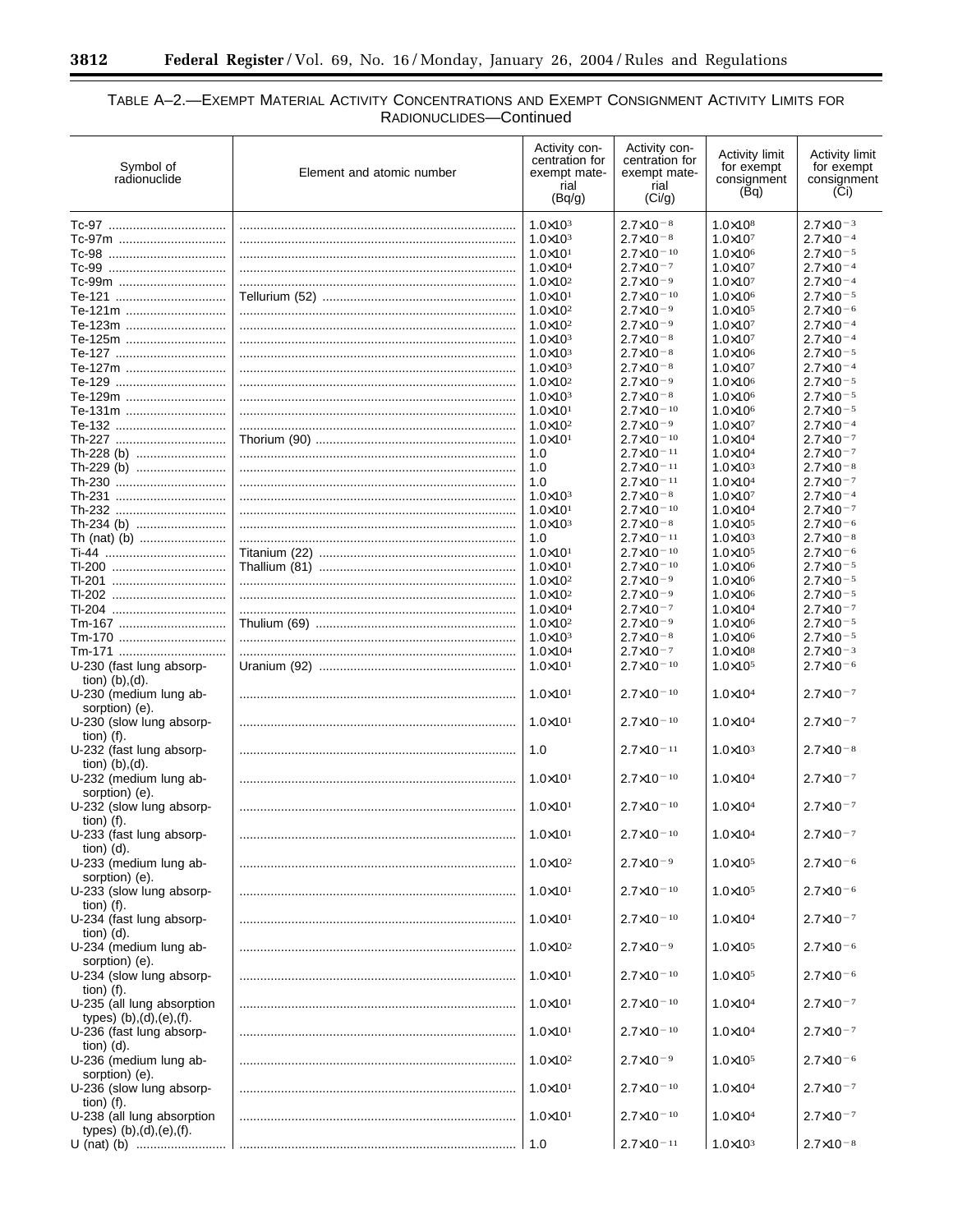-

t

# TABLE A-2.—EXEMPT MATERIAL ACTIVITY CONCENTRATIONS AND EXEMPT CONSIGNMENT ACTIVITY LIMITS FOR<br>RADIONUCLIDES—Continued

| Symbol of<br>radionuclide                                          | Element and atomic number                        | Activity con-<br>centration for<br>exempt mate-<br>rial<br>(Bq/g) | Activity con-<br>centration for<br>exempt mate-<br>rial<br>(Ci/g) | <b>Activity limit</b><br>for exempt<br>consignment<br>(Bq) | <b>Activity limit</b><br>for exempt<br>consignment<br>(Ci) |
|--------------------------------------------------------------------|--------------------------------------------------|-------------------------------------------------------------------|-------------------------------------------------------------------|------------------------------------------------------------|------------------------------------------------------------|
|                                                                    |                                                  | $1.0 \times 10^{3}$                                               | $2.7 \times 10^{-8}$                                              | $1.0 \times 10^8$                                          | $2.7 \times 10^{-3}$                                       |
| Tc-97m                                                             |                                                  | $1.0 \times 10^{3}$                                               | $2.7\times10^{-8}$                                                | $1.0 \times 10^{7}$                                        | $2.7\times10^{-4}$                                         |
| Tc-98                                                              |                                                  | $1.0 \times 10^{1}$                                               | $2.7\times10^{-10}$                                               | $1.0 \times 10^{6}$                                        | $2.7\times10^{-5}$                                         |
|                                                                    |                                                  | $1.0 \times 10^{4}$                                               | $2.7\times10^{-7}$                                                | $1.0 \times 10^{7}$                                        | $2.7 \times 10^{-4}$                                       |
| Tc-99m                                                             |                                                  | $1.0 \times 10^{2}$<br>$1.0 \times 10^{1}$                        | $2.7\times10^{-9}$                                                | $1.0 \times 10^{7}$                                        | $2.7 \times 10^{-4}$<br>$2.7\times10^{-5}$                 |
| Te-121<br>Te-121m                                                  |                                                  | $1.0 \times 10^{2}$                                               | $2.7\times10^{-10}$<br>$2.7\times10^{-9}$                         | $1.0 \times 10^{6}$<br>$1.0 \times 10^{5}$                 | $2.7\times10^{-6}$                                         |
| Te-123m                                                            |                                                  | $1.0 \times 10^{2}$                                               | $2.7\times10^{-9}$                                                | $1.0 \times 10^{7}$                                        | $2.7 \times 10^{-4}$                                       |
| Te-125m                                                            |                                                  | $1.0 \times 10^{3}$                                               | $2.7 \times 10^{-8}$                                              | $1.0 \times 10^{7}$                                        | $2.7\times10^{-4}$                                         |
| Te-127                                                             |                                                  | $1.0 \times 10^{3}$                                               | $2.7\times10^{-8}$                                                | $1.0 \times 10^{6}$                                        | $2.7\times10^{-5}$                                         |
| Te-127m                                                            |                                                  | $1.0 \times 10^{3}$                                               | $2.7\times10^{-8}$                                                | $1.0 \times 10^{7}$                                        | $2.7\times10^{-4}$                                         |
| Te-129                                                             |                                                  | $1.0 \times 10^{2}$                                               | $2.7\times10^{-9}$                                                | $1.0 \times 10^{6}$                                        | $2.7\times10^{-5}$                                         |
| Te-129m                                                            |                                                  | $1.0 \times 10^{3}$                                               | $2.7 \times 10^{-8}$                                              | $1.0 \times 10^{6}$                                        | $2.7\times10^{-5}$                                         |
| Te-131m                                                            |                                                  | $1.0 \times 10^{1}$                                               | $2.7\times10^{-10}$                                               | $1.0 \times 10^6$                                          | $2.7 \times 10^{-5}$                                       |
| Te-132                                                             |                                                  | $1.0 \times 10^{2}$                                               | $2.7\times10^{-9}$                                                | $1.0 \times 10^{7}$                                        | $2.7\times10^{-4}$                                         |
| Th-227                                                             |                                                  | $1.0 \times 10^{1}$                                               | $2.7\times10^{-10}$                                               | $1.0 \times 10^{4}$                                        | $2.7\times10^{-7}$                                         |
| Th-228 (b)                                                         |                                                  | 1.0                                                               | $2.7\times10^{-11}$                                               | $1.0 \times 10^{4}$                                        | $2.7 \times 10^{-7}$                                       |
| Th-229 (b)<br>Th-230                                               |                                                  | 1.0<br>1.0                                                        | $2.7 \times 10^{-11}$<br>$2.7 \times 10^{-11}$                    | $1.0 \times 10^3$<br>$1.0 \times 10^{4}$                   | $2.7 \times 10^{-8}$<br>$2.7 \times 10^{-7}$               |
| Th-231                                                             |                                                  | $1.0 \times 10^{3}$                                               | $2.7 \times 10^{-8}$                                              | $1.0 \times 10^{7}$                                        | $2.7\times10^{-4}$                                         |
| Th-232                                                             |                                                  | $1.0 \times 10^{1}$                                               | $2.7\times10^{-10}$                                               | $1.0 \times 10^{4}$                                        | $2.7\times10^{-7}$                                         |
| Th-234 (b)                                                         |                                                  | $1.0 \times 10^{3}$                                               | $2.7 \times 10^{-8}$                                              | $1.0 \times 10^{5}$                                        | $2.7\times10^{-6}$                                         |
| Th (nat) (b)                                                       |                                                  | 1.0                                                               | $2.7 \times 10^{-11}$                                             | $1.0 \times 10^{3}$                                        | $2.7 \times 10^{-8}$                                       |
|                                                                    |                                                  | $1.0 \times 10^{1}$                                               | $2.7\times10^{-10}$                                               | $1.0 \times 10^{5}$                                        | $2.7\times10^{-6}$                                         |
| TI-200                                                             |                                                  | $1.0 \times 10^{1}$                                               | $2.7\times10^{-10}$                                               | $1.0 \times 10^{6}$                                        | $2.7 \times 10^{-5}$                                       |
|                                                                    |                                                  | $1.0 \times 10^{2}$                                               | $2.7\times10^{-9}$                                                | $1.0 \times 10^{6}$                                        | $2.7 \times 10^{-5}$                                       |
|                                                                    |                                                  | $1.0 \times 10^{2}$                                               | $2.7\times10^{-9}$                                                | $1.0 \times 10^{6}$                                        | $2.7\times10^{-5}$                                         |
| TI-204                                                             |                                                  | $1.0 \times 10^{4}$                                               | $2.7\times10^{-7}$                                                | $1.0 \times 10^{4}$                                        | $2.7 \times 10^{-7}$                                       |
| Tm-167                                                             |                                                  | $1.0 \times 10^{2}$                                               | $2.7\times10^{-9}$                                                | $1.0 \times 10^{6}$                                        | $2.7\times10^{-5}$                                         |
| Tm-170                                                             |                                                  | $1.0 \times 10^{3}$<br>$1.0 \times 10^{4}$                        | $2.7\times10^{-8}$<br>$2.7\times10^{-7}$                          | $1.0 \times 10^{6}$<br>$1.0 \times 10^8$                   | $2.7\times10^{-5}$<br>$2.7\times10^{-3}$                   |
| Tm-171<br>U-230 (fast lung absorp-                                 |                                                  | $1.0 \times 10^{1}$                                               | $2.7\times10^{-10}$                                               | $1.0 \times 10^{5}$                                        | $2.7\times10^{-6}$                                         |
| $tion)$ $(b)$ , $(d)$ .                                            |                                                  |                                                                   |                                                                   |                                                            |                                                            |
| U-230 (medium lung ab-<br>sorption) (e).                           |                                                  | $1.0 \times 10^{1}$                                               | $2.7\times10^{-10}$                                               | $1.0 \times 10^{4}$                                        | $2.7 \times 10^{-7}$                                       |
| U-230 (slow lung absorp-<br>$tion)$ (f).                           |                                                  | $1.0 \times 10^{1}$                                               | $2.7\times10^{-10}$                                               | $1.0 \times 10^{4}$                                        | $2.7\times10^{-7}$                                         |
| U-232 (fast lung absorp-<br>tion) $(b)$ , $(d)$ .                  |                                                  | 1.0                                                               | $2.7 \times 10^{-11}$                                             | $1.0 \times 10^{3}$                                        | $2.7\times10^{-8}$                                         |
| U-232 (medium lung ab-<br>sorption) (e).                           |                                                  | $1.0 \times 10^{1}$                                               | $2.7\times10^{-10}$                                               | $1.0 \times 10^{4}$                                        | $2.7\times10^{-7}$                                         |
| U-232 (slow lung absorp-<br>$tion)$ (f).                           |                                                  | $1.0 \times 10^{1}$                                               | $2.7\times10^{-10}$                                               | $1.0 \times 10^{4}$                                        | $2.7\times10^{-7}$                                         |
| U-233 (fast lung absorp-                                           |                                                  | $1.0 \times 10^{1}$                                               | $2.7\times10^{-10}$                                               | $1.0 \times 10^{4}$                                        | $2.7 \times 10^{-7}$                                       |
| $tion)$ (d).<br>U-233 (medium lung ab-                             |                                                  | $1.0 \times 10^{2}$                                               | $2.7\times10^{-9}$                                                | $1.0 \times 10^{5}$                                        | $2.7\times10^{-6}$                                         |
| sorption) (e).<br>U-233 (slow lung absorp-                         |                                                  | $1.0 \times 10^{1}$                                               | $2.7\times10^{-10}$                                               | $1.0 \times 10^{5}$                                        | $2.7\times10^{-6}$                                         |
| $tion)$ (f).<br>U-234 (fast lung absorp-                           |                                                  | $1.0 \times 10^{1}$                                               | $2.7\times10^{-10}$                                               | $1.0 \times 10^{4}$                                        | $2.7\times10^{-7}$                                         |
| $tion)$ (d).<br>U-234 (medium lung ab-                             |                                                  | $1.0 \times 10^{2}$                                               | $2.7\times10^{-9}$                                                | $1.0 \times 10^{5}$                                        | $2.7\times10^{-6}$                                         |
| sorption) (e).<br>U-234 (slow lung absorp-                         |                                                  | $1.0 \times 10^{1}$                                               | $2.7\times10^{-10}$                                               | $1.0 \times 10^{5}$                                        | $2.7\times10^{-6}$                                         |
| $tion)$ (f).<br>U-235 (all lung absorption                         |                                                  | $1.0 \times 10^{1}$                                               | $2.7\times10^{-10}$                                               | $1.0 \times 10^{4}$                                        | $2.7\times10^{-7}$                                         |
| types) $(b)$ , $(d)$ , $(e)$ , $(f)$ .<br>U-236 (fast lung absorp- |                                                  |                                                                   | $2.7\times10^{-10}$                                               |                                                            |                                                            |
| $tion)$ (d).                                                       |                                                  | $1.0 \times 10^{1}$                                               |                                                                   | $1.0 \times 10^{4}$                                        | $2.7\times10^{-7}$                                         |
| U-236 (medium lung ab-<br>sorption) (e).                           |                                                  | $1.0 \times 10^{2}$                                               | $2.7\times10^{-9}$                                                | $1.0 \times 10^{5}$                                        | $2.7\times10^{-6}$                                         |
| U-236 (slow lung absorp-<br>$tion)$ (f).                           |                                                  | $1.0 \times 10^{1}$                                               | $2.7\times10^{-10}$                                               | $1.0 \times 10^{4}$                                        | $2.7\times10^{-7}$                                         |
| U-238 (all lung absorption<br>types) (b),(d),(e),(f).              |                                                  | $1.0 \times 10^{1}$                                               | $2.7\times10^{-10}$                                               | $1.0 \times 10^{4}$                                        | $2.7\times10^{-7}$                                         |
|                                                                    | U (nat) (b) ………………………!…………………………………………………………………… | 1.0                                                               | $2.7 \times 10^{-11}$                                             | $1.0 \times 10^3$                                          | $2.7 \times 10^{-8}$                                       |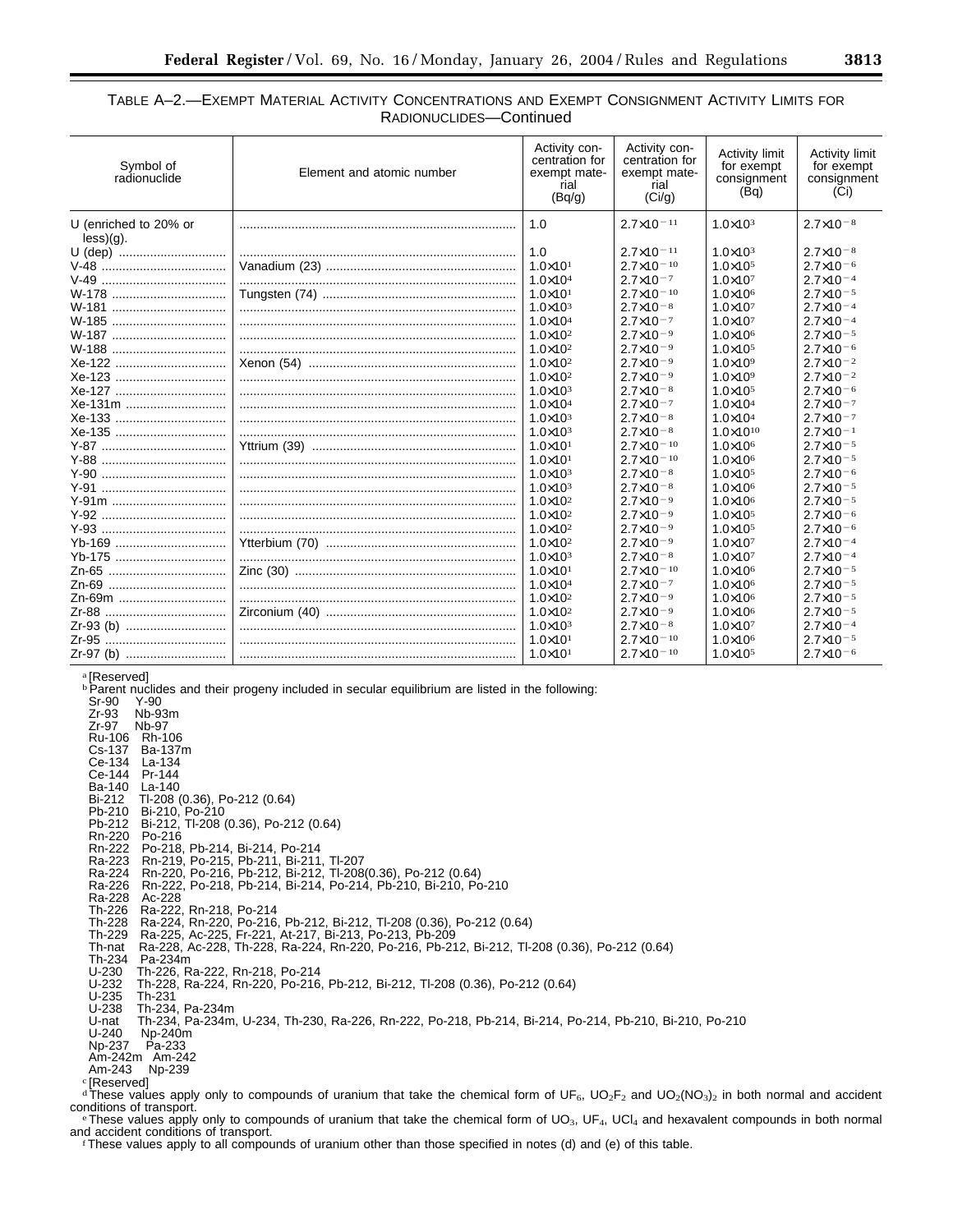#### TABLE A–2.—EXEMPT MATERIAL ACTIVITY CONCENTRATIONS AND EXEMPT CONSIGNMENT ACTIVITY LIMITS FOR RADIONUCLIDES—Continued

| Symbol of<br>radionuclide                                                                                                                                                                                                                                                                                                                                                                                                                                                                                                                                                                                                                                                                                                | Element and atomic number                                                                                                                                                                                                                                                                                                                                                                                                                                                                                                                                                                                                                                                                      | Activity con-<br>centration for<br>exempt mate-<br>rial<br>(Bq/g)                                                                                                                                                                                                                                                                                     | Activity con-<br>centration for<br>exempt mate-<br>rial<br>(Ci/g)                                                                                                                                                                                                                                                                                                   | <b>Activity limit</b><br>for exempt<br>consignment<br>(Bq)                                                                                                                                                                                                                                                                                                            | <b>Activity limit</b><br>for exempt<br>consignment<br>(Ci)                                                                                                                                                                                                                                                                                                             |
|--------------------------------------------------------------------------------------------------------------------------------------------------------------------------------------------------------------------------------------------------------------------------------------------------------------------------------------------------------------------------------------------------------------------------------------------------------------------------------------------------------------------------------------------------------------------------------------------------------------------------------------------------------------------------------------------------------------------------|------------------------------------------------------------------------------------------------------------------------------------------------------------------------------------------------------------------------------------------------------------------------------------------------------------------------------------------------------------------------------------------------------------------------------------------------------------------------------------------------------------------------------------------------------------------------------------------------------------------------------------------------------------------------------------------------|-------------------------------------------------------------------------------------------------------------------------------------------------------------------------------------------------------------------------------------------------------------------------------------------------------------------------------------------------------|---------------------------------------------------------------------------------------------------------------------------------------------------------------------------------------------------------------------------------------------------------------------------------------------------------------------------------------------------------------------|-----------------------------------------------------------------------------------------------------------------------------------------------------------------------------------------------------------------------------------------------------------------------------------------------------------------------------------------------------------------------|------------------------------------------------------------------------------------------------------------------------------------------------------------------------------------------------------------------------------------------------------------------------------------------------------------------------------------------------------------------------|
| U (enriched to 20% or<br>$less)(g)$ .<br>U (dep)<br>W-178<br>W-185<br>Xe-122<br>Xe-123<br>Xe-127<br>Xe-131m<br>Xe-133<br>Xe-135                                                                                                                                                                                                                                                                                                                                                                                                                                                                                                                                                                                          |                                                                                                                                                                                                                                                                                                                                                                                                                                                                                                                                                                                                                                                                                                | 1.0<br>1.0<br>$1.0 \times 10^{1}$<br>$1.0 \times 10^{4}$<br>$1.0 \times 10^{1}$<br>$1.0 \times 10^{3}$<br>$1.0 \times 10^{4}$<br>$1.0 \times 10^{2}$<br>$1.0 \times 10^{2}$<br>$1.0 \times 10^{2}$<br>$1.0 \times 10^{2}$<br>$1.0 \times 10^{3}$<br>$1.0 \times 10^{4}$<br>$1.0 \times 10^{3}$<br>$1.0 \times 10^{3}$<br>$1.0 \times 10^{1}$          | $2.7 \times 10^{-11}$<br>$2.7\times10^{-11}$<br>$2.7\times10^{-10}$<br>$2.7\times10^{-7}$<br>$2.7\times10^{-10}$<br>$2.7\times10^{-8}$<br>$2.7\times10^{-7}$<br>$2.7\times10^{-9}$<br>$2.7\times10^{-9}$<br>$2.7\times10^{-9}$<br>$2.7\times10^{-9}$<br>$2.7\times10^{-8}$<br>$2.7\times10^{-7}$<br>$2.7\times10^{-8}$<br>$2.7\times10^{-8}$<br>$2.7\times10^{-10}$ | $1.0 \times 10^{3}$<br>$1.0 \times 10^{3}$<br>$1.0 \times 10^{5}$<br>$1.0 \times 10^{7}$<br>$1.0 \times 10^{6}$<br>$1.0 \times 10^{7}$<br>$1.0 \times 10^{7}$<br>$1.0\times10^{6}$<br>$1.0 \times 10^{5}$<br>$1.0\times10^{9}$<br>$1.0 \times 10^{9}$<br>$1.0 \times 10^{5}$<br>$1.0 \times 10^{4}$<br>$1.0 \times 10^{4}$<br>$1.0\times10^{10}$<br>$1.0\times10^{6}$ | $2.7 \times 10^{-8}$<br>$2.7\times10^{-8}$<br>$2.7\times10^{-6}$<br>$2.7\times10^{-4}$<br>$2.7\times10^{-5}$<br>$2.7\times10^{-4}$<br>$2.7\times10^{-4}$<br>$2.7 \times 10^{-5}$<br>$2.7 \times 10^{-6}$<br>$2.7 \times 10^{-2}$<br>$2.7\times10^{-2}$<br>$2.7\times10^{-6}$<br>$2.7\times10^{-7}$<br>$2.7\times10^{-7}$<br>$2.7 \times 10^{-1}$<br>$2.7\times10^{-5}$ |
| Y-91m<br>Yb-169<br>Yb-175<br>Zn-69m<br>Zr-97 (b)                                                                                                                                                                                                                                                                                                                                                                                                                                                                                                                                                                                                                                                                         |                                                                                                                                                                                                                                                                                                                                                                                                                                                                                                                                                                                                                                                                                                | $1.0 \times 10^{1}$<br>$1.0 \times 10^{3}$<br>$1.0 \times 10^{3}$<br>$1.0 \times 10^{2}$<br>$1.0 \times 10^{2}$<br>$1.0 \times 10^{2}$<br>$1.0 \times 10^{2}$<br>$1.0 \times 10^{3}$<br>$1.0 \times 10^{1}$<br>$1.0 \times 10^{4}$<br>$1.0 \times 10^{2}$<br>$1.0 \times 10^{2}$<br>$1.0 \times 10^{3}$<br>$1.0 \times 10^{1}$<br>$1.0 \times 10^{1}$ | $2.7\times10^{-10}$<br>$2.7\times10^{-8}$<br>$2.7\times10^{-8}$<br>$2.7\times10^{-9}$<br>$2.7\times10^{-9}$<br>$2.7\times10^{-9}$<br>$2.7\times10^{-9}$<br>$2.7\times10^{-8}$<br>$2.7\times10^{-10}$<br>$2.7\times10^{-7}$<br>$2.7\times10^{-9}$<br>$2.7\times10^{-9}$<br>$2.7\times10^{-8}$<br>$2.7\times10^{-10}$<br>$2.7\times10^{-10}$                          | $1.0 \times 10^{6}$<br>$1.0 \times 10^{5}$<br>$1.0 \times 10^{6}$<br>$1.0 \times 10^{6}$<br>$1.0 \times 10^{5}$<br>$1.0 \times 10^{5}$<br>$1.0 \times 10^{7}$<br>$1.0 \times 10^{7}$<br>$1.0\times10^{6}$<br>$1.0 \times 10^6$<br>$1.0\times10^{6}$<br>$1.0\times10^{6}$<br>$1.0 \times 10^{7}$<br>$1.0 \times 10^{6}$<br>$1.0 \times 10^{5}$                         | $2.7 \times 10^{-5}$<br>$2.7\times10^{-6}$<br>$2.7\times10^{-5}$<br>$2.7\times10^{-5}$<br>$2.7\times10^{-6}$<br>$2.7\times10^{-6}$<br>$2.7\times10^{-4}$<br>$2.7 \times 10^{-4}$<br>$2.7\times10^{-5}$<br>$2.7\times10^{-5}$<br>$2.7\times10^{-5}$<br>$2.7\times10^{-5}$<br>$2.7 \times 10^{-4}$<br>$2.7\times10^{-5}$<br>$2.7\times10^{-6}$                           |
| <sup>a</sup> [Reserved]<br>Sr-90<br>Y-90<br>$Zr-93$<br>Nb-93m<br>Zr-97<br>Nb-97<br>Ru-106 Rh-106<br>Cs-137<br>Ba-137m<br>Ce-134<br>$La-134$<br>Ce-144<br>Pr-144<br>Ba-140<br>La-140<br>TI-208 (0.36), Po-212 (0.64)<br>Bi-212<br>Pb-210<br>Bi-210, Po-210<br>Pb-212 Bi-212, Tl-208 (0.36), Po-212 (0.64)<br>Rn-220 Po-216<br>Rn-222 Po-218, Pb-214, Bi-214, Po-214<br>Ra-223 Rn-219, Po-215, Pb-211, Bi-211, Tl-207<br>Ra-228 Ac-228<br>Th-226 Ra-222, Rn-218, Po-214<br>Th-nat<br>Th-234 Pa-234m<br>U-230<br>Th-226, Ra-222, Rn-218, Po-214<br>U-232<br>$U-235$<br>Th-231<br>U-238<br>Th-234, Pa-234m<br>U-nat<br>U-240<br>Np-240m<br>Np-237<br>Pa-233<br>Am-242m Am-242<br>Am-243<br>Np-239<br><sup>c</sup> [Reserved] | <b>Parent nuclides and their progeny included in secular equilibrium are listed in the following:</b><br>Ra-224 Rn-220, Po-216, Pb-212, Bi-212, Tl-208(0.36), Po-212 (0.64)<br>Ra-226 Rn-222, Po-218, Pb-214, Bi-214, Po-214, Pb-210, Bi-210, Po-210<br>Th-228 Ra-224, Rn-220, Po-216, Pb-212, Bi-212, Tl-208 (0.36), Po-212 (0.64)<br>Th-229 Ra-225, Ac-225, Fr-221, At-217, Bi-213, Po-213, Pb-209<br>Ra-228, Ac-228, Th-228, Ra-224, Rn-220, Po-216, Pb-212, Bi-212, Tl-208 (0.36), Po-212 (0.64)<br>Th-228, Ra-224, Rn-220, Po-216, Pb-212, Bi-212, Tl-208 (0.36), Po-212 (0.64)<br>Th-234, Pa-234m, U-234, Th-230, Ra-226, Rn-222, Po-218, Pb-214, Bi-214, Po-214, Pb-210, Bi-210, Po-210 |                                                                                                                                                                                                                                                                                                                                                       |                                                                                                                                                                                                                                                                                                                                                                     |                                                                                                                                                                                                                                                                                                                                                                       |                                                                                                                                                                                                                                                                                                                                                                        |

 $^{\text{d}}$ These values apply only to compounds of uranium that take the chemical form of UF<sub>6</sub>, UO<sub>2</sub>F<sub>2</sub> and UO<sub>2</sub>(NO<sub>3</sub>)<sub>2</sub> in both normal and accident

conditions of transport.<br>
eThese values apply only to compounds of uranium that take the chemical form of UO<sub>3</sub>, UF<sub>4</sub>, UCl<sub>4</sub> and hexavalent compounds in both normal and accident conditions of transport.

<sup>f</sup>These values apply to all compounds of uranium other than those specified in notes (d) and (e) of this table.